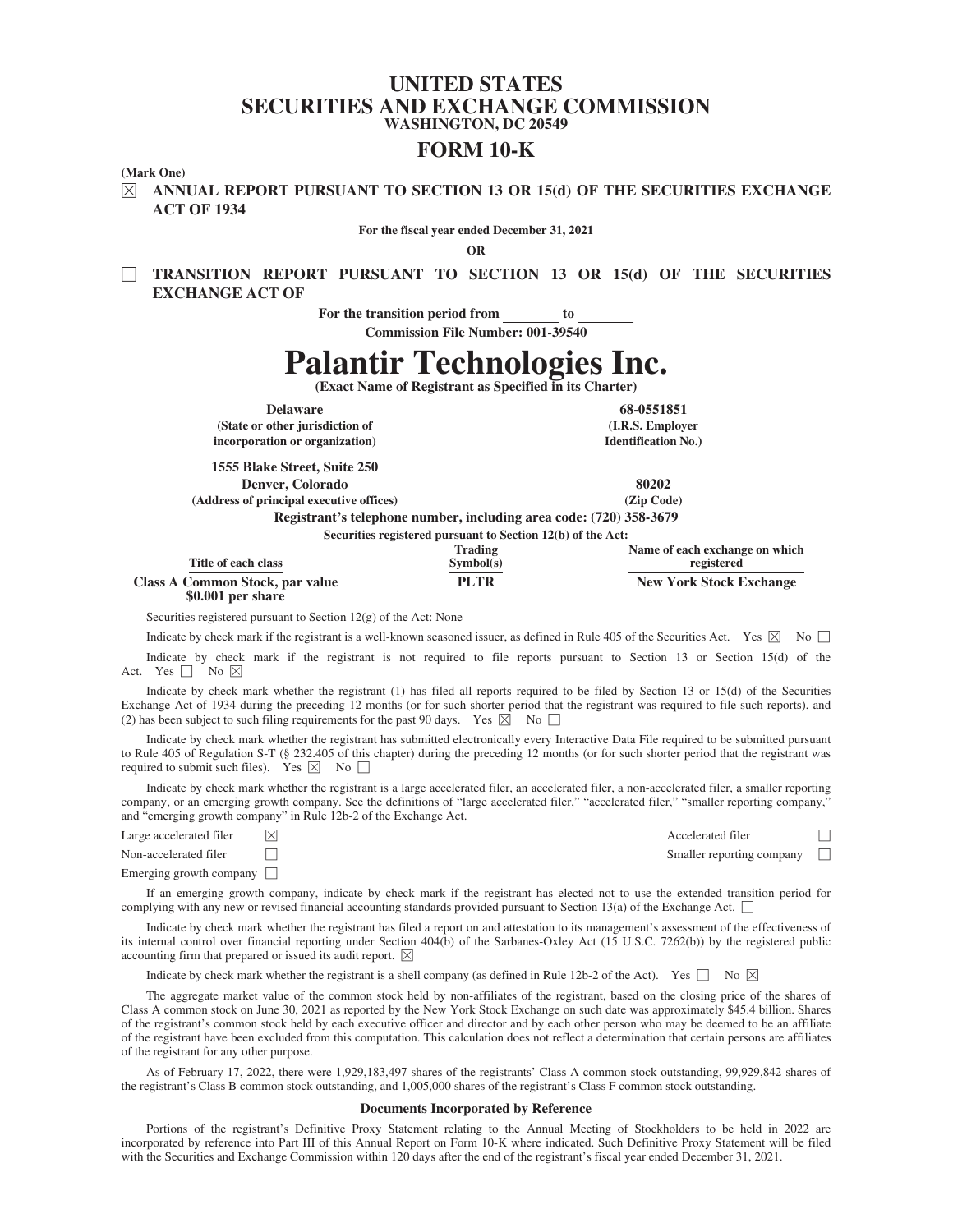## **UNITED STATES SECURITIES AND EXCHANGE COMMISSION WASHINGTON, DC 20549**

## **FORM 10-K**

**(Mark One)**

È **ANNUAL REPORT PURSUANT TO SECTION 13 OR 15(d) OF THE SECURITIES EXCHANGE ACT OF 1934**

**For the fiscal year ended December 31, 2021**

**OR**

' **TRANSITION REPORT PURSUANT TO SECTION 13 OR 15(d) OF THE SECURITIES EXCHANGE ACT OF**

> For the transition period from \_\_\_\_\_\_\_\_ to **Commission File Number: 001-39540**

# **Palantir Technologies Inc. (Exact Name of Registrant as Specified in its Charter) Delaware 68-0551851 (I.R.S. Employer**

**(State or other jurisdiction of incorporation or organization)**

**1555 Blake Street, Suite 250**

**Identification No.)**

**Denver, Colorado 80202 (Address of principal executive offices) (Zip Code)**

**Registrant's telephone number, including area code: (720) 358-3679**

**Securities registered pursuant to Section 12(b) of the Act:**

|                                 | Trading     | Name of each exchange on which |
|---------------------------------|-------------|--------------------------------|
| Title of each class             | Sumbol(s)   | registered                     |
| Class A Common Stock, par value | <b>PLTR</b> | <b>New York Stock Exchange</b> |
| $$0.001$ per share              |             |                                |

Securities registered pursuant to Section 12(g) of the Act: None

Indicate by check mark if the registrant is a well-known seasoned issuer, as defined in Rule 405 of the Securities Act. Yes  $\boxtimes$  No  $\Box$ 

Indicate by check mark if the registrant is not required to file reports pursuant to Section 13 or Section 15(d) of the Act. Yes  $\Box$  No  $\boxtimes$ 

Indicate by check mark whether the registrant (1) has filed all reports required to be filed by Section 13 or 15(d) of the Securities Exchange Act of 1934 during the preceding 12 months (or for such shorter period that the registrant was required to file such reports), and (2) has been subject to such filing requirements for the past 90 days. Yes  $\boxtimes$  No  $\Box$ 

Indicate by check mark whether the registrant has submitted electronically every Interactive Data File required to be submitted pursuant to Rule 405 of Regulation S-T (§ 232.405 of this chapter) during the preceding 12 months (or for such shorter period that the registrant was required to submit such files). Yes  $\boxtimes$  No  $\Box$ 

Indicate by check mark whether the registrant is a large accelerated filer, an accelerated filer, a non-accelerated filer, a smaller reporting company, or an emerging growth company. See the definitions of "large accelerated filer," "accelerated filer," "smaller reporting company," and "emerging growth company" in Rule 12b-2 of the Exchange Act.

Large accelerated filer  $\Box$ Non-accelerated filer  $\Box$ Emerging growth company  $\Box$ 

If an emerging growth company, indicate by check mark if the registrant has elected not to use the extended transition period for complying with any new or revised financial accounting standards provided pursuant to Section 13(a) of the Exchange Act.  $\Box$ 

Indicate by check mark whether the registrant has filed a report on and attestation to its management's assessment of the effectiveness of its internal control over financial reporting under Section 404(b) of the Sarbanes-Oxley Act (15 U.S.C. 7262(b)) by the registered public accounting firm that prepared or issued its audit report.  $[\times]$ 

Indicate by check mark whether the registrant is a shell company (as defined in Rule 12b-2 of the Act). Yes  $\Box$  No  $\boxtimes$ 

The aggregate market value of the common stock held by non-affiliates of the registrant, based on the closing price of the shares of Class A common stock on June 30, 2021 as reported by the New York Stock Exchange on such date was approximately \$45.4 billion. Shares of the registrant's common stock held by each executive officer and director and by each other person who may be deemed to be an affiliate of the registrant have been excluded from this computation. This calculation does not reflect a determination that certain persons are affiliates of the registrant for any other purpose.

As of February 17, 2022, there were 1,929,183,497 shares of the registrants' Class A common stock outstanding, 99,929,842 shares of the registrant's Class B common stock outstanding, and 1,005,000 shares of the registrant's Class F common stock outstanding.

#### **Documents Incorporated by Reference**

Portions of the registrant's Definitive Proxy Statement relating to the Annual Meeting of Stockholders to be held in 2022 are incorporated by reference into Part III of this Annual Report on Form 10-K where indicated. Such Definitive Proxy Statement will be filed with the Securities and Exchange Commission within 120 days after the end of the registrant's fiscal year ended December 31, 2021.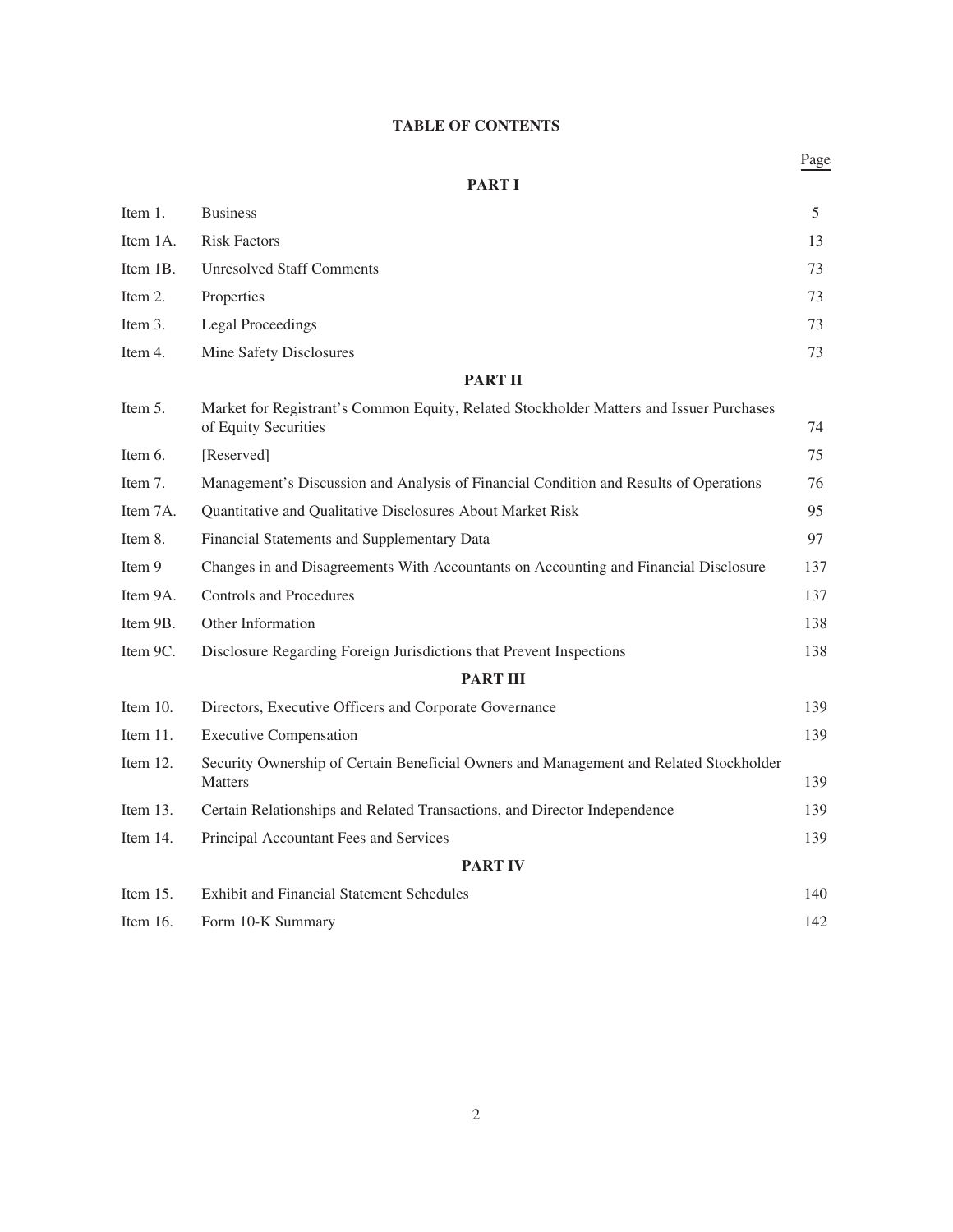## **TABLE OF CONTENTS**

## **PART I**

| Item 1.     | <b>Business</b>                                                                                                 | 5   |
|-------------|-----------------------------------------------------------------------------------------------------------------|-----|
| Item 1A.    | <b>Risk Factors</b>                                                                                             | 13  |
| Item 1B.    | <b>Unresolved Staff Comments</b>                                                                                | 73  |
| Item 2.     | Properties                                                                                                      | 73  |
| Item 3.     | <b>Legal Proceedings</b>                                                                                        | 73  |
| Item 4.     | Mine Safety Disclosures                                                                                         | 73  |
|             | <b>PART II</b>                                                                                                  |     |
| Item 5.     | Market for Registrant's Common Equity, Related Stockholder Matters and Issuer Purchases<br>of Equity Securities | 74  |
| Item 6.     | [Reserved]                                                                                                      | 75  |
| Item 7.     | Management's Discussion and Analysis of Financial Condition and Results of Operations                           | 76  |
| Item 7A.    | Quantitative and Qualitative Disclosures About Market Risk                                                      | 95  |
| Item 8.     | Financial Statements and Supplementary Data                                                                     | 97  |
| Item 9      | Changes in and Disagreements With Accountants on Accounting and Financial Disclosure                            | 137 |
| Item 9A.    | <b>Controls and Procedures</b>                                                                                  | 137 |
| Item 9B.    | Other Information                                                                                               | 138 |
| Item 9C.    | Disclosure Regarding Foreign Jurisdictions that Prevent Inspections                                             | 138 |
|             | <b>PART III</b>                                                                                                 |     |
| Item 10.    | Directors, Executive Officers and Corporate Governance                                                          | 139 |
| Item 11.    | <b>Executive Compensation</b>                                                                                   | 139 |
| Item 12.    | Security Ownership of Certain Beneficial Owners and Management and Related Stockholder<br><b>Matters</b>        | 139 |
| Item 13.    | Certain Relationships and Related Transactions, and Director Independence                                       | 139 |
| Item 14.    | Principal Accountant Fees and Services                                                                          | 139 |
|             | <b>PART IV</b>                                                                                                  |     |
| Item 15.    | <b>Exhibit and Financial Statement Schedules</b>                                                                | 140 |
| Item $16$ . | Form 10-K Summary                                                                                               | 142 |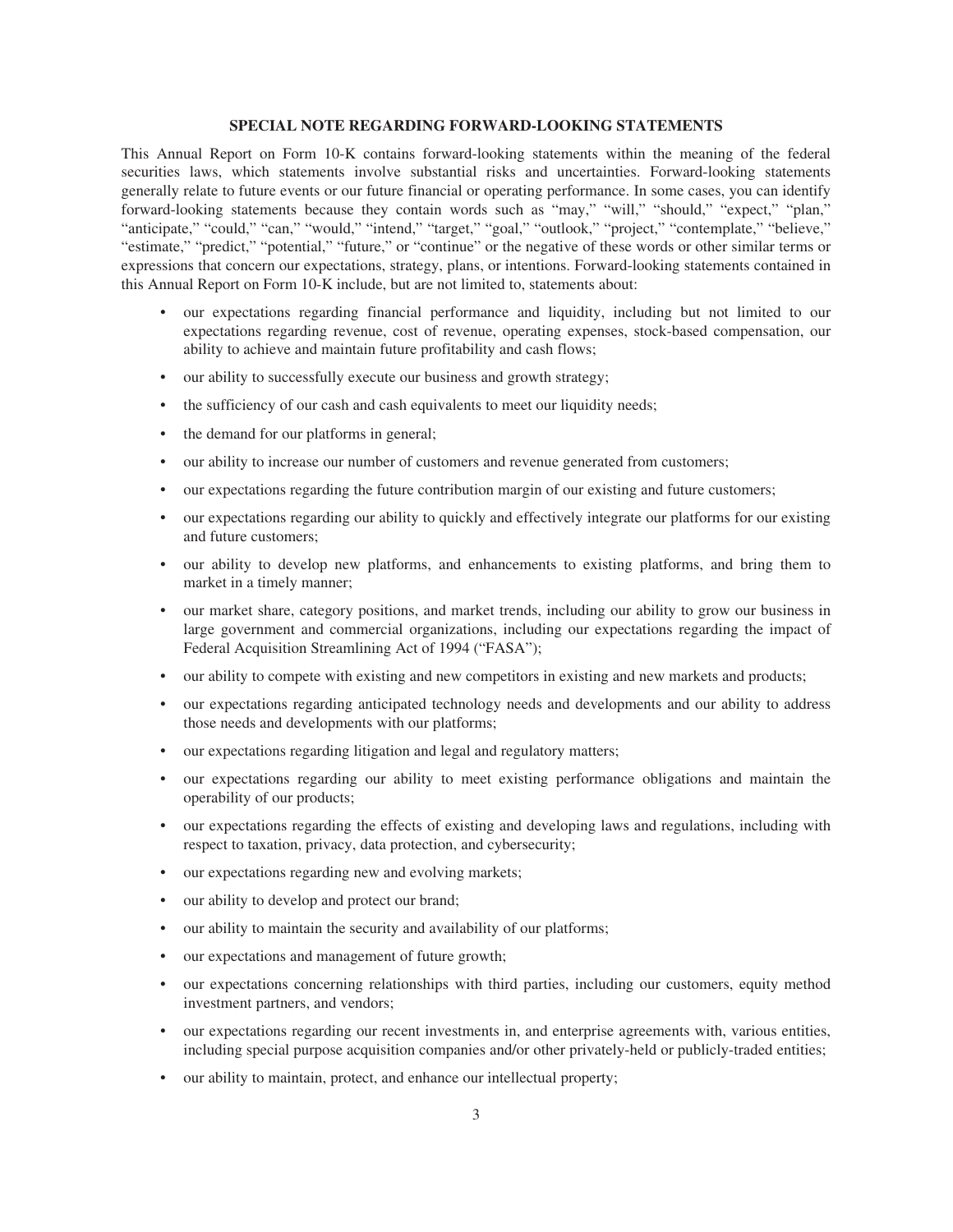### **SPECIAL NOTE REGARDING FORWARD-LOOKING STATEMENTS**

This Annual Report on Form 10-K contains forward-looking statements within the meaning of the federal securities laws, which statements involve substantial risks and uncertainties. Forward-looking statements generally relate to future events or our future financial or operating performance. In some cases, you can identify forward-looking statements because they contain words such as "may," "will," "should," "expect," "plan," "anticipate," "could," "can," "would," "intend," "target," "goal," "outlook," "project," "contemplate," "believe," "estimate," "predict," "potential," "future," or "continue" or the negative of these words or other similar terms or expressions that concern our expectations, strategy, plans, or intentions. Forward-looking statements contained in this Annual Report on Form 10-K include, but are not limited to, statements about:

- our expectations regarding financial performance and liquidity, including but not limited to our expectations regarding revenue, cost of revenue, operating expenses, stock-based compensation, our ability to achieve and maintain future profitability and cash flows;
- our ability to successfully execute our business and growth strategy;
- the sufficiency of our cash and cash equivalents to meet our liquidity needs;
- the demand for our platforms in general;
- our ability to increase our number of customers and revenue generated from customers;
- our expectations regarding the future contribution margin of our existing and future customers;
- our expectations regarding our ability to quickly and effectively integrate our platforms for our existing and future customers;
- our ability to develop new platforms, and enhancements to existing platforms, and bring them to market in a timely manner;
- our market share, category positions, and market trends, including our ability to grow our business in large government and commercial organizations, including our expectations regarding the impact of Federal Acquisition Streamlining Act of 1994 ("FASA");
- our ability to compete with existing and new competitors in existing and new markets and products;
- our expectations regarding anticipated technology needs and developments and our ability to address those needs and developments with our platforms;
- our expectations regarding litigation and legal and regulatory matters;
- our expectations regarding our ability to meet existing performance obligations and maintain the operability of our products;
- our expectations regarding the effects of existing and developing laws and regulations, including with respect to taxation, privacy, data protection, and cybersecurity;
- our expectations regarding new and evolving markets;
- our ability to develop and protect our brand;
- our ability to maintain the security and availability of our platforms;
- our expectations and management of future growth;
- our expectations concerning relationships with third parties, including our customers, equity method investment partners, and vendors;
- our expectations regarding our recent investments in, and enterprise agreements with, various entities, including special purpose acquisition companies and/or other privately-held or publicly-traded entities;
- our ability to maintain, protect, and enhance our intellectual property;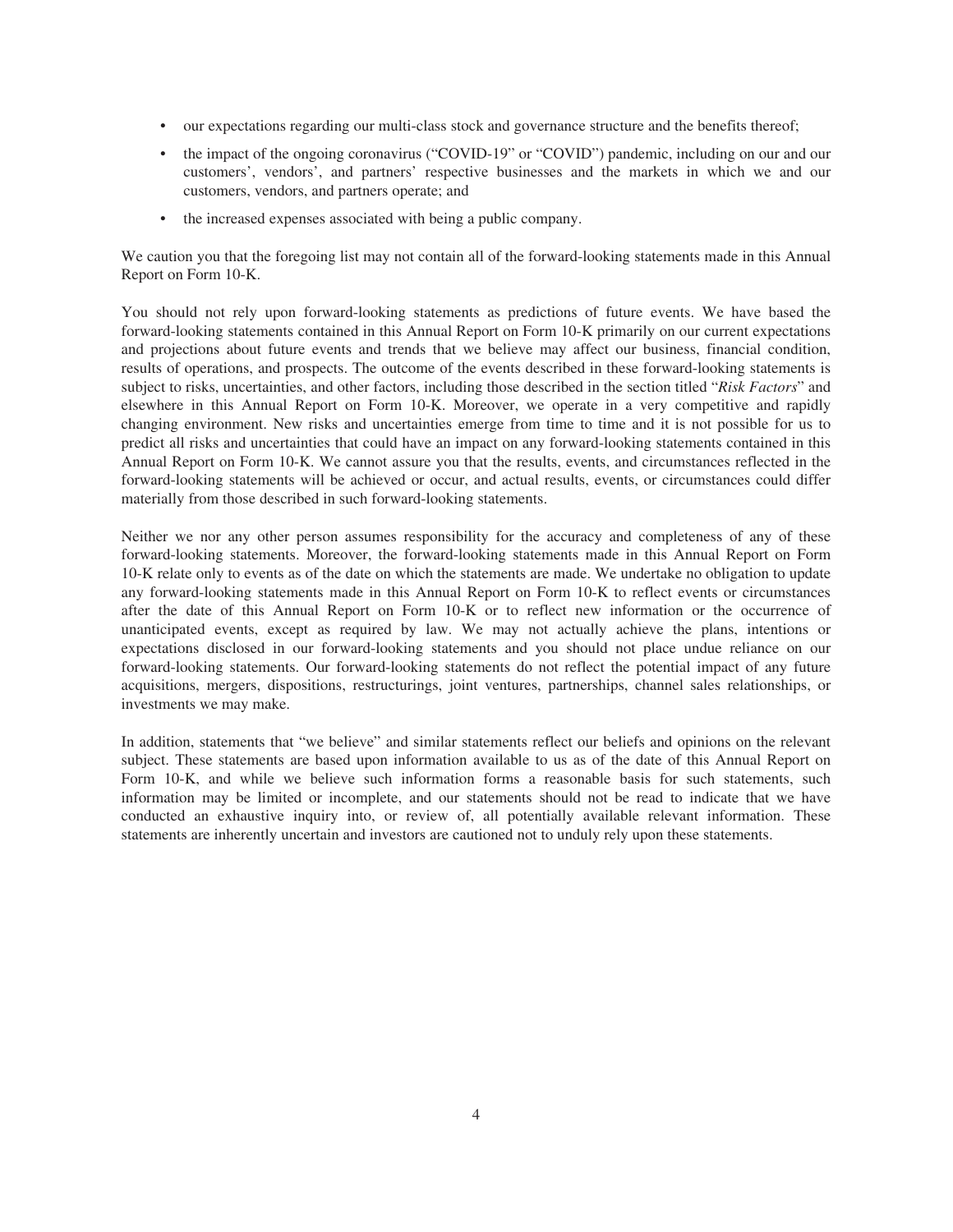- our expectations regarding our multi-class stock and governance structure and the benefits thereof;
- the impact of the ongoing coronavirus ("COVID-19" or "COVID") pandemic, including on our and our customers', vendors', and partners' respective businesses and the markets in which we and our customers, vendors, and partners operate; and
- the increased expenses associated with being a public company.

We caution you that the foregoing list may not contain all of the forward-looking statements made in this Annual Report on Form 10-K.

You should not rely upon forward-looking statements as predictions of future events. We have based the forward-looking statements contained in this Annual Report on Form 10-K primarily on our current expectations and projections about future events and trends that we believe may affect our business, financial condition, results of operations, and prospects. The outcome of the events described in these forward-looking statements is subject to risks, uncertainties, and other factors, including those described in the section titled "*Risk Factors*" and elsewhere in this Annual Report on Form 10-K. Moreover, we operate in a very competitive and rapidly changing environment. New risks and uncertainties emerge from time to time and it is not possible for us to predict all risks and uncertainties that could have an impact on any forward-looking statements contained in this Annual Report on Form 10-K. We cannot assure you that the results, events, and circumstances reflected in the forward-looking statements will be achieved or occur, and actual results, events, or circumstances could differ materially from those described in such forward-looking statements.

Neither we nor any other person assumes responsibility for the accuracy and completeness of any of these forward-looking statements. Moreover, the forward-looking statements made in this Annual Report on Form 10-K relate only to events as of the date on which the statements are made. We undertake no obligation to update any forward-looking statements made in this Annual Report on Form 10-K to reflect events or circumstances after the date of this Annual Report on Form 10-K or to reflect new information or the occurrence of unanticipated events, except as required by law. We may not actually achieve the plans, intentions or expectations disclosed in our forward-looking statements and you should not place undue reliance on our forward-looking statements. Our forward-looking statements do not reflect the potential impact of any future acquisitions, mergers, dispositions, restructurings, joint ventures, partnerships, channel sales relationships, or investments we may make.

In addition, statements that "we believe" and similar statements reflect our beliefs and opinions on the relevant subject. These statements are based upon information available to us as of the date of this Annual Report on Form 10-K, and while we believe such information forms a reasonable basis for such statements, such information may be limited or incomplete, and our statements should not be read to indicate that we have conducted an exhaustive inquiry into, or review of, all potentially available relevant information. These statements are inherently uncertain and investors are cautioned not to unduly rely upon these statements.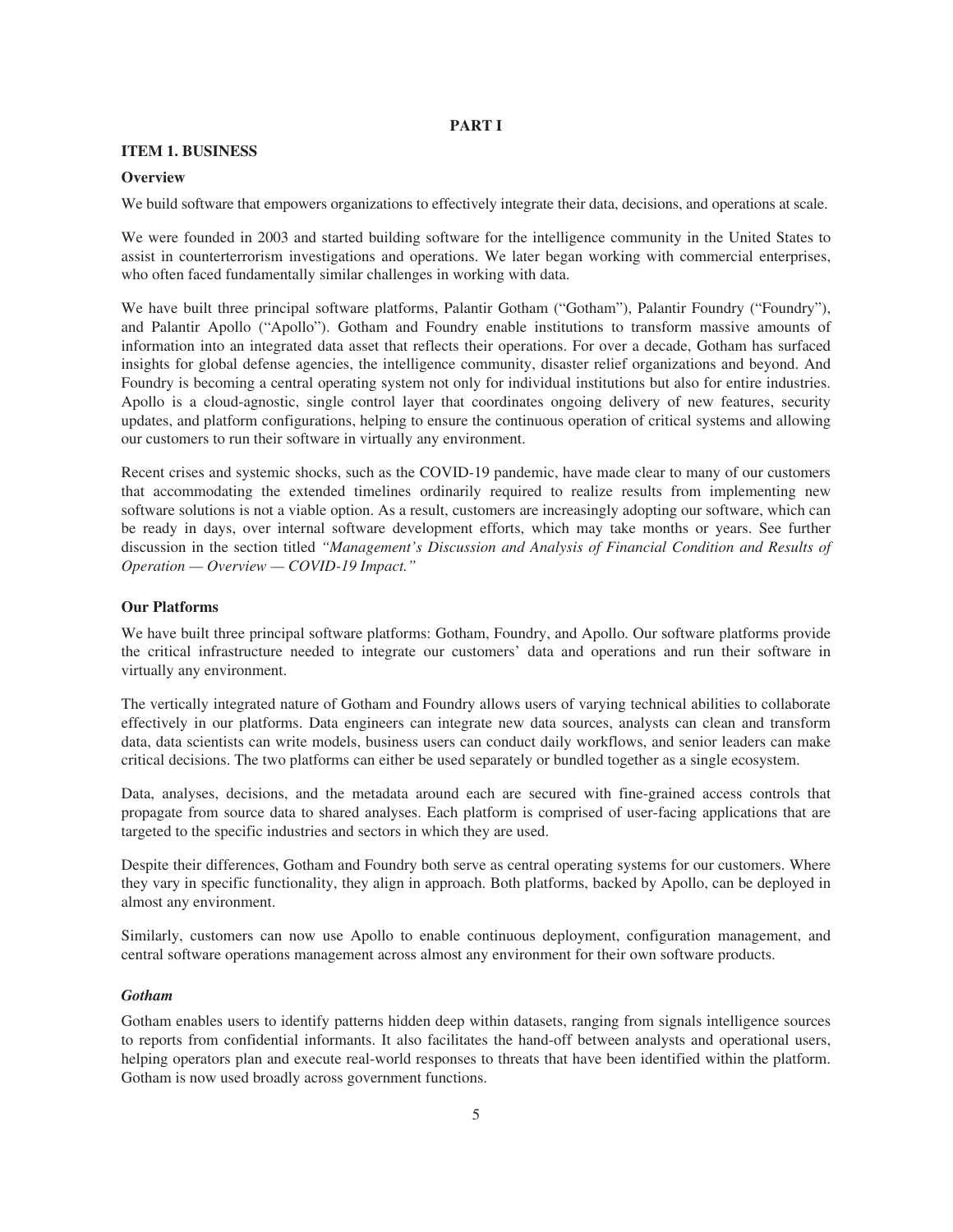### **PART I**

### <span id="page-4-0"></span>**ITEM 1. BUSINESS**

## **Overview**

We build software that empowers organizations to effectively integrate their data, decisions, and operations at scale.

We were founded in 2003 and started building software for the intelligence community in the United States to assist in counterterrorism investigations and operations. We later began working with commercial enterprises, who often faced fundamentally similar challenges in working with data.

We have built three principal software platforms, Palantir Gotham ("Gotham"), Palantir Foundry ("Foundry"), and Palantir Apollo ("Apollo"). Gotham and Foundry enable institutions to transform massive amounts of information into an integrated data asset that reflects their operations. For over a decade, Gotham has surfaced insights for global defense agencies, the intelligence community, disaster relief organizations and beyond. And Foundry is becoming a central operating system not only for individual institutions but also for entire industries. Apollo is a cloud-agnostic, single control layer that coordinates ongoing delivery of new features, security updates, and platform configurations, helping to ensure the continuous operation of critical systems and allowing our customers to run their software in virtually any environment.

Recent crises and systemic shocks, such as the COVID-19 pandemic, have made clear to many of our customers that accommodating the extended timelines ordinarily required to realize results from implementing new software solutions is not a viable option. As a result, customers are increasingly adopting our software, which can be ready in days, over internal software development efforts, which may take months or years. See further discussion in the section titled *"Management's Discussion and Analysis of Financial Condition and Results of Operation — Overview — COVID-19 Impact."*

### **Our Platforms**

We have built three principal software platforms: Gotham, Foundry, and Apollo. Our software platforms provide the critical infrastructure needed to integrate our customers' data and operations and run their software in virtually any environment.

The vertically integrated nature of Gotham and Foundry allows users of varying technical abilities to collaborate effectively in our platforms. Data engineers can integrate new data sources, analysts can clean and transform data, data scientists can write models, business users can conduct daily workflows, and senior leaders can make critical decisions. The two platforms can either be used separately or bundled together as a single ecosystem.

Data, analyses, decisions, and the metadata around each are secured with fine-grained access controls that propagate from source data to shared analyses. Each platform is comprised of user-facing applications that are targeted to the specific industries and sectors in which they are used.

Despite their differences, Gotham and Foundry both serve as central operating systems for our customers. Where they vary in specific functionality, they align in approach. Both platforms, backed by Apollo, can be deployed in almost any environment.

Similarly, customers can now use Apollo to enable continuous deployment, configuration management, and central software operations management across almost any environment for their own software products.

### *Gotham*

Gotham enables users to identify patterns hidden deep within datasets, ranging from signals intelligence sources to reports from confidential informants. It also facilitates the hand-off between analysts and operational users, helping operators plan and execute real-world responses to threats that have been identified within the platform. Gotham is now used broadly across government functions.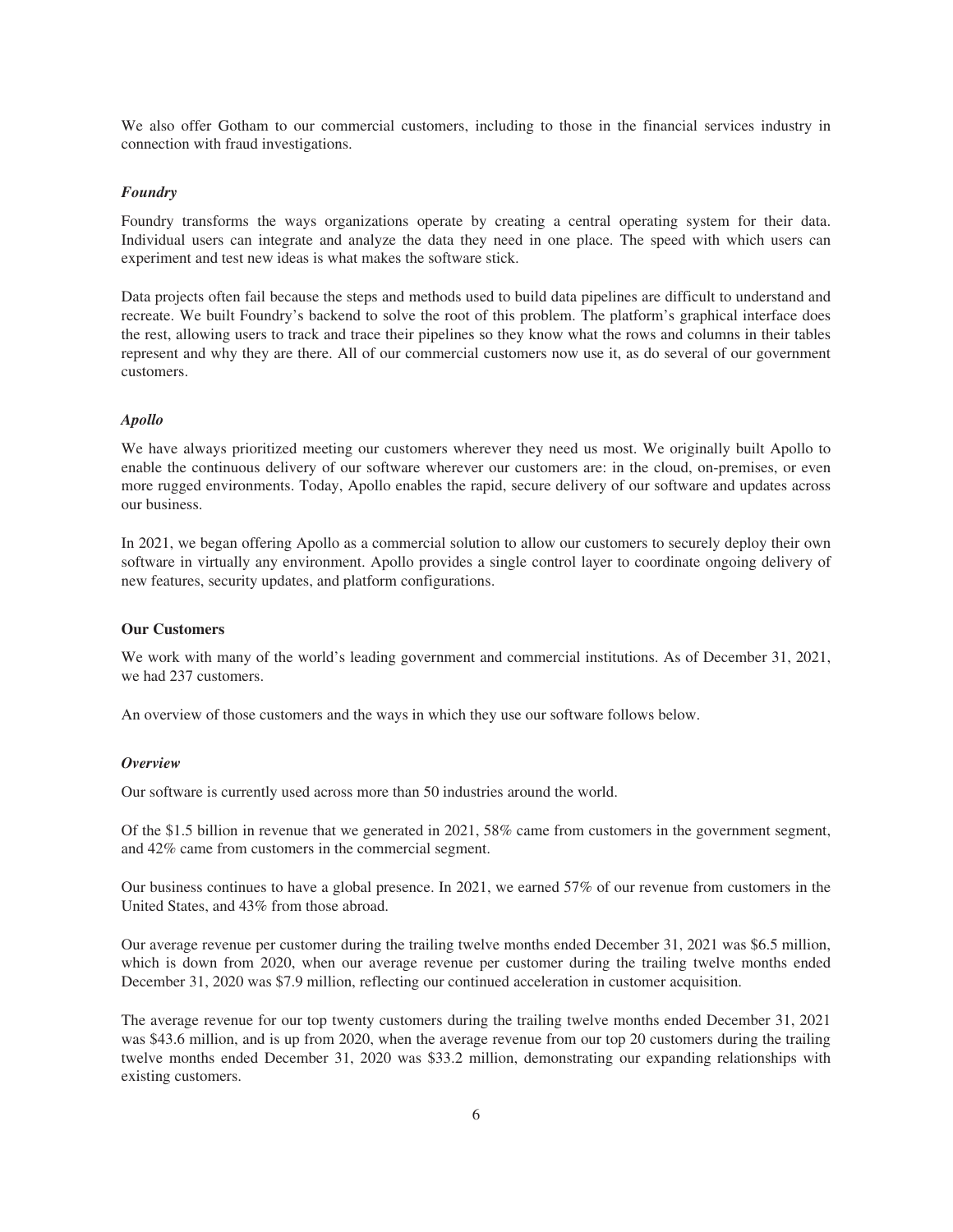We also offer Gotham to our commercial customers, including to those in the financial services industry in connection with fraud investigations.

#### *Foundry*

Foundry transforms the ways organizations operate by creating a central operating system for their data. Individual users can integrate and analyze the data they need in one place. The speed with which users can experiment and test new ideas is what makes the software stick.

Data projects often fail because the steps and methods used to build data pipelines are difficult to understand and recreate. We built Foundry's backend to solve the root of this problem. The platform's graphical interface does the rest, allowing users to track and trace their pipelines so they know what the rows and columns in their tables represent and why they are there. All of our commercial customers now use it, as do several of our government customers.

### *Apollo*

We have always prioritized meeting our customers wherever they need us most. We originally built Apollo to enable the continuous delivery of our software wherever our customers are: in the cloud, on-premises, or even more rugged environments. Today, Apollo enables the rapid, secure delivery of our software and updates across our business.

In 2021, we began offering Apollo as a commercial solution to allow our customers to securely deploy their own software in virtually any environment. Apollo provides a single control layer to coordinate ongoing delivery of new features, security updates, and platform configurations.

### **Our Customers**

We work with many of the world's leading government and commercial institutions. As of December 31, 2021, we had 237 customers.

An overview of those customers and the ways in which they use our software follows below.

#### *Overview*

Our software is currently used across more than 50 industries around the world.

Of the \$1.5 billion in revenue that we generated in 2021, 58% came from customers in the government segment, and 42% came from customers in the commercial segment.

Our business continues to have a global presence. In 2021, we earned 57% of our revenue from customers in the United States, and 43% from those abroad.

Our average revenue per customer during the trailing twelve months ended December 31, 2021 was \$6.5 million, which is down from 2020, when our average revenue per customer during the trailing twelve months ended December 31, 2020 was \$7.9 million, reflecting our continued acceleration in customer acquisition.

The average revenue for our top twenty customers during the trailing twelve months ended December 31, 2021 was \$43.6 million, and is up from 2020, when the average revenue from our top 20 customers during the trailing twelve months ended December 31, 2020 was \$33.2 million, demonstrating our expanding relationships with existing customers.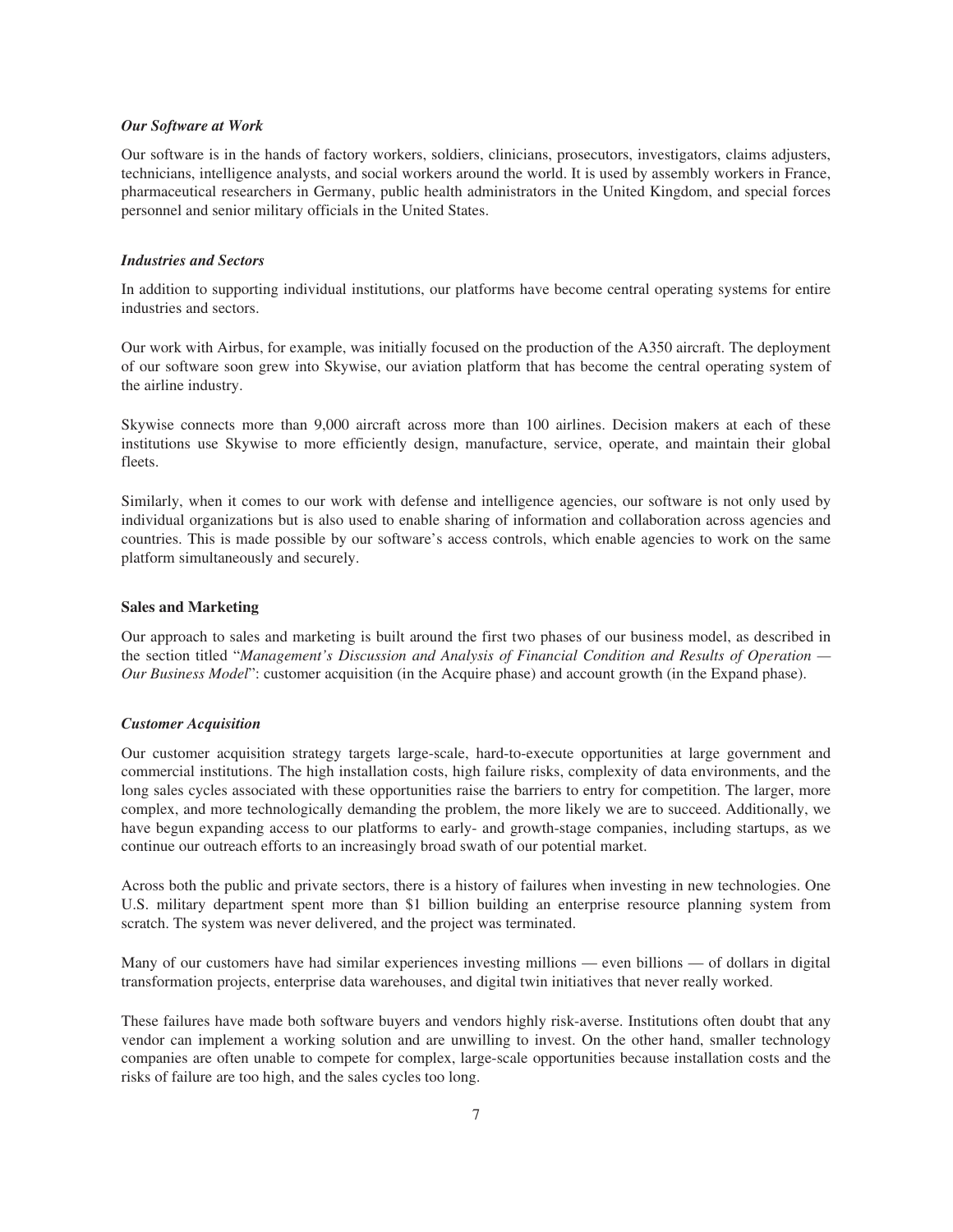### *Our Software at Work*

Our software is in the hands of factory workers, soldiers, clinicians, prosecutors, investigators, claims adjusters, technicians, intelligence analysts, and social workers around the world. It is used by assembly workers in France, pharmaceutical researchers in Germany, public health administrators in the United Kingdom, and special forces personnel and senior military officials in the United States.

#### *Industries and Sectors*

In addition to supporting individual institutions, our platforms have become central operating systems for entire industries and sectors.

Our work with Airbus, for example, was initially focused on the production of the A350 aircraft. The deployment of our software soon grew into Skywise, our aviation platform that has become the central operating system of the airline industry.

Skywise connects more than 9,000 aircraft across more than 100 airlines. Decision makers at each of these institutions use Skywise to more efficiently design, manufacture, service, operate, and maintain their global fleets.

Similarly, when it comes to our work with defense and intelligence agencies, our software is not only used by individual organizations but is also used to enable sharing of information and collaboration across agencies and countries. This is made possible by our software's access controls, which enable agencies to work on the same platform simultaneously and securely.

#### **Sales and Marketing**

Our approach to sales and marketing is built around the first two phases of our business model, as described in the section titled "*Management's Discussion and Analysis of Financial Condition and Results of Operation — Our Business Model*": customer acquisition (in the Acquire phase) and account growth (in the Expand phase).

#### *Customer Acquisition*

Our customer acquisition strategy targets large-scale, hard-to-execute opportunities at large government and commercial institutions. The high installation costs, high failure risks, complexity of data environments, and the long sales cycles associated with these opportunities raise the barriers to entry for competition. The larger, more complex, and more technologically demanding the problem, the more likely we are to succeed. Additionally, we have begun expanding access to our platforms to early- and growth-stage companies, including startups, as we continue our outreach efforts to an increasingly broad swath of our potential market.

Across both the public and private sectors, there is a history of failures when investing in new technologies. One U.S. military department spent more than \$1 billion building an enterprise resource planning system from scratch. The system was never delivered, and the project was terminated.

Many of our customers have had similar experiences investing millions — even billions — of dollars in digital transformation projects, enterprise data warehouses, and digital twin initiatives that never really worked.

These failures have made both software buyers and vendors highly risk-averse. Institutions often doubt that any vendor can implement a working solution and are unwilling to invest. On the other hand, smaller technology companies are often unable to compete for complex, large-scale opportunities because installation costs and the risks of failure are too high, and the sales cycles too long.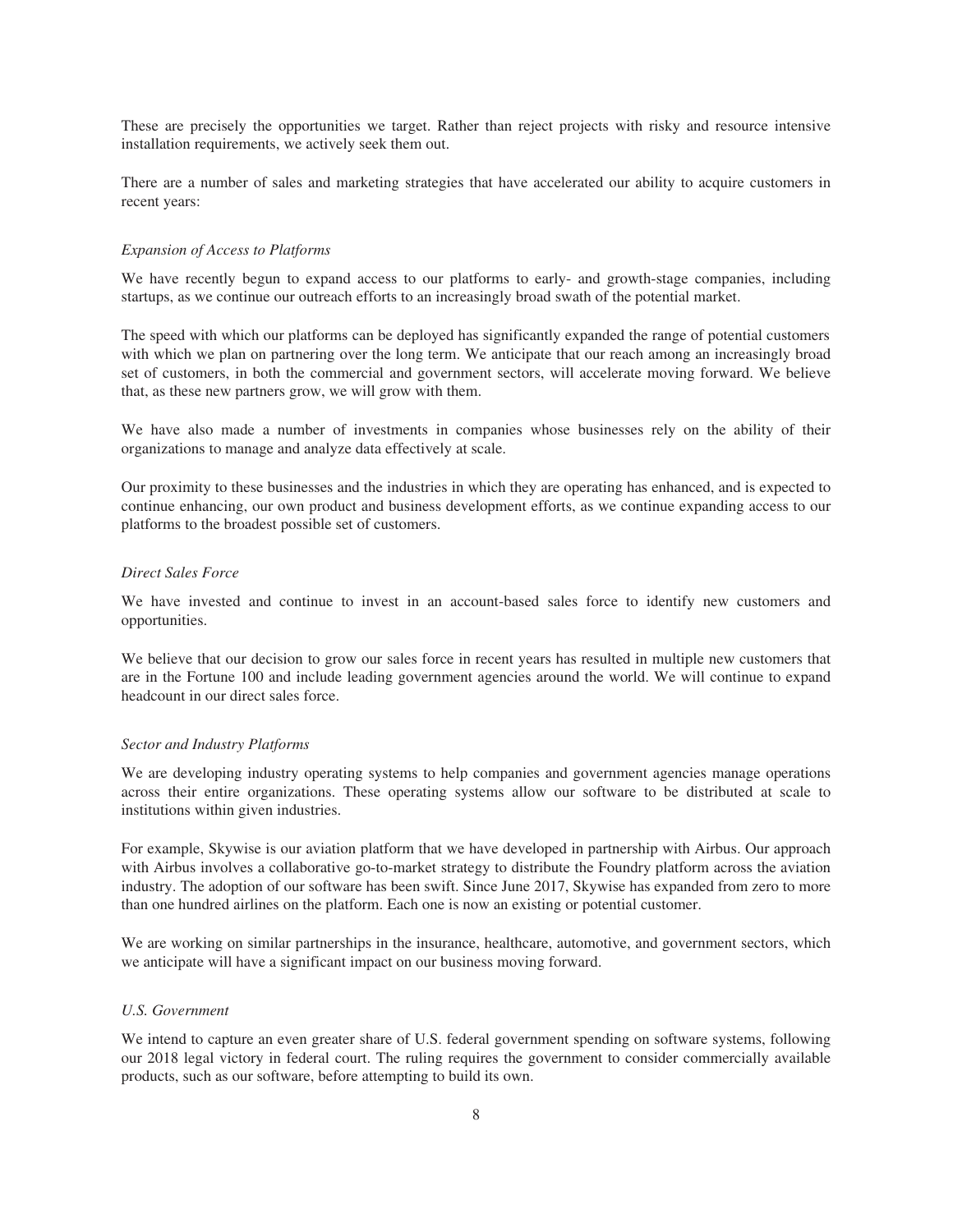These are precisely the opportunities we target. Rather than reject projects with risky and resource intensive installation requirements, we actively seek them out.

There are a number of sales and marketing strategies that have accelerated our ability to acquire customers in recent years:

### *Expansion of Access to Platforms*

We have recently begun to expand access to our platforms to early- and growth-stage companies, including startups, as we continue our outreach efforts to an increasingly broad swath of the potential market.

The speed with which our platforms can be deployed has significantly expanded the range of potential customers with which we plan on partnering over the long term. We anticipate that our reach among an increasingly broad set of customers, in both the commercial and government sectors, will accelerate moving forward. We believe that, as these new partners grow, we will grow with them.

We have also made a number of investments in companies whose businesses rely on the ability of their organizations to manage and analyze data effectively at scale.

Our proximity to these businesses and the industries in which they are operating has enhanced, and is expected to continue enhancing, our own product and business development efforts, as we continue expanding access to our platforms to the broadest possible set of customers.

### *Direct Sales Force*

We have invested and continue to invest in an account-based sales force to identify new customers and opportunities.

We believe that our decision to grow our sales force in recent years has resulted in multiple new customers that are in the Fortune 100 and include leading government agencies around the world. We will continue to expand headcount in our direct sales force.

#### *Sector and Industry Platforms*

We are developing industry operating systems to help companies and government agencies manage operations across their entire organizations. These operating systems allow our software to be distributed at scale to institutions within given industries.

For example, Skywise is our aviation platform that we have developed in partnership with Airbus. Our approach with Airbus involves a collaborative go-to-market strategy to distribute the Foundry platform across the aviation industry. The adoption of our software has been swift. Since June 2017, Skywise has expanded from zero to more than one hundred airlines on the platform. Each one is now an existing or potential customer.

We are working on similar partnerships in the insurance, healthcare, automotive, and government sectors, which we anticipate will have a significant impact on our business moving forward.

### *U.S. Government*

We intend to capture an even greater share of U.S. federal government spending on software systems, following our 2018 legal victory in federal court. The ruling requires the government to consider commercially available products, such as our software, before attempting to build its own.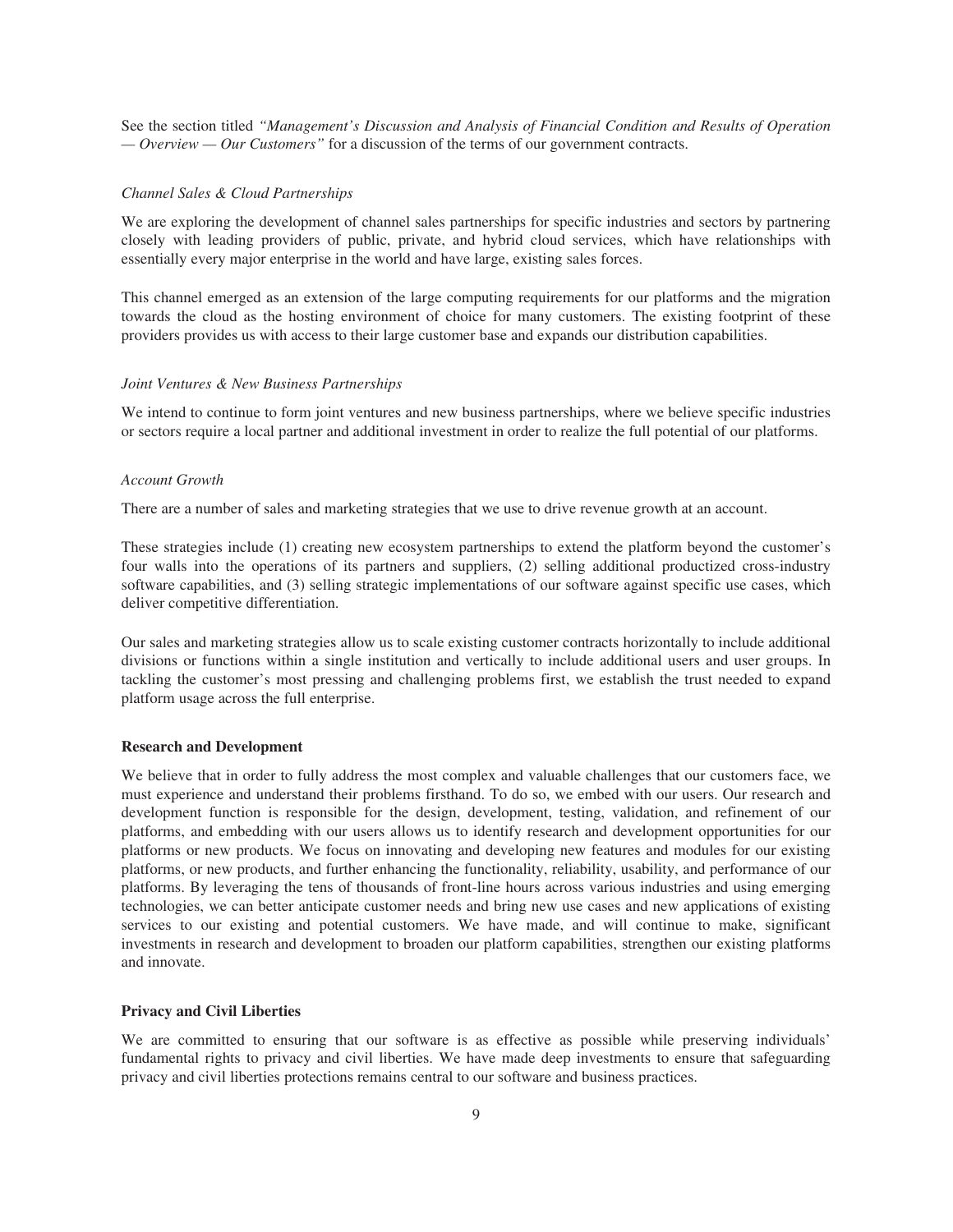See the section titled *"Management's Discussion and Analysis of Financial Condition and Results of Operation — Overview — Our Customers"* for a discussion of the terms of our government contracts.

#### *Channel Sales & Cloud Partnerships*

We are exploring the development of channel sales partnerships for specific industries and sectors by partnering closely with leading providers of public, private, and hybrid cloud services, which have relationships with essentially every major enterprise in the world and have large, existing sales forces.

This channel emerged as an extension of the large computing requirements for our platforms and the migration towards the cloud as the hosting environment of choice for many customers. The existing footprint of these providers provides us with access to their large customer base and expands our distribution capabilities.

#### *Joint Ventures & New Business Partnerships*

We intend to continue to form joint ventures and new business partnerships, where we believe specific industries or sectors require a local partner and additional investment in order to realize the full potential of our platforms.

### *Account Growth*

There are a number of sales and marketing strategies that we use to drive revenue growth at an account.

These strategies include (1) creating new ecosystem partnerships to extend the platform beyond the customer's four walls into the operations of its partners and suppliers, (2) selling additional productized cross-industry software capabilities, and (3) selling strategic implementations of our software against specific use cases, which deliver competitive differentiation.

Our sales and marketing strategies allow us to scale existing customer contracts horizontally to include additional divisions or functions within a single institution and vertically to include additional users and user groups. In tackling the customer's most pressing and challenging problems first, we establish the trust needed to expand platform usage across the full enterprise.

#### **Research and Development**

We believe that in order to fully address the most complex and valuable challenges that our customers face, we must experience and understand their problems firsthand. To do so, we embed with our users. Our research and development function is responsible for the design, development, testing, validation, and refinement of our platforms, and embedding with our users allows us to identify research and development opportunities for our platforms or new products. We focus on innovating and developing new features and modules for our existing platforms, or new products, and further enhancing the functionality, reliability, usability, and performance of our platforms. By leveraging the tens of thousands of front-line hours across various industries and using emerging technologies, we can better anticipate customer needs and bring new use cases and new applications of existing services to our existing and potential customers. We have made, and will continue to make, significant investments in research and development to broaden our platform capabilities, strengthen our existing platforms and innovate.

#### **Privacy and Civil Liberties**

We are committed to ensuring that our software is as effective as possible while preserving individuals' fundamental rights to privacy and civil liberties. We have made deep investments to ensure that safeguarding privacy and civil liberties protections remains central to our software and business practices.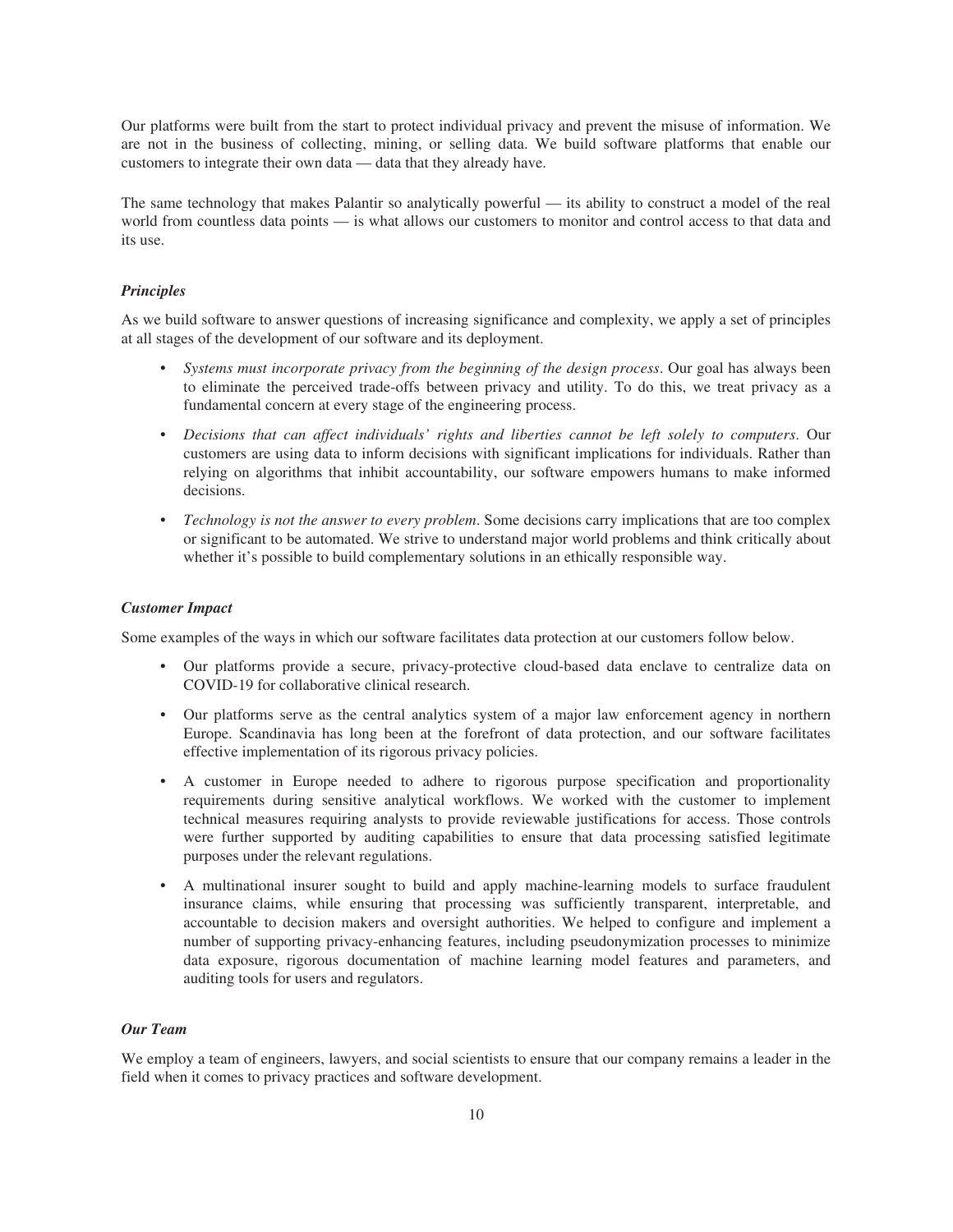Our platforms were built from the start to protect individual privacy and prevent the misuse of information. We are not in the business of collecting, mining, or selling data. We build software platforms that enable our customers to integrate their own data — data that they already have.

The same technology that makes Palantir so analytically powerful — its ability to construct a model of the real world from countless data points — is what allows our customers to monitor and control access to that data and its use.

### *Principles*

As we build software to answer questions of increasing significance and complexity, we apply a set of principles at all stages of the development of our software and its deployment.

- *Systems must incorporate privacy from the beginning of the design process*. Our goal has always been to eliminate the perceived trade-offs between privacy and utility. To do this, we treat privacy as a fundamental concern at every stage of the engineering process.
- *Decisions that can affect individuals' rights and liberties cannot be left solely to computers*. Our customers are using data to inform decisions with significant implications for individuals. Rather than relying on algorithms that inhibit accountability, our software empowers humans to make informed decisions.
- *Technology is not the answer to every problem*. Some decisions carry implications that are too complex or significant to be automated. We strive to understand major world problems and think critically about whether it's possible to build complementary solutions in an ethically responsible way.

### *Customer Impact*

Some examples of the ways in which our software facilitates data protection at our customers follow below.

- Our platforms provide a secure, privacy-protective cloud-based data enclave to centralize data on COVID-19 for collaborative clinical research.
- Our platforms serve as the central analytics system of a major law enforcement agency in northern Europe. Scandinavia has long been at the forefront of data protection, and our software facilitates effective implementation of its rigorous privacy policies.
- A customer in Europe needed to adhere to rigorous purpose specification and proportionality requirements during sensitive analytical workflows. We worked with the customer to implement technical measures requiring analysts to provide reviewable justifications for access. Those controls were further supported by auditing capabilities to ensure that data processing satisfied legitimate purposes under the relevant regulations.
- A multinational insurer sought to build and apply machine-learning models to surface fraudulent insurance claims, while ensuring that processing was sufficiently transparent, interpretable, and accountable to decision makers and oversight authorities. We helped to configure and implement a number of supporting privacy-enhancing features, including pseudonymization processes to minimize data exposure, rigorous documentation of machine learning model features and parameters, and auditing tools for users and regulators.

### *Our Team*

We employ a team of engineers, lawyers, and social scientists to ensure that our company remains a leader in the field when it comes to privacy practices and software development.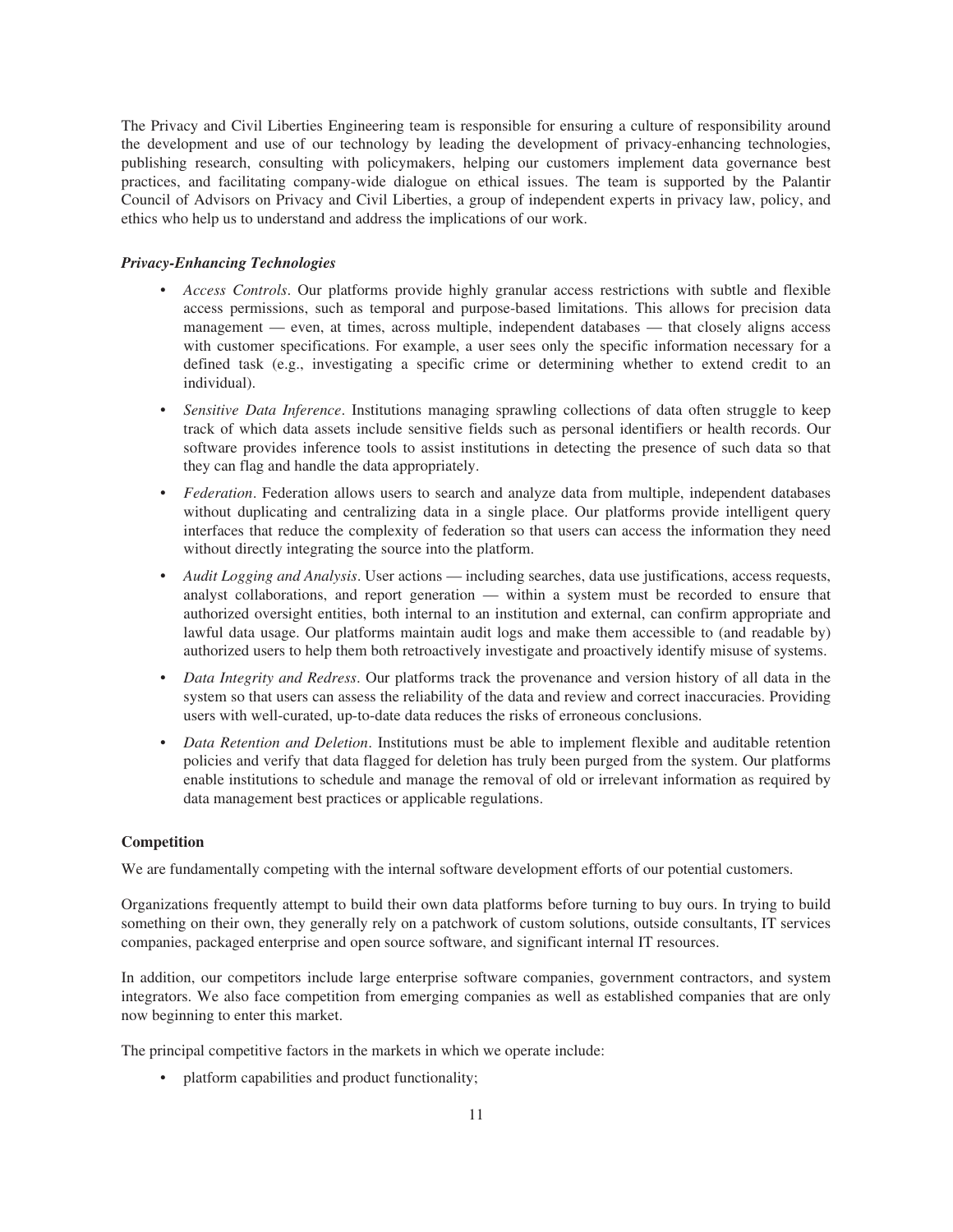The Privacy and Civil Liberties Engineering team is responsible for ensuring a culture of responsibility around the development and use of our technology by leading the development of privacy-enhancing technologies, publishing research, consulting with policymakers, helping our customers implement data governance best practices, and facilitating company-wide dialogue on ethical issues. The team is supported by the Palantir Council of Advisors on Privacy and Civil Liberties, a group of independent experts in privacy law, policy, and ethics who help us to understand and address the implications of our work.

### *Privacy-Enhancing Technologies*

- *Access Controls*. Our platforms provide highly granular access restrictions with subtle and flexible access permissions, such as temporal and purpose-based limitations. This allows for precision data management — even, at times, across multiple, independent databases — that closely aligns access with customer specifications. For example, a user sees only the specific information necessary for a defined task (e.g., investigating a specific crime or determining whether to extend credit to an individual).
- *Sensitive Data Inference*. Institutions managing sprawling collections of data often struggle to keep track of which data assets include sensitive fields such as personal identifiers or health records. Our software provides inference tools to assist institutions in detecting the presence of such data so that they can flag and handle the data appropriately.
- *Federation*. Federation allows users to search and analyze data from multiple, independent databases without duplicating and centralizing data in a single place. Our platforms provide intelligent query interfaces that reduce the complexity of federation so that users can access the information they need without directly integrating the source into the platform.
- *Audit Logging and Analysis*. User actions including searches, data use justifications, access requests, analyst collaborations, and report generation — within a system must be recorded to ensure that authorized oversight entities, both internal to an institution and external, can confirm appropriate and lawful data usage. Our platforms maintain audit logs and make them accessible to (and readable by) authorized users to help them both retroactively investigate and proactively identify misuse of systems.
- *Data Integrity and Redress*. Our platforms track the provenance and version history of all data in the system so that users can assess the reliability of the data and review and correct inaccuracies. Providing users with well-curated, up-to-date data reduces the risks of erroneous conclusions.
- *Data Retention and Deletion*. Institutions must be able to implement flexible and auditable retention policies and verify that data flagged for deletion has truly been purged from the system. Our platforms enable institutions to schedule and manage the removal of old or irrelevant information as required by data management best practices or applicable regulations.

### **Competition**

We are fundamentally competing with the internal software development efforts of our potential customers.

Organizations frequently attempt to build their own data platforms before turning to buy ours. In trying to build something on their own, they generally rely on a patchwork of custom solutions, outside consultants, IT services companies, packaged enterprise and open source software, and significant internal IT resources.

In addition, our competitors include large enterprise software companies, government contractors, and system integrators. We also face competition from emerging companies as well as established companies that are only now beginning to enter this market.

The principal competitive factors in the markets in which we operate include:

• platform capabilities and product functionality;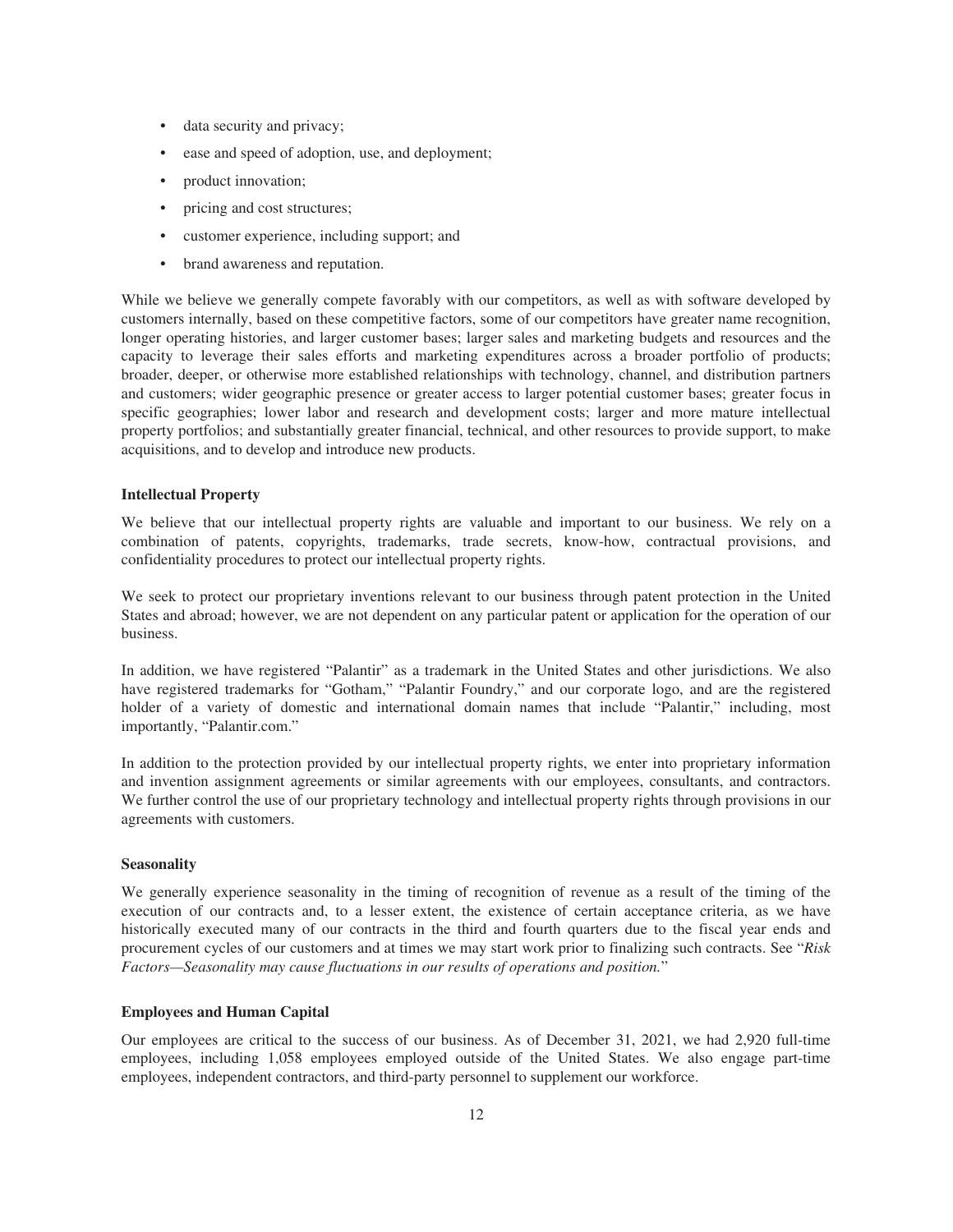- data security and privacy;
- ease and speed of adoption, use, and deployment;
- product innovation;
- pricing and cost structures;
- customer experience, including support; and
- brand awareness and reputation.

While we believe we generally compete favorably with our competitors, as well as with software developed by customers internally, based on these competitive factors, some of our competitors have greater name recognition, longer operating histories, and larger customer bases; larger sales and marketing budgets and resources and the capacity to leverage their sales efforts and marketing expenditures across a broader portfolio of products; broader, deeper, or otherwise more established relationships with technology, channel, and distribution partners and customers; wider geographic presence or greater access to larger potential customer bases; greater focus in specific geographies; lower labor and research and development costs; larger and more mature intellectual property portfolios; and substantially greater financial, technical, and other resources to provide support, to make acquisitions, and to develop and introduce new products.

### **Intellectual Property**

We believe that our intellectual property rights are valuable and important to our business. We rely on a combination of patents, copyrights, trademarks, trade secrets, know-how, contractual provisions, and confidentiality procedures to protect our intellectual property rights.

We seek to protect our proprietary inventions relevant to our business through patent protection in the United States and abroad; however, we are not dependent on any particular patent or application for the operation of our business.

In addition, we have registered "Palantir" as a trademark in the United States and other jurisdictions. We also have registered trademarks for "Gotham," "Palantir Foundry," and our corporate logo, and are the registered holder of a variety of domestic and international domain names that include "Palantir," including, most importantly, "Palantir.com."

In addition to the protection provided by our intellectual property rights, we enter into proprietary information and invention assignment agreements or similar agreements with our employees, consultants, and contractors. We further control the use of our proprietary technology and intellectual property rights through provisions in our agreements with customers.

### **Seasonality**

We generally experience seasonality in the timing of recognition of revenue as a result of the timing of the execution of our contracts and, to a lesser extent, the existence of certain acceptance criteria, as we have historically executed many of our contracts in the third and fourth quarters due to the fiscal year ends and procurement cycles of our customers and at times we may start work prior to finalizing such contracts. See "*Risk Factors—Seasonality may cause fluctuations in our results of operations and position.*"

### **Employees and Human Capital**

Our employees are critical to the success of our business. As of December 31, 2021, we had 2,920 full-time employees, including 1,058 employees employed outside of the United States. We also engage part-time employees, independent contractors, and third-party personnel to supplement our workforce.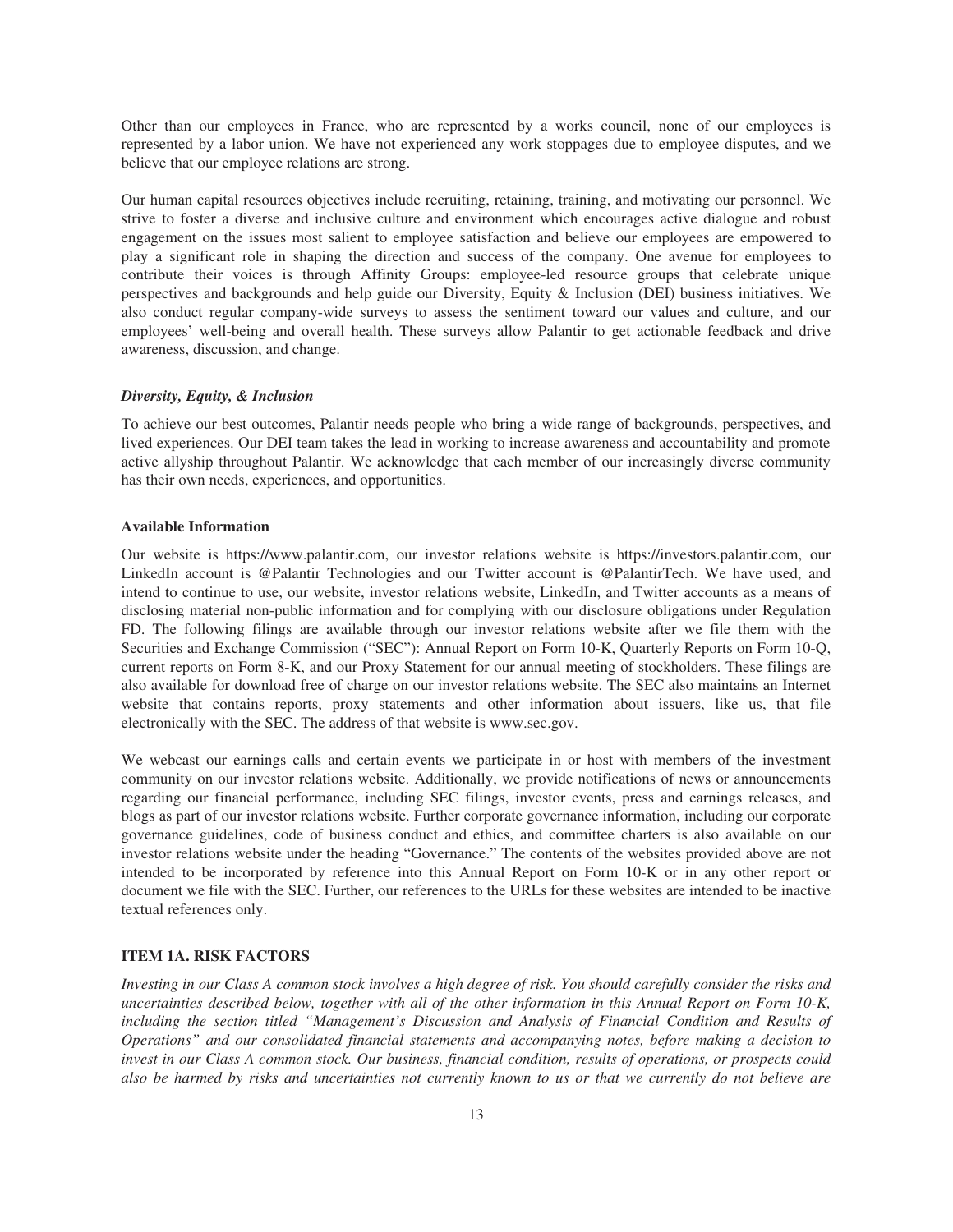Other than our employees in France, who are represented by a works council, none of our employees is represented by a labor union. We have not experienced any work stoppages due to employee disputes, and we believe that our employee relations are strong.

Our human capital resources objectives include recruiting, retaining, training, and motivating our personnel. We strive to foster a diverse and inclusive culture and environment which encourages active dialogue and robust engagement on the issues most salient to employee satisfaction and believe our employees are empowered to play a significant role in shaping the direction and success of the company. One avenue for employees to contribute their voices is through Affinity Groups: employee-led resource groups that celebrate unique perspectives and backgrounds and help guide our Diversity, Equity & Inclusion (DEI) business initiatives. We also conduct regular company-wide surveys to assess the sentiment toward our values and culture, and our employees' well-being and overall health. These surveys allow Palantir to get actionable feedback and drive awareness, discussion, and change.

#### *Diversity, Equity, & Inclusion*

To achieve our best outcomes, Palantir needs people who bring a wide range of backgrounds, perspectives, and lived experiences. Our DEI team takes the lead in working to increase awareness and accountability and promote active allyship throughout Palantir. We acknowledge that each member of our increasingly diverse community has their own needs, experiences, and opportunities.

#### **Available Information**

Our website is https://www.palantir.com, our investor relations website is https://investors.palantir.com, our LinkedIn account is @Palantir Technologies and our Twitter account is @PalantirTech. We have used, and intend to continue to use, our website, investor relations website, LinkedIn, and Twitter accounts as a means of disclosing material non-public information and for complying with our disclosure obligations under Regulation FD. The following filings are available through our investor relations website after we file them with the Securities and Exchange Commission ("SEC"): Annual Report on Form 10-K, Quarterly Reports on Form 10-Q, current reports on Form 8-K, and our Proxy Statement for our annual meeting of stockholders. These filings are also available for download free of charge on our investor relations website. The SEC also maintains an Internet website that contains reports, proxy statements and other information about issuers, like us, that file electronically with the SEC. The address of that website is www.sec.gov.

We webcast our earnings calls and certain events we participate in or host with members of the investment community on our investor relations website. Additionally, we provide notifications of news or announcements regarding our financial performance, including SEC filings, investor events, press and earnings releases, and blogs as part of our investor relations website. Further corporate governance information, including our corporate governance guidelines, code of business conduct and ethics, and committee charters is also available on our investor relations website under the heading "Governance." The contents of the websites provided above are not intended to be incorporated by reference into this Annual Report on Form 10-K or in any other report or document we file with the SEC. Further, our references to the URLs for these websites are intended to be inactive textual references only.

### <span id="page-12-0"></span>**ITEM 1A. RISK FACTORS**

*Investing in our Class A common stock involves a high degree of risk. You should carefully consider the risks and uncertainties described below, together with all of the other information in this Annual Report on Form 10-K, including the section titled "Management's Discussion and Analysis of Financial Condition and Results of Operations" and our consolidated financial statements and accompanying notes, before making a decision to invest in our Class A common stock. Our business, financial condition, results of operations, or prospects could also be harmed by risks and uncertainties not currently known to us or that we currently do not believe are*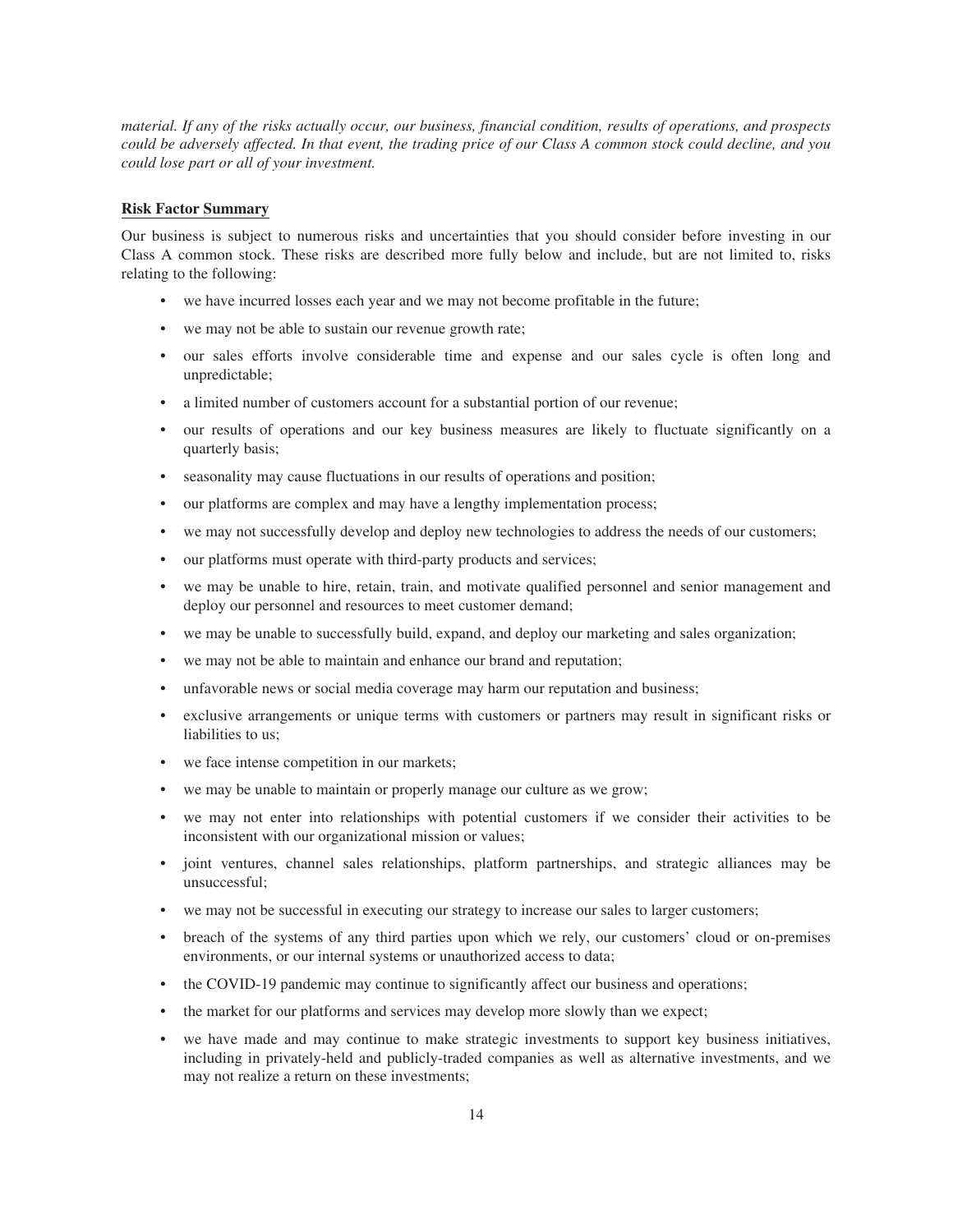*material. If any of the risks actually occur, our business, financial condition, results of operations, and prospects could be adversely affected. In that event, the trading price of our Class A common stock could decline, and you could lose part or all of your investment.*

#### **Risk Factor Summary**

Our business is subject to numerous risks and uncertainties that you should consider before investing in our Class A common stock. These risks are described more fully below and include, but are not limited to, risks relating to the following:

- we have incurred losses each year and we may not become profitable in the future;
- we may not be able to sustain our revenue growth rate;
- our sales efforts involve considerable time and expense and our sales cycle is often long and unpredictable;
- a limited number of customers account for a substantial portion of our revenue;
- our results of operations and our key business measures are likely to fluctuate significantly on a quarterly basis;
- seasonality may cause fluctuations in our results of operations and position;
- our platforms are complex and may have a lengthy implementation process;
- we may not successfully develop and deploy new technologies to address the needs of our customers;
- our platforms must operate with third-party products and services;
- we may be unable to hire, retain, train, and motivate qualified personnel and senior management and deploy our personnel and resources to meet customer demand;
- we may be unable to successfully build, expand, and deploy our marketing and sales organization;
- we may not be able to maintain and enhance our brand and reputation;
- unfavorable news or social media coverage may harm our reputation and business;
- exclusive arrangements or unique terms with customers or partners may result in significant risks or liabilities to us;
- we face intense competition in our markets;
- we may be unable to maintain or properly manage our culture as we grow;
- we may not enter into relationships with potential customers if we consider their activities to be inconsistent with our organizational mission or values;
- joint ventures, channel sales relationships, platform partnerships, and strategic alliances may be unsuccessful;
- we may not be successful in executing our strategy to increase our sales to larger customers;
- breach of the systems of any third parties upon which we rely, our customers' cloud or on-premises environments, or our internal systems or unauthorized access to data;
- the COVID-19 pandemic may continue to significantly affect our business and operations;
- the market for our platforms and services may develop more slowly than we expect;
- we have made and may continue to make strategic investments to support key business initiatives, including in privately-held and publicly-traded companies as well as alternative investments, and we may not realize a return on these investments;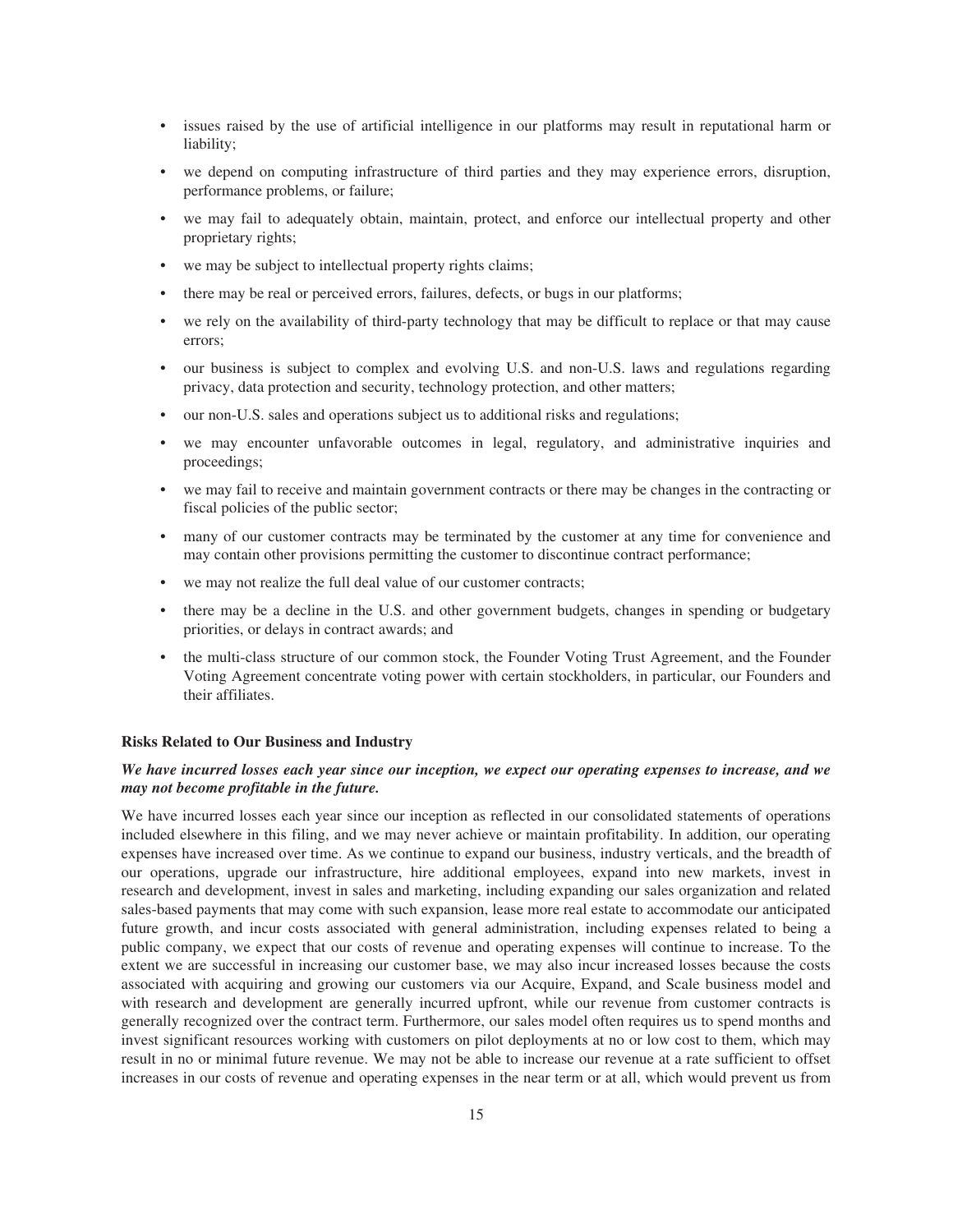- issues raised by the use of artificial intelligence in our platforms may result in reputational harm or liability;
- we depend on computing infrastructure of third parties and they may experience errors, disruption, performance problems, or failure;
- we may fail to adequately obtain, maintain, protect, and enforce our intellectual property and other proprietary rights;
- we may be subject to intellectual property rights claims;
- there may be real or perceived errors, failures, defects, or bugs in our platforms;
- we rely on the availability of third-party technology that may be difficult to replace or that may cause errors;
- our business is subject to complex and evolving U.S. and non-U.S. laws and regulations regarding privacy, data protection and security, technology protection, and other matters;
- our non-U.S. sales and operations subject us to additional risks and regulations;
- we may encounter unfavorable outcomes in legal, regulatory, and administrative inquiries and proceedings;
- we may fail to receive and maintain government contracts or there may be changes in the contracting or fiscal policies of the public sector;
- many of our customer contracts may be terminated by the customer at any time for convenience and may contain other provisions permitting the customer to discontinue contract performance;
- we may not realize the full deal value of our customer contracts;
- there may be a decline in the U.S. and other government budgets, changes in spending or budgetary priorities, or delays in contract awards; and
- the multi-class structure of our common stock, the Founder Voting Trust Agreement, and the Founder Voting Agreement concentrate voting power with certain stockholders, in particular, our Founders and their affiliates.

### **Risks Related to Our Business and Industry**

## *We have incurred losses each year since our inception, we expect our operating expenses to increase, and we may not become profitable in the future.*

We have incurred losses each year since our inception as reflected in our consolidated statements of operations included elsewhere in this filing, and we may never achieve or maintain profitability. In addition, our operating expenses have increased over time. As we continue to expand our business, industry verticals, and the breadth of our operations, upgrade our infrastructure, hire additional employees, expand into new markets, invest in research and development, invest in sales and marketing, including expanding our sales organization and related sales-based payments that may come with such expansion, lease more real estate to accommodate our anticipated future growth, and incur costs associated with general administration, including expenses related to being a public company, we expect that our costs of revenue and operating expenses will continue to increase. To the extent we are successful in increasing our customer base, we may also incur increased losses because the costs associated with acquiring and growing our customers via our Acquire, Expand, and Scale business model and with research and development are generally incurred upfront, while our revenue from customer contracts is generally recognized over the contract term. Furthermore, our sales model often requires us to spend months and invest significant resources working with customers on pilot deployments at no or low cost to them, which may result in no or minimal future revenue. We may not be able to increase our revenue at a rate sufficient to offset increases in our costs of revenue and operating expenses in the near term or at all, which would prevent us from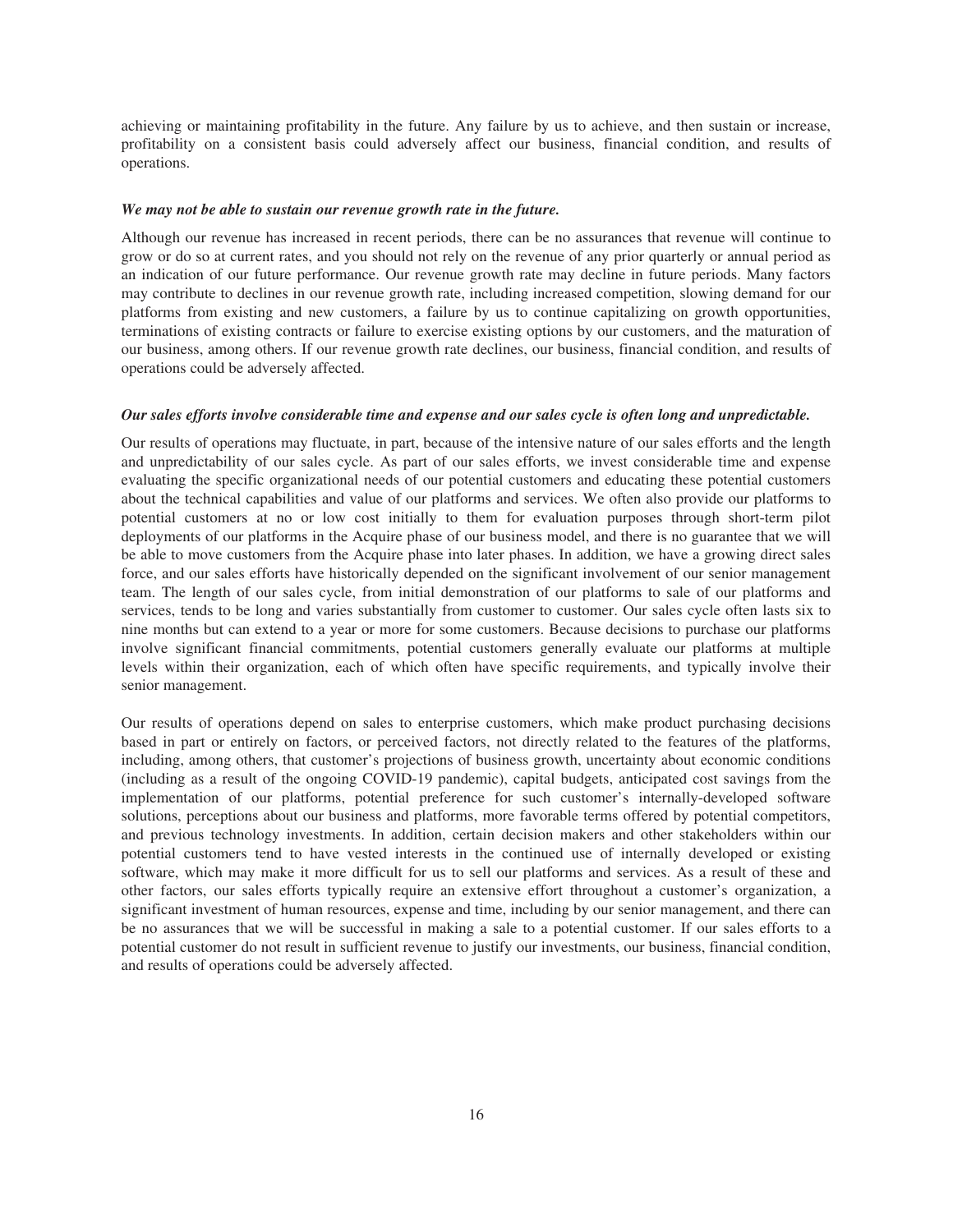achieving or maintaining profitability in the future. Any failure by us to achieve, and then sustain or increase, profitability on a consistent basis could adversely affect our business, financial condition, and results of operations.

#### *We may not be able to sustain our revenue growth rate in the future.*

Although our revenue has increased in recent periods, there can be no assurances that revenue will continue to grow or do so at current rates, and you should not rely on the revenue of any prior quarterly or annual period as an indication of our future performance. Our revenue growth rate may decline in future periods. Many factors may contribute to declines in our revenue growth rate, including increased competition, slowing demand for our platforms from existing and new customers, a failure by us to continue capitalizing on growth opportunities, terminations of existing contracts or failure to exercise existing options by our customers, and the maturation of our business, among others. If our revenue growth rate declines, our business, financial condition, and results of operations could be adversely affected.

### *Our sales efforts involve considerable time and expense and our sales cycle is often long and unpredictable.*

Our results of operations may fluctuate, in part, because of the intensive nature of our sales efforts and the length and unpredictability of our sales cycle. As part of our sales efforts, we invest considerable time and expense evaluating the specific organizational needs of our potential customers and educating these potential customers about the technical capabilities and value of our platforms and services. We often also provide our platforms to potential customers at no or low cost initially to them for evaluation purposes through short-term pilot deployments of our platforms in the Acquire phase of our business model, and there is no guarantee that we will be able to move customers from the Acquire phase into later phases. In addition, we have a growing direct sales force, and our sales efforts have historically depended on the significant involvement of our senior management team. The length of our sales cycle, from initial demonstration of our platforms to sale of our platforms and services, tends to be long and varies substantially from customer to customer. Our sales cycle often lasts six to nine months but can extend to a year or more for some customers. Because decisions to purchase our platforms involve significant financial commitments, potential customers generally evaluate our platforms at multiple levels within their organization, each of which often have specific requirements, and typically involve their senior management.

Our results of operations depend on sales to enterprise customers, which make product purchasing decisions based in part or entirely on factors, or perceived factors, not directly related to the features of the platforms, including, among others, that customer's projections of business growth, uncertainty about economic conditions (including as a result of the ongoing COVID-19 pandemic), capital budgets, anticipated cost savings from the implementation of our platforms, potential preference for such customer's internally-developed software solutions, perceptions about our business and platforms, more favorable terms offered by potential competitors, and previous technology investments. In addition, certain decision makers and other stakeholders within our potential customers tend to have vested interests in the continued use of internally developed or existing software, which may make it more difficult for us to sell our platforms and services. As a result of these and other factors, our sales efforts typically require an extensive effort throughout a customer's organization, a significant investment of human resources, expense and time, including by our senior management, and there can be no assurances that we will be successful in making a sale to a potential customer. If our sales efforts to a potential customer do not result in sufficient revenue to justify our investments, our business, financial condition, and results of operations could be adversely affected.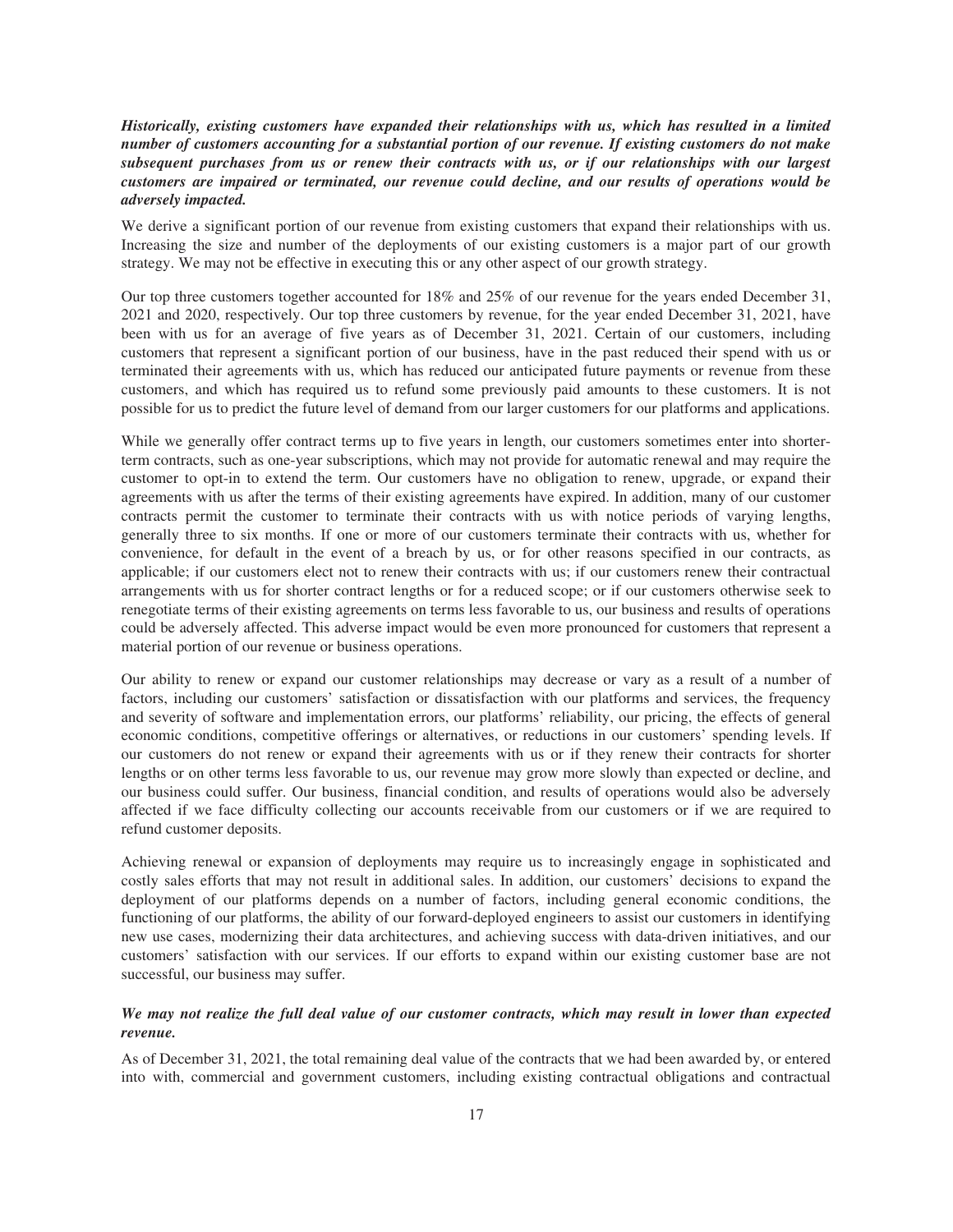## *Historically, existing customers have expanded their relationships with us, which has resulted in a limited number of customers accounting for a substantial portion of our revenue. If existing customers do not make subsequent purchases from us or renew their contracts with us, or if our relationships with our largest customers are impaired or terminated, our revenue could decline, and our results of operations would be adversely impacted.*

We derive a significant portion of our revenue from existing customers that expand their relationships with us. Increasing the size and number of the deployments of our existing customers is a major part of our growth strategy. We may not be effective in executing this or any other aspect of our growth strategy.

Our top three customers together accounted for 18% and 25% of our revenue for the years ended December 31, 2021 and 2020, respectively. Our top three customers by revenue, for the year ended December 31, 2021, have been with us for an average of five years as of December 31, 2021. Certain of our customers, including customers that represent a significant portion of our business, have in the past reduced their spend with us or terminated their agreements with us, which has reduced our anticipated future payments or revenue from these customers, and which has required us to refund some previously paid amounts to these customers. It is not possible for us to predict the future level of demand from our larger customers for our platforms and applications.

While we generally offer contract terms up to five years in length, our customers sometimes enter into shorterterm contracts, such as one-year subscriptions, which may not provide for automatic renewal and may require the customer to opt-in to extend the term. Our customers have no obligation to renew, upgrade, or expand their agreements with us after the terms of their existing agreements have expired. In addition, many of our customer contracts permit the customer to terminate their contracts with us with notice periods of varying lengths, generally three to six months. If one or more of our customers terminate their contracts with us, whether for convenience, for default in the event of a breach by us, or for other reasons specified in our contracts, as applicable; if our customers elect not to renew their contracts with us; if our customers renew their contractual arrangements with us for shorter contract lengths or for a reduced scope; or if our customers otherwise seek to renegotiate terms of their existing agreements on terms less favorable to us, our business and results of operations could be adversely affected. This adverse impact would be even more pronounced for customers that represent a material portion of our revenue or business operations.

Our ability to renew or expand our customer relationships may decrease or vary as a result of a number of factors, including our customers' satisfaction or dissatisfaction with our platforms and services, the frequency and severity of software and implementation errors, our platforms' reliability, our pricing, the effects of general economic conditions, competitive offerings or alternatives, or reductions in our customers' spending levels. If our customers do not renew or expand their agreements with us or if they renew their contracts for shorter lengths or on other terms less favorable to us, our revenue may grow more slowly than expected or decline, and our business could suffer. Our business, financial condition, and results of operations would also be adversely affected if we face difficulty collecting our accounts receivable from our customers or if we are required to refund customer deposits.

Achieving renewal or expansion of deployments may require us to increasingly engage in sophisticated and costly sales efforts that may not result in additional sales. In addition, our customers' decisions to expand the deployment of our platforms depends on a number of factors, including general economic conditions, the functioning of our platforms, the ability of our forward-deployed engineers to assist our customers in identifying new use cases, modernizing their data architectures, and achieving success with data-driven initiatives, and our customers' satisfaction with our services. If our efforts to expand within our existing customer base are not successful, our business may suffer.

## *We may not realize the full deal value of our customer contracts, which may result in lower than expected revenue.*

As of December 31, 2021, the total remaining deal value of the contracts that we had been awarded by, or entered into with, commercial and government customers, including existing contractual obligations and contractual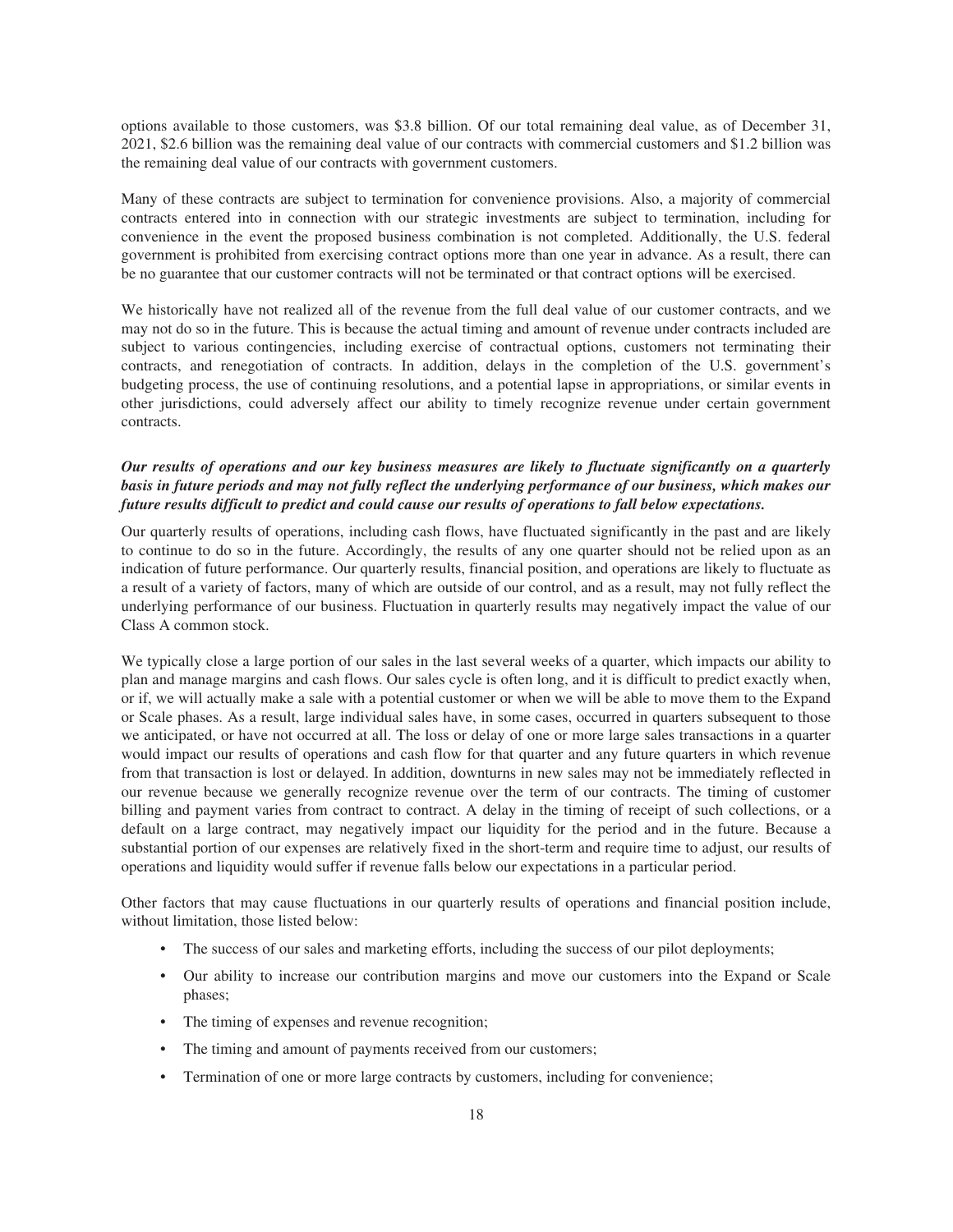options available to those customers, was \$3.8 billion. Of our total remaining deal value, as of December 31, 2021, \$2.6 billion was the remaining deal value of our contracts with commercial customers and \$1.2 billion was the remaining deal value of our contracts with government customers.

Many of these contracts are subject to termination for convenience provisions. Also, a majority of commercial contracts entered into in connection with our strategic investments are subject to termination, including for convenience in the event the proposed business combination is not completed. Additionally, the U.S. federal government is prohibited from exercising contract options more than one year in advance. As a result, there can be no guarantee that our customer contracts will not be terminated or that contract options will be exercised.

We historically have not realized all of the revenue from the full deal value of our customer contracts, and we may not do so in the future. This is because the actual timing and amount of revenue under contracts included are subject to various contingencies, including exercise of contractual options, customers not terminating their contracts, and renegotiation of contracts. In addition, delays in the completion of the U.S. government's budgeting process, the use of continuing resolutions, and a potential lapse in appropriations, or similar events in other jurisdictions, could adversely affect our ability to timely recognize revenue under certain government contracts.

## *Our results of operations and our key business measures are likely to fluctuate significantly on a quarterly basis in future periods and may not fully reflect the underlying performance of our business, which makes our future results difficult to predict and could cause our results of operations to fall below expectations.*

Our quarterly results of operations, including cash flows, have fluctuated significantly in the past and are likely to continue to do so in the future. Accordingly, the results of any one quarter should not be relied upon as an indication of future performance. Our quarterly results, financial position, and operations are likely to fluctuate as a result of a variety of factors, many of which are outside of our control, and as a result, may not fully reflect the underlying performance of our business. Fluctuation in quarterly results may negatively impact the value of our Class A common stock.

We typically close a large portion of our sales in the last several weeks of a quarter, which impacts our ability to plan and manage margins and cash flows. Our sales cycle is often long, and it is difficult to predict exactly when, or if, we will actually make a sale with a potential customer or when we will be able to move them to the Expand or Scale phases. As a result, large individual sales have, in some cases, occurred in quarters subsequent to those we anticipated, or have not occurred at all. The loss or delay of one or more large sales transactions in a quarter would impact our results of operations and cash flow for that quarter and any future quarters in which revenue from that transaction is lost or delayed. In addition, downturns in new sales may not be immediately reflected in our revenue because we generally recognize revenue over the term of our contracts. The timing of customer billing and payment varies from contract to contract. A delay in the timing of receipt of such collections, or a default on a large contract, may negatively impact our liquidity for the period and in the future. Because a substantial portion of our expenses are relatively fixed in the short-term and require time to adjust, our results of operations and liquidity would suffer if revenue falls below our expectations in a particular period.

Other factors that may cause fluctuations in our quarterly results of operations and financial position include, without limitation, those listed below:

- The success of our sales and marketing efforts, including the success of our pilot deployments;
- Our ability to increase our contribution margins and move our customers into the Expand or Scale phases;
- The timing of expenses and revenue recognition;
- The timing and amount of payments received from our customers;
- Termination of one or more large contracts by customers, including for convenience;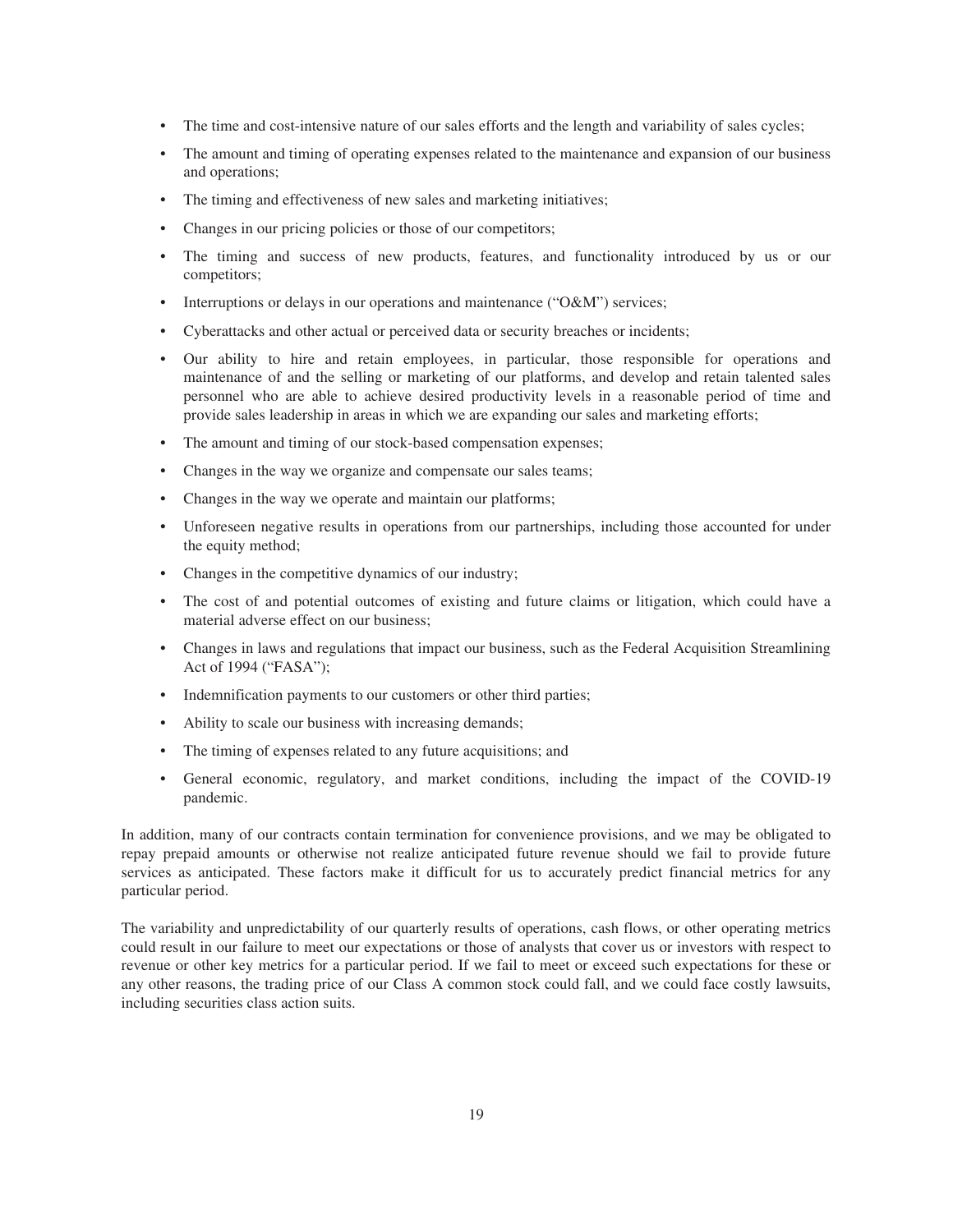- The time and cost-intensive nature of our sales efforts and the length and variability of sales cycles;
- The amount and timing of operating expenses related to the maintenance and expansion of our business and operations;
- The timing and effectiveness of new sales and marketing initiatives;
- Changes in our pricing policies or those of our competitors;
- The timing and success of new products, features, and functionality introduced by us or our competitors;
- Interruptions or delays in our operations and maintenance ("O&M") services;
- Cyberattacks and other actual or perceived data or security breaches or incidents;
- Our ability to hire and retain employees, in particular, those responsible for operations and maintenance of and the selling or marketing of our platforms, and develop and retain talented sales personnel who are able to achieve desired productivity levels in a reasonable period of time and provide sales leadership in areas in which we are expanding our sales and marketing efforts;
- The amount and timing of our stock-based compensation expenses;
- Changes in the way we organize and compensate our sales teams;
- Changes in the way we operate and maintain our platforms;
- Unforeseen negative results in operations from our partnerships, including those accounted for under the equity method;
- Changes in the competitive dynamics of our industry;
- The cost of and potential outcomes of existing and future claims or litigation, which could have a material adverse effect on our business;
- Changes in laws and regulations that impact our business, such as the Federal Acquisition Streamlining Act of 1994 ("FASA");
- Indemnification payments to our customers or other third parties;
- Ability to scale our business with increasing demands;
- The timing of expenses related to any future acquisitions; and
- General economic, regulatory, and market conditions, including the impact of the COVID-19 pandemic.

In addition, many of our contracts contain termination for convenience provisions, and we may be obligated to repay prepaid amounts or otherwise not realize anticipated future revenue should we fail to provide future services as anticipated. These factors make it difficult for us to accurately predict financial metrics for any particular period.

The variability and unpredictability of our quarterly results of operations, cash flows, or other operating metrics could result in our failure to meet our expectations or those of analysts that cover us or investors with respect to revenue or other key metrics for a particular period. If we fail to meet or exceed such expectations for these or any other reasons, the trading price of our Class A common stock could fall, and we could face costly lawsuits, including securities class action suits.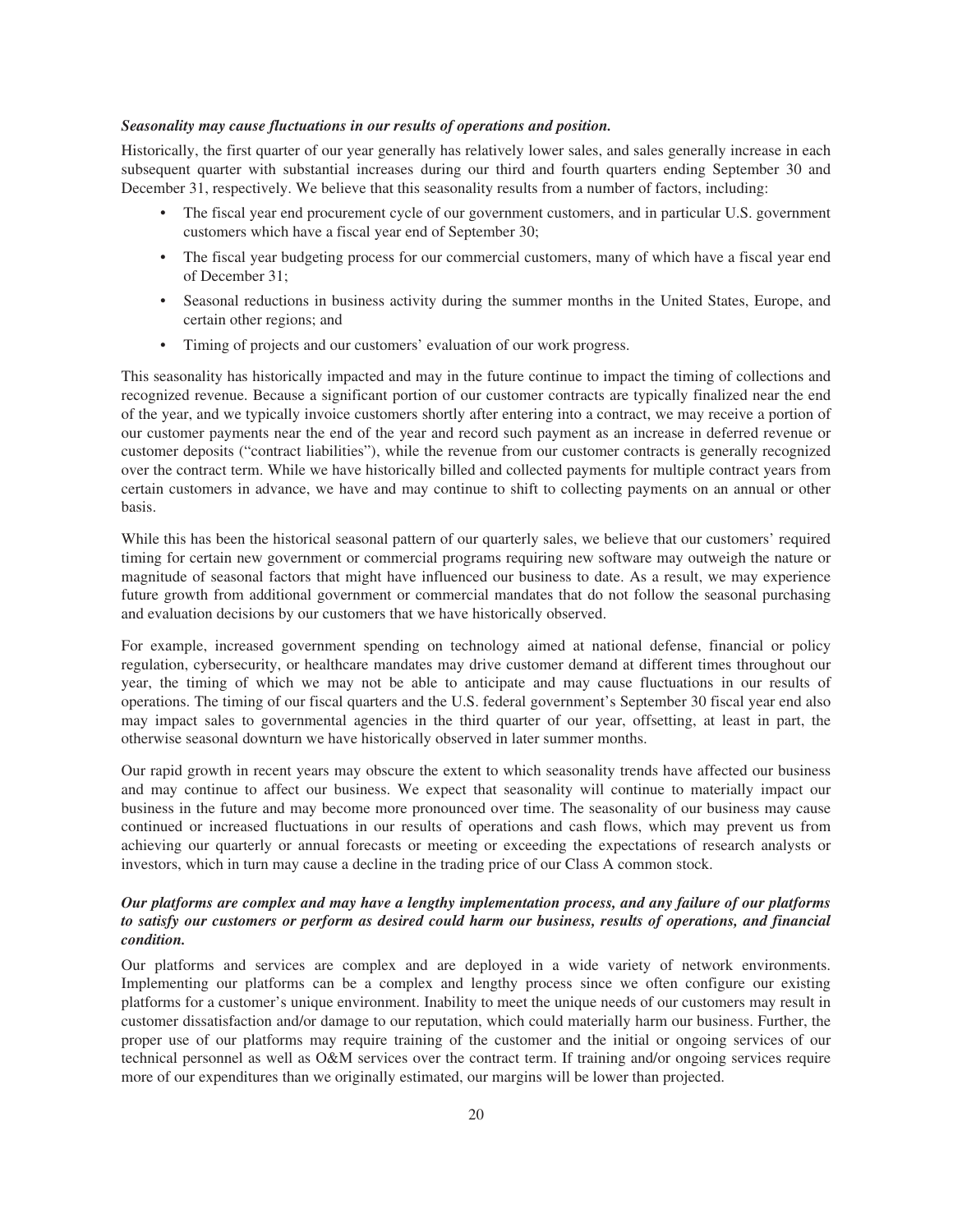### *Seasonality may cause fluctuations in our results of operations and position.*

Historically, the first quarter of our year generally has relatively lower sales, and sales generally increase in each subsequent quarter with substantial increases during our third and fourth quarters ending September 30 and December 31, respectively. We believe that this seasonality results from a number of factors, including:

- The fiscal year end procurement cycle of our government customers, and in particular U.S. government customers which have a fiscal year end of September 30;
- The fiscal year budgeting process for our commercial customers, many of which have a fiscal year end of December 31;
- Seasonal reductions in business activity during the summer months in the United States, Europe, and certain other regions; and
- Timing of projects and our customers' evaluation of our work progress.

This seasonality has historically impacted and may in the future continue to impact the timing of collections and recognized revenue. Because a significant portion of our customer contracts are typically finalized near the end of the year, and we typically invoice customers shortly after entering into a contract, we may receive a portion of our customer payments near the end of the year and record such payment as an increase in deferred revenue or customer deposits ("contract liabilities"), while the revenue from our customer contracts is generally recognized over the contract term. While we have historically billed and collected payments for multiple contract years from certain customers in advance, we have and may continue to shift to collecting payments on an annual or other basis.

While this has been the historical seasonal pattern of our quarterly sales, we believe that our customers' required timing for certain new government or commercial programs requiring new software may outweigh the nature or magnitude of seasonal factors that might have influenced our business to date. As a result, we may experience future growth from additional government or commercial mandates that do not follow the seasonal purchasing and evaluation decisions by our customers that we have historically observed.

For example, increased government spending on technology aimed at national defense, financial or policy regulation, cybersecurity, or healthcare mandates may drive customer demand at different times throughout our year, the timing of which we may not be able to anticipate and may cause fluctuations in our results of operations. The timing of our fiscal quarters and the U.S. federal government's September 30 fiscal year end also may impact sales to governmental agencies in the third quarter of our year, offsetting, at least in part, the otherwise seasonal downturn we have historically observed in later summer months.

Our rapid growth in recent years may obscure the extent to which seasonality trends have affected our business and may continue to affect our business. We expect that seasonality will continue to materially impact our business in the future and may become more pronounced over time. The seasonality of our business may cause continued or increased fluctuations in our results of operations and cash flows, which may prevent us from achieving our quarterly or annual forecasts or meeting or exceeding the expectations of research analysts or investors, which in turn may cause a decline in the trading price of our Class A common stock.

## *Our platforms are complex and may have a lengthy implementation process, and any failure of our platforms to satisfy our customers or perform as desired could harm our business, results of operations, and financial condition.*

Our platforms and services are complex and are deployed in a wide variety of network environments. Implementing our platforms can be a complex and lengthy process since we often configure our existing platforms for a customer's unique environment. Inability to meet the unique needs of our customers may result in customer dissatisfaction and/or damage to our reputation, which could materially harm our business. Further, the proper use of our platforms may require training of the customer and the initial or ongoing services of our technical personnel as well as O&M services over the contract term. If training and/or ongoing services require more of our expenditures than we originally estimated, our margins will be lower than projected.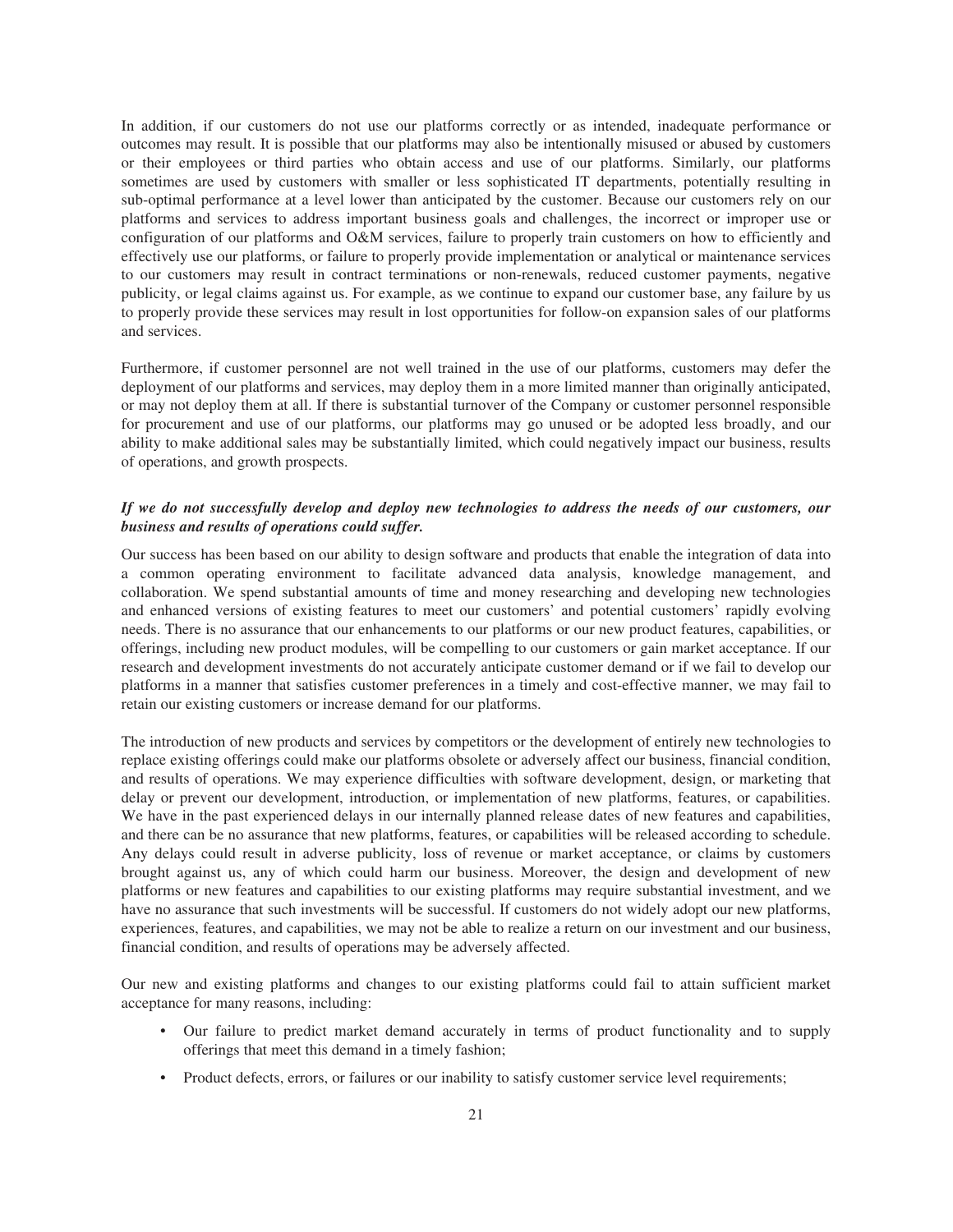In addition, if our customers do not use our platforms correctly or as intended, inadequate performance or outcomes may result. It is possible that our platforms may also be intentionally misused or abused by customers or their employees or third parties who obtain access and use of our platforms. Similarly, our platforms sometimes are used by customers with smaller or less sophisticated IT departments, potentially resulting in sub-optimal performance at a level lower than anticipated by the customer. Because our customers rely on our platforms and services to address important business goals and challenges, the incorrect or improper use or configuration of our platforms and O&M services, failure to properly train customers on how to efficiently and effectively use our platforms, or failure to properly provide implementation or analytical or maintenance services to our customers may result in contract terminations or non-renewals, reduced customer payments, negative publicity, or legal claims against us. For example, as we continue to expand our customer base, any failure by us to properly provide these services may result in lost opportunities for follow-on expansion sales of our platforms and services.

Furthermore, if customer personnel are not well trained in the use of our platforms, customers may defer the deployment of our platforms and services, may deploy them in a more limited manner than originally anticipated, or may not deploy them at all. If there is substantial turnover of the Company or customer personnel responsible for procurement and use of our platforms, our platforms may go unused or be adopted less broadly, and our ability to make additional sales may be substantially limited, which could negatively impact our business, results of operations, and growth prospects.

### *If we do not successfully develop and deploy new technologies to address the needs of our customers, our business and results of operations could suffer.*

Our success has been based on our ability to design software and products that enable the integration of data into a common operating environment to facilitate advanced data analysis, knowledge management, and collaboration. We spend substantial amounts of time and money researching and developing new technologies and enhanced versions of existing features to meet our customers' and potential customers' rapidly evolving needs. There is no assurance that our enhancements to our platforms or our new product features, capabilities, or offerings, including new product modules, will be compelling to our customers or gain market acceptance. If our research and development investments do not accurately anticipate customer demand or if we fail to develop our platforms in a manner that satisfies customer preferences in a timely and cost-effective manner, we may fail to retain our existing customers or increase demand for our platforms.

The introduction of new products and services by competitors or the development of entirely new technologies to replace existing offerings could make our platforms obsolete or adversely affect our business, financial condition, and results of operations. We may experience difficulties with software development, design, or marketing that delay or prevent our development, introduction, or implementation of new platforms, features, or capabilities. We have in the past experienced delays in our internally planned release dates of new features and capabilities, and there can be no assurance that new platforms, features, or capabilities will be released according to schedule. Any delays could result in adverse publicity, loss of revenue or market acceptance, or claims by customers brought against us, any of which could harm our business. Moreover, the design and development of new platforms or new features and capabilities to our existing platforms may require substantial investment, and we have no assurance that such investments will be successful. If customers do not widely adopt our new platforms, experiences, features, and capabilities, we may not be able to realize a return on our investment and our business, financial condition, and results of operations may be adversely affected.

Our new and existing platforms and changes to our existing platforms could fail to attain sufficient market acceptance for many reasons, including:

- Our failure to predict market demand accurately in terms of product functionality and to supply offerings that meet this demand in a timely fashion;
- Product defects, errors, or failures or our inability to satisfy customer service level requirements;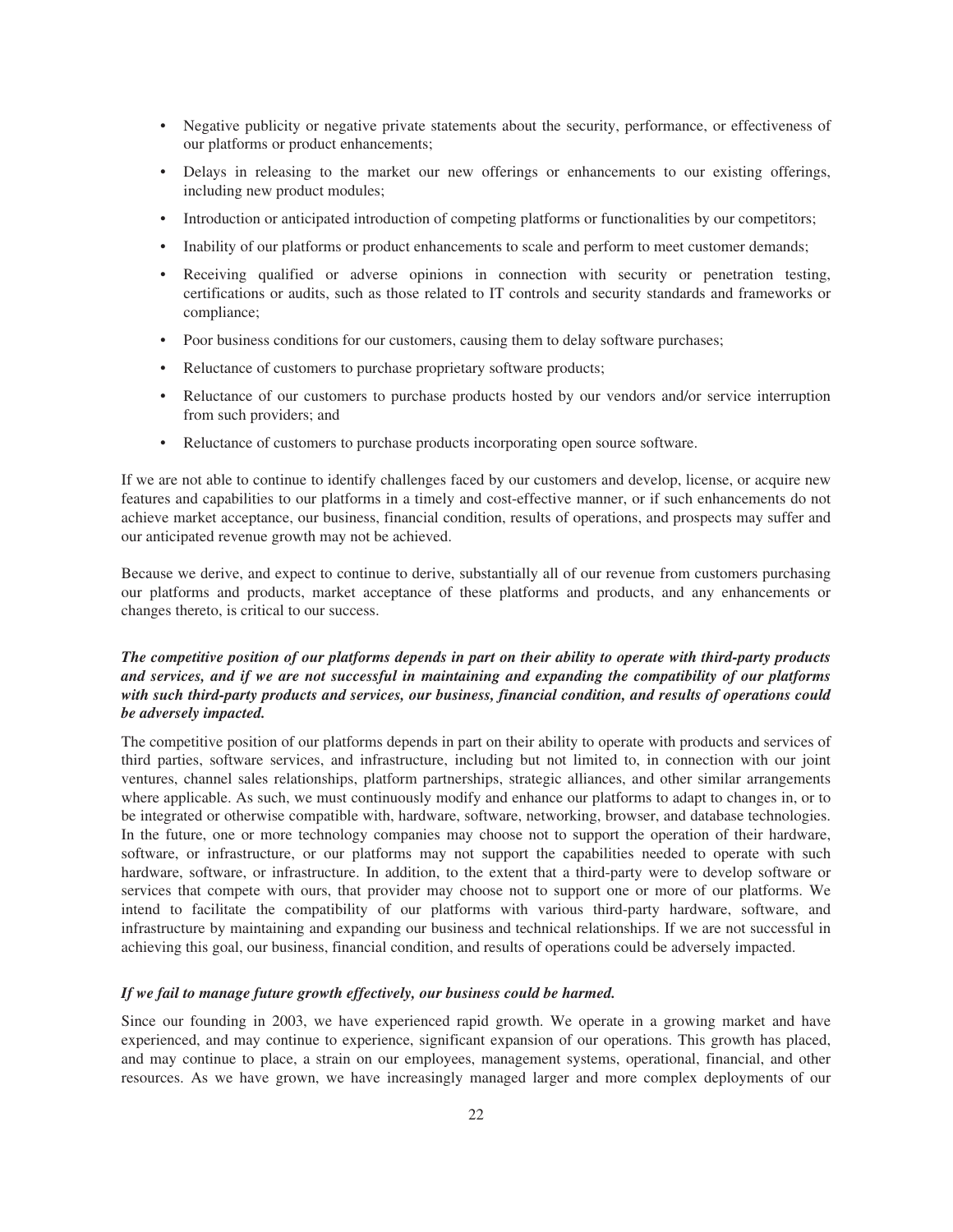- Negative publicity or negative private statements about the security, performance, or effectiveness of our platforms or product enhancements;
- Delays in releasing to the market our new offerings or enhancements to our existing offerings, including new product modules;
- Introduction or anticipated introduction of competing platforms or functionalities by our competitors;
- Inability of our platforms or product enhancements to scale and perform to meet customer demands;
- Receiving qualified or adverse opinions in connection with security or penetration testing, certifications or audits, such as those related to IT controls and security standards and frameworks or compliance;
- Poor business conditions for our customers, causing them to delay software purchases;
- Reluctance of customers to purchase proprietary software products;
- Reluctance of our customers to purchase products hosted by our vendors and/or service interruption from such providers; and
- Reluctance of customers to purchase products incorporating open source software.

If we are not able to continue to identify challenges faced by our customers and develop, license, or acquire new features and capabilities to our platforms in a timely and cost-effective manner, or if such enhancements do not achieve market acceptance, our business, financial condition, results of operations, and prospects may suffer and our anticipated revenue growth may not be achieved.

Because we derive, and expect to continue to derive, substantially all of our revenue from customers purchasing our platforms and products, market acceptance of these platforms and products, and any enhancements or changes thereto, is critical to our success.

## *The competitive position of our platforms depends in part on their ability to operate with third-party products and services, and if we are not successful in maintaining and expanding the compatibility of our platforms with such third-party products and services, our business, financial condition, and results of operations could be adversely impacted.*

The competitive position of our platforms depends in part on their ability to operate with products and services of third parties, software services, and infrastructure, including but not limited to, in connection with our joint ventures, channel sales relationships, platform partnerships, strategic alliances, and other similar arrangements where applicable. As such, we must continuously modify and enhance our platforms to adapt to changes in, or to be integrated or otherwise compatible with, hardware, software, networking, browser, and database technologies. In the future, one or more technology companies may choose not to support the operation of their hardware, software, or infrastructure, or our platforms may not support the capabilities needed to operate with such hardware, software, or infrastructure. In addition, to the extent that a third-party were to develop software or services that compete with ours, that provider may choose not to support one or more of our platforms. We intend to facilitate the compatibility of our platforms with various third-party hardware, software, and infrastructure by maintaining and expanding our business and technical relationships. If we are not successful in achieving this goal, our business, financial condition, and results of operations could be adversely impacted.

### *If we fail to manage future growth effectively, our business could be harmed.*

Since our founding in 2003, we have experienced rapid growth. We operate in a growing market and have experienced, and may continue to experience, significant expansion of our operations. This growth has placed, and may continue to place, a strain on our employees, management systems, operational, financial, and other resources. As we have grown, we have increasingly managed larger and more complex deployments of our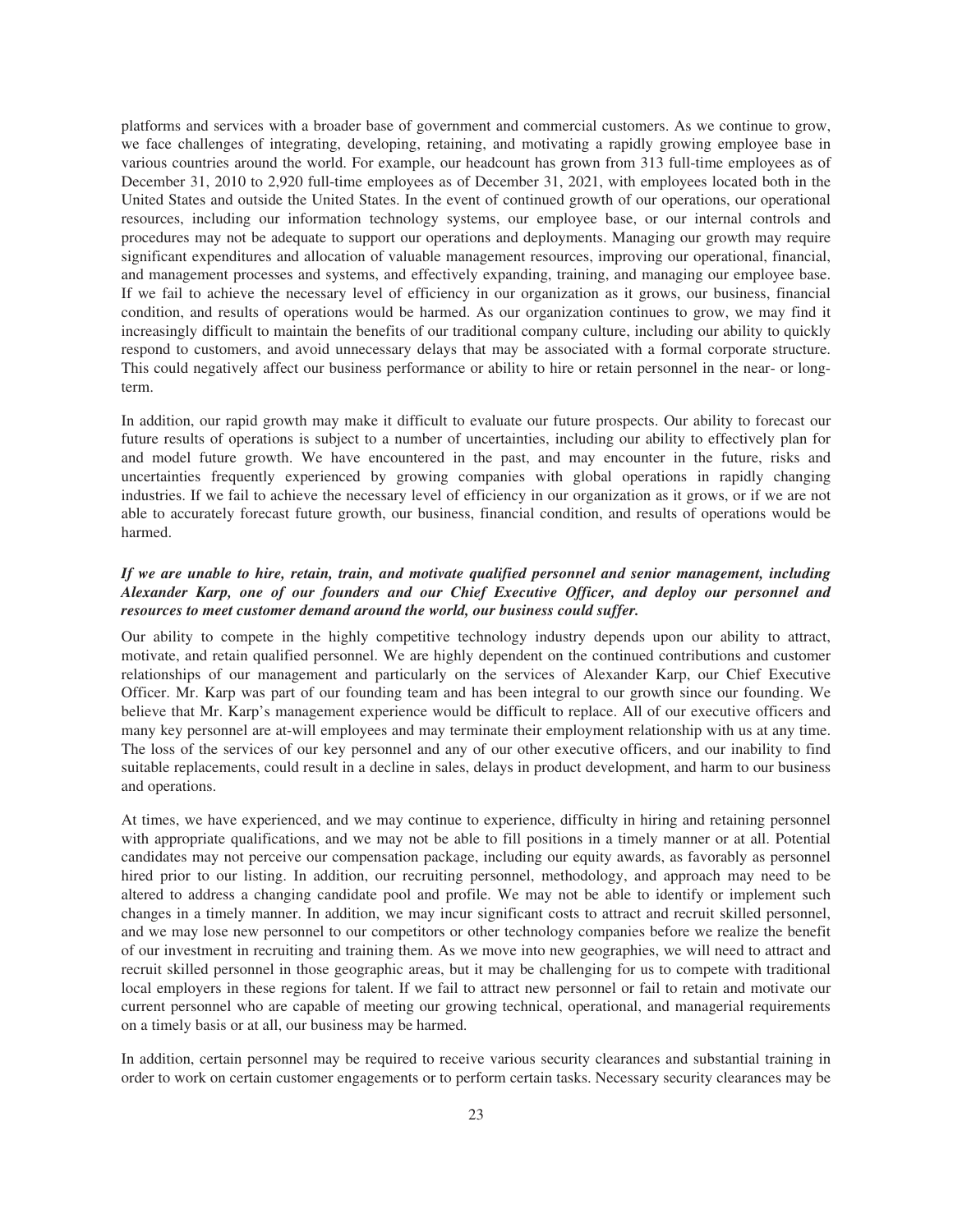platforms and services with a broader base of government and commercial customers. As we continue to grow, we face challenges of integrating, developing, retaining, and motivating a rapidly growing employee base in various countries around the world. For example, our headcount has grown from 313 full-time employees as of December 31, 2010 to 2,920 full-time employees as of December 31, 2021, with employees located both in the United States and outside the United States. In the event of continued growth of our operations, our operational resources, including our information technology systems, our employee base, or our internal controls and procedures may not be adequate to support our operations and deployments. Managing our growth may require significant expenditures and allocation of valuable management resources, improving our operational, financial, and management processes and systems, and effectively expanding, training, and managing our employee base. If we fail to achieve the necessary level of efficiency in our organization as it grows, our business, financial condition, and results of operations would be harmed. As our organization continues to grow, we may find it increasingly difficult to maintain the benefits of our traditional company culture, including our ability to quickly respond to customers, and avoid unnecessary delays that may be associated with a formal corporate structure. This could negatively affect our business performance or ability to hire or retain personnel in the near- or longterm.

In addition, our rapid growth may make it difficult to evaluate our future prospects. Our ability to forecast our future results of operations is subject to a number of uncertainties, including our ability to effectively plan for and model future growth. We have encountered in the past, and may encounter in the future, risks and uncertainties frequently experienced by growing companies with global operations in rapidly changing industries. If we fail to achieve the necessary level of efficiency in our organization as it grows, or if we are not able to accurately forecast future growth, our business, financial condition, and results of operations would be harmed.

## *If we are unable to hire, retain, train, and motivate qualified personnel and senior management, including Alexander Karp, one of our founders and our Chief Executive Officer, and deploy our personnel and resources to meet customer demand around the world, our business could suffer.*

Our ability to compete in the highly competitive technology industry depends upon our ability to attract, motivate, and retain qualified personnel. We are highly dependent on the continued contributions and customer relationships of our management and particularly on the services of Alexander Karp, our Chief Executive Officer. Mr. Karp was part of our founding team and has been integral to our growth since our founding. We believe that Mr. Karp's management experience would be difficult to replace. All of our executive officers and many key personnel are at-will employees and may terminate their employment relationship with us at any time. The loss of the services of our key personnel and any of our other executive officers, and our inability to find suitable replacements, could result in a decline in sales, delays in product development, and harm to our business and operations.

At times, we have experienced, and we may continue to experience, difficulty in hiring and retaining personnel with appropriate qualifications, and we may not be able to fill positions in a timely manner or at all. Potential candidates may not perceive our compensation package, including our equity awards, as favorably as personnel hired prior to our listing. In addition, our recruiting personnel, methodology, and approach may need to be altered to address a changing candidate pool and profile. We may not be able to identify or implement such changes in a timely manner. In addition, we may incur significant costs to attract and recruit skilled personnel, and we may lose new personnel to our competitors or other technology companies before we realize the benefit of our investment in recruiting and training them. As we move into new geographies, we will need to attract and recruit skilled personnel in those geographic areas, but it may be challenging for us to compete with traditional local employers in these regions for talent. If we fail to attract new personnel or fail to retain and motivate our current personnel who are capable of meeting our growing technical, operational, and managerial requirements on a timely basis or at all, our business may be harmed.

In addition, certain personnel may be required to receive various security clearances and substantial training in order to work on certain customer engagements or to perform certain tasks. Necessary security clearances may be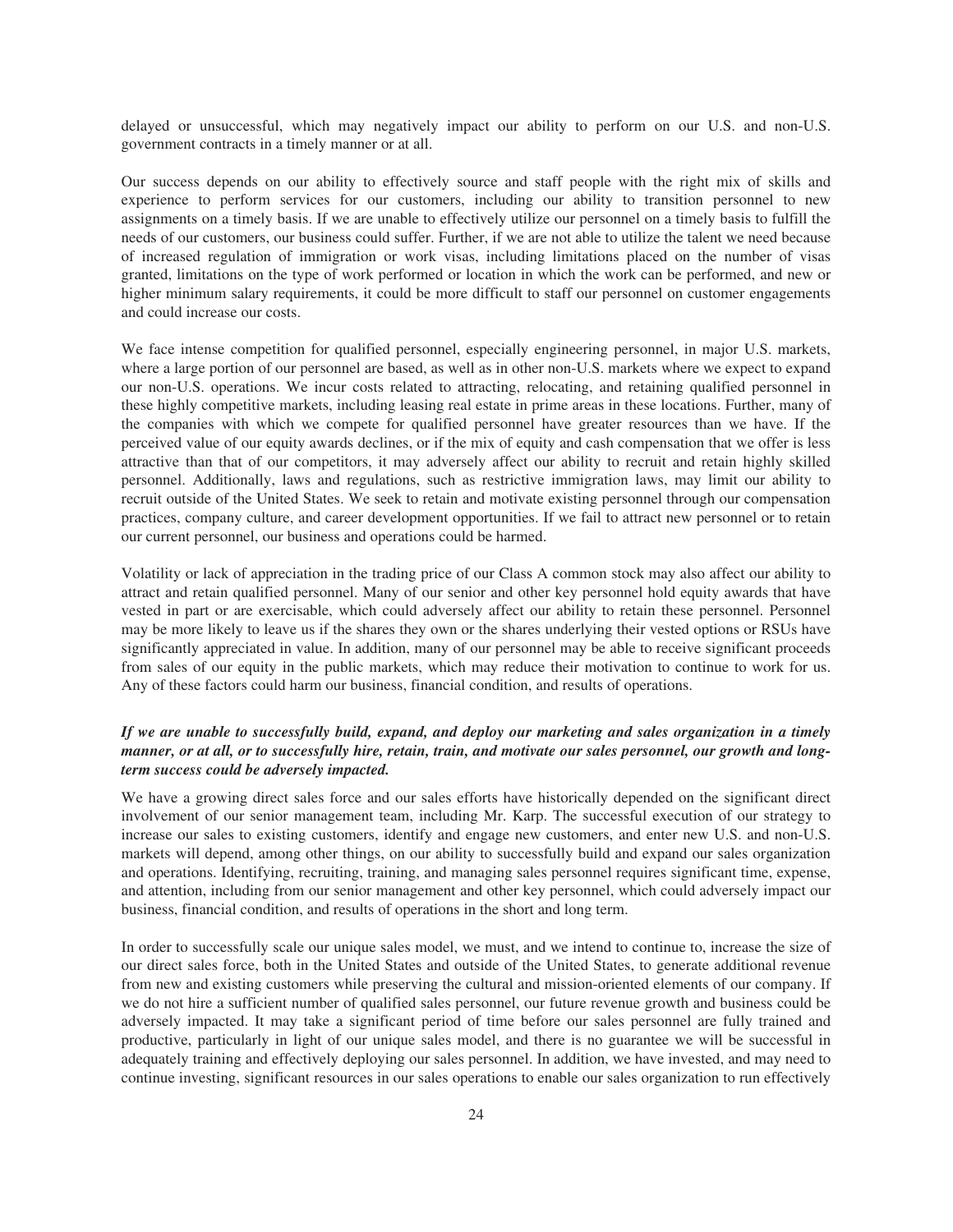delayed or unsuccessful, which may negatively impact our ability to perform on our U.S. and non-U.S. government contracts in a timely manner or at all.

Our success depends on our ability to effectively source and staff people with the right mix of skills and experience to perform services for our customers, including our ability to transition personnel to new assignments on a timely basis. If we are unable to effectively utilize our personnel on a timely basis to fulfill the needs of our customers, our business could suffer. Further, if we are not able to utilize the talent we need because of increased regulation of immigration or work visas, including limitations placed on the number of visas granted, limitations on the type of work performed or location in which the work can be performed, and new or higher minimum salary requirements, it could be more difficult to staff our personnel on customer engagements and could increase our costs.

We face intense competition for qualified personnel, especially engineering personnel, in major U.S. markets, where a large portion of our personnel are based, as well as in other non-U.S. markets where we expect to expand our non-U.S. operations. We incur costs related to attracting, relocating, and retaining qualified personnel in these highly competitive markets, including leasing real estate in prime areas in these locations. Further, many of the companies with which we compete for qualified personnel have greater resources than we have. If the perceived value of our equity awards declines, or if the mix of equity and cash compensation that we offer is less attractive than that of our competitors, it may adversely affect our ability to recruit and retain highly skilled personnel. Additionally, laws and regulations, such as restrictive immigration laws, may limit our ability to recruit outside of the United States. We seek to retain and motivate existing personnel through our compensation practices, company culture, and career development opportunities. If we fail to attract new personnel or to retain our current personnel, our business and operations could be harmed.

Volatility or lack of appreciation in the trading price of our Class A common stock may also affect our ability to attract and retain qualified personnel. Many of our senior and other key personnel hold equity awards that have vested in part or are exercisable, which could adversely affect our ability to retain these personnel. Personnel may be more likely to leave us if the shares they own or the shares underlying their vested options or RSUs have significantly appreciated in value. In addition, many of our personnel may be able to receive significant proceeds from sales of our equity in the public markets, which may reduce their motivation to continue to work for us. Any of these factors could harm our business, financial condition, and results of operations.

## *If we are unable to successfully build, expand, and deploy our marketing and sales organization in a timely manner, or at all, or to successfully hire, retain, train, and motivate our sales personnel, our growth and longterm success could be adversely impacted.*

We have a growing direct sales force and our sales efforts have historically depended on the significant direct involvement of our senior management team, including Mr. Karp. The successful execution of our strategy to increase our sales to existing customers, identify and engage new customers, and enter new U.S. and non-U.S. markets will depend, among other things, on our ability to successfully build and expand our sales organization and operations. Identifying, recruiting, training, and managing sales personnel requires significant time, expense, and attention, including from our senior management and other key personnel, which could adversely impact our business, financial condition, and results of operations in the short and long term.

In order to successfully scale our unique sales model, we must, and we intend to continue to, increase the size of our direct sales force, both in the United States and outside of the United States, to generate additional revenue from new and existing customers while preserving the cultural and mission-oriented elements of our company. If we do not hire a sufficient number of qualified sales personnel, our future revenue growth and business could be adversely impacted. It may take a significant period of time before our sales personnel are fully trained and productive, particularly in light of our unique sales model, and there is no guarantee we will be successful in adequately training and effectively deploying our sales personnel. In addition, we have invested, and may need to continue investing, significant resources in our sales operations to enable our sales organization to run effectively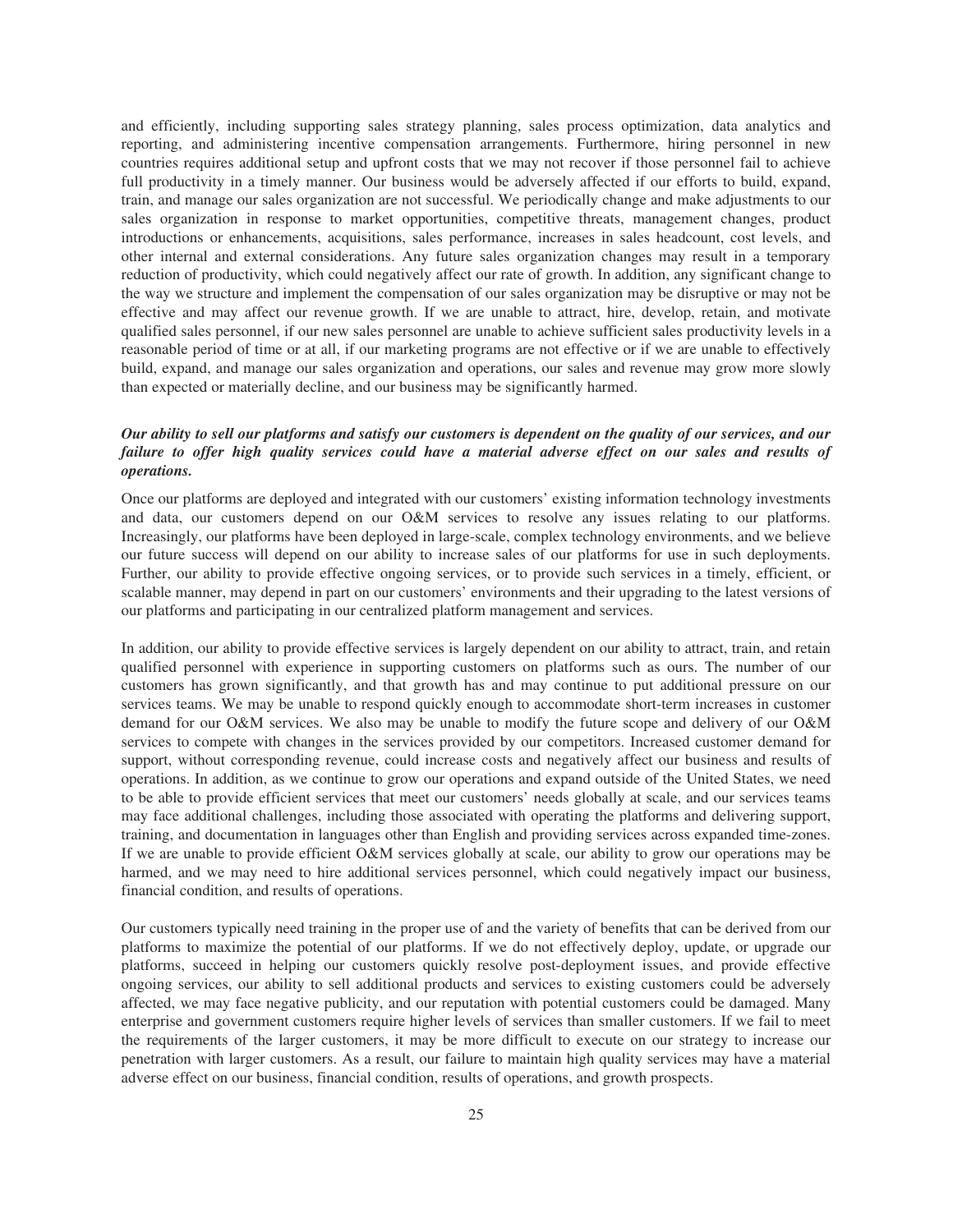and efficiently, including supporting sales strategy planning, sales process optimization, data analytics and reporting, and administering incentive compensation arrangements. Furthermore, hiring personnel in new countries requires additional setup and upfront costs that we may not recover if those personnel fail to achieve full productivity in a timely manner. Our business would be adversely affected if our efforts to build, expand, train, and manage our sales organization are not successful. We periodically change and make adjustments to our sales organization in response to market opportunities, competitive threats, management changes, product introductions or enhancements, acquisitions, sales performance, increases in sales headcount, cost levels, and other internal and external considerations. Any future sales organization changes may result in a temporary reduction of productivity, which could negatively affect our rate of growth. In addition, any significant change to the way we structure and implement the compensation of our sales organization may be disruptive or may not be effective and may affect our revenue growth. If we are unable to attract, hire, develop, retain, and motivate qualified sales personnel, if our new sales personnel are unable to achieve sufficient sales productivity levels in a reasonable period of time or at all, if our marketing programs are not effective or if we are unable to effectively build, expand, and manage our sales organization and operations, our sales and revenue may grow more slowly than expected or materially decline, and our business may be significantly harmed.

## *Our ability to sell our platforms and satisfy our customers is dependent on the quality of our services, and our failure to offer high quality services could have a material adverse effect on our sales and results of operations.*

Once our platforms are deployed and integrated with our customers' existing information technology investments and data, our customers depend on our O&M services to resolve any issues relating to our platforms. Increasingly, our platforms have been deployed in large-scale, complex technology environments, and we believe our future success will depend on our ability to increase sales of our platforms for use in such deployments. Further, our ability to provide effective ongoing services, or to provide such services in a timely, efficient, or scalable manner, may depend in part on our customers' environments and their upgrading to the latest versions of our platforms and participating in our centralized platform management and services.

In addition, our ability to provide effective services is largely dependent on our ability to attract, train, and retain qualified personnel with experience in supporting customers on platforms such as ours. The number of our customers has grown significantly, and that growth has and may continue to put additional pressure on our services teams. We may be unable to respond quickly enough to accommodate short-term increases in customer demand for our O&M services. We also may be unable to modify the future scope and delivery of our O&M services to compete with changes in the services provided by our competitors. Increased customer demand for support, without corresponding revenue, could increase costs and negatively affect our business and results of operations. In addition, as we continue to grow our operations and expand outside of the United States, we need to be able to provide efficient services that meet our customers' needs globally at scale, and our services teams may face additional challenges, including those associated with operating the platforms and delivering support, training, and documentation in languages other than English and providing services across expanded time-zones. If we are unable to provide efficient O&M services globally at scale, our ability to grow our operations may be harmed, and we may need to hire additional services personnel, which could negatively impact our business, financial condition, and results of operations.

Our customers typically need training in the proper use of and the variety of benefits that can be derived from our platforms to maximize the potential of our platforms. If we do not effectively deploy, update, or upgrade our platforms, succeed in helping our customers quickly resolve post-deployment issues, and provide effective ongoing services, our ability to sell additional products and services to existing customers could be adversely affected, we may face negative publicity, and our reputation with potential customers could be damaged. Many enterprise and government customers require higher levels of services than smaller customers. If we fail to meet the requirements of the larger customers, it may be more difficult to execute on our strategy to increase our penetration with larger customers. As a result, our failure to maintain high quality services may have a material adverse effect on our business, financial condition, results of operations, and growth prospects.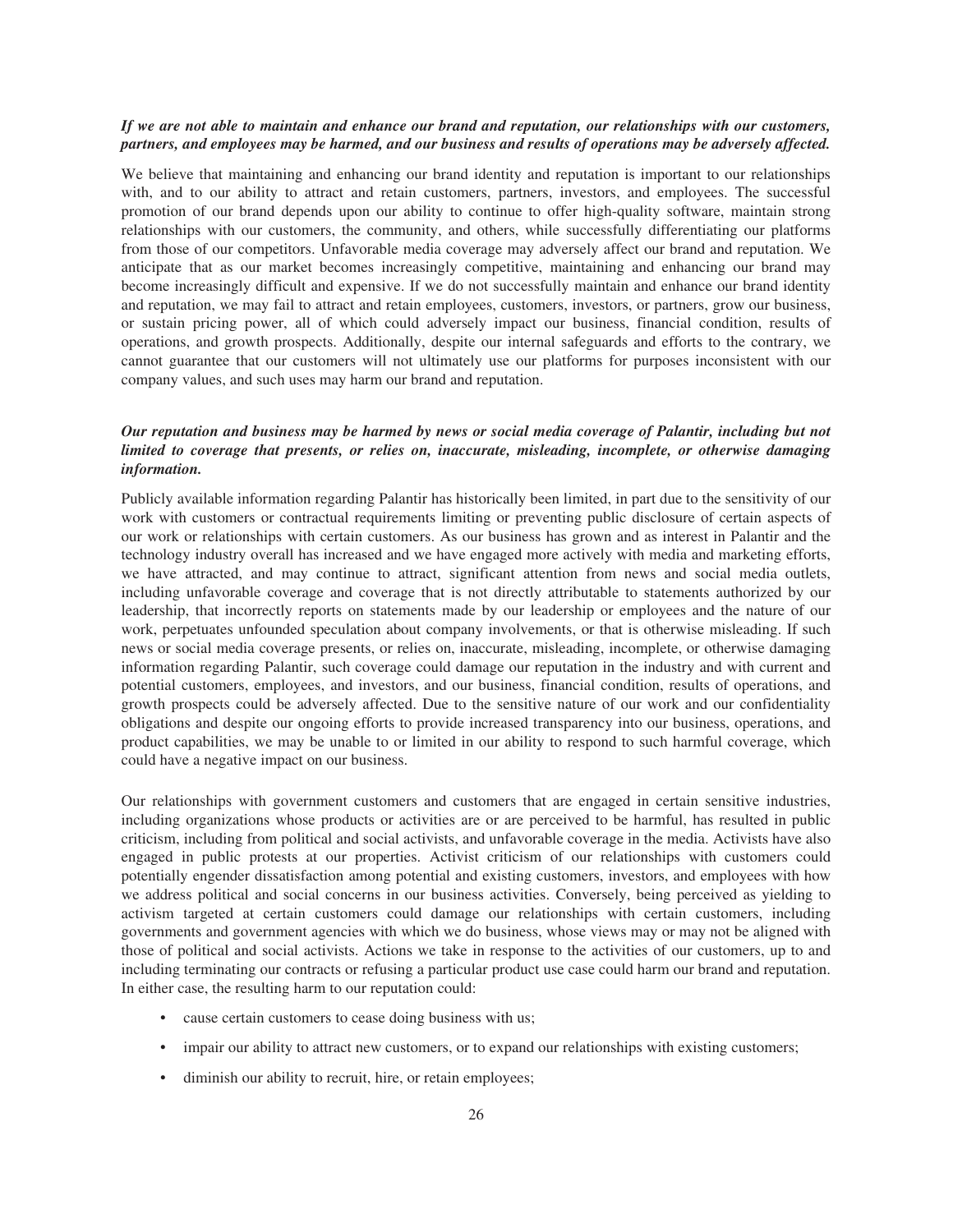## *If we are not able to maintain and enhance our brand and reputation, our relationships with our customers, partners, and employees may be harmed, and our business and results of operations may be adversely affected.*

We believe that maintaining and enhancing our brand identity and reputation is important to our relationships with, and to our ability to attract and retain customers, partners, investors, and employees. The successful promotion of our brand depends upon our ability to continue to offer high-quality software, maintain strong relationships with our customers, the community, and others, while successfully differentiating our platforms from those of our competitors. Unfavorable media coverage may adversely affect our brand and reputation. We anticipate that as our market becomes increasingly competitive, maintaining and enhancing our brand may become increasingly difficult and expensive. If we do not successfully maintain and enhance our brand identity and reputation, we may fail to attract and retain employees, customers, investors, or partners, grow our business, or sustain pricing power, all of which could adversely impact our business, financial condition, results of operations, and growth prospects. Additionally, despite our internal safeguards and efforts to the contrary, we cannot guarantee that our customers will not ultimately use our platforms for purposes inconsistent with our company values, and such uses may harm our brand and reputation.

## *Our reputation and business may be harmed by news or social media coverage of Palantir, including but not limited to coverage that presents, or relies on, inaccurate, misleading, incomplete, or otherwise damaging information.*

Publicly available information regarding Palantir has historically been limited, in part due to the sensitivity of our work with customers or contractual requirements limiting or preventing public disclosure of certain aspects of our work or relationships with certain customers. As our business has grown and as interest in Palantir and the technology industry overall has increased and we have engaged more actively with media and marketing efforts, we have attracted, and may continue to attract, significant attention from news and social media outlets, including unfavorable coverage and coverage that is not directly attributable to statements authorized by our leadership, that incorrectly reports on statements made by our leadership or employees and the nature of our work, perpetuates unfounded speculation about company involvements, or that is otherwise misleading. If such news or social media coverage presents, or relies on, inaccurate, misleading, incomplete, or otherwise damaging information regarding Palantir, such coverage could damage our reputation in the industry and with current and potential customers, employees, and investors, and our business, financial condition, results of operations, and growth prospects could be adversely affected. Due to the sensitive nature of our work and our confidentiality obligations and despite our ongoing efforts to provide increased transparency into our business, operations, and product capabilities, we may be unable to or limited in our ability to respond to such harmful coverage, which could have a negative impact on our business.

Our relationships with government customers and customers that are engaged in certain sensitive industries, including organizations whose products or activities are or are perceived to be harmful, has resulted in public criticism, including from political and social activists, and unfavorable coverage in the media. Activists have also engaged in public protests at our properties. Activist criticism of our relationships with customers could potentially engender dissatisfaction among potential and existing customers, investors, and employees with how we address political and social concerns in our business activities. Conversely, being perceived as yielding to activism targeted at certain customers could damage our relationships with certain customers, including governments and government agencies with which we do business, whose views may or may not be aligned with those of political and social activists. Actions we take in response to the activities of our customers, up to and including terminating our contracts or refusing a particular product use case could harm our brand and reputation. In either case, the resulting harm to our reputation could:

- cause certain customers to cease doing business with us;
- impair our ability to attract new customers, or to expand our relationships with existing customers;
- diminish our ability to recruit, hire, or retain employees;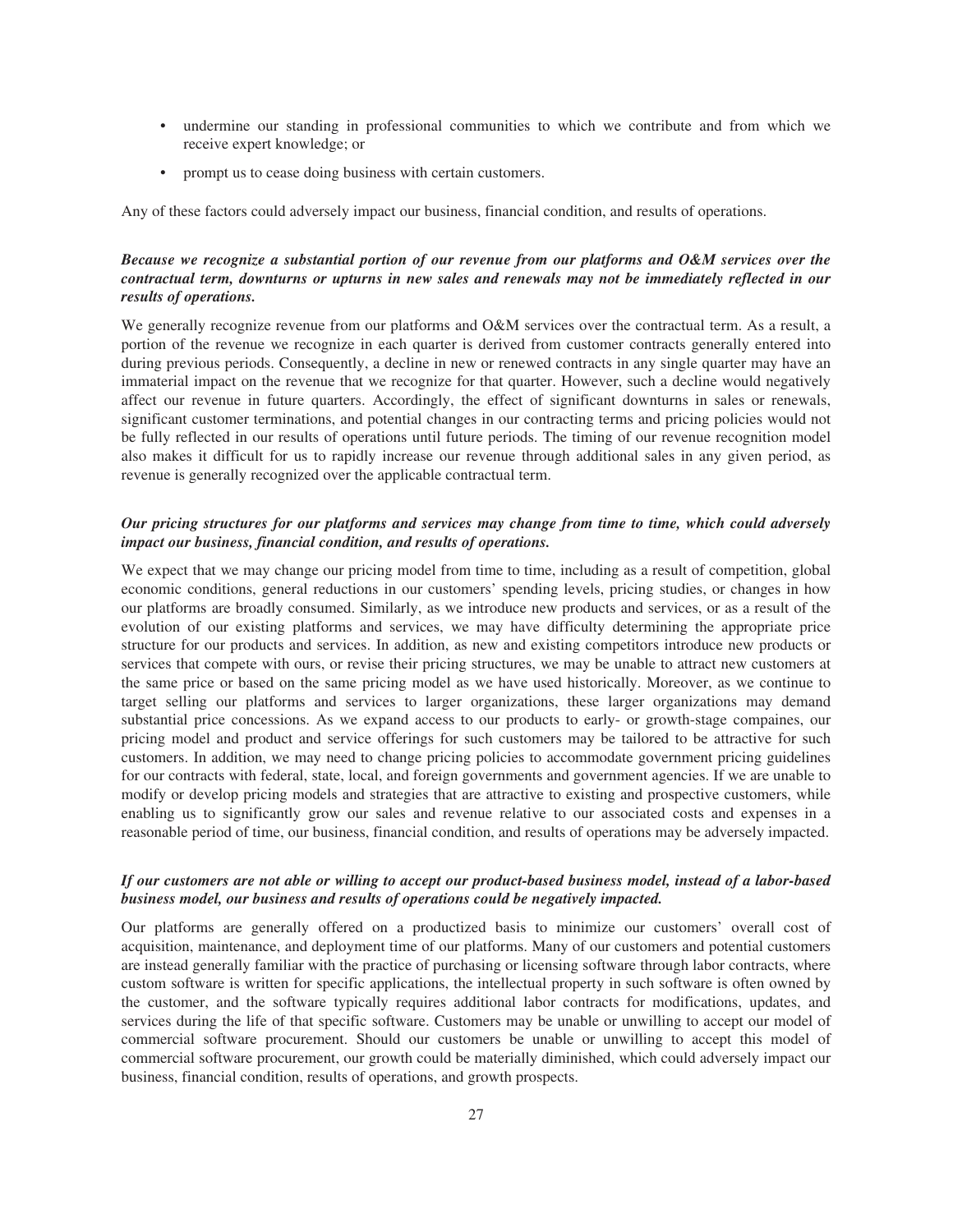- undermine our standing in professional communities to which we contribute and from which we receive expert knowledge; or
- prompt us to cease doing business with certain customers.

Any of these factors could adversely impact our business, financial condition, and results of operations.

## *Because we recognize a substantial portion of our revenue from our platforms and O&M services over the contractual term, downturns or upturns in new sales and renewals may not be immediately reflected in our results of operations.*

We generally recognize revenue from our platforms and O&M services over the contractual term. As a result, a portion of the revenue we recognize in each quarter is derived from customer contracts generally entered into during previous periods. Consequently, a decline in new or renewed contracts in any single quarter may have an immaterial impact on the revenue that we recognize for that quarter. However, such a decline would negatively affect our revenue in future quarters. Accordingly, the effect of significant downturns in sales or renewals, significant customer terminations, and potential changes in our contracting terms and pricing policies would not be fully reflected in our results of operations until future periods. The timing of our revenue recognition model also makes it difficult for us to rapidly increase our revenue through additional sales in any given period, as revenue is generally recognized over the applicable contractual term.

### *Our pricing structures for our platforms and services may change from time to time, which could adversely impact our business, financial condition, and results of operations.*

We expect that we may change our pricing model from time to time, including as a result of competition, global economic conditions, general reductions in our customers' spending levels, pricing studies, or changes in how our platforms are broadly consumed. Similarly, as we introduce new products and services, or as a result of the evolution of our existing platforms and services, we may have difficulty determining the appropriate price structure for our products and services. In addition, as new and existing competitors introduce new products or services that compete with ours, or revise their pricing structures, we may be unable to attract new customers at the same price or based on the same pricing model as we have used historically. Moreover, as we continue to target selling our platforms and services to larger organizations, these larger organizations may demand substantial price concessions. As we expand access to our products to early- or growth-stage compaines, our pricing model and product and service offerings for such customers may be tailored to be attractive for such customers. In addition, we may need to change pricing policies to accommodate government pricing guidelines for our contracts with federal, state, local, and foreign governments and government agencies. If we are unable to modify or develop pricing models and strategies that are attractive to existing and prospective customers, while enabling us to significantly grow our sales and revenue relative to our associated costs and expenses in a reasonable period of time, our business, financial condition, and results of operations may be adversely impacted.

## *If our customers are not able or willing to accept our product-based business model, instead of a labor-based business model, our business and results of operations could be negatively impacted.*

Our platforms are generally offered on a productized basis to minimize our customers' overall cost of acquisition, maintenance, and deployment time of our platforms. Many of our customers and potential customers are instead generally familiar with the practice of purchasing or licensing software through labor contracts, where custom software is written for specific applications, the intellectual property in such software is often owned by the customer, and the software typically requires additional labor contracts for modifications, updates, and services during the life of that specific software. Customers may be unable or unwilling to accept our model of commercial software procurement. Should our customers be unable or unwilling to accept this model of commercial software procurement, our growth could be materially diminished, which could adversely impact our business, financial condition, results of operations, and growth prospects.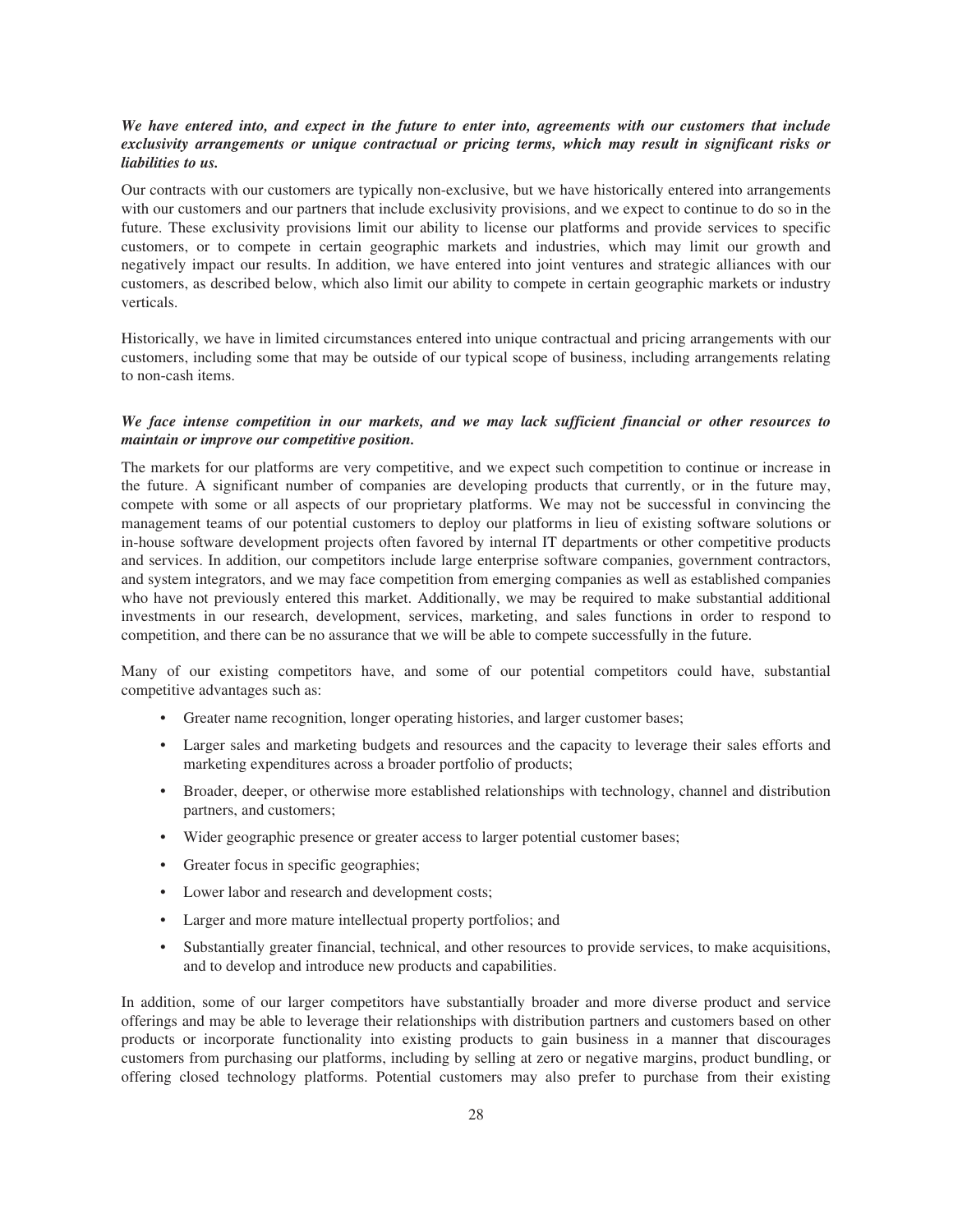## *We have entered into, and expect in the future to enter into, agreements with our customers that include exclusivity arrangements or unique contractual or pricing terms, which may result in significant risks or liabilities to us.*

Our contracts with our customers are typically non-exclusive, but we have historically entered into arrangements with our customers and our partners that include exclusivity provisions, and we expect to continue to do so in the future. These exclusivity provisions limit our ability to license our platforms and provide services to specific customers, or to compete in certain geographic markets and industries, which may limit our growth and negatively impact our results. In addition, we have entered into joint ventures and strategic alliances with our customers, as described below, which also limit our ability to compete in certain geographic markets or industry verticals.

Historically, we have in limited circumstances entered into unique contractual and pricing arrangements with our customers, including some that may be outside of our typical scope of business, including arrangements relating to non-cash items.

### *We face intense competition in our markets, and we may lack sufficient financial or other resources to maintain or improve our competitive position.*

The markets for our platforms are very competitive, and we expect such competition to continue or increase in the future. A significant number of companies are developing products that currently, or in the future may, compete with some or all aspects of our proprietary platforms. We may not be successful in convincing the management teams of our potential customers to deploy our platforms in lieu of existing software solutions or in-house software development projects often favored by internal IT departments or other competitive products and services. In addition, our competitors include large enterprise software companies, government contractors, and system integrators, and we may face competition from emerging companies as well as established companies who have not previously entered this market. Additionally, we may be required to make substantial additional investments in our research, development, services, marketing, and sales functions in order to respond to competition, and there can be no assurance that we will be able to compete successfully in the future.

Many of our existing competitors have, and some of our potential competitors could have, substantial competitive advantages such as:

- Greater name recognition, longer operating histories, and larger customer bases;
- Larger sales and marketing budgets and resources and the capacity to leverage their sales efforts and marketing expenditures across a broader portfolio of products;
- Broader, deeper, or otherwise more established relationships with technology, channel and distribution partners, and customers;
- Wider geographic presence or greater access to larger potential customer bases;
- Greater focus in specific geographies;
- Lower labor and research and development costs;
- Larger and more mature intellectual property portfolios; and
- Substantially greater financial, technical, and other resources to provide services, to make acquisitions, and to develop and introduce new products and capabilities.

In addition, some of our larger competitors have substantially broader and more diverse product and service offerings and may be able to leverage their relationships with distribution partners and customers based on other products or incorporate functionality into existing products to gain business in a manner that discourages customers from purchasing our platforms, including by selling at zero or negative margins, product bundling, or offering closed technology platforms. Potential customers may also prefer to purchase from their existing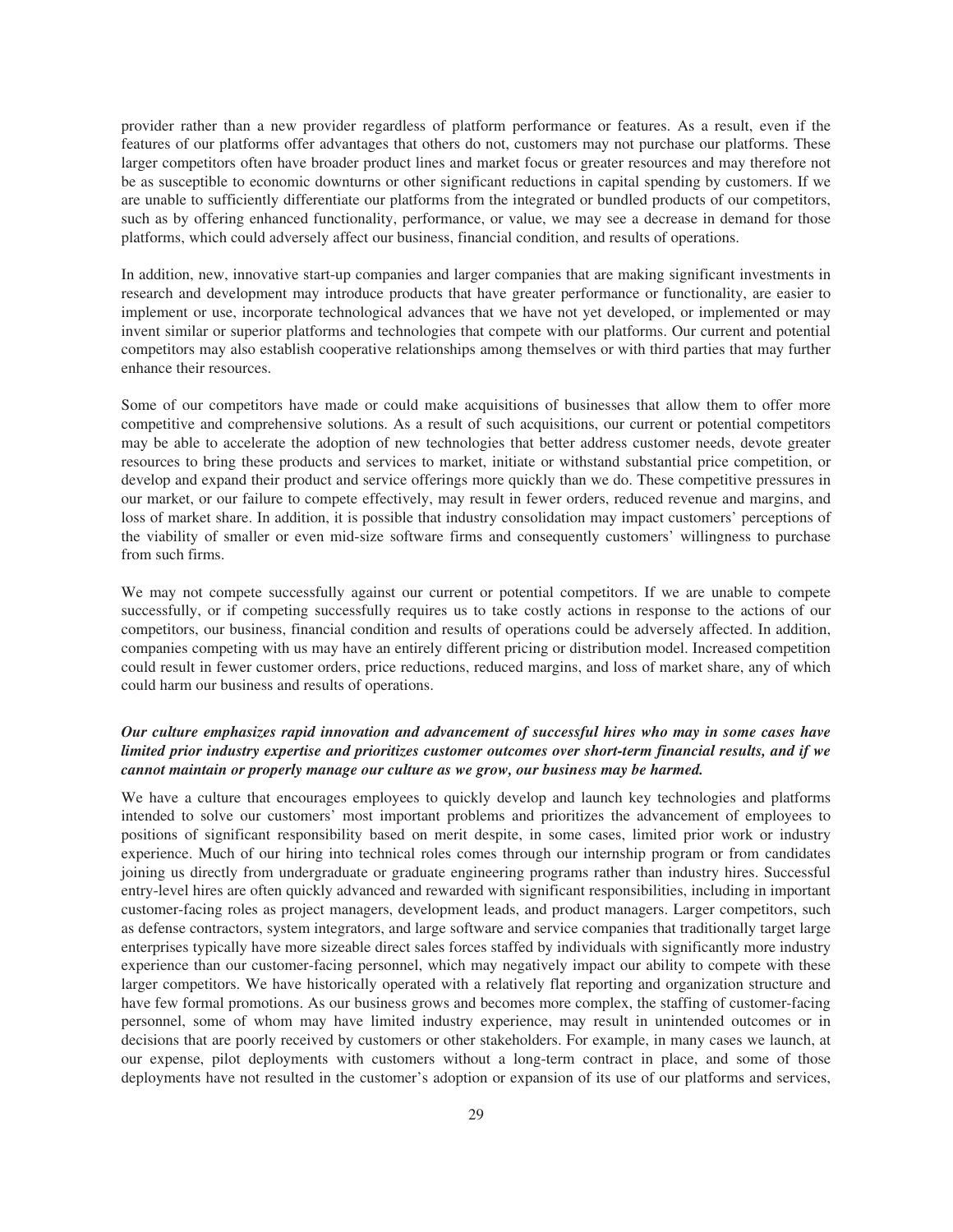provider rather than a new provider regardless of platform performance or features. As a result, even if the features of our platforms offer advantages that others do not, customers may not purchase our platforms. These larger competitors often have broader product lines and market focus or greater resources and may therefore not be as susceptible to economic downturns or other significant reductions in capital spending by customers. If we are unable to sufficiently differentiate our platforms from the integrated or bundled products of our competitors, such as by offering enhanced functionality, performance, or value, we may see a decrease in demand for those platforms, which could adversely affect our business, financial condition, and results of operations.

In addition, new, innovative start-up companies and larger companies that are making significant investments in research and development may introduce products that have greater performance or functionality, are easier to implement or use, incorporate technological advances that we have not yet developed, or implemented or may invent similar or superior platforms and technologies that compete with our platforms. Our current and potential competitors may also establish cooperative relationships among themselves or with third parties that may further enhance their resources.

Some of our competitors have made or could make acquisitions of businesses that allow them to offer more competitive and comprehensive solutions. As a result of such acquisitions, our current or potential competitors may be able to accelerate the adoption of new technologies that better address customer needs, devote greater resources to bring these products and services to market, initiate or withstand substantial price competition, or develop and expand their product and service offerings more quickly than we do. These competitive pressures in our market, or our failure to compete effectively, may result in fewer orders, reduced revenue and margins, and loss of market share. In addition, it is possible that industry consolidation may impact customers' perceptions of the viability of smaller or even mid-size software firms and consequently customers' willingness to purchase from such firms.

We may not compete successfully against our current or potential competitors. If we are unable to compete successfully, or if competing successfully requires us to take costly actions in response to the actions of our competitors, our business, financial condition and results of operations could be adversely affected. In addition, companies competing with us may have an entirely different pricing or distribution model. Increased competition could result in fewer customer orders, price reductions, reduced margins, and loss of market share, any of which could harm our business and results of operations.

## *Our culture emphasizes rapid innovation and advancement of successful hires who may in some cases have limited prior industry expertise and prioritizes customer outcomes over short-term financial results, and if we cannot maintain or properly manage our culture as we grow, our business may be harmed.*

We have a culture that encourages employees to quickly develop and launch key technologies and platforms intended to solve our customers' most important problems and prioritizes the advancement of employees to positions of significant responsibility based on merit despite, in some cases, limited prior work or industry experience. Much of our hiring into technical roles comes through our internship program or from candidates joining us directly from undergraduate or graduate engineering programs rather than industry hires. Successful entry-level hires are often quickly advanced and rewarded with significant responsibilities, including in important customer-facing roles as project managers, development leads, and product managers. Larger competitors, such as defense contractors, system integrators, and large software and service companies that traditionally target large enterprises typically have more sizeable direct sales forces staffed by individuals with significantly more industry experience than our customer-facing personnel, which may negatively impact our ability to compete with these larger competitors. We have historically operated with a relatively flat reporting and organization structure and have few formal promotions. As our business grows and becomes more complex, the staffing of customer-facing personnel, some of whom may have limited industry experience, may result in unintended outcomes or in decisions that are poorly received by customers or other stakeholders. For example, in many cases we launch, at our expense, pilot deployments with customers without a long-term contract in place, and some of those deployments have not resulted in the customer's adoption or expansion of its use of our platforms and services,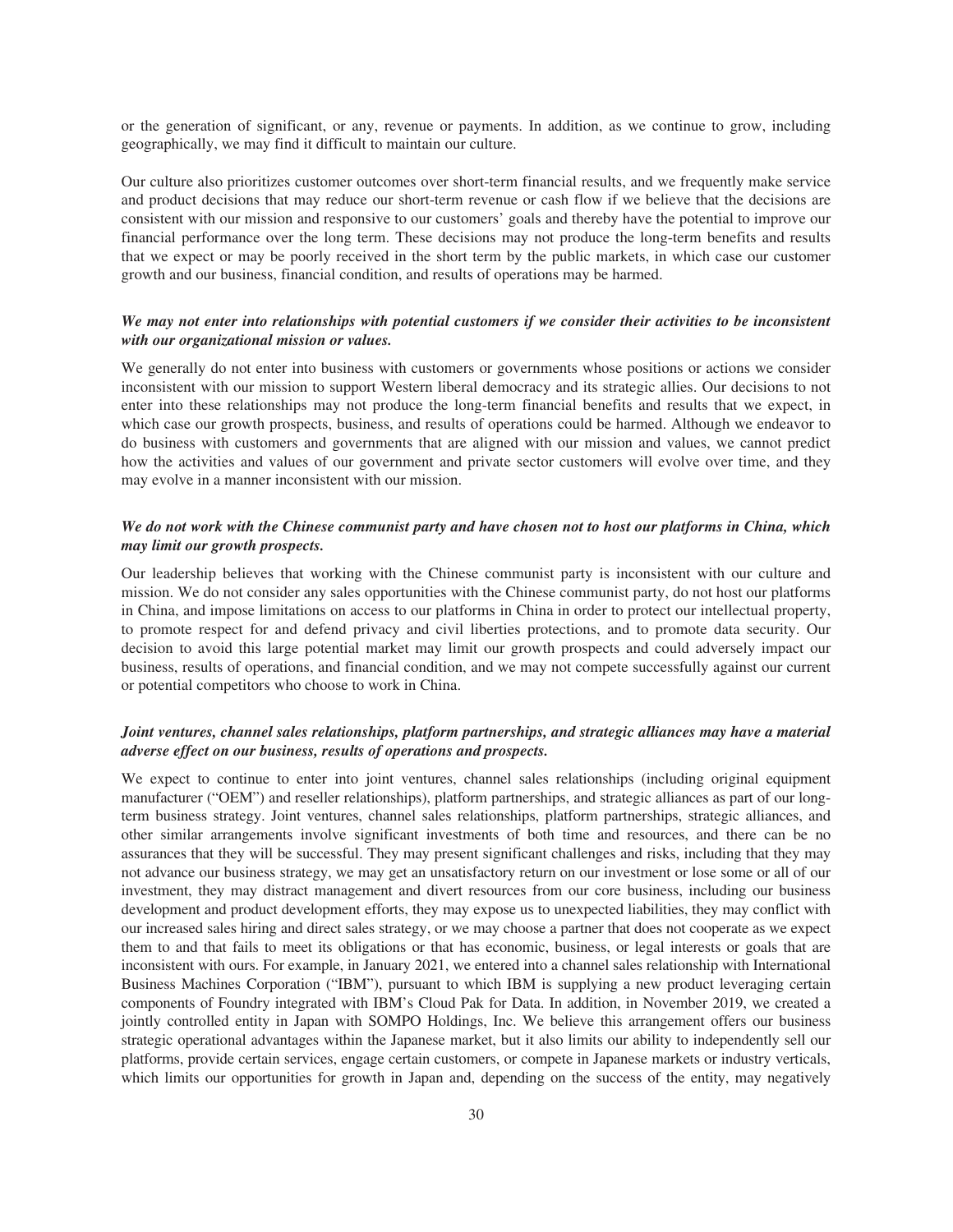or the generation of significant, or any, revenue or payments. In addition, as we continue to grow, including geographically, we may find it difficult to maintain our culture.

Our culture also prioritizes customer outcomes over short-term financial results, and we frequently make service and product decisions that may reduce our short-term revenue or cash flow if we believe that the decisions are consistent with our mission and responsive to our customers' goals and thereby have the potential to improve our financial performance over the long term. These decisions may not produce the long-term benefits and results that we expect or may be poorly received in the short term by the public markets, in which case our customer growth and our business, financial condition, and results of operations may be harmed.

## *We may not enter into relationships with potential customers if we consider their activities to be inconsistent with our organizational mission or values.*

We generally do not enter into business with customers or governments whose positions or actions we consider inconsistent with our mission to support Western liberal democracy and its strategic allies. Our decisions to not enter into these relationships may not produce the long-term financial benefits and results that we expect, in which case our growth prospects, business, and results of operations could be harmed. Although we endeavor to do business with customers and governments that are aligned with our mission and values, we cannot predict how the activities and values of our government and private sector customers will evolve over time, and they may evolve in a manner inconsistent with our mission.

## *We do not work with the Chinese communist party and have chosen not to host our platforms in China, which may limit our growth prospects.*

Our leadership believes that working with the Chinese communist party is inconsistent with our culture and mission. We do not consider any sales opportunities with the Chinese communist party, do not host our platforms in China, and impose limitations on access to our platforms in China in order to protect our intellectual property, to promote respect for and defend privacy and civil liberties protections, and to promote data security. Our decision to avoid this large potential market may limit our growth prospects and could adversely impact our business, results of operations, and financial condition, and we may not compete successfully against our current or potential competitors who choose to work in China.

## *Joint ventures, channel sales relationships, platform partnerships, and strategic alliances may have a material adverse effect on our business, results of operations and prospects.*

We expect to continue to enter into joint ventures, channel sales relationships (including original equipment manufacturer ("OEM") and reseller relationships), platform partnerships, and strategic alliances as part of our longterm business strategy. Joint ventures, channel sales relationships, platform partnerships, strategic alliances, and other similar arrangements involve significant investments of both time and resources, and there can be no assurances that they will be successful. They may present significant challenges and risks, including that they may not advance our business strategy, we may get an unsatisfactory return on our investment or lose some or all of our investment, they may distract management and divert resources from our core business, including our business development and product development efforts, they may expose us to unexpected liabilities, they may conflict with our increased sales hiring and direct sales strategy, or we may choose a partner that does not cooperate as we expect them to and that fails to meet its obligations or that has economic, business, or legal interests or goals that are inconsistent with ours. For example, in January 2021, we entered into a channel sales relationship with International Business Machines Corporation ("IBM"), pursuant to which IBM is supplying a new product leveraging certain components of Foundry integrated with IBM's Cloud Pak for Data. In addition, in November 2019, we created a jointly controlled entity in Japan with SOMPO Holdings, Inc. We believe this arrangement offers our business strategic operational advantages within the Japanese market, but it also limits our ability to independently sell our platforms, provide certain services, engage certain customers, or compete in Japanese markets or industry verticals, which limits our opportunities for growth in Japan and, depending on the success of the entity, may negatively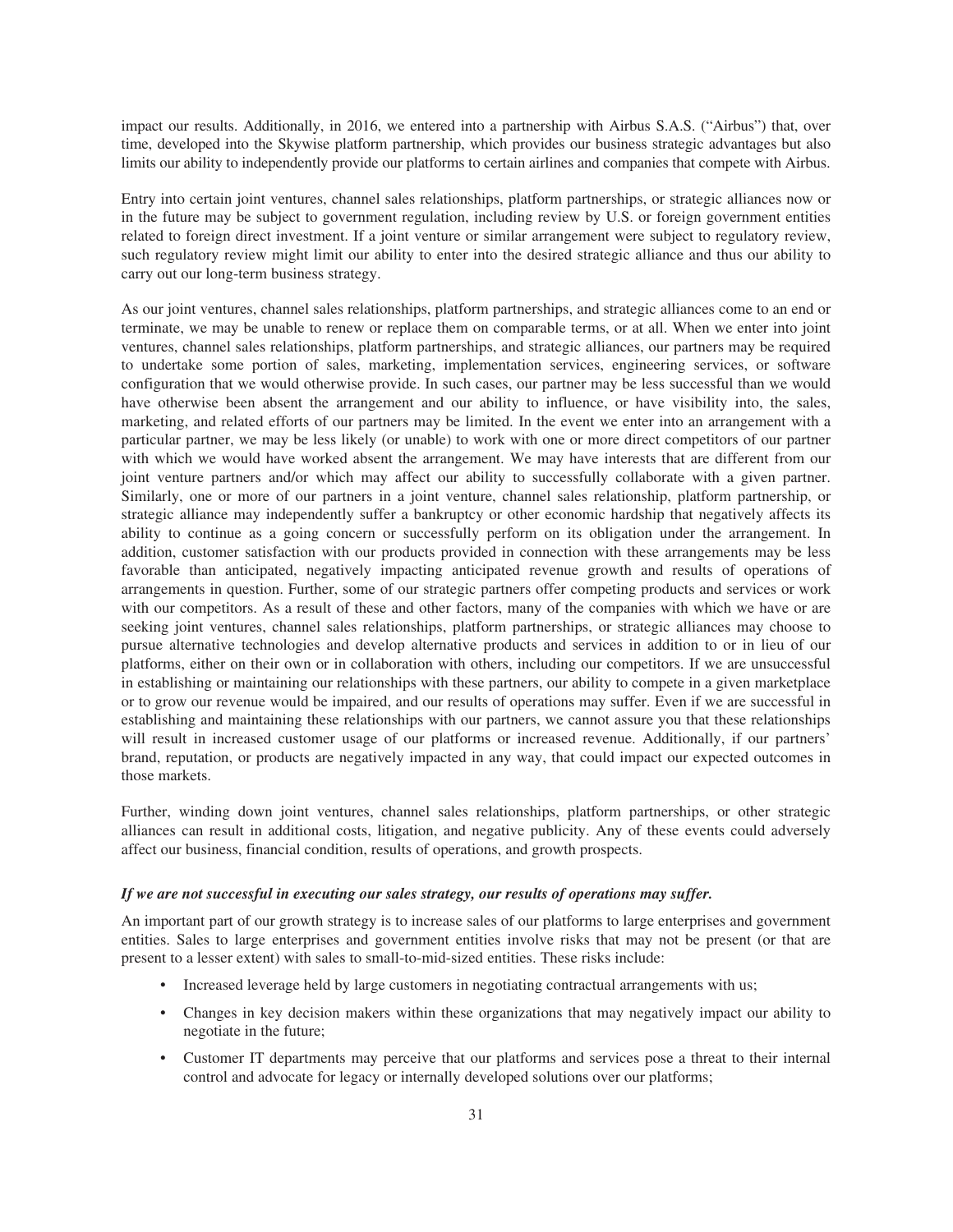impact our results. Additionally, in 2016, we entered into a partnership with Airbus S.A.S. ("Airbus") that, over time, developed into the Skywise platform partnership, which provides our business strategic advantages but also limits our ability to independently provide our platforms to certain airlines and companies that compete with Airbus.

Entry into certain joint ventures, channel sales relationships, platform partnerships, or strategic alliances now or in the future may be subject to government regulation, including review by U.S. or foreign government entities related to foreign direct investment. If a joint venture or similar arrangement were subject to regulatory review, such regulatory review might limit our ability to enter into the desired strategic alliance and thus our ability to carry out our long-term business strategy.

As our joint ventures, channel sales relationships, platform partnerships, and strategic alliances come to an end or terminate, we may be unable to renew or replace them on comparable terms, or at all. When we enter into joint ventures, channel sales relationships, platform partnerships, and strategic alliances, our partners may be required to undertake some portion of sales, marketing, implementation services, engineering services, or software configuration that we would otherwise provide. In such cases, our partner may be less successful than we would have otherwise been absent the arrangement and our ability to influence, or have visibility into, the sales, marketing, and related efforts of our partners may be limited. In the event we enter into an arrangement with a particular partner, we may be less likely (or unable) to work with one or more direct competitors of our partner with which we would have worked absent the arrangement. We may have interests that are different from our joint venture partners and/or which may affect our ability to successfully collaborate with a given partner. Similarly, one or more of our partners in a joint venture, channel sales relationship, platform partnership, or strategic alliance may independently suffer a bankruptcy or other economic hardship that negatively affects its ability to continue as a going concern or successfully perform on its obligation under the arrangement. In addition, customer satisfaction with our products provided in connection with these arrangements may be less favorable than anticipated, negatively impacting anticipated revenue growth and results of operations of arrangements in question. Further, some of our strategic partners offer competing products and services or work with our competitors. As a result of these and other factors, many of the companies with which we have or are seeking joint ventures, channel sales relationships, platform partnerships, or strategic alliances may choose to pursue alternative technologies and develop alternative products and services in addition to or in lieu of our platforms, either on their own or in collaboration with others, including our competitors. If we are unsuccessful in establishing or maintaining our relationships with these partners, our ability to compete in a given marketplace or to grow our revenue would be impaired, and our results of operations may suffer. Even if we are successful in establishing and maintaining these relationships with our partners, we cannot assure you that these relationships will result in increased customer usage of our platforms or increased revenue. Additionally, if our partners' brand, reputation, or products are negatively impacted in any way, that could impact our expected outcomes in those markets.

Further, winding down joint ventures, channel sales relationships, platform partnerships, or other strategic alliances can result in additional costs, litigation, and negative publicity. Any of these events could adversely affect our business, financial condition, results of operations, and growth prospects.

#### *If we are not successful in executing our sales strategy, our results of operations may suffer.*

An important part of our growth strategy is to increase sales of our platforms to large enterprises and government entities. Sales to large enterprises and government entities involve risks that may not be present (or that are present to a lesser extent) with sales to small-to-mid-sized entities. These risks include:

- Increased leverage held by large customers in negotiating contractual arrangements with us;
- Changes in key decision makers within these organizations that may negatively impact our ability to negotiate in the future;
- Customer IT departments may perceive that our platforms and services pose a threat to their internal control and advocate for legacy or internally developed solutions over our platforms;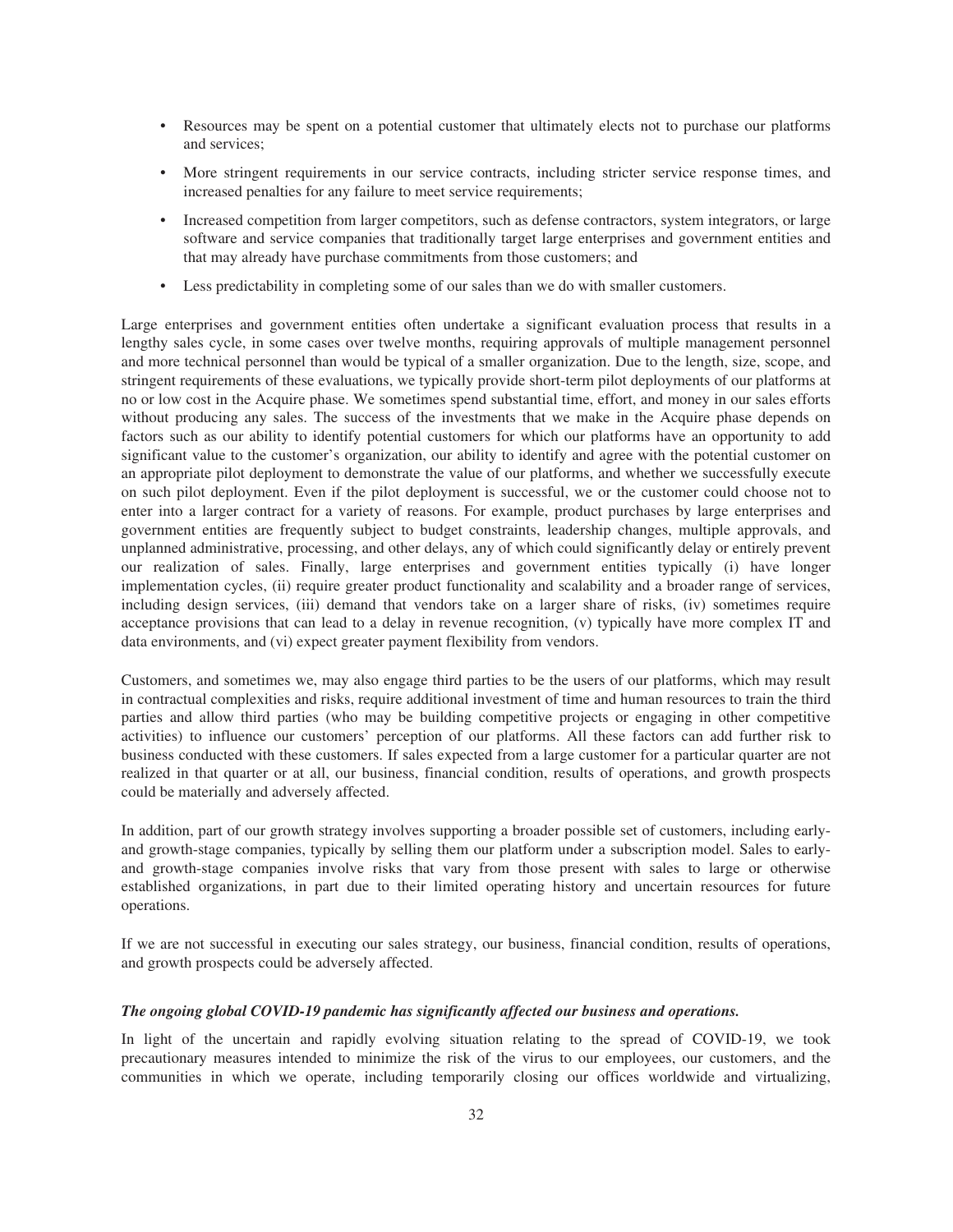- Resources may be spent on a potential customer that ultimately elects not to purchase our platforms and services;
- More stringent requirements in our service contracts, including stricter service response times, and increased penalties for any failure to meet service requirements;
- Increased competition from larger competitors, such as defense contractors, system integrators, or large software and service companies that traditionally target large enterprises and government entities and that may already have purchase commitments from those customers; and
- Less predictability in completing some of our sales than we do with smaller customers.

Large enterprises and government entities often undertake a significant evaluation process that results in a lengthy sales cycle, in some cases over twelve months, requiring approvals of multiple management personnel and more technical personnel than would be typical of a smaller organization. Due to the length, size, scope, and stringent requirements of these evaluations, we typically provide short-term pilot deployments of our platforms at no or low cost in the Acquire phase. We sometimes spend substantial time, effort, and money in our sales efforts without producing any sales. The success of the investments that we make in the Acquire phase depends on factors such as our ability to identify potential customers for which our platforms have an opportunity to add significant value to the customer's organization, our ability to identify and agree with the potential customer on an appropriate pilot deployment to demonstrate the value of our platforms, and whether we successfully execute on such pilot deployment. Even if the pilot deployment is successful, we or the customer could choose not to enter into a larger contract for a variety of reasons. For example, product purchases by large enterprises and government entities are frequently subject to budget constraints, leadership changes, multiple approvals, and unplanned administrative, processing, and other delays, any of which could significantly delay or entirely prevent our realization of sales. Finally, large enterprises and government entities typically (i) have longer implementation cycles, (ii) require greater product functionality and scalability and a broader range of services, including design services, (iii) demand that vendors take on a larger share of risks, (iv) sometimes require acceptance provisions that can lead to a delay in revenue recognition, (v) typically have more complex IT and data environments, and (vi) expect greater payment flexibility from vendors.

Customers, and sometimes we, may also engage third parties to be the users of our platforms, which may result in contractual complexities and risks, require additional investment of time and human resources to train the third parties and allow third parties (who may be building competitive projects or engaging in other competitive activities) to influence our customers' perception of our platforms. All these factors can add further risk to business conducted with these customers. If sales expected from a large customer for a particular quarter are not realized in that quarter or at all, our business, financial condition, results of operations, and growth prospects could be materially and adversely affected.

In addition, part of our growth strategy involves supporting a broader possible set of customers, including earlyand growth-stage companies, typically by selling them our platform under a subscription model. Sales to earlyand growth-stage companies involve risks that vary from those present with sales to large or otherwise established organizations, in part due to their limited operating history and uncertain resources for future operations.

If we are not successful in executing our sales strategy, our business, financial condition, results of operations, and growth prospects could be adversely affected.

### *The ongoing global COVID-19 pandemic has significantly affected our business and operations.*

In light of the uncertain and rapidly evolving situation relating to the spread of COVID-19, we took precautionary measures intended to minimize the risk of the virus to our employees, our customers, and the communities in which we operate, including temporarily closing our offices worldwide and virtualizing,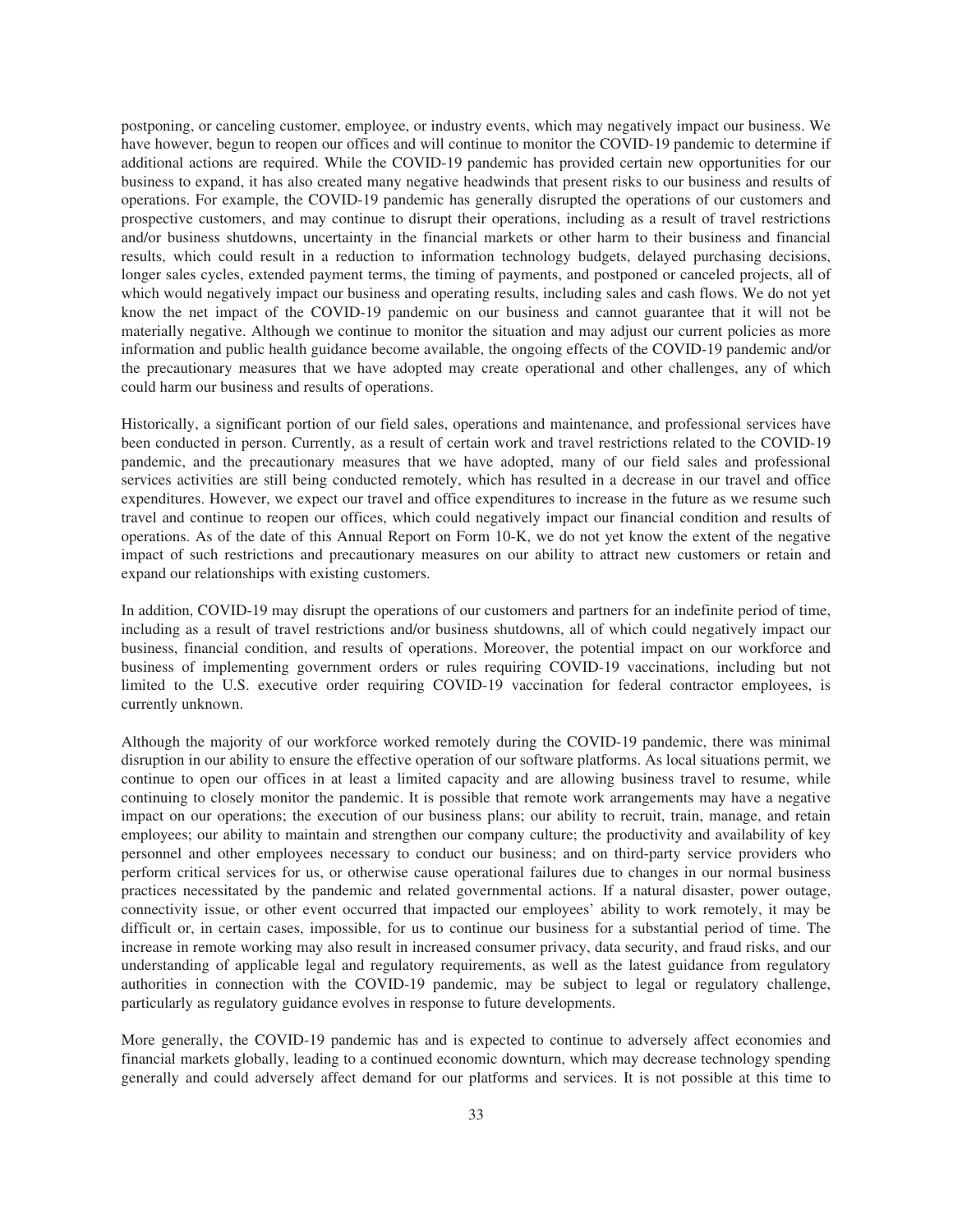postponing, or canceling customer, employee, or industry events, which may negatively impact our business. We have however, begun to reopen our offices and will continue to monitor the COVID-19 pandemic to determine if additional actions are required. While the COVID-19 pandemic has provided certain new opportunities for our business to expand, it has also created many negative headwinds that present risks to our business and results of operations. For example, the COVID-19 pandemic has generally disrupted the operations of our customers and prospective customers, and may continue to disrupt their operations, including as a result of travel restrictions and/or business shutdowns, uncertainty in the financial markets or other harm to their business and financial results, which could result in a reduction to information technology budgets, delayed purchasing decisions, longer sales cycles, extended payment terms, the timing of payments, and postponed or canceled projects, all of which would negatively impact our business and operating results, including sales and cash flows. We do not yet know the net impact of the COVID-19 pandemic on our business and cannot guarantee that it will not be materially negative. Although we continue to monitor the situation and may adjust our current policies as more information and public health guidance become available, the ongoing effects of the COVID-19 pandemic and/or the precautionary measures that we have adopted may create operational and other challenges, any of which could harm our business and results of operations.

Historically, a significant portion of our field sales, operations and maintenance, and professional services have been conducted in person. Currently, as a result of certain work and travel restrictions related to the COVID-19 pandemic, and the precautionary measures that we have adopted, many of our field sales and professional services activities are still being conducted remotely, which has resulted in a decrease in our travel and office expenditures. However, we expect our travel and office expenditures to increase in the future as we resume such travel and continue to reopen our offices, which could negatively impact our financial condition and results of operations. As of the date of this Annual Report on Form 10-K, we do not yet know the extent of the negative impact of such restrictions and precautionary measures on our ability to attract new customers or retain and expand our relationships with existing customers.

In addition, COVID-19 may disrupt the operations of our customers and partners for an indefinite period of time, including as a result of travel restrictions and/or business shutdowns, all of which could negatively impact our business, financial condition, and results of operations. Moreover, the potential impact on our workforce and business of implementing government orders or rules requiring COVID-19 vaccinations, including but not limited to the U.S. executive order requiring COVID-19 vaccination for federal contractor employees, is currently unknown.

Although the majority of our workforce worked remotely during the COVID-19 pandemic, there was minimal disruption in our ability to ensure the effective operation of our software platforms. As local situations permit, we continue to open our offices in at least a limited capacity and are allowing business travel to resume, while continuing to closely monitor the pandemic. It is possible that remote work arrangements may have a negative impact on our operations; the execution of our business plans; our ability to recruit, train, manage, and retain employees; our ability to maintain and strengthen our company culture; the productivity and availability of key personnel and other employees necessary to conduct our business; and on third-party service providers who perform critical services for us, or otherwise cause operational failures due to changes in our normal business practices necessitated by the pandemic and related governmental actions. If a natural disaster, power outage, connectivity issue, or other event occurred that impacted our employees' ability to work remotely, it may be difficult or, in certain cases, impossible, for us to continue our business for a substantial period of time. The increase in remote working may also result in increased consumer privacy, data security, and fraud risks, and our understanding of applicable legal and regulatory requirements, as well as the latest guidance from regulatory authorities in connection with the COVID-19 pandemic, may be subject to legal or regulatory challenge, particularly as regulatory guidance evolves in response to future developments.

More generally, the COVID-19 pandemic has and is expected to continue to adversely affect economies and financial markets globally, leading to a continued economic downturn, which may decrease technology spending generally and could adversely affect demand for our platforms and services. It is not possible at this time to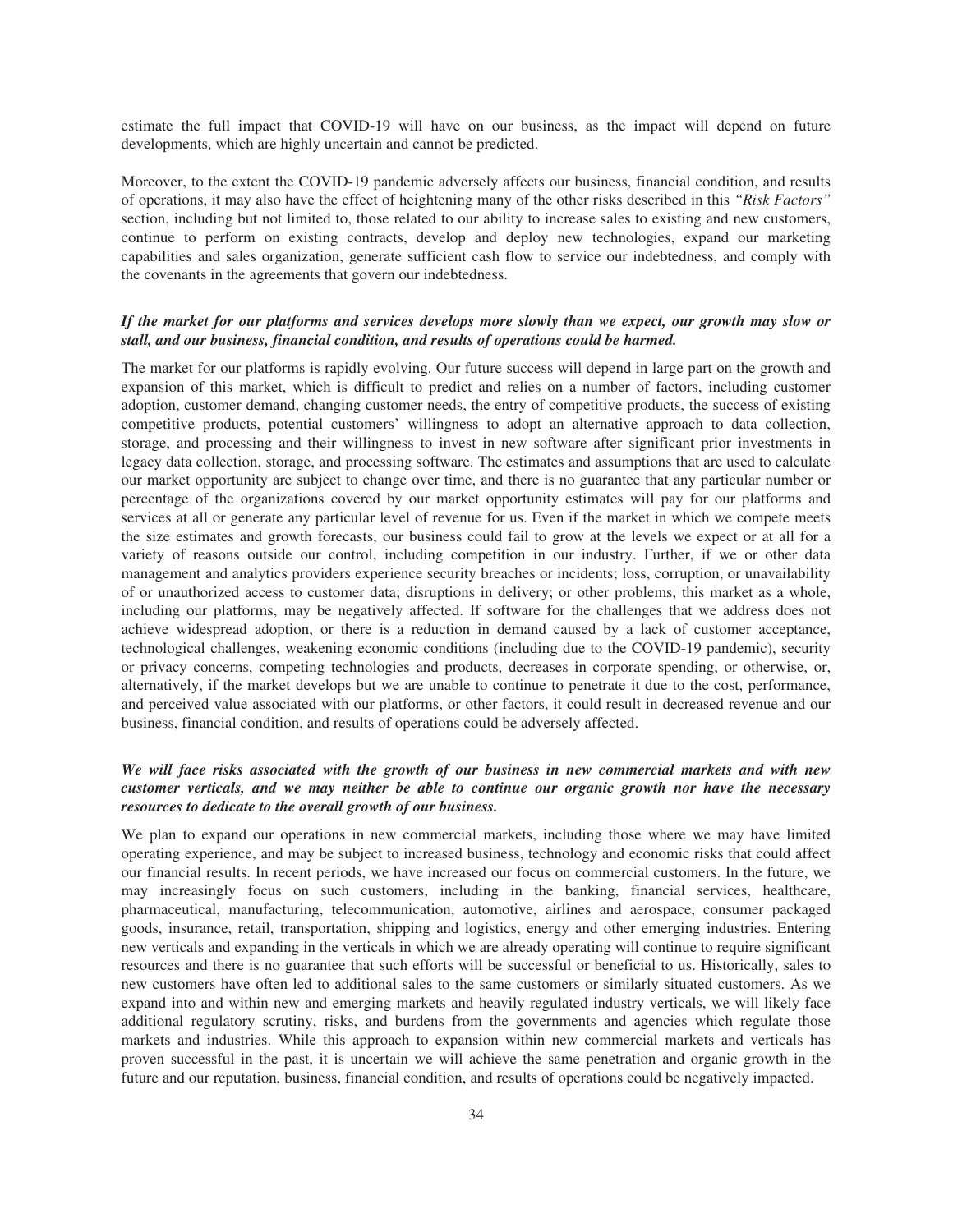estimate the full impact that COVID-19 will have on our business, as the impact will depend on future developments, which are highly uncertain and cannot be predicted.

Moreover, to the extent the COVID-19 pandemic adversely affects our business, financial condition, and results of operations, it may also have the effect of heightening many of the other risks described in this *"Risk Factors"* section, including but not limited to, those related to our ability to increase sales to existing and new customers, continue to perform on existing contracts, develop and deploy new technologies, expand our marketing capabilities and sales organization, generate sufficient cash flow to service our indebtedness, and comply with the covenants in the agreements that govern our indebtedness.

### *If the market for our platforms and services develops more slowly than we expect, our growth may slow or stall, and our business, financial condition, and results of operations could be harmed.*

The market for our platforms is rapidly evolving. Our future success will depend in large part on the growth and expansion of this market, which is difficult to predict and relies on a number of factors, including customer adoption, customer demand, changing customer needs, the entry of competitive products, the success of existing competitive products, potential customers' willingness to adopt an alternative approach to data collection, storage, and processing and their willingness to invest in new software after significant prior investments in legacy data collection, storage, and processing software. The estimates and assumptions that are used to calculate our market opportunity are subject to change over time, and there is no guarantee that any particular number or percentage of the organizations covered by our market opportunity estimates will pay for our platforms and services at all or generate any particular level of revenue for us. Even if the market in which we compete meets the size estimates and growth forecasts, our business could fail to grow at the levels we expect or at all for a variety of reasons outside our control, including competition in our industry. Further, if we or other data management and analytics providers experience security breaches or incidents; loss, corruption, or unavailability of or unauthorized access to customer data; disruptions in delivery; or other problems, this market as a whole, including our platforms, may be negatively affected. If software for the challenges that we address does not achieve widespread adoption, or there is a reduction in demand caused by a lack of customer acceptance, technological challenges, weakening economic conditions (including due to the COVID-19 pandemic), security or privacy concerns, competing technologies and products, decreases in corporate spending, or otherwise, or, alternatively, if the market develops but we are unable to continue to penetrate it due to the cost, performance, and perceived value associated with our platforms, or other factors, it could result in decreased revenue and our business, financial condition, and results of operations could be adversely affected.

## *We will face risks associated with the growth of our business in new commercial markets and with new customer verticals, and we may neither be able to continue our organic growth nor have the necessary resources to dedicate to the overall growth of our business.*

We plan to expand our operations in new commercial markets, including those where we may have limited operating experience, and may be subject to increased business, technology and economic risks that could affect our financial results. In recent periods, we have increased our focus on commercial customers. In the future, we may increasingly focus on such customers, including in the banking, financial services, healthcare, pharmaceutical, manufacturing, telecommunication, automotive, airlines and aerospace, consumer packaged goods, insurance, retail, transportation, shipping and logistics, energy and other emerging industries. Entering new verticals and expanding in the verticals in which we are already operating will continue to require significant resources and there is no guarantee that such efforts will be successful or beneficial to us. Historically, sales to new customers have often led to additional sales to the same customers or similarly situated customers. As we expand into and within new and emerging markets and heavily regulated industry verticals, we will likely face additional regulatory scrutiny, risks, and burdens from the governments and agencies which regulate those markets and industries. While this approach to expansion within new commercial markets and verticals has proven successful in the past, it is uncertain we will achieve the same penetration and organic growth in the future and our reputation, business, financial condition, and results of operations could be negatively impacted.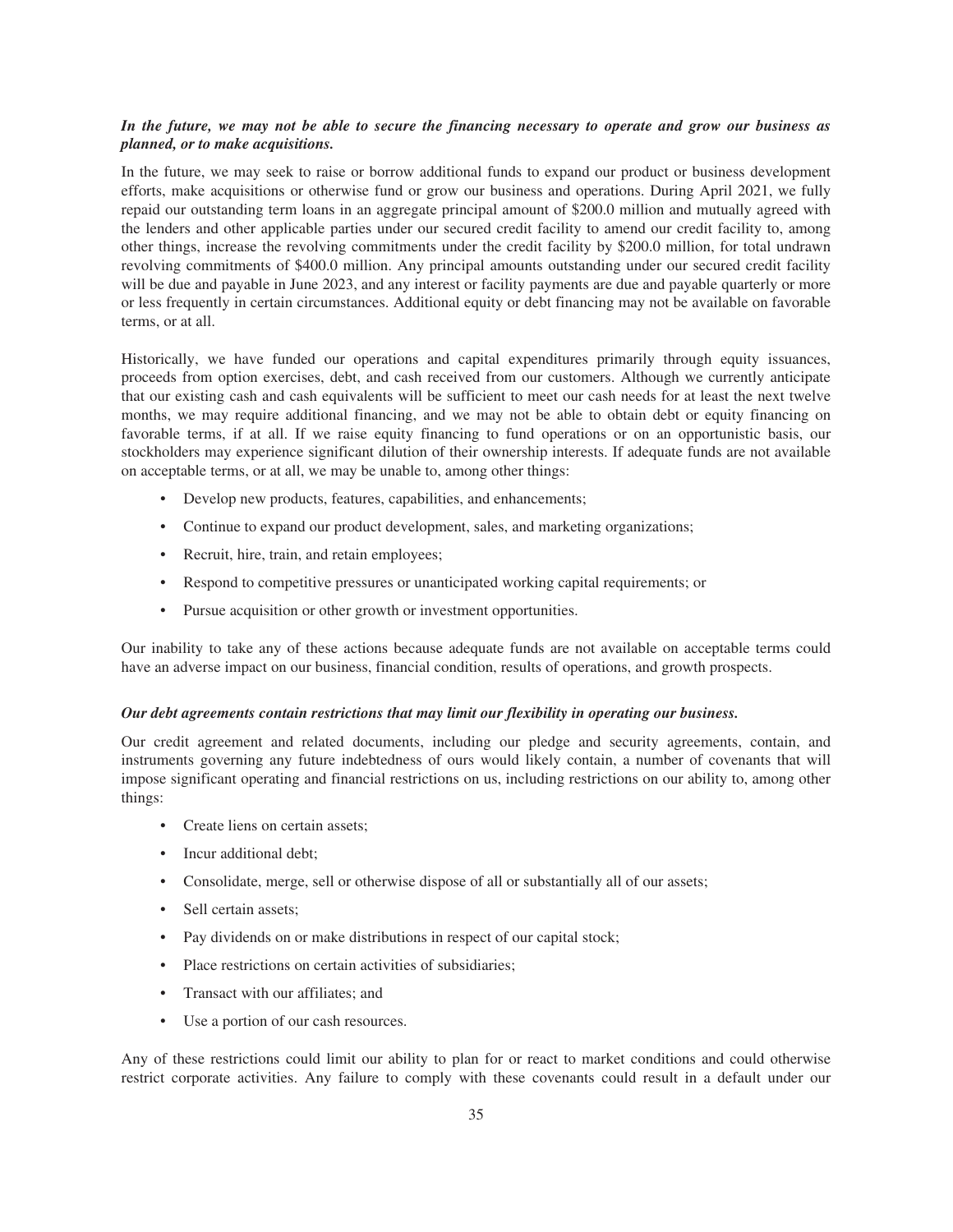## *In the future, we may not be able to secure the financing necessary to operate and grow our business as planned, or to make acquisitions.*

In the future, we may seek to raise or borrow additional funds to expand our product or business development efforts, make acquisitions or otherwise fund or grow our business and operations. During April 2021, we fully repaid our outstanding term loans in an aggregate principal amount of \$200.0 million and mutually agreed with the lenders and other applicable parties under our secured credit facility to amend our credit facility to, among other things, increase the revolving commitments under the credit facility by \$200.0 million, for total undrawn revolving commitments of \$400.0 million. Any principal amounts outstanding under our secured credit facility will be due and payable in June 2023, and any interest or facility payments are due and payable quarterly or more or less frequently in certain circumstances. Additional equity or debt financing may not be available on favorable terms, or at all.

Historically, we have funded our operations and capital expenditures primarily through equity issuances, proceeds from option exercises, debt, and cash received from our customers. Although we currently anticipate that our existing cash and cash equivalents will be sufficient to meet our cash needs for at least the next twelve months, we may require additional financing, and we may not be able to obtain debt or equity financing on favorable terms, if at all. If we raise equity financing to fund operations or on an opportunistic basis, our stockholders may experience significant dilution of their ownership interests. If adequate funds are not available on acceptable terms, or at all, we may be unable to, among other things:

- Develop new products, features, capabilities, and enhancements;
- Continue to expand our product development, sales, and marketing organizations;
- Recruit, hire, train, and retain employees;
- Respond to competitive pressures or unanticipated working capital requirements; or
- Pursue acquisition or other growth or investment opportunities.

Our inability to take any of these actions because adequate funds are not available on acceptable terms could have an adverse impact on our business, financial condition, results of operations, and growth prospects.

#### *Our debt agreements contain restrictions that may limit our flexibility in operating our business.*

Our credit agreement and related documents, including our pledge and security agreements, contain, and instruments governing any future indebtedness of ours would likely contain, a number of covenants that will impose significant operating and financial restrictions on us, including restrictions on our ability to, among other things:

- Create liens on certain assets;
- Incur additional debt;
- Consolidate, merge, sell or otherwise dispose of all or substantially all of our assets;
- Sell certain assets:
- Pay dividends on or make distributions in respect of our capital stock;
- Place restrictions on certain activities of subsidiaries;
- Transact with our affiliates; and
- Use a portion of our cash resources.

Any of these restrictions could limit our ability to plan for or react to market conditions and could otherwise restrict corporate activities. Any failure to comply with these covenants could result in a default under our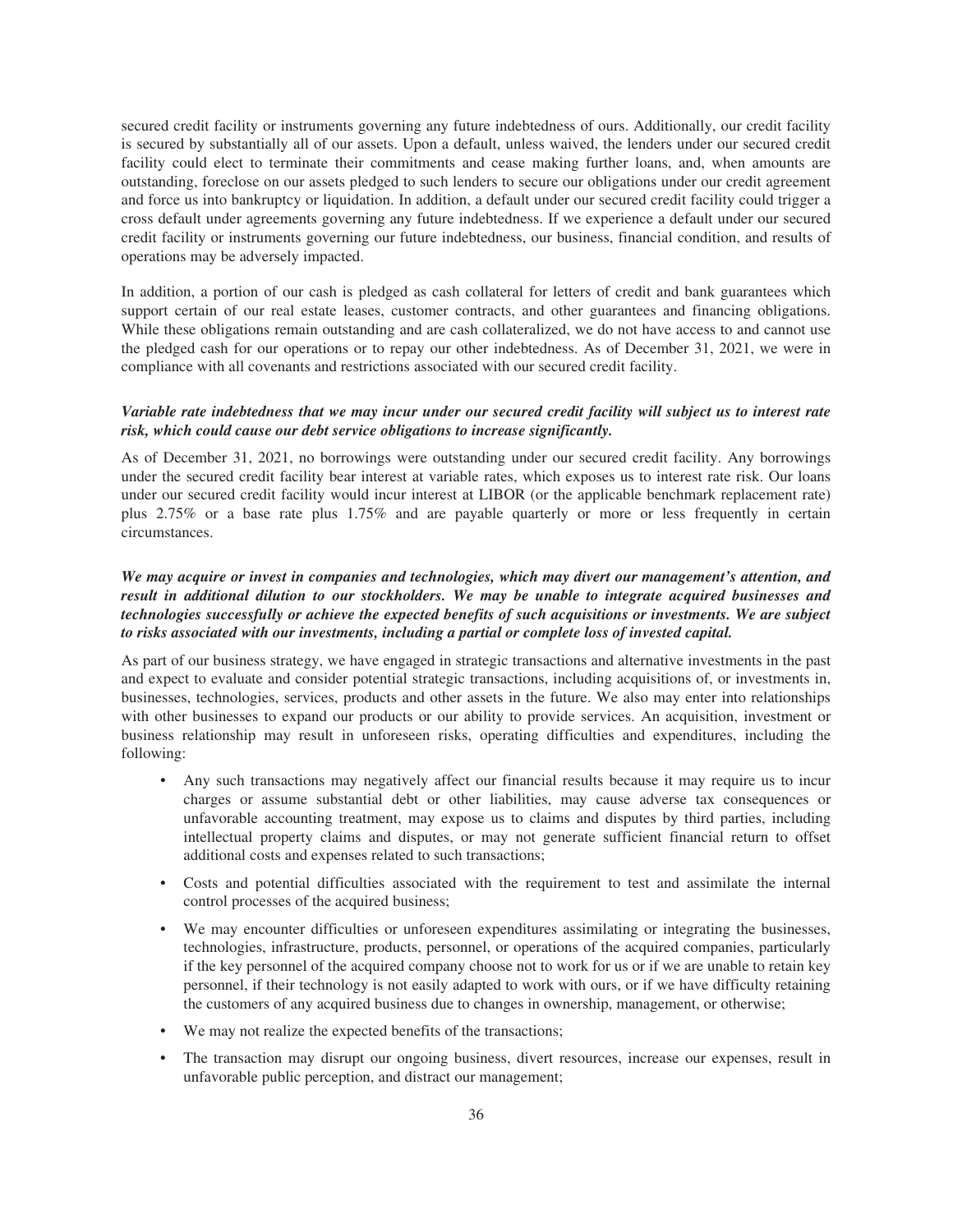secured credit facility or instruments governing any future indebtedness of ours. Additionally, our credit facility is secured by substantially all of our assets. Upon a default, unless waived, the lenders under our secured credit facility could elect to terminate their commitments and cease making further loans, and, when amounts are outstanding, foreclose on our assets pledged to such lenders to secure our obligations under our credit agreement and force us into bankruptcy or liquidation. In addition, a default under our secured credit facility could trigger a cross default under agreements governing any future indebtedness. If we experience a default under our secured credit facility or instruments governing our future indebtedness, our business, financial condition, and results of operations may be adversely impacted.

In addition, a portion of our cash is pledged as cash collateral for letters of credit and bank guarantees which support certain of our real estate leases, customer contracts, and other guarantees and financing obligations. While these obligations remain outstanding and are cash collateralized, we do not have access to and cannot use the pledged cash for our operations or to repay our other indebtedness. As of December 31, 2021, we were in compliance with all covenants and restrictions associated with our secured credit facility.

### *Variable rate indebtedness that we may incur under our secured credit facility will subject us to interest rate risk, which could cause our debt service obligations to increase significantly.*

As of December 31, 2021, no borrowings were outstanding under our secured credit facility. Any borrowings under the secured credit facility bear interest at variable rates, which exposes us to interest rate risk. Our loans under our secured credit facility would incur interest at LIBOR (or the applicable benchmark replacement rate) plus 2.75% or a base rate plus 1.75% and are payable quarterly or more or less frequently in certain circumstances.

## *We may acquire or invest in companies and technologies, which may divert our management's attention, and result in additional dilution to our stockholders. We may be unable to integrate acquired businesses and technologies successfully or achieve the expected benefits of such acquisitions or investments. We are subject to risks associated with our investments, including a partial or complete loss of invested capital.*

As part of our business strategy, we have engaged in strategic transactions and alternative investments in the past and expect to evaluate and consider potential strategic transactions, including acquisitions of, or investments in, businesses, technologies, services, products and other assets in the future. We also may enter into relationships with other businesses to expand our products or our ability to provide services. An acquisition, investment or business relationship may result in unforeseen risks, operating difficulties and expenditures, including the following:

- Any such transactions may negatively affect our financial results because it may require us to incur charges or assume substantial debt or other liabilities, may cause adverse tax consequences or unfavorable accounting treatment, may expose us to claims and disputes by third parties, including intellectual property claims and disputes, or may not generate sufficient financial return to offset additional costs and expenses related to such transactions;
- Costs and potential difficulties associated with the requirement to test and assimilate the internal control processes of the acquired business;
- We may encounter difficulties or unforeseen expenditures assimilating or integrating the businesses, technologies, infrastructure, products, personnel, or operations of the acquired companies, particularly if the key personnel of the acquired company choose not to work for us or if we are unable to retain key personnel, if their technology is not easily adapted to work with ours, or if we have difficulty retaining the customers of any acquired business due to changes in ownership, management, or otherwise;
- We may not realize the expected benefits of the transactions;
- The transaction may disrupt our ongoing business, divert resources, increase our expenses, result in unfavorable public perception, and distract our management;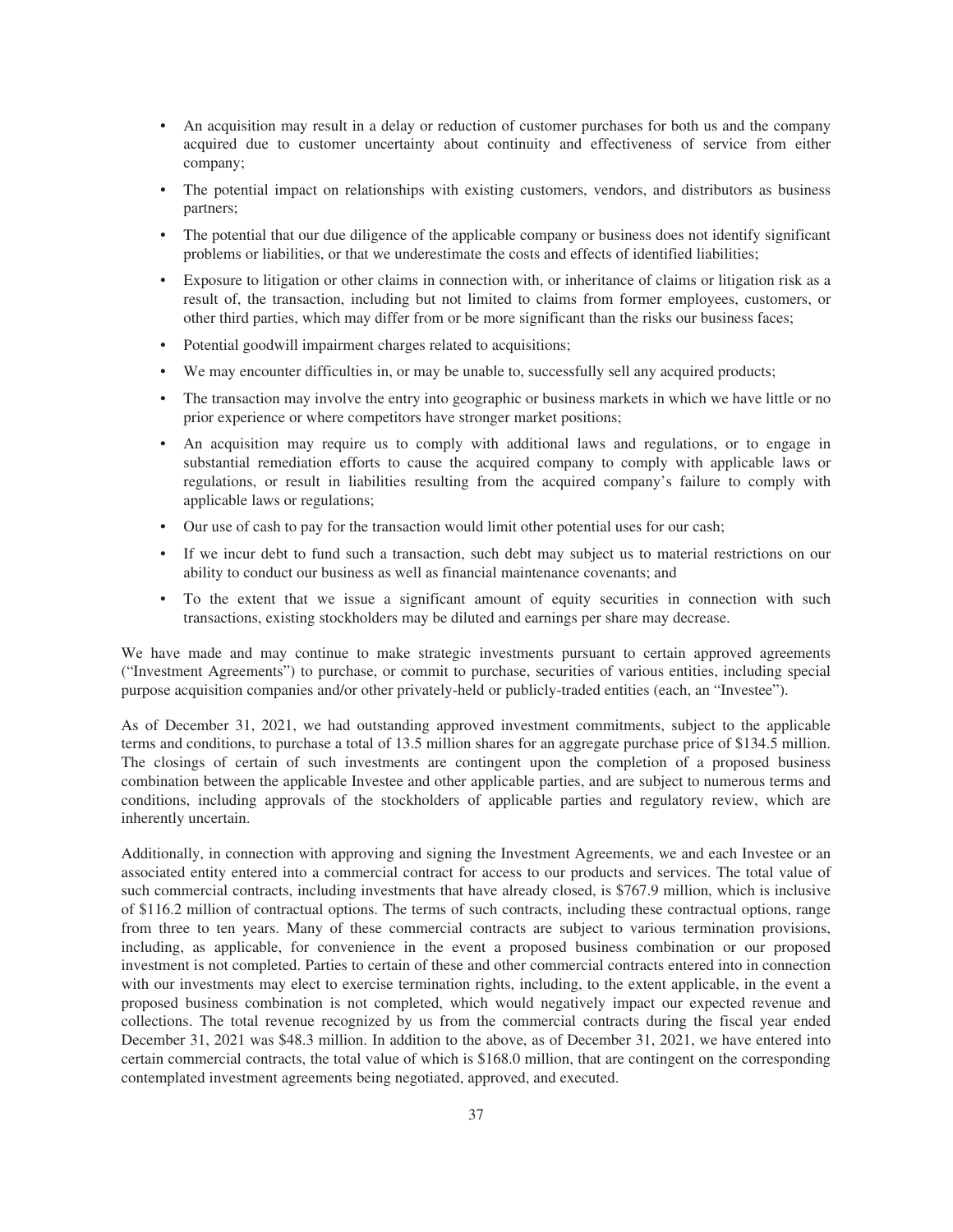- An acquisition may result in a delay or reduction of customer purchases for both us and the company acquired due to customer uncertainty about continuity and effectiveness of service from either company;
- The potential impact on relationships with existing customers, vendors, and distributors as business partners;
- The potential that our due diligence of the applicable company or business does not identify significant problems or liabilities, or that we underestimate the costs and effects of identified liabilities;
- Exposure to litigation or other claims in connection with, or inheritance of claims or litigation risk as a result of, the transaction, including but not limited to claims from former employees, customers, or other third parties, which may differ from or be more significant than the risks our business faces;
- Potential goodwill impairment charges related to acquisitions;
- We may encounter difficulties in, or may be unable to, successfully sell any acquired products;
- The transaction may involve the entry into geographic or business markets in which we have little or no prior experience or where competitors have stronger market positions;
- An acquisition may require us to comply with additional laws and regulations, or to engage in substantial remediation efforts to cause the acquired company to comply with applicable laws or regulations, or result in liabilities resulting from the acquired company's failure to comply with applicable laws or regulations;
- Our use of cash to pay for the transaction would limit other potential uses for our cash;
- If we incur debt to fund such a transaction, such debt may subject us to material restrictions on our ability to conduct our business as well as financial maintenance covenants; and
- To the extent that we issue a significant amount of equity securities in connection with such transactions, existing stockholders may be diluted and earnings per share may decrease.

We have made and may continue to make strategic investments pursuant to certain approved agreements ("Investment Agreements") to purchase, or commit to purchase, securities of various entities, including special purpose acquisition companies and/or other privately-held or publicly-traded entities (each, an "Investee").

As of December 31, 2021, we had outstanding approved investment commitments, subject to the applicable terms and conditions, to purchase a total of 13.5 million shares for an aggregate purchase price of \$134.5 million. The closings of certain of such investments are contingent upon the completion of a proposed business combination between the applicable Investee and other applicable parties, and are subject to numerous terms and conditions, including approvals of the stockholders of applicable parties and regulatory review, which are inherently uncertain.

Additionally, in connection with approving and signing the Investment Agreements, we and each Investee or an associated entity entered into a commercial contract for access to our products and services. The total value of such commercial contracts, including investments that have already closed, is \$767.9 million, which is inclusive of \$116.2 million of contractual options. The terms of such contracts, including these contractual options, range from three to ten years. Many of these commercial contracts are subject to various termination provisions, including, as applicable, for convenience in the event a proposed business combination or our proposed investment is not completed. Parties to certain of these and other commercial contracts entered into in connection with our investments may elect to exercise termination rights, including, to the extent applicable, in the event a proposed business combination is not completed, which would negatively impact our expected revenue and collections. The total revenue recognized by us from the commercial contracts during the fiscal year ended December 31, 2021 was \$48.3 million. In addition to the above, as of December 31, 2021, we have entered into certain commercial contracts, the total value of which is \$168.0 million, that are contingent on the corresponding contemplated investment agreements being negotiated, approved, and executed.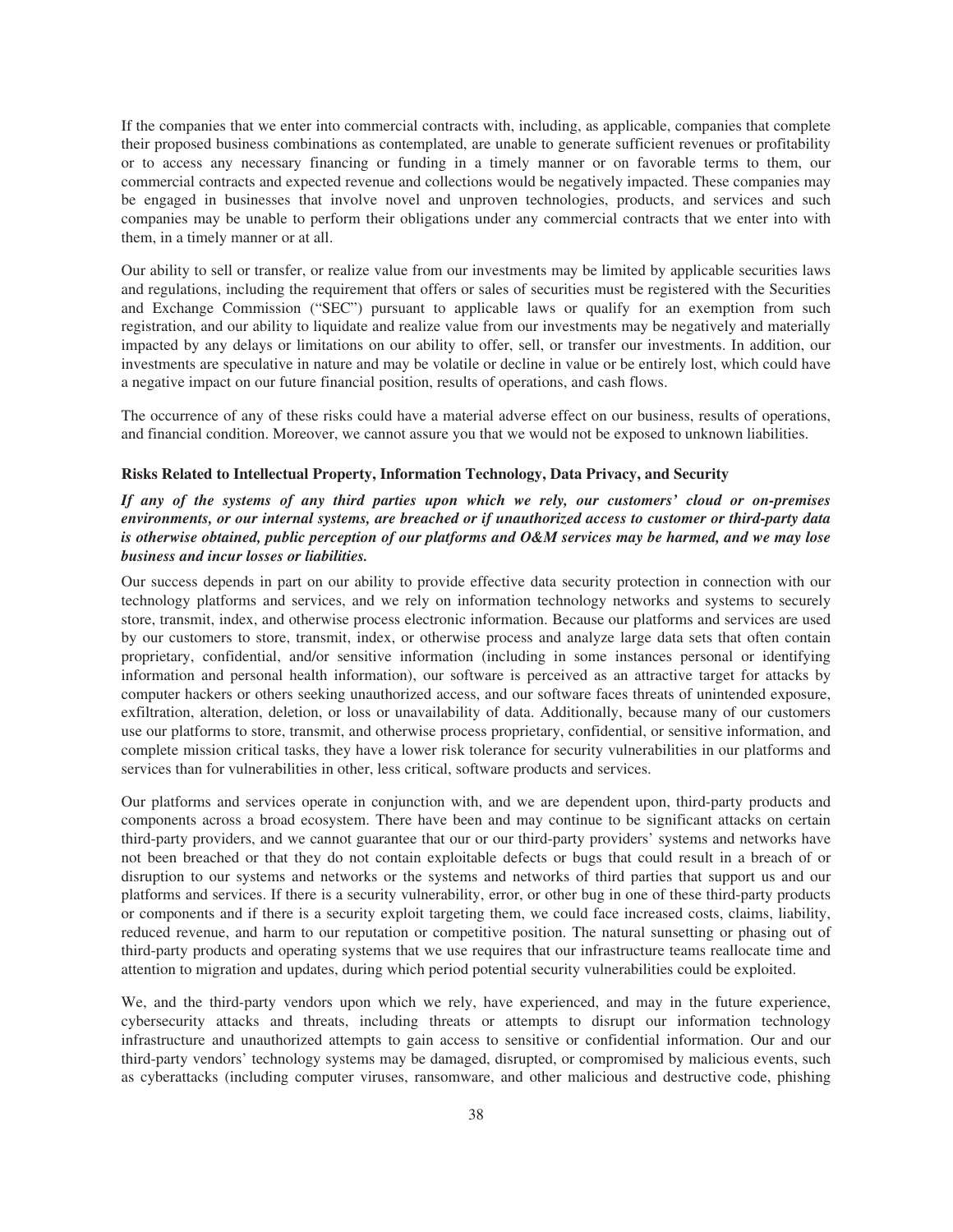If the companies that we enter into commercial contracts with, including, as applicable, companies that complete their proposed business combinations as contemplated, are unable to generate sufficient revenues or profitability or to access any necessary financing or funding in a timely manner or on favorable terms to them, our commercial contracts and expected revenue and collections would be negatively impacted. These companies may be engaged in businesses that involve novel and unproven technologies, products, and services and such companies may be unable to perform their obligations under any commercial contracts that we enter into with them, in a timely manner or at all.

Our ability to sell or transfer, or realize value from our investments may be limited by applicable securities laws and regulations, including the requirement that offers or sales of securities must be registered with the Securities and Exchange Commission ("SEC") pursuant to applicable laws or qualify for an exemption from such registration, and our ability to liquidate and realize value from our investments may be negatively and materially impacted by any delays or limitations on our ability to offer, sell, or transfer our investments. In addition, our investments are speculative in nature and may be volatile or decline in value or be entirely lost, which could have a negative impact on our future financial position, results of operations, and cash flows.

The occurrence of any of these risks could have a material adverse effect on our business, results of operations, and financial condition. Moreover, we cannot assure you that we would not be exposed to unknown liabilities.

## **Risks Related to Intellectual Property, Information Technology, Data Privacy, and Security**

*If any of the systems of any third parties upon which we rely, our customers' cloud or on-premises environments, or our internal systems, are breached or if unauthorized access to customer or third-party data is otherwise obtained, public perception of our platforms and O&M services may be harmed, and we may lose business and incur losses or liabilities.*

Our success depends in part on our ability to provide effective data security protection in connection with our technology platforms and services, and we rely on information technology networks and systems to securely store, transmit, index, and otherwise process electronic information. Because our platforms and services are used by our customers to store, transmit, index, or otherwise process and analyze large data sets that often contain proprietary, confidential, and/or sensitive information (including in some instances personal or identifying information and personal health information), our software is perceived as an attractive target for attacks by computer hackers or others seeking unauthorized access, and our software faces threats of unintended exposure, exfiltration, alteration, deletion, or loss or unavailability of data. Additionally, because many of our customers use our platforms to store, transmit, and otherwise process proprietary, confidential, or sensitive information, and complete mission critical tasks, they have a lower risk tolerance for security vulnerabilities in our platforms and services than for vulnerabilities in other, less critical, software products and services.

Our platforms and services operate in conjunction with, and we are dependent upon, third-party products and components across a broad ecosystem. There have been and may continue to be significant attacks on certain third-party providers, and we cannot guarantee that our or our third-party providers' systems and networks have not been breached or that they do not contain exploitable defects or bugs that could result in a breach of or disruption to our systems and networks or the systems and networks of third parties that support us and our platforms and services. If there is a security vulnerability, error, or other bug in one of these third-party products or components and if there is a security exploit targeting them, we could face increased costs, claims, liability, reduced revenue, and harm to our reputation or competitive position. The natural sunsetting or phasing out of third-party products and operating systems that we use requires that our infrastructure teams reallocate time and attention to migration and updates, during which period potential security vulnerabilities could be exploited.

We, and the third-party vendors upon which we rely, have experienced, and may in the future experience, cybersecurity attacks and threats, including threats or attempts to disrupt our information technology infrastructure and unauthorized attempts to gain access to sensitive or confidential information. Our and our third-party vendors' technology systems may be damaged, disrupted, or compromised by malicious events, such as cyberattacks (including computer viruses, ransomware, and other malicious and destructive code, phishing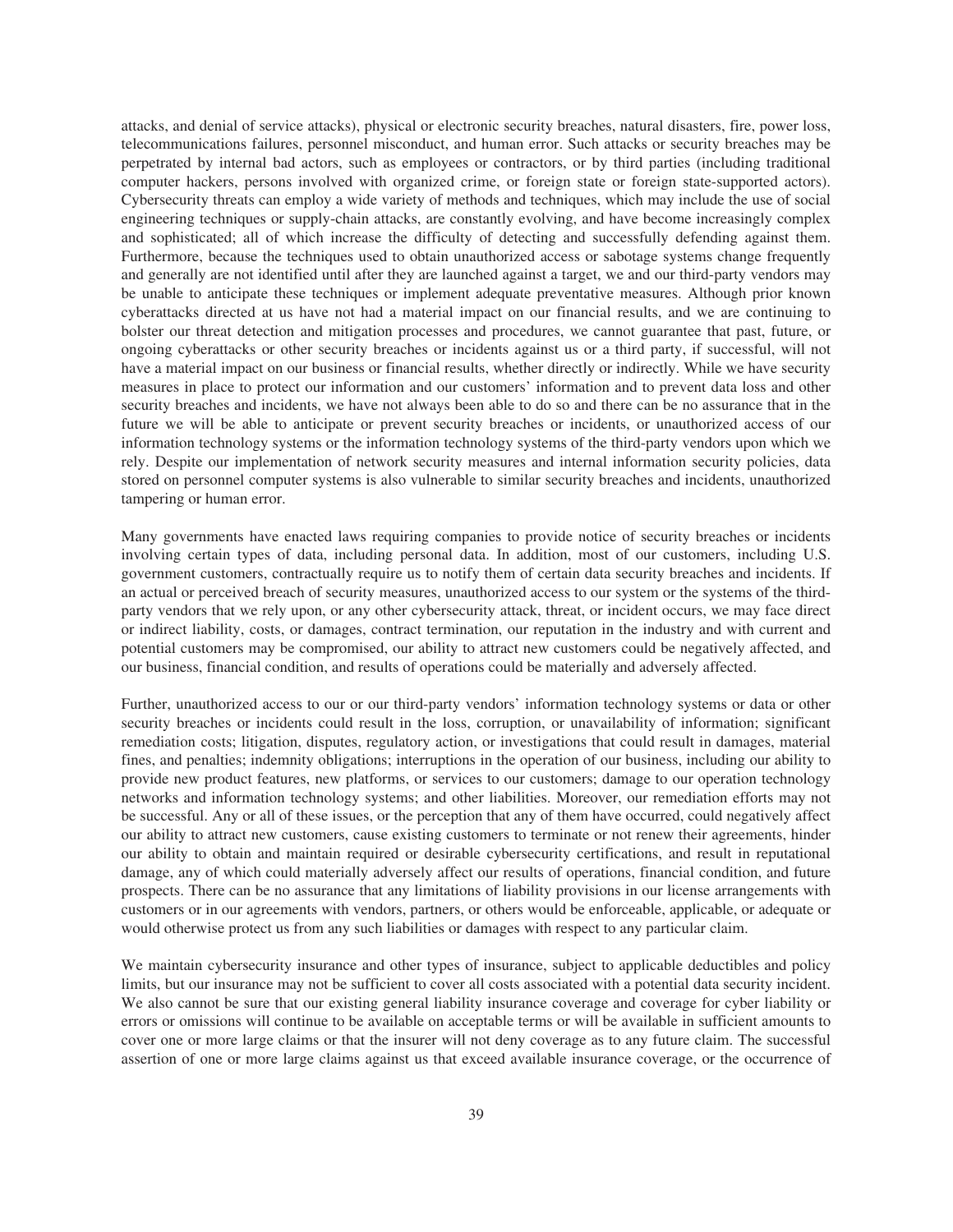attacks, and denial of service attacks), physical or electronic security breaches, natural disasters, fire, power loss, telecommunications failures, personnel misconduct, and human error. Such attacks or security breaches may be perpetrated by internal bad actors, such as employees or contractors, or by third parties (including traditional computer hackers, persons involved with organized crime, or foreign state or foreign state-supported actors). Cybersecurity threats can employ a wide variety of methods and techniques, which may include the use of social engineering techniques or supply-chain attacks, are constantly evolving, and have become increasingly complex and sophisticated; all of which increase the difficulty of detecting and successfully defending against them. Furthermore, because the techniques used to obtain unauthorized access or sabotage systems change frequently and generally are not identified until after they are launched against a target, we and our third-party vendors may be unable to anticipate these techniques or implement adequate preventative measures. Although prior known cyberattacks directed at us have not had a material impact on our financial results, and we are continuing to bolster our threat detection and mitigation processes and procedures, we cannot guarantee that past, future, or ongoing cyberattacks or other security breaches or incidents against us or a third party, if successful, will not have a material impact on our business or financial results, whether directly or indirectly. While we have security measures in place to protect our information and our customers' information and to prevent data loss and other security breaches and incidents, we have not always been able to do so and there can be no assurance that in the future we will be able to anticipate or prevent security breaches or incidents, or unauthorized access of our information technology systems or the information technology systems of the third-party vendors upon which we rely. Despite our implementation of network security measures and internal information security policies, data stored on personnel computer systems is also vulnerable to similar security breaches and incidents, unauthorized tampering or human error.

Many governments have enacted laws requiring companies to provide notice of security breaches or incidents involving certain types of data, including personal data. In addition, most of our customers, including U.S. government customers, contractually require us to notify them of certain data security breaches and incidents. If an actual or perceived breach of security measures, unauthorized access to our system or the systems of the thirdparty vendors that we rely upon, or any other cybersecurity attack, threat, or incident occurs, we may face direct or indirect liability, costs, or damages, contract termination, our reputation in the industry and with current and potential customers may be compromised, our ability to attract new customers could be negatively affected, and our business, financial condition, and results of operations could be materially and adversely affected.

Further, unauthorized access to our or our third-party vendors' information technology systems or data or other security breaches or incidents could result in the loss, corruption, or unavailability of information; significant remediation costs; litigation, disputes, regulatory action, or investigations that could result in damages, material fines, and penalties; indemnity obligations; interruptions in the operation of our business, including our ability to provide new product features, new platforms, or services to our customers; damage to our operation technology networks and information technology systems; and other liabilities. Moreover, our remediation efforts may not be successful. Any or all of these issues, or the perception that any of them have occurred, could negatively affect our ability to attract new customers, cause existing customers to terminate or not renew their agreements, hinder our ability to obtain and maintain required or desirable cybersecurity certifications, and result in reputational damage, any of which could materially adversely affect our results of operations, financial condition, and future prospects. There can be no assurance that any limitations of liability provisions in our license arrangements with customers or in our agreements with vendors, partners, or others would be enforceable, applicable, or adequate or would otherwise protect us from any such liabilities or damages with respect to any particular claim.

We maintain cybersecurity insurance and other types of insurance, subject to applicable deductibles and policy limits, but our insurance may not be sufficient to cover all costs associated with a potential data security incident. We also cannot be sure that our existing general liability insurance coverage and coverage for cyber liability or errors or omissions will continue to be available on acceptable terms or will be available in sufficient amounts to cover one or more large claims or that the insurer will not deny coverage as to any future claim. The successful assertion of one or more large claims against us that exceed available insurance coverage, or the occurrence of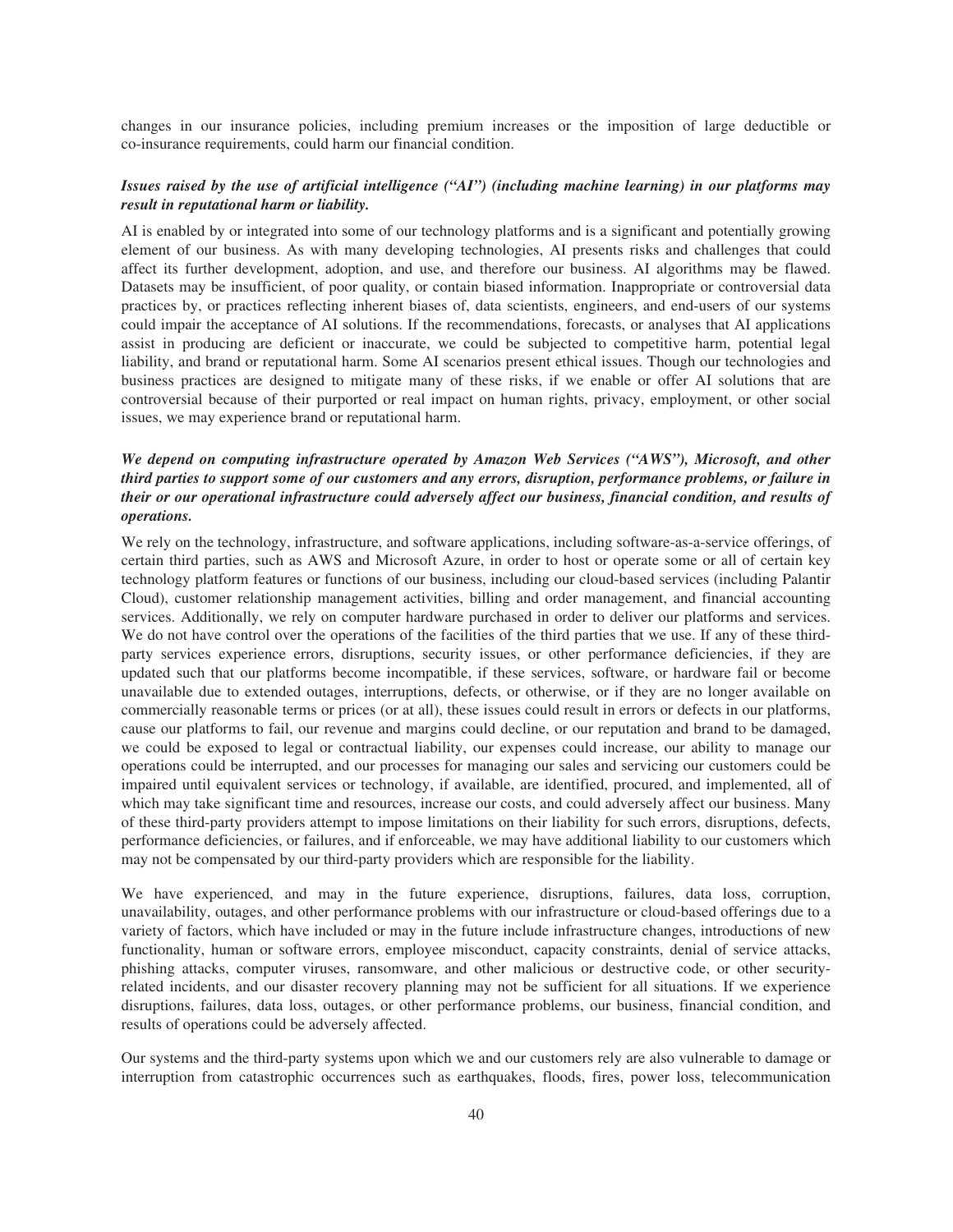changes in our insurance policies, including premium increases or the imposition of large deductible or co-insurance requirements, could harm our financial condition.

## *Issues raised by the use of artificial intelligence ("AI") (including machine learning) in our platforms may result in reputational harm or liability.*

AI is enabled by or integrated into some of our technology platforms and is a significant and potentially growing element of our business. As with many developing technologies, AI presents risks and challenges that could affect its further development, adoption, and use, and therefore our business. AI algorithms may be flawed. Datasets may be insufficient, of poor quality, or contain biased information. Inappropriate or controversial data practices by, or practices reflecting inherent biases of, data scientists, engineers, and end-users of our systems could impair the acceptance of AI solutions. If the recommendations, forecasts, or analyses that AI applications assist in producing are deficient or inaccurate, we could be subjected to competitive harm, potential legal liability, and brand or reputational harm. Some AI scenarios present ethical issues. Though our technologies and business practices are designed to mitigate many of these risks, if we enable or offer AI solutions that are controversial because of their purported or real impact on human rights, privacy, employment, or other social issues, we may experience brand or reputational harm.

# *We depend on computing infrastructure operated by Amazon Web Services ("AWS"), Microsoft, and other third parties to support some of our customers and any errors, disruption, performance problems, or failure in their or our operational infrastructure could adversely affect our business, financial condition, and results of operations.*

We rely on the technology, infrastructure, and software applications, including software-as-a-service offerings, of certain third parties, such as AWS and Microsoft Azure, in order to host or operate some or all of certain key technology platform features or functions of our business, including our cloud-based services (including Palantir Cloud), customer relationship management activities, billing and order management, and financial accounting services. Additionally, we rely on computer hardware purchased in order to deliver our platforms and services. We do not have control over the operations of the facilities of the third parties that we use. If any of these thirdparty services experience errors, disruptions, security issues, or other performance deficiencies, if they are updated such that our platforms become incompatible, if these services, software, or hardware fail or become unavailable due to extended outages, interruptions, defects, or otherwise, or if they are no longer available on commercially reasonable terms or prices (or at all), these issues could result in errors or defects in our platforms, cause our platforms to fail, our revenue and margins could decline, or our reputation and brand to be damaged, we could be exposed to legal or contractual liability, our expenses could increase, our ability to manage our operations could be interrupted, and our processes for managing our sales and servicing our customers could be impaired until equivalent services or technology, if available, are identified, procured, and implemented, all of which may take significant time and resources, increase our costs, and could adversely affect our business. Many of these third-party providers attempt to impose limitations on their liability for such errors, disruptions, defects, performance deficiencies, or failures, and if enforceable, we may have additional liability to our customers which may not be compensated by our third-party providers which are responsible for the liability.

We have experienced, and may in the future experience, disruptions, failures, data loss, corruption, unavailability, outages, and other performance problems with our infrastructure or cloud-based offerings due to a variety of factors, which have included or may in the future include infrastructure changes, introductions of new functionality, human or software errors, employee misconduct, capacity constraints, denial of service attacks, phishing attacks, computer viruses, ransomware, and other malicious or destructive code, or other securityrelated incidents, and our disaster recovery planning may not be sufficient for all situations. If we experience disruptions, failures, data loss, outages, or other performance problems, our business, financial condition, and results of operations could be adversely affected.

Our systems and the third-party systems upon which we and our customers rely are also vulnerable to damage or interruption from catastrophic occurrences such as earthquakes, floods, fires, power loss, telecommunication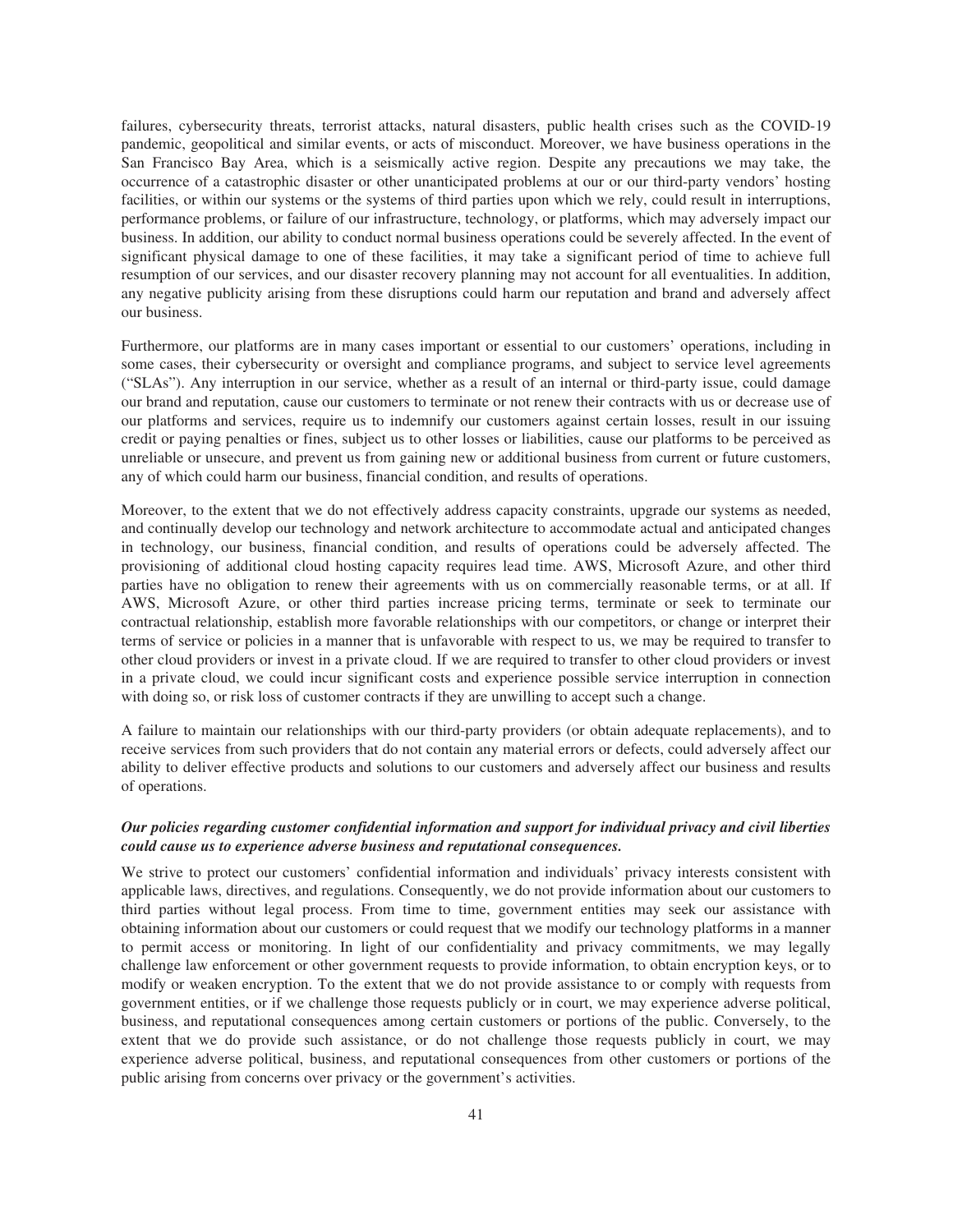failures, cybersecurity threats, terrorist attacks, natural disasters, public health crises such as the COVID-19 pandemic, geopolitical and similar events, or acts of misconduct. Moreover, we have business operations in the San Francisco Bay Area, which is a seismically active region. Despite any precautions we may take, the occurrence of a catastrophic disaster or other unanticipated problems at our or our third-party vendors' hosting facilities, or within our systems or the systems of third parties upon which we rely, could result in interruptions, performance problems, or failure of our infrastructure, technology, or platforms, which may adversely impact our business. In addition, our ability to conduct normal business operations could be severely affected. In the event of significant physical damage to one of these facilities, it may take a significant period of time to achieve full resumption of our services, and our disaster recovery planning may not account for all eventualities. In addition, any negative publicity arising from these disruptions could harm our reputation and brand and adversely affect our business.

Furthermore, our platforms are in many cases important or essential to our customers' operations, including in some cases, their cybersecurity or oversight and compliance programs, and subject to service level agreements ("SLAs"). Any interruption in our service, whether as a result of an internal or third-party issue, could damage our brand and reputation, cause our customers to terminate or not renew their contracts with us or decrease use of our platforms and services, require us to indemnify our customers against certain losses, result in our issuing credit or paying penalties or fines, subject us to other losses or liabilities, cause our platforms to be perceived as unreliable or unsecure, and prevent us from gaining new or additional business from current or future customers, any of which could harm our business, financial condition, and results of operations.

Moreover, to the extent that we do not effectively address capacity constraints, upgrade our systems as needed, and continually develop our technology and network architecture to accommodate actual and anticipated changes in technology, our business, financial condition, and results of operations could be adversely affected. The provisioning of additional cloud hosting capacity requires lead time. AWS, Microsoft Azure, and other third parties have no obligation to renew their agreements with us on commercially reasonable terms, or at all. If AWS, Microsoft Azure, or other third parties increase pricing terms, terminate or seek to terminate our contractual relationship, establish more favorable relationships with our competitors, or change or interpret their terms of service or policies in a manner that is unfavorable with respect to us, we may be required to transfer to other cloud providers or invest in a private cloud. If we are required to transfer to other cloud providers or invest in a private cloud, we could incur significant costs and experience possible service interruption in connection with doing so, or risk loss of customer contracts if they are unwilling to accept such a change.

A failure to maintain our relationships with our third-party providers (or obtain adequate replacements), and to receive services from such providers that do not contain any material errors or defects, could adversely affect our ability to deliver effective products and solutions to our customers and adversely affect our business and results of operations.

## *Our policies regarding customer confidential information and support for individual privacy and civil liberties could cause us to experience adverse business and reputational consequences.*

We strive to protect our customers' confidential information and individuals' privacy interests consistent with applicable laws, directives, and regulations. Consequently, we do not provide information about our customers to third parties without legal process. From time to time, government entities may seek our assistance with obtaining information about our customers or could request that we modify our technology platforms in a manner to permit access or monitoring. In light of our confidentiality and privacy commitments, we may legally challenge law enforcement or other government requests to provide information, to obtain encryption keys, or to modify or weaken encryption. To the extent that we do not provide assistance to or comply with requests from government entities, or if we challenge those requests publicly or in court, we may experience adverse political, business, and reputational consequences among certain customers or portions of the public. Conversely, to the extent that we do provide such assistance, or do not challenge those requests publicly in court, we may experience adverse political, business, and reputational consequences from other customers or portions of the public arising from concerns over privacy or the government's activities.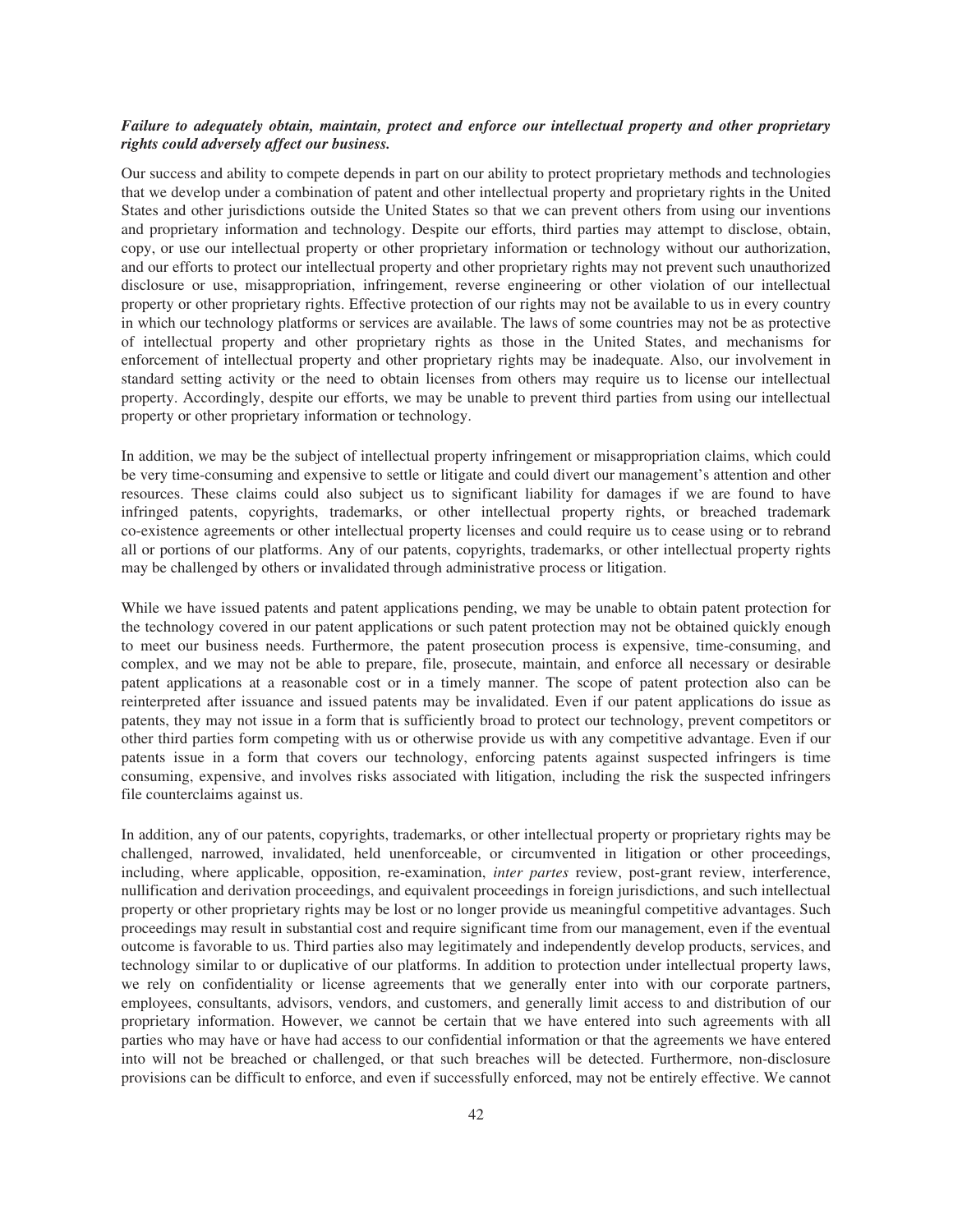## *Failure to adequately obtain, maintain, protect and enforce our intellectual property and other proprietary rights could adversely affect our business.*

Our success and ability to compete depends in part on our ability to protect proprietary methods and technologies that we develop under a combination of patent and other intellectual property and proprietary rights in the United States and other jurisdictions outside the United States so that we can prevent others from using our inventions and proprietary information and technology. Despite our efforts, third parties may attempt to disclose, obtain, copy, or use our intellectual property or other proprietary information or technology without our authorization, and our efforts to protect our intellectual property and other proprietary rights may not prevent such unauthorized disclosure or use, misappropriation, infringement, reverse engineering or other violation of our intellectual property or other proprietary rights. Effective protection of our rights may not be available to us in every country in which our technology platforms or services are available. The laws of some countries may not be as protective of intellectual property and other proprietary rights as those in the United States, and mechanisms for enforcement of intellectual property and other proprietary rights may be inadequate. Also, our involvement in standard setting activity or the need to obtain licenses from others may require us to license our intellectual property. Accordingly, despite our efforts, we may be unable to prevent third parties from using our intellectual property or other proprietary information or technology.

In addition, we may be the subject of intellectual property infringement or misappropriation claims, which could be very time-consuming and expensive to settle or litigate and could divert our management's attention and other resources. These claims could also subject us to significant liability for damages if we are found to have infringed patents, copyrights, trademarks, or other intellectual property rights, or breached trademark co-existence agreements or other intellectual property licenses and could require us to cease using or to rebrand all or portions of our platforms. Any of our patents, copyrights, trademarks, or other intellectual property rights may be challenged by others or invalidated through administrative process or litigation.

While we have issued patents and patent applications pending, we may be unable to obtain patent protection for the technology covered in our patent applications or such patent protection may not be obtained quickly enough to meet our business needs. Furthermore, the patent prosecution process is expensive, time-consuming, and complex, and we may not be able to prepare, file, prosecute, maintain, and enforce all necessary or desirable patent applications at a reasonable cost or in a timely manner. The scope of patent protection also can be reinterpreted after issuance and issued patents may be invalidated. Even if our patent applications do issue as patents, they may not issue in a form that is sufficiently broad to protect our technology, prevent competitors or other third parties form competing with us or otherwise provide us with any competitive advantage. Even if our patents issue in a form that covers our technology, enforcing patents against suspected infringers is time consuming, expensive, and involves risks associated with litigation, including the risk the suspected infringers file counterclaims against us.

In addition, any of our patents, copyrights, trademarks, or other intellectual property or proprietary rights may be challenged, narrowed, invalidated, held unenforceable, or circumvented in litigation or other proceedings, including, where applicable, opposition, re-examination, *inter partes* review, post-grant review, interference, nullification and derivation proceedings, and equivalent proceedings in foreign jurisdictions, and such intellectual property or other proprietary rights may be lost or no longer provide us meaningful competitive advantages. Such proceedings may result in substantial cost and require significant time from our management, even if the eventual outcome is favorable to us. Third parties also may legitimately and independently develop products, services, and technology similar to or duplicative of our platforms. In addition to protection under intellectual property laws, we rely on confidentiality or license agreements that we generally enter into with our corporate partners, employees, consultants, advisors, vendors, and customers, and generally limit access to and distribution of our proprietary information. However, we cannot be certain that we have entered into such agreements with all parties who may have or have had access to our confidential information or that the agreements we have entered into will not be breached or challenged, or that such breaches will be detected. Furthermore, non-disclosure provisions can be difficult to enforce, and even if successfully enforced, may not be entirely effective. We cannot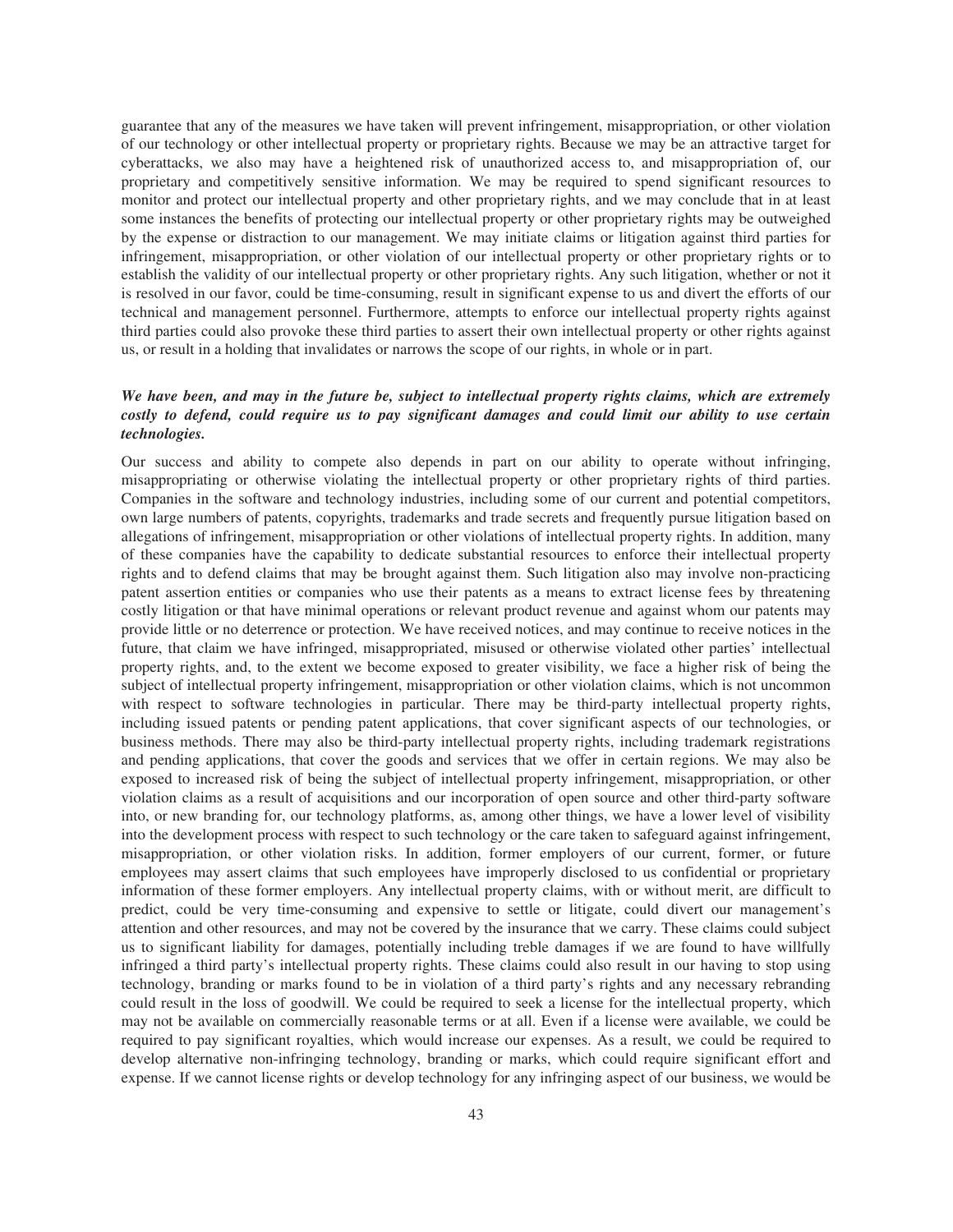guarantee that any of the measures we have taken will prevent infringement, misappropriation, or other violation of our technology or other intellectual property or proprietary rights. Because we may be an attractive target for cyberattacks, we also may have a heightened risk of unauthorized access to, and misappropriation of, our proprietary and competitively sensitive information. We may be required to spend significant resources to monitor and protect our intellectual property and other proprietary rights, and we may conclude that in at least some instances the benefits of protecting our intellectual property or other proprietary rights may be outweighed by the expense or distraction to our management. We may initiate claims or litigation against third parties for infringement, misappropriation, or other violation of our intellectual property or other proprietary rights or to establish the validity of our intellectual property or other proprietary rights. Any such litigation, whether or not it is resolved in our favor, could be time-consuming, result in significant expense to us and divert the efforts of our technical and management personnel. Furthermore, attempts to enforce our intellectual property rights against third parties could also provoke these third parties to assert their own intellectual property or other rights against us, or result in a holding that invalidates or narrows the scope of our rights, in whole or in part.

# *We have been, and may in the future be, subject to intellectual property rights claims, which are extremely costly to defend, could require us to pay significant damages and could limit our ability to use certain technologies.*

Our success and ability to compete also depends in part on our ability to operate without infringing, misappropriating or otherwise violating the intellectual property or other proprietary rights of third parties. Companies in the software and technology industries, including some of our current and potential competitors, own large numbers of patents, copyrights, trademarks and trade secrets and frequently pursue litigation based on allegations of infringement, misappropriation or other violations of intellectual property rights. In addition, many of these companies have the capability to dedicate substantial resources to enforce their intellectual property rights and to defend claims that may be brought against them. Such litigation also may involve non-practicing patent assertion entities or companies who use their patents as a means to extract license fees by threatening costly litigation or that have minimal operations or relevant product revenue and against whom our patents may provide little or no deterrence or protection. We have received notices, and may continue to receive notices in the future, that claim we have infringed, misappropriated, misused or otherwise violated other parties' intellectual property rights, and, to the extent we become exposed to greater visibility, we face a higher risk of being the subject of intellectual property infringement, misappropriation or other violation claims, which is not uncommon with respect to software technologies in particular. There may be third-party intellectual property rights, including issued patents or pending patent applications, that cover significant aspects of our technologies, or business methods. There may also be third-party intellectual property rights, including trademark registrations and pending applications, that cover the goods and services that we offer in certain regions. We may also be exposed to increased risk of being the subject of intellectual property infringement, misappropriation, or other violation claims as a result of acquisitions and our incorporation of open source and other third-party software into, or new branding for, our technology platforms, as, among other things, we have a lower level of visibility into the development process with respect to such technology or the care taken to safeguard against infringement, misappropriation, or other violation risks. In addition, former employers of our current, former, or future employees may assert claims that such employees have improperly disclosed to us confidential or proprietary information of these former employers. Any intellectual property claims, with or without merit, are difficult to predict, could be very time-consuming and expensive to settle or litigate, could divert our management's attention and other resources, and may not be covered by the insurance that we carry. These claims could subject us to significant liability for damages, potentially including treble damages if we are found to have willfully infringed a third party's intellectual property rights. These claims could also result in our having to stop using technology, branding or marks found to be in violation of a third party's rights and any necessary rebranding could result in the loss of goodwill. We could be required to seek a license for the intellectual property, which may not be available on commercially reasonable terms or at all. Even if a license were available, we could be required to pay significant royalties, which would increase our expenses. As a result, we could be required to develop alternative non-infringing technology, branding or marks, which could require significant effort and expense. If we cannot license rights or develop technology for any infringing aspect of our business, we would be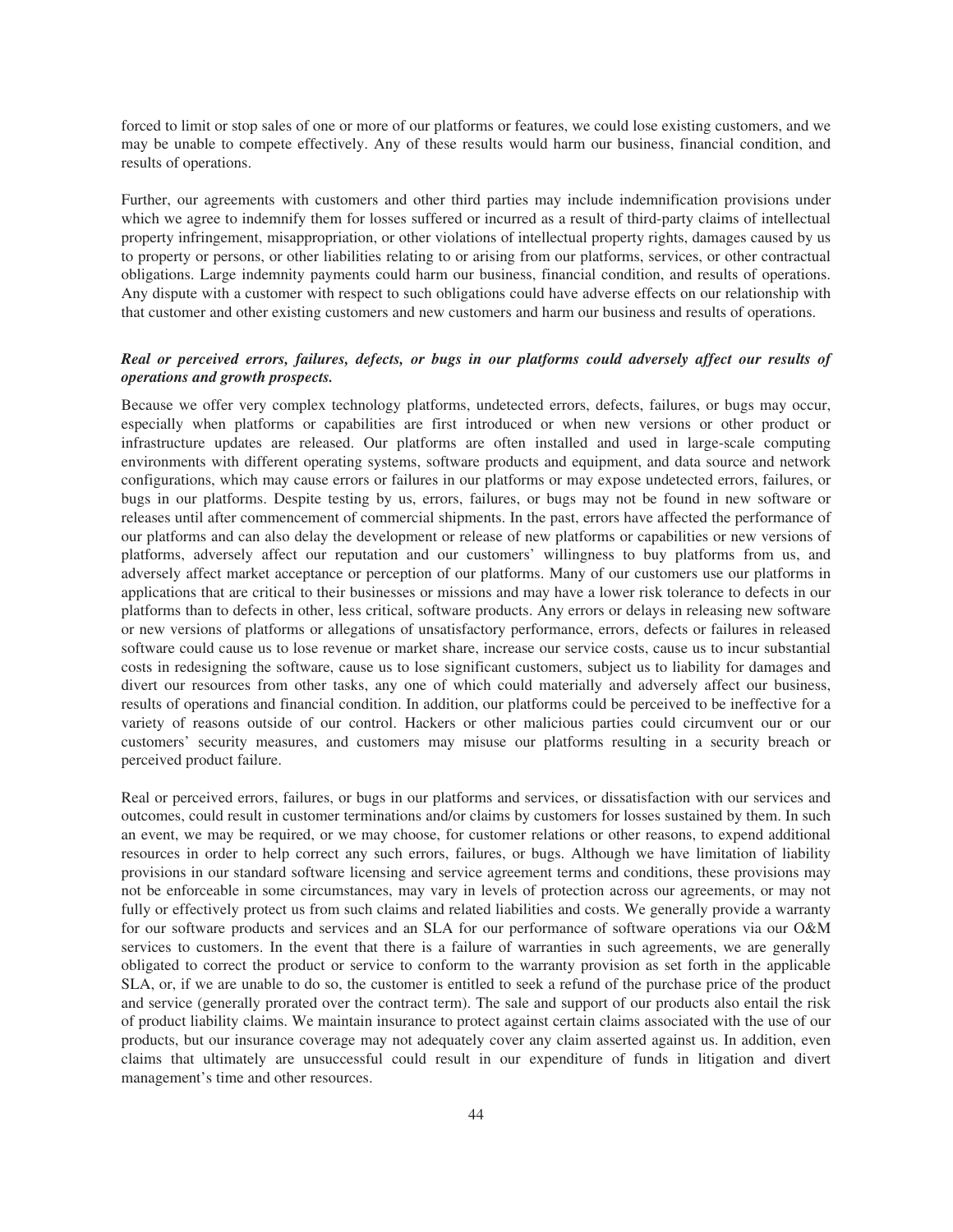forced to limit or stop sales of one or more of our platforms or features, we could lose existing customers, and we may be unable to compete effectively. Any of these results would harm our business, financial condition, and results of operations.

Further, our agreements with customers and other third parties may include indemnification provisions under which we agree to indemnify them for losses suffered or incurred as a result of third-party claims of intellectual property infringement, misappropriation, or other violations of intellectual property rights, damages caused by us to property or persons, or other liabilities relating to or arising from our platforms, services, or other contractual obligations. Large indemnity payments could harm our business, financial condition, and results of operations. Any dispute with a customer with respect to such obligations could have adverse effects on our relationship with that customer and other existing customers and new customers and harm our business and results of operations.

## *Real or perceived errors, failures, defects, or bugs in our platforms could adversely affect our results of operations and growth prospects.*

Because we offer very complex technology platforms, undetected errors, defects, failures, or bugs may occur, especially when platforms or capabilities are first introduced or when new versions or other product or infrastructure updates are released. Our platforms are often installed and used in large-scale computing environments with different operating systems, software products and equipment, and data source and network configurations, which may cause errors or failures in our platforms or may expose undetected errors, failures, or bugs in our platforms. Despite testing by us, errors, failures, or bugs may not be found in new software or releases until after commencement of commercial shipments. In the past, errors have affected the performance of our platforms and can also delay the development or release of new platforms or capabilities or new versions of platforms, adversely affect our reputation and our customers' willingness to buy platforms from us, and adversely affect market acceptance or perception of our platforms. Many of our customers use our platforms in applications that are critical to their businesses or missions and may have a lower risk tolerance to defects in our platforms than to defects in other, less critical, software products. Any errors or delays in releasing new software or new versions of platforms or allegations of unsatisfactory performance, errors, defects or failures in released software could cause us to lose revenue or market share, increase our service costs, cause us to incur substantial costs in redesigning the software, cause us to lose significant customers, subject us to liability for damages and divert our resources from other tasks, any one of which could materially and adversely affect our business, results of operations and financial condition. In addition, our platforms could be perceived to be ineffective for a variety of reasons outside of our control. Hackers or other malicious parties could circumvent our or our customers' security measures, and customers may misuse our platforms resulting in a security breach or perceived product failure.

Real or perceived errors, failures, or bugs in our platforms and services, or dissatisfaction with our services and outcomes, could result in customer terminations and/or claims by customers for losses sustained by them. In such an event, we may be required, or we may choose, for customer relations or other reasons, to expend additional resources in order to help correct any such errors, failures, or bugs. Although we have limitation of liability provisions in our standard software licensing and service agreement terms and conditions, these provisions may not be enforceable in some circumstances, may vary in levels of protection across our agreements, or may not fully or effectively protect us from such claims and related liabilities and costs. We generally provide a warranty for our software products and services and an SLA for our performance of software operations via our O&M services to customers. In the event that there is a failure of warranties in such agreements, we are generally obligated to correct the product or service to conform to the warranty provision as set forth in the applicable SLA, or, if we are unable to do so, the customer is entitled to seek a refund of the purchase price of the product and service (generally prorated over the contract term). The sale and support of our products also entail the risk of product liability claims. We maintain insurance to protect against certain claims associated with the use of our products, but our insurance coverage may not adequately cover any claim asserted against us. In addition, even claims that ultimately are unsuccessful could result in our expenditure of funds in litigation and divert management's time and other resources.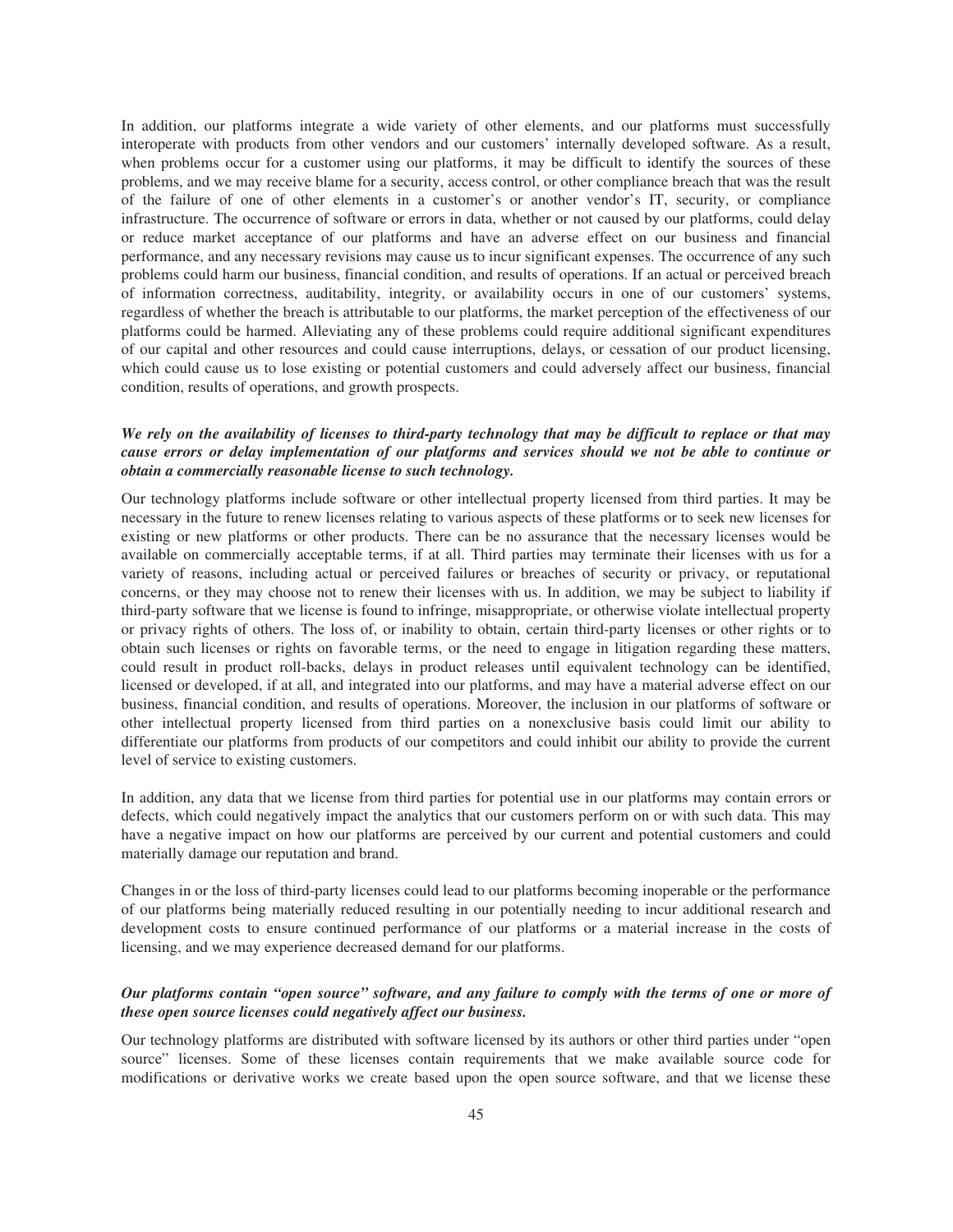In addition, our platforms integrate a wide variety of other elements, and our platforms must successfully interoperate with products from other vendors and our customers' internally developed software. As a result, when problems occur for a customer using our platforms, it may be difficult to identify the sources of these problems, and we may receive blame for a security, access control, or other compliance breach that was the result of the failure of one of other elements in a customer's or another vendor's IT, security, or compliance infrastructure. The occurrence of software or errors in data, whether or not caused by our platforms, could delay or reduce market acceptance of our platforms and have an adverse effect on our business and financial performance, and any necessary revisions may cause us to incur significant expenses. The occurrence of any such problems could harm our business, financial condition, and results of operations. If an actual or perceived breach of information correctness, auditability, integrity, or availability occurs in one of our customers' systems, regardless of whether the breach is attributable to our platforms, the market perception of the effectiveness of our platforms could be harmed. Alleviating any of these problems could require additional significant expenditures of our capital and other resources and could cause interruptions, delays, or cessation of our product licensing, which could cause us to lose existing or potential customers and could adversely affect our business, financial condition, results of operations, and growth prospects.

## *We rely on the availability of licenses to third-party technology that may be difficult to replace or that may cause errors or delay implementation of our platforms and services should we not be able to continue or obtain a commercially reasonable license to such technology.*

Our technology platforms include software or other intellectual property licensed from third parties. It may be necessary in the future to renew licenses relating to various aspects of these platforms or to seek new licenses for existing or new platforms or other products. There can be no assurance that the necessary licenses would be available on commercially acceptable terms, if at all. Third parties may terminate their licenses with us for a variety of reasons, including actual or perceived failures or breaches of security or privacy, or reputational concerns, or they may choose not to renew their licenses with us. In addition, we may be subject to liability if third-party software that we license is found to infringe, misappropriate, or otherwise violate intellectual property or privacy rights of others. The loss of, or inability to obtain, certain third-party licenses or other rights or to obtain such licenses or rights on favorable terms, or the need to engage in litigation regarding these matters, could result in product roll-backs, delays in product releases until equivalent technology can be identified, licensed or developed, if at all, and integrated into our platforms, and may have a material adverse effect on our business, financial condition, and results of operations. Moreover, the inclusion in our platforms of software or other intellectual property licensed from third parties on a nonexclusive basis could limit our ability to differentiate our platforms from products of our competitors and could inhibit our ability to provide the current level of service to existing customers.

In addition, any data that we license from third parties for potential use in our platforms may contain errors or defects, which could negatively impact the analytics that our customers perform on or with such data. This may have a negative impact on how our platforms are perceived by our current and potential customers and could materially damage our reputation and brand.

Changes in or the loss of third-party licenses could lead to our platforms becoming inoperable or the performance of our platforms being materially reduced resulting in our potentially needing to incur additional research and development costs to ensure continued performance of our platforms or a material increase in the costs of licensing, and we may experience decreased demand for our platforms.

# *Our platforms contain "open source" software, and any failure to comply with the terms of one or more of these open source licenses could negatively affect our business.*

Our technology platforms are distributed with software licensed by its authors or other third parties under "open source" licenses. Some of these licenses contain requirements that we make available source code for modifications or derivative works we create based upon the open source software, and that we license these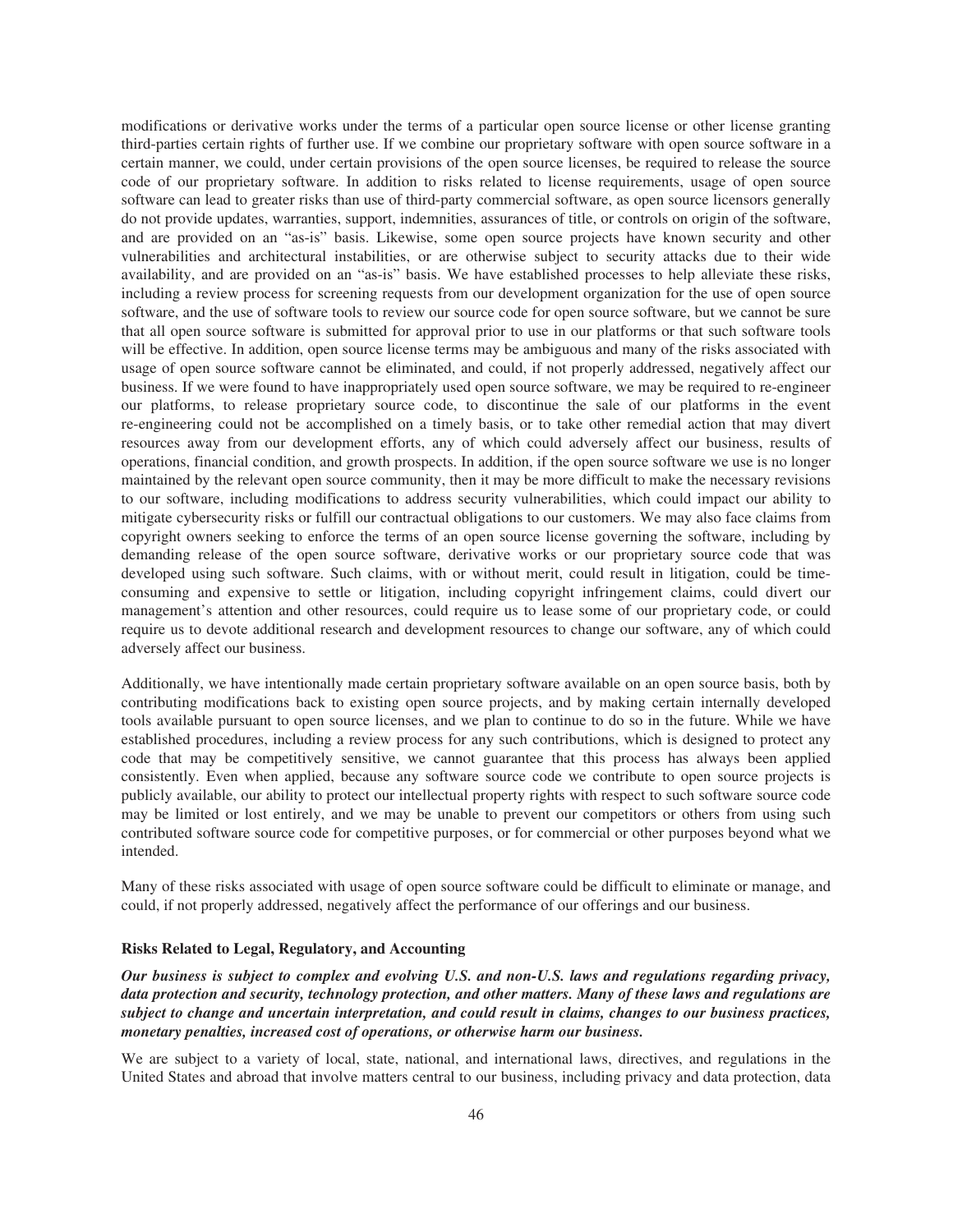modifications or derivative works under the terms of a particular open source license or other license granting third-parties certain rights of further use. If we combine our proprietary software with open source software in a certain manner, we could, under certain provisions of the open source licenses, be required to release the source code of our proprietary software. In addition to risks related to license requirements, usage of open source software can lead to greater risks than use of third-party commercial software, as open source licensors generally do not provide updates, warranties, support, indemnities, assurances of title, or controls on origin of the software, and are provided on an "as-is" basis. Likewise, some open source projects have known security and other vulnerabilities and architectural instabilities, or are otherwise subject to security attacks due to their wide availability, and are provided on an "as-is" basis. We have established processes to help alleviate these risks, including a review process for screening requests from our development organization for the use of open source software, and the use of software tools to review our source code for open source software, but we cannot be sure that all open source software is submitted for approval prior to use in our platforms or that such software tools will be effective. In addition, open source license terms may be ambiguous and many of the risks associated with usage of open source software cannot be eliminated, and could, if not properly addressed, negatively affect our business. If we were found to have inappropriately used open source software, we may be required to re-engineer our platforms, to release proprietary source code, to discontinue the sale of our platforms in the event re-engineering could not be accomplished on a timely basis, or to take other remedial action that may divert resources away from our development efforts, any of which could adversely affect our business, results of operations, financial condition, and growth prospects. In addition, if the open source software we use is no longer maintained by the relevant open source community, then it may be more difficult to make the necessary revisions to our software, including modifications to address security vulnerabilities, which could impact our ability to mitigate cybersecurity risks or fulfill our contractual obligations to our customers. We may also face claims from copyright owners seeking to enforce the terms of an open source license governing the software, including by demanding release of the open source software, derivative works or our proprietary source code that was developed using such software. Such claims, with or without merit, could result in litigation, could be timeconsuming and expensive to settle or litigation, including copyright infringement claims, could divert our management's attention and other resources, could require us to lease some of our proprietary code, or could require us to devote additional research and development resources to change our software, any of which could adversely affect our business.

Additionally, we have intentionally made certain proprietary software available on an open source basis, both by contributing modifications back to existing open source projects, and by making certain internally developed tools available pursuant to open source licenses, and we plan to continue to do so in the future. While we have established procedures, including a review process for any such contributions, which is designed to protect any code that may be competitively sensitive, we cannot guarantee that this process has always been applied consistently. Even when applied, because any software source code we contribute to open source projects is publicly available, our ability to protect our intellectual property rights with respect to such software source code may be limited or lost entirely, and we may be unable to prevent our competitors or others from using such contributed software source code for competitive purposes, or for commercial or other purposes beyond what we intended.

Many of these risks associated with usage of open source software could be difficult to eliminate or manage, and could, if not properly addressed, negatively affect the performance of our offerings and our business.

#### **Risks Related to Legal, Regulatory, and Accounting**

*Our business is subject to complex and evolving U.S. and non-U.S. laws and regulations regarding privacy, data protection and security, technology protection, and other matters. Many of these laws and regulations are subject to change and uncertain interpretation, and could result in claims, changes to our business practices, monetary penalties, increased cost of operations, or otherwise harm our business.*

We are subject to a variety of local, state, national, and international laws, directives, and regulations in the United States and abroad that involve matters central to our business, including privacy and data protection, data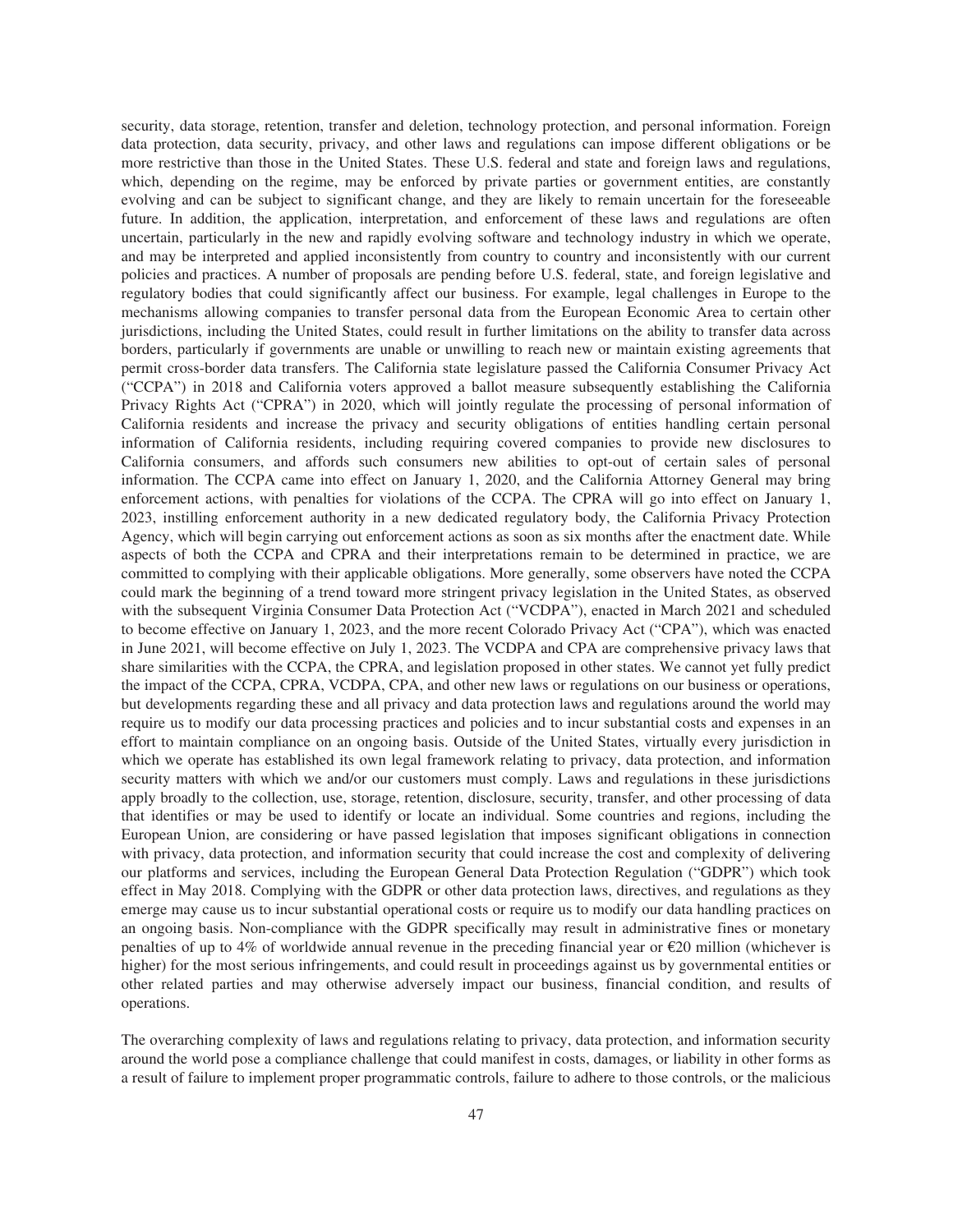security, data storage, retention, transfer and deletion, technology protection, and personal information. Foreign data protection, data security, privacy, and other laws and regulations can impose different obligations or be more restrictive than those in the United States. These U.S. federal and state and foreign laws and regulations, which, depending on the regime, may be enforced by private parties or government entities, are constantly evolving and can be subject to significant change, and they are likely to remain uncertain for the foreseeable future. In addition, the application, interpretation, and enforcement of these laws and regulations are often uncertain, particularly in the new and rapidly evolving software and technology industry in which we operate, and may be interpreted and applied inconsistently from country to country and inconsistently with our current policies and practices. A number of proposals are pending before U.S. federal, state, and foreign legislative and regulatory bodies that could significantly affect our business. For example, legal challenges in Europe to the mechanisms allowing companies to transfer personal data from the European Economic Area to certain other jurisdictions, including the United States, could result in further limitations on the ability to transfer data across borders, particularly if governments are unable or unwilling to reach new or maintain existing agreements that permit cross-border data transfers. The California state legislature passed the California Consumer Privacy Act ("CCPA") in 2018 and California voters approved a ballot measure subsequently establishing the California Privacy Rights Act ("CPRA") in 2020, which will jointly regulate the processing of personal information of California residents and increase the privacy and security obligations of entities handling certain personal information of California residents, including requiring covered companies to provide new disclosures to California consumers, and affords such consumers new abilities to opt-out of certain sales of personal information. The CCPA came into effect on January 1, 2020, and the California Attorney General may bring enforcement actions, with penalties for violations of the CCPA. The CPRA will go into effect on January 1, 2023, instilling enforcement authority in a new dedicated regulatory body, the California Privacy Protection Agency, which will begin carrying out enforcement actions as soon as six months after the enactment date. While aspects of both the CCPA and CPRA and their interpretations remain to be determined in practice, we are committed to complying with their applicable obligations. More generally, some observers have noted the CCPA could mark the beginning of a trend toward more stringent privacy legislation in the United States, as observed with the subsequent Virginia Consumer Data Protection Act ("VCDPA"), enacted in March 2021 and scheduled to become effective on January 1, 2023, and the more recent Colorado Privacy Act ("CPA"), which was enacted in June 2021, will become effective on July 1, 2023. The VCDPA and CPA are comprehensive privacy laws that share similarities with the CCPA, the CPRA, and legislation proposed in other states. We cannot yet fully predict the impact of the CCPA, CPRA, VCDPA, CPA, and other new laws or regulations on our business or operations, but developments regarding these and all privacy and data protection laws and regulations around the world may require us to modify our data processing practices and policies and to incur substantial costs and expenses in an effort to maintain compliance on an ongoing basis. Outside of the United States, virtually every jurisdiction in which we operate has established its own legal framework relating to privacy, data protection, and information security matters with which we and/or our customers must comply. Laws and regulations in these jurisdictions apply broadly to the collection, use, storage, retention, disclosure, security, transfer, and other processing of data that identifies or may be used to identify or locate an individual. Some countries and regions, including the European Union, are considering or have passed legislation that imposes significant obligations in connection with privacy, data protection, and information security that could increase the cost and complexity of delivering our platforms and services, including the European General Data Protection Regulation ("GDPR") which took effect in May 2018. Complying with the GDPR or other data protection laws, directives, and regulations as they emerge may cause us to incur substantial operational costs or require us to modify our data handling practices on an ongoing basis. Non-compliance with the GDPR specifically may result in administrative fines or monetary penalties of up to 4% of worldwide annual revenue in the preceding financial year or  $\epsilon$ 20 million (whichever is higher) for the most serious infringements, and could result in proceedings against us by governmental entities or other related parties and may otherwise adversely impact our business, financial condition, and results of operations.

The overarching complexity of laws and regulations relating to privacy, data protection, and information security around the world pose a compliance challenge that could manifest in costs, damages, or liability in other forms as a result of failure to implement proper programmatic controls, failure to adhere to those controls, or the malicious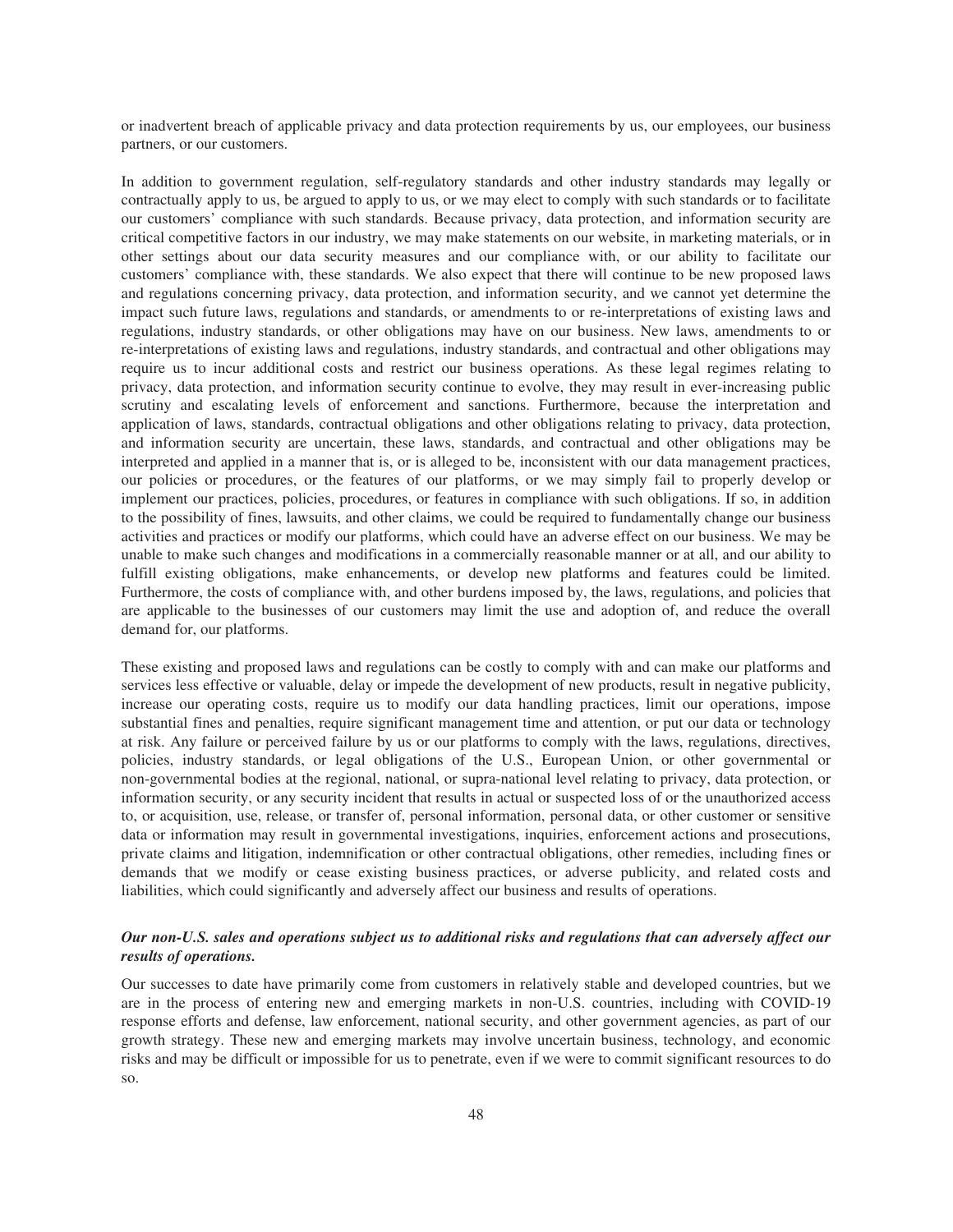or inadvertent breach of applicable privacy and data protection requirements by us, our employees, our business partners, or our customers.

In addition to government regulation, self-regulatory standards and other industry standards may legally or contractually apply to us, be argued to apply to us, or we may elect to comply with such standards or to facilitate our customers' compliance with such standards. Because privacy, data protection, and information security are critical competitive factors in our industry, we may make statements on our website, in marketing materials, or in other settings about our data security measures and our compliance with, or our ability to facilitate our customers' compliance with, these standards. We also expect that there will continue to be new proposed laws and regulations concerning privacy, data protection, and information security, and we cannot yet determine the impact such future laws, regulations and standards, or amendments to or re-interpretations of existing laws and regulations, industry standards, or other obligations may have on our business. New laws, amendments to or re-interpretations of existing laws and regulations, industry standards, and contractual and other obligations may require us to incur additional costs and restrict our business operations. As these legal regimes relating to privacy, data protection, and information security continue to evolve, they may result in ever-increasing public scrutiny and escalating levels of enforcement and sanctions. Furthermore, because the interpretation and application of laws, standards, contractual obligations and other obligations relating to privacy, data protection, and information security are uncertain, these laws, standards, and contractual and other obligations may be interpreted and applied in a manner that is, or is alleged to be, inconsistent with our data management practices, our policies or procedures, or the features of our platforms, or we may simply fail to properly develop or implement our practices, policies, procedures, or features in compliance with such obligations. If so, in addition to the possibility of fines, lawsuits, and other claims, we could be required to fundamentally change our business activities and practices or modify our platforms, which could have an adverse effect on our business. We may be unable to make such changes and modifications in a commercially reasonable manner or at all, and our ability to fulfill existing obligations, make enhancements, or develop new platforms and features could be limited. Furthermore, the costs of compliance with, and other burdens imposed by, the laws, regulations, and policies that are applicable to the businesses of our customers may limit the use and adoption of, and reduce the overall demand for, our platforms.

These existing and proposed laws and regulations can be costly to comply with and can make our platforms and services less effective or valuable, delay or impede the development of new products, result in negative publicity, increase our operating costs, require us to modify our data handling practices, limit our operations, impose substantial fines and penalties, require significant management time and attention, or put our data or technology at risk. Any failure or perceived failure by us or our platforms to comply with the laws, regulations, directives, policies, industry standards, or legal obligations of the U.S., European Union, or other governmental or non-governmental bodies at the regional, national, or supra-national level relating to privacy, data protection, or information security, or any security incident that results in actual or suspected loss of or the unauthorized access to, or acquisition, use, release, or transfer of, personal information, personal data, or other customer or sensitive data or information may result in governmental investigations, inquiries, enforcement actions and prosecutions, private claims and litigation, indemnification or other contractual obligations, other remedies, including fines or demands that we modify or cease existing business practices, or adverse publicity, and related costs and liabilities, which could significantly and adversely affect our business and results of operations.

### *Our non-U.S. sales and operations subject us to additional risks and regulations that can adversely affect our results of operations.*

Our successes to date have primarily come from customers in relatively stable and developed countries, but we are in the process of entering new and emerging markets in non-U.S. countries, including with COVID-19 response efforts and defense, law enforcement, national security, and other government agencies, as part of our growth strategy. These new and emerging markets may involve uncertain business, technology, and economic risks and may be difficult or impossible for us to penetrate, even if we were to commit significant resources to do so.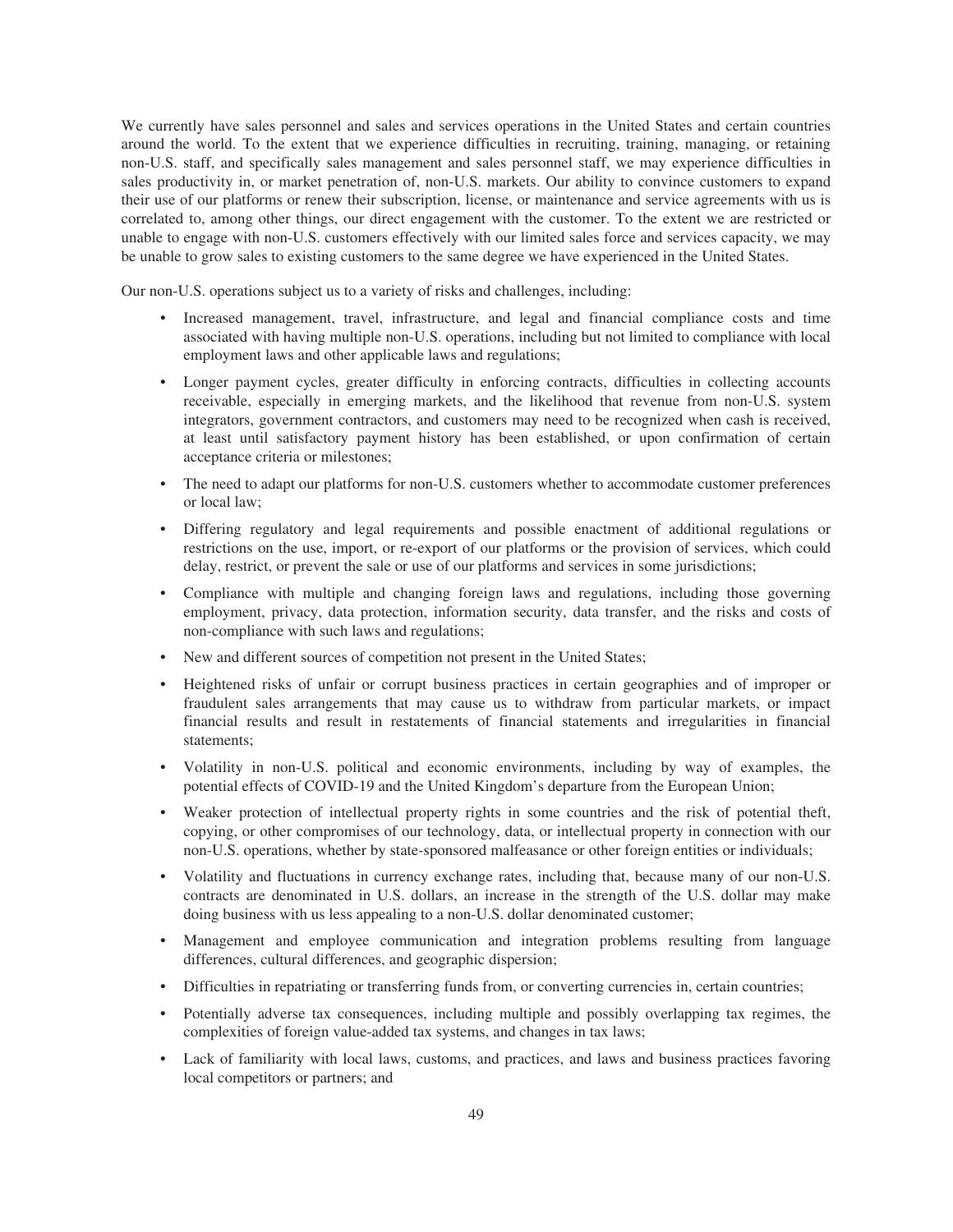We currently have sales personnel and sales and services operations in the United States and certain countries around the world. To the extent that we experience difficulties in recruiting, training, managing, or retaining non-U.S. staff, and specifically sales management and sales personnel staff, we may experience difficulties in sales productivity in, or market penetration of, non-U.S. markets. Our ability to convince customers to expand their use of our platforms or renew their subscription, license, or maintenance and service agreements with us is correlated to, among other things, our direct engagement with the customer. To the extent we are restricted or unable to engage with non-U.S. customers effectively with our limited sales force and services capacity, we may be unable to grow sales to existing customers to the same degree we have experienced in the United States.

Our non-U.S. operations subject us to a variety of risks and challenges, including:

- Increased management, travel, infrastructure, and legal and financial compliance costs and time associated with having multiple non-U.S. operations, including but not limited to compliance with local employment laws and other applicable laws and regulations;
- Longer payment cycles, greater difficulty in enforcing contracts, difficulties in collecting accounts receivable, especially in emerging markets, and the likelihood that revenue from non-U.S. system integrators, government contractors, and customers may need to be recognized when cash is received, at least until satisfactory payment history has been established, or upon confirmation of certain acceptance criteria or milestones;
- The need to adapt our platforms for non-U.S. customers whether to accommodate customer preferences or local law;
- Differing regulatory and legal requirements and possible enactment of additional regulations or restrictions on the use, import, or re-export of our platforms or the provision of services, which could delay, restrict, or prevent the sale or use of our platforms and services in some jurisdictions;
- Compliance with multiple and changing foreign laws and regulations, including those governing employment, privacy, data protection, information security, data transfer, and the risks and costs of non-compliance with such laws and regulations;
- New and different sources of competition not present in the United States;
- Heightened risks of unfair or corrupt business practices in certain geographies and of improper or fraudulent sales arrangements that may cause us to withdraw from particular markets, or impact financial results and result in restatements of financial statements and irregularities in financial statements;
- Volatility in non-U.S. political and economic environments, including by way of examples, the potential effects of COVID-19 and the United Kingdom's departure from the European Union;
- Weaker protection of intellectual property rights in some countries and the risk of potential theft, copying, or other compromises of our technology, data, or intellectual property in connection with our non-U.S. operations, whether by state-sponsored malfeasance or other foreign entities or individuals;
- Volatility and fluctuations in currency exchange rates, including that, because many of our non-U.S. contracts are denominated in U.S. dollars, an increase in the strength of the U.S. dollar may make doing business with us less appealing to a non-U.S. dollar denominated customer;
- Management and employee communication and integration problems resulting from language differences, cultural differences, and geographic dispersion;
- Difficulties in repatriating or transferring funds from, or converting currencies in, certain countries;
- Potentially adverse tax consequences, including multiple and possibly overlapping tax regimes, the complexities of foreign value-added tax systems, and changes in tax laws;
- Lack of familiarity with local laws, customs, and practices, and laws and business practices favoring local competitors or partners; and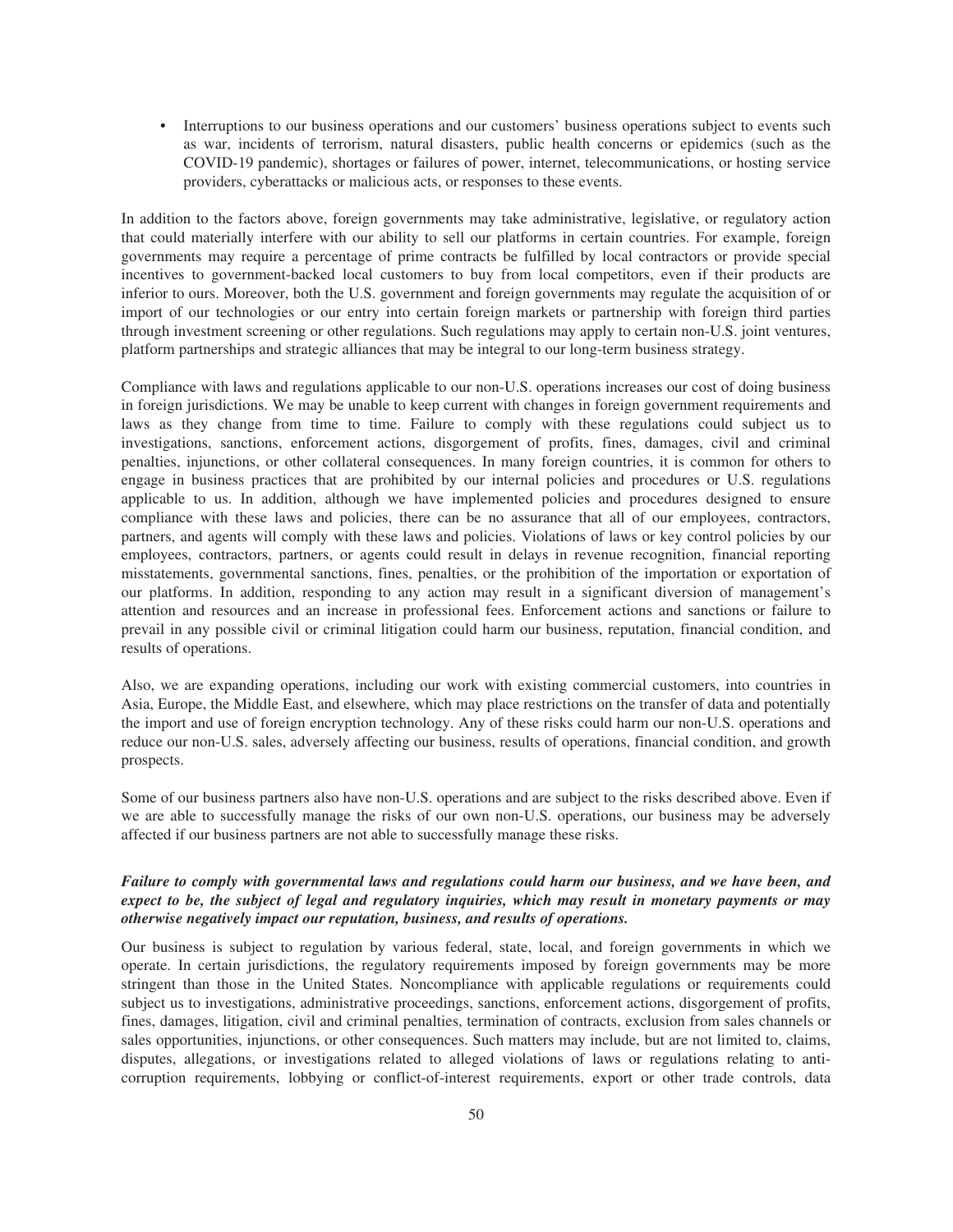• Interruptions to our business operations and our customers' business operations subject to events such as war, incidents of terrorism, natural disasters, public health concerns or epidemics (such as the COVID-19 pandemic), shortages or failures of power, internet, telecommunications, or hosting service providers, cyberattacks or malicious acts, or responses to these events.

In addition to the factors above, foreign governments may take administrative, legislative, or regulatory action that could materially interfere with our ability to sell our platforms in certain countries. For example, foreign governments may require a percentage of prime contracts be fulfilled by local contractors or provide special incentives to government-backed local customers to buy from local competitors, even if their products are inferior to ours. Moreover, both the U.S. government and foreign governments may regulate the acquisition of or import of our technologies or our entry into certain foreign markets or partnership with foreign third parties through investment screening or other regulations. Such regulations may apply to certain non-U.S. joint ventures, platform partnerships and strategic alliances that may be integral to our long-term business strategy.

Compliance with laws and regulations applicable to our non-U.S. operations increases our cost of doing business in foreign jurisdictions. We may be unable to keep current with changes in foreign government requirements and laws as they change from time to time. Failure to comply with these regulations could subject us to investigations, sanctions, enforcement actions, disgorgement of profits, fines, damages, civil and criminal penalties, injunctions, or other collateral consequences. In many foreign countries, it is common for others to engage in business practices that are prohibited by our internal policies and procedures or U.S. regulations applicable to us. In addition, although we have implemented policies and procedures designed to ensure compliance with these laws and policies, there can be no assurance that all of our employees, contractors, partners, and agents will comply with these laws and policies. Violations of laws or key control policies by our employees, contractors, partners, or agents could result in delays in revenue recognition, financial reporting misstatements, governmental sanctions, fines, penalties, or the prohibition of the importation or exportation of our platforms. In addition, responding to any action may result in a significant diversion of management's attention and resources and an increase in professional fees. Enforcement actions and sanctions or failure to prevail in any possible civil or criminal litigation could harm our business, reputation, financial condition, and results of operations.

Also, we are expanding operations, including our work with existing commercial customers, into countries in Asia, Europe, the Middle East, and elsewhere, which may place restrictions on the transfer of data and potentially the import and use of foreign encryption technology. Any of these risks could harm our non-U.S. operations and reduce our non-U.S. sales, adversely affecting our business, results of operations, financial condition, and growth prospects.

Some of our business partners also have non-U.S. operations and are subject to the risks described above. Even if we are able to successfully manage the risks of our own non-U.S. operations, our business may be adversely affected if our business partners are not able to successfully manage these risks.

# *Failure to comply with governmental laws and regulations could harm our business, and we have been, and expect to be, the subject of legal and regulatory inquiries, which may result in monetary payments or may otherwise negatively impact our reputation, business, and results of operations.*

Our business is subject to regulation by various federal, state, local, and foreign governments in which we operate. In certain jurisdictions, the regulatory requirements imposed by foreign governments may be more stringent than those in the United States. Noncompliance with applicable regulations or requirements could subject us to investigations, administrative proceedings, sanctions, enforcement actions, disgorgement of profits, fines, damages, litigation, civil and criminal penalties, termination of contracts, exclusion from sales channels or sales opportunities, injunctions, or other consequences. Such matters may include, but are not limited to, claims, disputes, allegations, or investigations related to alleged violations of laws or regulations relating to anticorruption requirements, lobbying or conflict-of-interest requirements, export or other trade controls, data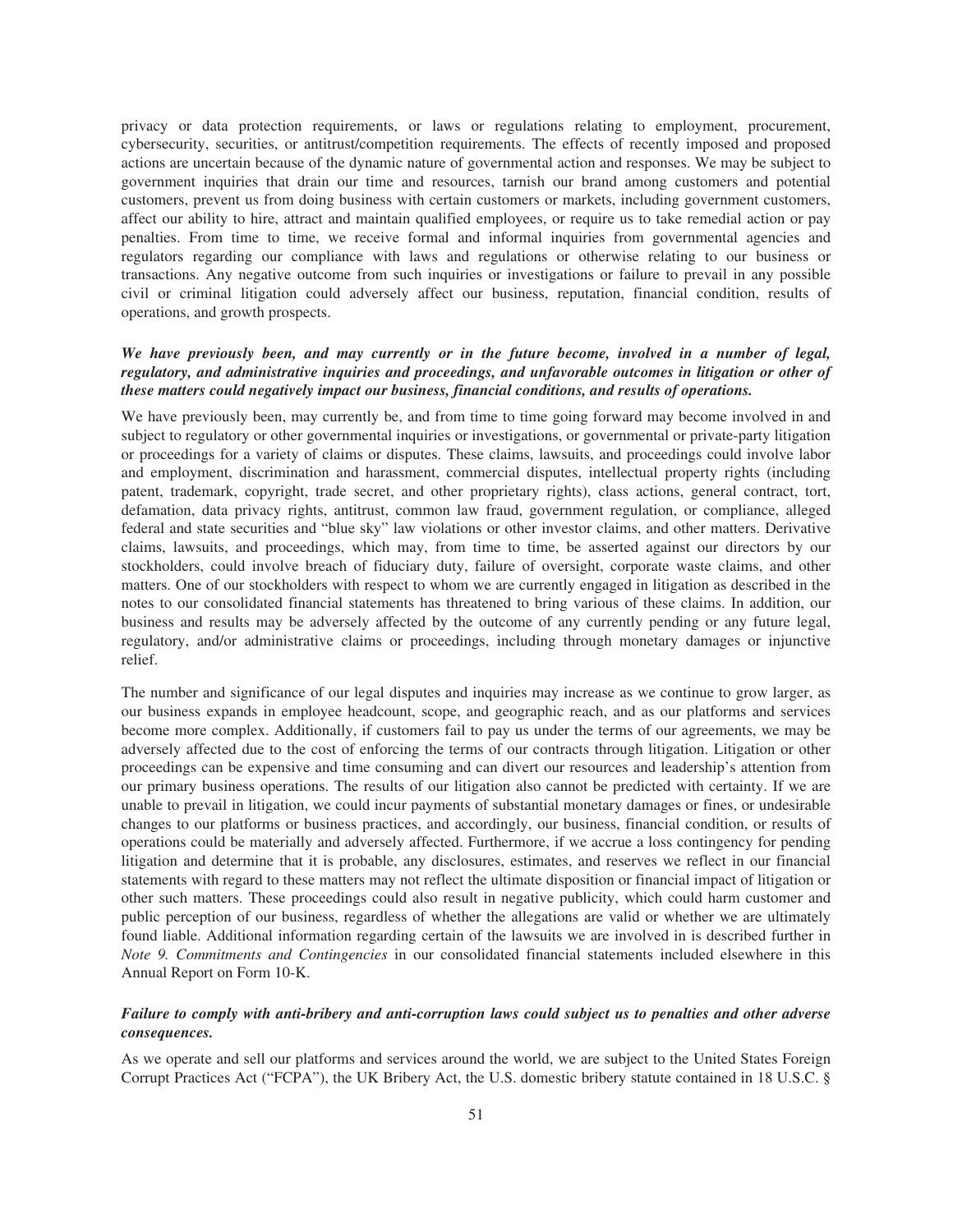privacy or data protection requirements, or laws or regulations relating to employment, procurement, cybersecurity, securities, or antitrust/competition requirements. The effects of recently imposed and proposed actions are uncertain because of the dynamic nature of governmental action and responses. We may be subject to government inquiries that drain our time and resources, tarnish our brand among customers and potential customers, prevent us from doing business with certain customers or markets, including government customers, affect our ability to hire, attract and maintain qualified employees, or require us to take remedial action or pay penalties. From time to time, we receive formal and informal inquiries from governmental agencies and regulators regarding our compliance with laws and regulations or otherwise relating to our business or transactions. Any negative outcome from such inquiries or investigations or failure to prevail in any possible civil or criminal litigation could adversely affect our business, reputation, financial condition, results of operations, and growth prospects.

# *We have previously been, and may currently or in the future become, involved in a number of legal, regulatory, and administrative inquiries and proceedings, and unfavorable outcomes in litigation or other of these matters could negatively impact our business, financial conditions, and results of operations.*

We have previously been, may currently be, and from time to time going forward may become involved in and subject to regulatory or other governmental inquiries or investigations, or governmental or private-party litigation or proceedings for a variety of claims or disputes. These claims, lawsuits, and proceedings could involve labor and employment, discrimination and harassment, commercial disputes, intellectual property rights (including patent, trademark, copyright, trade secret, and other proprietary rights), class actions, general contract, tort, defamation, data privacy rights, antitrust, common law fraud, government regulation, or compliance, alleged federal and state securities and "blue sky" law violations or other investor claims, and other matters. Derivative claims, lawsuits, and proceedings, which may, from time to time, be asserted against our directors by our stockholders, could involve breach of fiduciary duty, failure of oversight, corporate waste claims, and other matters. One of our stockholders with respect to whom we are currently engaged in litigation as described in the notes to our consolidated financial statements has threatened to bring various of these claims. In addition, our business and results may be adversely affected by the outcome of any currently pending or any future legal, regulatory, and/or administrative claims or proceedings, including through monetary damages or injunctive relief.

The number and significance of our legal disputes and inquiries may increase as we continue to grow larger, as our business expands in employee headcount, scope, and geographic reach, and as our platforms and services become more complex. Additionally, if customers fail to pay us under the terms of our agreements, we may be adversely affected due to the cost of enforcing the terms of our contracts through litigation. Litigation or other proceedings can be expensive and time consuming and can divert our resources and leadership's attention from our primary business operations. The results of our litigation also cannot be predicted with certainty. If we are unable to prevail in litigation, we could incur payments of substantial monetary damages or fines, or undesirable changes to our platforms or business practices, and accordingly, our business, financial condition, or results of operations could be materially and adversely affected. Furthermore, if we accrue a loss contingency for pending litigation and determine that it is probable, any disclosures, estimates, and reserves we reflect in our financial statements with regard to these matters may not reflect the ultimate disposition or financial impact of litigation or other such matters. These proceedings could also result in negative publicity, which could harm customer and public perception of our business, regardless of whether the allegations are valid or whether we are ultimately found liable. Additional information regarding certain of the lawsuits we are involved in is described further in *Note 9. Commitments and Contingencies* in our consolidated financial statements included elsewhere in this Annual Report on Form 10-K.

### *Failure to comply with anti-bribery and anti-corruption laws could subject us to penalties and other adverse consequences.*

As we operate and sell our platforms and services around the world, we are subject to the United States Foreign Corrupt Practices Act ("FCPA"), the UK Bribery Act, the U.S. domestic bribery statute contained in 18 U.S.C. §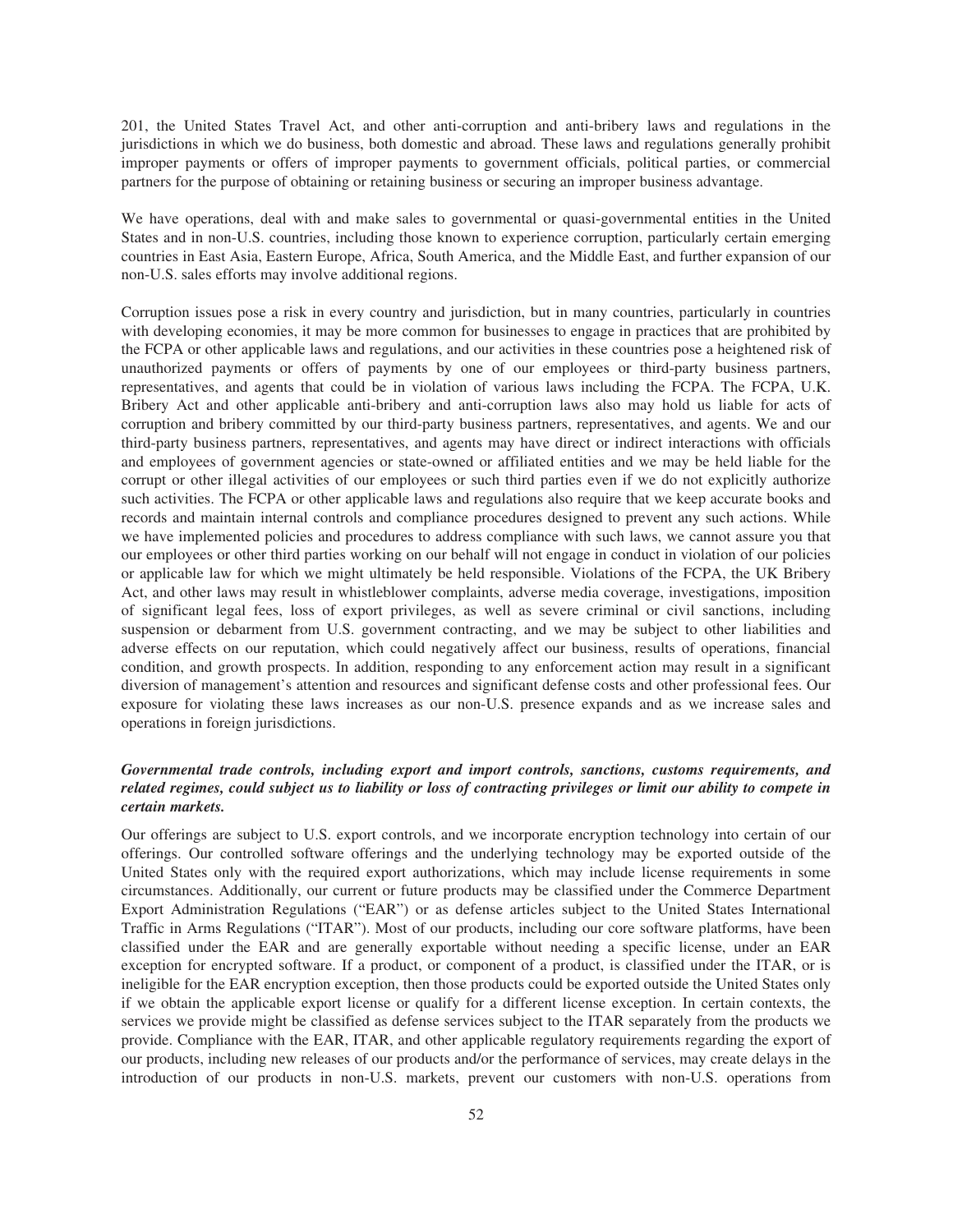201, the United States Travel Act, and other anti-corruption and anti-bribery laws and regulations in the jurisdictions in which we do business, both domestic and abroad. These laws and regulations generally prohibit improper payments or offers of improper payments to government officials, political parties, or commercial partners for the purpose of obtaining or retaining business or securing an improper business advantage.

We have operations, deal with and make sales to governmental or quasi-governmental entities in the United States and in non-U.S. countries, including those known to experience corruption, particularly certain emerging countries in East Asia, Eastern Europe, Africa, South America, and the Middle East, and further expansion of our non-U.S. sales efforts may involve additional regions.

Corruption issues pose a risk in every country and jurisdiction, but in many countries, particularly in countries with developing economies, it may be more common for businesses to engage in practices that are prohibited by the FCPA or other applicable laws and regulations, and our activities in these countries pose a heightened risk of unauthorized payments or offers of payments by one of our employees or third-party business partners, representatives, and agents that could be in violation of various laws including the FCPA. The FCPA, U.K. Bribery Act and other applicable anti-bribery and anti-corruption laws also may hold us liable for acts of corruption and bribery committed by our third-party business partners, representatives, and agents. We and our third-party business partners, representatives, and agents may have direct or indirect interactions with officials and employees of government agencies or state-owned or affiliated entities and we may be held liable for the corrupt or other illegal activities of our employees or such third parties even if we do not explicitly authorize such activities. The FCPA or other applicable laws and regulations also require that we keep accurate books and records and maintain internal controls and compliance procedures designed to prevent any such actions. While we have implemented policies and procedures to address compliance with such laws, we cannot assure you that our employees or other third parties working on our behalf will not engage in conduct in violation of our policies or applicable law for which we might ultimately be held responsible. Violations of the FCPA, the UK Bribery Act, and other laws may result in whistleblower complaints, adverse media coverage, investigations, imposition of significant legal fees, loss of export privileges, as well as severe criminal or civil sanctions, including suspension or debarment from U.S. government contracting, and we may be subject to other liabilities and adverse effects on our reputation, which could negatively affect our business, results of operations, financial condition, and growth prospects. In addition, responding to any enforcement action may result in a significant diversion of management's attention and resources and significant defense costs and other professional fees. Our exposure for violating these laws increases as our non-U.S. presence expands and as we increase sales and operations in foreign jurisdictions.

# *Governmental trade controls, including export and import controls, sanctions, customs requirements, and related regimes, could subject us to liability or loss of contracting privileges or limit our ability to compete in certain markets.*

Our offerings are subject to U.S. export controls, and we incorporate encryption technology into certain of our offerings. Our controlled software offerings and the underlying technology may be exported outside of the United States only with the required export authorizations, which may include license requirements in some circumstances. Additionally, our current or future products may be classified under the Commerce Department Export Administration Regulations ("EAR") or as defense articles subject to the United States International Traffic in Arms Regulations ("ITAR"). Most of our products, including our core software platforms, have been classified under the EAR and are generally exportable without needing a specific license, under an EAR exception for encrypted software. If a product, or component of a product, is classified under the ITAR, or is ineligible for the EAR encryption exception, then those products could be exported outside the United States only if we obtain the applicable export license or qualify for a different license exception. In certain contexts, the services we provide might be classified as defense services subject to the ITAR separately from the products we provide. Compliance with the EAR, ITAR, and other applicable regulatory requirements regarding the export of our products, including new releases of our products and/or the performance of services, may create delays in the introduction of our products in non-U.S. markets, prevent our customers with non-U.S. operations from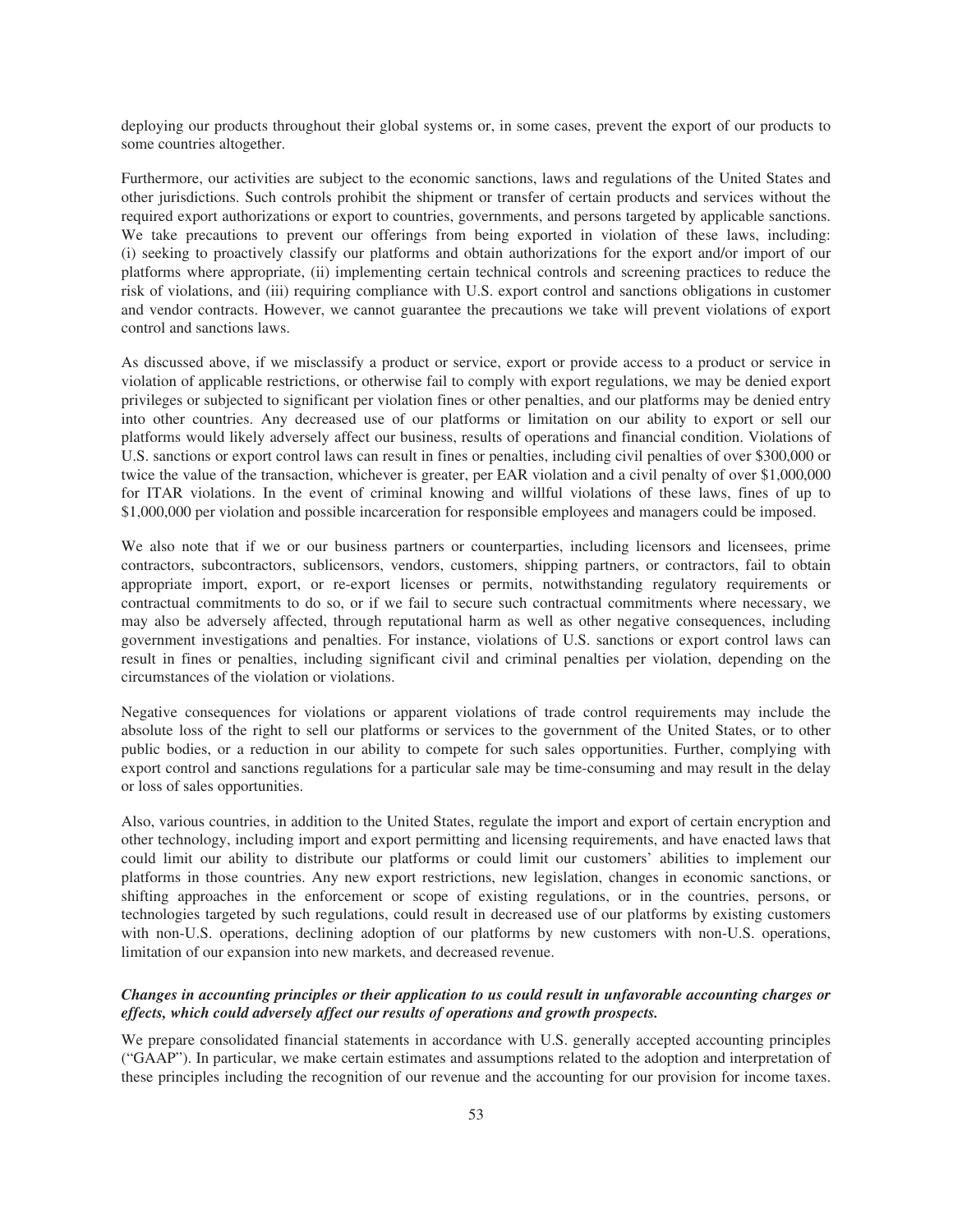deploying our products throughout their global systems or, in some cases, prevent the export of our products to some countries altogether.

Furthermore, our activities are subject to the economic sanctions, laws and regulations of the United States and other jurisdictions. Such controls prohibit the shipment or transfer of certain products and services without the required export authorizations or export to countries, governments, and persons targeted by applicable sanctions. We take precautions to prevent our offerings from being exported in violation of these laws, including: (i) seeking to proactively classify our platforms and obtain authorizations for the export and/or import of our platforms where appropriate, (ii) implementing certain technical controls and screening practices to reduce the risk of violations, and (iii) requiring compliance with U.S. export control and sanctions obligations in customer and vendor contracts. However, we cannot guarantee the precautions we take will prevent violations of export control and sanctions laws.

As discussed above, if we misclassify a product or service, export or provide access to a product or service in violation of applicable restrictions, or otherwise fail to comply with export regulations, we may be denied export privileges or subjected to significant per violation fines or other penalties, and our platforms may be denied entry into other countries. Any decreased use of our platforms or limitation on our ability to export or sell our platforms would likely adversely affect our business, results of operations and financial condition. Violations of U.S. sanctions or export control laws can result in fines or penalties, including civil penalties of over \$300,000 or twice the value of the transaction, whichever is greater, per EAR violation and a civil penalty of over \$1,000,000 for ITAR violations. In the event of criminal knowing and willful violations of these laws, fines of up to \$1,000,000 per violation and possible incarceration for responsible employees and managers could be imposed.

We also note that if we or our business partners or counterparties, including licensors and licensees, prime contractors, subcontractors, sublicensors, vendors, customers, shipping partners, or contractors, fail to obtain appropriate import, export, or re-export licenses or permits, notwithstanding regulatory requirements or contractual commitments to do so, or if we fail to secure such contractual commitments where necessary, we may also be adversely affected, through reputational harm as well as other negative consequences, including government investigations and penalties. For instance, violations of U.S. sanctions or export control laws can result in fines or penalties, including significant civil and criminal penalties per violation, depending on the circumstances of the violation or violations.

Negative consequences for violations or apparent violations of trade control requirements may include the absolute loss of the right to sell our platforms or services to the government of the United States, or to other public bodies, or a reduction in our ability to compete for such sales opportunities. Further, complying with export control and sanctions regulations for a particular sale may be time-consuming and may result in the delay or loss of sales opportunities.

Also, various countries, in addition to the United States, regulate the import and export of certain encryption and other technology, including import and export permitting and licensing requirements, and have enacted laws that could limit our ability to distribute our platforms or could limit our customers' abilities to implement our platforms in those countries. Any new export restrictions, new legislation, changes in economic sanctions, or shifting approaches in the enforcement or scope of existing regulations, or in the countries, persons, or technologies targeted by such regulations, could result in decreased use of our platforms by existing customers with non-U.S. operations, declining adoption of our platforms by new customers with non-U.S. operations, limitation of our expansion into new markets, and decreased revenue.

# *Changes in accounting principles or their application to us could result in unfavorable accounting charges or effects, which could adversely affect our results of operations and growth prospects.*

We prepare consolidated financial statements in accordance with U.S. generally accepted accounting principles ("GAAP"). In particular, we make certain estimates and assumptions related to the adoption and interpretation of these principles including the recognition of our revenue and the accounting for our provision for income taxes.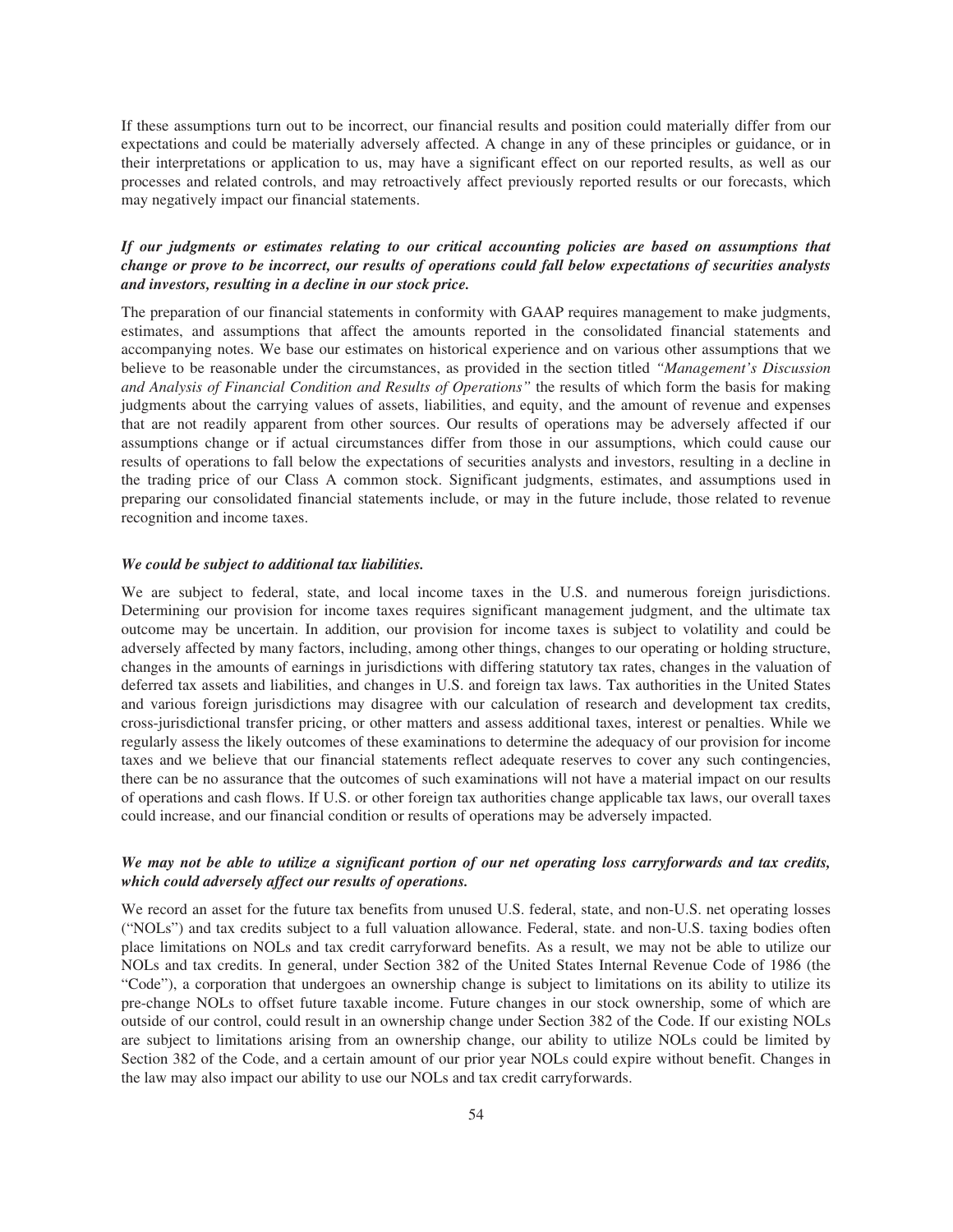If these assumptions turn out to be incorrect, our financial results and position could materially differ from our expectations and could be materially adversely affected. A change in any of these principles or guidance, or in their interpretations or application to us, may have a significant effect on our reported results, as well as our processes and related controls, and may retroactively affect previously reported results or our forecasts, which may negatively impact our financial statements.

# *If our judgments or estimates relating to our critical accounting policies are based on assumptions that change or prove to be incorrect, our results of operations could fall below expectations of securities analysts and investors, resulting in a decline in our stock price.*

The preparation of our financial statements in conformity with GAAP requires management to make judgments, estimates, and assumptions that affect the amounts reported in the consolidated financial statements and accompanying notes. We base our estimates on historical experience and on various other assumptions that we believe to be reasonable under the circumstances, as provided in the section titled *"Management's Discussion and Analysis of Financial Condition and Results of Operations"* the results of which form the basis for making judgments about the carrying values of assets, liabilities, and equity, and the amount of revenue and expenses that are not readily apparent from other sources. Our results of operations may be adversely affected if our assumptions change or if actual circumstances differ from those in our assumptions, which could cause our results of operations to fall below the expectations of securities analysts and investors, resulting in a decline in the trading price of our Class A common stock. Significant judgments, estimates, and assumptions used in preparing our consolidated financial statements include, or may in the future include, those related to revenue recognition and income taxes.

#### *We could be subject to additional tax liabilities.*

We are subject to federal, state, and local income taxes in the U.S. and numerous foreign jurisdictions. Determining our provision for income taxes requires significant management judgment, and the ultimate tax outcome may be uncertain. In addition, our provision for income taxes is subject to volatility and could be adversely affected by many factors, including, among other things, changes to our operating or holding structure, changes in the amounts of earnings in jurisdictions with differing statutory tax rates, changes in the valuation of deferred tax assets and liabilities, and changes in U.S. and foreign tax laws. Tax authorities in the United States and various foreign jurisdictions may disagree with our calculation of research and development tax credits, cross-jurisdictional transfer pricing, or other matters and assess additional taxes, interest or penalties. While we regularly assess the likely outcomes of these examinations to determine the adequacy of our provision for income taxes and we believe that our financial statements reflect adequate reserves to cover any such contingencies, there can be no assurance that the outcomes of such examinations will not have a material impact on our results of operations and cash flows. If U.S. or other foreign tax authorities change applicable tax laws, our overall taxes could increase, and our financial condition or results of operations may be adversely impacted.

# *We may not be able to utilize a significant portion of our net operating loss carryforwards and tax credits, which could adversely affect our results of operations.*

We record an asset for the future tax benefits from unused U.S. federal, state, and non-U.S. net operating losses ("NOLs") and tax credits subject to a full valuation allowance. Federal, state. and non-U.S. taxing bodies often place limitations on NOLs and tax credit carryforward benefits. As a result, we may not be able to utilize our NOLs and tax credits. In general, under Section 382 of the United States Internal Revenue Code of 1986 (the "Code"), a corporation that undergoes an ownership change is subject to limitations on its ability to utilize its pre-change NOLs to offset future taxable income. Future changes in our stock ownership, some of which are outside of our control, could result in an ownership change under Section 382 of the Code. If our existing NOLs are subject to limitations arising from an ownership change, our ability to utilize NOLs could be limited by Section 382 of the Code, and a certain amount of our prior year NOLs could expire without benefit. Changes in the law may also impact our ability to use our NOLs and tax credit carryforwards.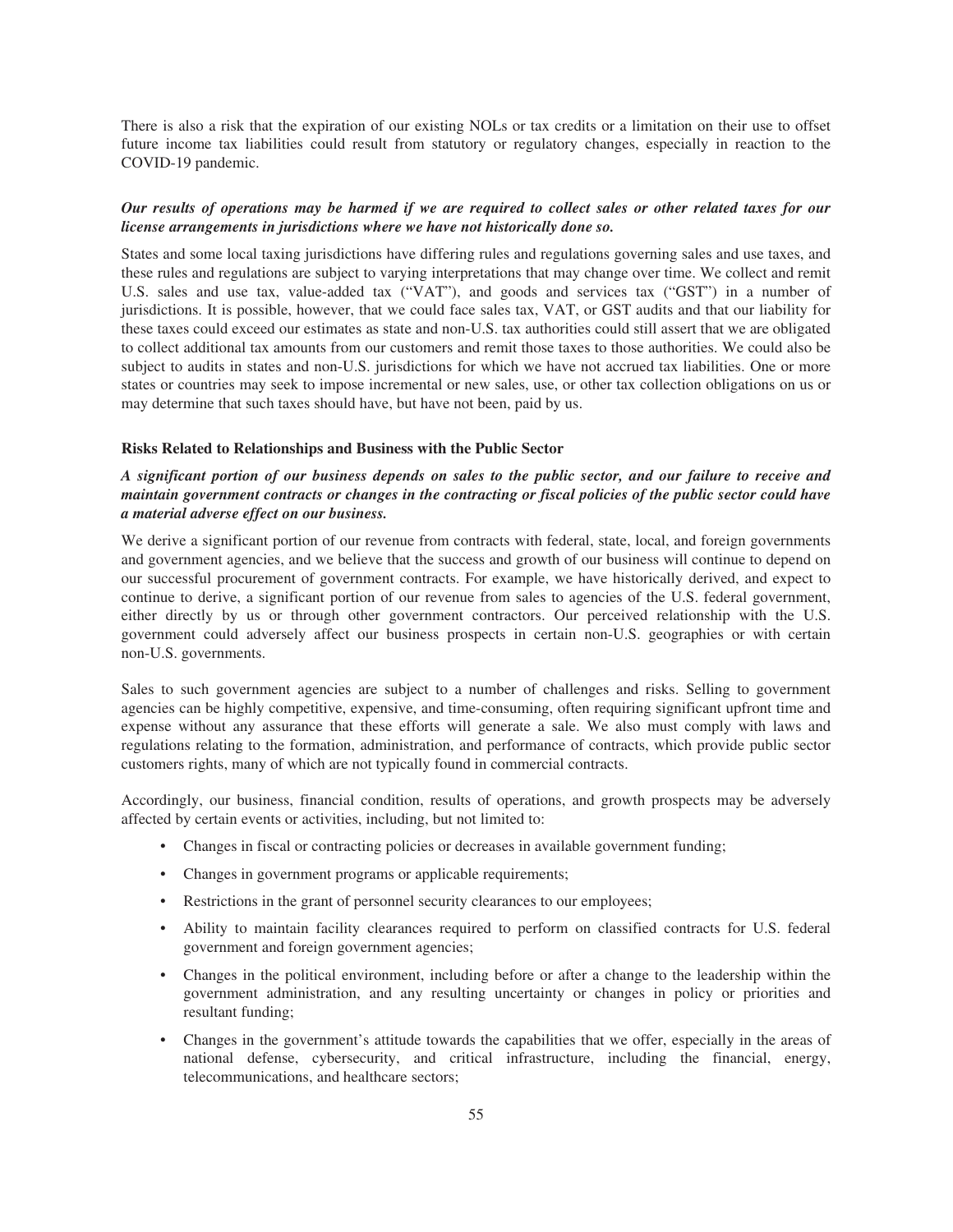There is also a risk that the expiration of our existing NOLs or tax credits or a limitation on their use to offset future income tax liabilities could result from statutory or regulatory changes, especially in reaction to the COVID-19 pandemic.

## *Our results of operations may be harmed if we are required to collect sales or other related taxes for our license arrangements in jurisdictions where we have not historically done so.*

States and some local taxing jurisdictions have differing rules and regulations governing sales and use taxes, and these rules and regulations are subject to varying interpretations that may change over time. We collect and remit U.S. sales and use tax, value-added tax ("VAT"), and goods and services tax ("GST") in a number of jurisdictions. It is possible, however, that we could face sales tax, VAT, or GST audits and that our liability for these taxes could exceed our estimates as state and non-U.S. tax authorities could still assert that we are obligated to collect additional tax amounts from our customers and remit those taxes to those authorities. We could also be subject to audits in states and non-U.S. jurisdictions for which we have not accrued tax liabilities. One or more states or countries may seek to impose incremental or new sales, use, or other tax collection obligations on us or may determine that such taxes should have, but have not been, paid by us.

#### **Risks Related to Relationships and Business with the Public Sector**

# *A significant portion of our business depends on sales to the public sector, and our failure to receive and maintain government contracts or changes in the contracting or fiscal policies of the public sector could have a material adverse effect on our business.*

We derive a significant portion of our revenue from contracts with federal, state, local, and foreign governments and government agencies, and we believe that the success and growth of our business will continue to depend on our successful procurement of government contracts. For example, we have historically derived, and expect to continue to derive, a significant portion of our revenue from sales to agencies of the U.S. federal government, either directly by us or through other government contractors. Our perceived relationship with the U.S. government could adversely affect our business prospects in certain non-U.S. geographies or with certain non-U.S. governments.

Sales to such government agencies are subject to a number of challenges and risks. Selling to government agencies can be highly competitive, expensive, and time-consuming, often requiring significant upfront time and expense without any assurance that these efforts will generate a sale. We also must comply with laws and regulations relating to the formation, administration, and performance of contracts, which provide public sector customers rights, many of which are not typically found in commercial contracts.

Accordingly, our business, financial condition, results of operations, and growth prospects may be adversely affected by certain events or activities, including, but not limited to:

- Changes in fiscal or contracting policies or decreases in available government funding;
- Changes in government programs or applicable requirements;
- Restrictions in the grant of personnel security clearances to our employees;
- Ability to maintain facility clearances required to perform on classified contracts for U.S. federal government and foreign government agencies;
- Changes in the political environment, including before or after a change to the leadership within the government administration, and any resulting uncertainty or changes in policy or priorities and resultant funding;
- Changes in the government's attitude towards the capabilities that we offer, especially in the areas of national defense, cybersecurity, and critical infrastructure, including the financial, energy, telecommunications, and healthcare sectors;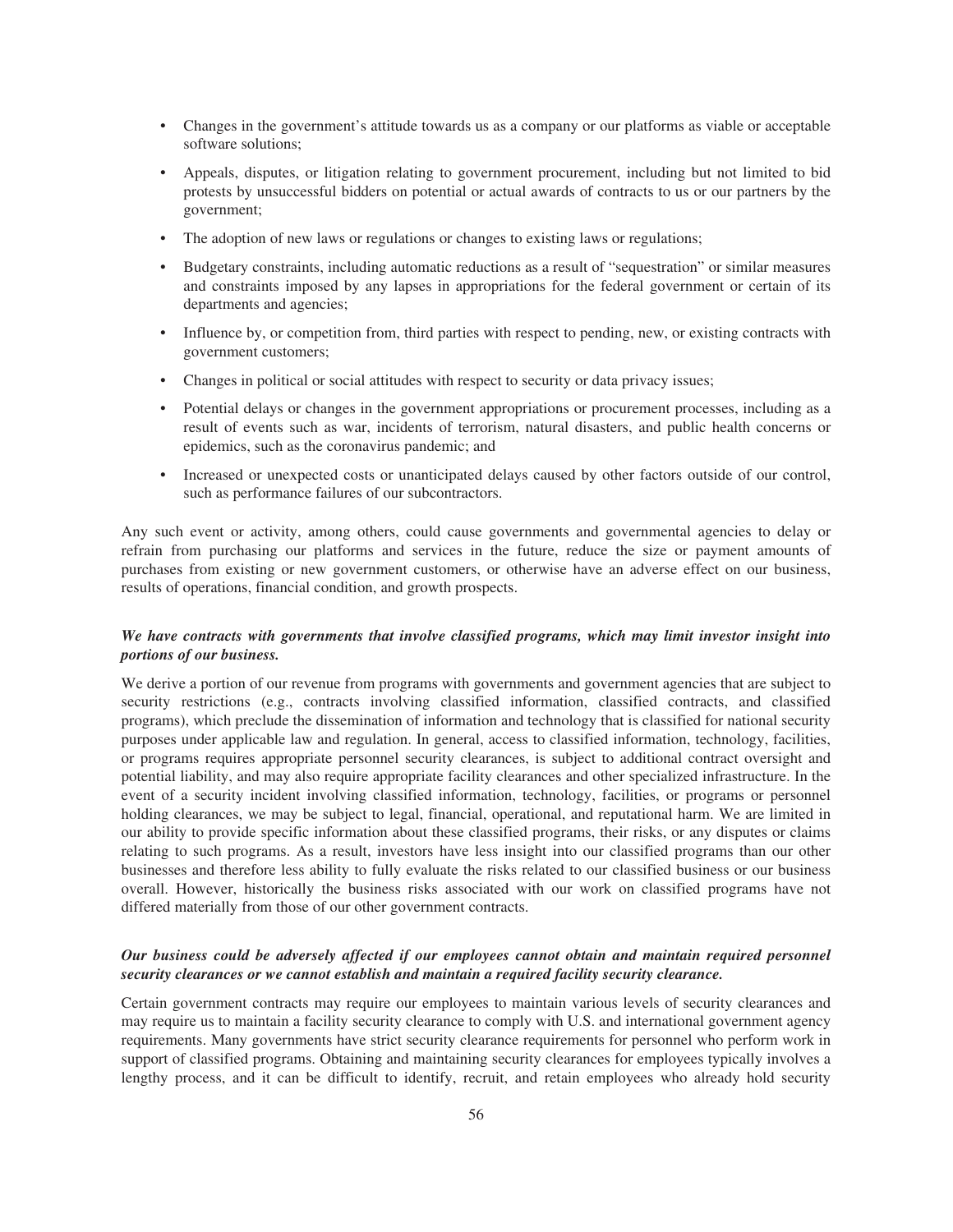- Changes in the government's attitude towards us as a company or our platforms as viable or acceptable software solutions;
- Appeals, disputes, or litigation relating to government procurement, including but not limited to bid protests by unsuccessful bidders on potential or actual awards of contracts to us or our partners by the government;
- The adoption of new laws or regulations or changes to existing laws or regulations;
- Budgetary constraints, including automatic reductions as a result of "sequestration" or similar measures and constraints imposed by any lapses in appropriations for the federal government or certain of its departments and agencies;
- Influence by, or competition from, third parties with respect to pending, new, or existing contracts with government customers;
- Changes in political or social attitudes with respect to security or data privacy issues;
- Potential delays or changes in the government appropriations or procurement processes, including as a result of events such as war, incidents of terrorism, natural disasters, and public health concerns or epidemics, such as the coronavirus pandemic; and
- Increased or unexpected costs or unanticipated delays caused by other factors outside of our control, such as performance failures of our subcontractors.

Any such event or activity, among others, could cause governments and governmental agencies to delay or refrain from purchasing our platforms and services in the future, reduce the size or payment amounts of purchases from existing or new government customers, or otherwise have an adverse effect on our business, results of operations, financial condition, and growth prospects.

## *We have contracts with governments that involve classified programs, which may limit investor insight into portions of our business.*

We derive a portion of our revenue from programs with governments and government agencies that are subject to security restrictions (e.g., contracts involving classified information, classified contracts, and classified programs), which preclude the dissemination of information and technology that is classified for national security purposes under applicable law and regulation. In general, access to classified information, technology, facilities, or programs requires appropriate personnel security clearances, is subject to additional contract oversight and potential liability, and may also require appropriate facility clearances and other specialized infrastructure. In the event of a security incident involving classified information, technology, facilities, or programs or personnel holding clearances, we may be subject to legal, financial, operational, and reputational harm. We are limited in our ability to provide specific information about these classified programs, their risks, or any disputes or claims relating to such programs. As a result, investors have less insight into our classified programs than our other businesses and therefore less ability to fully evaluate the risks related to our classified business or our business overall. However, historically the business risks associated with our work on classified programs have not differed materially from those of our other government contracts.

### *Our business could be adversely affected if our employees cannot obtain and maintain required personnel security clearances or we cannot establish and maintain a required facility security clearance.*

Certain government contracts may require our employees to maintain various levels of security clearances and may require us to maintain a facility security clearance to comply with U.S. and international government agency requirements. Many governments have strict security clearance requirements for personnel who perform work in support of classified programs. Obtaining and maintaining security clearances for employees typically involves a lengthy process, and it can be difficult to identify, recruit, and retain employees who already hold security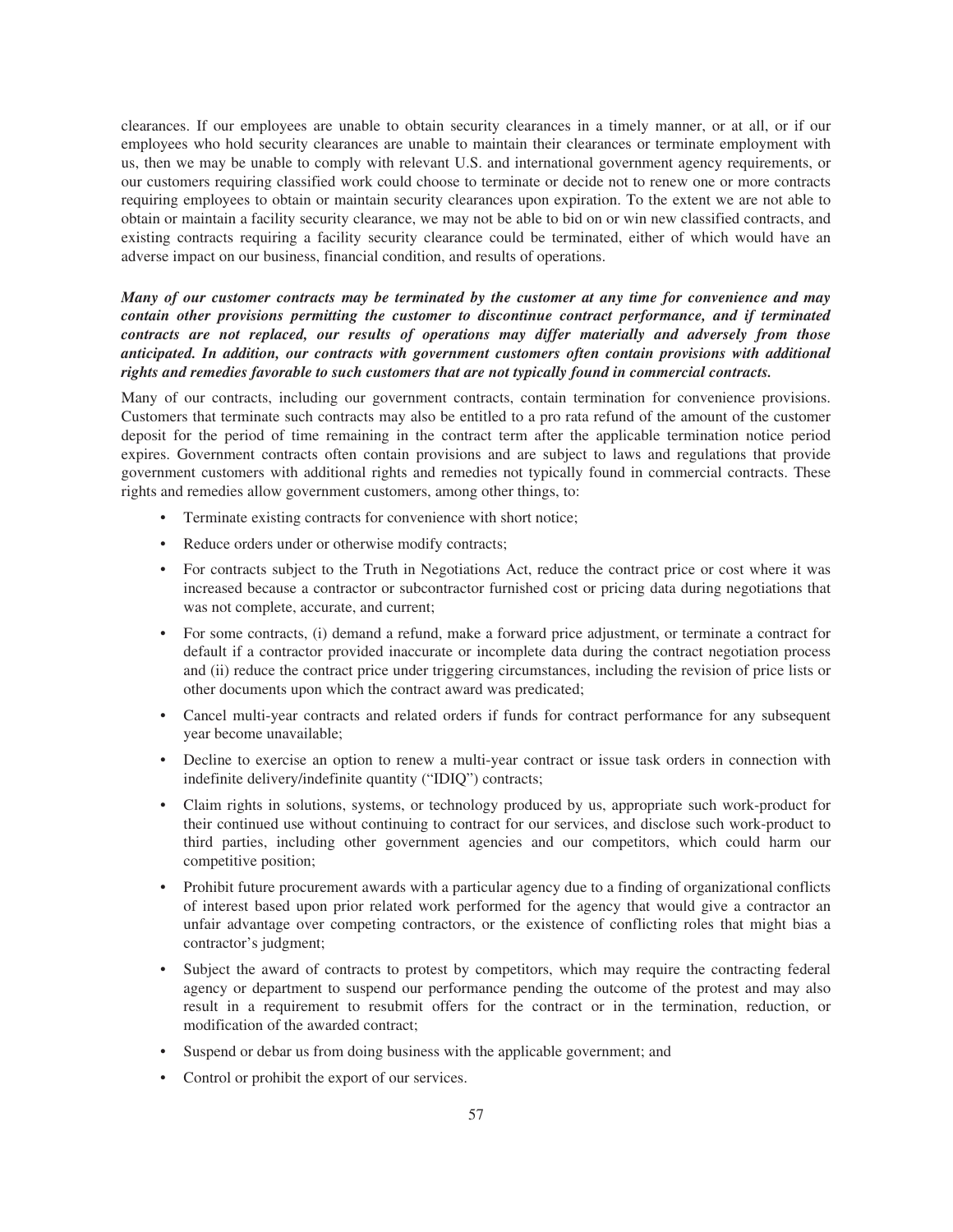clearances. If our employees are unable to obtain security clearances in a timely manner, or at all, or if our employees who hold security clearances are unable to maintain their clearances or terminate employment with us, then we may be unable to comply with relevant U.S. and international government agency requirements, or our customers requiring classified work could choose to terminate or decide not to renew one or more contracts requiring employees to obtain or maintain security clearances upon expiration. To the extent we are not able to obtain or maintain a facility security clearance, we may not be able to bid on or win new classified contracts, and existing contracts requiring a facility security clearance could be terminated, either of which would have an adverse impact on our business, financial condition, and results of operations.

*Many of our customer contracts may be terminated by the customer at any time for convenience and may contain other provisions permitting the customer to discontinue contract performance, and if terminated contracts are not replaced, our results of operations may differ materially and adversely from those anticipated. In addition, our contracts with government customers often contain provisions with additional rights and remedies favorable to such customers that are not typically found in commercial contracts.*

Many of our contracts, including our government contracts, contain termination for convenience provisions. Customers that terminate such contracts may also be entitled to a pro rata refund of the amount of the customer deposit for the period of time remaining in the contract term after the applicable termination notice period expires. Government contracts often contain provisions and are subject to laws and regulations that provide government customers with additional rights and remedies not typically found in commercial contracts. These rights and remedies allow government customers, among other things, to:

- Terminate existing contracts for convenience with short notice;
- Reduce orders under or otherwise modify contracts;
- For contracts subject to the Truth in Negotiations Act, reduce the contract price or cost where it was increased because a contractor or subcontractor furnished cost or pricing data during negotiations that was not complete, accurate, and current;
- For some contracts, (i) demand a refund, make a forward price adjustment, or terminate a contract for default if a contractor provided inaccurate or incomplete data during the contract negotiation process and (ii) reduce the contract price under triggering circumstances, including the revision of price lists or other documents upon which the contract award was predicated;
- Cancel multi-year contracts and related orders if funds for contract performance for any subsequent year become unavailable;
- Decline to exercise an option to renew a multi-year contract or issue task orders in connection with indefinite delivery/indefinite quantity ("IDIQ") contracts;
- Claim rights in solutions, systems, or technology produced by us, appropriate such work-product for their continued use without continuing to contract for our services, and disclose such work-product to third parties, including other government agencies and our competitors, which could harm our competitive position;
- Prohibit future procurement awards with a particular agency due to a finding of organizational conflicts of interest based upon prior related work performed for the agency that would give a contractor an unfair advantage over competing contractors, or the existence of conflicting roles that might bias a contractor's judgment;
- Subject the award of contracts to protest by competitors, which may require the contracting federal agency or department to suspend our performance pending the outcome of the protest and may also result in a requirement to resubmit offers for the contract or in the termination, reduction, or modification of the awarded contract;
- Suspend or debar us from doing business with the applicable government; and
- Control or prohibit the export of our services.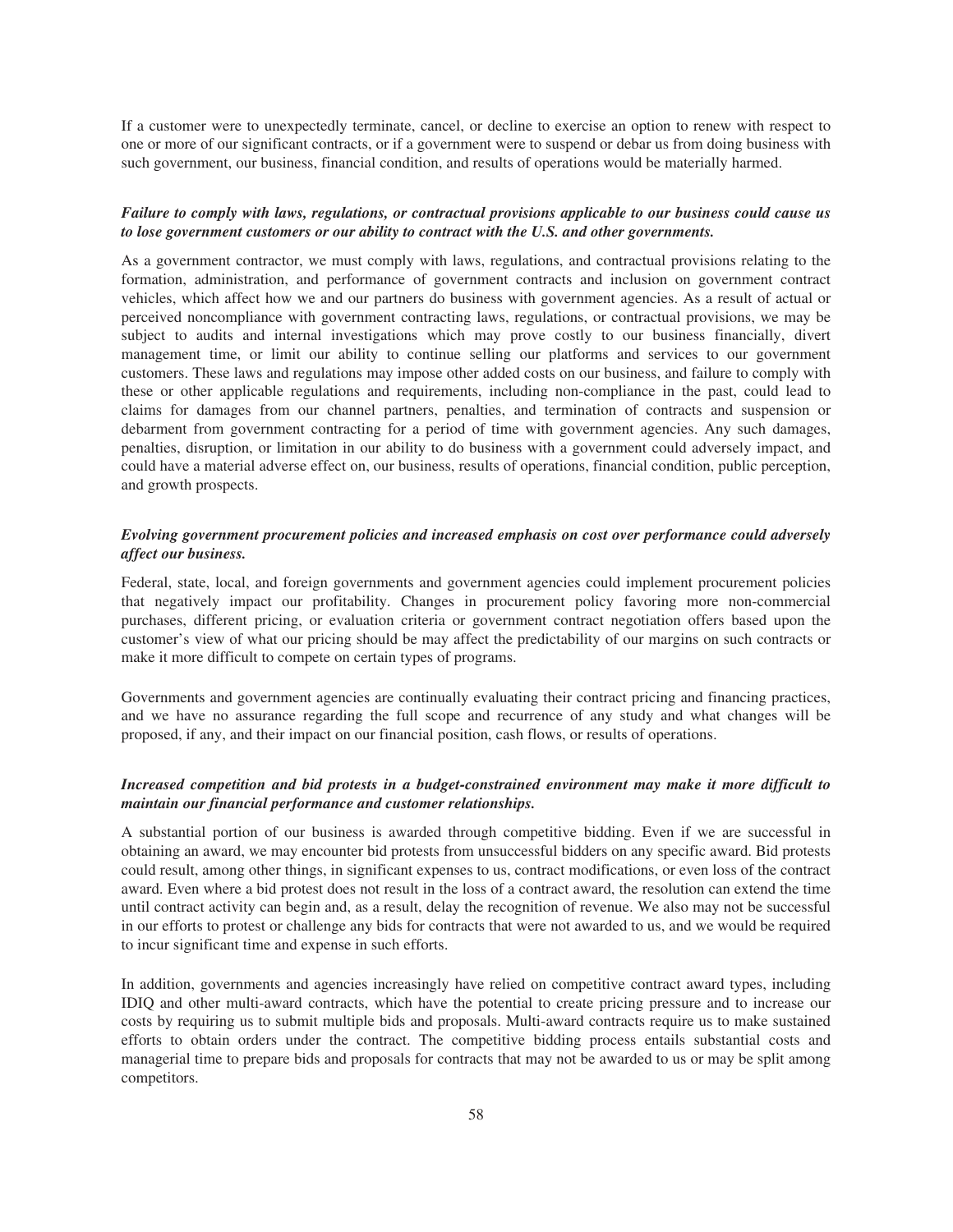If a customer were to unexpectedly terminate, cancel, or decline to exercise an option to renew with respect to one or more of our significant contracts, or if a government were to suspend or debar us from doing business with such government, our business, financial condition, and results of operations would be materially harmed.

### *Failure to comply with laws, regulations, or contractual provisions applicable to our business could cause us to lose government customers or our ability to contract with the U.S. and other governments.*

As a government contractor, we must comply with laws, regulations, and contractual provisions relating to the formation, administration, and performance of government contracts and inclusion on government contract vehicles, which affect how we and our partners do business with government agencies. As a result of actual or perceived noncompliance with government contracting laws, regulations, or contractual provisions, we may be subject to audits and internal investigations which may prove costly to our business financially, divert management time, or limit our ability to continue selling our platforms and services to our government customers. These laws and regulations may impose other added costs on our business, and failure to comply with these or other applicable regulations and requirements, including non-compliance in the past, could lead to claims for damages from our channel partners, penalties, and termination of contracts and suspension or debarment from government contracting for a period of time with government agencies. Any such damages, penalties, disruption, or limitation in our ability to do business with a government could adversely impact, and could have a material adverse effect on, our business, results of operations, financial condition, public perception, and growth prospects.

### *Evolving government procurement policies and increased emphasis on cost over performance could adversely affect our business.*

Federal, state, local, and foreign governments and government agencies could implement procurement policies that negatively impact our profitability. Changes in procurement policy favoring more non-commercial purchases, different pricing, or evaluation criteria or government contract negotiation offers based upon the customer's view of what our pricing should be may affect the predictability of our margins on such contracts or make it more difficult to compete on certain types of programs.

Governments and government agencies are continually evaluating their contract pricing and financing practices, and we have no assurance regarding the full scope and recurrence of any study and what changes will be proposed, if any, and their impact on our financial position, cash flows, or results of operations.

# *Increased competition and bid protests in a budget-constrained environment may make it more difficult to maintain our financial performance and customer relationships.*

A substantial portion of our business is awarded through competitive bidding. Even if we are successful in obtaining an award, we may encounter bid protests from unsuccessful bidders on any specific award. Bid protests could result, among other things, in significant expenses to us, contract modifications, or even loss of the contract award. Even where a bid protest does not result in the loss of a contract award, the resolution can extend the time until contract activity can begin and, as a result, delay the recognition of revenue. We also may not be successful in our efforts to protest or challenge any bids for contracts that were not awarded to us, and we would be required to incur significant time and expense in such efforts.

In addition, governments and agencies increasingly have relied on competitive contract award types, including IDIQ and other multi-award contracts, which have the potential to create pricing pressure and to increase our costs by requiring us to submit multiple bids and proposals. Multi-award contracts require us to make sustained efforts to obtain orders under the contract. The competitive bidding process entails substantial costs and managerial time to prepare bids and proposals for contracts that may not be awarded to us or may be split among competitors.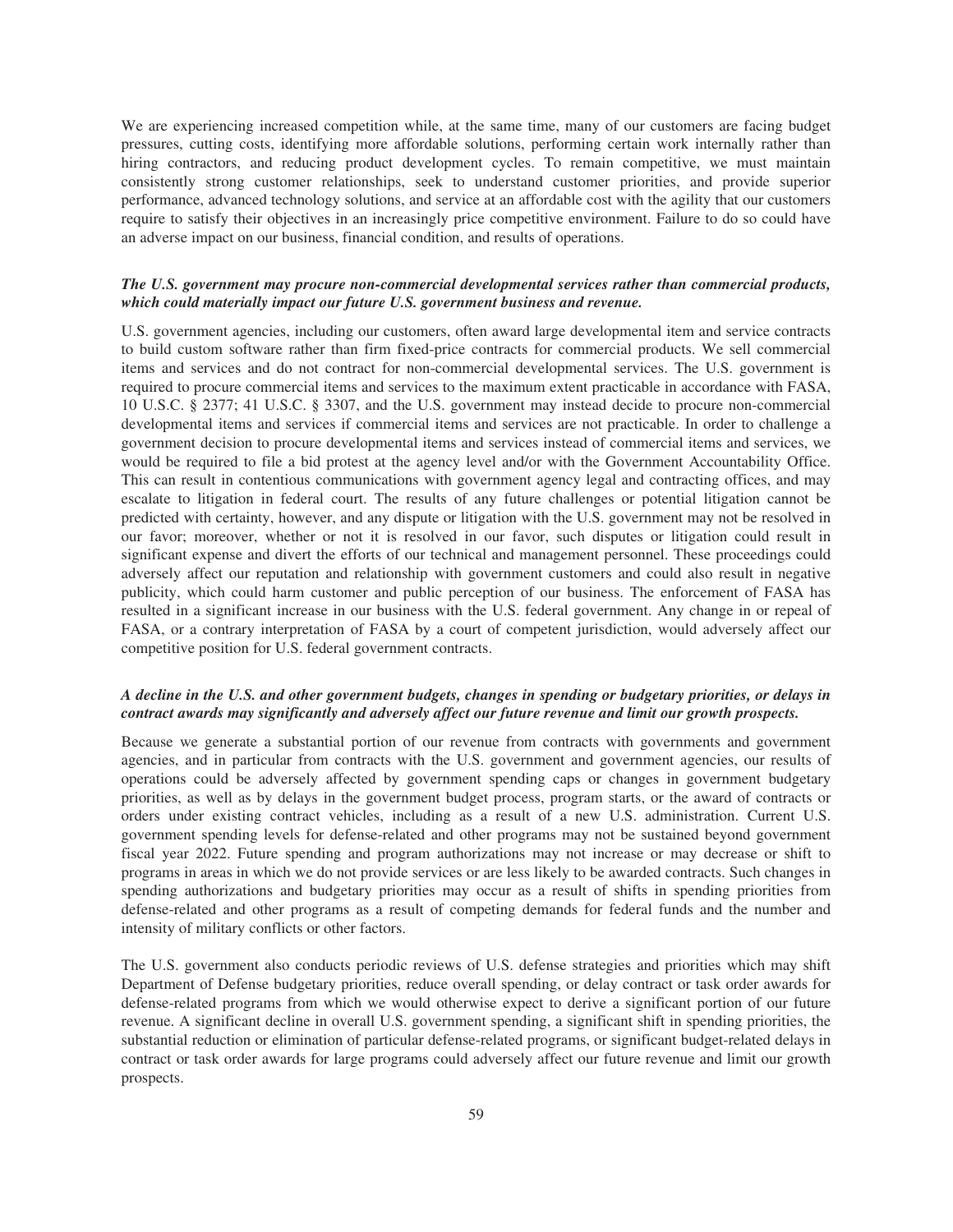We are experiencing increased competition while, at the same time, many of our customers are facing budget pressures, cutting costs, identifying more affordable solutions, performing certain work internally rather than hiring contractors, and reducing product development cycles. To remain competitive, we must maintain consistently strong customer relationships, seek to understand customer priorities, and provide superior performance, advanced technology solutions, and service at an affordable cost with the agility that our customers require to satisfy their objectives in an increasingly price competitive environment. Failure to do so could have an adverse impact on our business, financial condition, and results of operations.

### *The U.S. government may procure non-commercial developmental services rather than commercial products, which could materially impact our future U.S. government business and revenue.*

U.S. government agencies, including our customers, often award large developmental item and service contracts to build custom software rather than firm fixed-price contracts for commercial products. We sell commercial items and services and do not contract for non-commercial developmental services. The U.S. government is required to procure commercial items and services to the maximum extent practicable in accordance with FASA, 10 U.S.C. § 2377; 41 U.S.C. § 3307, and the U.S. government may instead decide to procure non-commercial developmental items and services if commercial items and services are not practicable. In order to challenge a government decision to procure developmental items and services instead of commercial items and services, we would be required to file a bid protest at the agency level and/or with the Government Accountability Office. This can result in contentious communications with government agency legal and contracting offices, and may escalate to litigation in federal court. The results of any future challenges or potential litigation cannot be predicted with certainty, however, and any dispute or litigation with the U.S. government may not be resolved in our favor; moreover, whether or not it is resolved in our favor, such disputes or litigation could result in significant expense and divert the efforts of our technical and management personnel. These proceedings could adversely affect our reputation and relationship with government customers and could also result in negative publicity, which could harm customer and public perception of our business. The enforcement of FASA has resulted in a significant increase in our business with the U.S. federal government. Any change in or repeal of FASA, or a contrary interpretation of FASA by a court of competent jurisdiction, would adversely affect our competitive position for U.S. federal government contracts.

## *A decline in the U.S. and other government budgets, changes in spending or budgetary priorities, or delays in contract awards may significantly and adversely affect our future revenue and limit our growth prospects.*

Because we generate a substantial portion of our revenue from contracts with governments and government agencies, and in particular from contracts with the U.S. government and government agencies, our results of operations could be adversely affected by government spending caps or changes in government budgetary priorities, as well as by delays in the government budget process, program starts, or the award of contracts or orders under existing contract vehicles, including as a result of a new U.S. administration. Current U.S. government spending levels for defense-related and other programs may not be sustained beyond government fiscal year 2022. Future spending and program authorizations may not increase or may decrease or shift to programs in areas in which we do not provide services or are less likely to be awarded contracts. Such changes in spending authorizations and budgetary priorities may occur as a result of shifts in spending priorities from defense-related and other programs as a result of competing demands for federal funds and the number and intensity of military conflicts or other factors.

The U.S. government also conducts periodic reviews of U.S. defense strategies and priorities which may shift Department of Defense budgetary priorities, reduce overall spending, or delay contract or task order awards for defense-related programs from which we would otherwise expect to derive a significant portion of our future revenue. A significant decline in overall U.S. government spending, a significant shift in spending priorities, the substantial reduction or elimination of particular defense-related programs, or significant budget-related delays in contract or task order awards for large programs could adversely affect our future revenue and limit our growth prospects.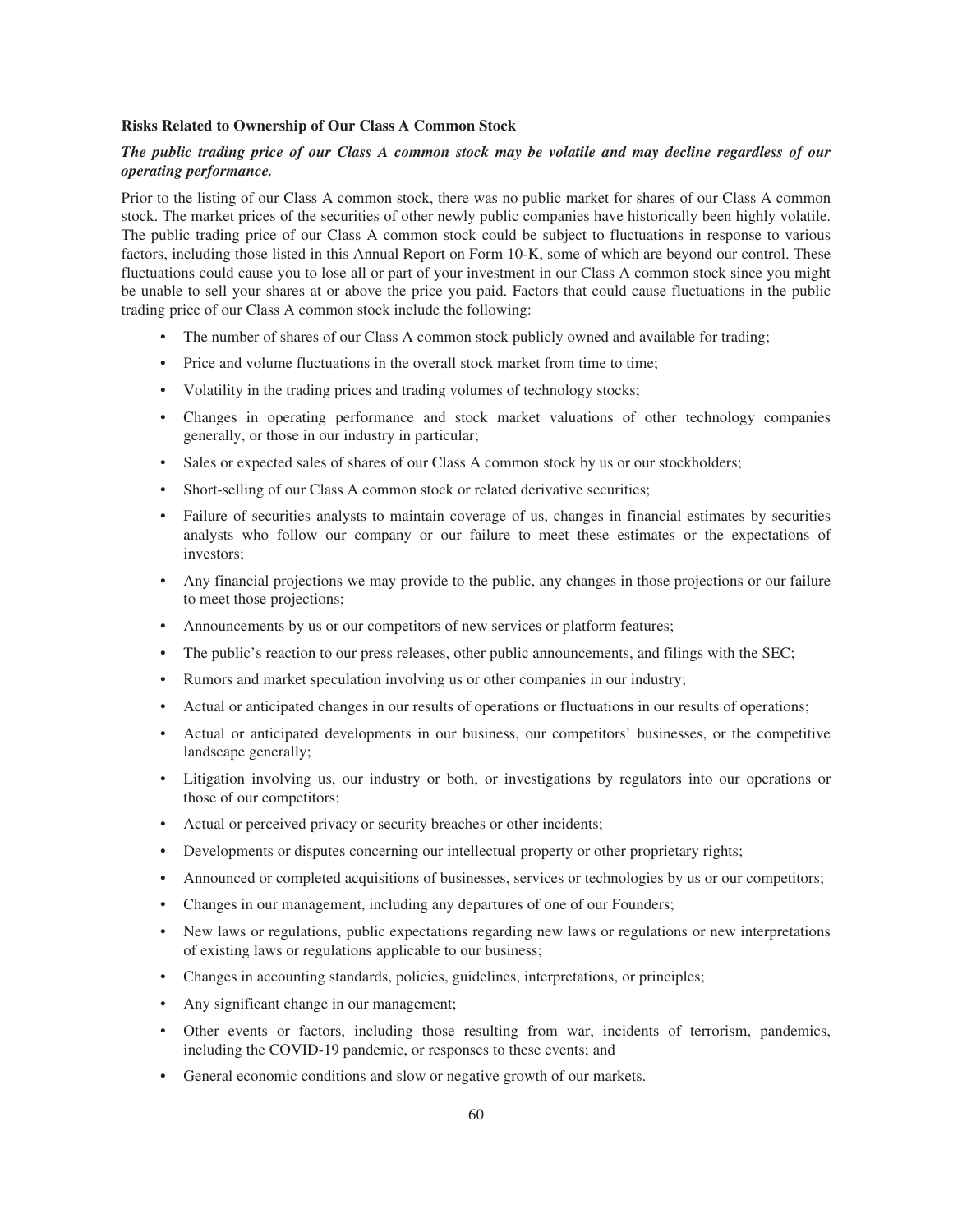#### **Risks Related to Ownership of Our Class A Common Stock**

# *The public trading price of our Class A common stock may be volatile and may decline regardless of our operating performance.*

Prior to the listing of our Class A common stock, there was no public market for shares of our Class A common stock. The market prices of the securities of other newly public companies have historically been highly volatile. The public trading price of our Class A common stock could be subject to fluctuations in response to various factors, including those listed in this Annual Report on Form 10-K, some of which are beyond our control. These fluctuations could cause you to lose all or part of your investment in our Class A common stock since you might be unable to sell your shares at or above the price you paid. Factors that could cause fluctuations in the public trading price of our Class A common stock include the following:

- The number of shares of our Class A common stock publicly owned and available for trading;
- Price and volume fluctuations in the overall stock market from time to time;
- Volatility in the trading prices and trading volumes of technology stocks;
- Changes in operating performance and stock market valuations of other technology companies generally, or those in our industry in particular;
- Sales or expected sales of shares of our Class A common stock by us or our stockholders;
- Short-selling of our Class A common stock or related derivative securities;
- Failure of securities analysts to maintain coverage of us, changes in financial estimates by securities analysts who follow our company or our failure to meet these estimates or the expectations of investors;
- Any financial projections we may provide to the public, any changes in those projections or our failure to meet those projections;
- Announcements by us or our competitors of new services or platform features;
- The public's reaction to our press releases, other public announcements, and filings with the SEC;
- Rumors and market speculation involving us or other companies in our industry;
- Actual or anticipated changes in our results of operations or fluctuations in our results of operations;
- Actual or anticipated developments in our business, our competitors' businesses, or the competitive landscape generally;
- Litigation involving us, our industry or both, or investigations by regulators into our operations or those of our competitors;
- Actual or perceived privacy or security breaches or other incidents;
- Developments or disputes concerning our intellectual property or other proprietary rights;
- Announced or completed acquisitions of businesses, services or technologies by us or our competitors;
- Changes in our management, including any departures of one of our Founders;
- New laws or regulations, public expectations regarding new laws or regulations or new interpretations of existing laws or regulations applicable to our business;
- Changes in accounting standards, policies, guidelines, interpretations, or principles;
- Any significant change in our management;
- Other events or factors, including those resulting from war, incidents of terrorism, pandemics, including the COVID-19 pandemic, or responses to these events; and
- General economic conditions and slow or negative growth of our markets.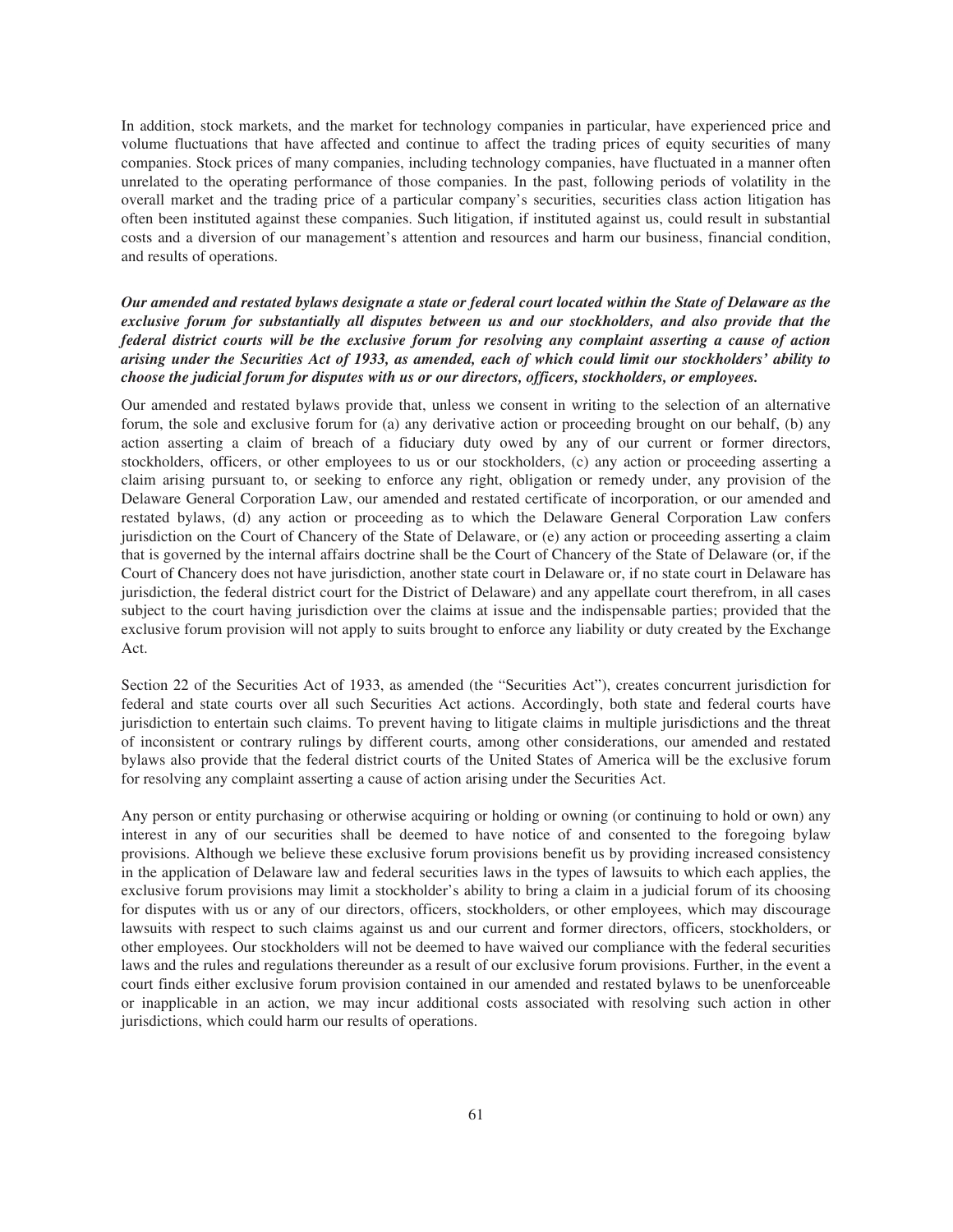In addition, stock markets, and the market for technology companies in particular, have experienced price and volume fluctuations that have affected and continue to affect the trading prices of equity securities of many companies. Stock prices of many companies, including technology companies, have fluctuated in a manner often unrelated to the operating performance of those companies. In the past, following periods of volatility in the overall market and the trading price of a particular company's securities, securities class action litigation has often been instituted against these companies. Such litigation, if instituted against us, could result in substantial costs and a diversion of our management's attention and resources and harm our business, financial condition, and results of operations.

# *Our amended and restated bylaws designate a state or federal court located within the State of Delaware as the exclusive forum for substantially all disputes between us and our stockholders, and also provide that the federal district courts will be the exclusive forum for resolving any complaint asserting a cause of action arising under the Securities Act of 1933, as amended, each of which could limit our stockholders' ability to choose the judicial forum for disputes with us or our directors, officers, stockholders, or employees.*

Our amended and restated bylaws provide that, unless we consent in writing to the selection of an alternative forum, the sole and exclusive forum for (a) any derivative action or proceeding brought on our behalf, (b) any action asserting a claim of breach of a fiduciary duty owed by any of our current or former directors, stockholders, officers, or other employees to us or our stockholders, (c) any action or proceeding asserting a claim arising pursuant to, or seeking to enforce any right, obligation or remedy under, any provision of the Delaware General Corporation Law, our amended and restated certificate of incorporation, or our amended and restated bylaws, (d) any action or proceeding as to which the Delaware General Corporation Law confers jurisdiction on the Court of Chancery of the State of Delaware, or (e) any action or proceeding asserting a claim that is governed by the internal affairs doctrine shall be the Court of Chancery of the State of Delaware (or, if the Court of Chancery does not have jurisdiction, another state court in Delaware or, if no state court in Delaware has jurisdiction, the federal district court for the District of Delaware) and any appellate court therefrom, in all cases subject to the court having jurisdiction over the claims at issue and the indispensable parties; provided that the exclusive forum provision will not apply to suits brought to enforce any liability or duty created by the Exchange Act.

Section 22 of the Securities Act of 1933, as amended (the "Securities Act"), creates concurrent jurisdiction for federal and state courts over all such Securities Act actions. Accordingly, both state and federal courts have jurisdiction to entertain such claims. To prevent having to litigate claims in multiple jurisdictions and the threat of inconsistent or contrary rulings by different courts, among other considerations, our amended and restated bylaws also provide that the federal district courts of the United States of America will be the exclusive forum for resolving any complaint asserting a cause of action arising under the Securities Act.

Any person or entity purchasing or otherwise acquiring or holding or owning (or continuing to hold or own) any interest in any of our securities shall be deemed to have notice of and consented to the foregoing bylaw provisions. Although we believe these exclusive forum provisions benefit us by providing increased consistency in the application of Delaware law and federal securities laws in the types of lawsuits to which each applies, the exclusive forum provisions may limit a stockholder's ability to bring a claim in a judicial forum of its choosing for disputes with us or any of our directors, officers, stockholders, or other employees, which may discourage lawsuits with respect to such claims against us and our current and former directors, officers, stockholders, or other employees. Our stockholders will not be deemed to have waived our compliance with the federal securities laws and the rules and regulations thereunder as a result of our exclusive forum provisions. Further, in the event a court finds either exclusive forum provision contained in our amended and restated bylaws to be unenforceable or inapplicable in an action, we may incur additional costs associated with resolving such action in other jurisdictions, which could harm our results of operations.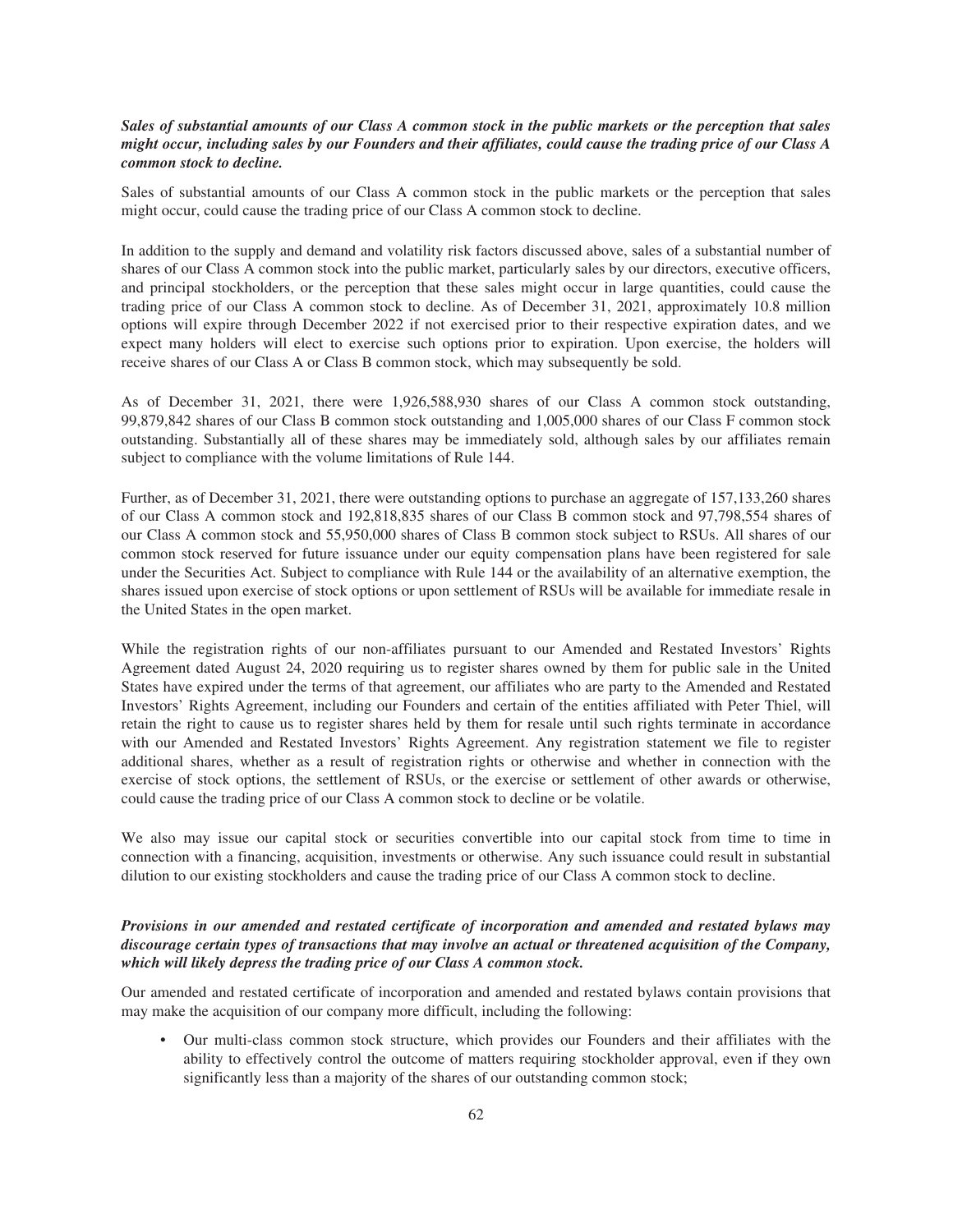# *Sales of substantial amounts of our Class A common stock in the public markets or the perception that sales might occur, including sales by our Founders and their affiliates, could cause the trading price of our Class A common stock to decline.*

Sales of substantial amounts of our Class A common stock in the public markets or the perception that sales might occur, could cause the trading price of our Class A common stock to decline.

In addition to the supply and demand and volatility risk factors discussed above, sales of a substantial number of shares of our Class A common stock into the public market, particularly sales by our directors, executive officers, and principal stockholders, or the perception that these sales might occur in large quantities, could cause the trading price of our Class A common stock to decline. As of December 31, 2021, approximately 10.8 million options will expire through December 2022 if not exercised prior to their respective expiration dates, and we expect many holders will elect to exercise such options prior to expiration. Upon exercise, the holders will receive shares of our Class A or Class B common stock, which may subsequently be sold.

As of December 31, 2021, there were 1,926,588,930 shares of our Class A common stock outstanding, 99,879,842 shares of our Class B common stock outstanding and 1,005,000 shares of our Class F common stock outstanding. Substantially all of these shares may be immediately sold, although sales by our affiliates remain subject to compliance with the volume limitations of Rule 144.

Further, as of December 31, 2021, there were outstanding options to purchase an aggregate of 157,133,260 shares of our Class A common stock and 192,818,835 shares of our Class B common stock and 97,798,554 shares of our Class A common stock and 55,950,000 shares of Class B common stock subject to RSUs. All shares of our common stock reserved for future issuance under our equity compensation plans have been registered for sale under the Securities Act. Subject to compliance with Rule 144 or the availability of an alternative exemption, the shares issued upon exercise of stock options or upon settlement of RSUs will be available for immediate resale in the United States in the open market.

While the registration rights of our non-affiliates pursuant to our Amended and Restated Investors' Rights Agreement dated August 24, 2020 requiring us to register shares owned by them for public sale in the United States have expired under the terms of that agreement, our affiliates who are party to the Amended and Restated Investors' Rights Agreement, including our Founders and certain of the entities affiliated with Peter Thiel, will retain the right to cause us to register shares held by them for resale until such rights terminate in accordance with our Amended and Restated Investors' Rights Agreement. Any registration statement we file to register additional shares, whether as a result of registration rights or otherwise and whether in connection with the exercise of stock options, the settlement of RSUs, or the exercise or settlement of other awards or otherwise, could cause the trading price of our Class A common stock to decline or be volatile.

We also may issue our capital stock or securities convertible into our capital stock from time to time in connection with a financing, acquisition, investments or otherwise. Any such issuance could result in substantial dilution to our existing stockholders and cause the trading price of our Class A common stock to decline.

# *Provisions in our amended and restated certificate of incorporation and amended and restated bylaws may discourage certain types of transactions that may involve an actual or threatened acquisition of the Company, which will likely depress the trading price of our Class A common stock.*

Our amended and restated certificate of incorporation and amended and restated bylaws contain provisions that may make the acquisition of our company more difficult, including the following:

• Our multi-class common stock structure, which provides our Founders and their affiliates with the ability to effectively control the outcome of matters requiring stockholder approval, even if they own significantly less than a majority of the shares of our outstanding common stock;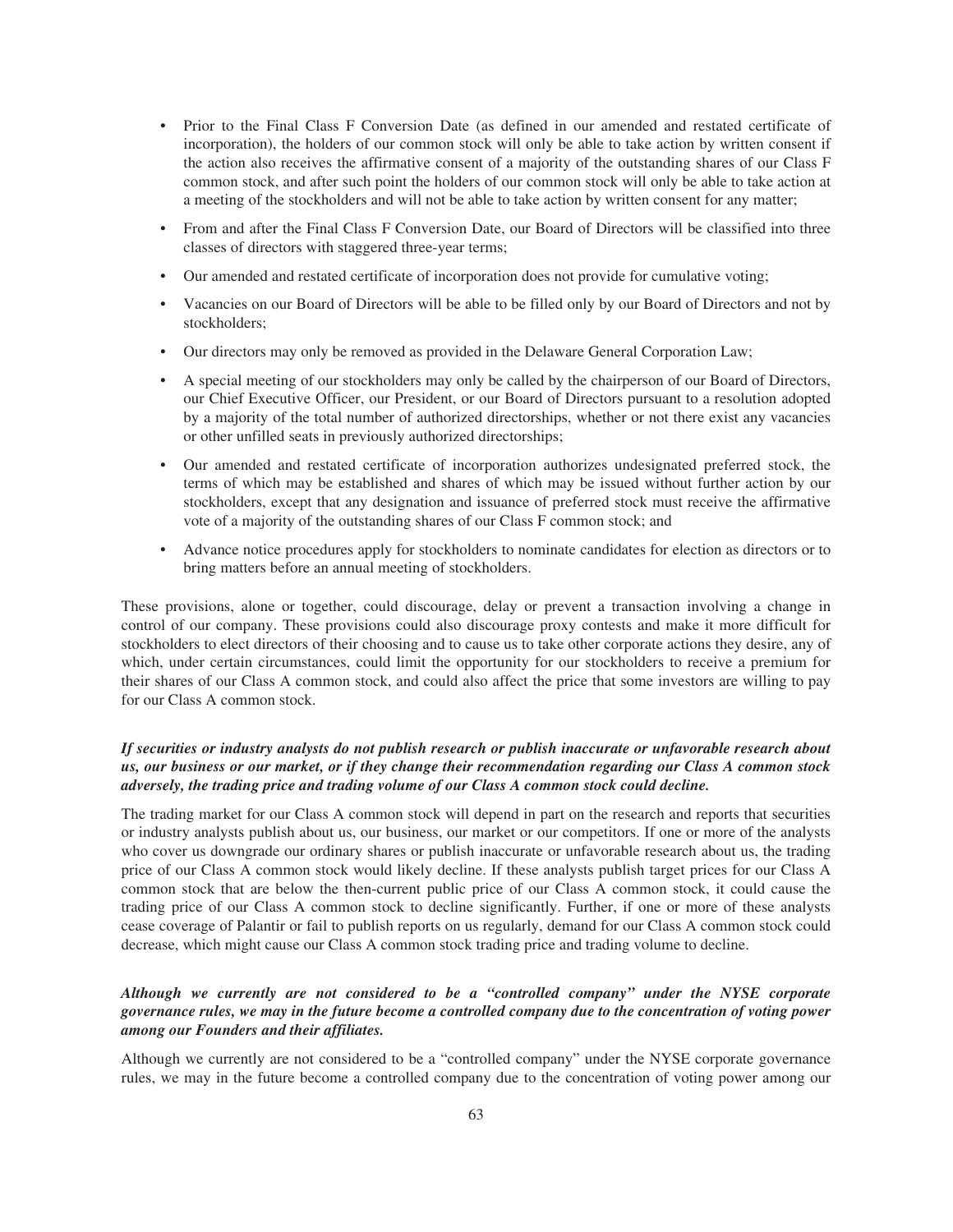- Prior to the Final Class F Conversion Date (as defined in our amended and restated certificate of incorporation), the holders of our common stock will only be able to take action by written consent if the action also receives the affirmative consent of a majority of the outstanding shares of our Class F common stock, and after such point the holders of our common stock will only be able to take action at a meeting of the stockholders and will not be able to take action by written consent for any matter;
- From and after the Final Class F Conversion Date, our Board of Directors will be classified into three classes of directors with staggered three-year terms;
- Our amended and restated certificate of incorporation does not provide for cumulative voting;
- Vacancies on our Board of Directors will be able to be filled only by our Board of Directors and not by stockholders;
- Our directors may only be removed as provided in the Delaware General Corporation Law;
- A special meeting of our stockholders may only be called by the chairperson of our Board of Directors, our Chief Executive Officer, our President, or our Board of Directors pursuant to a resolution adopted by a majority of the total number of authorized directorships, whether or not there exist any vacancies or other unfilled seats in previously authorized directorships;
- Our amended and restated certificate of incorporation authorizes undesignated preferred stock, the terms of which may be established and shares of which may be issued without further action by our stockholders, except that any designation and issuance of preferred stock must receive the affirmative vote of a majority of the outstanding shares of our Class F common stock; and
- Advance notice procedures apply for stockholders to nominate candidates for election as directors or to bring matters before an annual meeting of stockholders.

These provisions, alone or together, could discourage, delay or prevent a transaction involving a change in control of our company. These provisions could also discourage proxy contests and make it more difficult for stockholders to elect directors of their choosing and to cause us to take other corporate actions they desire, any of which, under certain circumstances, could limit the opportunity for our stockholders to receive a premium for their shares of our Class A common stock, and could also affect the price that some investors are willing to pay for our Class A common stock.

# *If securities or industry analysts do not publish research or publish inaccurate or unfavorable research about us, our business or our market, or if they change their recommendation regarding our Class A common stock adversely, the trading price and trading volume of our Class A common stock could decline.*

The trading market for our Class A common stock will depend in part on the research and reports that securities or industry analysts publish about us, our business, our market or our competitors. If one or more of the analysts who cover us downgrade our ordinary shares or publish inaccurate or unfavorable research about us, the trading price of our Class A common stock would likely decline. If these analysts publish target prices for our Class A common stock that are below the then-current public price of our Class A common stock, it could cause the trading price of our Class A common stock to decline significantly. Further, if one or more of these analysts cease coverage of Palantir or fail to publish reports on us regularly, demand for our Class A common stock could decrease, which might cause our Class A common stock trading price and trading volume to decline.

# *Although we currently are not considered to be a "controlled company" under the NYSE corporate governance rules, we may in the future become a controlled company due to the concentration of voting power among our Founders and their affiliates.*

Although we currently are not considered to be a "controlled company" under the NYSE corporate governance rules, we may in the future become a controlled company due to the concentration of voting power among our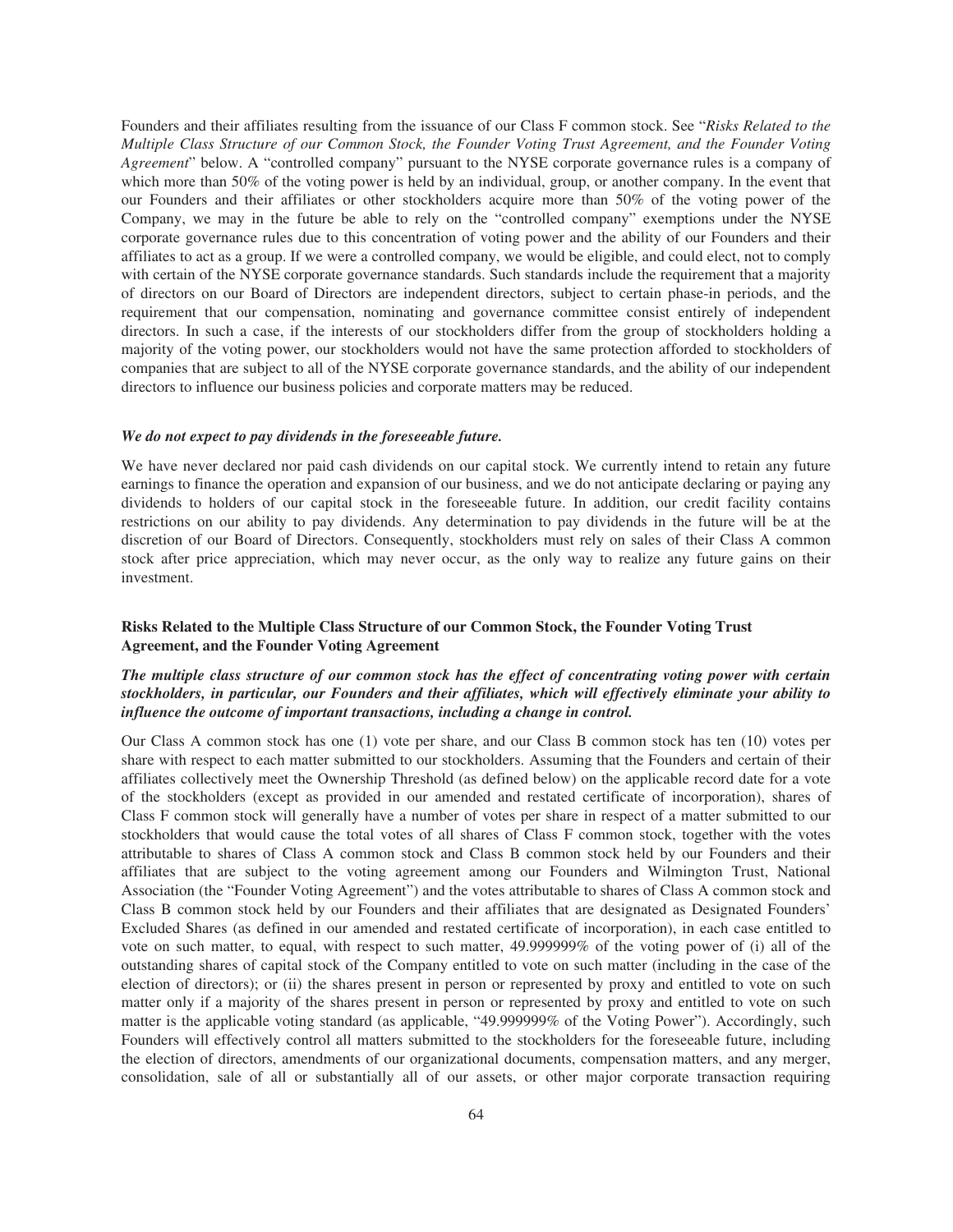Founders and their affiliates resulting from the issuance of our Class F common stock. See "*Risks Related to the Multiple Class Structure of our Common Stock, the Founder Voting Trust Agreement, and the Founder Voting Agreement*" below. A "controlled company" pursuant to the NYSE corporate governance rules is a company of which more than 50% of the voting power is held by an individual, group, or another company. In the event that our Founders and their affiliates or other stockholders acquire more than 50% of the voting power of the Company, we may in the future be able to rely on the "controlled company" exemptions under the NYSE corporate governance rules due to this concentration of voting power and the ability of our Founders and their affiliates to act as a group. If we were a controlled company, we would be eligible, and could elect, not to comply with certain of the NYSE corporate governance standards. Such standards include the requirement that a majority of directors on our Board of Directors are independent directors, subject to certain phase-in periods, and the requirement that our compensation, nominating and governance committee consist entirely of independent directors. In such a case, if the interests of our stockholders differ from the group of stockholders holding a majority of the voting power, our stockholders would not have the same protection afforded to stockholders of companies that are subject to all of the NYSE corporate governance standards, and the ability of our independent directors to influence our business policies and corporate matters may be reduced.

#### *We do not expect to pay dividends in the foreseeable future.*

We have never declared nor paid cash dividends on our capital stock. We currently intend to retain any future earnings to finance the operation and expansion of our business, and we do not anticipate declaring or paying any dividends to holders of our capital stock in the foreseeable future. In addition, our credit facility contains restrictions on our ability to pay dividends. Any determination to pay dividends in the future will be at the discretion of our Board of Directors. Consequently, stockholders must rely on sales of their Class A common stock after price appreciation, which may never occur, as the only way to realize any future gains on their investment.

### **Risks Related to the Multiple Class Structure of our Common Stock, the Founder Voting Trust Agreement, and the Founder Voting Agreement**

# *The multiple class structure of our common stock has the effect of concentrating voting power with certain stockholders, in particular, our Founders and their affiliates, which will effectively eliminate your ability to influence the outcome of important transactions, including a change in control.*

Our Class A common stock has one (1) vote per share, and our Class B common stock has ten (10) votes per share with respect to each matter submitted to our stockholders. Assuming that the Founders and certain of their affiliates collectively meet the Ownership Threshold (as defined below) on the applicable record date for a vote of the stockholders (except as provided in our amended and restated certificate of incorporation), shares of Class F common stock will generally have a number of votes per share in respect of a matter submitted to our stockholders that would cause the total votes of all shares of Class F common stock, together with the votes attributable to shares of Class A common stock and Class B common stock held by our Founders and their affiliates that are subject to the voting agreement among our Founders and Wilmington Trust, National Association (the "Founder Voting Agreement") and the votes attributable to shares of Class A common stock and Class B common stock held by our Founders and their affiliates that are designated as Designated Founders' Excluded Shares (as defined in our amended and restated certificate of incorporation), in each case entitled to vote on such matter, to equal, with respect to such matter, 49.999999% of the voting power of (i) all of the outstanding shares of capital stock of the Company entitled to vote on such matter (including in the case of the election of directors); or (ii) the shares present in person or represented by proxy and entitled to vote on such matter only if a majority of the shares present in person or represented by proxy and entitled to vote on such matter is the applicable voting standard (as applicable, "49.999999% of the Voting Power"). Accordingly, such Founders will effectively control all matters submitted to the stockholders for the foreseeable future, including the election of directors, amendments of our organizational documents, compensation matters, and any merger, consolidation, sale of all or substantially all of our assets, or other major corporate transaction requiring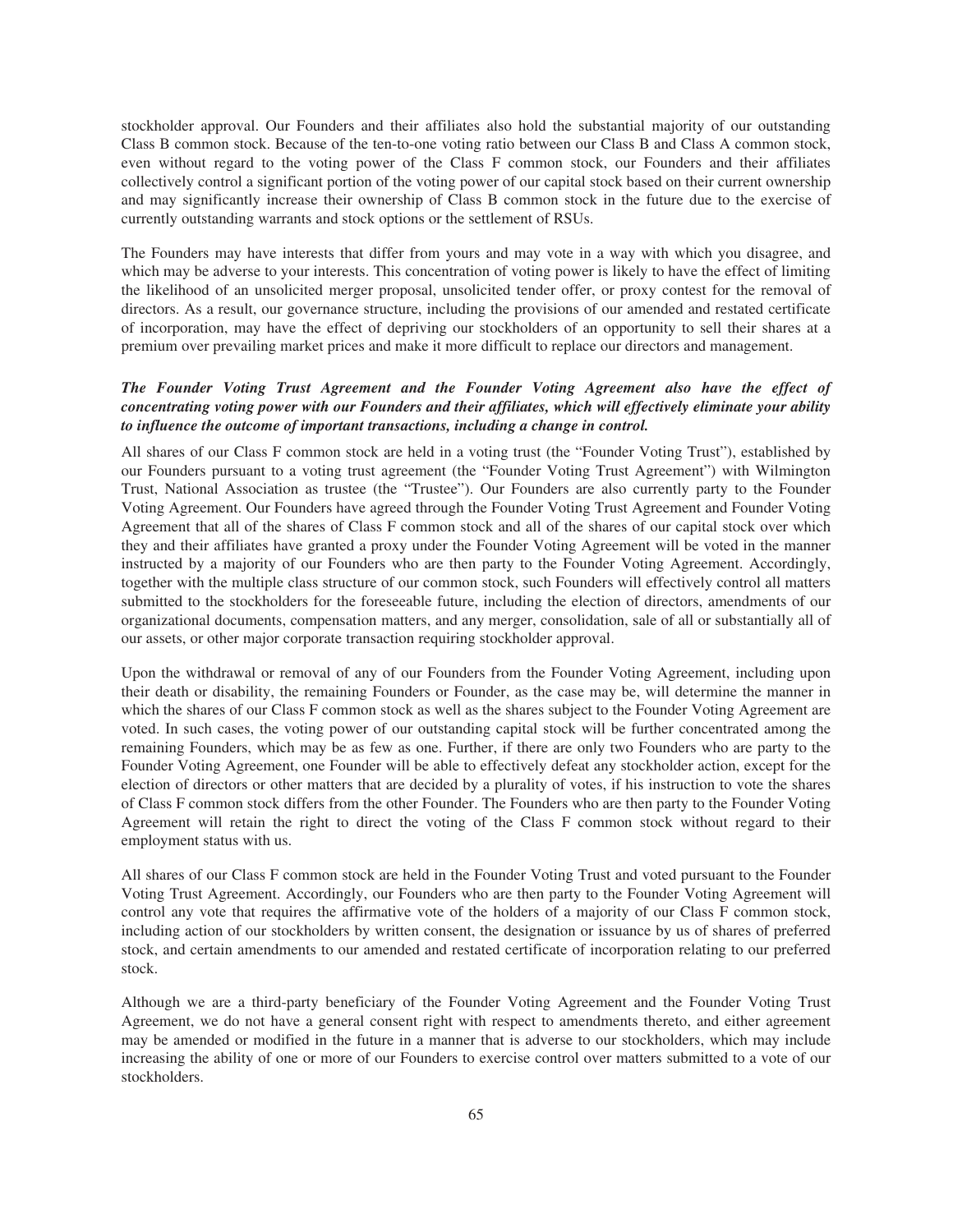stockholder approval. Our Founders and their affiliates also hold the substantial majority of our outstanding Class B common stock. Because of the ten-to-one voting ratio between our Class B and Class A common stock, even without regard to the voting power of the Class F common stock, our Founders and their affiliates collectively control a significant portion of the voting power of our capital stock based on their current ownership and may significantly increase their ownership of Class B common stock in the future due to the exercise of currently outstanding warrants and stock options or the settlement of RSUs.

The Founders may have interests that differ from yours and may vote in a way with which you disagree, and which may be adverse to your interests. This concentration of voting power is likely to have the effect of limiting the likelihood of an unsolicited merger proposal, unsolicited tender offer, or proxy contest for the removal of directors. As a result, our governance structure, including the provisions of our amended and restated certificate of incorporation, may have the effect of depriving our stockholders of an opportunity to sell their shares at a premium over prevailing market prices and make it more difficult to replace our directors and management.

## *The Founder Voting Trust Agreement and the Founder Voting Agreement also have the effect of concentrating voting power with our Founders and their affiliates, which will effectively eliminate your ability to influence the outcome of important transactions, including a change in control.*

All shares of our Class F common stock are held in a voting trust (the "Founder Voting Trust"), established by our Founders pursuant to a voting trust agreement (the "Founder Voting Trust Agreement") with Wilmington Trust, National Association as trustee (the "Trustee"). Our Founders are also currently party to the Founder Voting Agreement. Our Founders have agreed through the Founder Voting Trust Agreement and Founder Voting Agreement that all of the shares of Class F common stock and all of the shares of our capital stock over which they and their affiliates have granted a proxy under the Founder Voting Agreement will be voted in the manner instructed by a majority of our Founders who are then party to the Founder Voting Agreement. Accordingly, together with the multiple class structure of our common stock, such Founders will effectively control all matters submitted to the stockholders for the foreseeable future, including the election of directors, amendments of our organizational documents, compensation matters, and any merger, consolidation, sale of all or substantially all of our assets, or other major corporate transaction requiring stockholder approval.

Upon the withdrawal or removal of any of our Founders from the Founder Voting Agreement, including upon their death or disability, the remaining Founders or Founder, as the case may be, will determine the manner in which the shares of our Class F common stock as well as the shares subject to the Founder Voting Agreement are voted. In such cases, the voting power of our outstanding capital stock will be further concentrated among the remaining Founders, which may be as few as one. Further, if there are only two Founders who are party to the Founder Voting Agreement, one Founder will be able to effectively defeat any stockholder action, except for the election of directors or other matters that are decided by a plurality of votes, if his instruction to vote the shares of Class F common stock differs from the other Founder. The Founders who are then party to the Founder Voting Agreement will retain the right to direct the voting of the Class F common stock without regard to their employment status with us.

All shares of our Class F common stock are held in the Founder Voting Trust and voted pursuant to the Founder Voting Trust Agreement. Accordingly, our Founders who are then party to the Founder Voting Agreement will control any vote that requires the affirmative vote of the holders of a majority of our Class F common stock, including action of our stockholders by written consent, the designation or issuance by us of shares of preferred stock, and certain amendments to our amended and restated certificate of incorporation relating to our preferred stock.

Although we are a third-party beneficiary of the Founder Voting Agreement and the Founder Voting Trust Agreement, we do not have a general consent right with respect to amendments thereto, and either agreement may be amended or modified in the future in a manner that is adverse to our stockholders, which may include increasing the ability of one or more of our Founders to exercise control over matters submitted to a vote of our stockholders.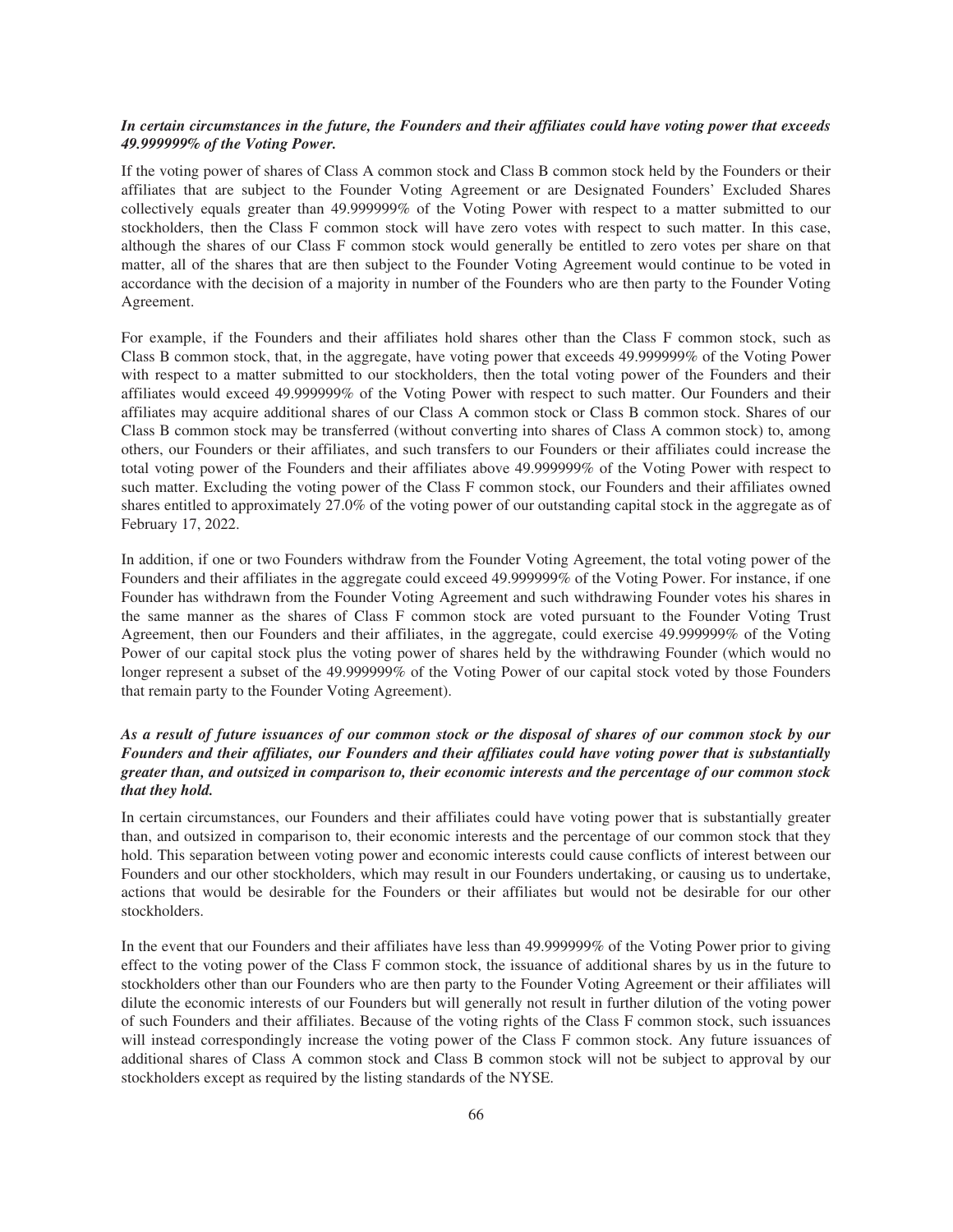## *In certain circumstances in the future, the Founders and their affiliates could have voting power that exceeds 49.999999% of the Voting Power.*

If the voting power of shares of Class A common stock and Class B common stock held by the Founders or their affiliates that are subject to the Founder Voting Agreement or are Designated Founders' Excluded Shares collectively equals greater than 49.999999% of the Voting Power with respect to a matter submitted to our stockholders, then the Class F common stock will have zero votes with respect to such matter. In this case, although the shares of our Class F common stock would generally be entitled to zero votes per share on that matter, all of the shares that are then subject to the Founder Voting Agreement would continue to be voted in accordance with the decision of a majority in number of the Founders who are then party to the Founder Voting Agreement.

For example, if the Founders and their affiliates hold shares other than the Class F common stock, such as Class B common stock, that, in the aggregate, have voting power that exceeds 49.999999% of the Voting Power with respect to a matter submitted to our stockholders, then the total voting power of the Founders and their affiliates would exceed 49.999999% of the Voting Power with respect to such matter. Our Founders and their affiliates may acquire additional shares of our Class A common stock or Class B common stock. Shares of our Class B common stock may be transferred (without converting into shares of Class A common stock) to, among others, our Founders or their affiliates, and such transfers to our Founders or their affiliates could increase the total voting power of the Founders and their affiliates above 49.999999% of the Voting Power with respect to such matter. Excluding the voting power of the Class F common stock, our Founders and their affiliates owned shares entitled to approximately 27.0% of the voting power of our outstanding capital stock in the aggregate as of February 17, 2022.

In addition, if one or two Founders withdraw from the Founder Voting Agreement, the total voting power of the Founders and their affiliates in the aggregate could exceed 49.999999% of the Voting Power. For instance, if one Founder has withdrawn from the Founder Voting Agreement and such withdrawing Founder votes his shares in the same manner as the shares of Class F common stock are voted pursuant to the Founder Voting Trust Agreement, then our Founders and their affiliates, in the aggregate, could exercise 49.999999% of the Voting Power of our capital stock plus the voting power of shares held by the withdrawing Founder (which would no longer represent a subset of the 49.999999% of the Voting Power of our capital stock voted by those Founders that remain party to the Founder Voting Agreement).

# *As a result of future issuances of our common stock or the disposal of shares of our common stock by our Founders and their affiliates, our Founders and their affiliates could have voting power that is substantially greater than, and outsized in comparison to, their economic interests and the percentage of our common stock that they hold.*

In certain circumstances, our Founders and their affiliates could have voting power that is substantially greater than, and outsized in comparison to, their economic interests and the percentage of our common stock that they hold. This separation between voting power and economic interests could cause conflicts of interest between our Founders and our other stockholders, which may result in our Founders undertaking, or causing us to undertake, actions that would be desirable for the Founders or their affiliates but would not be desirable for our other stockholders.

In the event that our Founders and their affiliates have less than 49.999999% of the Voting Power prior to giving effect to the voting power of the Class F common stock, the issuance of additional shares by us in the future to stockholders other than our Founders who are then party to the Founder Voting Agreement or their affiliates will dilute the economic interests of our Founders but will generally not result in further dilution of the voting power of such Founders and their affiliates. Because of the voting rights of the Class F common stock, such issuances will instead correspondingly increase the voting power of the Class F common stock. Any future issuances of additional shares of Class A common stock and Class B common stock will not be subject to approval by our stockholders except as required by the listing standards of the NYSE.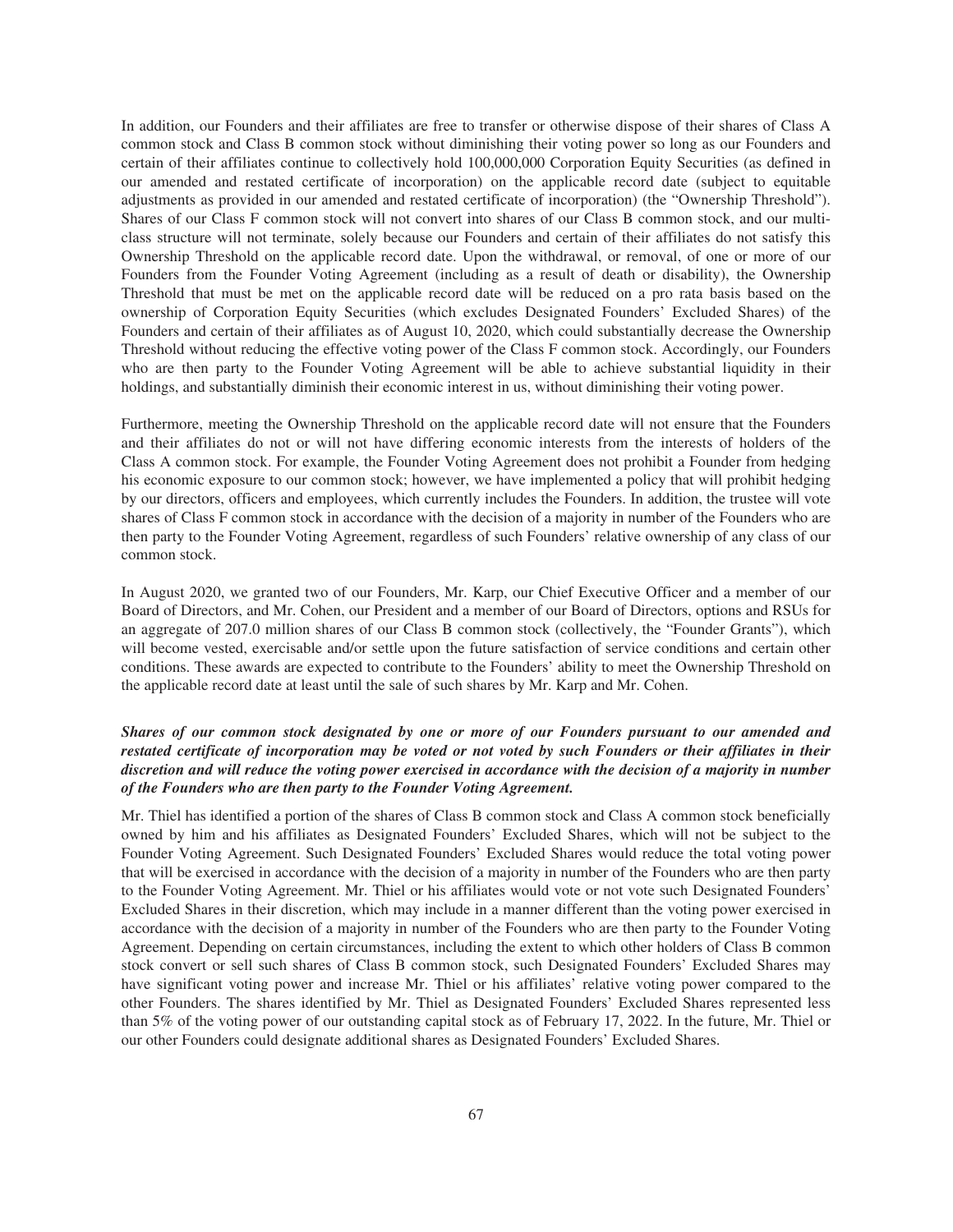In addition, our Founders and their affiliates are free to transfer or otherwise dispose of their shares of Class A common stock and Class B common stock without diminishing their voting power so long as our Founders and certain of their affiliates continue to collectively hold 100,000,000 Corporation Equity Securities (as defined in our amended and restated certificate of incorporation) on the applicable record date (subject to equitable adjustments as provided in our amended and restated certificate of incorporation) (the "Ownership Threshold"). Shares of our Class F common stock will not convert into shares of our Class B common stock, and our multiclass structure will not terminate, solely because our Founders and certain of their affiliates do not satisfy this Ownership Threshold on the applicable record date. Upon the withdrawal, or removal, of one or more of our Founders from the Founder Voting Agreement (including as a result of death or disability), the Ownership Threshold that must be met on the applicable record date will be reduced on a pro rata basis based on the ownership of Corporation Equity Securities (which excludes Designated Founders' Excluded Shares) of the Founders and certain of their affiliates as of August 10, 2020, which could substantially decrease the Ownership Threshold without reducing the effective voting power of the Class F common stock. Accordingly, our Founders who are then party to the Founder Voting Agreement will be able to achieve substantial liquidity in their holdings, and substantially diminish their economic interest in us, without diminishing their voting power.

Furthermore, meeting the Ownership Threshold on the applicable record date will not ensure that the Founders and their affiliates do not or will not have differing economic interests from the interests of holders of the Class A common stock. For example, the Founder Voting Agreement does not prohibit a Founder from hedging his economic exposure to our common stock; however, we have implemented a policy that will prohibit hedging by our directors, officers and employees, which currently includes the Founders. In addition, the trustee will vote shares of Class F common stock in accordance with the decision of a majority in number of the Founders who are then party to the Founder Voting Agreement, regardless of such Founders' relative ownership of any class of our common stock.

In August 2020, we granted two of our Founders, Mr. Karp, our Chief Executive Officer and a member of our Board of Directors, and Mr. Cohen, our President and a member of our Board of Directors, options and RSUs for an aggregate of 207.0 million shares of our Class B common stock (collectively, the "Founder Grants"), which will become vested, exercisable and/or settle upon the future satisfaction of service conditions and certain other conditions. These awards are expected to contribute to the Founders' ability to meet the Ownership Threshold on the applicable record date at least until the sale of such shares by Mr. Karp and Mr. Cohen.

# *Shares of our common stock designated by one or more of our Founders pursuant to our amended and restated certificate of incorporation may be voted or not voted by such Founders or their affiliates in their discretion and will reduce the voting power exercised in accordance with the decision of a majority in number of the Founders who are then party to the Founder Voting Agreement.*

Mr. Thiel has identified a portion of the shares of Class B common stock and Class A common stock beneficially owned by him and his affiliates as Designated Founders' Excluded Shares, which will not be subject to the Founder Voting Agreement. Such Designated Founders' Excluded Shares would reduce the total voting power that will be exercised in accordance with the decision of a majority in number of the Founders who are then party to the Founder Voting Agreement. Mr. Thiel or his affiliates would vote or not vote such Designated Founders' Excluded Shares in their discretion, which may include in a manner different than the voting power exercised in accordance with the decision of a majority in number of the Founders who are then party to the Founder Voting Agreement. Depending on certain circumstances, including the extent to which other holders of Class B common stock convert or sell such shares of Class B common stock, such Designated Founders' Excluded Shares may have significant voting power and increase Mr. Thiel or his affiliates' relative voting power compared to the other Founders. The shares identified by Mr. Thiel as Designated Founders' Excluded Shares represented less than 5% of the voting power of our outstanding capital stock as of February 17, 2022. In the future, Mr. Thiel or our other Founders could designate additional shares as Designated Founders' Excluded Shares.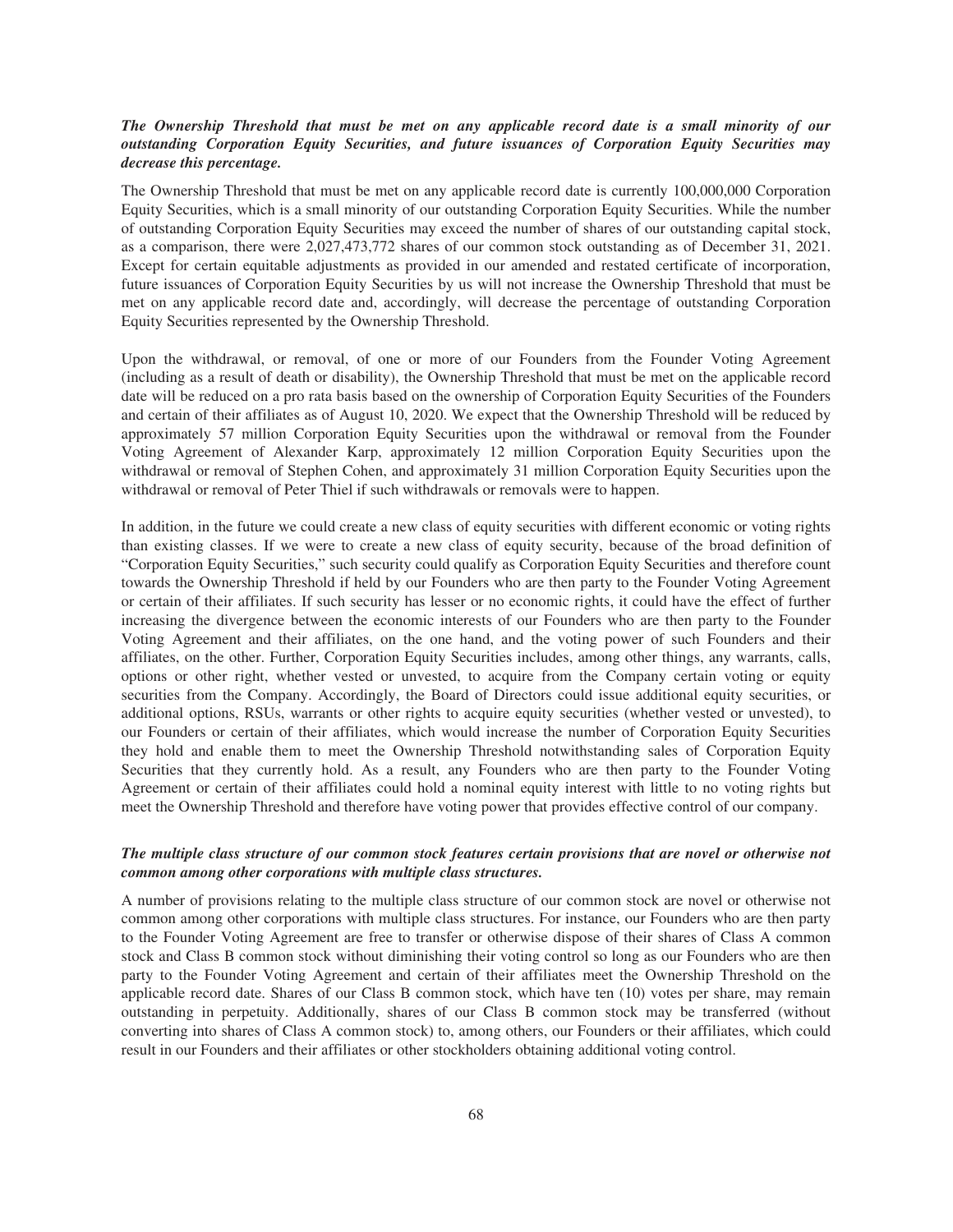# *The Ownership Threshold that must be met on any applicable record date is a small minority of our outstanding Corporation Equity Securities, and future issuances of Corporation Equity Securities may decrease this percentage.*

The Ownership Threshold that must be met on any applicable record date is currently 100,000,000 Corporation Equity Securities, which is a small minority of our outstanding Corporation Equity Securities. While the number of outstanding Corporation Equity Securities may exceed the number of shares of our outstanding capital stock, as a comparison, there were 2,027,473,772 shares of our common stock outstanding as of December 31, 2021. Except for certain equitable adjustments as provided in our amended and restated certificate of incorporation, future issuances of Corporation Equity Securities by us will not increase the Ownership Threshold that must be met on any applicable record date and, accordingly, will decrease the percentage of outstanding Corporation Equity Securities represented by the Ownership Threshold.

Upon the withdrawal, or removal, of one or more of our Founders from the Founder Voting Agreement (including as a result of death or disability), the Ownership Threshold that must be met on the applicable record date will be reduced on a pro rata basis based on the ownership of Corporation Equity Securities of the Founders and certain of their affiliates as of August 10, 2020. We expect that the Ownership Threshold will be reduced by approximately 57 million Corporation Equity Securities upon the withdrawal or removal from the Founder Voting Agreement of Alexander Karp, approximately 12 million Corporation Equity Securities upon the withdrawal or removal of Stephen Cohen, and approximately 31 million Corporation Equity Securities upon the withdrawal or removal of Peter Thiel if such withdrawals or removals were to happen.

In addition, in the future we could create a new class of equity securities with different economic or voting rights than existing classes. If we were to create a new class of equity security, because of the broad definition of "Corporation Equity Securities," such security could qualify as Corporation Equity Securities and therefore count towards the Ownership Threshold if held by our Founders who are then party to the Founder Voting Agreement or certain of their affiliates. If such security has lesser or no economic rights, it could have the effect of further increasing the divergence between the economic interests of our Founders who are then party to the Founder Voting Agreement and their affiliates, on the one hand, and the voting power of such Founders and their affiliates, on the other. Further, Corporation Equity Securities includes, among other things, any warrants, calls, options or other right, whether vested or unvested, to acquire from the Company certain voting or equity securities from the Company. Accordingly, the Board of Directors could issue additional equity securities, or additional options, RSUs, warrants or other rights to acquire equity securities (whether vested or unvested), to our Founders or certain of their affiliates, which would increase the number of Corporation Equity Securities they hold and enable them to meet the Ownership Threshold notwithstanding sales of Corporation Equity Securities that they currently hold. As a result, any Founders who are then party to the Founder Voting Agreement or certain of their affiliates could hold a nominal equity interest with little to no voting rights but meet the Ownership Threshold and therefore have voting power that provides effective control of our company.

### *The multiple class structure of our common stock features certain provisions that are novel or otherwise not common among other corporations with multiple class structures.*

A number of provisions relating to the multiple class structure of our common stock are novel or otherwise not common among other corporations with multiple class structures. For instance, our Founders who are then party to the Founder Voting Agreement are free to transfer or otherwise dispose of their shares of Class A common stock and Class B common stock without diminishing their voting control so long as our Founders who are then party to the Founder Voting Agreement and certain of their affiliates meet the Ownership Threshold on the applicable record date. Shares of our Class B common stock, which have ten (10) votes per share, may remain outstanding in perpetuity. Additionally, shares of our Class B common stock may be transferred (without converting into shares of Class A common stock) to, among others, our Founders or their affiliates, which could result in our Founders and their affiliates or other stockholders obtaining additional voting control.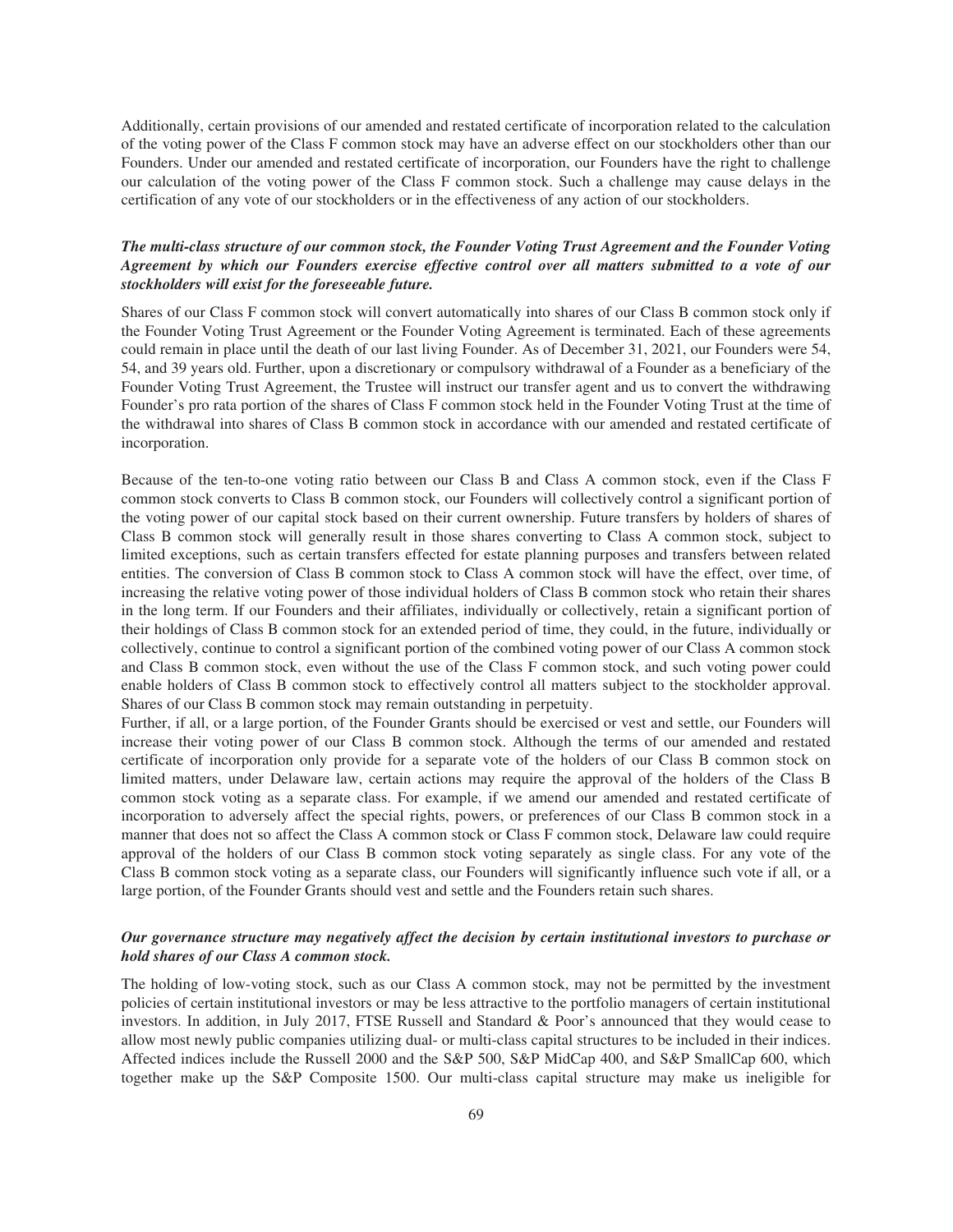Additionally, certain provisions of our amended and restated certificate of incorporation related to the calculation of the voting power of the Class F common stock may have an adverse effect on our stockholders other than our Founders. Under our amended and restated certificate of incorporation, our Founders have the right to challenge our calculation of the voting power of the Class F common stock. Such a challenge may cause delays in the certification of any vote of our stockholders or in the effectiveness of any action of our stockholders.

# *The multi-class structure of our common stock, the Founder Voting Trust Agreement and the Founder Voting Agreement by which our Founders exercise effective control over all matters submitted to a vote of our stockholders will exist for the foreseeable future.*

Shares of our Class F common stock will convert automatically into shares of our Class B common stock only if the Founder Voting Trust Agreement or the Founder Voting Agreement is terminated. Each of these agreements could remain in place until the death of our last living Founder. As of December 31, 2021, our Founders were 54, 54, and 39 years old. Further, upon a discretionary or compulsory withdrawal of a Founder as a beneficiary of the Founder Voting Trust Agreement, the Trustee will instruct our transfer agent and us to convert the withdrawing Founder's pro rata portion of the shares of Class F common stock held in the Founder Voting Trust at the time of the withdrawal into shares of Class B common stock in accordance with our amended and restated certificate of incorporation.

Because of the ten-to-one voting ratio between our Class B and Class A common stock, even if the Class F common stock converts to Class B common stock, our Founders will collectively control a significant portion of the voting power of our capital stock based on their current ownership. Future transfers by holders of shares of Class B common stock will generally result in those shares converting to Class A common stock, subject to limited exceptions, such as certain transfers effected for estate planning purposes and transfers between related entities. The conversion of Class B common stock to Class A common stock will have the effect, over time, of increasing the relative voting power of those individual holders of Class B common stock who retain their shares in the long term. If our Founders and their affiliates, individually or collectively, retain a significant portion of their holdings of Class B common stock for an extended period of time, they could, in the future, individually or collectively, continue to control a significant portion of the combined voting power of our Class A common stock and Class B common stock, even without the use of the Class F common stock, and such voting power could enable holders of Class B common stock to effectively control all matters subject to the stockholder approval. Shares of our Class B common stock may remain outstanding in perpetuity.

Further, if all, or a large portion, of the Founder Grants should be exercised or vest and settle, our Founders will increase their voting power of our Class B common stock. Although the terms of our amended and restated certificate of incorporation only provide for a separate vote of the holders of our Class B common stock on limited matters, under Delaware law, certain actions may require the approval of the holders of the Class B common stock voting as a separate class. For example, if we amend our amended and restated certificate of incorporation to adversely affect the special rights, powers, or preferences of our Class B common stock in a manner that does not so affect the Class A common stock or Class F common stock, Delaware law could require approval of the holders of our Class B common stock voting separately as single class. For any vote of the Class B common stock voting as a separate class, our Founders will significantly influence such vote if all, or a large portion, of the Founder Grants should vest and settle and the Founders retain such shares.

## *Our governance structure may negatively affect the decision by certain institutional investors to purchase or hold shares of our Class A common stock.*

The holding of low-voting stock, such as our Class A common stock, may not be permitted by the investment policies of certain institutional investors or may be less attractive to the portfolio managers of certain institutional investors. In addition, in July 2017, FTSE Russell and Standard & Poor's announced that they would cease to allow most newly public companies utilizing dual- or multi-class capital structures to be included in their indices. Affected indices include the Russell 2000 and the S&P 500, S&P MidCap 400, and S&P SmallCap 600, which together make up the S&P Composite 1500. Our multi-class capital structure may make us ineligible for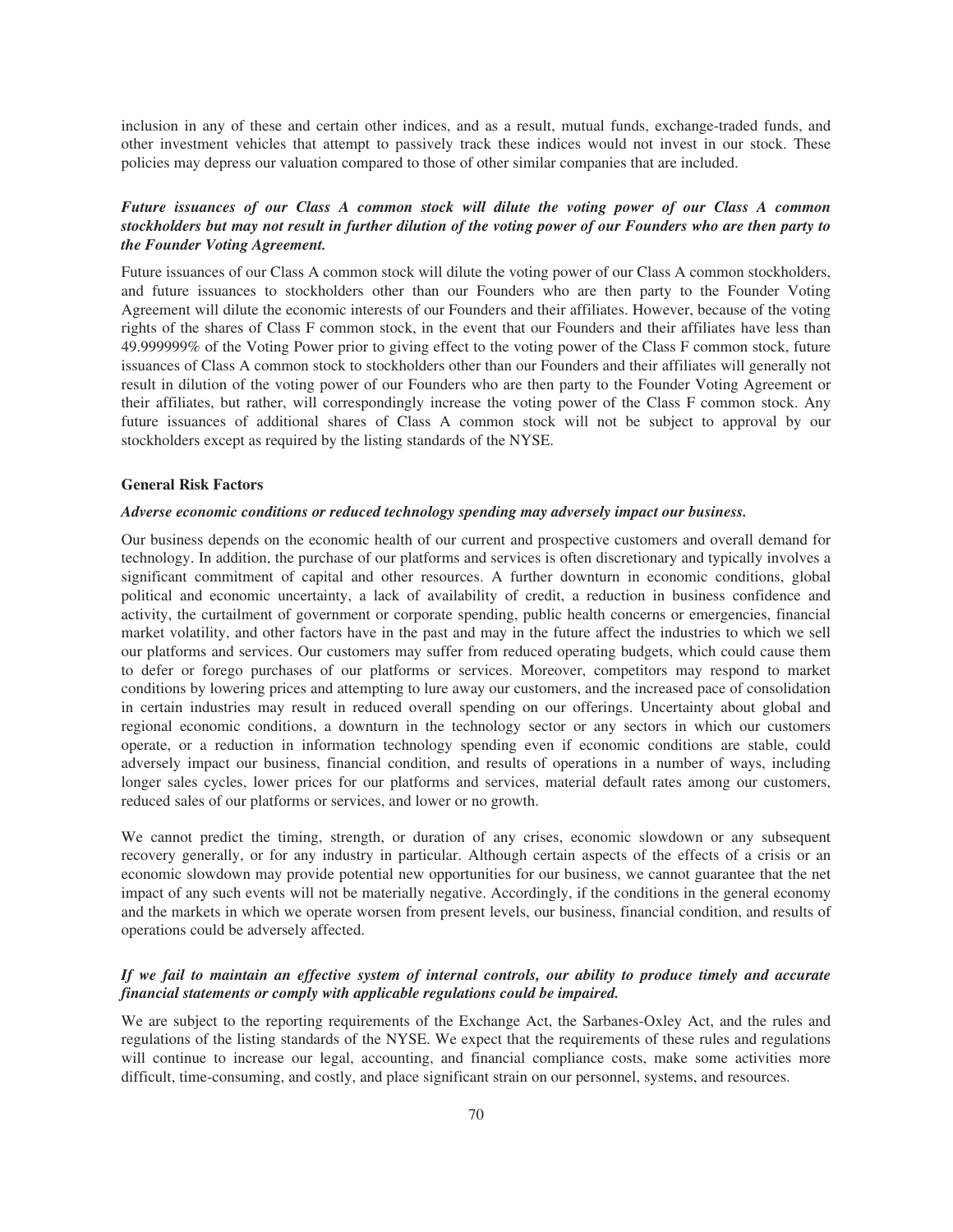inclusion in any of these and certain other indices, and as a result, mutual funds, exchange-traded funds, and other investment vehicles that attempt to passively track these indices would not invest in our stock. These policies may depress our valuation compared to those of other similar companies that are included.

# *Future issuances of our Class A common stock will dilute the voting power of our Class A common stockholders but may not result in further dilution of the voting power of our Founders who are then party to the Founder Voting Agreement.*

Future issuances of our Class A common stock will dilute the voting power of our Class A common stockholders, and future issuances to stockholders other than our Founders who are then party to the Founder Voting Agreement will dilute the economic interests of our Founders and their affiliates. However, because of the voting rights of the shares of Class F common stock, in the event that our Founders and their affiliates have less than 49.999999% of the Voting Power prior to giving effect to the voting power of the Class F common stock, future issuances of Class A common stock to stockholders other than our Founders and their affiliates will generally not result in dilution of the voting power of our Founders who are then party to the Founder Voting Agreement or their affiliates, but rather, will correspondingly increase the voting power of the Class F common stock. Any future issuances of additional shares of Class A common stock will not be subject to approval by our stockholders except as required by the listing standards of the NYSE.

#### **General Risk Factors**

#### *Adverse economic conditions or reduced technology spending may adversely impact our business.*

Our business depends on the economic health of our current and prospective customers and overall demand for technology. In addition, the purchase of our platforms and services is often discretionary and typically involves a significant commitment of capital and other resources. A further downturn in economic conditions, global political and economic uncertainty, a lack of availability of credit, a reduction in business confidence and activity, the curtailment of government or corporate spending, public health concerns or emergencies, financial market volatility, and other factors have in the past and may in the future affect the industries to which we sell our platforms and services. Our customers may suffer from reduced operating budgets, which could cause them to defer or forego purchases of our platforms or services. Moreover, competitors may respond to market conditions by lowering prices and attempting to lure away our customers, and the increased pace of consolidation in certain industries may result in reduced overall spending on our offerings. Uncertainty about global and regional economic conditions, a downturn in the technology sector or any sectors in which our customers operate, or a reduction in information technology spending even if economic conditions are stable, could adversely impact our business, financial condition, and results of operations in a number of ways, including longer sales cycles, lower prices for our platforms and services, material default rates among our customers, reduced sales of our platforms or services, and lower or no growth.

We cannot predict the timing, strength, or duration of any crises, economic slowdown or any subsequent recovery generally, or for any industry in particular. Although certain aspects of the effects of a crisis or an economic slowdown may provide potential new opportunities for our business, we cannot guarantee that the net impact of any such events will not be materially negative. Accordingly, if the conditions in the general economy and the markets in which we operate worsen from present levels, our business, financial condition, and results of operations could be adversely affected.

## *If we fail to maintain an effective system of internal controls, our ability to produce timely and accurate financial statements or comply with applicable regulations could be impaired.*

We are subject to the reporting requirements of the Exchange Act, the Sarbanes-Oxley Act, and the rules and regulations of the listing standards of the NYSE. We expect that the requirements of these rules and regulations will continue to increase our legal, accounting, and financial compliance costs, make some activities more difficult, time-consuming, and costly, and place significant strain on our personnel, systems, and resources.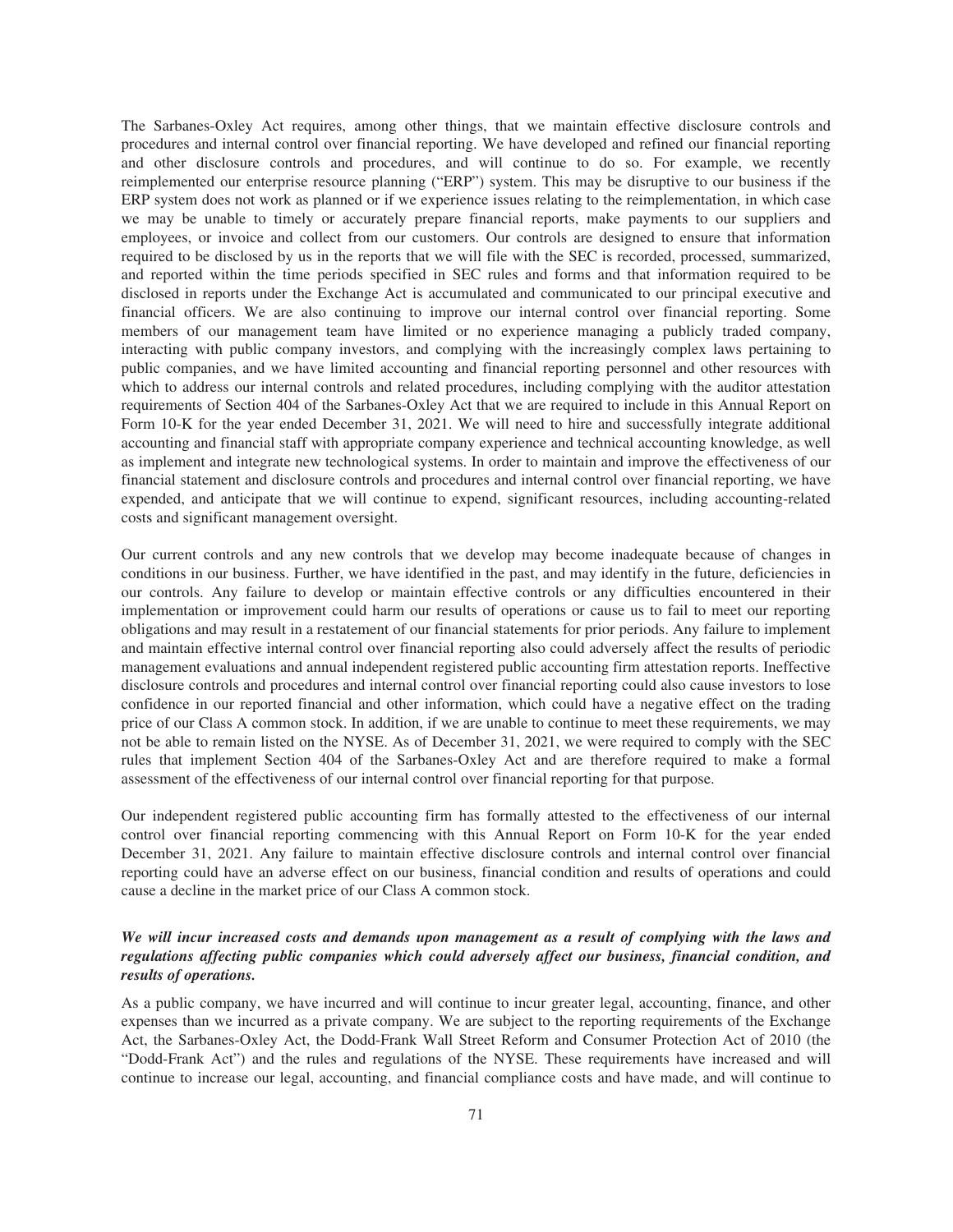The Sarbanes-Oxley Act requires, among other things, that we maintain effective disclosure controls and procedures and internal control over financial reporting. We have developed and refined our financial reporting and other disclosure controls and procedures, and will continue to do so. For example, we recently reimplemented our enterprise resource planning ("ERP") system. This may be disruptive to our business if the ERP system does not work as planned or if we experience issues relating to the reimplementation, in which case we may be unable to timely or accurately prepare financial reports, make payments to our suppliers and employees, or invoice and collect from our customers. Our controls are designed to ensure that information required to be disclosed by us in the reports that we will file with the SEC is recorded, processed, summarized, and reported within the time periods specified in SEC rules and forms and that information required to be disclosed in reports under the Exchange Act is accumulated and communicated to our principal executive and financial officers. We are also continuing to improve our internal control over financial reporting. Some members of our management team have limited or no experience managing a publicly traded company, interacting with public company investors, and complying with the increasingly complex laws pertaining to public companies, and we have limited accounting and financial reporting personnel and other resources with which to address our internal controls and related procedures, including complying with the auditor attestation requirements of Section 404 of the Sarbanes-Oxley Act that we are required to include in this Annual Report on Form 10-K for the year ended December 31, 2021. We will need to hire and successfully integrate additional accounting and financial staff with appropriate company experience and technical accounting knowledge, as well as implement and integrate new technological systems. In order to maintain and improve the effectiveness of our financial statement and disclosure controls and procedures and internal control over financial reporting, we have expended, and anticipate that we will continue to expend, significant resources, including accounting-related costs and significant management oversight.

Our current controls and any new controls that we develop may become inadequate because of changes in conditions in our business. Further, we have identified in the past, and may identify in the future, deficiencies in our controls. Any failure to develop or maintain effective controls or any difficulties encountered in their implementation or improvement could harm our results of operations or cause us to fail to meet our reporting obligations and may result in a restatement of our financial statements for prior periods. Any failure to implement and maintain effective internal control over financial reporting also could adversely affect the results of periodic management evaluations and annual independent registered public accounting firm attestation reports. Ineffective disclosure controls and procedures and internal control over financial reporting could also cause investors to lose confidence in our reported financial and other information, which could have a negative effect on the trading price of our Class A common stock. In addition, if we are unable to continue to meet these requirements, we may not be able to remain listed on the NYSE. As of December 31, 2021, we were required to comply with the SEC rules that implement Section 404 of the Sarbanes-Oxley Act and are therefore required to make a formal assessment of the effectiveness of our internal control over financial reporting for that purpose.

Our independent registered public accounting firm has formally attested to the effectiveness of our internal control over financial reporting commencing with this Annual Report on Form 10-K for the year ended December 31, 2021. Any failure to maintain effective disclosure controls and internal control over financial reporting could have an adverse effect on our business, financial condition and results of operations and could cause a decline in the market price of our Class A common stock.

# *We will incur increased costs and demands upon management as a result of complying with the laws and regulations affecting public companies which could adversely affect our business, financial condition, and results of operations.*

As a public company, we have incurred and will continue to incur greater legal, accounting, finance, and other expenses than we incurred as a private company. We are subject to the reporting requirements of the Exchange Act, the Sarbanes-Oxley Act, the Dodd-Frank Wall Street Reform and Consumer Protection Act of 2010 (the "Dodd-Frank Act") and the rules and regulations of the NYSE. These requirements have increased and will continue to increase our legal, accounting, and financial compliance costs and have made, and will continue to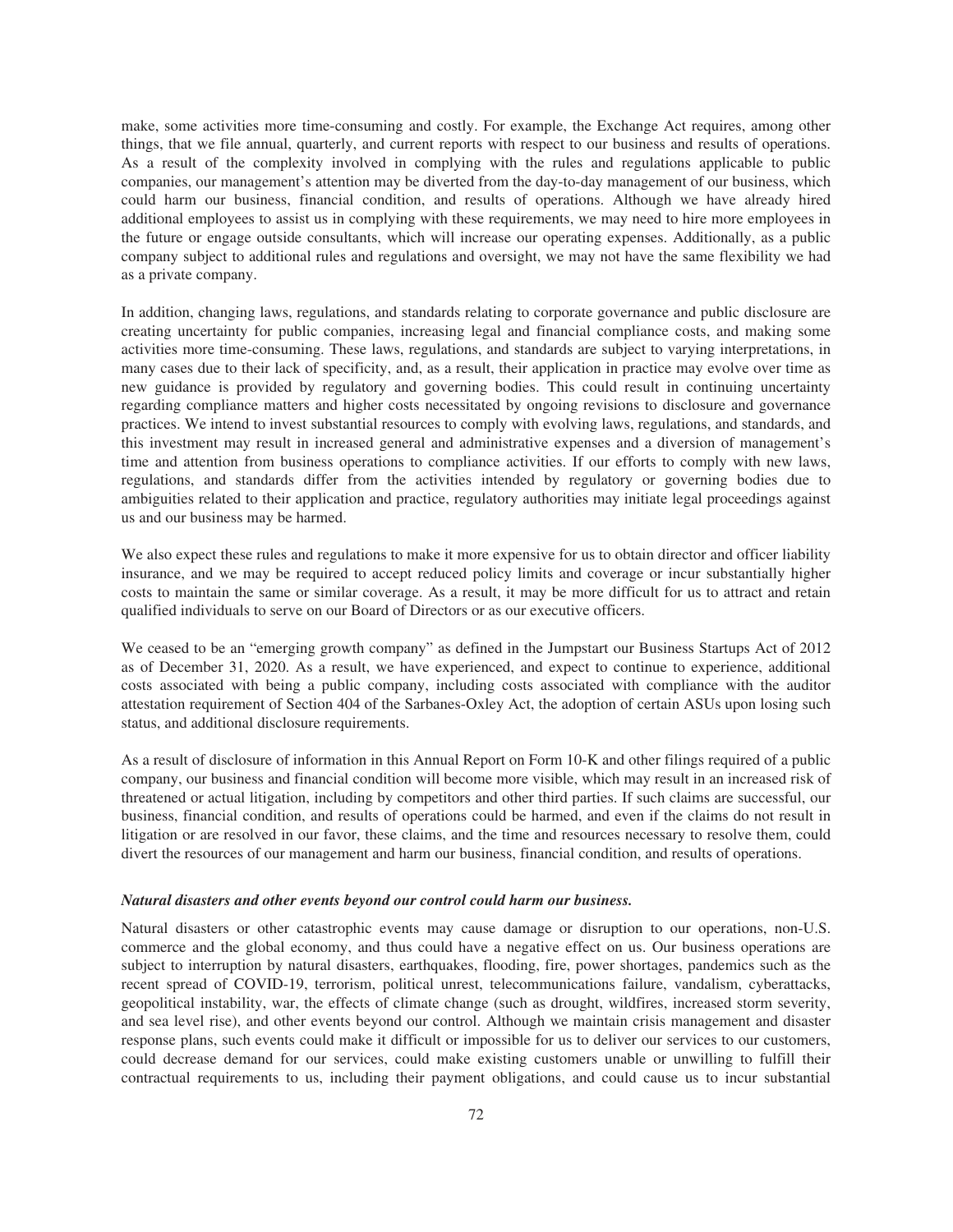make, some activities more time-consuming and costly. For example, the Exchange Act requires, among other things, that we file annual, quarterly, and current reports with respect to our business and results of operations. As a result of the complexity involved in complying with the rules and regulations applicable to public companies, our management's attention may be diverted from the day-to-day management of our business, which could harm our business, financial condition, and results of operations. Although we have already hired additional employees to assist us in complying with these requirements, we may need to hire more employees in the future or engage outside consultants, which will increase our operating expenses. Additionally, as a public company subject to additional rules and regulations and oversight, we may not have the same flexibility we had as a private company.

In addition, changing laws, regulations, and standards relating to corporate governance and public disclosure are creating uncertainty for public companies, increasing legal and financial compliance costs, and making some activities more time-consuming. These laws, regulations, and standards are subject to varying interpretations, in many cases due to their lack of specificity, and, as a result, their application in practice may evolve over time as new guidance is provided by regulatory and governing bodies. This could result in continuing uncertainty regarding compliance matters and higher costs necessitated by ongoing revisions to disclosure and governance practices. We intend to invest substantial resources to comply with evolving laws, regulations, and standards, and this investment may result in increased general and administrative expenses and a diversion of management's time and attention from business operations to compliance activities. If our efforts to comply with new laws, regulations, and standards differ from the activities intended by regulatory or governing bodies due to ambiguities related to their application and practice, regulatory authorities may initiate legal proceedings against us and our business may be harmed.

We also expect these rules and regulations to make it more expensive for us to obtain director and officer liability insurance, and we may be required to accept reduced policy limits and coverage or incur substantially higher costs to maintain the same or similar coverage. As a result, it may be more difficult for us to attract and retain qualified individuals to serve on our Board of Directors or as our executive officers.

We ceased to be an "emerging growth company" as defined in the Jumpstart our Business Startups Act of 2012 as of December 31, 2020. As a result, we have experienced, and expect to continue to experience, additional costs associated with being a public company, including costs associated with compliance with the auditor attestation requirement of Section 404 of the Sarbanes-Oxley Act, the adoption of certain ASUs upon losing such status, and additional disclosure requirements.

As a result of disclosure of information in this Annual Report on Form 10-K and other filings required of a public company, our business and financial condition will become more visible, which may result in an increased risk of threatened or actual litigation, including by competitors and other third parties. If such claims are successful, our business, financial condition, and results of operations could be harmed, and even if the claims do not result in litigation or are resolved in our favor, these claims, and the time and resources necessary to resolve them, could divert the resources of our management and harm our business, financial condition, and results of operations.

### *Natural disasters and other events beyond our control could harm our business.*

Natural disasters or other catastrophic events may cause damage or disruption to our operations, non-U.S. commerce and the global economy, and thus could have a negative effect on us. Our business operations are subject to interruption by natural disasters, earthquakes, flooding, fire, power shortages, pandemics such as the recent spread of COVID-19, terrorism, political unrest, telecommunications failure, vandalism, cyberattacks, geopolitical instability, war, the effects of climate change (such as drought, wildfires, increased storm severity, and sea level rise), and other events beyond our control. Although we maintain crisis management and disaster response plans, such events could make it difficult or impossible for us to deliver our services to our customers, could decrease demand for our services, could make existing customers unable or unwilling to fulfill their contractual requirements to us, including their payment obligations, and could cause us to incur substantial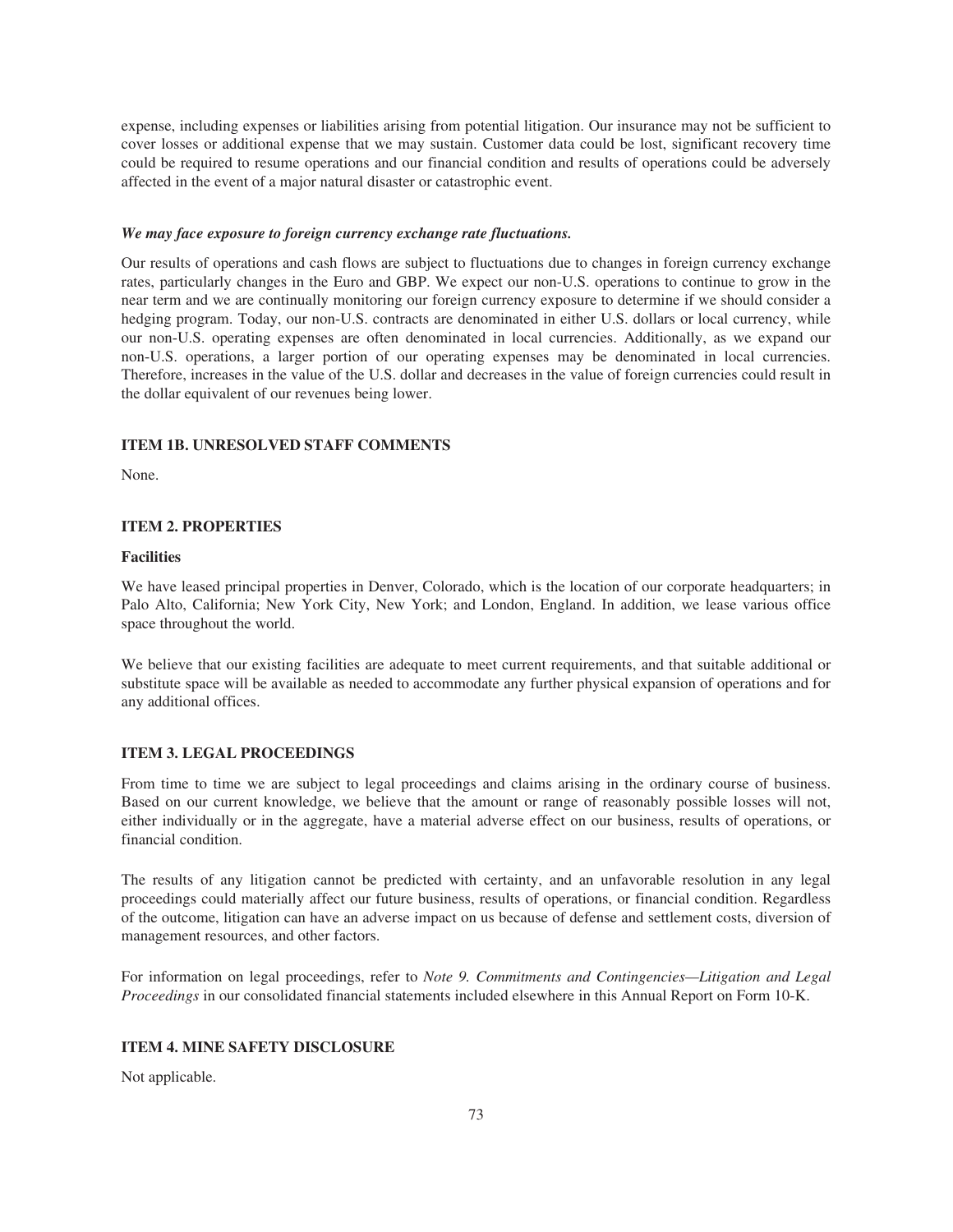expense, including expenses or liabilities arising from potential litigation. Our insurance may not be sufficient to cover losses or additional expense that we may sustain. Customer data could be lost, significant recovery time could be required to resume operations and our financial condition and results of operations could be adversely affected in the event of a major natural disaster or catastrophic event.

### *We may face exposure to foreign currency exchange rate fluctuations.*

Our results of operations and cash flows are subject to fluctuations due to changes in foreign currency exchange rates, particularly changes in the Euro and GBP. We expect our non-U.S. operations to continue to grow in the near term and we are continually monitoring our foreign currency exposure to determine if we should consider a hedging program. Today, our non-U.S. contracts are denominated in either U.S. dollars or local currency, while our non-U.S. operating expenses are often denominated in local currencies. Additionally, as we expand our non-U.S. operations, a larger portion of our operating expenses may be denominated in local currencies. Therefore, increases in the value of the U.S. dollar and decreases in the value of foreign currencies could result in the dollar equivalent of our revenues being lower.

# **ITEM 1B. UNRESOLVED STAFF COMMENTS**

None.

# **ITEM 2. PROPERTIES**

# **Facilities**

We have leased principal properties in Denver, Colorado, which is the location of our corporate headquarters; in Palo Alto, California; New York City, New York; and London, England. In addition, we lease various office space throughout the world.

We believe that our existing facilities are adequate to meet current requirements, and that suitable additional or substitute space will be available as needed to accommodate any further physical expansion of operations and for any additional offices.

# **ITEM 3. LEGAL PROCEEDINGS**

From time to time we are subject to legal proceedings and claims arising in the ordinary course of business. Based on our current knowledge, we believe that the amount or range of reasonably possible losses will not, either individually or in the aggregate, have a material adverse effect on our business, results of operations, or financial condition.

The results of any litigation cannot be predicted with certainty, and an unfavorable resolution in any legal proceedings could materially affect our future business, results of operations, or financial condition. Regardless of the outcome, litigation can have an adverse impact on us because of defense and settlement costs, diversion of management resources, and other factors.

For information on legal proceedings, refer to *Note 9. Commitments and Contingencies—Litigation and Legal Proceedings* in our consolidated financial statements included elsewhere in this Annual Report on Form 10-K.

# **ITEM 4. MINE SAFETY DISCLOSURE**

Not applicable.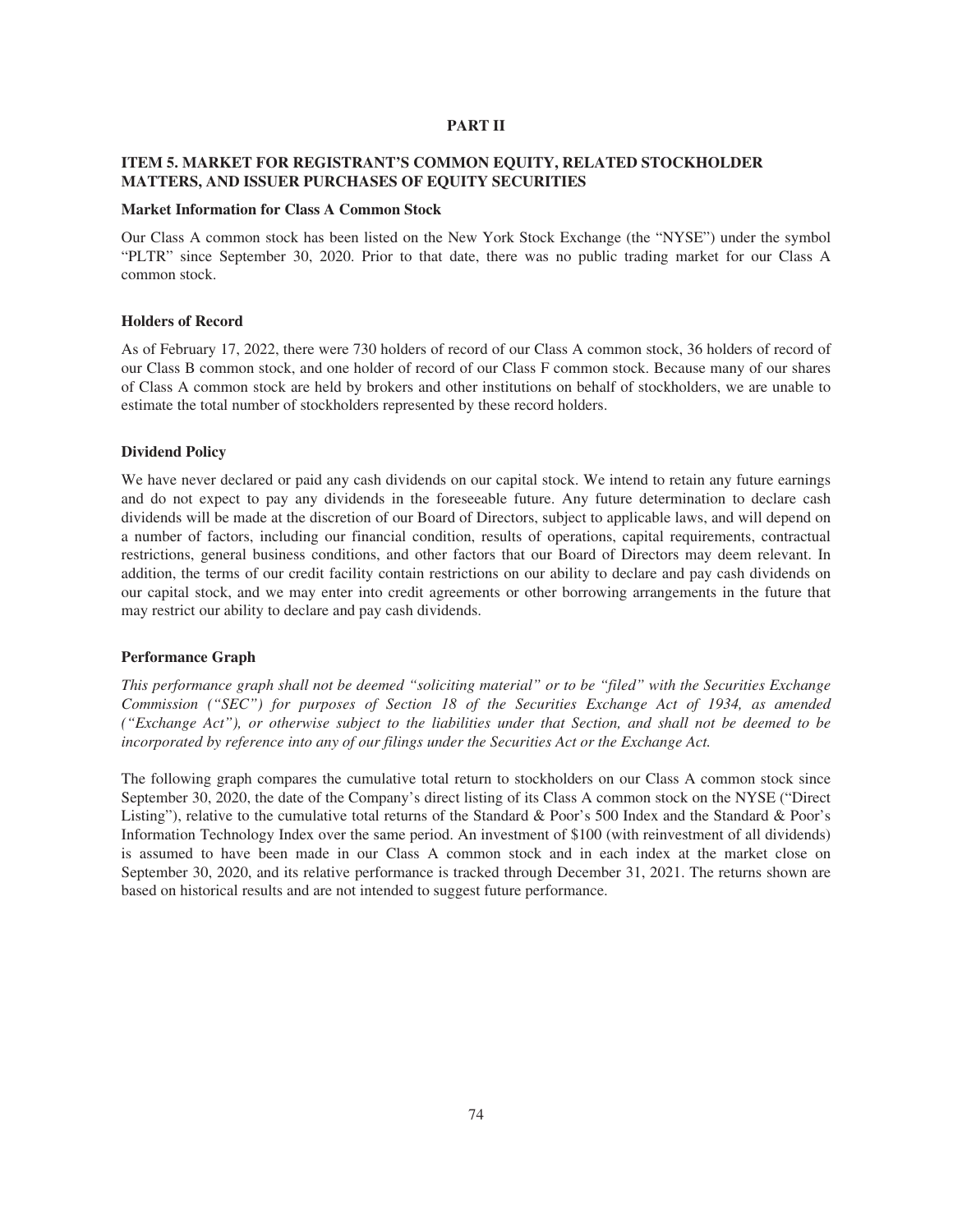# **PART II**

# **ITEM 5. MARKET FOR REGISTRANT'S COMMON EQUITY, RELATED STOCKHOLDER MATTERS, AND ISSUER PURCHASES OF EQUITY SECURITIES**

# **Market Information for Class A Common Stock**

Our Class A common stock has been listed on the New York Stock Exchange (the "NYSE") under the symbol "PLTR" since September 30, 2020. Prior to that date, there was no public trading market for our Class A common stock.

#### **Holders of Record**

As of February 17, 2022, there were 730 holders of record of our Class A common stock, 36 holders of record of our Class B common stock, and one holder of record of our Class F common stock. Because many of our shares of Class A common stock are held by brokers and other institutions on behalf of stockholders, we are unable to estimate the total number of stockholders represented by these record holders.

# **Dividend Policy**

We have never declared or paid any cash dividends on our capital stock. We intend to retain any future earnings and do not expect to pay any dividends in the foreseeable future. Any future determination to declare cash dividends will be made at the discretion of our Board of Directors, subject to applicable laws, and will depend on a number of factors, including our financial condition, results of operations, capital requirements, contractual restrictions, general business conditions, and other factors that our Board of Directors may deem relevant. In addition, the terms of our credit facility contain restrictions on our ability to declare and pay cash dividends on our capital stock, and we may enter into credit agreements or other borrowing arrangements in the future that may restrict our ability to declare and pay cash dividends.

# **Performance Graph**

*This performance graph shall not be deemed "soliciting material" or to be "filed" with the Securities Exchange Commission ("SEC") for purposes of Section 18 of the Securities Exchange Act of 1934, as amended ("Exchange Act"), or otherwise subject to the liabilities under that Section, and shall not be deemed to be incorporated by reference into any of our filings under the Securities Act or the Exchange Act.*

The following graph compares the cumulative total return to stockholders on our Class A common stock since September 30, 2020, the date of the Company's direct listing of its Class A common stock on the NYSE ("Direct Listing"), relative to the cumulative total returns of the Standard & Poor's 500 Index and the Standard & Poor's Information Technology Index over the same period. An investment of \$100 (with reinvestment of all dividends) is assumed to have been made in our Class A common stock and in each index at the market close on September 30, 2020, and its relative performance is tracked through December 31, 2021. The returns shown are based on historical results and are not intended to suggest future performance.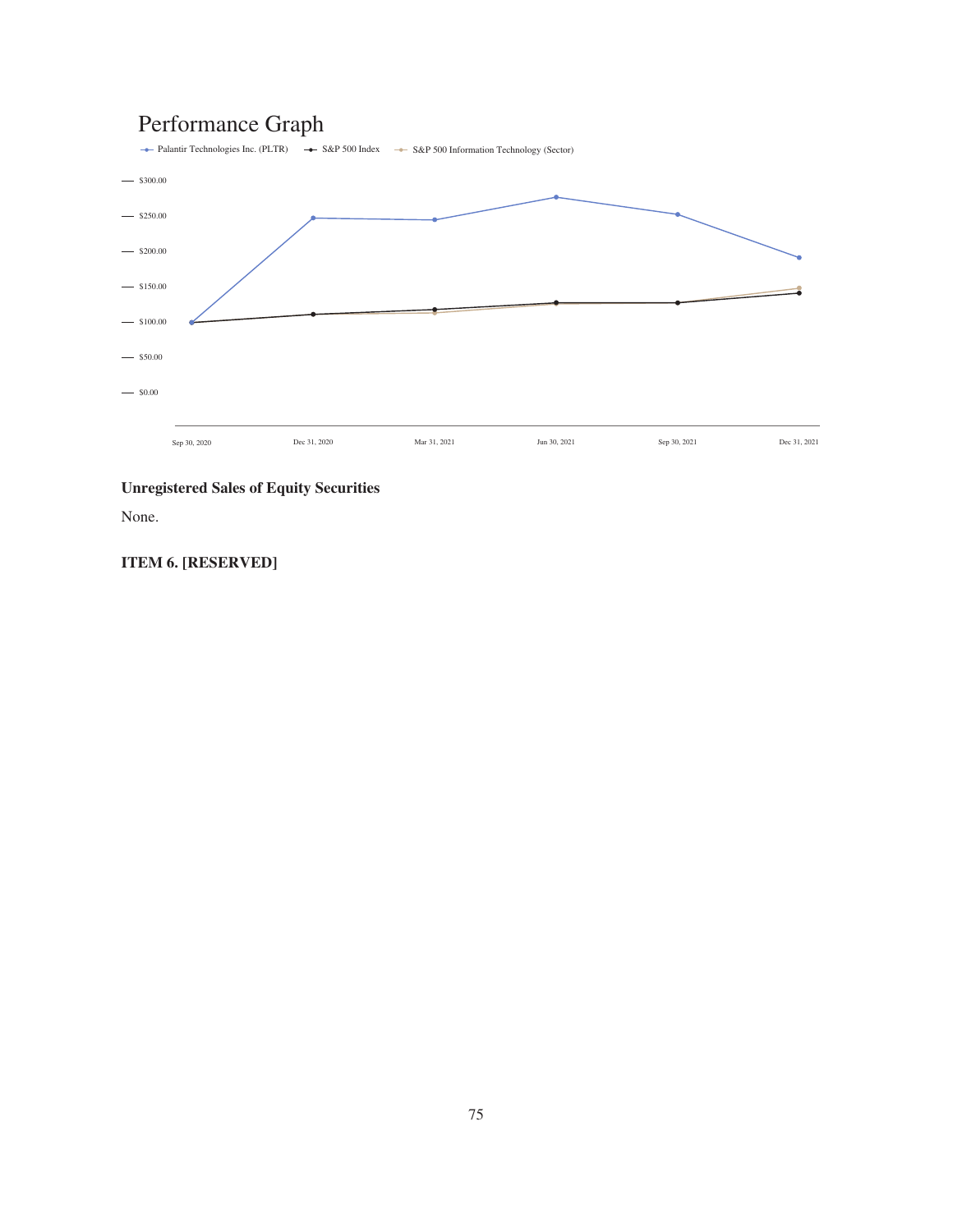# Performance Graph



Palantir Technologies Inc. (PLTR)  $\rightarrow$  S&P 500 Index  $\rightarrow$  S&P 500 Information Technology (Sector)

# **Unregistered Sales of Equity Securities**

None.

# **ITEM 6. [RESERVED]**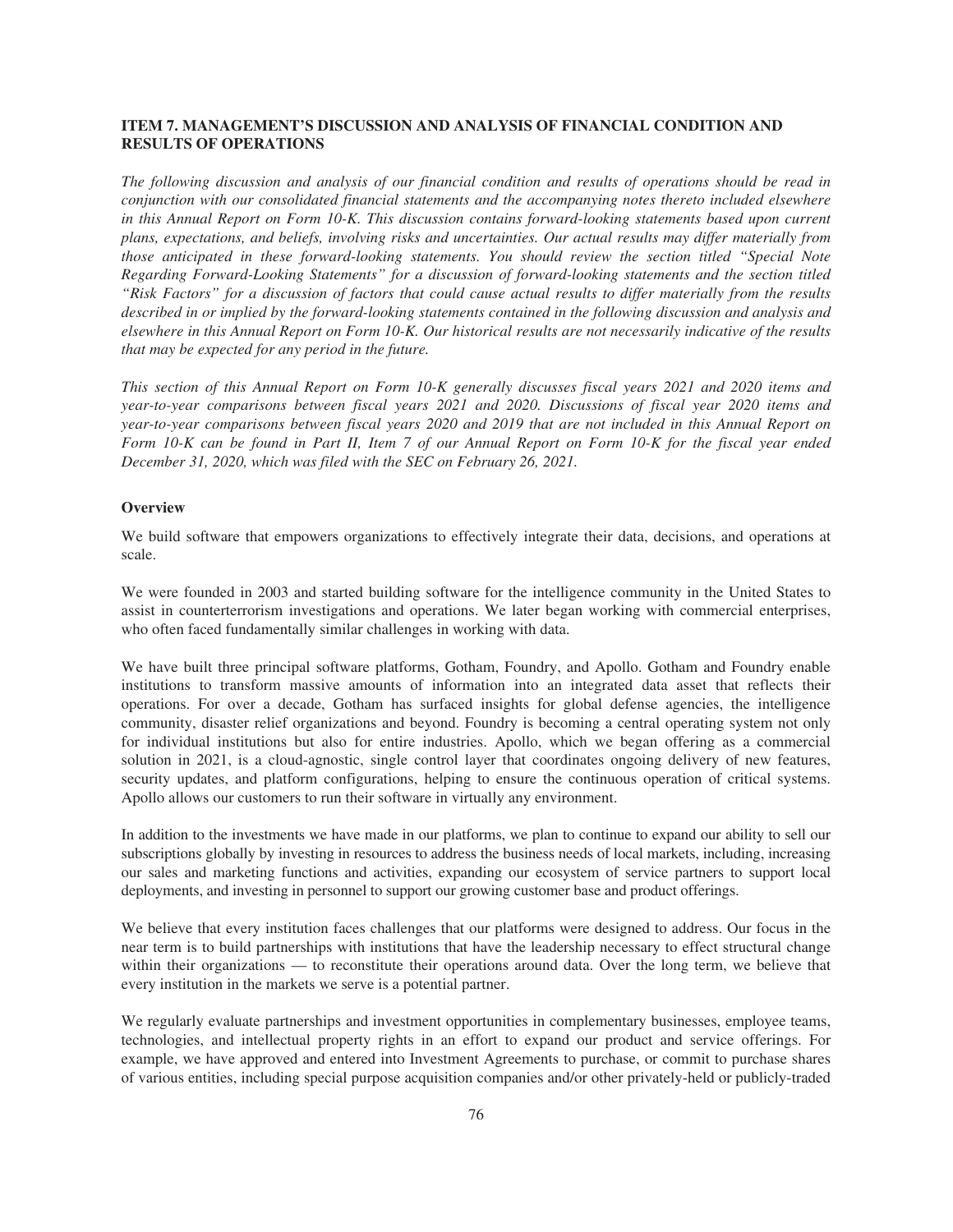# **ITEM 7. MANAGEMENT'S DISCUSSION AND ANALYSIS OF FINANCIAL CONDITION AND RESULTS OF OPERATIONS**

*The following discussion and analysis of our financial condition and results of operations should be read in conjunction with our consolidated financial statements and the accompanying notes thereto included elsewhere in this Annual Report on Form 10-K. This discussion contains forward-looking statements based upon current plans, expectations, and beliefs, involving risks and uncertainties. Our actual results may differ materially from those anticipated in these forward-looking statements. You should review the section titled "Special Note Regarding Forward-Looking Statements" for a discussion of forward-looking statements and the section titled "Risk Factors" for a discussion of factors that could cause actual results to differ materially from the results described in or implied by the forward-looking statements contained in the following discussion and analysis and elsewhere in this Annual Report on Form 10-K. Our historical results are not necessarily indicative of the results that may be expected for any period in the future.*

*This section of this Annual Report on Form 10-K generally discusses fiscal years 2021 and 2020 items and year-to-year comparisons between fiscal years 2021 and 2020. Discussions of fiscal year 2020 items and year-to-year comparisons between fiscal years 2020 and 2019 that are not included in this Annual Report on Form 10-K can be found in Part II, Item 7 of our Annual Report on Form 10-K for the fiscal year ended December 31, 2020, which was filed with the SEC on February 26, 2021.*

# **Overview**

We build software that empowers organizations to effectively integrate their data, decisions, and operations at scale.

We were founded in 2003 and started building software for the intelligence community in the United States to assist in counterterrorism investigations and operations. We later began working with commercial enterprises, who often faced fundamentally similar challenges in working with data.

We have built three principal software platforms, Gotham, Foundry, and Apollo. Gotham and Foundry enable institutions to transform massive amounts of information into an integrated data asset that reflects their operations. For over a decade, Gotham has surfaced insights for global defense agencies, the intelligence community, disaster relief organizations and beyond. Foundry is becoming a central operating system not only for individual institutions but also for entire industries. Apollo, which we began offering as a commercial solution in 2021, is a cloud-agnostic, single control layer that coordinates ongoing delivery of new features, security updates, and platform configurations, helping to ensure the continuous operation of critical systems. Apollo allows our customers to run their software in virtually any environment.

In addition to the investments we have made in our platforms, we plan to continue to expand our ability to sell our subscriptions globally by investing in resources to address the business needs of local markets, including, increasing our sales and marketing functions and activities, expanding our ecosystem of service partners to support local deployments, and investing in personnel to support our growing customer base and product offerings.

We believe that every institution faces challenges that our platforms were designed to address. Our focus in the near term is to build partnerships with institutions that have the leadership necessary to effect structural change within their organizations — to reconstitute their operations around data. Over the long term, we believe that every institution in the markets we serve is a potential partner.

We regularly evaluate partnerships and investment opportunities in complementary businesses, employee teams, technologies, and intellectual property rights in an effort to expand our product and service offerings. For example, we have approved and entered into Investment Agreements to purchase, or commit to purchase shares of various entities, including special purpose acquisition companies and/or other privately-held or publicly-traded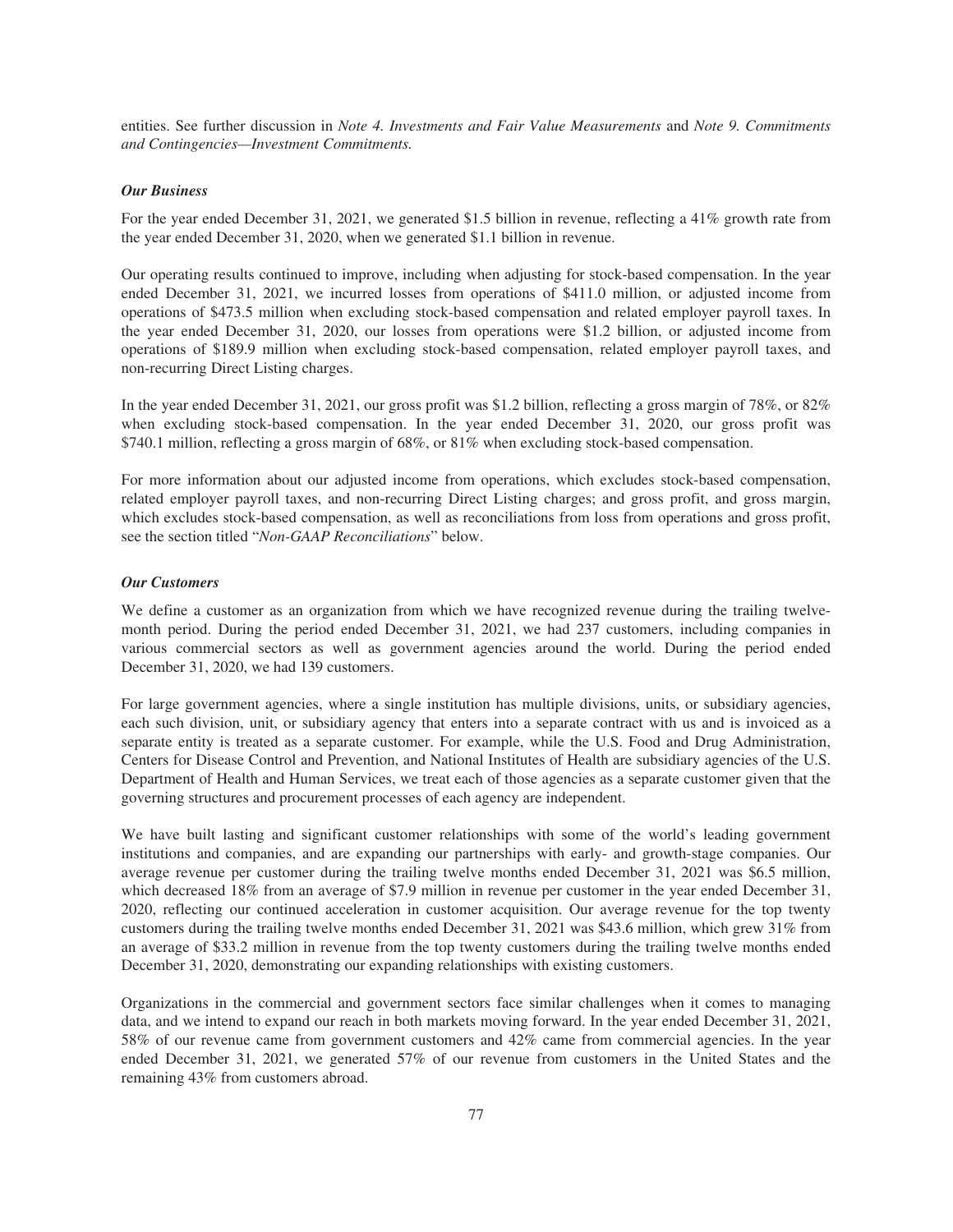entities. See further discussion in *Note 4. Investments and Fair Value Measurements* and *Note 9. Commitments and Contingencies—Investment Commitments.*

# *Our Business*

For the year ended December 31, 2021, we generated \$1.5 billion in revenue, reflecting a 41% growth rate from the year ended December 31, 2020, when we generated \$1.1 billion in revenue.

Our operating results continued to improve, including when adjusting for stock-based compensation. In the year ended December 31, 2021, we incurred losses from operations of \$411.0 million, or adjusted income from operations of \$473.5 million when excluding stock-based compensation and related employer payroll taxes. In the year ended December 31, 2020, our losses from operations were \$1.2 billion, or adjusted income from operations of \$189.9 million when excluding stock-based compensation, related employer payroll taxes, and non-recurring Direct Listing charges.

In the year ended December 31, 2021, our gross profit was \$1.2 billion, reflecting a gross margin of 78%, or 82% when excluding stock-based compensation. In the year ended December 31, 2020, our gross profit was \$740.1 million, reflecting a gross margin of 68%, or 81% when excluding stock-based compensation.

For more information about our adjusted income from operations, which excludes stock-based compensation, related employer payroll taxes, and non-recurring Direct Listing charges; and gross profit, and gross margin, which excludes stock-based compensation, as well as reconciliations from loss from operations and gross profit, see the section titled "*Non-GAAP Reconciliations*" below.

# *Our Customers*

We define a customer as an organization from which we have recognized revenue during the trailing twelvemonth period. During the period ended December 31, 2021, we had 237 customers, including companies in various commercial sectors as well as government agencies around the world. During the period ended December 31, 2020, we had 139 customers.

For large government agencies, where a single institution has multiple divisions, units, or subsidiary agencies, each such division, unit, or subsidiary agency that enters into a separate contract with us and is invoiced as a separate entity is treated as a separate customer. For example, while the U.S. Food and Drug Administration, Centers for Disease Control and Prevention, and National Institutes of Health are subsidiary agencies of the U.S. Department of Health and Human Services, we treat each of those agencies as a separate customer given that the governing structures and procurement processes of each agency are independent.

We have built lasting and significant customer relationships with some of the world's leading government institutions and companies, and are expanding our partnerships with early- and growth-stage companies. Our average revenue per customer during the trailing twelve months ended December 31, 2021 was \$6.5 million, which decreased 18% from an average of \$7.9 million in revenue per customer in the year ended December 31, 2020, reflecting our continued acceleration in customer acquisition. Our average revenue for the top twenty customers during the trailing twelve months ended December 31, 2021 was \$43.6 million, which grew 31% from an average of \$33.2 million in revenue from the top twenty customers during the trailing twelve months ended December 31, 2020, demonstrating our expanding relationships with existing customers.

Organizations in the commercial and government sectors face similar challenges when it comes to managing data, and we intend to expand our reach in both markets moving forward. In the year ended December 31, 2021, 58% of our revenue came from government customers and 42% came from commercial agencies. In the year ended December 31, 2021, we generated 57% of our revenue from customers in the United States and the remaining 43% from customers abroad.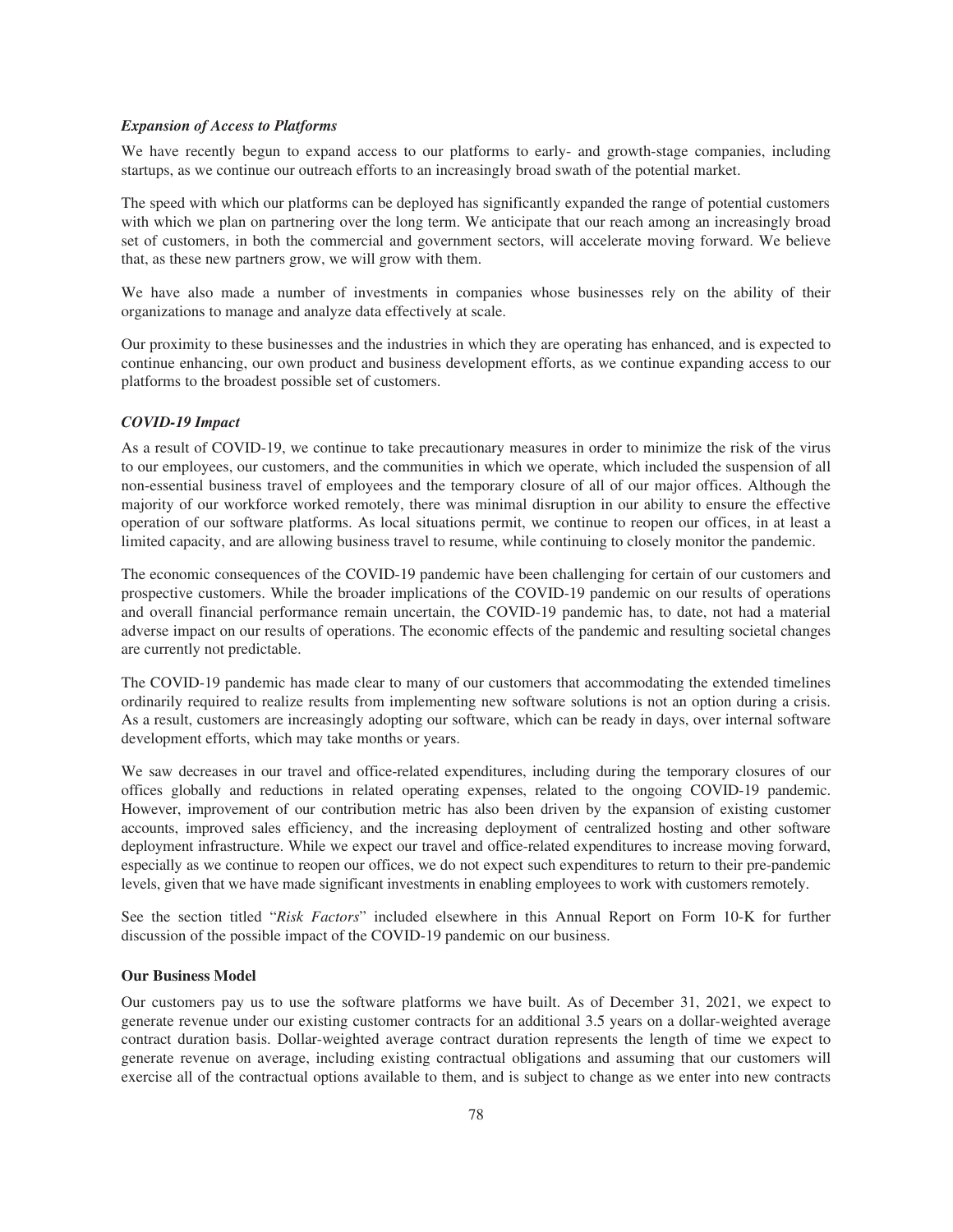# *Expansion of Access to Platforms*

We have recently begun to expand access to our platforms to early- and growth-stage companies, including startups, as we continue our outreach efforts to an increasingly broad swath of the potential market.

The speed with which our platforms can be deployed has significantly expanded the range of potential customers with which we plan on partnering over the long term. We anticipate that our reach among an increasingly broad set of customers, in both the commercial and government sectors, will accelerate moving forward. We believe that, as these new partners grow, we will grow with them.

We have also made a number of investments in companies whose businesses rely on the ability of their organizations to manage and analyze data effectively at scale.

Our proximity to these businesses and the industries in which they are operating has enhanced, and is expected to continue enhancing, our own product and business development efforts, as we continue expanding access to our platforms to the broadest possible set of customers.

# *COVID-19 Impact*

As a result of COVID-19, we continue to take precautionary measures in order to minimize the risk of the virus to our employees, our customers, and the communities in which we operate, which included the suspension of all non-essential business travel of employees and the temporary closure of all of our major offices. Although the majority of our workforce worked remotely, there was minimal disruption in our ability to ensure the effective operation of our software platforms. As local situations permit, we continue to reopen our offices, in at least a limited capacity, and are allowing business travel to resume, while continuing to closely monitor the pandemic.

The economic consequences of the COVID-19 pandemic have been challenging for certain of our customers and prospective customers. While the broader implications of the COVID-19 pandemic on our results of operations and overall financial performance remain uncertain, the COVID-19 pandemic has, to date, not had a material adverse impact on our results of operations. The economic effects of the pandemic and resulting societal changes are currently not predictable.

The COVID-19 pandemic has made clear to many of our customers that accommodating the extended timelines ordinarily required to realize results from implementing new software solutions is not an option during a crisis. As a result, customers are increasingly adopting our software, which can be ready in days, over internal software development efforts, which may take months or years.

We saw decreases in our travel and office-related expenditures, including during the temporary closures of our offices globally and reductions in related operating expenses, related to the ongoing COVID-19 pandemic. However, improvement of our contribution metric has also been driven by the expansion of existing customer accounts, improved sales efficiency, and the increasing deployment of centralized hosting and other software deployment infrastructure. While we expect our travel and office-related expenditures to increase moving forward, especially as we continue to reopen our offices, we do not expect such expenditures to return to their pre-pandemic levels, given that we have made significant investments in enabling employees to work with customers remotely.

See the section titled "*Risk Factors*" included elsewhere in this Annual Report on Form 10-K for further discussion of the possible impact of the COVID-19 pandemic on our business.

# **Our Business Model**

Our customers pay us to use the software platforms we have built. As of December 31, 2021, we expect to generate revenue under our existing customer contracts for an additional 3.5 years on a dollar-weighted average contract duration basis. Dollar-weighted average contract duration represents the length of time we expect to generate revenue on average, including existing contractual obligations and assuming that our customers will exercise all of the contractual options available to them, and is subject to change as we enter into new contracts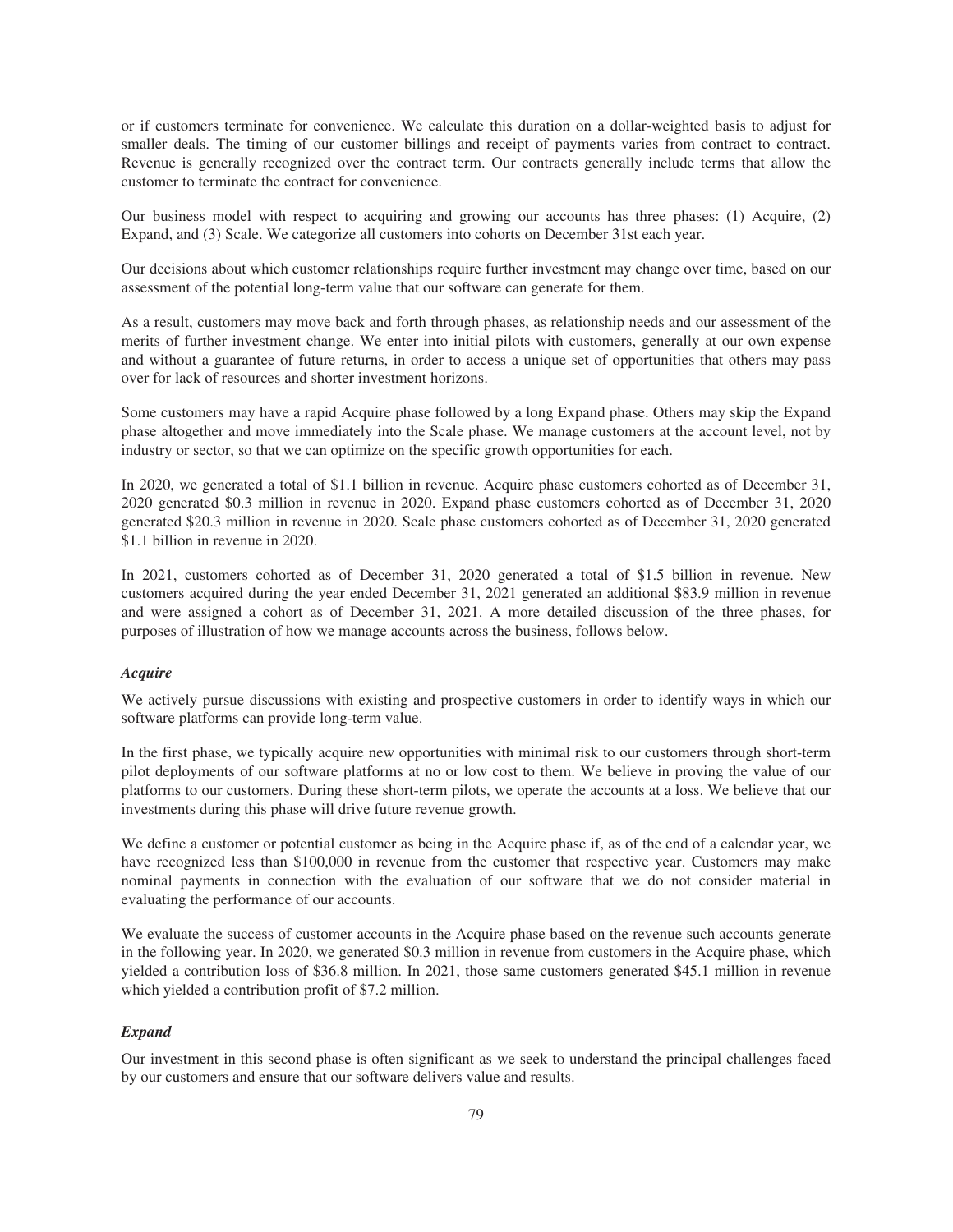or if customers terminate for convenience. We calculate this duration on a dollar-weighted basis to adjust for smaller deals. The timing of our customer billings and receipt of payments varies from contract to contract. Revenue is generally recognized over the contract term. Our contracts generally include terms that allow the customer to terminate the contract for convenience.

Our business model with respect to acquiring and growing our accounts has three phases: (1) Acquire, (2) Expand, and (3) Scale. We categorize all customers into cohorts on December 31st each year.

Our decisions about which customer relationships require further investment may change over time, based on our assessment of the potential long-term value that our software can generate for them.

As a result, customers may move back and forth through phases, as relationship needs and our assessment of the merits of further investment change. We enter into initial pilots with customers, generally at our own expense and without a guarantee of future returns, in order to access a unique set of opportunities that others may pass over for lack of resources and shorter investment horizons.

Some customers may have a rapid Acquire phase followed by a long Expand phase. Others may skip the Expand phase altogether and move immediately into the Scale phase. We manage customers at the account level, not by industry or sector, so that we can optimize on the specific growth opportunities for each.

In 2020, we generated a total of \$1.1 billion in revenue. Acquire phase customers cohorted as of December 31, 2020 generated \$0.3 million in revenue in 2020. Expand phase customers cohorted as of December 31, 2020 generated \$20.3 million in revenue in 2020. Scale phase customers cohorted as of December 31, 2020 generated \$1.1 billion in revenue in 2020.

In 2021, customers cohorted as of December 31, 2020 generated a total of \$1.5 billion in revenue. New customers acquired during the year ended December 31, 2021 generated an additional \$83.9 million in revenue and were assigned a cohort as of December 31, 2021. A more detailed discussion of the three phases, for purposes of illustration of how we manage accounts across the business, follows below.

# *Acquire*

We actively pursue discussions with existing and prospective customers in order to identify ways in which our software platforms can provide long-term value.

In the first phase, we typically acquire new opportunities with minimal risk to our customers through short-term pilot deployments of our software platforms at no or low cost to them. We believe in proving the value of our platforms to our customers. During these short-term pilots, we operate the accounts at a loss. We believe that our investments during this phase will drive future revenue growth.

We define a customer or potential customer as being in the Acquire phase if, as of the end of a calendar year, we have recognized less than \$100,000 in revenue from the customer that respective year. Customers may make nominal payments in connection with the evaluation of our software that we do not consider material in evaluating the performance of our accounts.

We evaluate the success of customer accounts in the Acquire phase based on the revenue such accounts generate in the following year. In 2020, we generated \$0.3 million in revenue from customers in the Acquire phase, which yielded a contribution loss of \$36.8 million. In 2021, those same customers generated \$45.1 million in revenue which yielded a contribution profit of \$7.2 million.

#### *Expand*

Our investment in this second phase is often significant as we seek to understand the principal challenges faced by our customers and ensure that our software delivers value and results.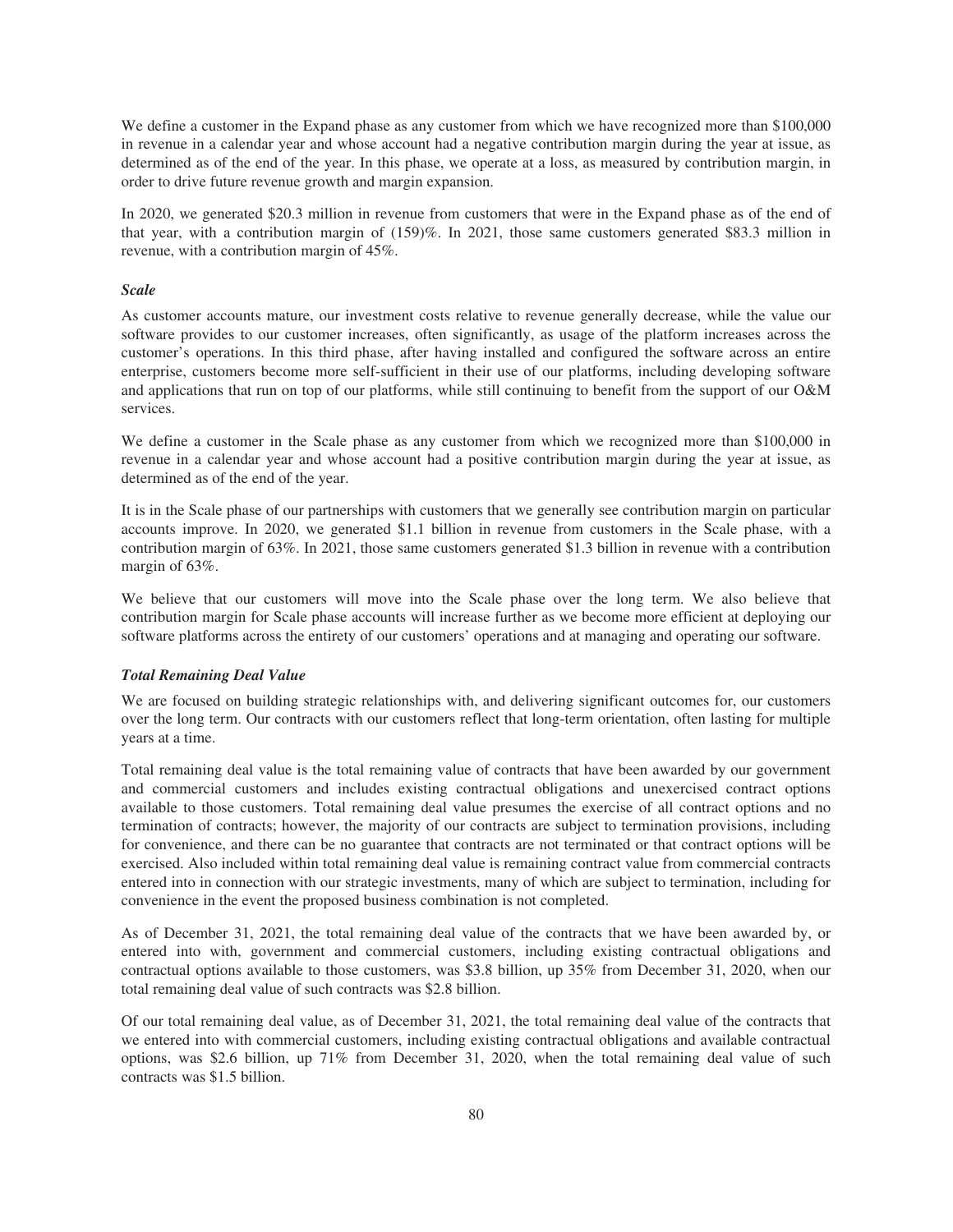We define a customer in the Expand phase as any customer from which we have recognized more than \$100,000 in revenue in a calendar year and whose account had a negative contribution margin during the year at issue, as determined as of the end of the year. In this phase, we operate at a loss, as measured by contribution margin, in order to drive future revenue growth and margin expansion.

In 2020, we generated \$20.3 million in revenue from customers that were in the Expand phase as of the end of that year, with a contribution margin of (159)%. In 2021, those same customers generated \$83.3 million in revenue, with a contribution margin of 45%.

## *Scale*

As customer accounts mature, our investment costs relative to revenue generally decrease, while the value our software provides to our customer increases, often significantly, as usage of the platform increases across the customer's operations. In this third phase, after having installed and configured the software across an entire enterprise, customers become more self-sufficient in their use of our platforms, including developing software and applications that run on top of our platforms, while still continuing to benefit from the support of our O&M services.

We define a customer in the Scale phase as any customer from which we recognized more than \$100,000 in revenue in a calendar year and whose account had a positive contribution margin during the year at issue, as determined as of the end of the year.

It is in the Scale phase of our partnerships with customers that we generally see contribution margin on particular accounts improve. In 2020, we generated \$1.1 billion in revenue from customers in the Scale phase, with a contribution margin of 63%. In 2021, those same customers generated \$1.3 billion in revenue with a contribution margin of 63%.

We believe that our customers will move into the Scale phase over the long term. We also believe that contribution margin for Scale phase accounts will increase further as we become more efficient at deploying our software platforms across the entirety of our customers' operations and at managing and operating our software.

# *Total Remaining Deal Value*

We are focused on building strategic relationships with, and delivering significant outcomes for, our customers over the long term. Our contracts with our customers reflect that long-term orientation, often lasting for multiple years at a time.

Total remaining deal value is the total remaining value of contracts that have been awarded by our government and commercial customers and includes existing contractual obligations and unexercised contract options available to those customers. Total remaining deal value presumes the exercise of all contract options and no termination of contracts; however, the majority of our contracts are subject to termination provisions, including for convenience, and there can be no guarantee that contracts are not terminated or that contract options will be exercised. Also included within total remaining deal value is remaining contract value from commercial contracts entered into in connection with our strategic investments, many of which are subject to termination, including for convenience in the event the proposed business combination is not completed.

As of December 31, 2021, the total remaining deal value of the contracts that we have been awarded by, or entered into with, government and commercial customers, including existing contractual obligations and contractual options available to those customers, was \$3.8 billion, up 35% from December 31, 2020, when our total remaining deal value of such contracts was \$2.8 billion.

Of our total remaining deal value, as of December 31, 2021, the total remaining deal value of the contracts that we entered into with commercial customers, including existing contractual obligations and available contractual options, was \$2.6 billion, up 71% from December 31, 2020, when the total remaining deal value of such contracts was \$1.5 billion.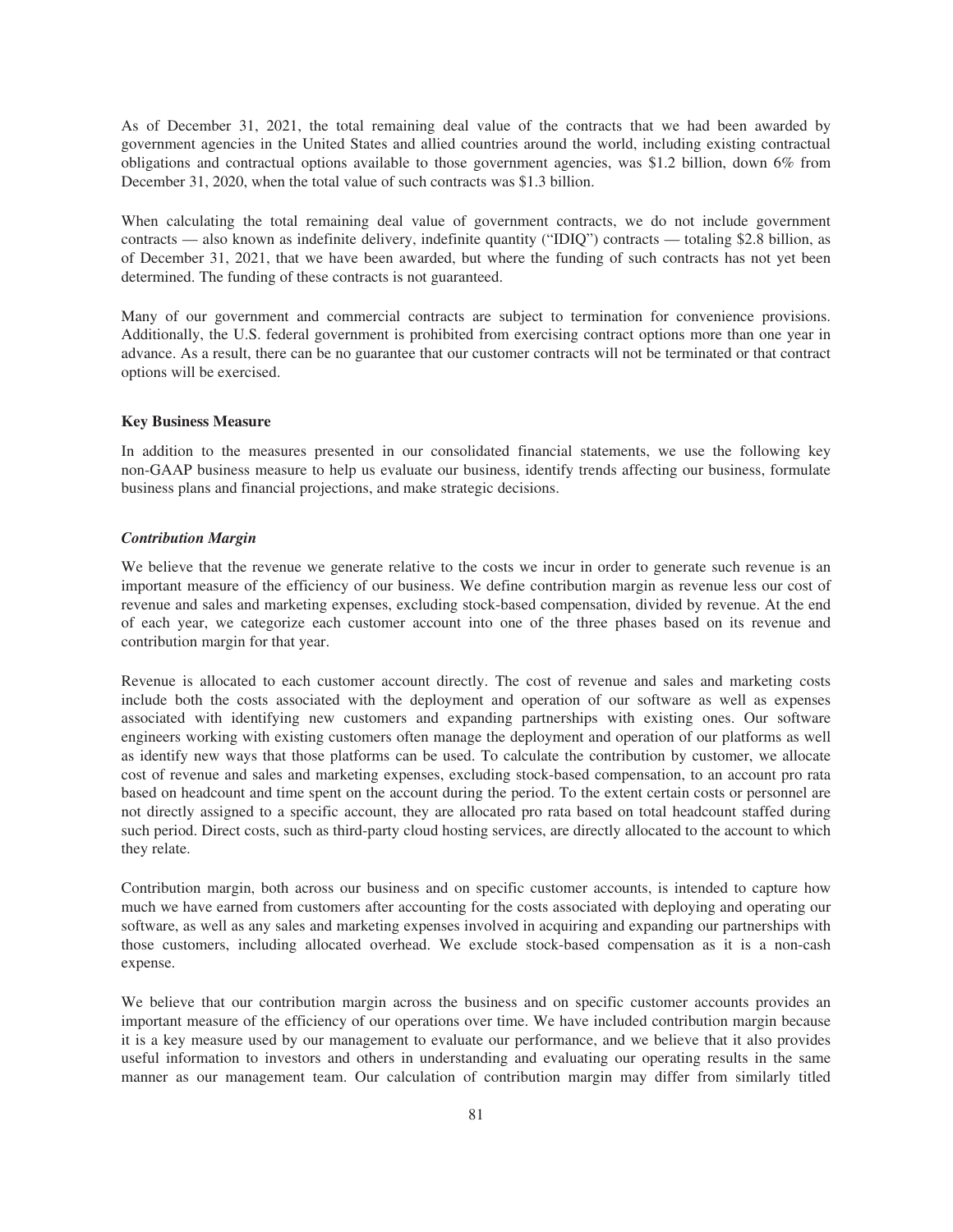As of December 31, 2021, the total remaining deal value of the contracts that we had been awarded by government agencies in the United States and allied countries around the world, including existing contractual obligations and contractual options available to those government agencies, was \$1.2 billion, down 6% from December 31, 2020, when the total value of such contracts was \$1.3 billion.

When calculating the total remaining deal value of government contracts, we do not include government contracts — also known as indefinite delivery, indefinite quantity ("IDIQ") contracts — totaling \$2.8 billion, as of December 31, 2021, that we have been awarded, but where the funding of such contracts has not yet been determined. The funding of these contracts is not guaranteed.

Many of our government and commercial contracts are subject to termination for convenience provisions. Additionally, the U.S. federal government is prohibited from exercising contract options more than one year in advance. As a result, there can be no guarantee that our customer contracts will not be terminated or that contract options will be exercised.

#### **Key Business Measure**

In addition to the measures presented in our consolidated financial statements, we use the following key non-GAAP business measure to help us evaluate our business, identify trends affecting our business, formulate business plans and financial projections, and make strategic decisions.

# *Contribution Margin*

We believe that the revenue we generate relative to the costs we incur in order to generate such revenue is an important measure of the efficiency of our business. We define contribution margin as revenue less our cost of revenue and sales and marketing expenses, excluding stock-based compensation, divided by revenue. At the end of each year, we categorize each customer account into one of the three phases based on its revenue and contribution margin for that year.

Revenue is allocated to each customer account directly. The cost of revenue and sales and marketing costs include both the costs associated with the deployment and operation of our software as well as expenses associated with identifying new customers and expanding partnerships with existing ones. Our software engineers working with existing customers often manage the deployment and operation of our platforms as well as identify new ways that those platforms can be used. To calculate the contribution by customer, we allocate cost of revenue and sales and marketing expenses, excluding stock-based compensation, to an account pro rata based on headcount and time spent on the account during the period. To the extent certain costs or personnel are not directly assigned to a specific account, they are allocated pro rata based on total headcount staffed during such period. Direct costs, such as third-party cloud hosting services, are directly allocated to the account to which they relate.

Contribution margin, both across our business and on specific customer accounts, is intended to capture how much we have earned from customers after accounting for the costs associated with deploying and operating our software, as well as any sales and marketing expenses involved in acquiring and expanding our partnerships with those customers, including allocated overhead. We exclude stock-based compensation as it is a non-cash expense.

We believe that our contribution margin across the business and on specific customer accounts provides an important measure of the efficiency of our operations over time. We have included contribution margin because it is a key measure used by our management to evaluate our performance, and we believe that it also provides useful information to investors and others in understanding and evaluating our operating results in the same manner as our management team. Our calculation of contribution margin may differ from similarly titled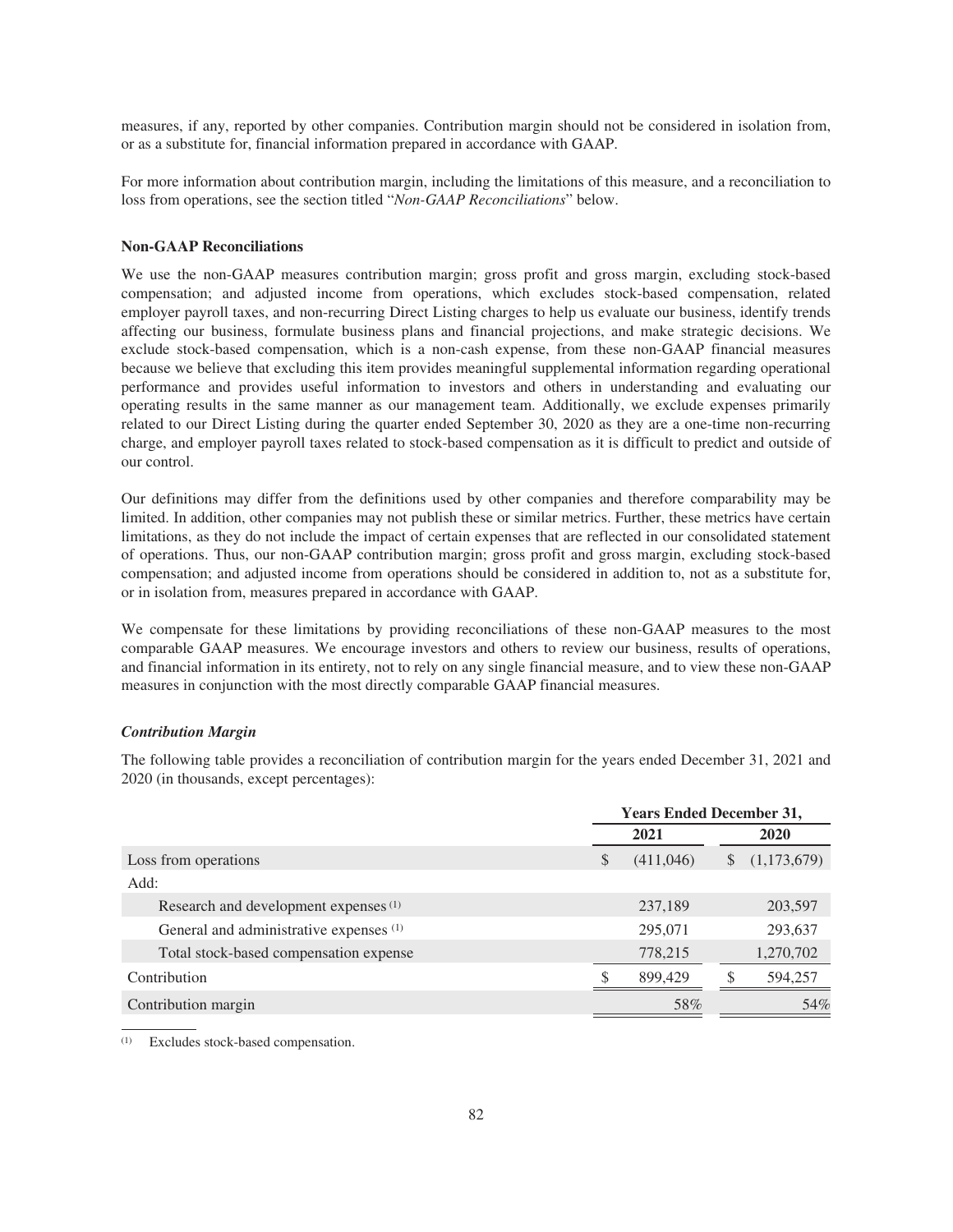measures, if any, reported by other companies. Contribution margin should not be considered in isolation from, or as a substitute for, financial information prepared in accordance with GAAP.

For more information about contribution margin, including the limitations of this measure, and a reconciliation to loss from operations, see the section titled "*Non-GAAP Reconciliations*" below.

# **Non-GAAP Reconciliations**

We use the non-GAAP measures contribution margin; gross profit and gross margin, excluding stock-based compensation; and adjusted income from operations, which excludes stock-based compensation, related employer payroll taxes, and non-recurring Direct Listing charges to help us evaluate our business, identify trends affecting our business, formulate business plans and financial projections, and make strategic decisions. We exclude stock-based compensation, which is a non-cash expense, from these non-GAAP financial measures because we believe that excluding this item provides meaningful supplemental information regarding operational performance and provides useful information to investors and others in understanding and evaluating our operating results in the same manner as our management team. Additionally, we exclude expenses primarily related to our Direct Listing during the quarter ended September 30, 2020 as they are a one-time non-recurring charge, and employer payroll taxes related to stock-based compensation as it is difficult to predict and outside of our control.

Our definitions may differ from the definitions used by other companies and therefore comparability may be limited. In addition, other companies may not publish these or similar metrics. Further, these metrics have certain limitations, as they do not include the impact of certain expenses that are reflected in our consolidated statement of operations. Thus, our non-GAAP contribution margin; gross profit and gross margin, excluding stock-based compensation; and adjusted income from operations should be considered in addition to, not as a substitute for, or in isolation from, measures prepared in accordance with GAAP.

We compensate for these limitations by providing reconciliations of these non-GAAP measures to the most comparable GAAP measures. We encourage investors and others to review our business, results of operations, and financial information in its entirety, not to rely on any single financial measure, and to view these non-GAAP measures in conjunction with the most directly comparable GAAP financial measures.

### *Contribution Margin*

The following table provides a reconciliation of contribution margin for the years ended December 31, 2021 and 2020 (in thousands, except percentages):

|                                         | <b>Years Ended December 31,</b> |           |             |             |
|-----------------------------------------|---------------------------------|-----------|-------------|-------------|
|                                         |                                 | 2021      | <b>2020</b> |             |
| Loss from operations                    |                                 | (411,046) | S           | (1,173,679) |
| Add:                                    |                                 |           |             |             |
| Research and development expenses (1)   |                                 | 237,189   |             | 203,597     |
| General and administrative expenses (1) |                                 | 295,071   |             | 293,637     |
| Total stock-based compensation expense  |                                 | 778,215   |             | 1,270,702   |
| Contribution                            |                                 | 899,429   |             | 594,257     |
| Contribution margin                     |                                 | 58%       |             | 54%         |
|                                         |                                 |           |             |             |

(1) Excludes stock-based compensation.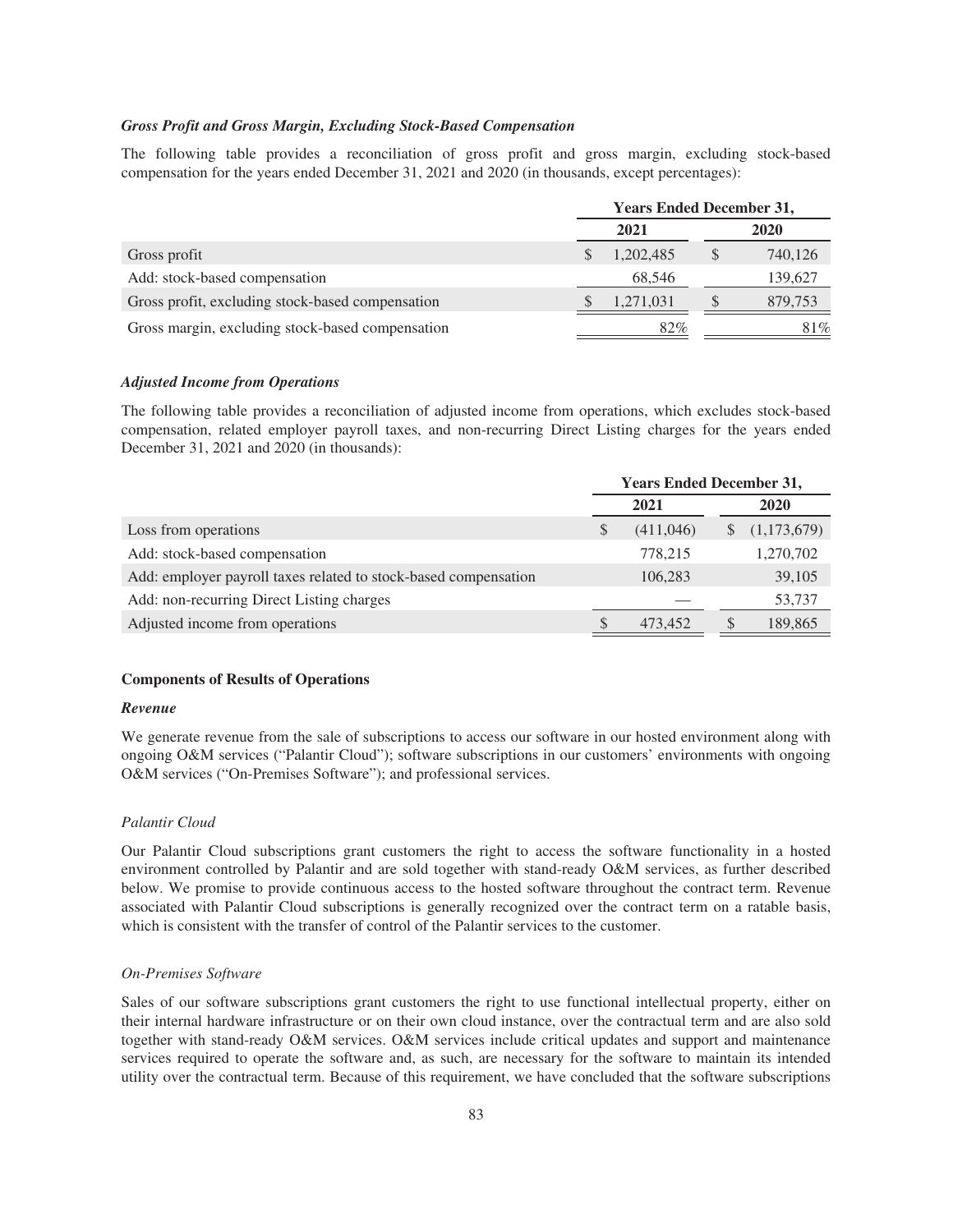# *Gross Profit and Gross Margin, Excluding Stock-Based Compensation*

The following table provides a reconciliation of gross profit and gross margin, excluding stock-based compensation for the years ended December 31, 2021 and 2020 (in thousands, except percentages):

|                                                  | <b>Years Ended December 31,</b> |      |         |  |
|--------------------------------------------------|---------------------------------|------|---------|--|
|                                                  | 2021                            | 2020 |         |  |
| Gross profit                                     | 1,202,485                       |      | 740,126 |  |
| Add: stock-based compensation                    | 68,546                          |      | 139,627 |  |
| Gross profit, excluding stock-based compensation | 1,271,031                       |      | 879,753 |  |
| Gross margin, excluding stock-based compensation | 82%                             |      | 81%     |  |

# *Adjusted Income from Operations*

The following table provides a reconciliation of adjusted income from operations, which excludes stock-based compensation, related employer payroll taxes, and non-recurring Direct Listing charges for the years ended December 31, 2021 and 2020 (in thousands):

|                                                                 | <b>Years Ended December 31,</b> |           |    |             |
|-----------------------------------------------------------------|---------------------------------|-----------|----|-------------|
|                                                                 |                                 | 2021      |    | 2020        |
| Loss from operations                                            | S                               | (411,046) | S. | (1,173,679) |
| Add: stock-based compensation                                   |                                 | 778,215   |    | 1,270,702   |
| Add: employer payroll taxes related to stock-based compensation |                                 | 106,283   |    | 39,105      |
| Add: non-recurring Direct Listing charges                       |                                 |           |    | 53,737      |
| Adjusted income from operations                                 |                                 | 473.452   |    | 189,865     |

# **Components of Results of Operations**

### *Revenue*

We generate revenue from the sale of subscriptions to access our software in our hosted environment along with ongoing O&M services ("Palantir Cloud"); software subscriptions in our customers' environments with ongoing O&M services ("On-Premises Software"); and professional services.

# *Palantir Cloud*

Our Palantir Cloud subscriptions grant customers the right to access the software functionality in a hosted environment controlled by Palantir and are sold together with stand-ready O&M services, as further described below. We promise to provide continuous access to the hosted software throughout the contract term. Revenue associated with Palantir Cloud subscriptions is generally recognized over the contract term on a ratable basis, which is consistent with the transfer of control of the Palantir services to the customer.

# *On-Premises Software*

Sales of our software subscriptions grant customers the right to use functional intellectual property, either on their internal hardware infrastructure or on their own cloud instance, over the contractual term and are also sold together with stand-ready O&M services. O&M services include critical updates and support and maintenance services required to operate the software and, as such, are necessary for the software to maintain its intended utility over the contractual term. Because of this requirement, we have concluded that the software subscriptions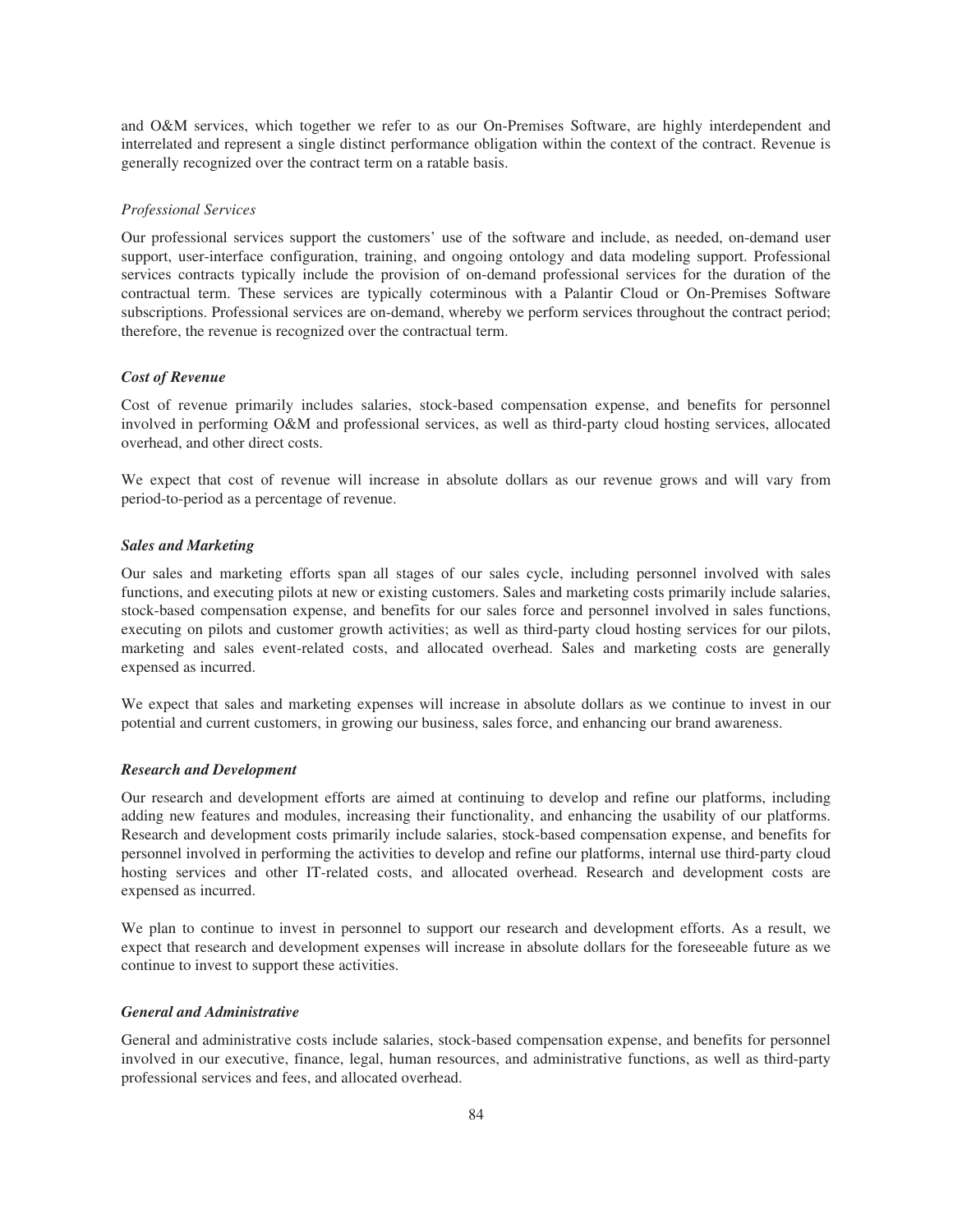and O&M services, which together we refer to as our On-Premises Software, are highly interdependent and interrelated and represent a single distinct performance obligation within the context of the contract. Revenue is generally recognized over the contract term on a ratable basis.

#### *Professional Services*

Our professional services support the customers' use of the software and include, as needed, on-demand user support, user-interface configuration, training, and ongoing ontology and data modeling support. Professional services contracts typically include the provision of on-demand professional services for the duration of the contractual term. These services are typically coterminous with a Palantir Cloud or On-Premises Software subscriptions. Professional services are on-demand, whereby we perform services throughout the contract period; therefore, the revenue is recognized over the contractual term.

# *Cost of Revenue*

Cost of revenue primarily includes salaries, stock-based compensation expense, and benefits for personnel involved in performing O&M and professional services, as well as third-party cloud hosting services, allocated overhead, and other direct costs.

We expect that cost of revenue will increase in absolute dollars as our revenue grows and will vary from period-to-period as a percentage of revenue.

# *Sales and Marketing*

Our sales and marketing efforts span all stages of our sales cycle, including personnel involved with sales functions, and executing pilots at new or existing customers. Sales and marketing costs primarily include salaries, stock-based compensation expense, and benefits for our sales force and personnel involved in sales functions, executing on pilots and customer growth activities; as well as third-party cloud hosting services for our pilots, marketing and sales event-related costs, and allocated overhead. Sales and marketing costs are generally expensed as incurred.

We expect that sales and marketing expenses will increase in absolute dollars as we continue to invest in our potential and current customers, in growing our business, sales force, and enhancing our brand awareness.

### *Research and Development*

Our research and development efforts are aimed at continuing to develop and refine our platforms, including adding new features and modules, increasing their functionality, and enhancing the usability of our platforms. Research and development costs primarily include salaries, stock-based compensation expense, and benefits for personnel involved in performing the activities to develop and refine our platforms, internal use third-party cloud hosting services and other IT-related costs, and allocated overhead. Research and development costs are expensed as incurred.

We plan to continue to invest in personnel to support our research and development efforts. As a result, we expect that research and development expenses will increase in absolute dollars for the foreseeable future as we continue to invest to support these activities.

# *General and Administrative*

General and administrative costs include salaries, stock-based compensation expense, and benefits for personnel involved in our executive, finance, legal, human resources, and administrative functions, as well as third-party professional services and fees, and allocated overhead.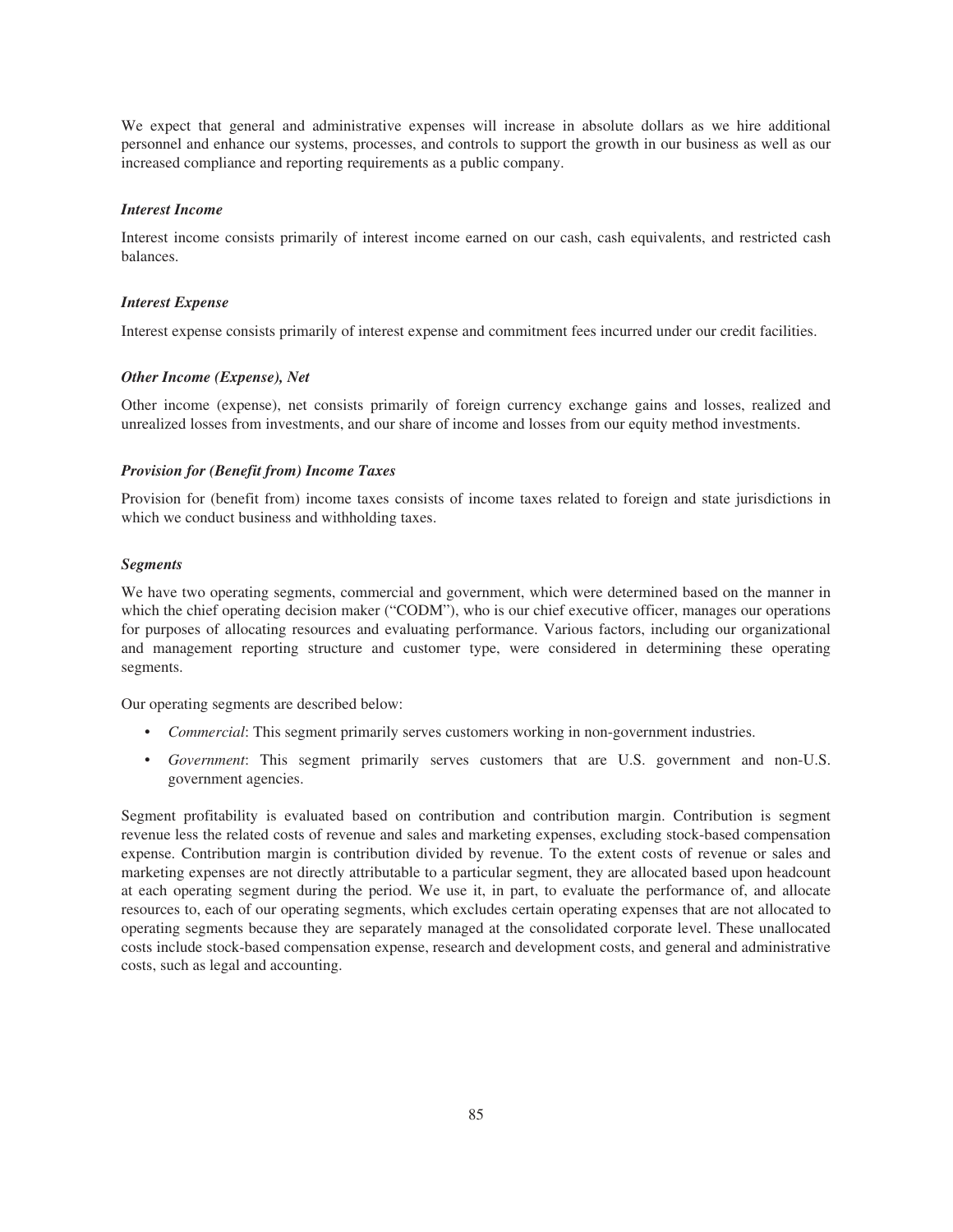We expect that general and administrative expenses will increase in absolute dollars as we hire additional personnel and enhance our systems, processes, and controls to support the growth in our business as well as our increased compliance and reporting requirements as a public company.

# *Interest Income*

Interest income consists primarily of interest income earned on our cash, cash equivalents, and restricted cash balances.

#### *Interest Expense*

Interest expense consists primarily of interest expense and commitment fees incurred under our credit facilities.

# *Other Income (Expense), Net*

Other income (expense), net consists primarily of foreign currency exchange gains and losses, realized and unrealized losses from investments, and our share of income and losses from our equity method investments.

# *Provision for (Benefit from) Income Taxes*

Provision for (benefit from) income taxes consists of income taxes related to foreign and state jurisdictions in which we conduct business and withholding taxes.

# *Segments*

We have two operating segments, commercial and government, which were determined based on the manner in which the chief operating decision maker ("CODM"), who is our chief executive officer, manages our operations for purposes of allocating resources and evaluating performance. Various factors, including our organizational and management reporting structure and customer type, were considered in determining these operating segments.

Our operating segments are described below:

- *Commercial*: This segment primarily serves customers working in non-government industries.
- *Government*: This segment primarily serves customers that are U.S. government and non-U.S. government agencies.

Segment profitability is evaluated based on contribution and contribution margin. Contribution is segment revenue less the related costs of revenue and sales and marketing expenses, excluding stock-based compensation expense. Contribution margin is contribution divided by revenue. To the extent costs of revenue or sales and marketing expenses are not directly attributable to a particular segment, they are allocated based upon headcount at each operating segment during the period. We use it, in part, to evaluate the performance of, and allocate resources to, each of our operating segments, which excludes certain operating expenses that are not allocated to operating segments because they are separately managed at the consolidated corporate level. These unallocated costs include stock-based compensation expense, research and development costs, and general and administrative costs, such as legal and accounting.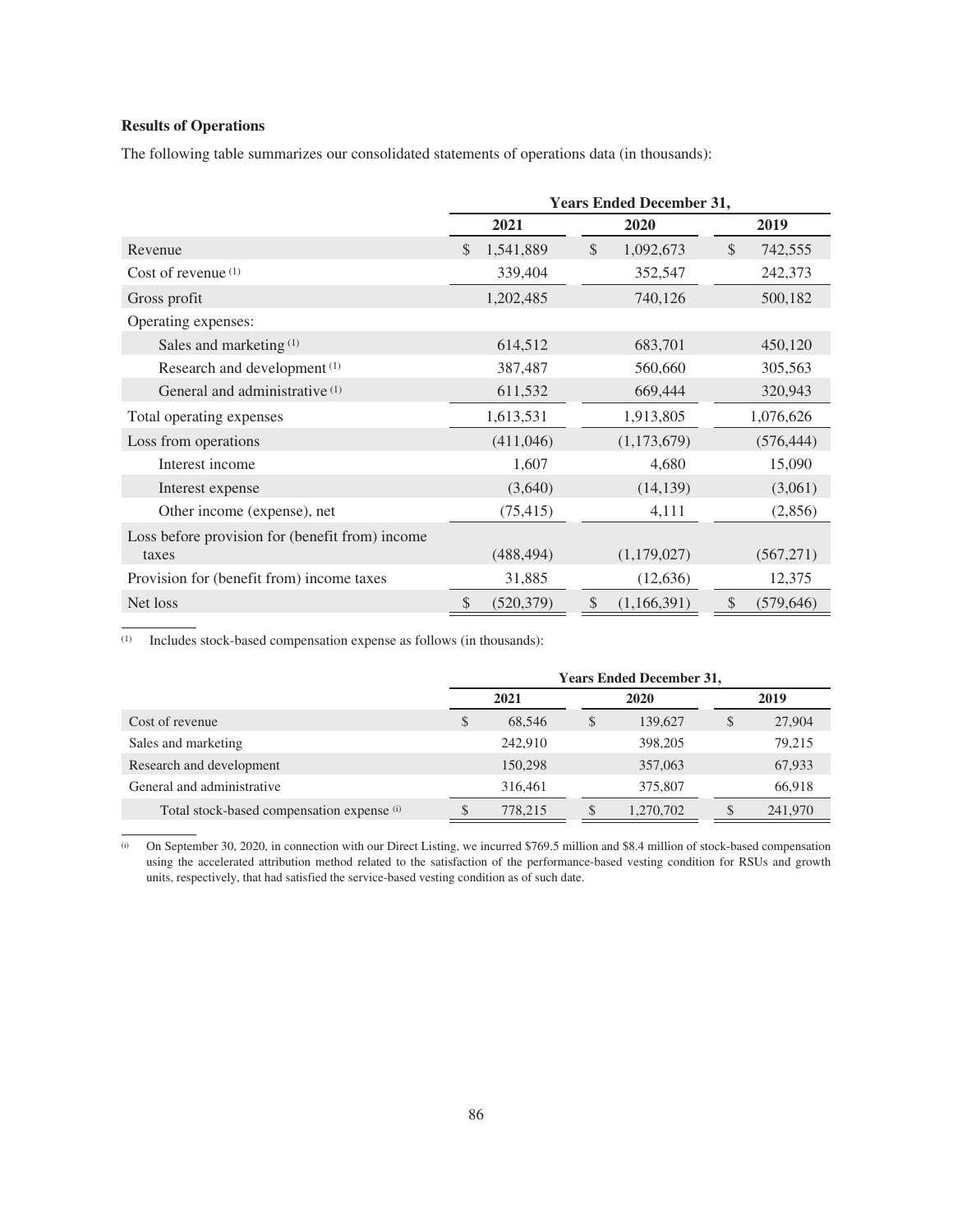# **Results of Operations**

The following table summarizes our consolidated statements of operations data (in thousands):

|                                                 | <b>Years Ended December 31,</b>         |                            |                  |  |  |  |  |
|-------------------------------------------------|-----------------------------------------|----------------------------|------------------|--|--|--|--|
|                                                 | 2021                                    | 2020                       | 2019             |  |  |  |  |
| Revenue                                         | 1,541,889<br>\$                         | $\mathcal{S}$<br>1,092,673 | \$<br>742,555    |  |  |  |  |
| Cost of revenue <sup>(1)</sup>                  | 339,404                                 | 352,547                    | 242,373          |  |  |  |  |
| Gross profit                                    | 1,202,485                               | 740,126                    | 500,182          |  |  |  |  |
| Operating expenses:                             |                                         |                            |                  |  |  |  |  |
| Sales and marketing <sup>(1)</sup>              | 614,512                                 | 683,701                    | 450,120          |  |  |  |  |
| Research and development <sup>(1)</sup>         | 387,487                                 | 560,660                    | 305,563          |  |  |  |  |
| General and administrative <sup>(1)</sup>       | 611,532                                 | 669,444                    | 320,943          |  |  |  |  |
| Total operating expenses                        | 1,613,531                               | 1,913,805                  | 1,076,626        |  |  |  |  |
| Loss from operations                            | (411,046)                               | (1, 173, 679)              | (576, 444)       |  |  |  |  |
| Interest income                                 | 1,607                                   | 4,680                      | 15,090           |  |  |  |  |
| Interest expense                                | (3,640)                                 | (14, 139)                  | (3,061)          |  |  |  |  |
| Other income (expense), net                     | (75, 415)                               | 4,111                      | (2,856)          |  |  |  |  |
| Loss before provision for (benefit from) income |                                         |                            |                  |  |  |  |  |
| taxes                                           | (488, 494)                              | (1,179,027)                | (567,271)        |  |  |  |  |
| Provision for (benefit from) income taxes       | 31,885                                  | (12, 636)                  | 12,375           |  |  |  |  |
| Net loss                                        | $\boldsymbol{\mathsf{S}}$<br>(520, 379) | \$<br>(1,166,391)          | \$<br>(579, 646) |  |  |  |  |

(1) Includes stock-based compensation expense as follows (in thousands):

|                                            | <b>Years Ended December 31,</b> |         |    |           |    |         |  |  |
|--------------------------------------------|---------------------------------|---------|----|-----------|----|---------|--|--|
|                                            |                                 | 2021    |    | 2020      |    | 2019    |  |  |
| Cost of revenue                            | \$                              | 68.546  | \$ | 139,627   | \$ | 27,904  |  |  |
| Sales and marketing                        |                                 | 242,910 |    | 398,205   |    | 79,215  |  |  |
| Research and development                   |                                 | 150,298 |    | 357,063   |    | 67,933  |  |  |
| General and administrative                 |                                 | 316,461 |    | 375,807   |    | 66,918  |  |  |
| Total stock-based compensation expense (i) |                                 | 778,215 | S  | 1,270,702 |    | 241,970 |  |  |

(i) On September 30, 2020, in connection with our Direct Listing, we incurred \$769.5 million and \$8.4 million of stock-based compensation using the accelerated attribution method related to the satisfaction of the performance-based vesting condition for RSUs and growth units, respectively, that had satisfied the service-based vesting condition as of such date.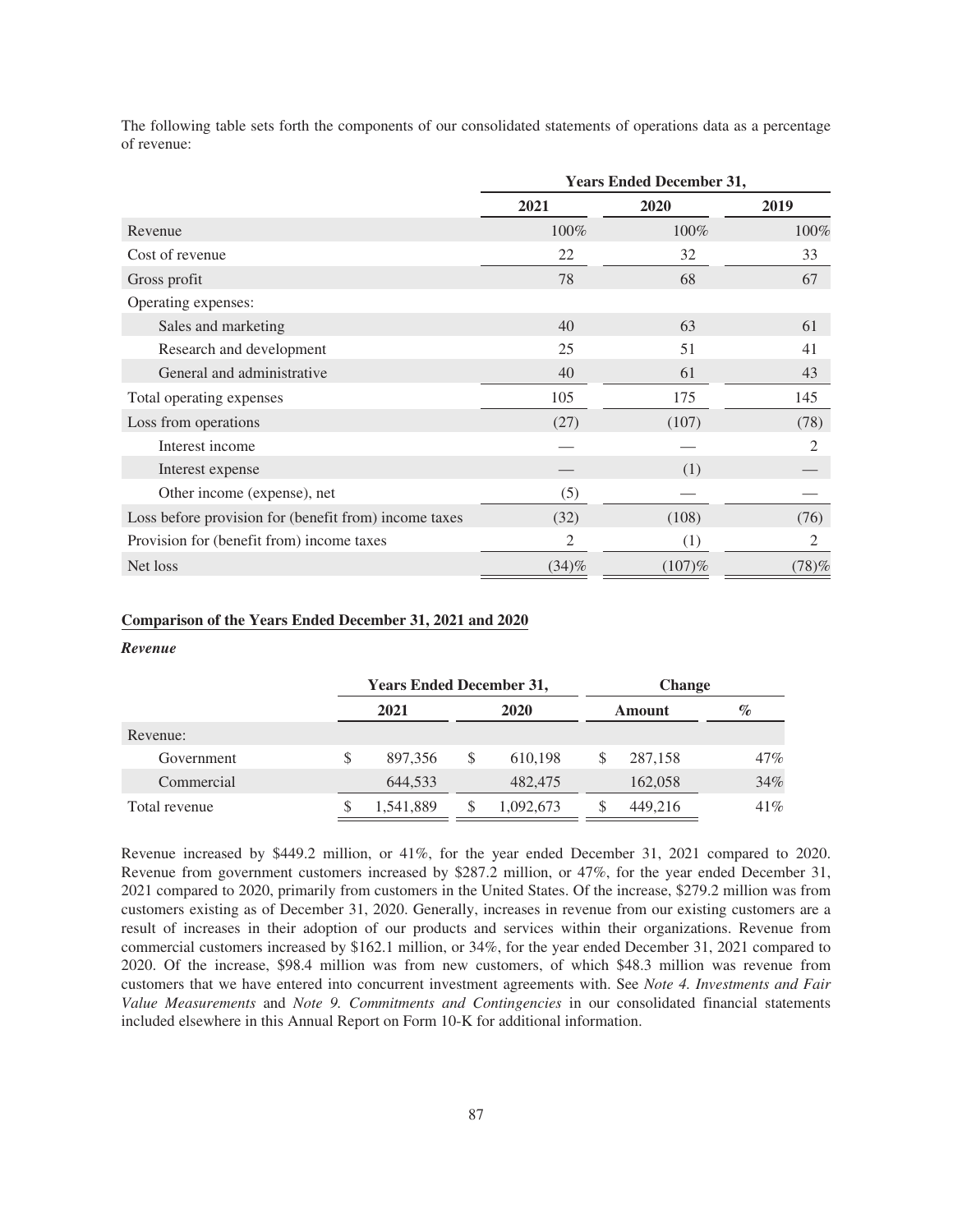The following table sets forth the components of our consolidated statements of operations data as a percentage of revenue:

|                                                       | <b>Years Ended December 31,</b> |        |                |  |  |
|-------------------------------------------------------|---------------------------------|--------|----------------|--|--|
|                                                       | 2021                            | 2020   | 2019           |  |  |
| Revenue                                               | 100%                            | 100%   | 100%           |  |  |
| Cost of revenue                                       | 22                              | 32     | 33             |  |  |
| Gross profit                                          | 78                              | 68     | 67             |  |  |
| Operating expenses:                                   |                                 |        |                |  |  |
| Sales and marketing                                   | 40                              | 63     | 61             |  |  |
| Research and development                              | 25                              | 51     | 41             |  |  |
| General and administrative                            | 40                              | 61     | 43             |  |  |
| Total operating expenses                              | 105                             | 175    | 145            |  |  |
| Loss from operations                                  | (27)                            | (107)  | (78)           |  |  |
| Interest income                                       |                                 |        | $\mathfrak{D}$ |  |  |
| Interest expense                                      |                                 | (1)    |                |  |  |
| Other income (expense), net                           | (5)                             |        |                |  |  |
| Loss before provision for (benefit from) income taxes | (32)                            | (108)  | (76)           |  |  |
| Provision for (benefit from) income taxes             | $\overline{2}$                  | (1)    | 2              |  |  |
| Net loss                                              | (34)%                           | (107)% | (78)%          |  |  |

# **Comparison of the Years Ended December 31, 2021 and 2020**

### *Revenue*

|               | <b>Years Ended December 31,</b> |           |           | <b>Change</b> |         |      |
|---------------|---------------------------------|-----------|-----------|---------------|---------|------|
|               |                                 | 2021      | 2020      |               | Amount  | $\%$ |
| Revenue:      |                                 |           |           |               |         |      |
| Government    | S                               | 897,356   | 610,198   | S             | 287,158 | 47%  |
| Commercial    |                                 | 644,533   | 482,475   |               | 162,058 | 34%  |
| Total revenue |                                 | 1,541,889 | 1,092,673 |               | 449,216 | 41%  |

Revenue increased by \$449.2 million, or 41%, for the year ended December 31, 2021 compared to 2020. Revenue from government customers increased by \$287.2 million, or 47%, for the year ended December 31, 2021 compared to 2020, primarily from customers in the United States. Of the increase, \$279.2 million was from customers existing as of December 31, 2020. Generally, increases in revenue from our existing customers are a result of increases in their adoption of our products and services within their organizations. Revenue from commercial customers increased by \$162.1 million, or 34%, for the year ended December 31, 2021 compared to 2020. Of the increase, \$98.4 million was from new customers, of which \$48.3 million was revenue from customers that we have entered into concurrent investment agreements with. See *Note 4. Investments and Fair Value Measurements* and *Note 9. Commitments and Contingencies* in our consolidated financial statements included elsewhere in this Annual Report on Form 10-K for additional information.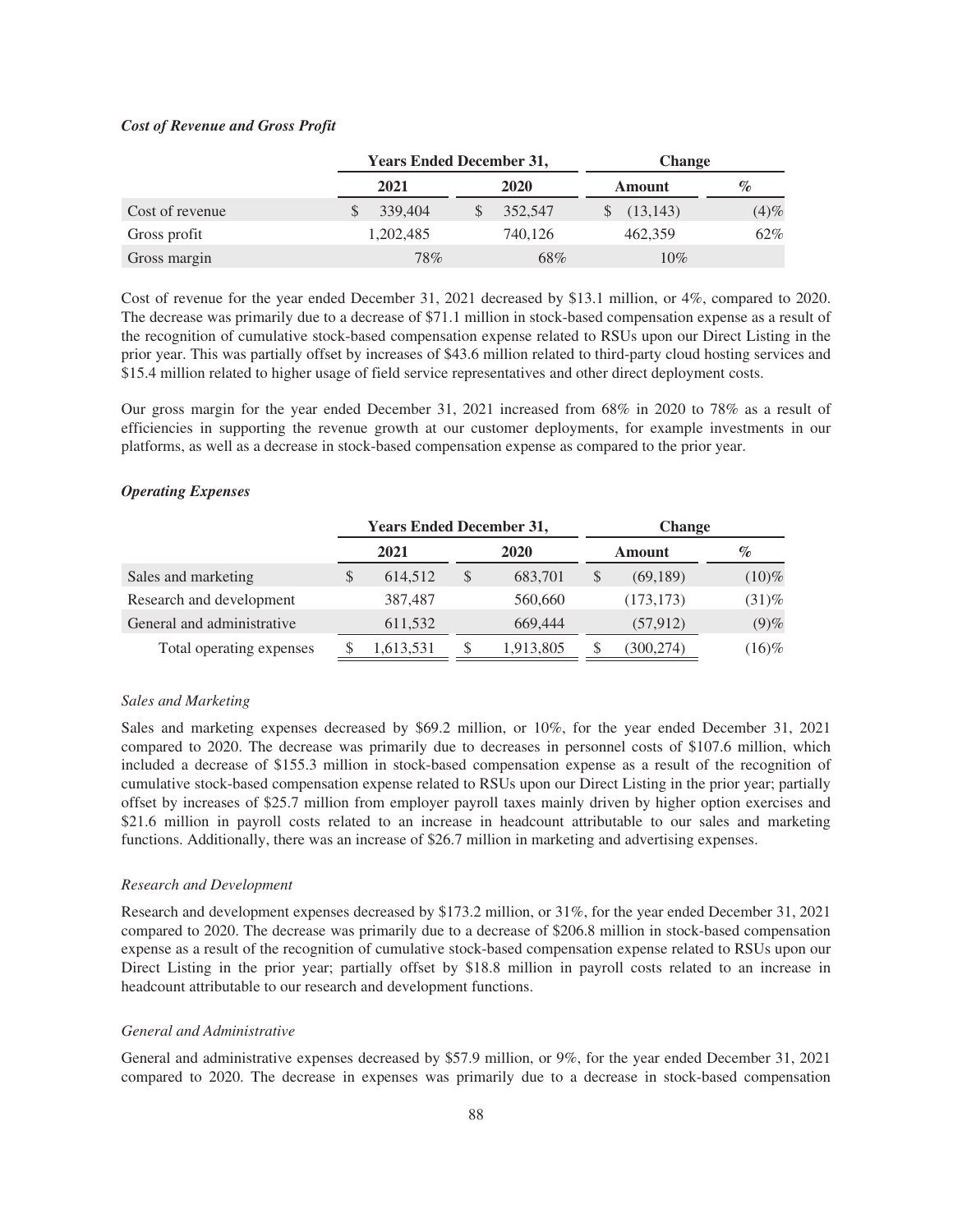# *Cost of Revenue and Gross Profit*

|                 |           | <b>Years Ended December 31,</b> | <b>Change</b> |         |  |
|-----------------|-----------|---------------------------------|---------------|---------|--|
|                 | 2021      | 2020                            | Amount        | $\%$    |  |
| Cost of revenue | 339,404   | 352,547                         | (13, 143)     | $(4)\%$ |  |
| Gross profit    | 1,202,485 | 740.126                         | 462,359       | 62%     |  |
| Gross margin    | 78%       | 68%                             | 10%           |         |  |

Cost of revenue for the year ended December 31, 2021 decreased by \$13.1 million, or 4%, compared to 2020. The decrease was primarily due to a decrease of \$71.1 million in stock-based compensation expense as a result of the recognition of cumulative stock-based compensation expense related to RSUs upon our Direct Listing in the prior year. This was partially offset by increases of \$43.6 million related to third-party cloud hosting services and \$15.4 million related to higher usage of field service representatives and other direct deployment costs.

Our gross margin for the year ended December 31, 2021 increased from 68% in 2020 to 78% as a result of efficiencies in supporting the revenue growth at our customer deployments, for example investments in our platforms, as well as a decrease in stock-based compensation expense as compared to the prior year.

## *Operating Expenses*

|                            | <b>Years Ended December 31,</b> |           |  | <b>Change</b> |  |               |          |
|----------------------------|---------------------------------|-----------|--|---------------|--|---------------|----------|
|                            |                                 | 2021      |  | 2020          |  | <b>Amount</b> | $\%$     |
| Sales and marketing        |                                 | 614,512   |  | 683,701       |  | (69,189)      | $(10)\%$ |
| Research and development   |                                 | 387,487   |  | 560,660       |  | (173, 173)    | (31)%    |
| General and administrative |                                 | 611,532   |  | 669,444       |  | (57, 912)     | (9)%     |
| Total operating expenses   |                                 | 1,613,531 |  | 1,913,805     |  | (300, 274)    | (16)%    |

#### *Sales and Marketing*

Sales and marketing expenses decreased by \$69.2 million, or 10%, for the year ended December 31, 2021 compared to 2020. The decrease was primarily due to decreases in personnel costs of \$107.6 million, which included a decrease of \$155.3 million in stock-based compensation expense as a result of the recognition of cumulative stock-based compensation expense related to RSUs upon our Direct Listing in the prior year; partially offset by increases of \$25.7 million from employer payroll taxes mainly driven by higher option exercises and \$21.6 million in payroll costs related to an increase in headcount attributable to our sales and marketing functions. Additionally, there was an increase of \$26.7 million in marketing and advertising expenses.

#### *Research and Development*

Research and development expenses decreased by \$173.2 million, or 31%, for the year ended December 31, 2021 compared to 2020. The decrease was primarily due to a decrease of \$206.8 million in stock-based compensation expense as a result of the recognition of cumulative stock-based compensation expense related to RSUs upon our Direct Listing in the prior year; partially offset by \$18.8 million in payroll costs related to an increase in headcount attributable to our research and development functions.

# *General and Administrative*

General and administrative expenses decreased by \$57.9 million, or 9%, for the year ended December 31, 2021 compared to 2020. The decrease in expenses was primarily due to a decrease in stock-based compensation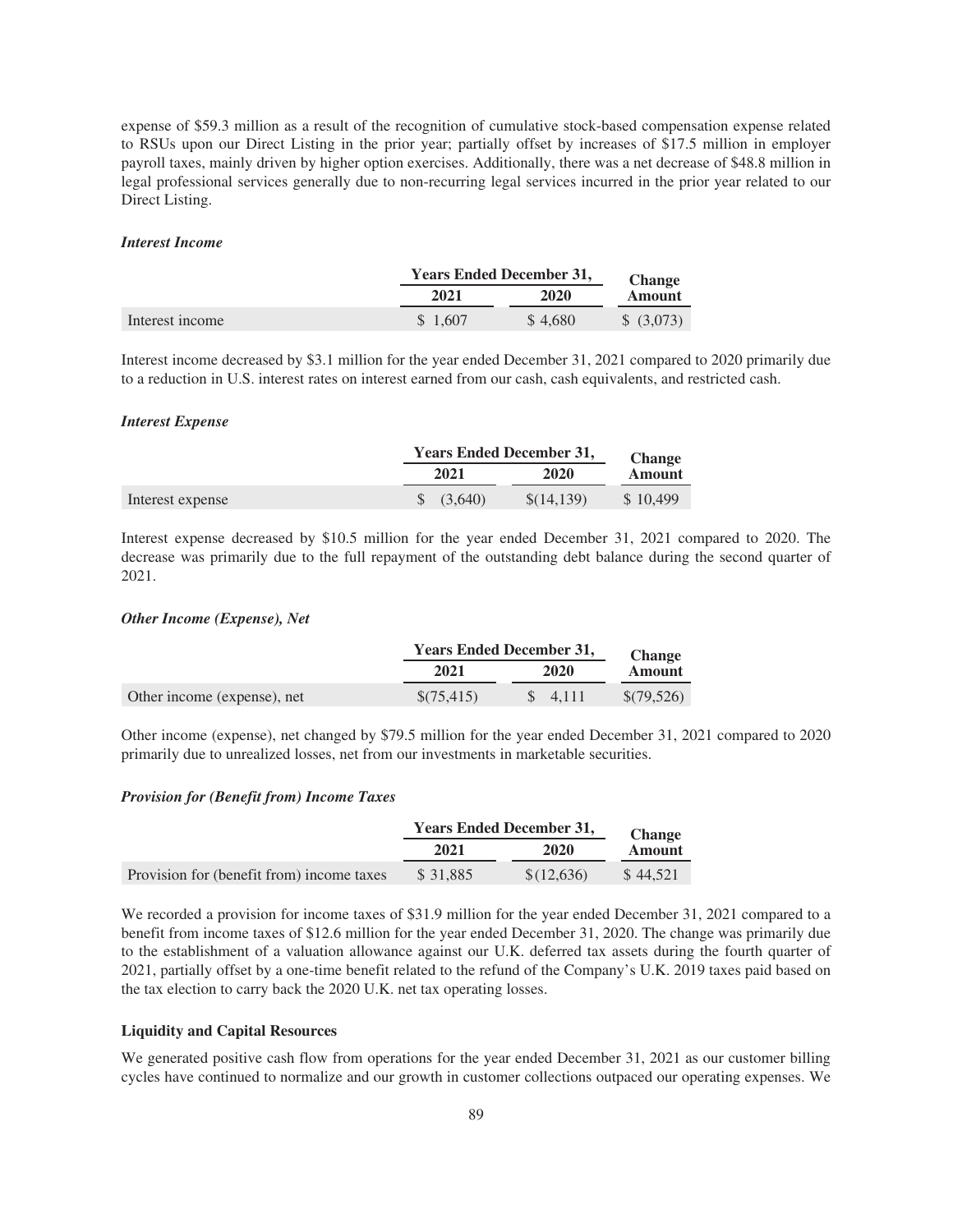expense of \$59.3 million as a result of the recognition of cumulative stock-based compensation expense related to RSUs upon our Direct Listing in the prior year; partially offset by increases of \$17.5 million in employer payroll taxes, mainly driven by higher option exercises. Additionally, there was a net decrease of \$48.8 million in legal professional services generally due to non-recurring legal services incurred in the prior year related to our Direct Listing.

### *Interest Income*

|                 | <b>Years Ended December 31,</b> |         |                         |  |
|-----------------|---------------------------------|---------|-------------------------|--|
|                 | 2021                            | 2020    | <b>Change</b><br>Amount |  |
| Interest income | \$1,607                         | \$4.680 | \$ (3,073)              |  |

Interest income decreased by \$3.1 million for the year ended December 31, 2021 compared to 2020 primarily due to a reduction in U.S. interest rates on interest earned from our cash, cash equivalents, and restricted cash.

# *Interest Expense*

|                  | <b>Years Ended December 31,</b> | <b>Change</b> |               |  |
|------------------|---------------------------------|---------------|---------------|--|
|                  | 2021                            | 2020          | <b>Amount</b> |  |
| Interest expense | $\frac{1}{2}$ (3.640)           | \$(14,139)    | \$10.499      |  |

Interest expense decreased by \$10.5 million for the year ended December 31, 2021 compared to 2020. The decrease was primarily due to the full repayment of the outstanding debt balance during the second quarter of 2021.

# *Other Income (Expense), Net*

|                             | <b>Years Ended December 31,</b> | <b>Change</b> |               |
|-----------------------------|---------------------------------|---------------|---------------|
|                             | 2021                            | 2020          | <b>Amount</b> |
| Other income (expense), net | \$(75,415)                      | \$ 4.111      | \$(79,526)    |

Other income (expense), net changed by \$79.5 million for the year ended December 31, 2021 compared to 2020 primarily due to unrealized losses, net from our investments in marketable securities.

# *Provision for (Benefit from) Income Taxes*

|                                           |          | <b>Years Ended December 31,</b> | <b>Change</b> |
|-------------------------------------------|----------|---------------------------------|---------------|
|                                           | 2021     | 2020                            | Amount        |
| Provision for (benefit from) income taxes | \$31,885 | \$(12,636)                      | \$44.521      |

We recorded a provision for income taxes of \$31.9 million for the year ended December 31, 2021 compared to a benefit from income taxes of \$12.6 million for the year ended December 31, 2020. The change was primarily due to the establishment of a valuation allowance against our U.K. deferred tax assets during the fourth quarter of 2021, partially offset by a one-time benefit related to the refund of the Company's U.K. 2019 taxes paid based on the tax election to carry back the 2020 U.K. net tax operating losses.

# **Liquidity and Capital Resources**

We generated positive cash flow from operations for the year ended December 31, 2021 as our customer billing cycles have continued to normalize and our growth in customer collections outpaced our operating expenses. We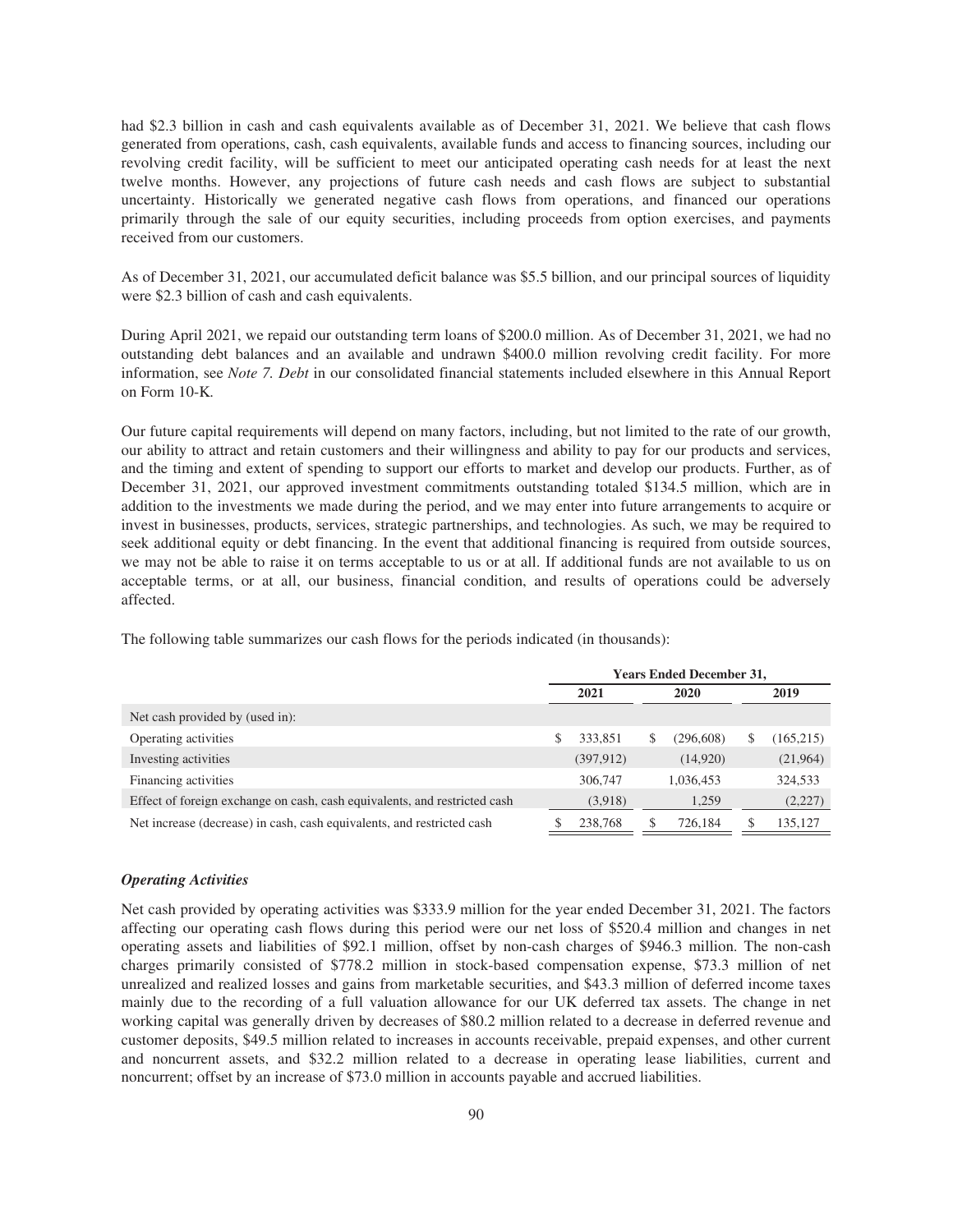had \$2.3 billion in cash and cash equivalents available as of December 31, 2021. We believe that cash flows generated from operations, cash, cash equivalents, available funds and access to financing sources, including our revolving credit facility, will be sufficient to meet our anticipated operating cash needs for at least the next twelve months. However, any projections of future cash needs and cash flows are subject to substantial uncertainty. Historically we generated negative cash flows from operations, and financed our operations primarily through the sale of our equity securities, including proceeds from option exercises, and payments received from our customers.

As of December 31, 2021, our accumulated deficit balance was \$5.5 billion, and our principal sources of liquidity were \$2.3 billion of cash and cash equivalents.

During April 2021, we repaid our outstanding term loans of \$200.0 million. As of December 31, 2021, we had no outstanding debt balances and an available and undrawn \$400.0 million revolving credit facility. For more information, see *Note 7. Debt* in our consolidated financial statements included elsewhere in this Annual Report on Form 10-K*.*

Our future capital requirements will depend on many factors, including, but not limited to the rate of our growth, our ability to attract and retain customers and their willingness and ability to pay for our products and services, and the timing and extent of spending to support our efforts to market and develop our products. Further, as of December 31, 2021, our approved investment commitments outstanding totaled \$134.5 million, which are in addition to the investments we made during the period, and we may enter into future arrangements to acquire or invest in businesses, products, services, strategic partnerships, and technologies. As such, we may be required to seek additional equity or debt financing. In the event that additional financing is required from outside sources, we may not be able to raise it on terms acceptable to us or at all. If additional funds are not available to us on acceptable terms, or at all, our business, financial condition, and results of operations could be adversely affected.

The following table summarizes our cash flows for the periods indicated (in thousands):

|                                                                           |            | <b>Years Ended December 31,</b> |   |            |
|---------------------------------------------------------------------------|------------|---------------------------------|---|------------|
|                                                                           | 2021       | 2020                            |   | 2019       |
| Net cash provided by (used in):                                           |            |                                 |   |            |
| Operating activities                                                      | 333.851    | \$<br>(296,608)                 | S | (165, 215) |
| Investing activities                                                      | (397, 912) | (14,920)                        |   | (21,964)   |
| Financing activities                                                      | 306,747    | 1,036,453                       |   | 324,533    |
| Effect of foreign exchange on cash, cash equivalents, and restricted cash | (3,918)    | 1,259                           |   | (2,227)    |
| Net increase (decrease) in cash, cash equivalents, and restricted cash    | 238,768    | \$<br>726.184                   | S | 135.127    |

# *Operating Activities*

Net cash provided by operating activities was \$333.9 million for the year ended December 31, 2021. The factors affecting our operating cash flows during this period were our net loss of \$520.4 million and changes in net operating assets and liabilities of \$92.1 million, offset by non-cash charges of \$946.3 million. The non-cash charges primarily consisted of \$778.2 million in stock-based compensation expense, \$73.3 million of net unrealized and realized losses and gains from marketable securities, and \$43.3 million of deferred income taxes mainly due to the recording of a full valuation allowance for our UK deferred tax assets. The change in net working capital was generally driven by decreases of \$80.2 million related to a decrease in deferred revenue and customer deposits, \$49.5 million related to increases in accounts receivable, prepaid expenses, and other current and noncurrent assets, and \$32.2 million related to a decrease in operating lease liabilities, current and noncurrent; offset by an increase of \$73.0 million in accounts payable and accrued liabilities.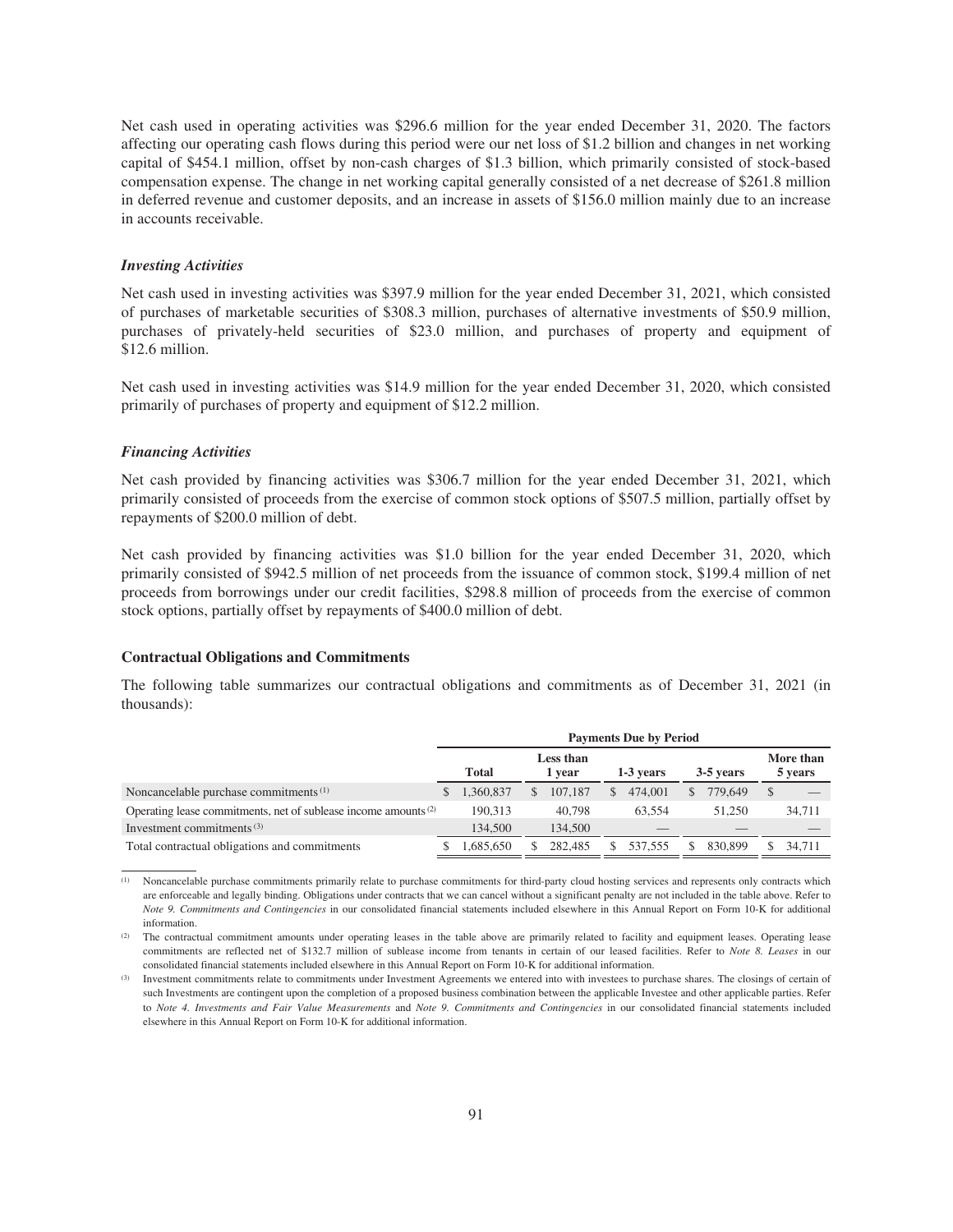Net cash used in operating activities was \$296.6 million for the year ended December 31, 2020. The factors affecting our operating cash flows during this period were our net loss of \$1.2 billion and changes in net working capital of \$454.1 million, offset by non-cash charges of \$1.3 billion, which primarily consisted of stock-based compensation expense. The change in net working capital generally consisted of a net decrease of \$261.8 million in deferred revenue and customer deposits, and an increase in assets of \$156.0 million mainly due to an increase in accounts receivable.

# *Investing Activities*

Net cash used in investing activities was \$397.9 million for the year ended December 31, 2021, which consisted of purchases of marketable securities of \$308.3 million, purchases of alternative investments of \$50.9 million, purchases of privately-held securities of \$23.0 million, and purchases of property and equipment of \$12.6 million.

Net cash used in investing activities was \$14.9 million for the year ended December 31, 2020, which consisted primarily of purchases of property and equipment of \$12.2 million.

# *Financing Activities*

Net cash provided by financing activities was \$306.7 million for the year ended December 31, 2021, which primarily consisted of proceeds from the exercise of common stock options of \$507.5 million, partially offset by repayments of \$200.0 million of debt.

Net cash provided by financing activities was \$1.0 billion for the year ended December 31, 2020, which primarily consisted of \$942.5 million of net proceeds from the issuance of common stock, \$199.4 million of net proceeds from borrowings under our credit facilities, \$298.8 million of proceeds from the exercise of common stock options, partially offset by repayments of \$400.0 million of debt.

# **Contractual Obligations and Commitments**

The following table summarizes our contractual obligations and commitments as of December 31, 2021 (in thousands):

|                                                                            |   |              |                     |    | <b>Payments Due by Period</b> |     |           |                      |
|----------------------------------------------------------------------------|---|--------------|---------------------|----|-------------------------------|-----|-----------|----------------------|
|                                                                            |   | <b>Total</b> | Less than<br>1 year |    | 1-3 years                     |     | 3-5 years | More than<br>5 years |
| Noncancelable purchase commitments <sup>(1)</sup>                          | S | 1,360,837    | 107.187             | S. | 474,001                       | \$. | 779,649   |                      |
| Operating lease commitments, net of sublease income amounts <sup>(2)</sup> |   | 190.313      | 40,798              |    | 63.554                        |     | 51,250    | 34.711               |
| Investment commitments $(3)$                                               |   | 134,500      | 134,500             |    |                               |     |           |                      |
| Total contractual obligations and commitments                              |   | 1.685.650    | 282,485             |    | 537.555                       |     | 830,899   | 34.711               |

<sup>(1)</sup> Noncancelable purchase commitments primarily relate to purchase commitments for third-party cloud hosting services and represents only contracts which are enforceable and legally binding. Obligations under contracts that we can cancel without a significant penalty are not included in the table above. Refer to *Note 9. Commitments and Contingencies* in our consolidated financial statements included elsewhere in this Annual Report on Form 10-K for additional information.

<sup>(2)</sup> The contractual commitment amounts under operating leases in the table above are primarily related to facility and equipment leases. Operating lease commitments are reflected net of \$132.7 million of sublease income from tenants in certain of our leased facilities. Refer to *Note 8. Leases* in our consolidated financial statements included elsewhere in this Annual Report on Form 10-K for additional information.

<sup>(3)</sup> Investment commitments relate to commitments under Investment Agreements we entered into with investees to purchase shares. The closings of certain of such Investments are contingent upon the completion of a proposed business combination between the applicable Investee and other applicable parties. Refer to *Note 4. Investments and Fair Value Measurements* and *Note 9. Commitments and Contingencies* in our consolidated financial statements included elsewhere in this Annual Report on Form 10-K for additional information.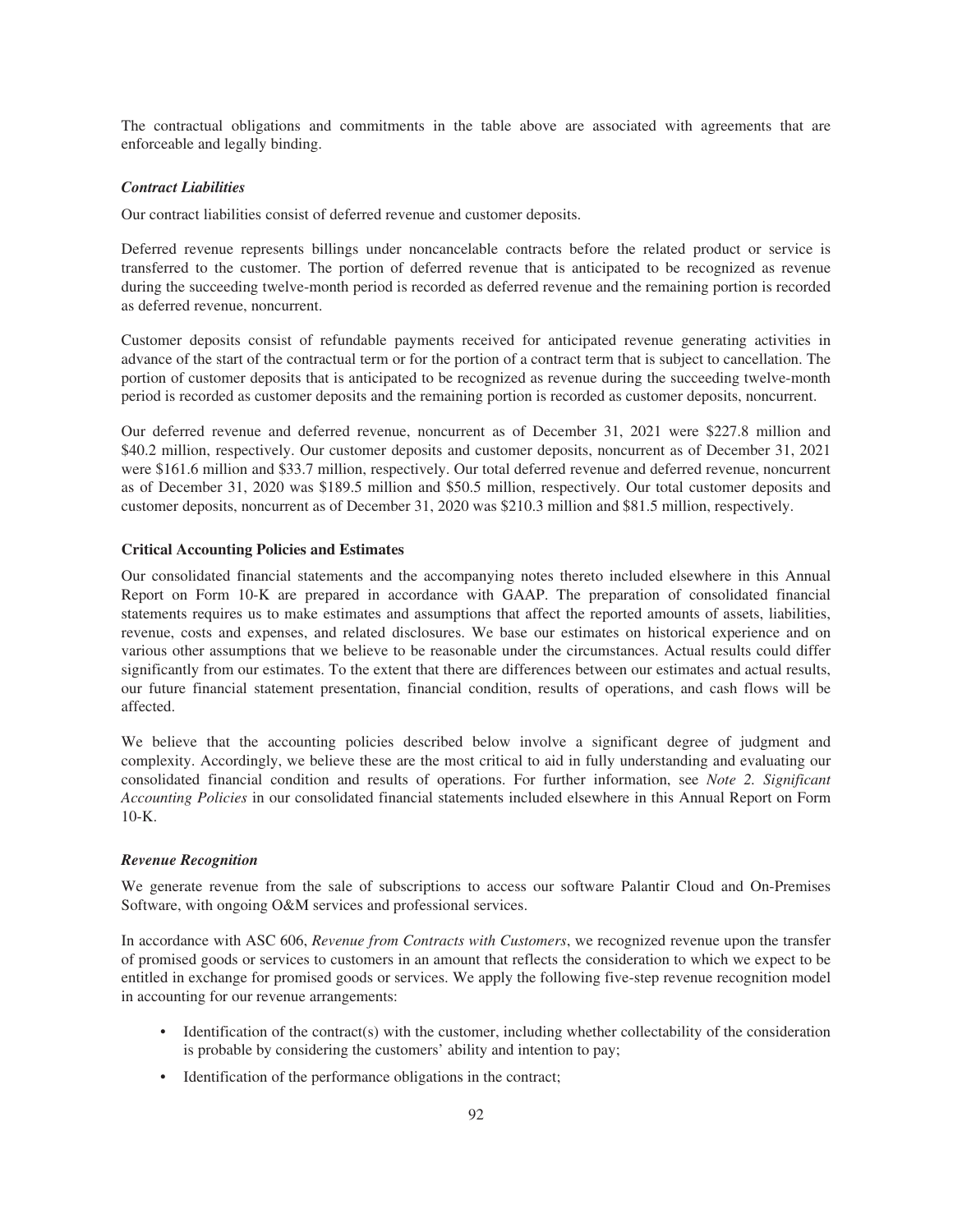The contractual obligations and commitments in the table above are associated with agreements that are enforceable and legally binding.

# *Contract Liabilities*

Our contract liabilities consist of deferred revenue and customer deposits.

Deferred revenue represents billings under noncancelable contracts before the related product or service is transferred to the customer. The portion of deferred revenue that is anticipated to be recognized as revenue during the succeeding twelve-month period is recorded as deferred revenue and the remaining portion is recorded as deferred revenue, noncurrent.

Customer deposits consist of refundable payments received for anticipated revenue generating activities in advance of the start of the contractual term or for the portion of a contract term that is subject to cancellation. The portion of customer deposits that is anticipated to be recognized as revenue during the succeeding twelve-month period is recorded as customer deposits and the remaining portion is recorded as customer deposits, noncurrent.

Our deferred revenue and deferred revenue, noncurrent as of December 31, 2021 were \$227.8 million and \$40.2 million, respectively. Our customer deposits and customer deposits, noncurrent as of December 31, 2021 were \$161.6 million and \$33.7 million, respectively. Our total deferred revenue and deferred revenue, noncurrent as of December 31, 2020 was \$189.5 million and \$50.5 million, respectively. Our total customer deposits and customer deposits, noncurrent as of December 31, 2020 was \$210.3 million and \$81.5 million, respectively.

# **Critical Accounting Policies and Estimates**

Our consolidated financial statements and the accompanying notes thereto included elsewhere in this Annual Report on Form 10-K are prepared in accordance with GAAP. The preparation of consolidated financial statements requires us to make estimates and assumptions that affect the reported amounts of assets, liabilities, revenue, costs and expenses, and related disclosures. We base our estimates on historical experience and on various other assumptions that we believe to be reasonable under the circumstances. Actual results could differ significantly from our estimates. To the extent that there are differences between our estimates and actual results, our future financial statement presentation, financial condition, results of operations, and cash flows will be affected.

We believe that the accounting policies described below involve a significant degree of judgment and complexity. Accordingly, we believe these are the most critical to aid in fully understanding and evaluating our consolidated financial condition and results of operations. For further information, see *Note 2. Significant Accounting Policies* in our consolidated financial statements included elsewhere in this Annual Report on Form  $10-K$ .

#### *Revenue Recognition*

We generate revenue from the sale of subscriptions to access our software Palantir Cloud and On-Premises Software, with ongoing O&M services and professional services.

In accordance with ASC 606, *Revenue from Contracts with Customers*, we recognized revenue upon the transfer of promised goods or services to customers in an amount that reflects the consideration to which we expect to be entitled in exchange for promised goods or services. We apply the following five-step revenue recognition model in accounting for our revenue arrangements:

- Identification of the contract(s) with the customer, including whether collectability of the consideration is probable by considering the customers' ability and intention to pay;
- Identification of the performance obligations in the contract;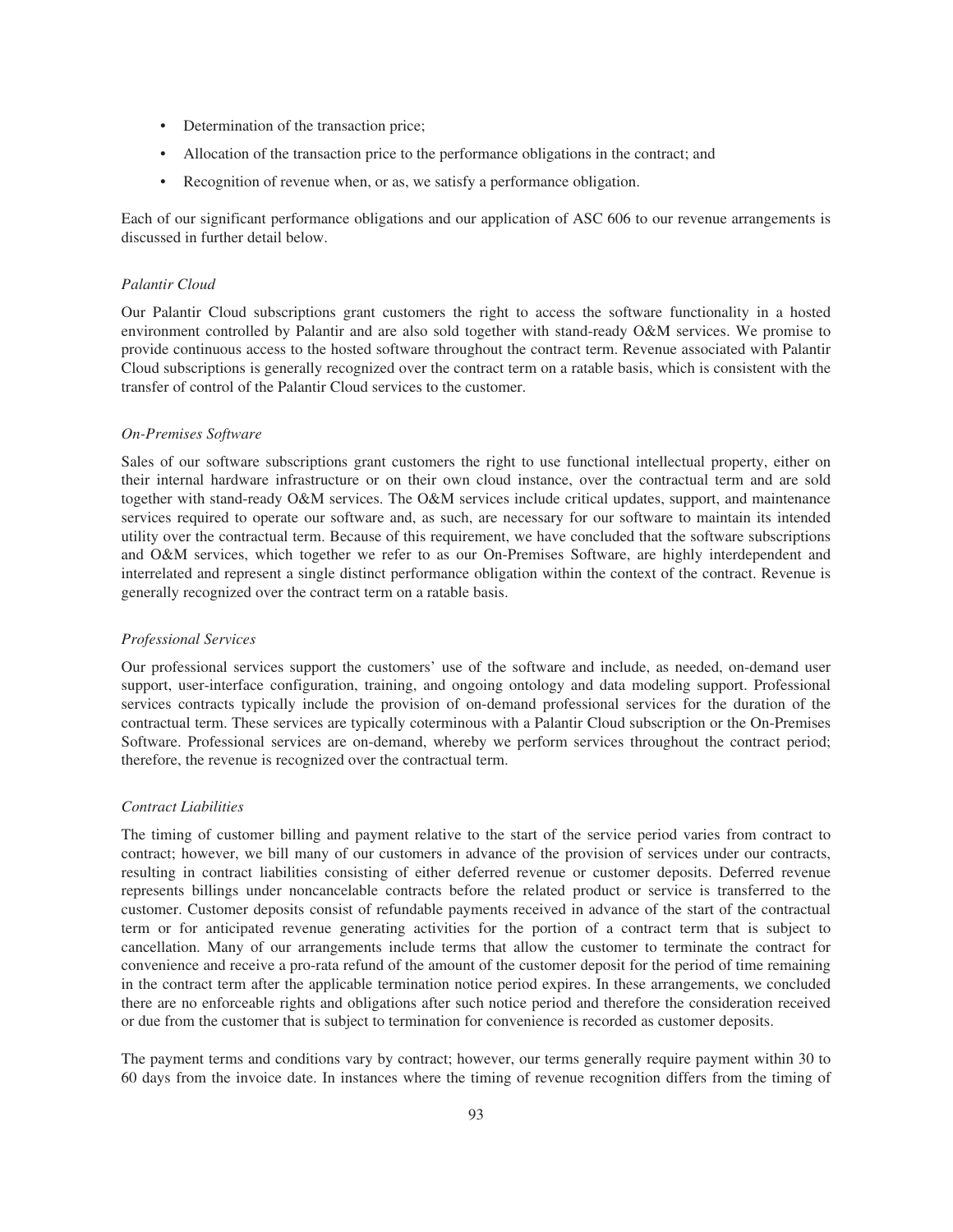- Determination of the transaction price;
- Allocation of the transaction price to the performance obligations in the contract; and
- Recognition of revenue when, or as, we satisfy a performance obligation.

Each of our significant performance obligations and our application of ASC 606 to our revenue arrangements is discussed in further detail below.

### *Palantir Cloud*

Our Palantir Cloud subscriptions grant customers the right to access the software functionality in a hosted environment controlled by Palantir and are also sold together with stand-ready O&M services. We promise to provide continuous access to the hosted software throughout the contract term. Revenue associated with Palantir Cloud subscriptions is generally recognized over the contract term on a ratable basis, which is consistent with the transfer of control of the Palantir Cloud services to the customer.

# *On-Premises Software*

Sales of our software subscriptions grant customers the right to use functional intellectual property, either on their internal hardware infrastructure or on their own cloud instance, over the contractual term and are sold together with stand-ready O&M services. The O&M services include critical updates, support, and maintenance services required to operate our software and, as such, are necessary for our software to maintain its intended utility over the contractual term. Because of this requirement, we have concluded that the software subscriptions and O&M services, which together we refer to as our On-Premises Software, are highly interdependent and interrelated and represent a single distinct performance obligation within the context of the contract. Revenue is generally recognized over the contract term on a ratable basis.

# *Professional Services*

Our professional services support the customers' use of the software and include, as needed, on-demand user support, user-interface configuration, training, and ongoing ontology and data modeling support. Professional services contracts typically include the provision of on-demand professional services for the duration of the contractual term. These services are typically coterminous with a Palantir Cloud subscription or the On-Premises Software. Professional services are on-demand, whereby we perform services throughout the contract period; therefore, the revenue is recognized over the contractual term.

### *Contract Liabilities*

The timing of customer billing and payment relative to the start of the service period varies from contract to contract; however, we bill many of our customers in advance of the provision of services under our contracts, resulting in contract liabilities consisting of either deferred revenue or customer deposits. Deferred revenue represents billings under noncancelable contracts before the related product or service is transferred to the customer. Customer deposits consist of refundable payments received in advance of the start of the contractual term or for anticipated revenue generating activities for the portion of a contract term that is subject to cancellation. Many of our arrangements include terms that allow the customer to terminate the contract for convenience and receive a pro-rata refund of the amount of the customer deposit for the period of time remaining in the contract term after the applicable termination notice period expires. In these arrangements, we concluded there are no enforceable rights and obligations after such notice period and therefore the consideration received or due from the customer that is subject to termination for convenience is recorded as customer deposits.

The payment terms and conditions vary by contract; however, our terms generally require payment within 30 to 60 days from the invoice date. In instances where the timing of revenue recognition differs from the timing of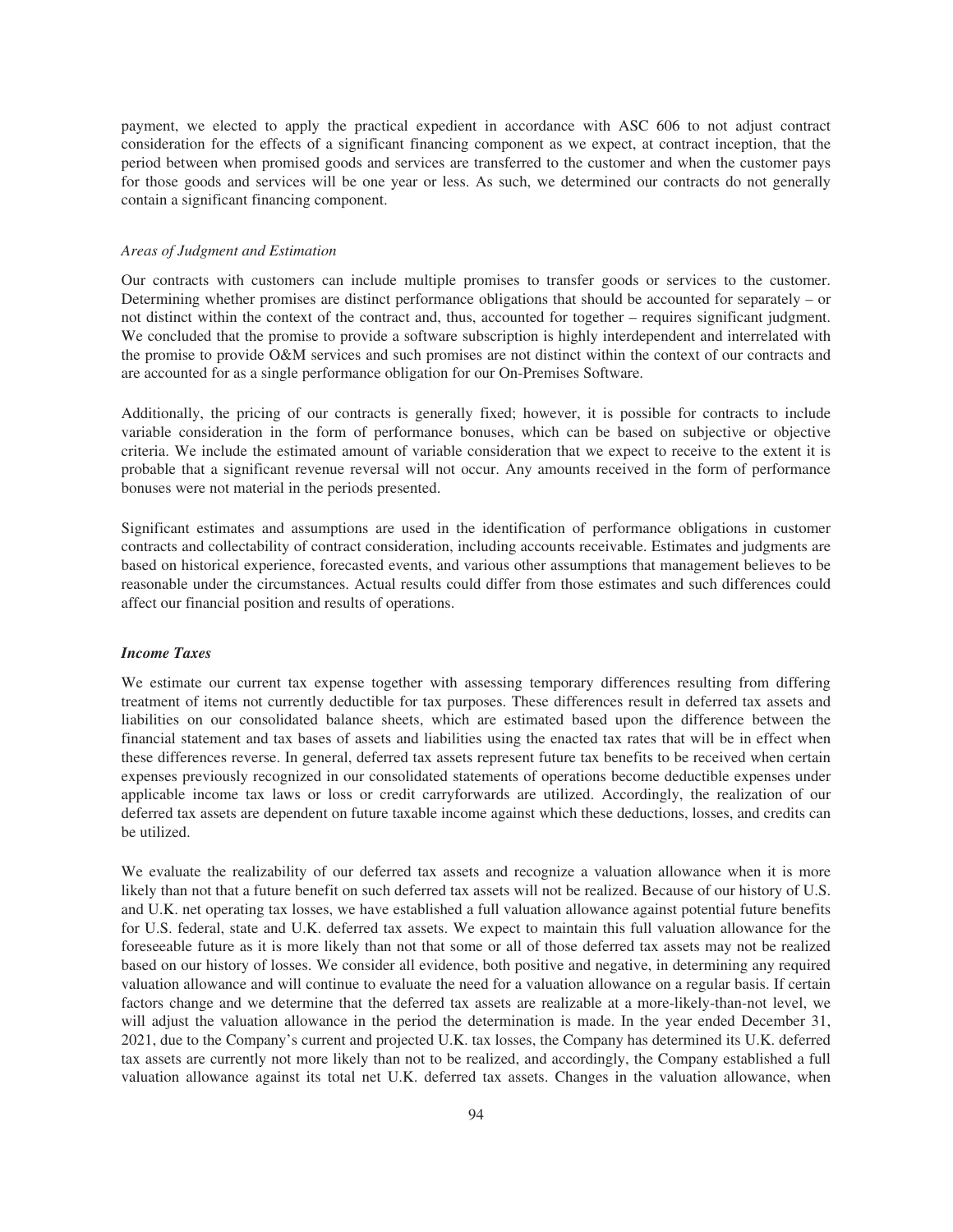payment, we elected to apply the practical expedient in accordance with ASC 606 to not adjust contract consideration for the effects of a significant financing component as we expect, at contract inception, that the period between when promised goods and services are transferred to the customer and when the customer pays for those goods and services will be one year or less. As such, we determined our contracts do not generally contain a significant financing component.

#### *Areas of Judgment and Estimation*

Our contracts with customers can include multiple promises to transfer goods or services to the customer. Determining whether promises are distinct performance obligations that should be accounted for separately – or not distinct within the context of the contract and, thus, accounted for together – requires significant judgment. We concluded that the promise to provide a software subscription is highly interdependent and interrelated with the promise to provide O&M services and such promises are not distinct within the context of our contracts and are accounted for as a single performance obligation for our On-Premises Software.

Additionally, the pricing of our contracts is generally fixed; however, it is possible for contracts to include variable consideration in the form of performance bonuses, which can be based on subjective or objective criteria. We include the estimated amount of variable consideration that we expect to receive to the extent it is probable that a significant revenue reversal will not occur. Any amounts received in the form of performance bonuses were not material in the periods presented.

Significant estimates and assumptions are used in the identification of performance obligations in customer contracts and collectability of contract consideration, including accounts receivable. Estimates and judgments are based on historical experience, forecasted events, and various other assumptions that management believes to be reasonable under the circumstances. Actual results could differ from those estimates and such differences could affect our financial position and results of operations.

### *Income Taxes*

We estimate our current tax expense together with assessing temporary differences resulting from differing treatment of items not currently deductible for tax purposes. These differences result in deferred tax assets and liabilities on our consolidated balance sheets, which are estimated based upon the difference between the financial statement and tax bases of assets and liabilities using the enacted tax rates that will be in effect when these differences reverse. In general, deferred tax assets represent future tax benefits to be received when certain expenses previously recognized in our consolidated statements of operations become deductible expenses under applicable income tax laws or loss or credit carryforwards are utilized. Accordingly, the realization of our deferred tax assets are dependent on future taxable income against which these deductions, losses, and credits can be utilized.

We evaluate the realizability of our deferred tax assets and recognize a valuation allowance when it is more likely than not that a future benefit on such deferred tax assets will not be realized. Because of our history of U.S. and U.K. net operating tax losses, we have established a full valuation allowance against potential future benefits for U.S. federal, state and U.K. deferred tax assets. We expect to maintain this full valuation allowance for the foreseeable future as it is more likely than not that some or all of those deferred tax assets may not be realized based on our history of losses. We consider all evidence, both positive and negative, in determining any required valuation allowance and will continue to evaluate the need for a valuation allowance on a regular basis. If certain factors change and we determine that the deferred tax assets are realizable at a more-likely-than-not level, we will adjust the valuation allowance in the period the determination is made. In the year ended December 31, 2021, due to the Company's current and projected U.K. tax losses, the Company has determined its U.K. deferred tax assets are currently not more likely than not to be realized, and accordingly, the Company established a full valuation allowance against its total net U.K. deferred tax assets. Changes in the valuation allowance, when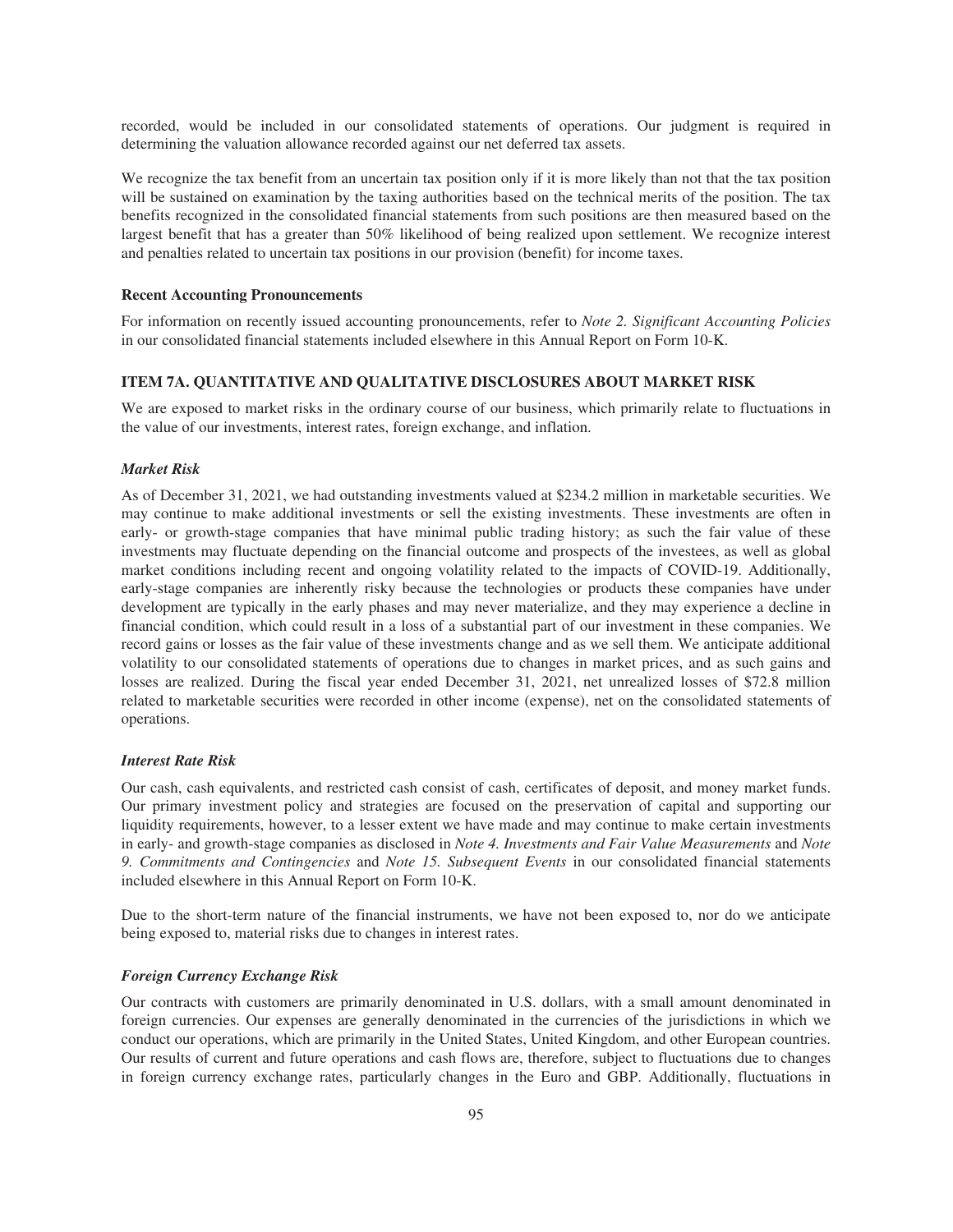recorded, would be included in our consolidated statements of operations. Our judgment is required in determining the valuation allowance recorded against our net deferred tax assets.

We recognize the tax benefit from an uncertain tax position only if it is more likely than not that the tax position will be sustained on examination by the taxing authorities based on the technical merits of the position. The tax benefits recognized in the consolidated financial statements from such positions are then measured based on the largest benefit that has a greater than 50% likelihood of being realized upon settlement. We recognize interest and penalties related to uncertain tax positions in our provision (benefit) for income taxes.

#### **Recent Accounting Pronouncements**

For information on recently issued accounting pronouncements, refer to *Note 2. Significant Accounting Policies* in our consolidated financial statements included elsewhere in this Annual Report on Form 10-K.

# **ITEM 7A. QUANTITATIVE AND QUALITATIVE DISCLOSURES ABOUT MARKET RISK**

We are exposed to market risks in the ordinary course of our business, which primarily relate to fluctuations in the value of our investments, interest rates, foreign exchange, and inflation.

### *Market Risk*

As of December 31, 2021, we had outstanding investments valued at \$234.2 million in marketable securities. We may continue to make additional investments or sell the existing investments. These investments are often in early- or growth-stage companies that have minimal public trading history; as such the fair value of these investments may fluctuate depending on the financial outcome and prospects of the investees, as well as global market conditions including recent and ongoing volatility related to the impacts of COVID-19. Additionally, early-stage companies are inherently risky because the technologies or products these companies have under development are typically in the early phases and may never materialize, and they may experience a decline in financial condition, which could result in a loss of a substantial part of our investment in these companies. We record gains or losses as the fair value of these investments change and as we sell them. We anticipate additional volatility to our consolidated statements of operations due to changes in market prices, and as such gains and losses are realized. During the fiscal year ended December 31, 2021, net unrealized losses of \$72.8 million related to marketable securities were recorded in other income (expense), net on the consolidated statements of operations.

# *Interest Rate Risk*

Our cash, cash equivalents, and restricted cash consist of cash, certificates of deposit, and money market funds. Our primary investment policy and strategies are focused on the preservation of capital and supporting our liquidity requirements, however, to a lesser extent we have made and may continue to make certain investments in early- and growth-stage companies as disclosed in *Note 4. Investments and Fair Value Measurements* and *Note 9. Commitments and Contingencies* and *Note 15. Subsequent Events* in our consolidated financial statements included elsewhere in this Annual Report on Form 10-K.

Due to the short-term nature of the financial instruments, we have not been exposed to, nor do we anticipate being exposed to, material risks due to changes in interest rates.

# *Foreign Currency Exchange Risk*

Our contracts with customers are primarily denominated in U.S. dollars, with a small amount denominated in foreign currencies. Our expenses are generally denominated in the currencies of the jurisdictions in which we conduct our operations, which are primarily in the United States, United Kingdom, and other European countries. Our results of current and future operations and cash flows are, therefore, subject to fluctuations due to changes in foreign currency exchange rates, particularly changes in the Euro and GBP. Additionally, fluctuations in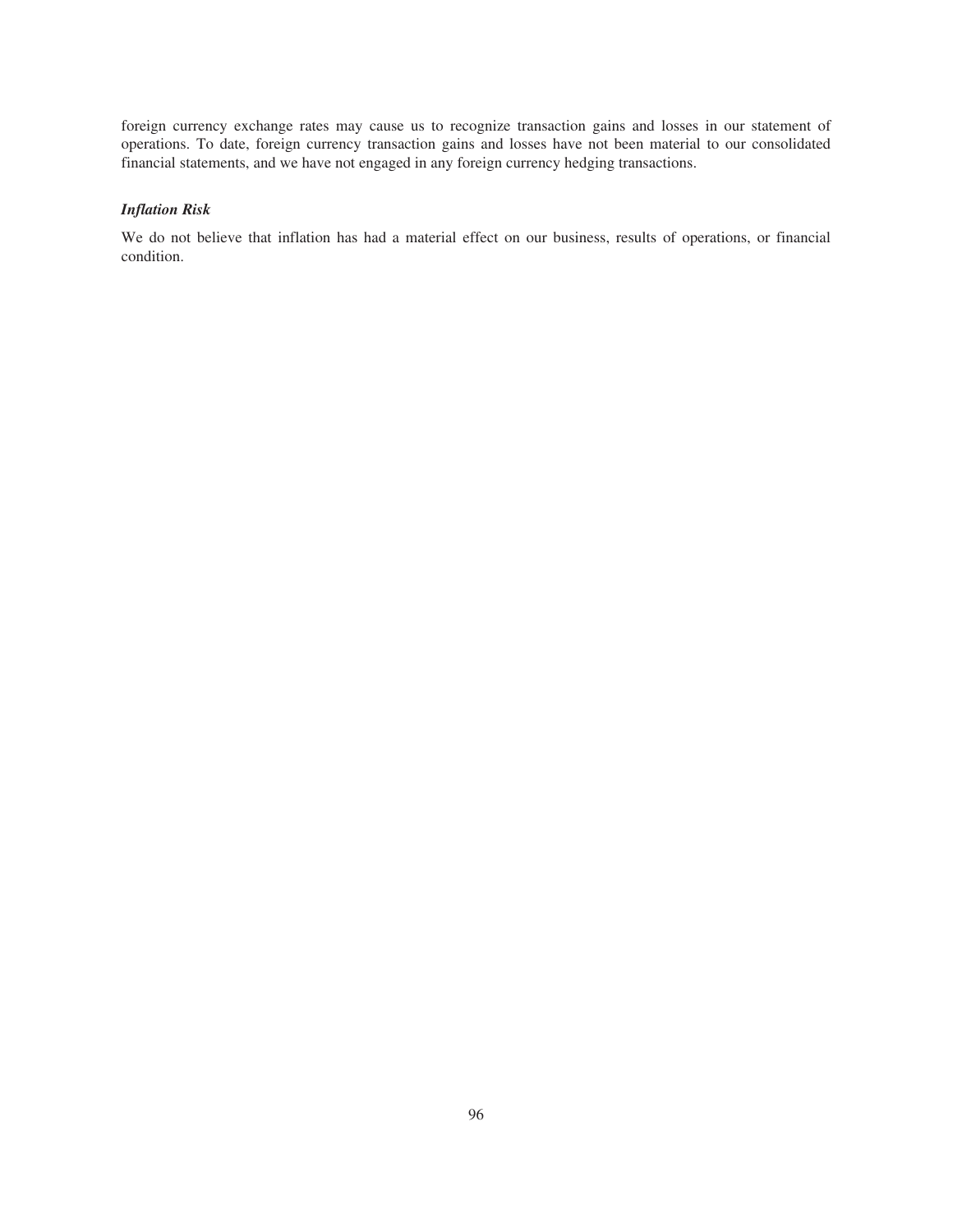foreign currency exchange rates may cause us to recognize transaction gains and losses in our statement of operations. To date, foreign currency transaction gains and losses have not been material to our consolidated financial statements, and we have not engaged in any foreign currency hedging transactions.

# *Inflation Risk*

We do not believe that inflation has had a material effect on our business, results of operations, or financial condition.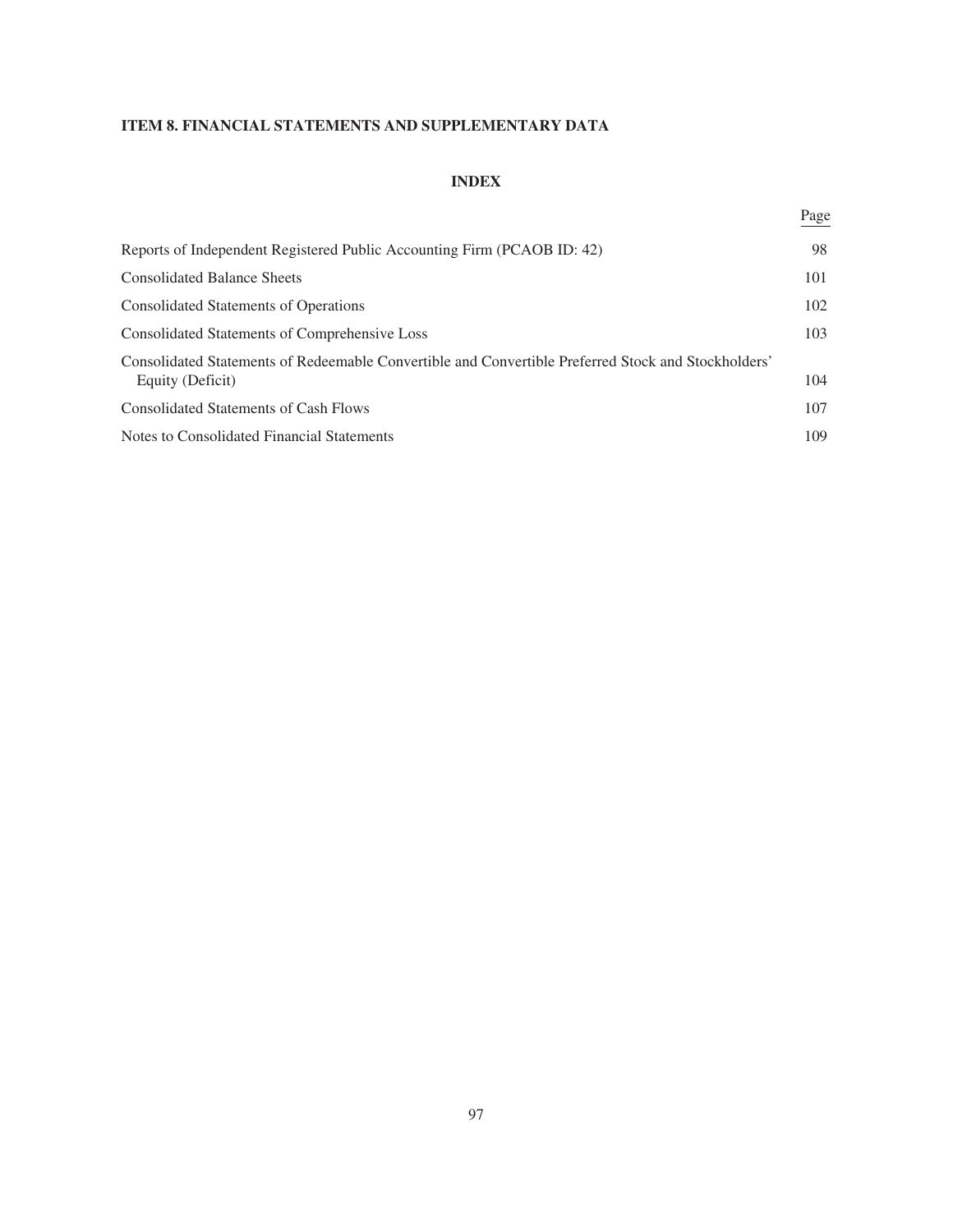# **ITEM 8. FINANCIAL STATEMENTS AND SUPPLEMENTARY DATA**

# **INDEX**

Page

| Reports of Independent Registered Public Accounting Firm (PCAOB ID: 42)                                                 | 98  |
|-------------------------------------------------------------------------------------------------------------------------|-----|
| <b>Consolidated Balance Sheets</b>                                                                                      | 101 |
| <b>Consolidated Statements of Operations</b>                                                                            | 102 |
| Consolidated Statements of Comprehensive Loss                                                                           | 103 |
| Consolidated Statements of Redeemable Convertible and Convertible Preferred Stock and Stockholders'<br>Equity (Deficit) | 104 |
| <b>Consolidated Statements of Cash Flows</b>                                                                            | 107 |
| Notes to Consolidated Financial Statements                                                                              | 109 |
|                                                                                                                         |     |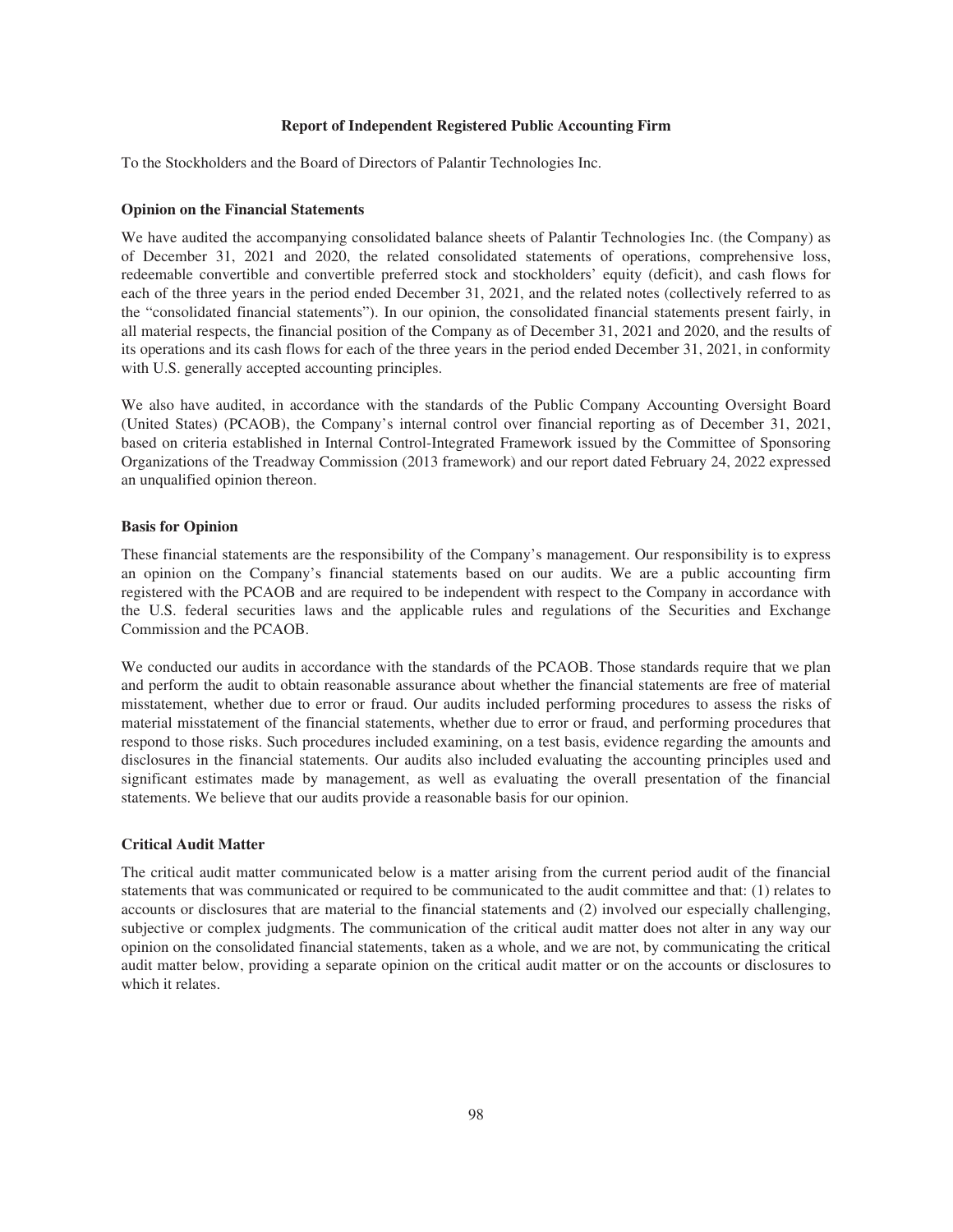# **Report of Independent Registered Public Accounting Firm**

<span id="page-97-0"></span>To the Stockholders and the Board of Directors of Palantir Technologies Inc.

# **Opinion on the Financial Statements**

We have audited the accompanying consolidated balance sheets of Palantir Technologies Inc. (the Company) as of December 31, 2021 and 2020, the related consolidated statements of operations, comprehensive loss, redeemable convertible and convertible preferred stock and stockholders' equity (deficit), and cash flows for each of the three years in the period ended December 31, 2021, and the related notes (collectively referred to as the "consolidated financial statements"). In our opinion, the consolidated financial statements present fairly, in all material respects, the financial position of the Company as of December 31, 2021 and 2020, and the results of its operations and its cash flows for each of the three years in the period ended December 31, 2021, in conformity with U.S. generally accepted accounting principles.

We also have audited, in accordance with the standards of the Public Company Accounting Oversight Board (United States) (PCAOB), the Company's internal control over financial reporting as of December 31, 2021, based on criteria established in Internal Control-Integrated Framework issued by the Committee of Sponsoring Organizations of the Treadway Commission (2013 framework) and our report dated February 24, 2022 expressed an unqualified opinion thereon.

# **Basis for Opinion**

These financial statements are the responsibility of the Company's management. Our responsibility is to express an opinion on the Company's financial statements based on our audits. We are a public accounting firm registered with the PCAOB and are required to be independent with respect to the Company in accordance with the U.S. federal securities laws and the applicable rules and regulations of the Securities and Exchange Commission and the PCAOB.

We conducted our audits in accordance with the standards of the PCAOB. Those standards require that we plan and perform the audit to obtain reasonable assurance about whether the financial statements are free of material misstatement, whether due to error or fraud. Our audits included performing procedures to assess the risks of material misstatement of the financial statements, whether due to error or fraud, and performing procedures that respond to those risks. Such procedures included examining, on a test basis, evidence regarding the amounts and disclosures in the financial statements. Our audits also included evaluating the accounting principles used and significant estimates made by management, as well as evaluating the overall presentation of the financial statements. We believe that our audits provide a reasonable basis for our opinion.

# **Critical Audit Matter**

The critical audit matter communicated below is a matter arising from the current period audit of the financial statements that was communicated or required to be communicated to the audit committee and that: (1) relates to accounts or disclosures that are material to the financial statements and (2) involved our especially challenging, subjective or complex judgments. The communication of the critical audit matter does not alter in any way our opinion on the consolidated financial statements, taken as a whole, and we are not, by communicating the critical audit matter below, providing a separate opinion on the critical audit matter or on the accounts or disclosures to which it relates.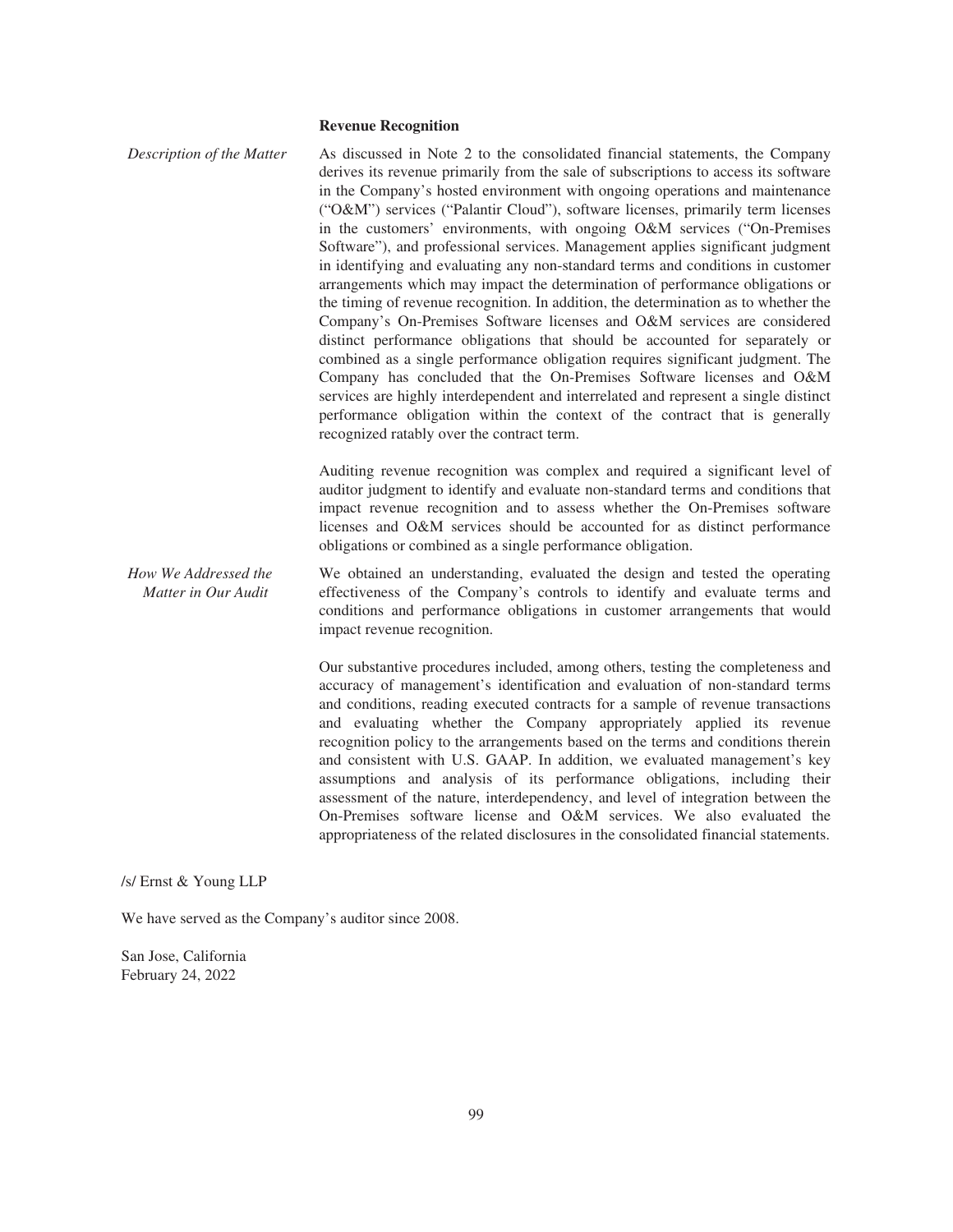# **Revenue Recognition**

*Description of the Matter* As discussed in Note 2 to the consolidated financial statements, the Company derives its revenue primarily from the sale of subscriptions to access its software in the Company's hosted environment with ongoing operations and maintenance ("O&M") services ("Palantir Cloud"), software licenses, primarily term licenses in the customers' environments, with ongoing O&M services ("On-Premises Software"), and professional services. Management applies significant judgment in identifying and evaluating any non-standard terms and conditions in customer arrangements which may impact the determination of performance obligations or the timing of revenue recognition. In addition, the determination as to whether the Company's On-Premises Software licenses and O&M services are considered distinct performance obligations that should be accounted for separately or combined as a single performance obligation requires significant judgment. The Company has concluded that the On-Premises Software licenses and O&M services are highly interdependent and interrelated and represent a single distinct performance obligation within the context of the contract that is generally recognized ratably over the contract term.

Auditing revenue recognition was complex and required a significant level of auditor judgment to identify and evaluate non-standard terms and conditions that impact revenue recognition and to assess whether the On-Premises software licenses and O&M services should be accounted for as distinct performance obligations or combined as a single performance obligation.

*How We Addressed the Matter in Our Audit* We obtained an understanding, evaluated the design and tested the operating effectiveness of the Company's controls to identify and evaluate terms and conditions and performance obligations in customer arrangements that would impact revenue recognition.

> Our substantive procedures included, among others, testing the completeness and accuracy of management's identification and evaluation of non-standard terms and conditions, reading executed contracts for a sample of revenue transactions and evaluating whether the Company appropriately applied its revenue recognition policy to the arrangements based on the terms and conditions therein and consistent with U.S. GAAP. In addition, we evaluated management's key assumptions and analysis of its performance obligations, including their assessment of the nature, interdependency, and level of integration between the On-Premises software license and O&M services. We also evaluated the appropriateness of the related disclosures in the consolidated financial statements.

/s/ Ernst & Young LLP

We have served as the Company's auditor since 2008.

San Jose, California February 24, 2022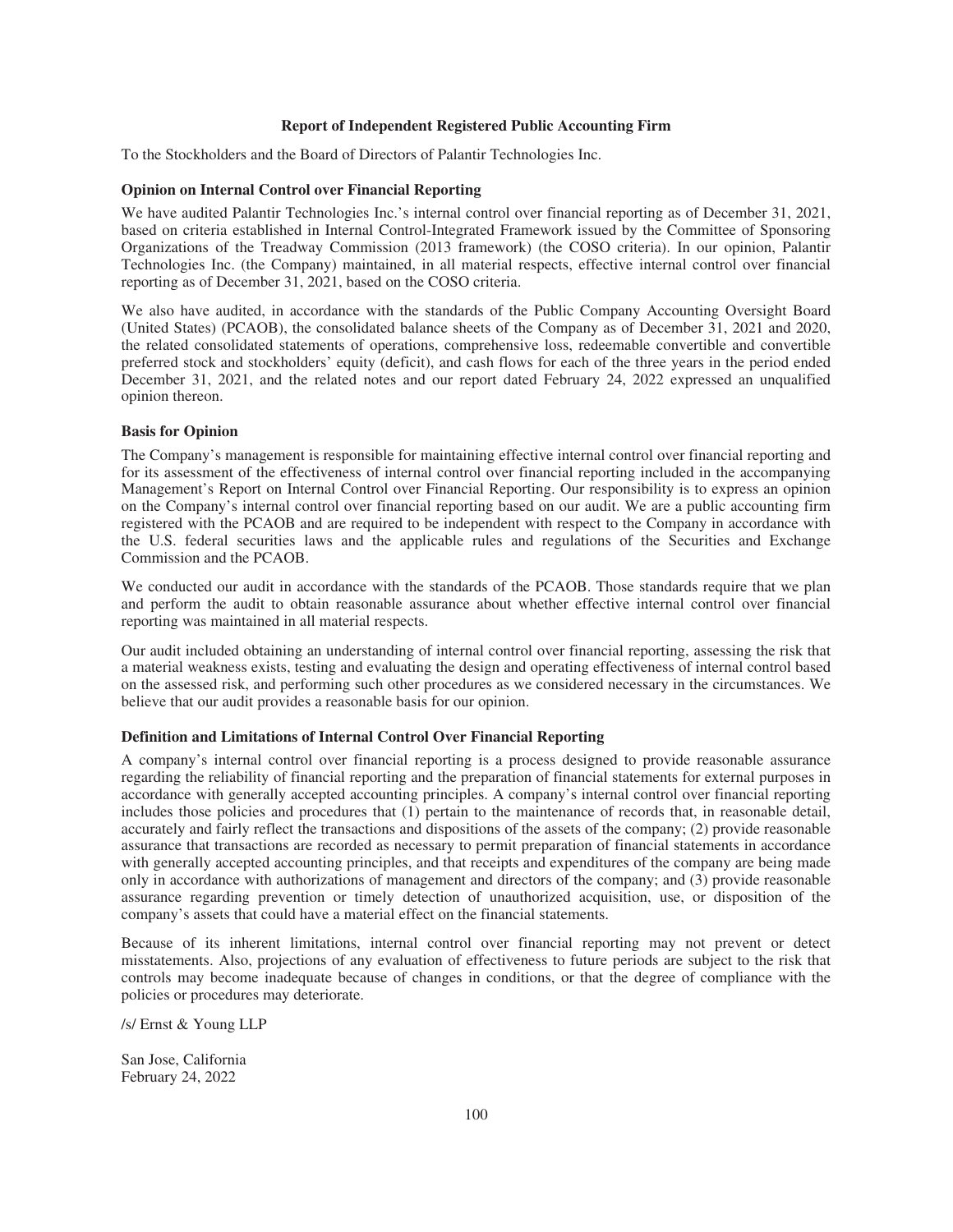# **Report of Independent Registered Public Accounting Firm**

To the Stockholders and the Board of Directors of Palantir Technologies Inc.

# **Opinion on Internal Control over Financial Reporting**

We have audited Palantir Technologies Inc.'s internal control over financial reporting as of December 31, 2021, based on criteria established in Internal Control-Integrated Framework issued by the Committee of Sponsoring Organizations of the Treadway Commission (2013 framework) (the COSO criteria). In our opinion, Palantir Technologies Inc. (the Company) maintained, in all material respects, effective internal control over financial reporting as of December 31, 2021, based on the COSO criteria.

We also have audited, in accordance with the standards of the Public Company Accounting Oversight Board (United States) (PCAOB), the consolidated balance sheets of the Company as of December 31, 2021 and 2020, the related consolidated statements of operations, comprehensive loss, redeemable convertible and convertible preferred stock and stockholders' equity (deficit), and cash flows for each of the three years in the period ended December 31, 2021, and the related notes and our report dated February 24, 2022 expressed an unqualified opinion thereon.

### **Basis for Opinion**

The Company's management is responsible for maintaining effective internal control over financial reporting and for its assessment of the effectiveness of internal control over financial reporting included in the accompanying Management's Report on Internal Control over Financial Reporting. Our responsibility is to express an opinion on the Company's internal control over financial reporting based on our audit. We are a public accounting firm registered with the PCAOB and are required to be independent with respect to the Company in accordance with the U.S. federal securities laws and the applicable rules and regulations of the Securities and Exchange Commission and the PCAOB.

We conducted our audit in accordance with the standards of the PCAOB. Those standards require that we plan and perform the audit to obtain reasonable assurance about whether effective internal control over financial reporting was maintained in all material respects.

Our audit included obtaining an understanding of internal control over financial reporting, assessing the risk that a material weakness exists, testing and evaluating the design and operating effectiveness of internal control based on the assessed risk, and performing such other procedures as we considered necessary in the circumstances. We believe that our audit provides a reasonable basis for our opinion.

# **Definition and Limitations of Internal Control Over Financial Reporting**

A company's internal control over financial reporting is a process designed to provide reasonable assurance regarding the reliability of financial reporting and the preparation of financial statements for external purposes in accordance with generally accepted accounting principles. A company's internal control over financial reporting includes those policies and procedures that (1) pertain to the maintenance of records that, in reasonable detail, accurately and fairly reflect the transactions and dispositions of the assets of the company; (2) provide reasonable assurance that transactions are recorded as necessary to permit preparation of financial statements in accordance with generally accepted accounting principles, and that receipts and expenditures of the company are being made only in accordance with authorizations of management and directors of the company; and (3) provide reasonable assurance regarding prevention or timely detection of unauthorized acquisition, use, or disposition of the company's assets that could have a material effect on the financial statements.

Because of its inherent limitations, internal control over financial reporting may not prevent or detect misstatements. Also, projections of any evaluation of effectiveness to future periods are subject to the risk that controls may become inadequate because of changes in conditions, or that the degree of compliance with the policies or procedures may deteriorate.

/s/ Ernst & Young LLP

San Jose, California February 24, 2022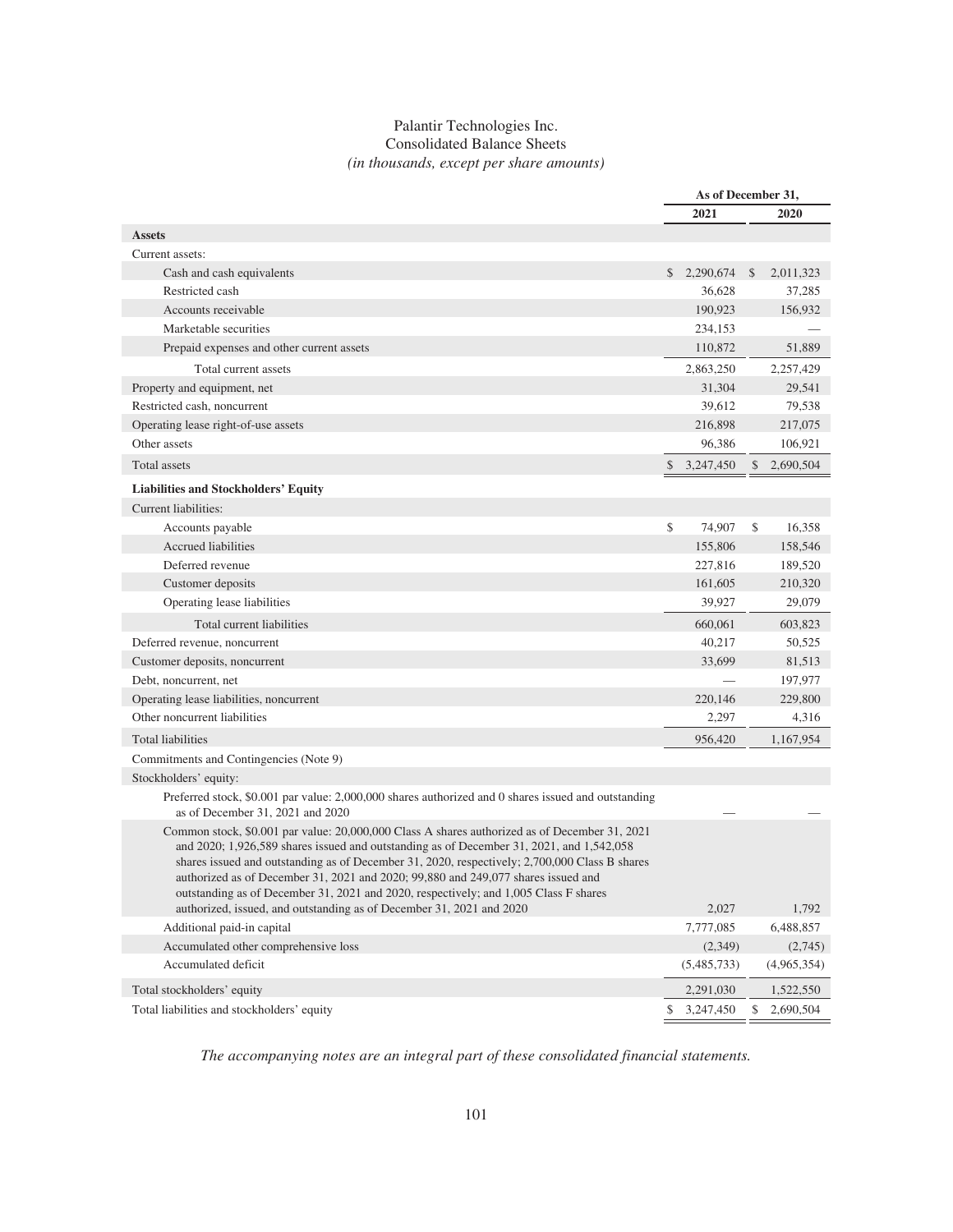# Palantir Technologies Inc. Consolidated Balance Sheets *(in thousands, except per share amounts)*

<span id="page-100-0"></span>

|                                                                                                                                                                                                                                                                                                                                                                                                                                                                            | As of December 31, |              |             |
|----------------------------------------------------------------------------------------------------------------------------------------------------------------------------------------------------------------------------------------------------------------------------------------------------------------------------------------------------------------------------------------------------------------------------------------------------------------------------|--------------------|--------------|-------------|
|                                                                                                                                                                                                                                                                                                                                                                                                                                                                            | 2021               |              | 2020        |
| <b>Assets</b>                                                                                                                                                                                                                                                                                                                                                                                                                                                              |                    |              |             |
| Current assets:                                                                                                                                                                                                                                                                                                                                                                                                                                                            |                    |              |             |
| Cash and cash equivalents                                                                                                                                                                                                                                                                                                                                                                                                                                                  | \$<br>2,290,674    | \$           | 2,011,323   |
| Restricted cash                                                                                                                                                                                                                                                                                                                                                                                                                                                            | 36,628             |              | 37,285      |
| Accounts receivable                                                                                                                                                                                                                                                                                                                                                                                                                                                        | 190,923            |              | 156,932     |
| Marketable securities                                                                                                                                                                                                                                                                                                                                                                                                                                                      | 234,153            |              |             |
| Prepaid expenses and other current assets                                                                                                                                                                                                                                                                                                                                                                                                                                  | 110,872            |              | 51,889      |
| Total current assets                                                                                                                                                                                                                                                                                                                                                                                                                                                       | 2,863,250          |              | 2,257,429   |
| Property and equipment, net                                                                                                                                                                                                                                                                                                                                                                                                                                                | 31,304             |              | 29,541      |
| Restricted cash, noncurrent                                                                                                                                                                                                                                                                                                                                                                                                                                                | 39,612             |              | 79,538      |
| Operating lease right-of-use assets                                                                                                                                                                                                                                                                                                                                                                                                                                        | 216,898            |              | 217,075     |
| Other assets                                                                                                                                                                                                                                                                                                                                                                                                                                                               | 96,386             |              | 106,921     |
| Total assets                                                                                                                                                                                                                                                                                                                                                                                                                                                               | \$<br>3,247,450    | $\mathbb{S}$ | 2,690,504   |
| <b>Liabilities and Stockholders' Equity</b>                                                                                                                                                                                                                                                                                                                                                                                                                                |                    |              |             |
| Current liabilities:                                                                                                                                                                                                                                                                                                                                                                                                                                                       |                    |              |             |
| Accounts payable                                                                                                                                                                                                                                                                                                                                                                                                                                                           | \$<br>74,907       | \$           | 16,358      |
| <b>Accrued liabilities</b>                                                                                                                                                                                                                                                                                                                                                                                                                                                 | 155,806            |              | 158,546     |
| Deferred revenue                                                                                                                                                                                                                                                                                                                                                                                                                                                           | 227,816            |              | 189,520     |
| Customer deposits                                                                                                                                                                                                                                                                                                                                                                                                                                                          | 161,605            |              | 210,320     |
| Operating lease liabilities                                                                                                                                                                                                                                                                                                                                                                                                                                                | 39,927             |              | 29,079      |
| Total current liabilities                                                                                                                                                                                                                                                                                                                                                                                                                                                  | 660,061            |              | 603,823     |
| Deferred revenue, noncurrent                                                                                                                                                                                                                                                                                                                                                                                                                                               | 40,217             |              | 50,525      |
| Customer deposits, noncurrent                                                                                                                                                                                                                                                                                                                                                                                                                                              | 33,699             |              | 81,513      |
| Debt, noncurrent, net                                                                                                                                                                                                                                                                                                                                                                                                                                                      |                    |              | 197,977     |
| Operating lease liabilities, noncurrent                                                                                                                                                                                                                                                                                                                                                                                                                                    | 220,146            |              | 229,800     |
| Other noncurrent liabilities                                                                                                                                                                                                                                                                                                                                                                                                                                               | 2,297              |              | 4,316       |
| <b>Total liabilities</b>                                                                                                                                                                                                                                                                                                                                                                                                                                                   | 956,420            |              | 1,167,954   |
| Commitments and Contingencies (Note 9)                                                                                                                                                                                                                                                                                                                                                                                                                                     |                    |              |             |
| Stockholders' equity:                                                                                                                                                                                                                                                                                                                                                                                                                                                      |                    |              |             |
| Preferred stock, \$0.001 par value: 2,000,000 shares authorized and 0 shares issued and outstanding<br>as of December 31, 2021 and 2020                                                                                                                                                                                                                                                                                                                                    |                    |              |             |
| Common stock, \$0.001 par value: 20,000,000 Class A shares authorized as of December 31, 2021<br>and $2020$ ; 1,926,589 shares issued and outstanding as of December 31, 2021, and 1,542,058<br>shares issued and outstanding as of December 31, 2020, respectively; 2,700,000 Class B shares<br>authorized as of December 31, 2021 and 2020; 99,880 and 249,077 shares issued and<br>outstanding as of December 31, 2021 and 2020, respectively; and 1,005 Class F shares |                    |              |             |
| authorized, issued, and outstanding as of December 31, 2021 and 2020                                                                                                                                                                                                                                                                                                                                                                                                       | 2,027              |              | 1,792       |
| Additional paid-in capital                                                                                                                                                                                                                                                                                                                                                                                                                                                 | 7,777,085          |              | 6,488,857   |
| Accumulated other comprehensive loss                                                                                                                                                                                                                                                                                                                                                                                                                                       | (2,349)            |              | (2,745)     |
| Accumulated deficit                                                                                                                                                                                                                                                                                                                                                                                                                                                        | (5,485,733)        |              | (4,965,354) |
| Total stockholders' equity                                                                                                                                                                                                                                                                                                                                                                                                                                                 | 2,291,030          |              | 1,522,550   |
| Total liabilities and stockholders' equity                                                                                                                                                                                                                                                                                                                                                                                                                                 | \$3,247,450        | \$           | 2,690,504   |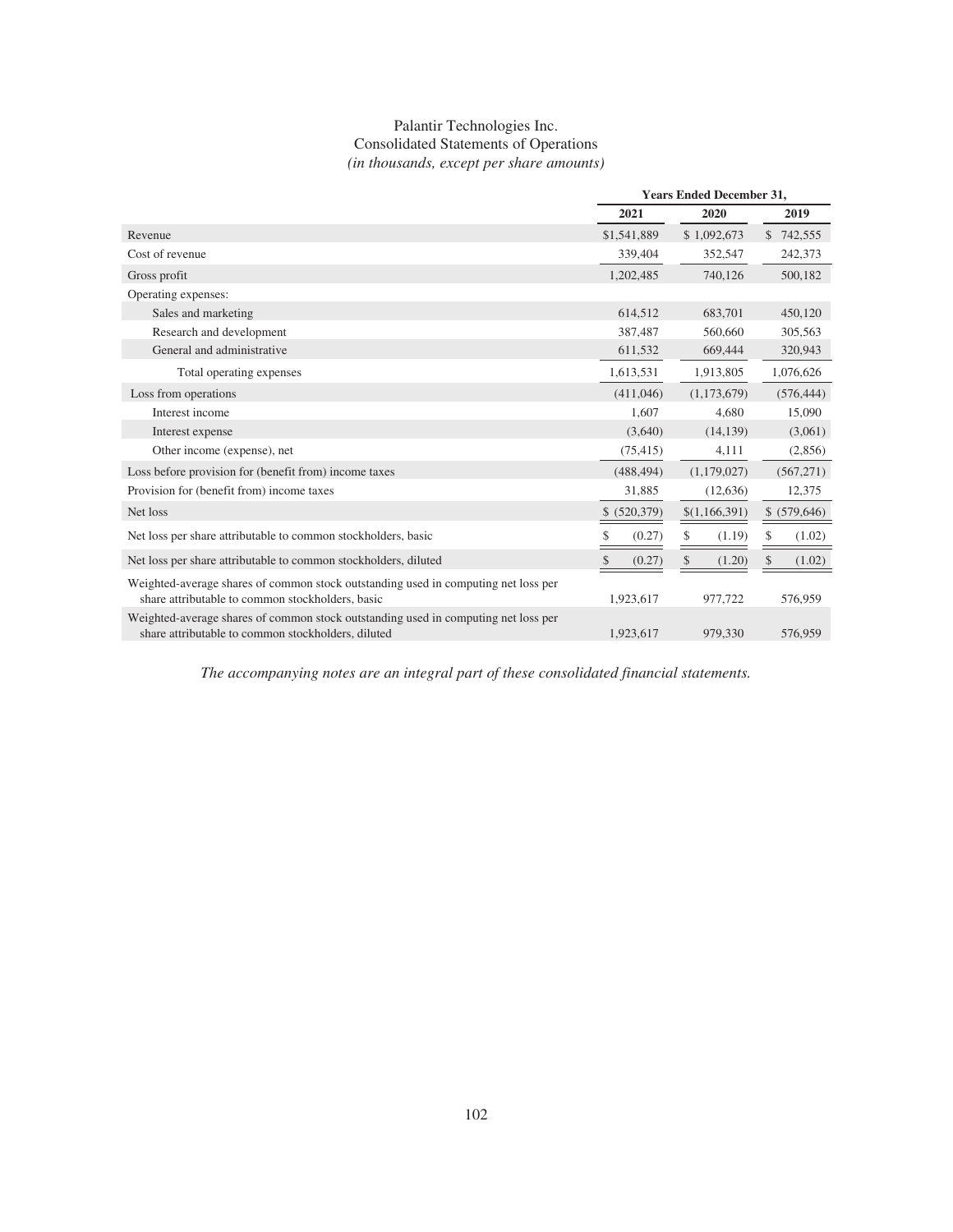# Palantir Technologies Inc. Consolidated Statements of Operations *(in thousands, except per share amounts)*

<span id="page-101-0"></span>

|                                                                                                                                          |               | <b>Years Ended December 31,</b> |              |
|------------------------------------------------------------------------------------------------------------------------------------------|---------------|---------------------------------|--------------|
|                                                                                                                                          | 2021          | 2020                            | 2019         |
| Revenue                                                                                                                                  | \$1,541,889   | \$1,092,673                     | \$742,555    |
| Cost of revenue                                                                                                                          | 339,404       | 352,547                         | 242,373      |
| Gross profit                                                                                                                             | 1,202,485     | 740,126                         | 500,182      |
| Operating expenses:                                                                                                                      |               |                                 |              |
| Sales and marketing                                                                                                                      | 614.512       | 683.701                         | 450,120      |
| Research and development                                                                                                                 | 387,487       | 560,660                         | 305,563      |
| General and administrative                                                                                                               | 611,532       | 669,444                         | 320,943      |
| Total operating expenses                                                                                                                 | 1,613,531     | 1,913,805                       | 1,076,626    |
| Loss from operations                                                                                                                     | (411,046)     | (1,173,679)                     | (576, 444)   |
| Interest income                                                                                                                          | 1,607         | 4,680                           | 15,090       |
| Interest expense                                                                                                                         | (3,640)       | (14, 139)                       | (3,061)      |
| Other income (expense), net                                                                                                              | (75, 415)     | 4,111                           | (2,856)      |
| Loss before provision for (benefit from) income taxes                                                                                    | (488, 494)    | (1,179,027)                     | (567, 271)   |
| Provision for (benefit from) income taxes                                                                                                | 31,885        | (12, 636)                       | 12,375       |
| Net loss                                                                                                                                 | \$ (520, 379) | \$(1,166,391)                   | \$ (579,646) |
| Net loss per share attributable to common stockholders, basic                                                                            | \$<br>(0.27)  | \$<br>(1.19)                    | \$<br>(1.02) |
| Net loss per share attributable to common stockholders, diluted                                                                          | \$<br>(0.27)  | \$<br>(1.20)                    | \$<br>(1.02) |
| Weighted-average shares of common stock outstanding used in computing net loss per<br>share attributable to common stockholders, basic   | 1,923,617     | 977,722                         | 576,959      |
| Weighted-average shares of common stock outstanding used in computing net loss per<br>share attributable to common stockholders, diluted | 1,923,617     | 979,330                         | 576,959      |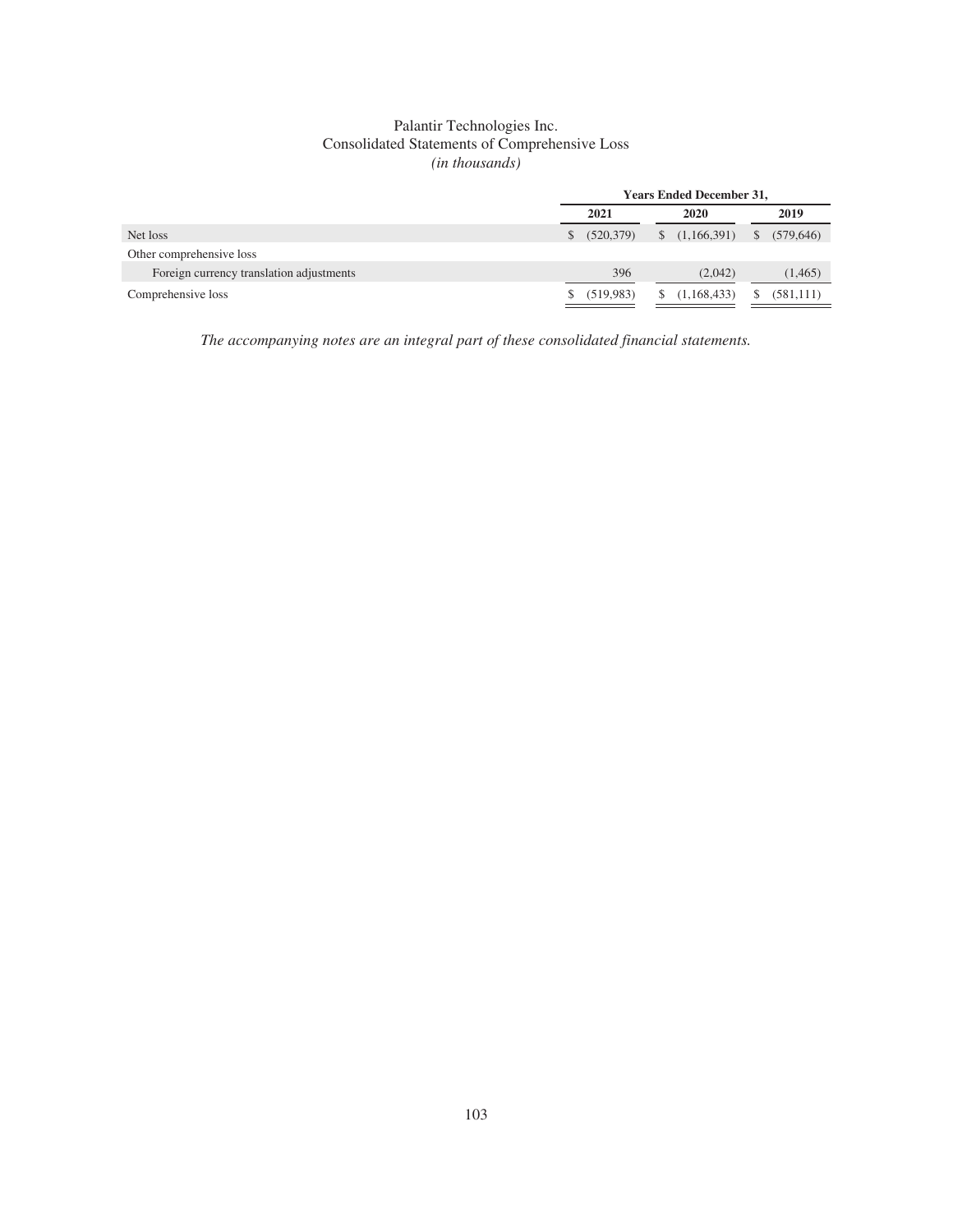# Palantir Technologies Inc. Consolidated Statements of Comprehensive Loss *(in thousands)*

<span id="page-102-0"></span>

|                                          |    |            |    | <b>Years Ended December 31,</b> |            |
|------------------------------------------|----|------------|----|---------------------------------|------------|
|                                          |    | 2021       |    | 2020                            | 2019       |
| Net loss                                 | S. | (520, 379) | \$ | (1,166,391)                     | (579, 646) |
| Other comprehensive loss                 |    |            |    |                                 |            |
| Foreign currency translation adjustments |    | 396        |    | (2,042)                         | (1, 465)   |
| Comprehensive loss                       |    | (519, 983) | S  | (1, 168, 433)                   | (581, 111) |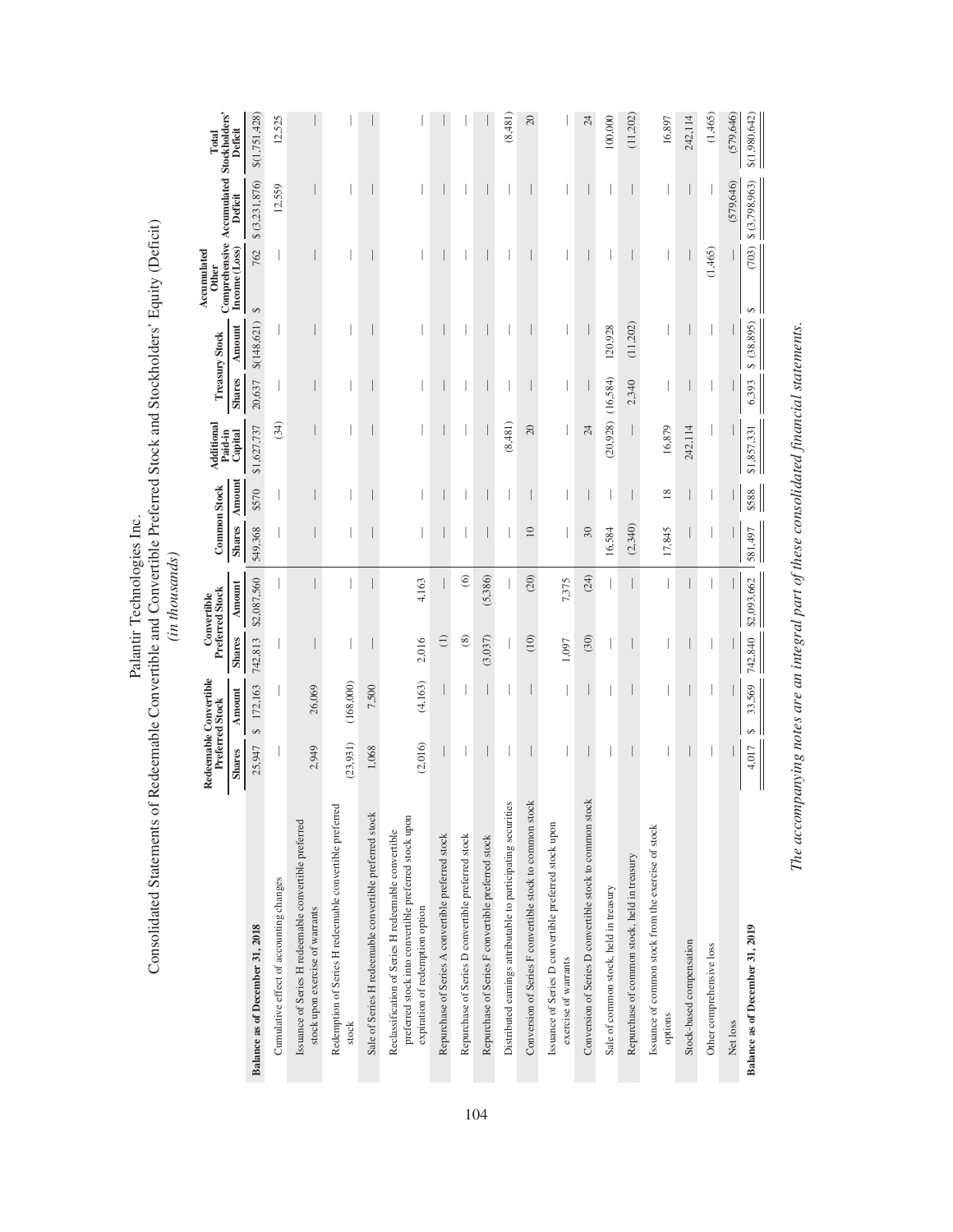|                                                                                                                                                 | <b>Preferred Stock</b> | Redeemable Convertible |                 | <b>Preferred Stock</b><br>Convertible | <b>Common Stock</b> |               | Additional<br>Paid-in |               | <b>Treasury Stock</b> | Accumulated<br><b>Other</b> | Comprehensive Accumulated Stockholders' | Total         |
|-------------------------------------------------------------------------------------------------------------------------------------------------|------------------------|------------------------|-----------------|---------------------------------------|---------------------|---------------|-----------------------|---------------|-----------------------|-----------------------------|-----------------------------------------|---------------|
|                                                                                                                                                 | <b>Shares</b>          | Amount                 | <b>Shares</b>   | Amount                                | <b>Shares</b>       | Amount        | Capital               | <b>Shares</b> | Amount                | Income (Loss)               | Deficit                                 | Deficit       |
| Balance as of December 31, 2018                                                                                                                 | 25,947                 | \$172,163              | 742,813         | \$2,087,560                           | 549,368             | \$570         | \$1,627,737           | 20,637        | \$(148, 621)          | 762<br>s                    | $$$ $(3,231,876)$                       | \$(1,751,428) |
| Cumulative effect of accounting changes                                                                                                         |                        |                        |                 |                                       |                     |               | (34)                  |               |                       |                             | 12,559                                  | 12,525        |
| Issuance of Series H redeemable convertible preferred<br>stock upon exercise of warrants                                                        | 2,949                  | 26,069                 |                 |                                       |                     |               |                       |               |                       |                             |                                         |               |
| Redemption of Series H redeemable convertible preferred<br>stock                                                                                | (23, 931)              | (168,000)              |                 |                                       |                     |               |                       |               |                       |                             |                                         |               |
| Sale of Series H redeemable convertible preferred stock                                                                                         | 1,068                  | 7,500                  |                 |                                       |                     |               |                       |               |                       |                             |                                         |               |
| preferred stock into convertible preferred stock upon<br>Reclassification of Series H redeemable convertible<br>expiration of redemption option | (2,016)                | (4, 163)               | 2,016           | 4,163                                 |                     |               |                       |               |                       |                             |                                         |               |
| Repurchase of Series A convertible preferred stock                                                                                              |                        |                        | $\widehat{\Xi}$ |                                       |                     |               |                       |               |                       |                             |                                         |               |
| Repurchase of Series D convertible preferred stock                                                                                              |                        |                        | $\circledS$     | $\widehat{\circ}$                     |                     |               |                       |               |                       |                             |                                         |               |
| Repurchase of Series F convertible preferred stock                                                                                              |                        |                        | (3,037)         | (5,386)                               |                     |               |                       |               |                       |                             |                                         |               |
| Distributed earnings attributable to participating securities                                                                                   |                        |                        |                 |                                       |                     |               | (8,481)               |               |                       |                             |                                         | (8,481)       |
| Conversion of Series F convertible stock to common stock                                                                                        |                        |                        | (10)            | (20)                                  | 10                  |               | $\overline{20}$       |               |                       |                             |                                         | $\Omega$      |
| Issuance of Series D convertible preferred stock upon<br>exercise of warrants                                                                   |                        |                        | 1,097           | 7,375                                 |                     |               |                       |               |                       |                             |                                         |               |
| Conversion of Series D convertible stock to common stock                                                                                        |                        |                        | (30)            | (24)                                  | $30\,$              |               | $\overline{24}$       |               |                       |                             |                                         | 24            |
| Sale of common stock, held in treasury                                                                                                          |                        |                        |                 |                                       | 16,584              |               | $(20,928)$ $(16,584)$ |               | 120,928               |                             |                                         | 100,000       |
| Repurchase of common stock, held in treasury                                                                                                    |                        |                        |                 |                                       | (2,340)             |               |                       | 2,340         | (11, 202)             |                             |                                         | (11,202)      |
| Issuance of common stock from the exercise of stock<br>options                                                                                  |                        |                        |                 |                                       | 17,845              | $\frac{8}{2}$ | 16,879                |               |                       |                             |                                         | 16,897        |
| Stock-based compensation                                                                                                                        |                        |                        |                 |                                       |                     |               | 242,114               |               |                       |                             |                                         | 242,114       |
| Other comprehensive loss                                                                                                                        |                        |                        |                 |                                       |                     |               |                       |               |                       | (1,465)                     |                                         | (1,465)       |
| Net loss                                                                                                                                        |                        |                        |                 |                                       |                     |               |                       |               |                       |                             | (579, 646)                              | (579, 646)    |
| Balance as of December 31, 2019                                                                                                                 | 4,017                  | 33,569<br>↔            | 742,840         | \$2,093,662                           | 581,497             | \$588         | \$1,857,331           | 6,393         | (38, 895)<br>s,       | (703)<br>S                  | $$$ $(3,798,963)$                       | \$(1,980,642) |

<span id="page-103-0"></span>Palantir Technologies Inc.<br>Consolidated Statements of Redeemable Convertible and Convertible Preferred Stock and Stockholders' Equity (Deficit) Consolidated Statements of Redeemable Convertible and Convertible Preferred Stock and Stockholders' Equity (Deficit) Palantir Technologies Inc. *(in thousands)*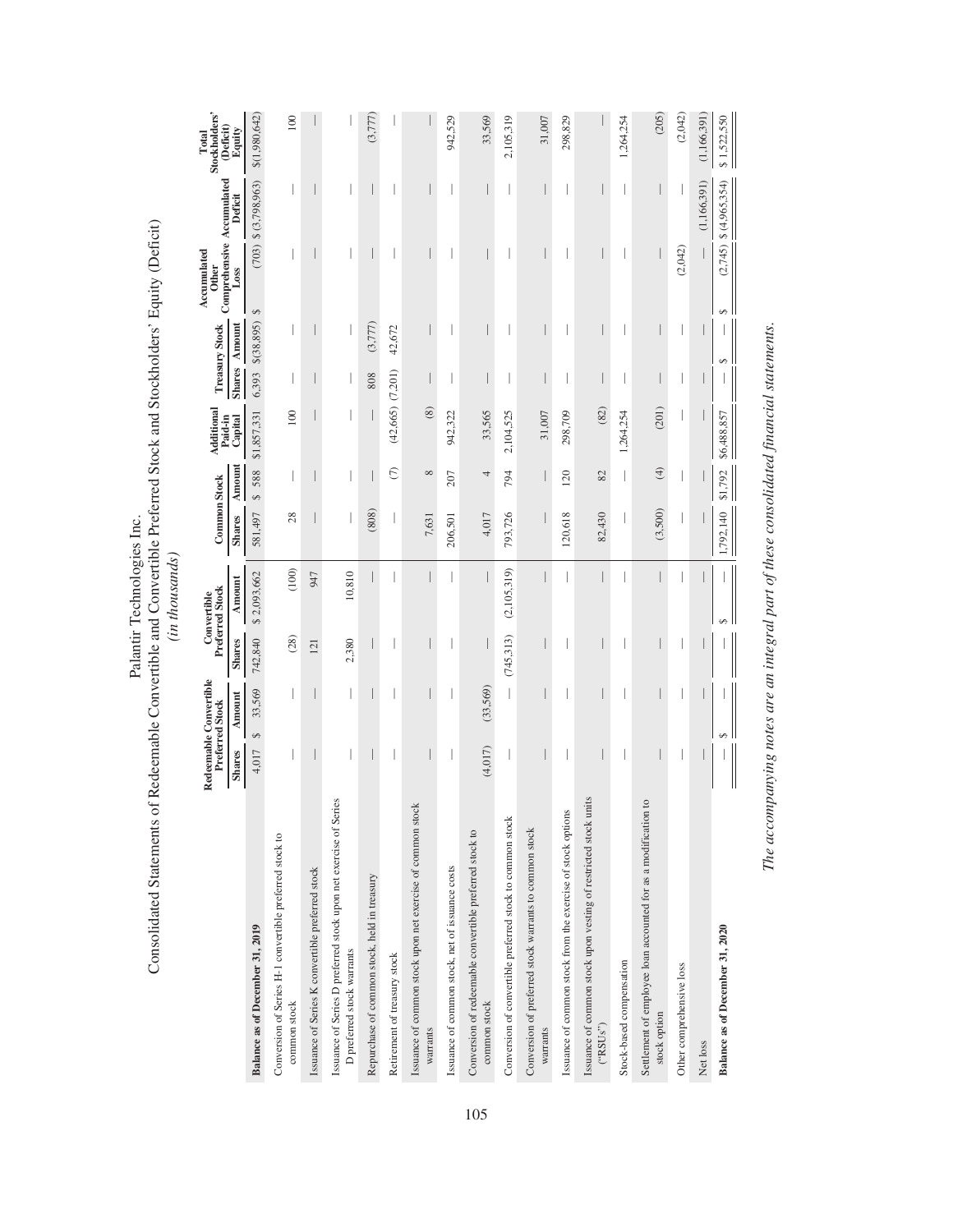|                                                                                                |               | Redeemable Convertible<br>Preferred Stock |               | <b>Preferred Stock</b><br>Convertible | <b>Common Stock</b> |                 | Additional<br>Paid-in | <b>Treasury Stock</b> |                  | Comprehensive Accumulated<br>Accumulated<br><b>Other</b> |                            | Stockholders'<br>(Deficit)<br>Total |
|------------------------------------------------------------------------------------------------|---------------|-------------------------------------------|---------------|---------------------------------------|---------------------|-----------------|-----------------------|-----------------------|------------------|----------------------------------------------------------|----------------------------|-------------------------------------|
|                                                                                                | <b>Shares</b> | Amount                                    | <b>Shares</b> | Amount                                | <b>Shares</b>       | Amount          | Capital               | <b>Shares</b>         | Amount           | Loss                                                     | Deficit                    | Equity                              |
| Balance as of December 31, 2019                                                                | 4,017         | 33,569<br>S                               | 742,840       | \$2,093,662                           | 581,497             | 588<br>$\Theta$ | \$1,857,331           | 6,393                 | S)<br>\$(38,895) | (703)                                                    | $$$ $(3,798,963)$          | \$(1,980,642)                       |
| Conversion of Series H-1 convertible preferred stock to<br>common stock                        |               |                                           | (28)          | (100)                                 | 28                  |                 | 100                   |                       |                  |                                                          |                            | 100                                 |
| Issuance of Series K convertible preferred stock                                               |               |                                           | 121           | 947                                   |                     |                 |                       |                       |                  |                                                          |                            |                                     |
| Issuance of Series D preferred stock upon net exercise of Series<br>D preferred stock warrants |               |                                           | 2,380         | 10,810                                |                     |                 |                       |                       |                  |                                                          |                            |                                     |
| Repurchase of common stock, held in treasury                                                   |               |                                           |               |                                       | (808)               |                 |                       | 808                   | (3,777)          |                                                          |                            | (3,777)                             |
| Retirement of treasury stock                                                                   |               |                                           |               |                                       |                     | $\widehat{C}$   | $(42,665)$ $(7,201)$  |                       | 42,672           |                                                          |                            |                                     |
| Issuance of common stock upon net exercise of common stock<br>warrants                         |               |                                           |               |                                       | 7,631               | $\infty$        | (8)                   |                       |                  |                                                          |                            |                                     |
| Issuance of common stock, net of issuance costs                                                |               |                                           |               |                                       | 206,501             | 207             | 942,322               |                       |                  |                                                          |                            | 942,529                             |
| Conversion of redeemable convertible preferred stock to<br>common stock                        | (4,017)       | (33,569)                                  |               |                                       | 4,017               | 4               | 33,565                |                       |                  |                                                          |                            | 33,569                              |
| Conversion of convertible preferred stock to common stock                                      |               |                                           | (745, 313)    | (2,105,319)                           | 793,726             | 794             | 2,104,525             |                       |                  |                                                          |                            | 2,105,319                           |
| Conversion of preferred stock warrants to common stock<br>warrants                             |               |                                           |               |                                       |                     |                 | 31,007                |                       |                  |                                                          |                            | 31,007                              |
| Issuance of common stock from the exercise of stock options                                    |               |                                           |               |                                       | 120,618             | 120             | 298,709               |                       |                  |                                                          |                            | 298,829                             |
| Issuance of common stock upon vesting of restricted stock units<br>(SUSY)                      |               |                                           |               |                                       | 82,430              | 82              | (82)                  |                       |                  |                                                          |                            |                                     |
| Stock-based compensation                                                                       |               |                                           |               |                                       |                     |                 | 1,264,254             |                       |                  |                                                          |                            | 1,264,254                           |
| Settlement of employee loan accounted for as a modification to<br>stock option                 |               |                                           |               |                                       | (3,500)             | $\widehat{f}$   | (201)                 |                       |                  |                                                          |                            | (205)                               |
| Other comprehensive loss                                                                       |               |                                           |               |                                       |                     |                 |                       |                       |                  | (2,042)                                                  |                            | (2,042)                             |
| Net loss                                                                                       |               |                                           |               |                                       |                     |                 |                       |                       |                  |                                                          | (1, 166, 391)              | (1, 166, 391)                       |
| Balance as of December 31, 2020                                                                |               | ↔                                         |               | ↔                                     | 1,792,140           | \$1,792         | \$6,488,857           | ↔                     | ÷                |                                                          | $(2,745)$ \$ $(4,965,354)$ | \$1,522,550                         |

Palantir Technologies Inc.<br>Consolidated Statements of Redeemable Convertible and Convertible Preferred Stock and Stockholders' Equity (Deficit) Consolidated Statements of Redeemable Convertible and Convertible Preferred Stock and Stockholders' Equity (Deficit) Palantir Technologies Inc. *(in thousands)*

The accompanying notes are an integral part of these consolidated financial statements. The accompanying notes are an integral part of these consolidated financial statements.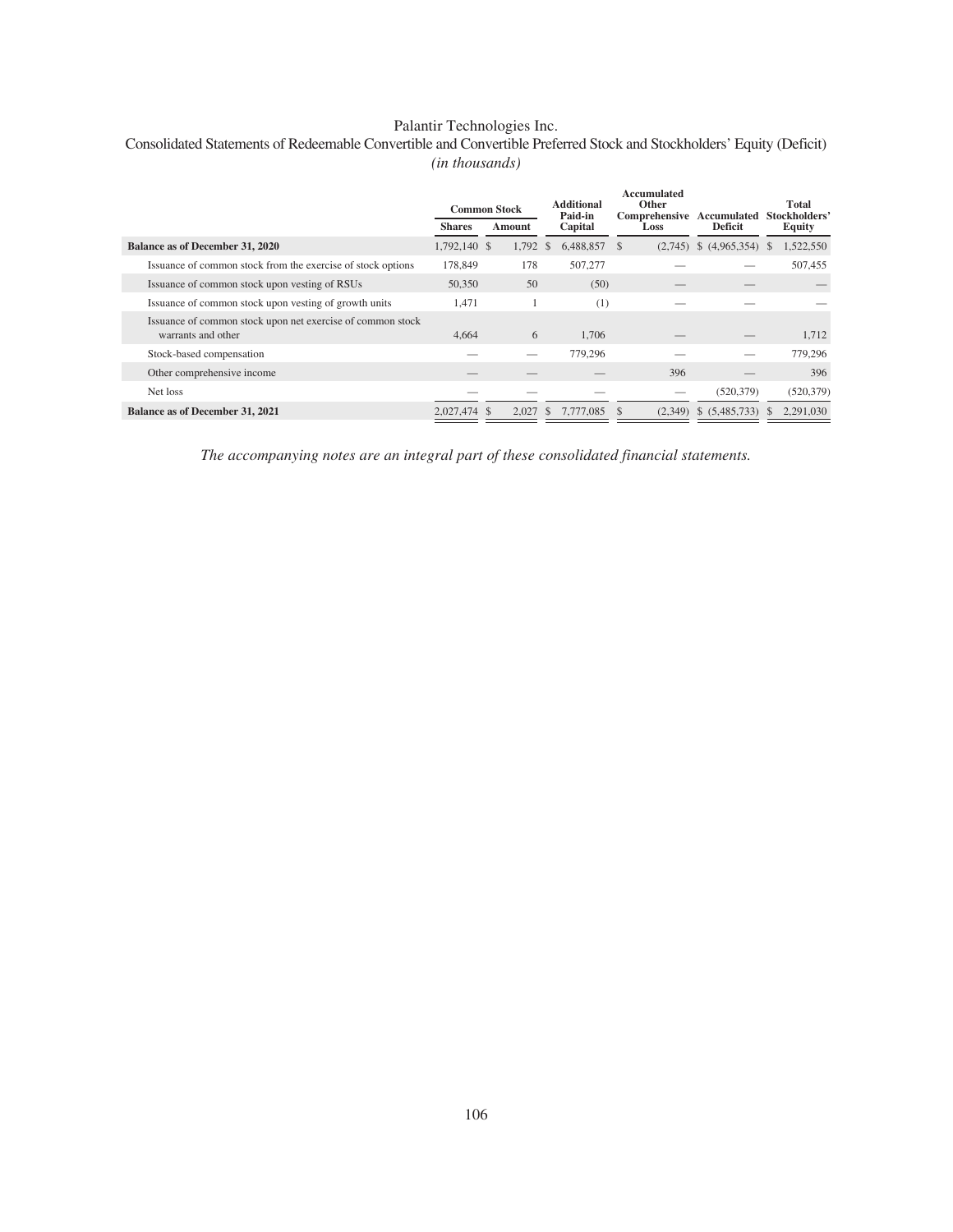# Palantir Technologies Inc.

# Consolidated Statements of Redeemable Convertible and Convertible Preferred Stock and Stockholders' Equity (Deficit) *(in thousands)*

|                                                                                  |               | <b>Common Stock</b> |            |              | <b>Additional</b><br>Paid-in | Accumulated<br>Other<br>Comprehensive Accumulated |                            | Total<br>Stockholders' |
|----------------------------------------------------------------------------------|---------------|---------------------|------------|--------------|------------------------------|---------------------------------------------------|----------------------------|------------------------|
|                                                                                  | <b>Shares</b> | Amount              |            |              | Capital                      | Loss                                              | <b>Deficit</b>             | <b>Equity</b>          |
| <b>Balance as of December 31, 2020</b>                                           | 1,792,140 \$  |                     | $1,792$ \$ |              | 6,488,857                    | <sup>\$</sup>                                     | $(2,745)$ \$ $(4,965,354)$ | 1,522,550<br>S         |
| Issuance of common stock from the exercise of stock options                      | 178,849       |                     | 178        |              | 507,277                      |                                                   |                            | 507,455                |
| Issuance of common stock upon vesting of RSUs                                    | 50,350        |                     | 50         |              | (50)                         |                                                   |                            |                        |
| Issuance of common stock upon vesting of growth units                            | 1,471         |                     |            |              | (1)                          |                                                   |                            |                        |
| Issuance of common stock upon net exercise of common stock<br>warrants and other | 4.664         |                     | 6          |              | 1.706                        |                                                   |                            | 1,712                  |
| Stock-based compensation                                                         |               |                     | --         |              | 779,296                      |                                                   |                            | 779,296                |
| Other comprehensive income                                                       |               |                     |            |              |                              | 396                                               |                            | 396                    |
| Net loss                                                                         |               |                     |            |              |                              |                                                   | (520, 379)                 | (520, 379)             |
| <b>Balance as of December 31, 2021</b>                                           | 2.027.474 \$  |                     | 2.027      | <sup>S</sup> | 7.777.085                    | (2,349)<br><b>S</b>                               | \$ (5,485,733)             | 2.291,030<br><b>S</b>  |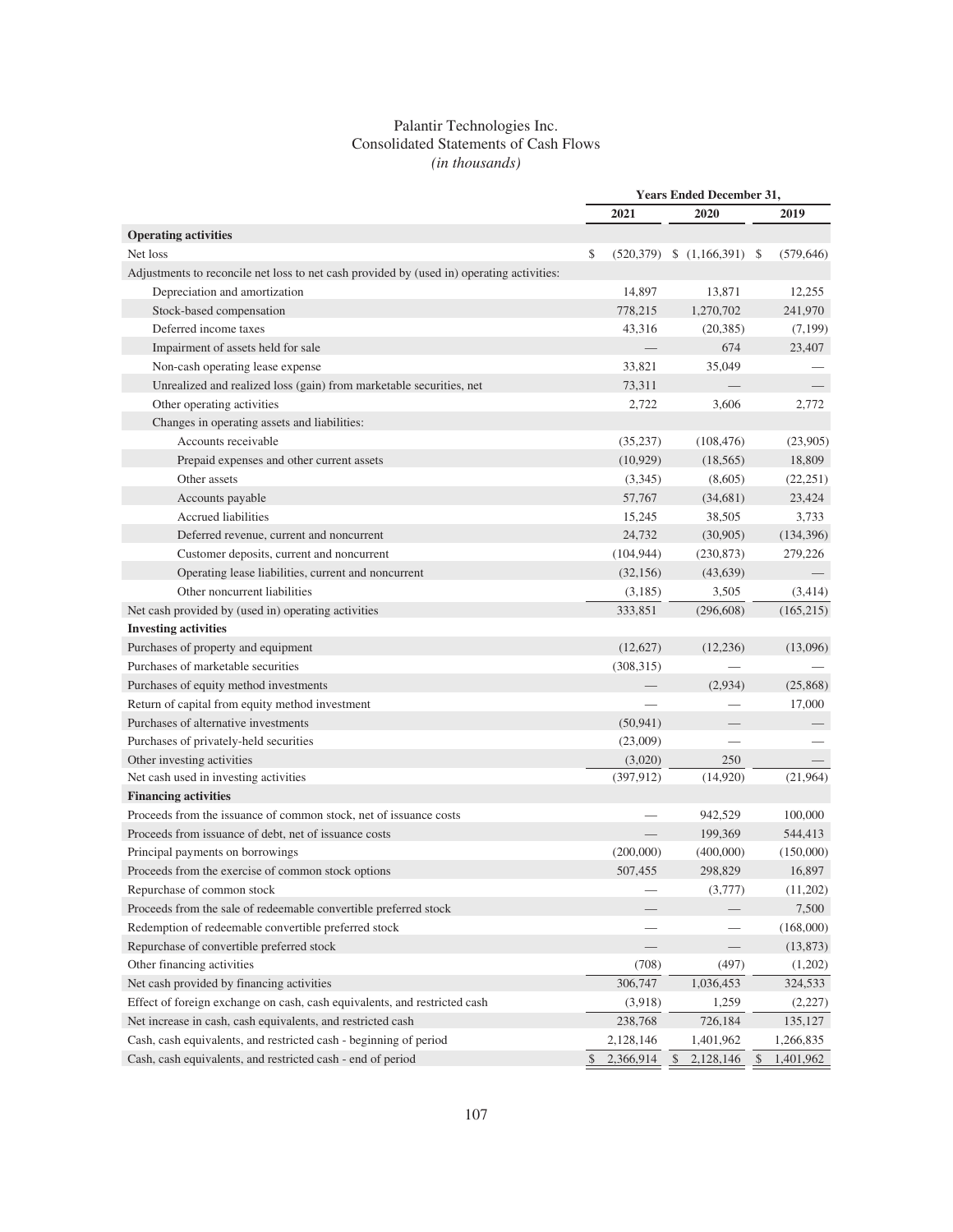# Palantir Technologies Inc. Consolidated Statements of Cash Flows *(in thousands)*

<span id="page-106-0"></span>

|                                                                                           |                 | <b>Years Ended December 31,</b> |                 |
|-------------------------------------------------------------------------------------------|-----------------|---------------------------------|-----------------|
|                                                                                           | 2021            | 2020                            | 2019            |
| <b>Operating activities</b>                                                               |                 |                                 |                 |
| Net loss                                                                                  | \$              | $(520,379)$ \$ $(1,166,391)$ \$ | (579, 646)      |
| Adjustments to reconcile net loss to net cash provided by (used in) operating activities: |                 |                                 |                 |
| Depreciation and amortization                                                             | 14,897          | 13,871                          | 12,255          |
| Stock-based compensation                                                                  | 778,215         | 1,270,702                       | 241,970         |
| Deferred income taxes                                                                     | 43,316          | (20, 385)                       | (7,199)         |
| Impairment of assets held for sale                                                        |                 | 674                             | 23,407          |
| Non-cash operating lease expense                                                          | 33,821          | 35,049                          |                 |
| Unrealized and realized loss (gain) from marketable securities, net                       | 73,311          |                                 |                 |
| Other operating activities                                                                | 2,722           | 3,606                           | 2,772           |
| Changes in operating assets and liabilities:                                              |                 |                                 |                 |
| Accounts receivable                                                                       | (35,237)        | (108, 476)                      | (23,905)        |
| Prepaid expenses and other current assets                                                 | (10, 929)       | (18, 565)                       | 18,809          |
| Other assets                                                                              | (3,345)         | (8,605)                         | (22, 251)       |
| Accounts payable                                                                          | 57,767          | (34,681)                        | 23,424          |
| <b>Accrued liabilities</b>                                                                | 15,245          | 38,505                          | 3,733           |
| Deferred revenue, current and noncurrent                                                  | 24,732          | (30,905)                        | (134, 396)      |
| Customer deposits, current and noncurrent                                                 | (104, 944)      | (230, 873)                      | 279,226         |
| Operating lease liabilities, current and noncurrent                                       | (32, 156)       | (43, 639)                       |                 |
| Other noncurrent liabilities                                                              | (3,185)         | 3,505                           | (3,414)         |
| Net cash provided by (used in) operating activities                                       | 333,851         | (296, 608)                      | (165, 215)      |
| <b>Investing activities</b>                                                               |                 |                                 |                 |
| Purchases of property and equipment                                                       | (12,627)        | (12, 236)                       | (13,096)        |
| Purchases of marketable securities                                                        | (308, 315)      |                                 |                 |
| Purchases of equity method investments                                                    |                 | (2,934)                         | (25,868)        |
| Return of capital from equity method investment                                           |                 |                                 | 17,000          |
| Purchases of alternative investments                                                      | (50, 941)       |                                 |                 |
| Purchases of privately-held securities                                                    | (23,009)        |                                 |                 |
| Other investing activities                                                                | (3,020)         | 250                             |                 |
| Net cash used in investing activities                                                     | (397, 912)      | (14,920)                        | (21,964)        |
| <b>Financing activities</b>                                                               |                 |                                 |                 |
| Proceeds from the issuance of common stock, net of issuance costs                         |                 | 942,529                         | 100,000         |
| Proceeds from issuance of debt, net of issuance costs                                     |                 | 199,369                         | 544,413         |
| Principal payments on borrowings                                                          | (200,000)       | (400,000)                       | (150,000)       |
| Proceeds from the exercise of common stock options                                        | 507,455         | 298,829                         | 16,897          |
| Repurchase of common stock                                                                |                 | (3,777)                         | (11,202)        |
| Proceeds from the sale of redeemable convertible preferred stock                          |                 |                                 | 7,500           |
| Redemption of redeemable convertible preferred stock                                      |                 |                                 | (168,000)       |
| Repurchase of convertible preferred stock                                                 |                 |                                 | (13, 873)       |
| Other financing activities                                                                | (708)           | (497)                           | (1,202)         |
| Net cash provided by financing activities                                                 | 306,747         | 1,036,453                       | 324,533         |
| Effect of foreign exchange on cash, cash equivalents, and restricted cash                 | (3,918)         | 1,259                           | (2,227)         |
| Net increase in cash, cash equivalents, and restricted cash                               | 238,768         | 726,184                         | 135,127         |
| Cash, cash equivalents, and restricted cash - beginning of period                         | 2,128,146       | 1,401,962                       | 1,266,835       |
| Cash, cash equivalents, and restricted cash - end of period                               | \$<br>2,366,914 | \$<br>2,128,146                 | \$<br>1,401,962 |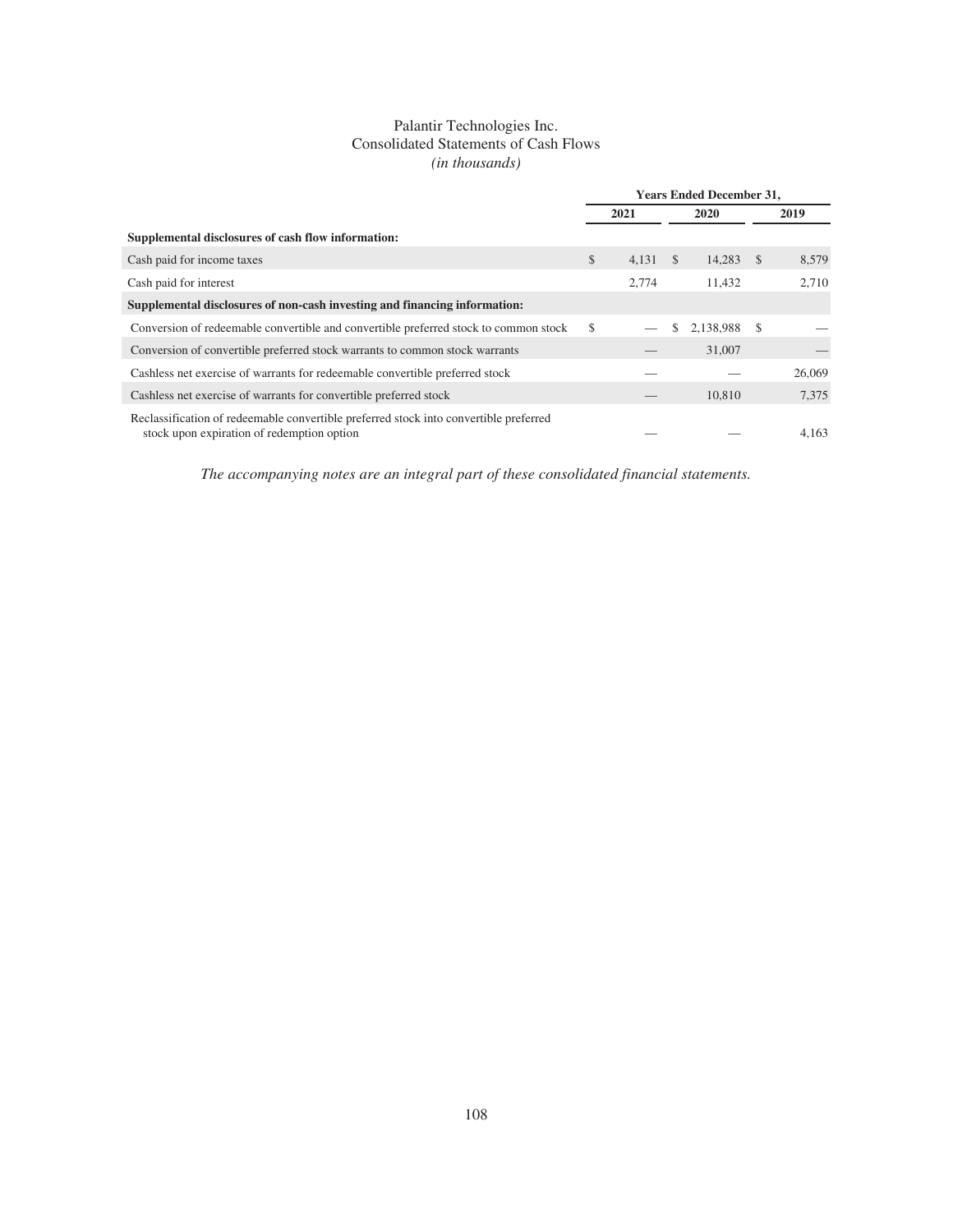# Palantir Technologies Inc. Consolidated Statements of Cash Flows *(in thousands)*

|                                                                                                                                     |    |       |               | <b>Years Ended December 31,</b> |              |        |
|-------------------------------------------------------------------------------------------------------------------------------------|----|-------|---------------|---------------------------------|--------------|--------|
|                                                                                                                                     |    | 2021  |               | 2020                            |              | 2019   |
| Supplemental disclosures of cash flow information:                                                                                  |    |       |               |                                 |              |        |
| Cash paid for income taxes                                                                                                          | \$ | 4,131 | <sup>\$</sup> | 14,283                          | <sup>S</sup> | 8,579  |
| Cash paid for interest                                                                                                              |    | 2,774 |               | 11,432                          |              | 2,710  |
| Supplemental disclosures of non-cash investing and financing information:                                                           |    |       |               |                                 |              |        |
| Conversion of redeemable convertible and convertible preferred stock to common stock                                                | S. |       | \$            | 2,138,988                       | -S           |        |
| Conversion of convertible preferred stock warrants to common stock warrants                                                         |    |       |               | 31,007                          |              |        |
| Cashless net exercise of warrants for redeemable convertible preferred stock                                                        |    |       |               |                                 |              | 26,069 |
| Cashless net exercise of warrants for convertible preferred stock                                                                   |    |       |               | 10,810                          |              | 7,375  |
| Reclassification of redeemable convertible preferred stock into convertible preferred<br>stock upon expiration of redemption option |    |       |               |                                 |              | 4.163  |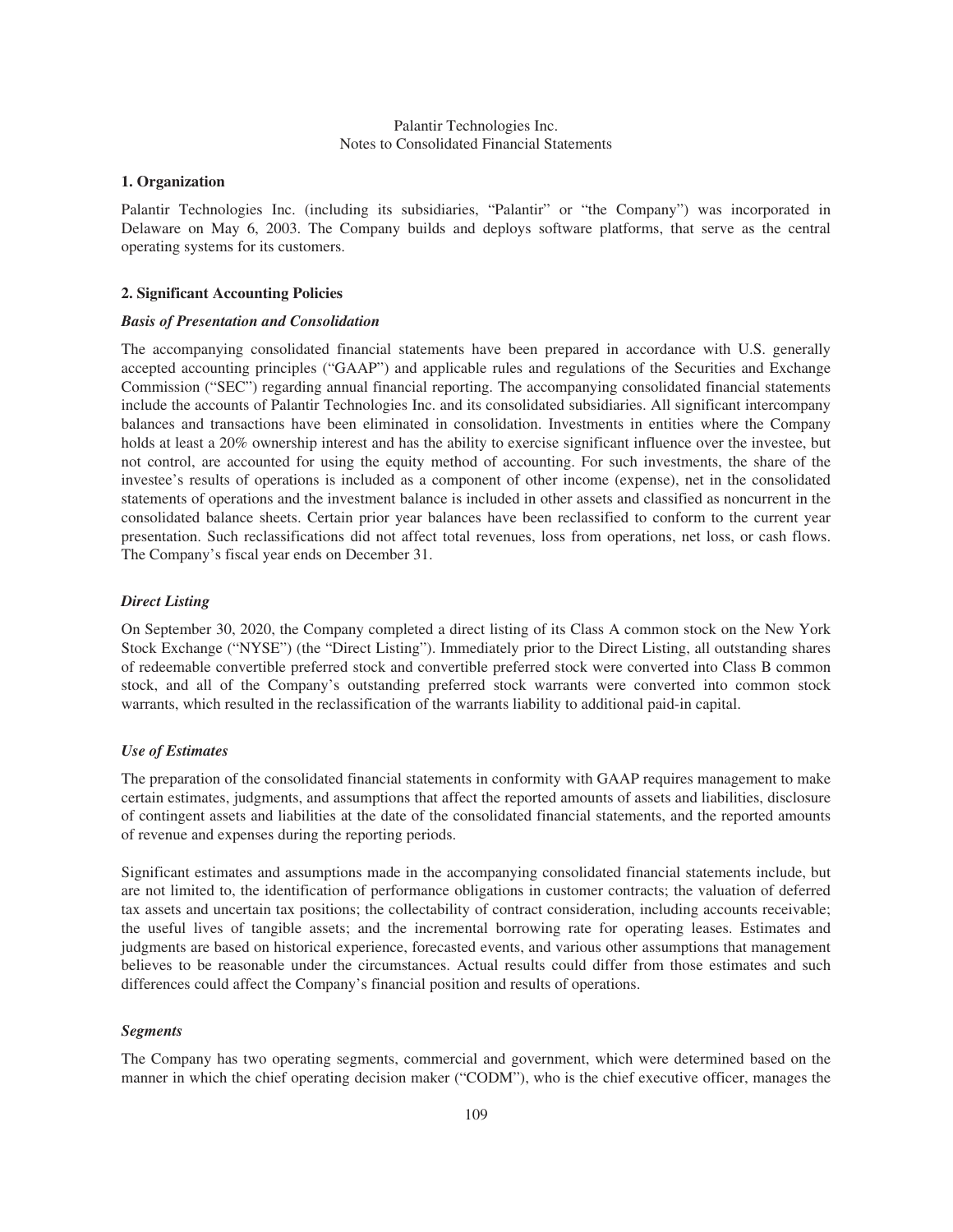### **1. Organization**

Palantir Technologies Inc. (including its subsidiaries, "Palantir" or "the Company") was incorporated in Delaware on May 6, 2003. The Company builds and deploys software platforms, that serve as the central operating systems for its customers.

#### **2. Significant Accounting Policies**

### *Basis of Presentation and Consolidation*

The accompanying consolidated financial statements have been prepared in accordance with U.S. generally accepted accounting principles ("GAAP") and applicable rules and regulations of the Securities and Exchange Commission ("SEC") regarding annual financial reporting. The accompanying consolidated financial statements include the accounts of Palantir Technologies Inc. and its consolidated subsidiaries. All significant intercompany balances and transactions have been eliminated in consolidation. Investments in entities where the Company holds at least a 20% ownership interest and has the ability to exercise significant influence over the investee, but not control, are accounted for using the equity method of accounting. For such investments, the share of the investee's results of operations is included as a component of other income (expense), net in the consolidated statements of operations and the investment balance is included in other assets and classified as noncurrent in the consolidated balance sheets. Certain prior year balances have been reclassified to conform to the current year presentation. Such reclassifications did not affect total revenues, loss from operations, net loss, or cash flows. The Company's fiscal year ends on December 31.

### *Direct Listing*

On September 30, 2020, the Company completed a direct listing of its Class A common stock on the New York Stock Exchange ("NYSE") (the "Direct Listing"). Immediately prior to the Direct Listing, all outstanding shares of redeemable convertible preferred stock and convertible preferred stock were converted into Class B common stock, and all of the Company's outstanding preferred stock warrants were converted into common stock warrants, which resulted in the reclassification of the warrants liability to additional paid-in capital.

#### *Use of Estimates*

The preparation of the consolidated financial statements in conformity with GAAP requires management to make certain estimates, judgments, and assumptions that affect the reported amounts of assets and liabilities, disclosure of contingent assets and liabilities at the date of the consolidated financial statements, and the reported amounts of revenue and expenses during the reporting periods.

Significant estimates and assumptions made in the accompanying consolidated financial statements include, but are not limited to, the identification of performance obligations in customer contracts; the valuation of deferred tax assets and uncertain tax positions; the collectability of contract consideration, including accounts receivable; the useful lives of tangible assets; and the incremental borrowing rate for operating leases. Estimates and judgments are based on historical experience, forecasted events, and various other assumptions that management believes to be reasonable under the circumstances. Actual results could differ from those estimates and such differences could affect the Company's financial position and results of operations.

#### *Segments*

The Company has two operating segments, commercial and government, which were determined based on the manner in which the chief operating decision maker ("CODM"), who is the chief executive officer, manages the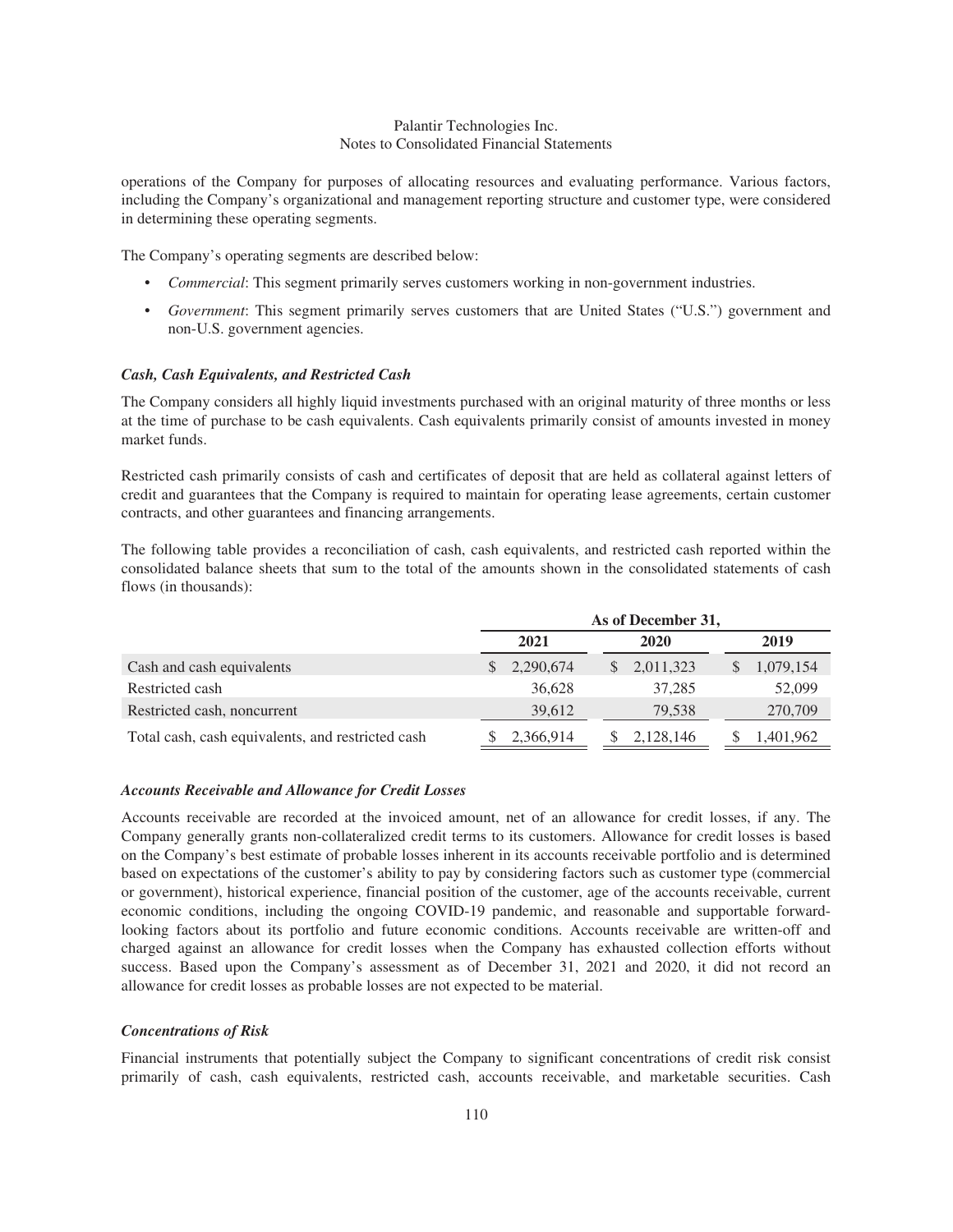operations of the Company for purposes of allocating resources and evaluating performance. Various factors, including the Company's organizational and management reporting structure and customer type, were considered in determining these operating segments.

The Company's operating segments are described below:

- *Commercial*: This segment primarily serves customers working in non-government industries.
- *Government*: This segment primarily serves customers that are United States ("U.S.") government and non-U.S. government agencies.

### *Cash, Cash Equivalents, and Restricted Cash*

The Company considers all highly liquid investments purchased with an original maturity of three months or less at the time of purchase to be cash equivalents. Cash equivalents primarily consist of amounts invested in money market funds.

Restricted cash primarily consists of cash and certificates of deposit that are held as collateral against letters of credit and guarantees that the Company is required to maintain for operating lease agreements, certain customer contracts, and other guarantees and financing arrangements.

The following table provides a reconciliation of cash, cash equivalents, and restricted cash reported within the consolidated balance sheets that sum to the total of the amounts shown in the consolidated statements of cash flows (in thousands):

|                                                   | As of December 31, |           |           |  |  |  |
|---------------------------------------------------|--------------------|-----------|-----------|--|--|--|
|                                                   | 2021               | 2020      | 2019      |  |  |  |
| Cash and cash equivalents                         | 2,290,674          | 2,011,323 | 1,079,154 |  |  |  |
| Restricted cash                                   | 36,628             | 37.285    | 52,099    |  |  |  |
| Restricted cash, noncurrent                       | 39.612             | 79.538    | 270,709   |  |  |  |
| Total cash, cash equivalents, and restricted cash | 2,366,914          | 2,128,146 | 1,401,962 |  |  |  |

#### *Accounts Receivable and Allowance for Credit Losses*

Accounts receivable are recorded at the invoiced amount, net of an allowance for credit losses, if any. The Company generally grants non-collateralized credit terms to its customers. Allowance for credit losses is based on the Company's best estimate of probable losses inherent in its accounts receivable portfolio and is determined based on expectations of the customer's ability to pay by considering factors such as customer type (commercial or government), historical experience, financial position of the customer, age of the accounts receivable, current economic conditions, including the ongoing COVID-19 pandemic, and reasonable and supportable forwardlooking factors about its portfolio and future economic conditions. Accounts receivable are written-off and charged against an allowance for credit losses when the Company has exhausted collection efforts without success. Based upon the Company's assessment as of December 31, 2021 and 2020, it did not record an allowance for credit losses as probable losses are not expected to be material.

#### *Concentrations of Risk*

Financial instruments that potentially subject the Company to significant concentrations of credit risk consist primarily of cash, cash equivalents, restricted cash, accounts receivable, and marketable securities. Cash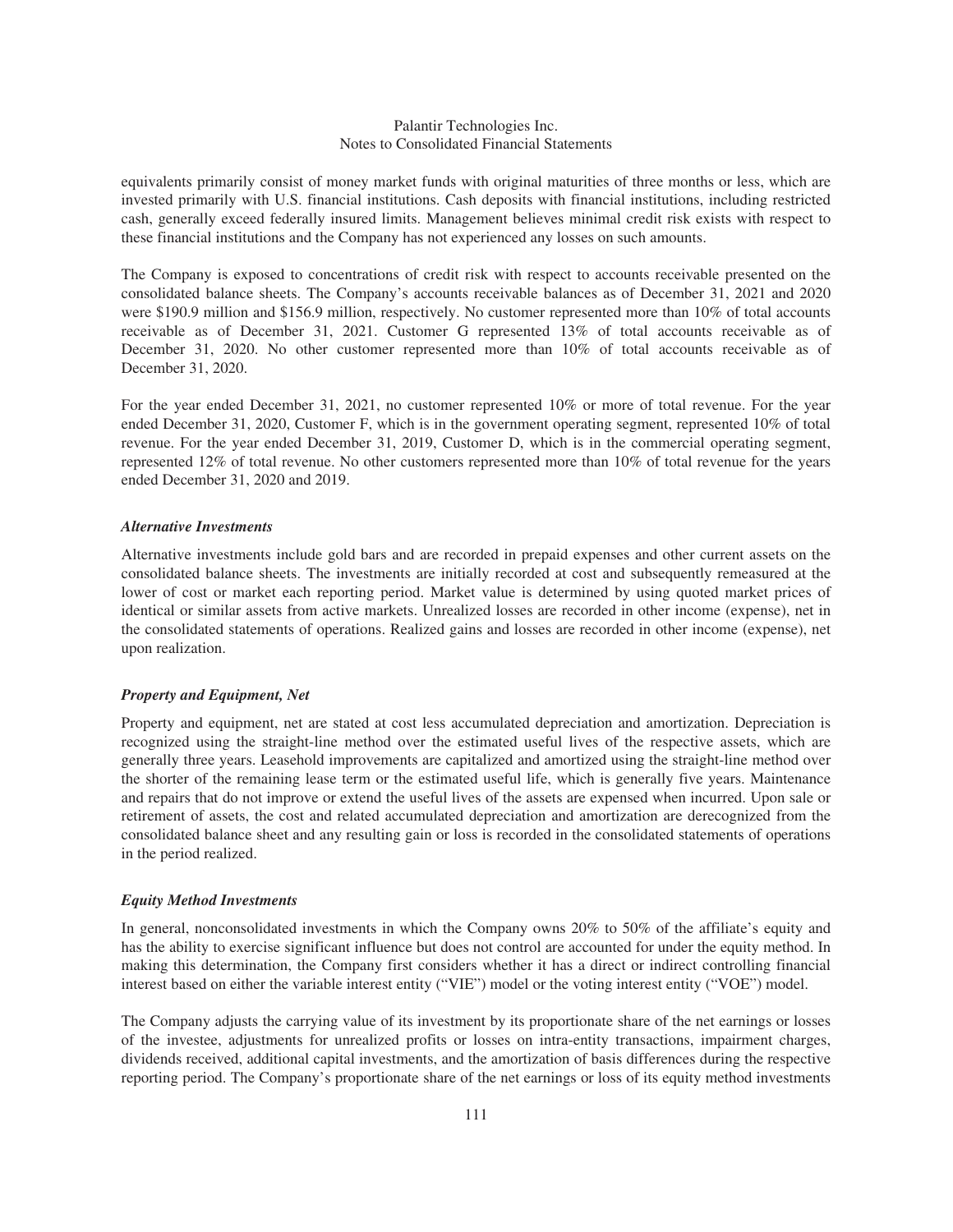equivalents primarily consist of money market funds with original maturities of three months or less, which are invested primarily with U.S. financial institutions. Cash deposits with financial institutions, including restricted cash, generally exceed federally insured limits. Management believes minimal credit risk exists with respect to these financial institutions and the Company has not experienced any losses on such amounts.

The Company is exposed to concentrations of credit risk with respect to accounts receivable presented on the consolidated balance sheets. The Company's accounts receivable balances as of December 31, 2021 and 2020 were \$190.9 million and \$156.9 million, respectively. No customer represented more than 10% of total accounts receivable as of December 31, 2021. Customer G represented 13% of total accounts receivable as of December 31, 2020. No other customer represented more than 10% of total accounts receivable as of December 31, 2020.

For the year ended December 31, 2021, no customer represented 10% or more of total revenue. For the year ended December 31, 2020, Customer F, which is in the government operating segment, represented 10% of total revenue. For the year ended December 31, 2019, Customer D, which is in the commercial operating segment, represented 12% of total revenue. No other customers represented more than 10% of total revenue for the years ended December 31, 2020 and 2019.

#### *Alternative Investments*

Alternative investments include gold bars and are recorded in prepaid expenses and other current assets on the consolidated balance sheets. The investments are initially recorded at cost and subsequently remeasured at the lower of cost or market each reporting period. Market value is determined by using quoted market prices of identical or similar assets from active markets. Unrealized losses are recorded in other income (expense), net in the consolidated statements of operations. Realized gains and losses are recorded in other income (expense), net upon realization.

#### *Property and Equipment, Net*

Property and equipment, net are stated at cost less accumulated depreciation and amortization. Depreciation is recognized using the straight-line method over the estimated useful lives of the respective assets, which are generally three years. Leasehold improvements are capitalized and amortized using the straight-line method over the shorter of the remaining lease term or the estimated useful life, which is generally five years. Maintenance and repairs that do not improve or extend the useful lives of the assets are expensed when incurred. Upon sale or retirement of assets, the cost and related accumulated depreciation and amortization are derecognized from the consolidated balance sheet and any resulting gain or loss is recorded in the consolidated statements of operations in the period realized.

### *Equity Method Investments*

In general, nonconsolidated investments in which the Company owns 20% to 50% of the affiliate's equity and has the ability to exercise significant influence but does not control are accounted for under the equity method. In making this determination, the Company first considers whether it has a direct or indirect controlling financial interest based on either the variable interest entity ("VIE") model or the voting interest entity ("VOE") model.

The Company adjusts the carrying value of its investment by its proportionate share of the net earnings or losses of the investee, adjustments for unrealized profits or losses on intra-entity transactions, impairment charges, dividends received, additional capital investments, and the amortization of basis differences during the respective reporting period. The Company's proportionate share of the net earnings or loss of its equity method investments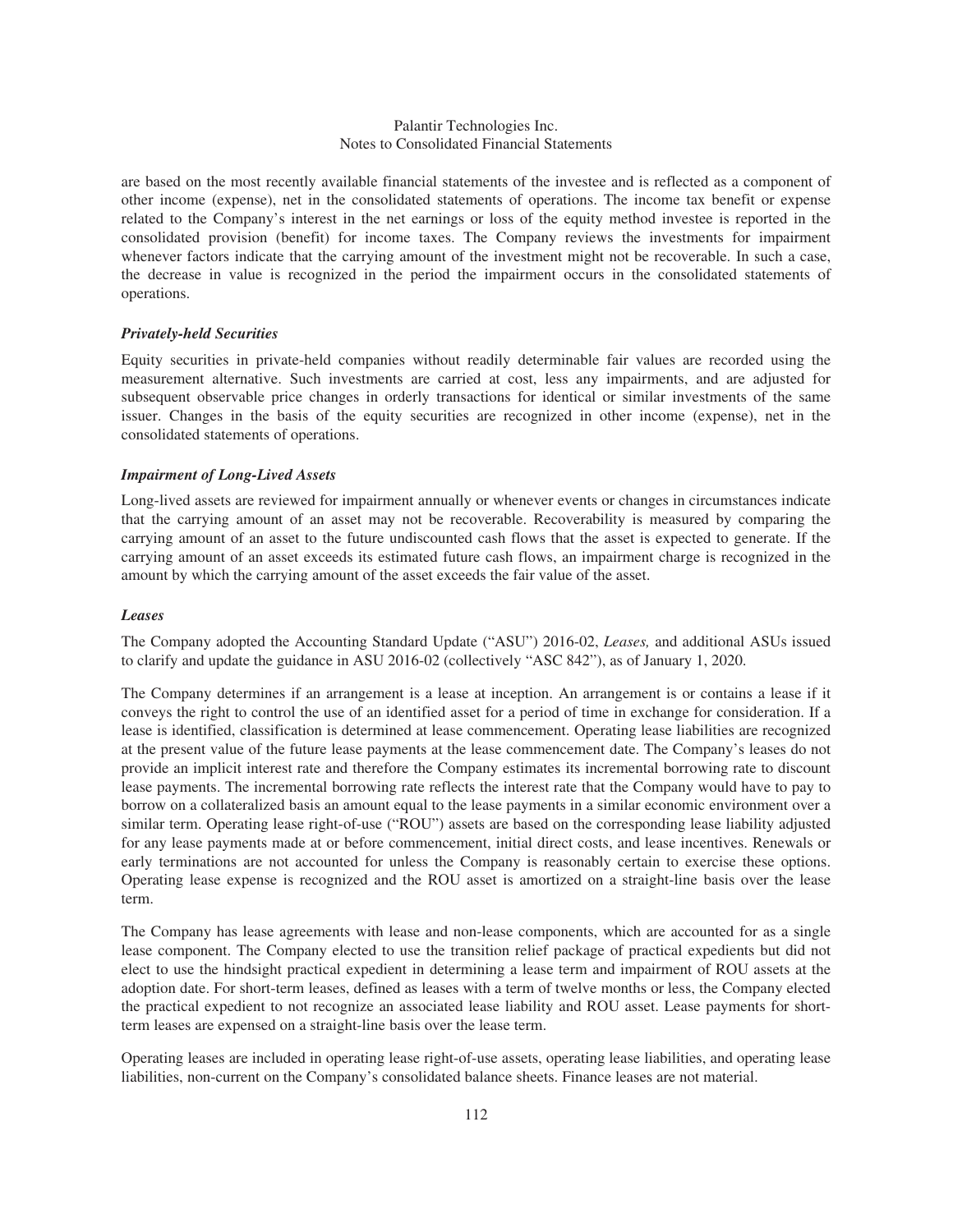are based on the most recently available financial statements of the investee and is reflected as a component of other income (expense), net in the consolidated statements of operations. The income tax benefit or expense related to the Company's interest in the net earnings or loss of the equity method investee is reported in the consolidated provision (benefit) for income taxes. The Company reviews the investments for impairment whenever factors indicate that the carrying amount of the investment might not be recoverable. In such a case, the decrease in value is recognized in the period the impairment occurs in the consolidated statements of operations.

#### *Privately-held Securities*

Equity securities in private-held companies without readily determinable fair values are recorded using the measurement alternative. Such investments are carried at cost, less any impairments, and are adjusted for subsequent observable price changes in orderly transactions for identical or similar investments of the same issuer. Changes in the basis of the equity securities are recognized in other income (expense), net in the consolidated statements of operations.

#### *Impairment of Long-Lived Assets*

Long-lived assets are reviewed for impairment annually or whenever events or changes in circumstances indicate that the carrying amount of an asset may not be recoverable. Recoverability is measured by comparing the carrying amount of an asset to the future undiscounted cash flows that the asset is expected to generate. If the carrying amount of an asset exceeds its estimated future cash flows, an impairment charge is recognized in the amount by which the carrying amount of the asset exceeds the fair value of the asset.

#### *Leases*

The Company adopted the Accounting Standard Update ("ASU") 2016-02, *Leases,* and additional ASUs issued to clarify and update the guidance in ASU 2016-02 (collectively "ASC 842"), as of January 1, 2020.

The Company determines if an arrangement is a lease at inception. An arrangement is or contains a lease if it conveys the right to control the use of an identified asset for a period of time in exchange for consideration. If a lease is identified, classification is determined at lease commencement. Operating lease liabilities are recognized at the present value of the future lease payments at the lease commencement date. The Company's leases do not provide an implicit interest rate and therefore the Company estimates its incremental borrowing rate to discount lease payments. The incremental borrowing rate reflects the interest rate that the Company would have to pay to borrow on a collateralized basis an amount equal to the lease payments in a similar economic environment over a similar term. Operating lease right-of-use ("ROU") assets are based on the corresponding lease liability adjusted for any lease payments made at or before commencement, initial direct costs, and lease incentives. Renewals or early terminations are not accounted for unless the Company is reasonably certain to exercise these options. Operating lease expense is recognized and the ROU asset is amortized on a straight-line basis over the lease term.

The Company has lease agreements with lease and non-lease components, which are accounted for as a single lease component. The Company elected to use the transition relief package of practical expedients but did not elect to use the hindsight practical expedient in determining a lease term and impairment of ROU assets at the adoption date. For short-term leases, defined as leases with a term of twelve months or less, the Company elected the practical expedient to not recognize an associated lease liability and ROU asset. Lease payments for shortterm leases are expensed on a straight-line basis over the lease term.

Operating leases are included in operating lease right-of-use assets, operating lease liabilities, and operating lease liabilities, non-current on the Company's consolidated balance sheets. Finance leases are not material.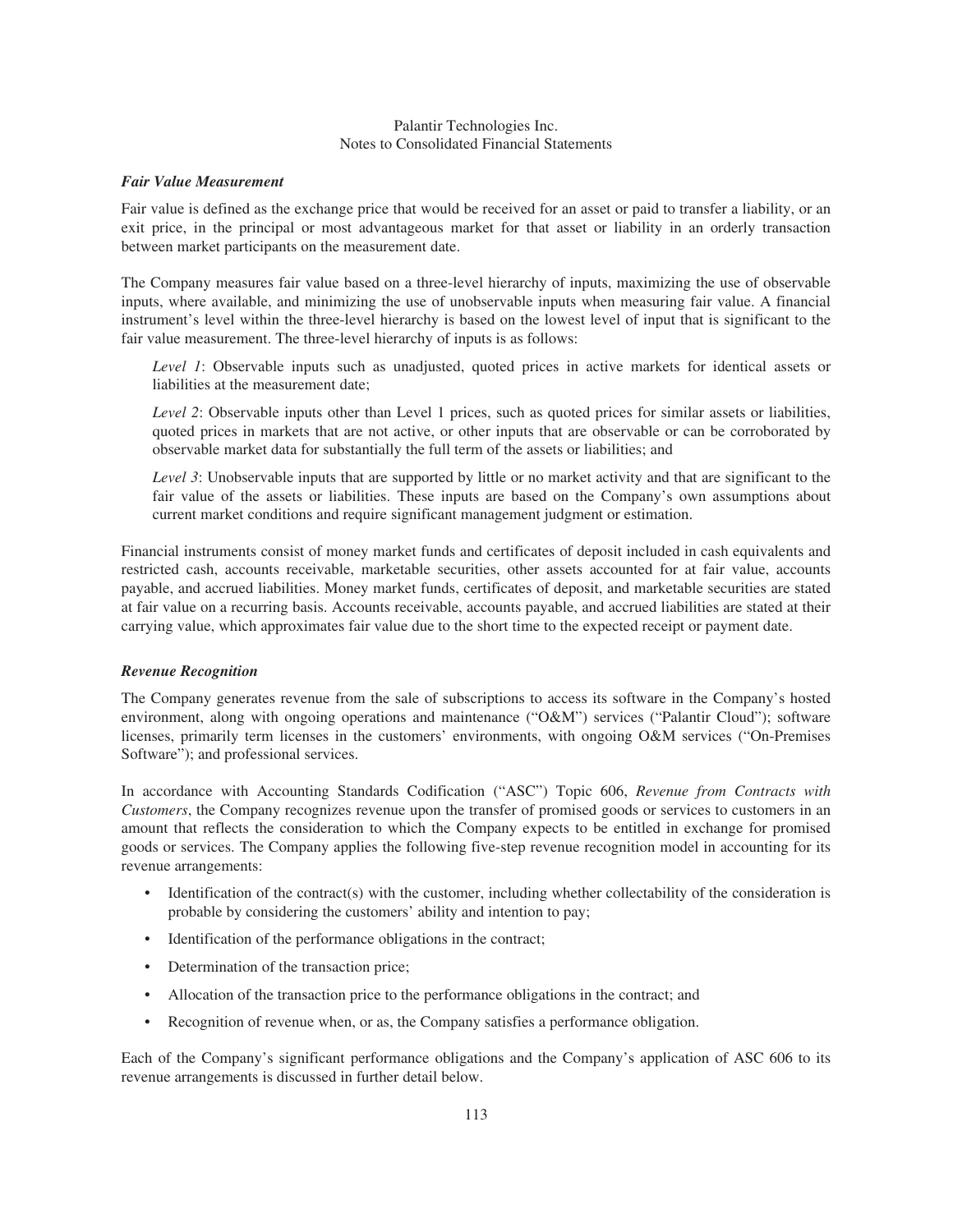### *Fair Value Measurement*

Fair value is defined as the exchange price that would be received for an asset or paid to transfer a liability, or an exit price, in the principal or most advantageous market for that asset or liability in an orderly transaction between market participants on the measurement date.

The Company measures fair value based on a three-level hierarchy of inputs, maximizing the use of observable inputs, where available, and minimizing the use of unobservable inputs when measuring fair value. A financial instrument's level within the three-level hierarchy is based on the lowest level of input that is significant to the fair value measurement. The three-level hierarchy of inputs is as follows:

*Level 1*: Observable inputs such as unadjusted, quoted prices in active markets for identical assets or liabilities at the measurement date;

*Level 2*: Observable inputs other than Level 1 prices, such as quoted prices for similar assets or liabilities, quoted prices in markets that are not active, or other inputs that are observable or can be corroborated by observable market data for substantially the full term of the assets or liabilities; and

*Level 3*: Unobservable inputs that are supported by little or no market activity and that are significant to the fair value of the assets or liabilities. These inputs are based on the Company's own assumptions about current market conditions and require significant management judgment or estimation.

Financial instruments consist of money market funds and certificates of deposit included in cash equivalents and restricted cash, accounts receivable, marketable securities, other assets accounted for at fair value, accounts payable, and accrued liabilities. Money market funds, certificates of deposit, and marketable securities are stated at fair value on a recurring basis. Accounts receivable, accounts payable, and accrued liabilities are stated at their carrying value, which approximates fair value due to the short time to the expected receipt or payment date.

### *Revenue Recognition*

The Company generates revenue from the sale of subscriptions to access its software in the Company's hosted environment, along with ongoing operations and maintenance ("O&M") services ("Palantir Cloud"); software licenses, primarily term licenses in the customers' environments, with ongoing O&M services ("On-Premises Software"); and professional services.

In accordance with Accounting Standards Codification ("ASC") Topic 606, *Revenue from Contracts with Customers*, the Company recognizes revenue upon the transfer of promised goods or services to customers in an amount that reflects the consideration to which the Company expects to be entitled in exchange for promised goods or services. The Company applies the following five-step revenue recognition model in accounting for its revenue arrangements:

- Identification of the contract(s) with the customer, including whether collectability of the consideration is probable by considering the customers' ability and intention to pay;
- Identification of the performance obligations in the contract;
- Determination of the transaction price;
- Allocation of the transaction price to the performance obligations in the contract; and
- Recognition of revenue when, or as, the Company satisfies a performance obligation.

Each of the Company's significant performance obligations and the Company's application of ASC 606 to its revenue arrangements is discussed in further detail below.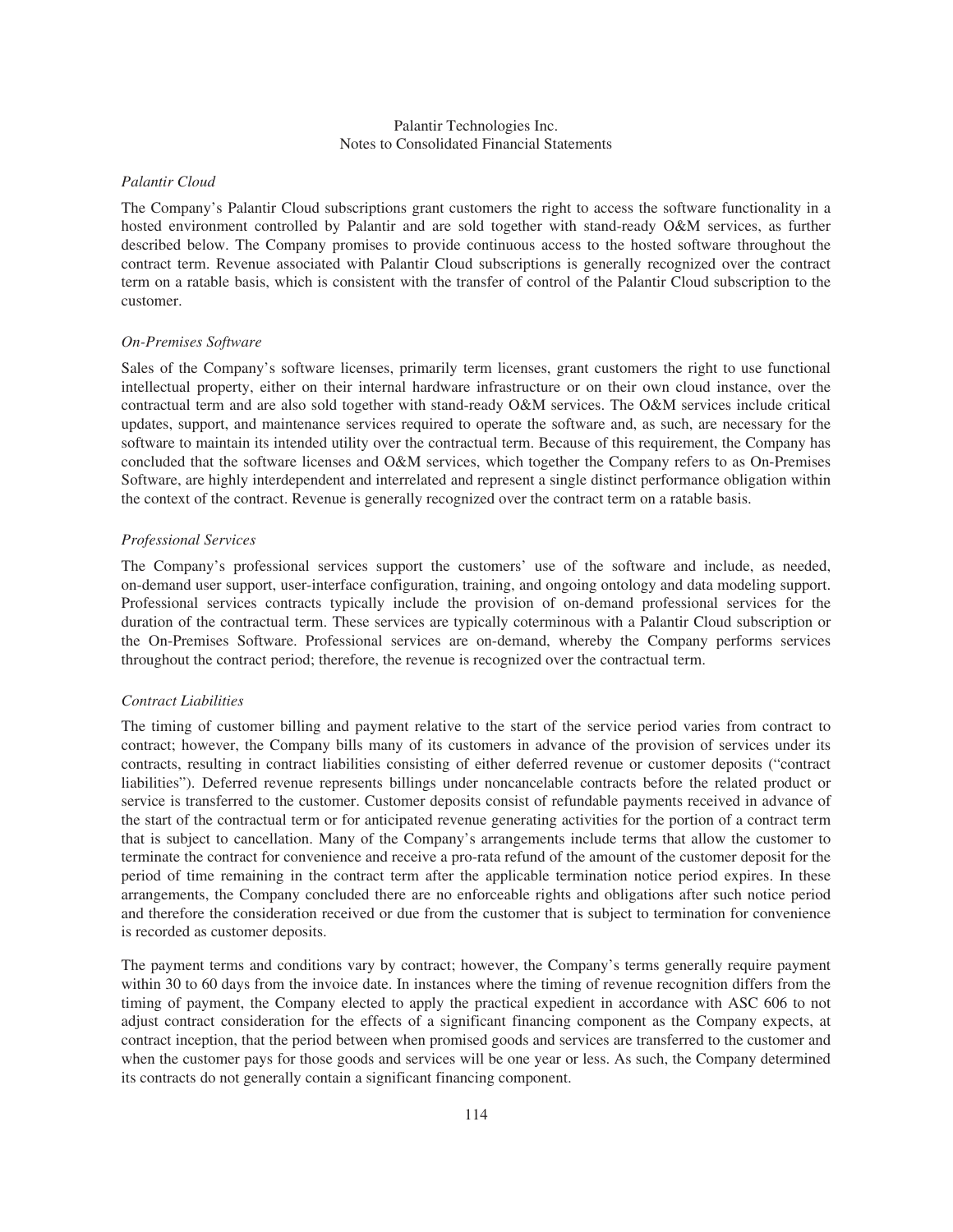## *Palantir Cloud*

The Company's Palantir Cloud subscriptions grant customers the right to access the software functionality in a hosted environment controlled by Palantir and are sold together with stand-ready O&M services, as further described below. The Company promises to provide continuous access to the hosted software throughout the contract term. Revenue associated with Palantir Cloud subscriptions is generally recognized over the contract term on a ratable basis, which is consistent with the transfer of control of the Palantir Cloud subscription to the customer.

### *On-Premises Software*

Sales of the Company's software licenses, primarily term licenses, grant customers the right to use functional intellectual property, either on their internal hardware infrastructure or on their own cloud instance, over the contractual term and are also sold together with stand-ready O&M services. The O&M services include critical updates, support, and maintenance services required to operate the software and, as such, are necessary for the software to maintain its intended utility over the contractual term. Because of this requirement, the Company has concluded that the software licenses and O&M services, which together the Company refers to as On-Premises Software, are highly interdependent and interrelated and represent a single distinct performance obligation within the context of the contract. Revenue is generally recognized over the contract term on a ratable basis.

### *Professional Services*

The Company's professional services support the customers' use of the software and include, as needed, on-demand user support, user-interface configuration, training, and ongoing ontology and data modeling support. Professional services contracts typically include the provision of on-demand professional services for the duration of the contractual term. These services are typically coterminous with a Palantir Cloud subscription or the On-Premises Software. Professional services are on-demand, whereby the Company performs services throughout the contract period; therefore, the revenue is recognized over the contractual term.

#### *Contract Liabilities*

The timing of customer billing and payment relative to the start of the service period varies from contract to contract; however, the Company bills many of its customers in advance of the provision of services under its contracts, resulting in contract liabilities consisting of either deferred revenue or customer deposits ("contract liabilities"). Deferred revenue represents billings under noncancelable contracts before the related product or service is transferred to the customer. Customer deposits consist of refundable payments received in advance of the start of the contractual term or for anticipated revenue generating activities for the portion of a contract term that is subject to cancellation. Many of the Company's arrangements include terms that allow the customer to terminate the contract for convenience and receive a pro-rata refund of the amount of the customer deposit for the period of time remaining in the contract term after the applicable termination notice period expires. In these arrangements, the Company concluded there are no enforceable rights and obligations after such notice period and therefore the consideration received or due from the customer that is subject to termination for convenience is recorded as customer deposits.

The payment terms and conditions vary by contract; however, the Company's terms generally require payment within 30 to 60 days from the invoice date. In instances where the timing of revenue recognition differs from the timing of payment, the Company elected to apply the practical expedient in accordance with ASC 606 to not adjust contract consideration for the effects of a significant financing component as the Company expects, at contract inception, that the period between when promised goods and services are transferred to the customer and when the customer pays for those goods and services will be one year or less. As such, the Company determined its contracts do not generally contain a significant financing component.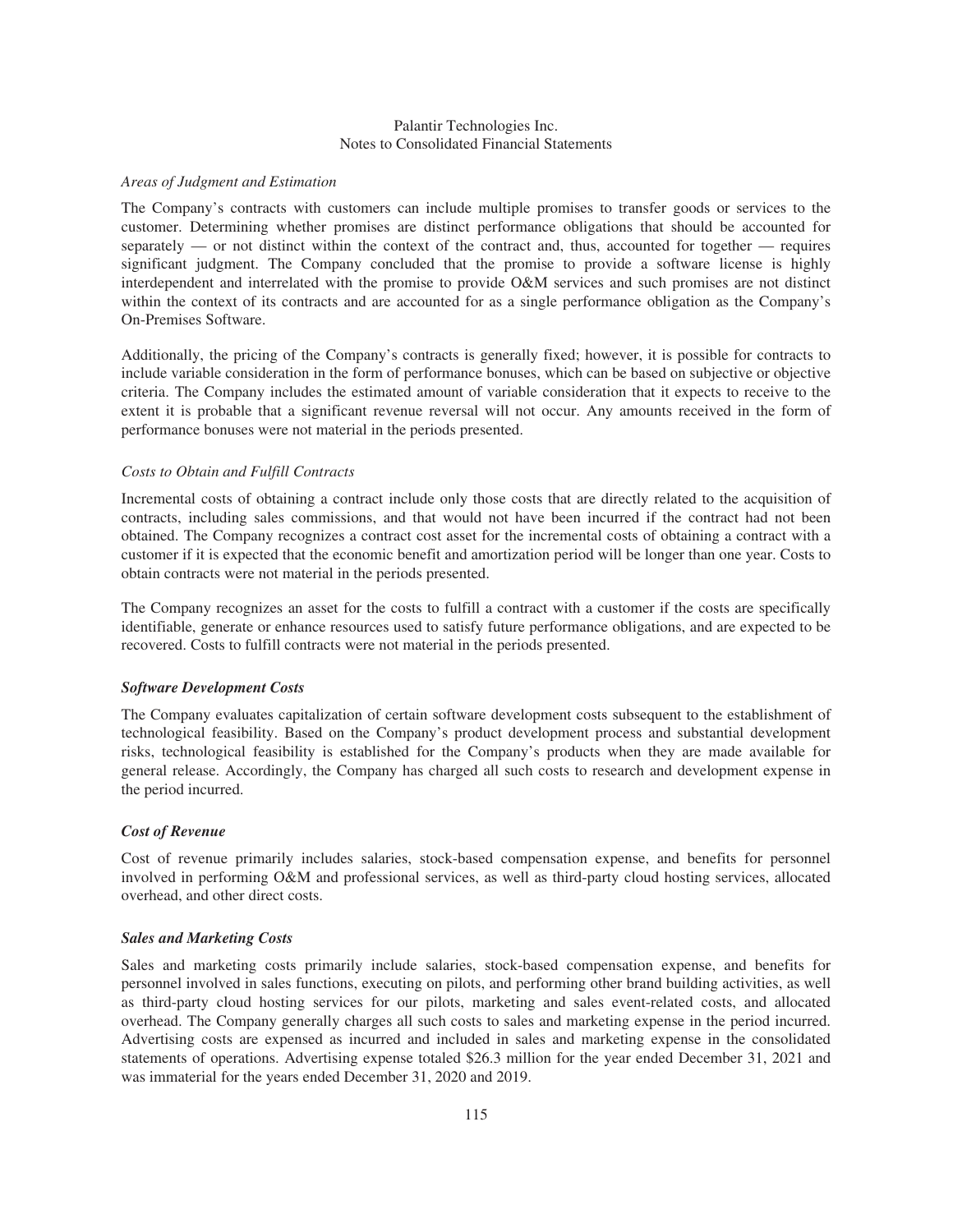### *Areas of Judgment and Estimation*

The Company's contracts with customers can include multiple promises to transfer goods or services to the customer. Determining whether promises are distinct performance obligations that should be accounted for separately — or not distinct within the context of the contract and, thus, accounted for together — requires significant judgment. The Company concluded that the promise to provide a software license is highly interdependent and interrelated with the promise to provide O&M services and such promises are not distinct within the context of its contracts and are accounted for as a single performance obligation as the Company's On-Premises Software.

Additionally, the pricing of the Company's contracts is generally fixed; however, it is possible for contracts to include variable consideration in the form of performance bonuses, which can be based on subjective or objective criteria. The Company includes the estimated amount of variable consideration that it expects to receive to the extent it is probable that a significant revenue reversal will not occur. Any amounts received in the form of performance bonuses were not material in the periods presented.

### *Costs to Obtain and Fulfill Contracts*

Incremental costs of obtaining a contract include only those costs that are directly related to the acquisition of contracts, including sales commissions, and that would not have been incurred if the contract had not been obtained. The Company recognizes a contract cost asset for the incremental costs of obtaining a contract with a customer if it is expected that the economic benefit and amortization period will be longer than one year. Costs to obtain contracts were not material in the periods presented.

The Company recognizes an asset for the costs to fulfill a contract with a customer if the costs are specifically identifiable, generate or enhance resources used to satisfy future performance obligations, and are expected to be recovered. Costs to fulfill contracts were not material in the periods presented.

### *Software Development Costs*

The Company evaluates capitalization of certain software development costs subsequent to the establishment of technological feasibility. Based on the Company's product development process and substantial development risks, technological feasibility is established for the Company's products when they are made available for general release. Accordingly, the Company has charged all such costs to research and development expense in the period incurred.

### *Cost of Revenue*

Cost of revenue primarily includes salaries, stock-based compensation expense, and benefits for personnel involved in performing O&M and professional services, as well as third-party cloud hosting services, allocated overhead, and other direct costs.

### *Sales and Marketing Costs*

Sales and marketing costs primarily include salaries, stock-based compensation expense, and benefits for personnel involved in sales functions, executing on pilots, and performing other brand building activities, as well as third-party cloud hosting services for our pilots, marketing and sales event-related costs, and allocated overhead. The Company generally charges all such costs to sales and marketing expense in the period incurred. Advertising costs are expensed as incurred and included in sales and marketing expense in the consolidated statements of operations. Advertising expense totaled \$26.3 million for the year ended December 31, 2021 and was immaterial for the years ended December 31, 2020 and 2019.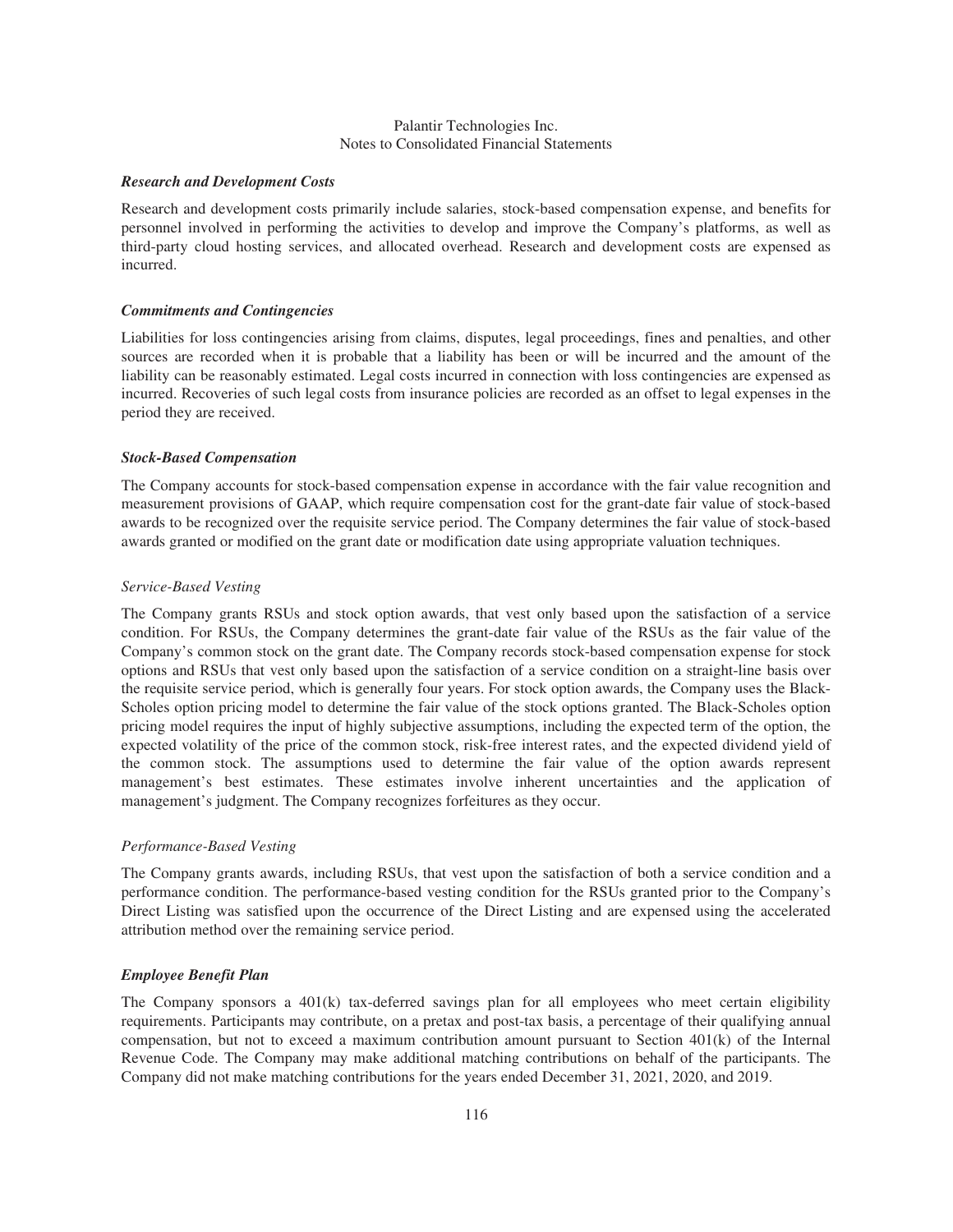#### *Research and Development Costs*

Research and development costs primarily include salaries, stock-based compensation expense, and benefits for personnel involved in performing the activities to develop and improve the Company's platforms, as well as third-party cloud hosting services, and allocated overhead. Research and development costs are expensed as incurred.

### *Commitments and Contingencies*

Liabilities for loss contingencies arising from claims, disputes, legal proceedings, fines and penalties, and other sources are recorded when it is probable that a liability has been or will be incurred and the amount of the liability can be reasonably estimated. Legal costs incurred in connection with loss contingencies are expensed as incurred. Recoveries of such legal costs from insurance policies are recorded as an offset to legal expenses in the period they are received.

### *Stock-Based Compensation*

The Company accounts for stock-based compensation expense in accordance with the fair value recognition and measurement provisions of GAAP, which require compensation cost for the grant-date fair value of stock-based awards to be recognized over the requisite service period. The Company determines the fair value of stock-based awards granted or modified on the grant date or modification date using appropriate valuation techniques.

### *Service-Based Vesting*

The Company grants RSUs and stock option awards, that vest only based upon the satisfaction of a service condition. For RSUs, the Company determines the grant-date fair value of the RSUs as the fair value of the Company's common stock on the grant date. The Company records stock-based compensation expense for stock options and RSUs that vest only based upon the satisfaction of a service condition on a straight-line basis over the requisite service period, which is generally four years. For stock option awards, the Company uses the Black-Scholes option pricing model to determine the fair value of the stock options granted. The Black-Scholes option pricing model requires the input of highly subjective assumptions, including the expected term of the option, the expected volatility of the price of the common stock, risk-free interest rates, and the expected dividend yield of the common stock. The assumptions used to determine the fair value of the option awards represent management's best estimates. These estimates involve inherent uncertainties and the application of management's judgment. The Company recognizes forfeitures as they occur.

### *Performance-Based Vesting*

The Company grants awards, including RSUs, that vest upon the satisfaction of both a service condition and a performance condition. The performance-based vesting condition for the RSUs granted prior to the Company's Direct Listing was satisfied upon the occurrence of the Direct Listing and are expensed using the accelerated attribution method over the remaining service period.

### *Employee Benefit Plan*

The Company sponsors a 401(k) tax-deferred savings plan for all employees who meet certain eligibility requirements. Participants may contribute, on a pretax and post-tax basis, a percentage of their qualifying annual compensation, but not to exceed a maximum contribution amount pursuant to Section 401(k) of the Internal Revenue Code. The Company may make additional matching contributions on behalf of the participants. The Company did not make matching contributions for the years ended December 31, 2021, 2020, and 2019.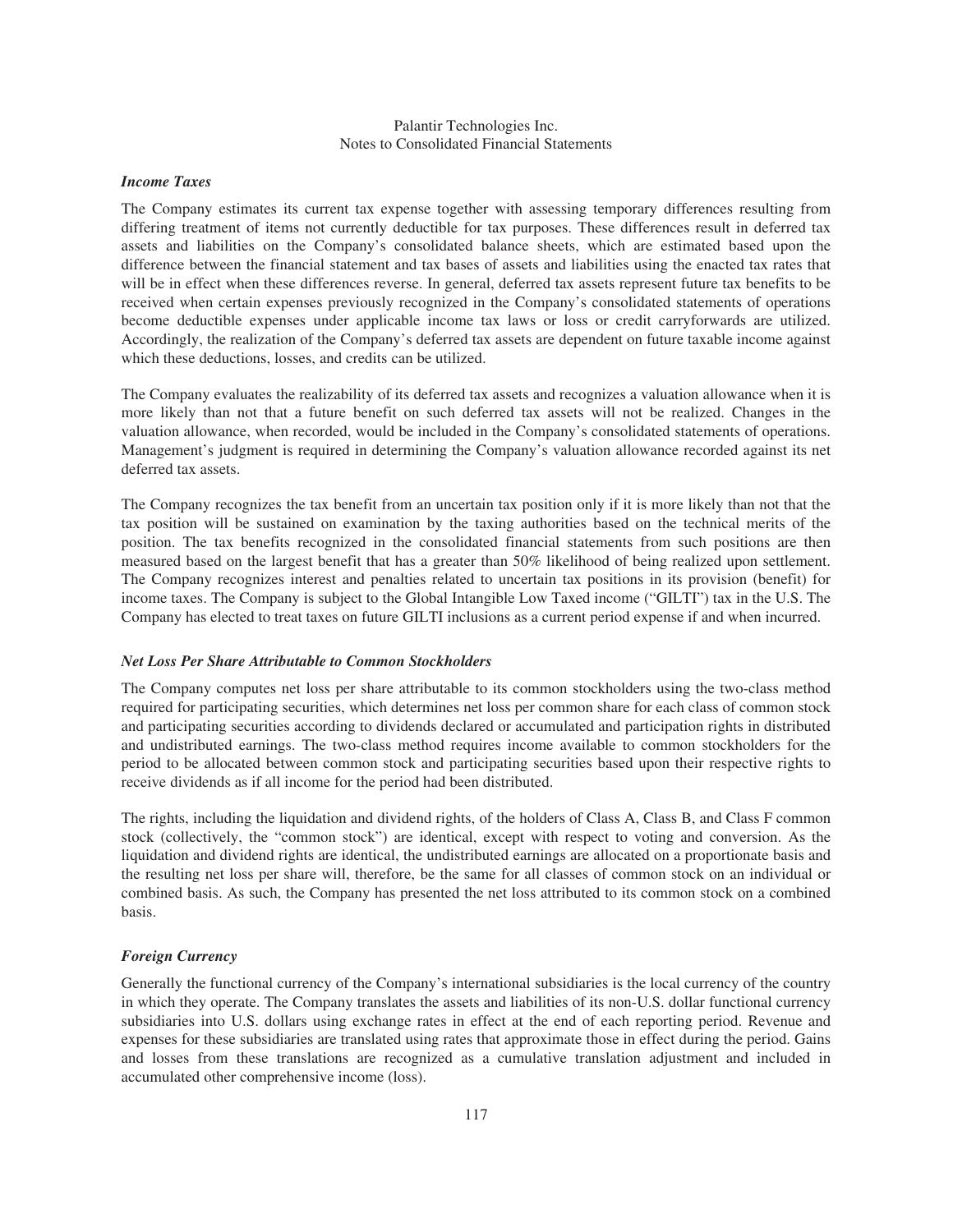## *Income Taxes*

The Company estimates its current tax expense together with assessing temporary differences resulting from differing treatment of items not currently deductible for tax purposes. These differences result in deferred tax assets and liabilities on the Company's consolidated balance sheets, which are estimated based upon the difference between the financial statement and tax bases of assets and liabilities using the enacted tax rates that will be in effect when these differences reverse. In general, deferred tax assets represent future tax benefits to be received when certain expenses previously recognized in the Company's consolidated statements of operations become deductible expenses under applicable income tax laws or loss or credit carryforwards are utilized. Accordingly, the realization of the Company's deferred tax assets are dependent on future taxable income against which these deductions, losses, and credits can be utilized.

The Company evaluates the realizability of its deferred tax assets and recognizes a valuation allowance when it is more likely than not that a future benefit on such deferred tax assets will not be realized. Changes in the valuation allowance, when recorded, would be included in the Company's consolidated statements of operations. Management's judgment is required in determining the Company's valuation allowance recorded against its net deferred tax assets.

The Company recognizes the tax benefit from an uncertain tax position only if it is more likely than not that the tax position will be sustained on examination by the taxing authorities based on the technical merits of the position. The tax benefits recognized in the consolidated financial statements from such positions are then measured based on the largest benefit that has a greater than 50% likelihood of being realized upon settlement. The Company recognizes interest and penalties related to uncertain tax positions in its provision (benefit) for income taxes. The Company is subject to the Global Intangible Low Taxed income ("GILTI") tax in the U.S. The Company has elected to treat taxes on future GILTI inclusions as a current period expense if and when incurred.

#### *Net Loss Per Share Attributable to Common Stockholders*

The Company computes net loss per share attributable to its common stockholders using the two-class method required for participating securities, which determines net loss per common share for each class of common stock and participating securities according to dividends declared or accumulated and participation rights in distributed and undistributed earnings. The two-class method requires income available to common stockholders for the period to be allocated between common stock and participating securities based upon their respective rights to receive dividends as if all income for the period had been distributed.

The rights, including the liquidation and dividend rights, of the holders of Class A, Class B, and Class F common stock (collectively, the "common stock") are identical, except with respect to voting and conversion. As the liquidation and dividend rights are identical, the undistributed earnings are allocated on a proportionate basis and the resulting net loss per share will, therefore, be the same for all classes of common stock on an individual or combined basis. As such, the Company has presented the net loss attributed to its common stock on a combined basis.

#### *Foreign Currency*

Generally the functional currency of the Company's international subsidiaries is the local currency of the country in which they operate. The Company translates the assets and liabilities of its non-U.S. dollar functional currency subsidiaries into U.S. dollars using exchange rates in effect at the end of each reporting period. Revenue and expenses for these subsidiaries are translated using rates that approximate those in effect during the period. Gains and losses from these translations are recognized as a cumulative translation adjustment and included in accumulated other comprehensive income (loss).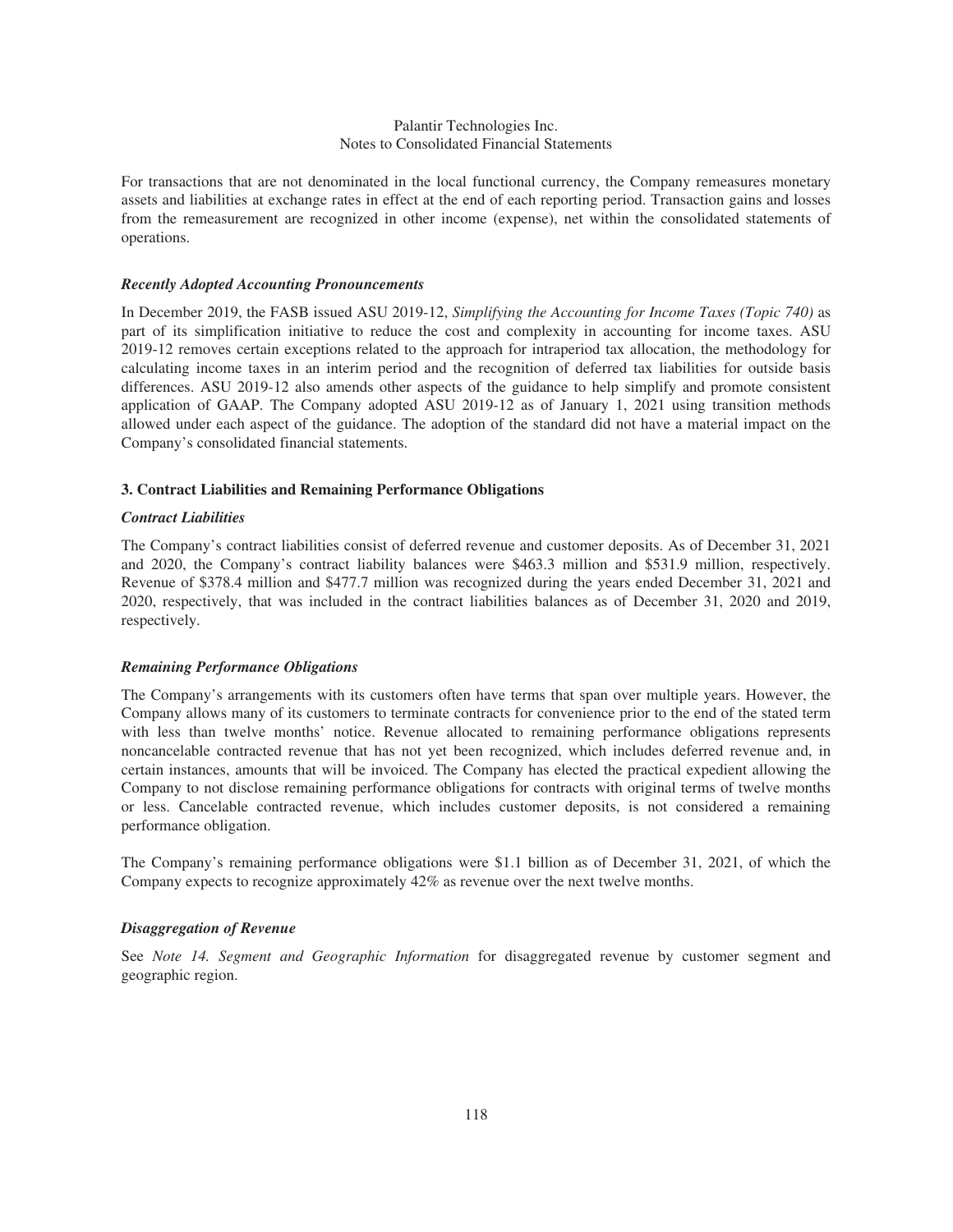For transactions that are not denominated in the local functional currency, the Company remeasures monetary assets and liabilities at exchange rates in effect at the end of each reporting period. Transaction gains and losses from the remeasurement are recognized in other income (expense), net within the consolidated statements of operations.

### *Recently Adopted Accounting Pronouncements*

In December 2019, the FASB issued ASU 2019-12, *Simplifying the Accounting for Income Taxes (Topic 740)* as part of its simplification initiative to reduce the cost and complexity in accounting for income taxes. ASU 2019-12 removes certain exceptions related to the approach for intraperiod tax allocation, the methodology for calculating income taxes in an interim period and the recognition of deferred tax liabilities for outside basis differences. ASU 2019-12 also amends other aspects of the guidance to help simplify and promote consistent application of GAAP. The Company adopted ASU 2019-12 as of January 1, 2021 using transition methods allowed under each aspect of the guidance. The adoption of the standard did not have a material impact on the Company's consolidated financial statements.

### **3. Contract Liabilities and Remaining Performance Obligations**

### *Contract Liabilities*

The Company's contract liabilities consist of deferred revenue and customer deposits. As of December 31, 2021 and 2020, the Company's contract liability balances were \$463.3 million and \$531.9 million, respectively. Revenue of \$378.4 million and \$477.7 million was recognized during the years ended December 31, 2021 and 2020, respectively, that was included in the contract liabilities balances as of December 31, 2020 and 2019, respectively.

### *Remaining Performance Obligations*

The Company's arrangements with its customers often have terms that span over multiple years. However, the Company allows many of its customers to terminate contracts for convenience prior to the end of the stated term with less than twelve months' notice. Revenue allocated to remaining performance obligations represents noncancelable contracted revenue that has not yet been recognized, which includes deferred revenue and, in certain instances, amounts that will be invoiced. The Company has elected the practical expedient allowing the Company to not disclose remaining performance obligations for contracts with original terms of twelve months or less. Cancelable contracted revenue, which includes customer deposits, is not considered a remaining performance obligation.

The Company's remaining performance obligations were \$1.1 billion as of December 31, 2021, of which the Company expects to recognize approximately 42% as revenue over the next twelve months.

### *Disaggregation of Revenue*

See *Note 14. Segment and Geographic Information* for disaggregated revenue by customer segment and geographic region.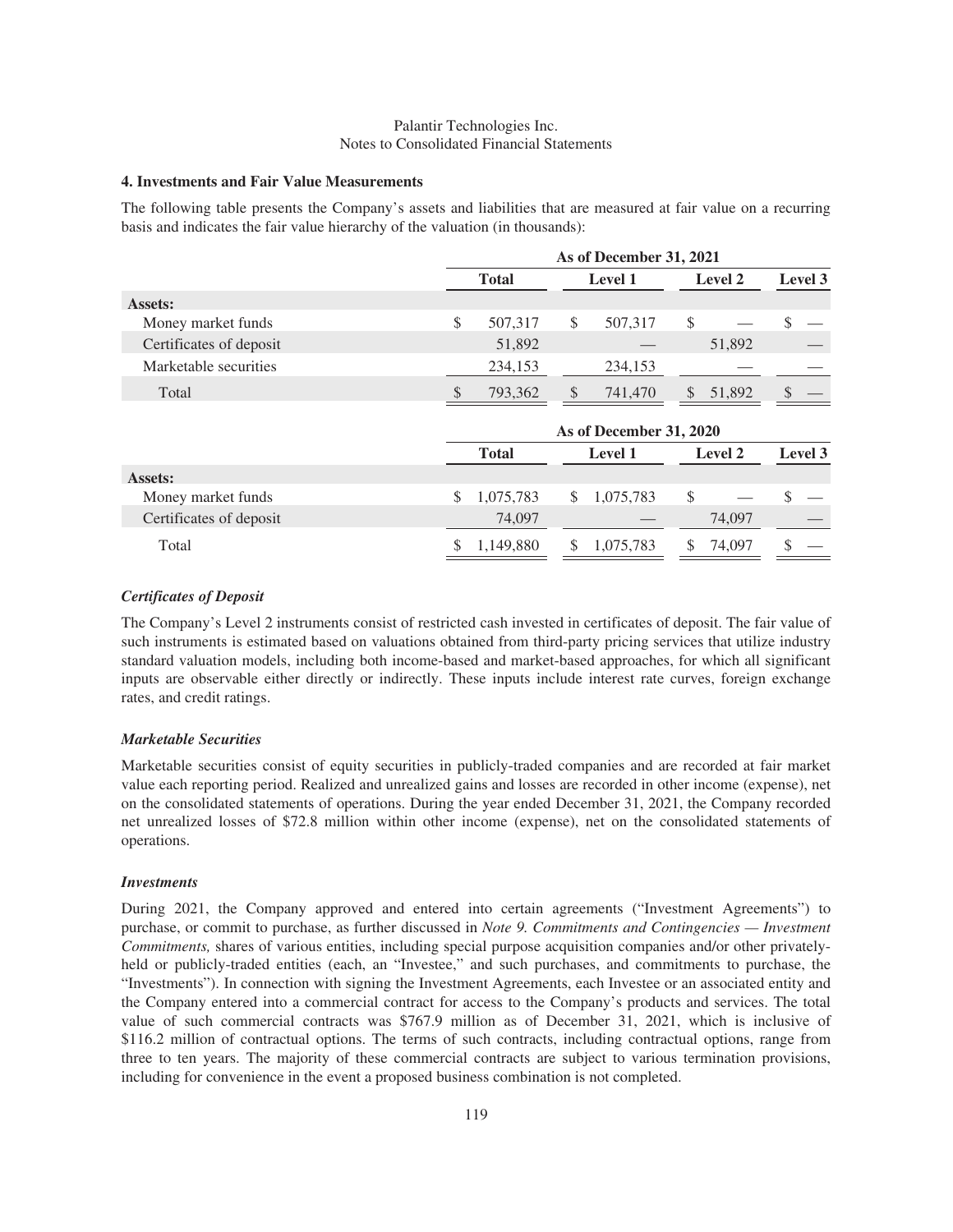### **4. Investments and Fair Value Measurements**

The following table presents the Company's assets and liabilities that are measured at fair value on a recurring basis and indicates the fair value hierarchy of the valuation (in thousands):

|                         |    | As of December 31, 2021 |                |                         |               |         |         |  |
|-------------------------|----|-------------------------|----------------|-------------------------|---------------|---------|---------|--|
|                         |    | <b>Total</b>            |                | <b>Level 1</b>          |               | Level 2 |         |  |
| <b>Assets:</b>          |    |                         |                |                         |               |         |         |  |
| Money market funds      | \$ | 507,317                 | $\sqrt$        | 507,317                 | \$            |         |         |  |
| Certificates of deposit |    | 51,892                  |                |                         |               | 51,892  |         |  |
| Marketable securities   |    | 234,153                 |                | 234,153                 |               |         |         |  |
| Total                   |    | 793,362                 | $\mathcal{S}$  | 741,470                 | \$.           | 51,892  |         |  |
|                         |    |                         |                | As of December 31, 2020 |               |         |         |  |
|                         |    | <b>Total</b>            | <b>Level 1</b> |                         | Level 2       |         | Level 3 |  |
| <b>Assets:</b>          |    |                         |                |                         |               |         |         |  |
| Money market funds      | \$ | 1,075,783               | $\mathbb{S}$   | 1,075,783               | $\mathcal{S}$ |         | \$      |  |
| Certificates of deposit |    | 74,097                  |                |                         |               | 74,097  |         |  |
| Total                   | S  | 1,149,880               | S              | 1,075,783               | S             | 74,097  | S       |  |

### *Certificates of Deposit*

The Company's Level 2 instruments consist of restricted cash invested in certificates of deposit. The fair value of such instruments is estimated based on valuations obtained from third-party pricing services that utilize industry standard valuation models, including both income-based and market-based approaches, for which all significant inputs are observable either directly or indirectly. These inputs include interest rate curves, foreign exchange rates, and credit ratings.

### *Marketable Securities*

Marketable securities consist of equity securities in publicly-traded companies and are recorded at fair market value each reporting period. Realized and unrealized gains and losses are recorded in other income (expense), net on the consolidated statements of operations. During the year ended December 31, 2021, the Company recorded net unrealized losses of \$72.8 million within other income (expense), net on the consolidated statements of operations.

### *Investments*

During 2021, the Company approved and entered into certain agreements ("Investment Agreements") to purchase, or commit to purchase, as further discussed in *Note 9. Commitments and Contingencies — Investment Commitments,* shares of various entities, including special purpose acquisition companies and/or other privatelyheld or publicly-traded entities (each, an "Investee," and such purchases, and commitments to purchase, the "Investments"). In connection with signing the Investment Agreements, each Investee or an associated entity and the Company entered into a commercial contract for access to the Company's products and services. The total value of such commercial contracts was \$767.9 million as of December 31, 2021, which is inclusive of \$116.2 million of contractual options. The terms of such contracts, including contractual options, range from three to ten years. The majority of these commercial contracts are subject to various termination provisions, including for convenience in the event a proposed business combination is not completed.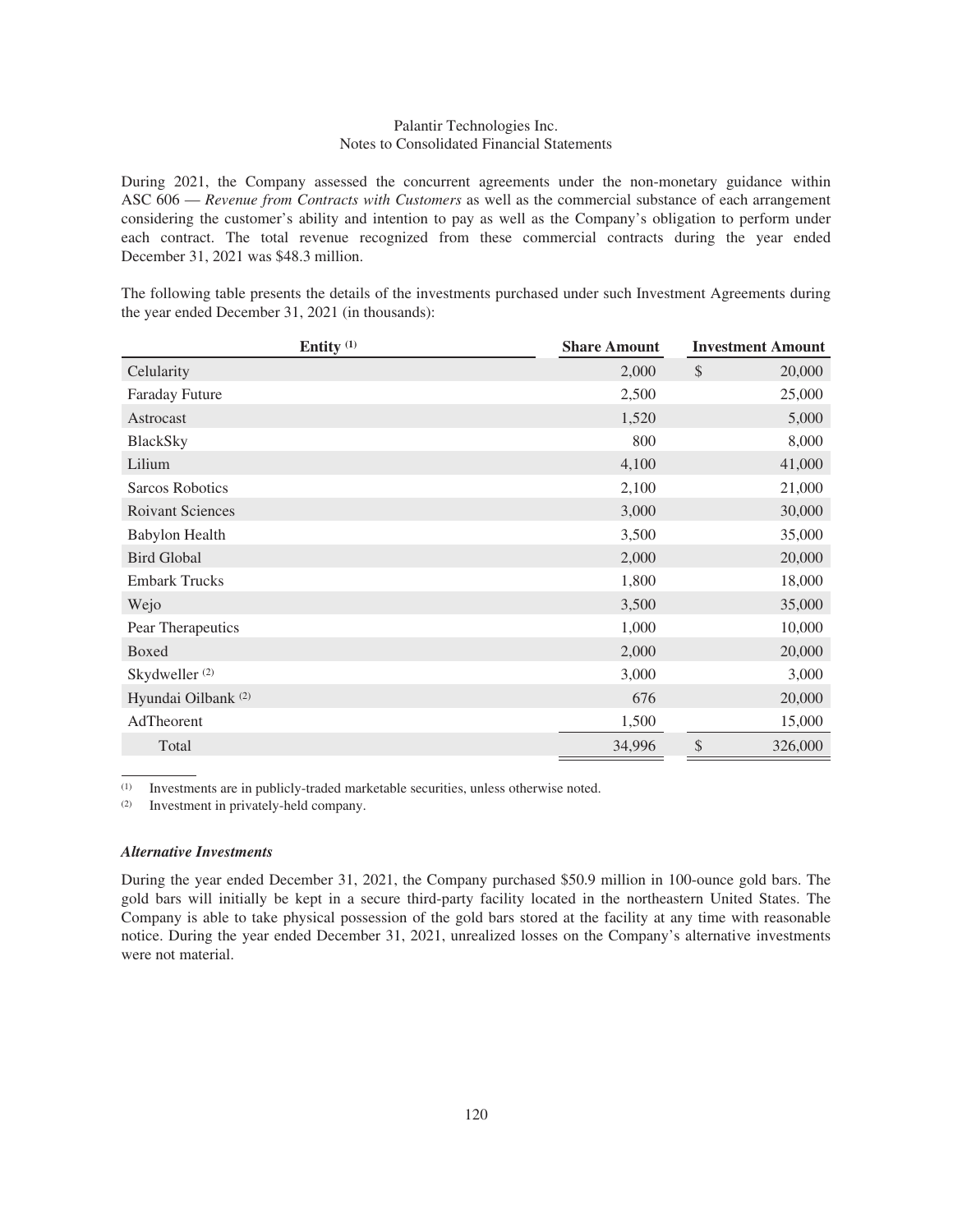During 2021, the Company assessed the concurrent agreements under the non-monetary guidance within ASC 606 — *Revenue from Contracts with Customers* as well as the commercial substance of each arrangement considering the customer's ability and intention to pay as well as the Company's obligation to perform under each contract. The total revenue recognized from these commercial contracts during the year ended December 31, 2021 was \$48.3 million.

The following table presents the details of the investments purchased under such Investment Agreements during the year ended December 31, 2021 (in thousands):

| Entity $(1)$                   | <b>Share Amount</b> |        | <b>Investment Amount</b> |
|--------------------------------|---------------------|--------|--------------------------|
| Celularity                     | 2,000               | $\$\,$ | 20,000                   |
| <b>Faraday Future</b>          | 2,500               |        | 25,000                   |
| Astrocast                      | 1,520               |        | 5,000                    |
| <b>BlackSky</b>                | 800                 |        | 8,000                    |
| Lilium                         | 4,100               |        | 41,000                   |
| <b>Sarcos Robotics</b>         | 2,100               |        | 21,000                   |
| <b>Roivant Sciences</b>        | 3,000               |        | 30,000                   |
| Babylon Health                 | 3,500               |        | 35,000                   |
| <b>Bird Global</b>             | 2,000               |        | 20,000                   |
| <b>Embark Trucks</b>           | 1,800               |        | 18,000                   |
| Wejo                           | 3,500               |        | 35,000                   |
| Pear Therapeutics              | 1,000               |        | 10,000                   |
| Boxed                          | 2,000               |        | 20,000                   |
| Skydweller <sup>(2)</sup>      | 3,000               |        | 3,000                    |
| Hyundai Oilbank <sup>(2)</sup> | 676                 |        | 20,000                   |
| AdTheorent                     | 1,500               |        | 15,000                   |
| Total                          | 34,996              | \$     | 326,000                  |

(1) Investments are in publicly-traded marketable securities, unless otherwise noted.

(2) Investment in privately-held company.

#### *Alternative Investments*

During the year ended December 31, 2021, the Company purchased \$50.9 million in 100-ounce gold bars. The gold bars will initially be kept in a secure third-party facility located in the northeastern United States. The Company is able to take physical possession of the gold bars stored at the facility at any time with reasonable notice. During the year ended December 31, 2021, unrealized losses on the Company's alternative investments were not material.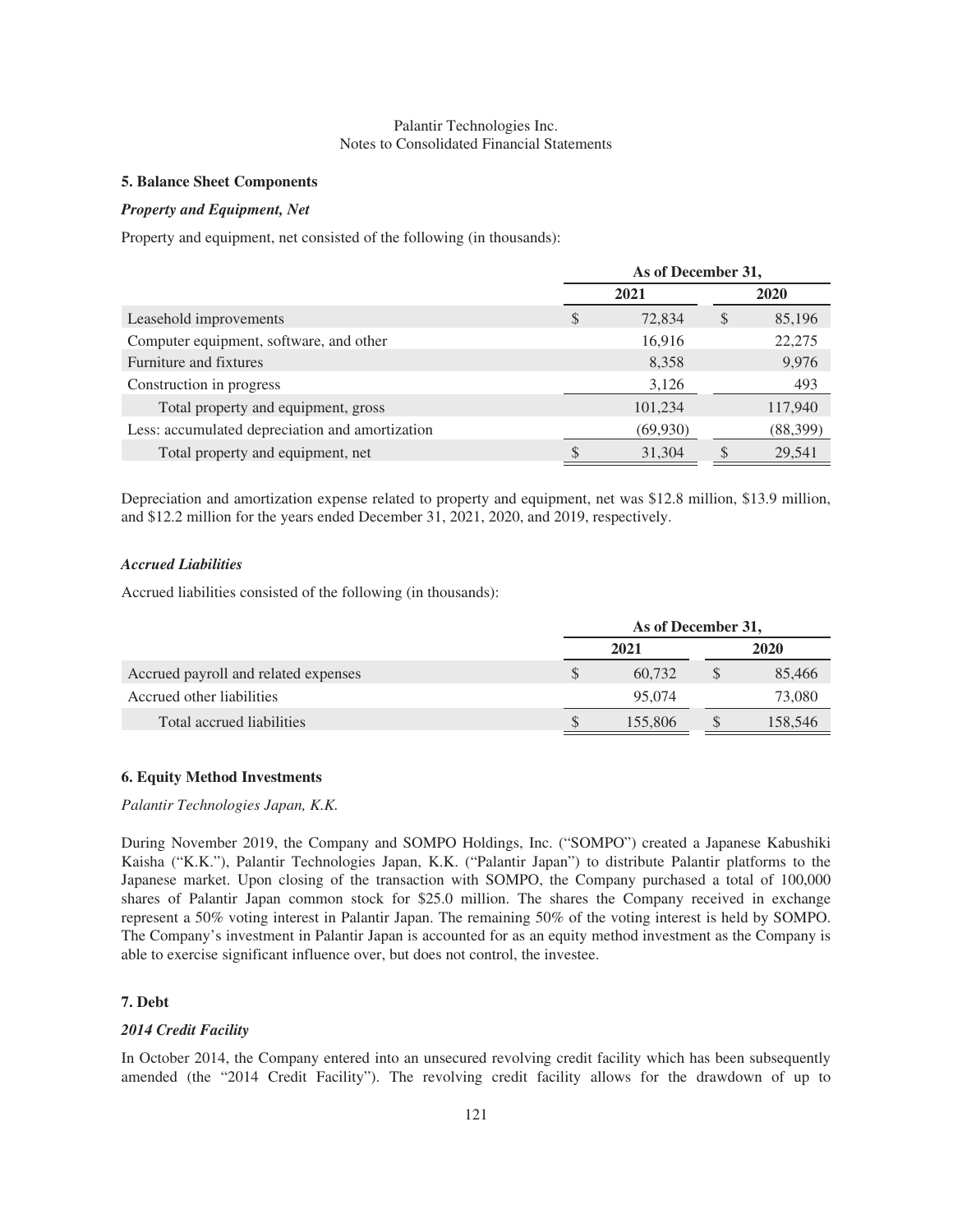### **5. Balance Sheet Components**

### *Property and Equipment, Net*

Property and equipment, net consisted of the following (in thousands):

|                                                 | As of December 31, |           |   |             |
|-------------------------------------------------|--------------------|-----------|---|-------------|
|                                                 | 2021               |           |   | <b>2020</b> |
| Leasehold improvements                          | S                  | 72,834    | S | 85,196      |
| Computer equipment, software, and other         |                    | 16,916    |   | 22,275      |
| Furniture and fixtures                          |                    | 8,358     |   | 9,976       |
| Construction in progress                        |                    | 3,126     |   | 493         |
| Total property and equipment, gross             |                    | 101,234   |   | 117,940     |
| Less: accumulated depreciation and amortization |                    | (69, 930) |   | (88, 399)   |
| Total property and equipment, net               |                    | 31,304    |   | 29.541      |

Depreciation and amortization expense related to property and equipment, net was \$12.8 million, \$13.9 million, and \$12.2 million for the years ended December 31, 2021, 2020, and 2019, respectively.

## *Accrued Liabilities*

Accrued liabilities consisted of the following (in thousands):

|                                      |      | As of December 31, |      |         |  |
|--------------------------------------|------|--------------------|------|---------|--|
|                                      | 2021 |                    | 2020 |         |  |
| Accrued payroll and related expenses |      | 60.732             |      | 85,466  |  |
| Accrued other liabilities            |      | 95,074             |      | 73,080  |  |
| Total accrued liabilities            |      | 155,806            |      | 158,546 |  |

### **6. Equity Method Investments**

### *Palantir Technologies Japan, K.K.*

During November 2019, the Company and SOMPO Holdings, Inc. ("SOMPO") created a Japanese Kabushiki Kaisha ("K.K."), Palantir Technologies Japan, K.K. ("Palantir Japan") to distribute Palantir platforms to the Japanese market. Upon closing of the transaction with SOMPO, the Company purchased a total of 100,000 shares of Palantir Japan common stock for \$25.0 million. The shares the Company received in exchange represent a 50% voting interest in Palantir Japan. The remaining 50% of the voting interest is held by SOMPO. The Company's investment in Palantir Japan is accounted for as an equity method investment as the Company is able to exercise significant influence over, but does not control, the investee.

#### **7. Debt**

#### *2014 Credit Facility*

In October 2014, the Company entered into an unsecured revolving credit facility which has been subsequently amended (the "2014 Credit Facility"). The revolving credit facility allows for the drawdown of up to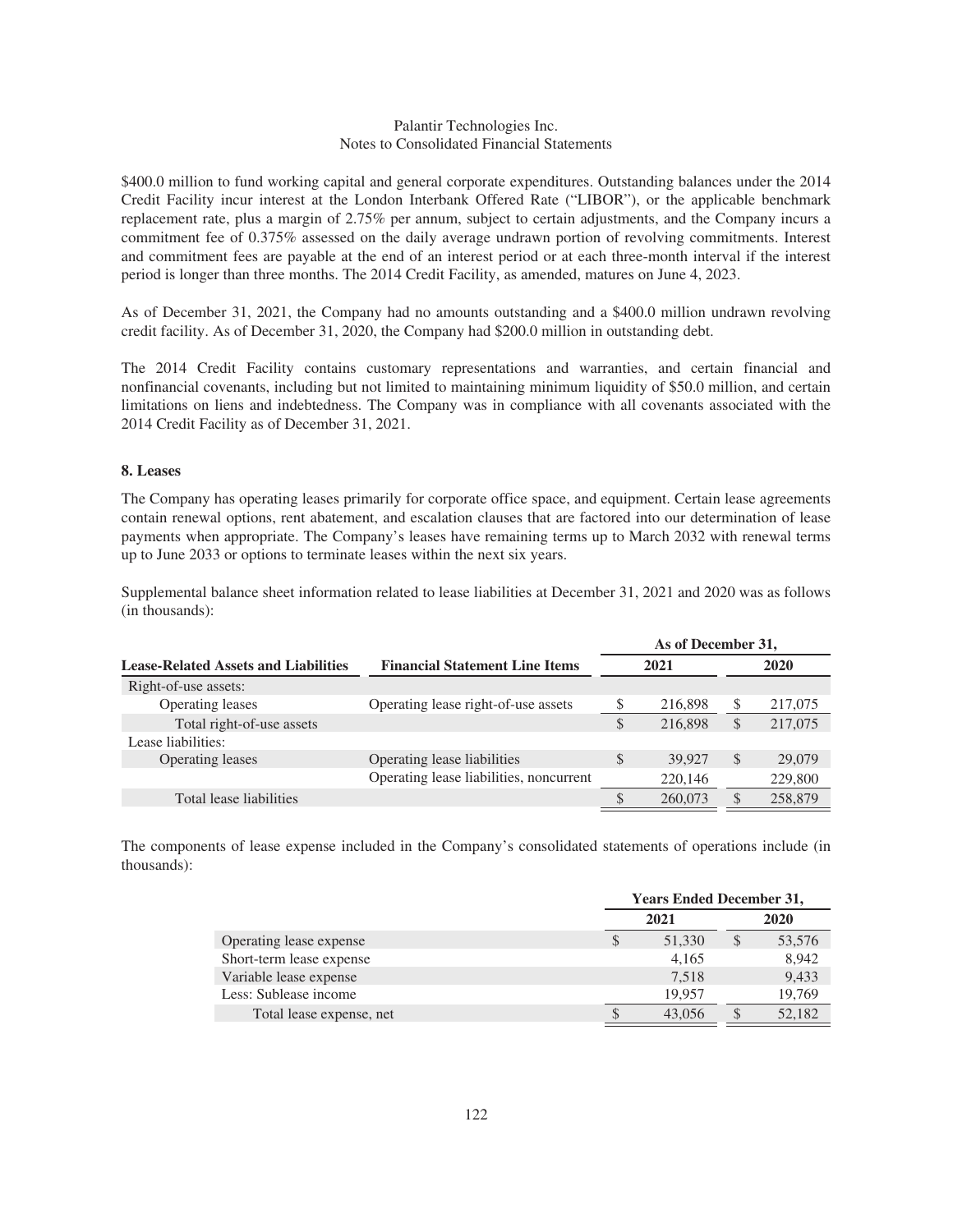\$400.0 million to fund working capital and general corporate expenditures. Outstanding balances under the 2014 Credit Facility incur interest at the London Interbank Offered Rate ("LIBOR"), or the applicable benchmark replacement rate, plus a margin of 2.75% per annum, subject to certain adjustments, and the Company incurs a commitment fee of 0.375% assessed on the daily average undrawn portion of revolving commitments. Interest and commitment fees are payable at the end of an interest period or at each three-month interval if the interest period is longer than three months. The 2014 Credit Facility, as amended, matures on June 4, 2023.

As of December 31, 2021, the Company had no amounts outstanding and a \$400.0 million undrawn revolving credit facility. As of December 31, 2020, the Company had \$200.0 million in outstanding debt.

The 2014 Credit Facility contains customary representations and warranties, and certain financial and nonfinancial covenants, including but not limited to maintaining minimum liquidity of \$50.0 million, and certain limitations on liens and indebtedness. The Company was in compliance with all covenants associated with the 2014 Credit Facility as of December 31, 2021.

### **8. Leases**

The Company has operating leases primarily for corporate office space, and equipment. Certain lease agreements contain renewal options, rent abatement, and escalation clauses that are factored into our determination of lease payments when appropriate. The Company's leases have remaining terms up to March 2032 with renewal terms up to June 2033 or options to terminate leases within the next six years.

Supplemental balance sheet information related to lease liabilities at December 31, 2021 and 2020 was as follows (in thousands):

|                                             |                                         | As of December 31, |         |    |         |
|---------------------------------------------|-----------------------------------------|--------------------|---------|----|---------|
| <b>Lease-Related Assets and Liabilities</b> | <b>Financial Statement Line Items</b>   | 2021               |         |    |         |
| Right-of-use assets:                        |                                         |                    |         |    |         |
| Operating leases                            | Operating lease right-of-use assets     | \$                 | 216,898 | \$ | 217,075 |
| Total right-of-use assets                   |                                         | S                  | 216,898 | S. | 217,075 |
| Lease liabilities:                          |                                         |                    |         |    |         |
| <b>Operating leases</b>                     | Operating lease liabilities             | \$                 | 39.927  | S  | 29,079  |
|                                             | Operating lease liabilities, noncurrent |                    | 220,146 |    | 229,800 |
| Total lease liabilities                     |                                         | S                  | 260,073 |    | 258,879 |

The components of lease expense included in the Company's consolidated statements of operations include (in thousands):

|                          | <b>Years Ended December 31,</b> |      |        |  |
|--------------------------|---------------------------------|------|--------|--|
|                          | 2021                            | 2020 |        |  |
| Operating lease expense  | 51,330                          | S    | 53,576 |  |
| Short-term lease expense | 4,165                           |      | 8,942  |  |
| Variable lease expense   | 7.518                           |      | 9,433  |  |
| Less: Sublease income    | 19.957                          |      | 19,769 |  |
| Total lease expense, net | 43,056                          |      | 52,182 |  |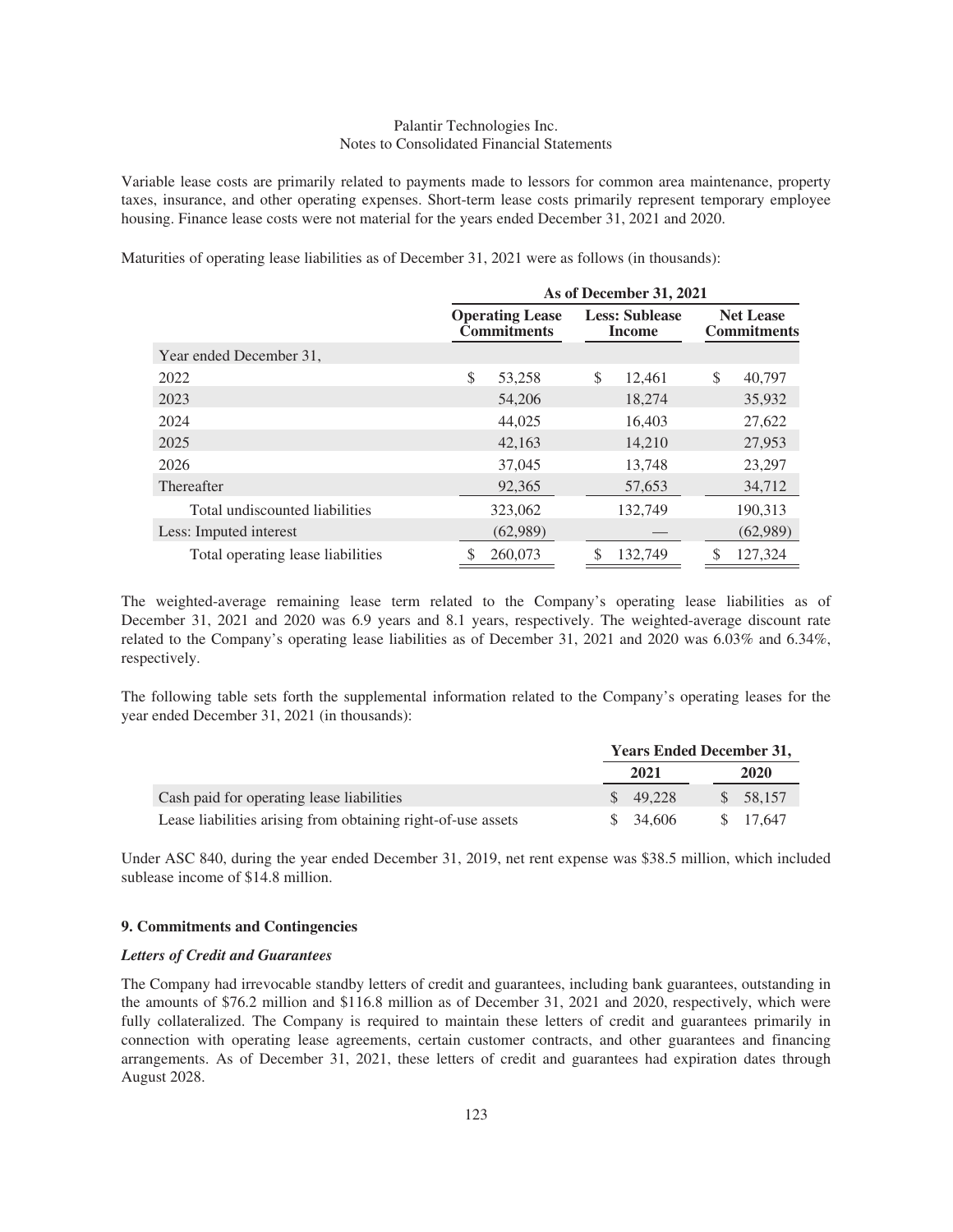Variable lease costs are primarily related to payments made to lessors for common area maintenance, property taxes, insurance, and other operating expenses. Short-term lease costs primarily represent temporary employee housing. Finance lease costs were not material for the years ended December 31, 2021 and 2020.

Maturities of operating lease liabilities as of December 31, 2021 were as follows (in thousands):

|                                   | As of December 31, 2021                      |    |                                        |    |                                        |  |
|-----------------------------------|----------------------------------------------|----|----------------------------------------|----|----------------------------------------|--|
|                                   | <b>Operating Lease</b><br><b>Commitments</b> |    | <b>Less: Sublease</b><br><b>Income</b> |    | <b>Net Lease</b><br><b>Commitments</b> |  |
| Year ended December 31,           |                                              |    |                                        |    |                                        |  |
| 2022                              | \$<br>53,258                                 | \$ | 12.461                                 | \$ | 40,797                                 |  |
| 2023                              | 54,206                                       |    | 18,274                                 |    | 35,932                                 |  |
| 2024                              | 44,025                                       |    | 16,403                                 |    | 27,622                                 |  |
| 2025                              | 42,163                                       |    | 14,210                                 |    | 27,953                                 |  |
| 2026                              | 37,045                                       |    | 13.748                                 |    | 23,297                                 |  |
| Thereafter                        | 92,365                                       |    | 57,653                                 |    | 34,712                                 |  |
| Total undiscounted liabilities    | 323,062                                      |    | 132,749                                |    | 190,313                                |  |
| Less: Imputed interest            | (62,989)                                     |    |                                        |    | (62,989)                               |  |
| Total operating lease liabilities | \$<br>260,073                                |    | 132,749                                |    | 127.324                                |  |

The weighted-average remaining lease term related to the Company's operating lease liabilities as of December 31, 2021 and 2020 was 6.9 years and 8.1 years, respectively. The weighted-average discount rate related to the Company's operating lease liabilities as of December 31, 2021 and 2020 was 6.03% and 6.34%, respectively.

The following table sets forth the supplemental information related to the Company's operating leases for the year ended December 31, 2021 (in thousands):

|                                                              |                      | <b>Years Ended December 31,</b> |
|--------------------------------------------------------------|----------------------|---------------------------------|
|                                                              | 2021                 | 2020                            |
| Cash paid for operating lease liabilities                    | $\frac{1}{2}$ 49.228 | \$ 58,157                       |
| Lease liabilities arising from obtaining right-of-use assets | \$ 34,606            | \$17.647                        |

Under ASC 840, during the year ended December 31, 2019, net rent expense was \$38.5 million, which included sublease income of \$14.8 million.

#### **9. Commitments and Contingencies**

#### *Letters of Credit and Guarantees*

The Company had irrevocable standby letters of credit and guarantees, including bank guarantees, outstanding in the amounts of \$76.2 million and \$116.8 million as of December 31, 2021 and 2020, respectively, which were fully collateralized. The Company is required to maintain these letters of credit and guarantees primarily in connection with operating lease agreements, certain customer contracts, and other guarantees and financing arrangements. As of December 31, 2021, these letters of credit and guarantees had expiration dates through August 2028.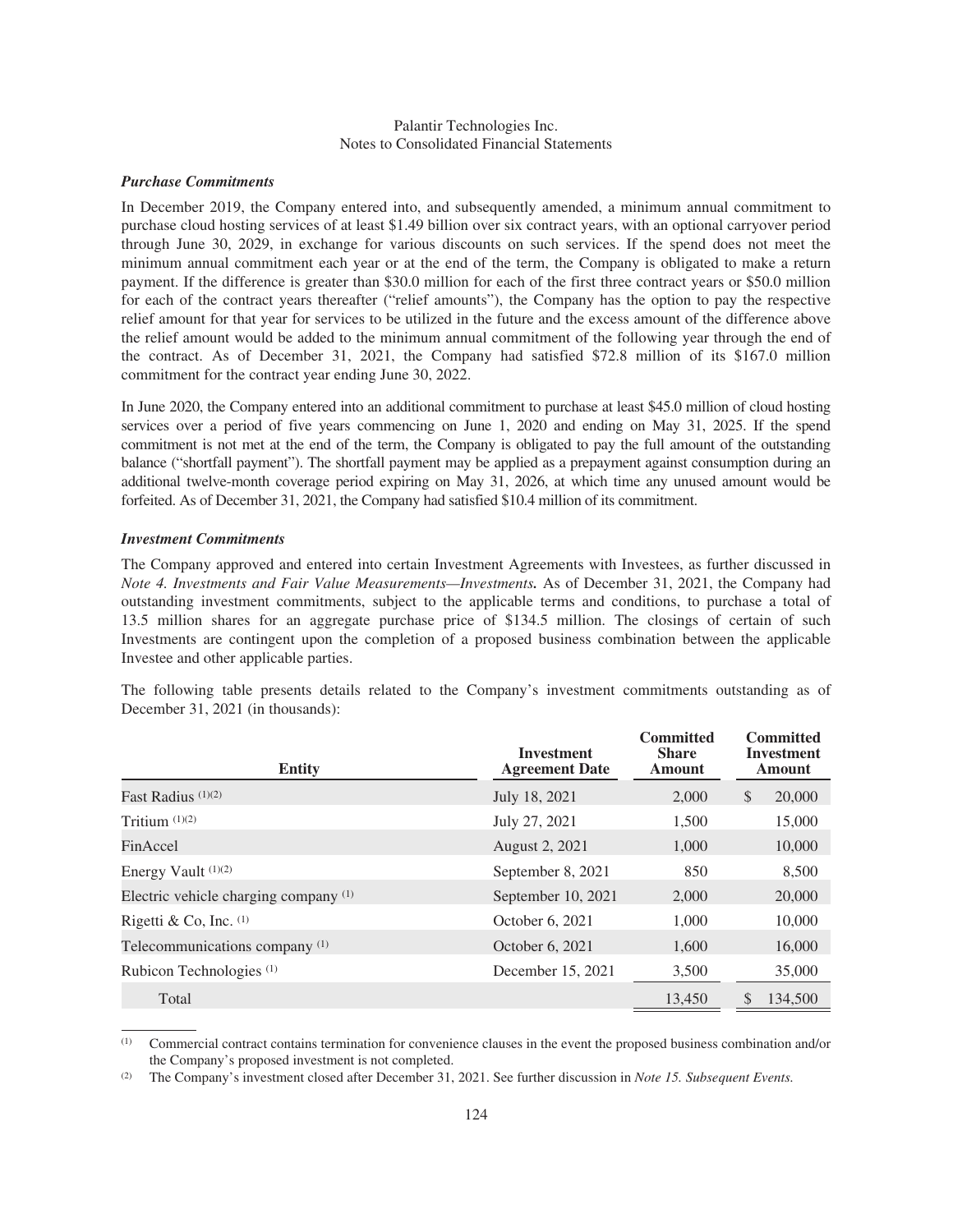## *Purchase Commitments*

In December 2019, the Company entered into, and subsequently amended, a minimum annual commitment to purchase cloud hosting services of at least \$1.49 billion over six contract years, with an optional carryover period through June 30, 2029, in exchange for various discounts on such services. If the spend does not meet the minimum annual commitment each year or at the end of the term, the Company is obligated to make a return payment. If the difference is greater than \$30.0 million for each of the first three contract years or \$50.0 million for each of the contract years thereafter ("relief amounts"), the Company has the option to pay the respective relief amount for that year for services to be utilized in the future and the excess amount of the difference above the relief amount would be added to the minimum annual commitment of the following year through the end of the contract. As of December 31, 2021, the Company had satisfied \$72.8 million of its \$167.0 million commitment for the contract year ending June 30, 2022.

In June 2020, the Company entered into an additional commitment to purchase at least \$45.0 million of cloud hosting services over a period of five years commencing on June 1, 2020 and ending on May 31, 2025. If the spend commitment is not met at the end of the term, the Company is obligated to pay the full amount of the outstanding balance ("shortfall payment"). The shortfall payment may be applied as a prepayment against consumption during an additional twelve-month coverage period expiring on May 31, 2026, at which time any unused amount would be forfeited. As of December 31, 2021, the Company had satisfied \$10.4 million of its commitment.

## *Investment Commitments*

The Company approved and entered into certain Investment Agreements with Investees, as further discussed in *Note 4. Investments and Fair Value Measurements—Investments.* As of December 31, 2021, the Company had outstanding investment commitments, subject to the applicable terms and conditions, to purchase a total of 13.5 million shares for an aggregate purchase price of \$134.5 million. The closings of certain of such Investments are contingent upon the completion of a proposed business combination between the applicable Investee and other applicable parties.

The following table presents details related to the Company's investment commitments outstanding as of December 31, 2021 (in thousands):

| <b>Investment</b><br><b>Entity</b><br><b>Agreement Date</b> |                    | <b>Committed</b><br><b>Share</b><br><b>Amount</b> | <b>Committed</b><br>Investment<br><b>Amount</b> |
|-------------------------------------------------------------|--------------------|---------------------------------------------------|-------------------------------------------------|
| Fast Radius $(1)(2)$                                        | July 18, 2021      | 2,000                                             | $\mathbb{S}$<br>20,000                          |
| Tritium $(1)(2)$                                            | July 27, 2021      | 1,500                                             | 15,000                                          |
| FinAccel                                                    | August 2, 2021     | 1,000                                             | 10,000                                          |
| Energy Vault (1)(2)                                         | September 8, 2021  | 850                                               | 8,500                                           |
| Electric vehicle charging company (1)                       | September 10, 2021 | 2,000                                             | 20,000                                          |
| Rigetti & Co, Inc. $(1)$                                    | October 6, 2021    | 1,000                                             | 10,000                                          |
| Telecommunications company (1)                              | October 6, 2021    | 1,600                                             | 16,000                                          |
| Rubicon Technologies <sup>(1)</sup>                         | December 15, 2021  | 3,500                                             | 35,000                                          |
| Total                                                       |                    | 13,450                                            | \$<br>134,500                                   |

<sup>(1)</sup> Commercial contract contains termination for convenience clauses in the event the proposed business combination and/or the Company's proposed investment is not completed.

<sup>(2)</sup> The Company's investment closed after December 31, 2021. See further discussion in *Note 15. Subsequent Events.*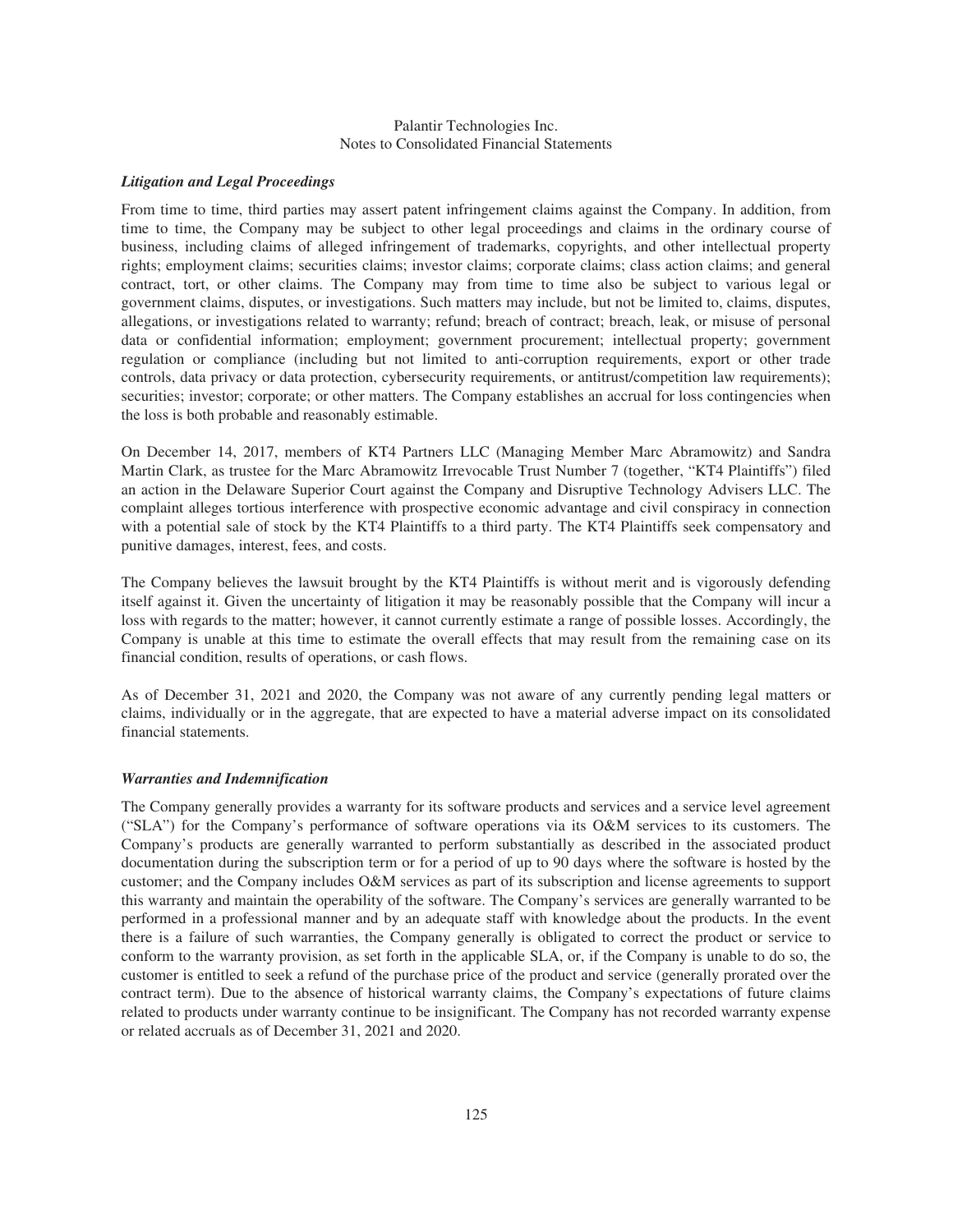### *Litigation and Legal Proceedings*

From time to time, third parties may assert patent infringement claims against the Company. In addition, from time to time, the Company may be subject to other legal proceedings and claims in the ordinary course of business, including claims of alleged infringement of trademarks, copyrights, and other intellectual property rights; employment claims; securities claims; investor claims; corporate claims; class action claims; and general contract, tort, or other claims. The Company may from time to time also be subject to various legal or government claims, disputes, or investigations. Such matters may include, but not be limited to, claims, disputes, allegations, or investigations related to warranty; refund; breach of contract; breach, leak, or misuse of personal data or confidential information; employment; government procurement; intellectual property; government regulation or compliance (including but not limited to anti-corruption requirements, export or other trade controls, data privacy or data protection, cybersecurity requirements, or antitrust/competition law requirements); securities; investor; corporate; or other matters. The Company establishes an accrual for loss contingencies when the loss is both probable and reasonably estimable.

On December 14, 2017, members of KT4 Partners LLC (Managing Member Marc Abramowitz) and Sandra Martin Clark, as trustee for the Marc Abramowitz Irrevocable Trust Number 7 (together, "KT4 Plaintiffs") filed an action in the Delaware Superior Court against the Company and Disruptive Technology Advisers LLC. The complaint alleges tortious interference with prospective economic advantage and civil conspiracy in connection with a potential sale of stock by the KT4 Plaintiffs to a third party. The KT4 Plaintiffs seek compensatory and punitive damages, interest, fees, and costs.

The Company believes the lawsuit brought by the KT4 Plaintiffs is without merit and is vigorously defending itself against it. Given the uncertainty of litigation it may be reasonably possible that the Company will incur a loss with regards to the matter; however, it cannot currently estimate a range of possible losses. Accordingly, the Company is unable at this time to estimate the overall effects that may result from the remaining case on its financial condition, results of operations, or cash flows.

As of December 31, 2021 and 2020, the Company was not aware of any currently pending legal matters or claims, individually or in the aggregate, that are expected to have a material adverse impact on its consolidated financial statements.

#### *Warranties and Indemnification*

The Company generally provides a warranty for its software products and services and a service level agreement ("SLA") for the Company's performance of software operations via its O&M services to its customers. The Company's products are generally warranted to perform substantially as described in the associated product documentation during the subscription term or for a period of up to 90 days where the software is hosted by the customer; and the Company includes O&M services as part of its subscription and license agreements to support this warranty and maintain the operability of the software. The Company's services are generally warranted to be performed in a professional manner and by an adequate staff with knowledge about the products. In the event there is a failure of such warranties, the Company generally is obligated to correct the product or service to conform to the warranty provision, as set forth in the applicable SLA, or, if the Company is unable to do so, the customer is entitled to seek a refund of the purchase price of the product and service (generally prorated over the contract term). Due to the absence of historical warranty claims, the Company's expectations of future claims related to products under warranty continue to be insignificant. The Company has not recorded warranty expense or related accruals as of December 31, 2021 and 2020.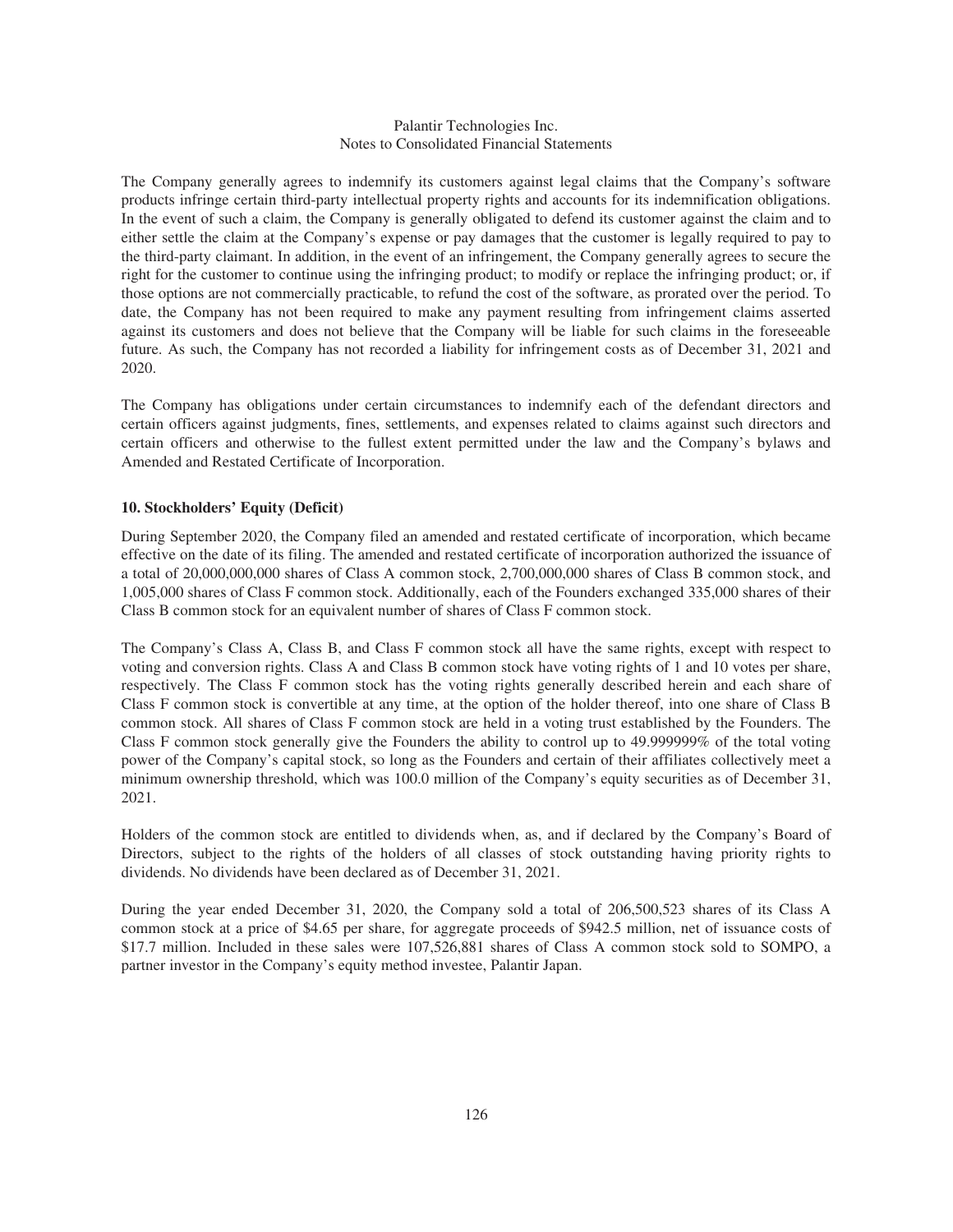The Company generally agrees to indemnify its customers against legal claims that the Company's software products infringe certain third-party intellectual property rights and accounts for its indemnification obligations. In the event of such a claim, the Company is generally obligated to defend its customer against the claim and to either settle the claim at the Company's expense or pay damages that the customer is legally required to pay to the third-party claimant. In addition, in the event of an infringement, the Company generally agrees to secure the right for the customer to continue using the infringing product; to modify or replace the infringing product; or, if those options are not commercially practicable, to refund the cost of the software, as prorated over the period. To date, the Company has not been required to make any payment resulting from infringement claims asserted against its customers and does not believe that the Company will be liable for such claims in the foreseeable future. As such, the Company has not recorded a liability for infringement costs as of December 31, 2021 and 2020.

The Company has obligations under certain circumstances to indemnify each of the defendant directors and certain officers against judgments, fines, settlements, and expenses related to claims against such directors and certain officers and otherwise to the fullest extent permitted under the law and the Company's bylaws and Amended and Restated Certificate of Incorporation.

### **10. Stockholders' Equity (Deficit)**

During September 2020, the Company filed an amended and restated certificate of incorporation, which became effective on the date of its filing. The amended and restated certificate of incorporation authorized the issuance of a total of 20,000,000,000 shares of Class A common stock, 2,700,000,000 shares of Class B common stock, and 1,005,000 shares of Class F common stock. Additionally, each of the Founders exchanged 335,000 shares of their Class B common stock for an equivalent number of shares of Class F common stock.

The Company's Class A, Class B, and Class F common stock all have the same rights, except with respect to voting and conversion rights. Class A and Class B common stock have voting rights of 1 and 10 votes per share, respectively. The Class F common stock has the voting rights generally described herein and each share of Class F common stock is convertible at any time, at the option of the holder thereof, into one share of Class B common stock. All shares of Class F common stock are held in a voting trust established by the Founders. The Class F common stock generally give the Founders the ability to control up to 49.999999% of the total voting power of the Company's capital stock, so long as the Founders and certain of their affiliates collectively meet a minimum ownership threshold, which was 100.0 million of the Company's equity securities as of December 31, 2021.

Holders of the common stock are entitled to dividends when, as, and if declared by the Company's Board of Directors, subject to the rights of the holders of all classes of stock outstanding having priority rights to dividends. No dividends have been declared as of December 31, 2021.

During the year ended December 31, 2020, the Company sold a total of 206,500,523 shares of its Class A common stock at a price of \$4.65 per share, for aggregate proceeds of \$942.5 million, net of issuance costs of \$17.7 million. Included in these sales were 107,526,881 shares of Class A common stock sold to SOMPO, a partner investor in the Company's equity method investee, Palantir Japan.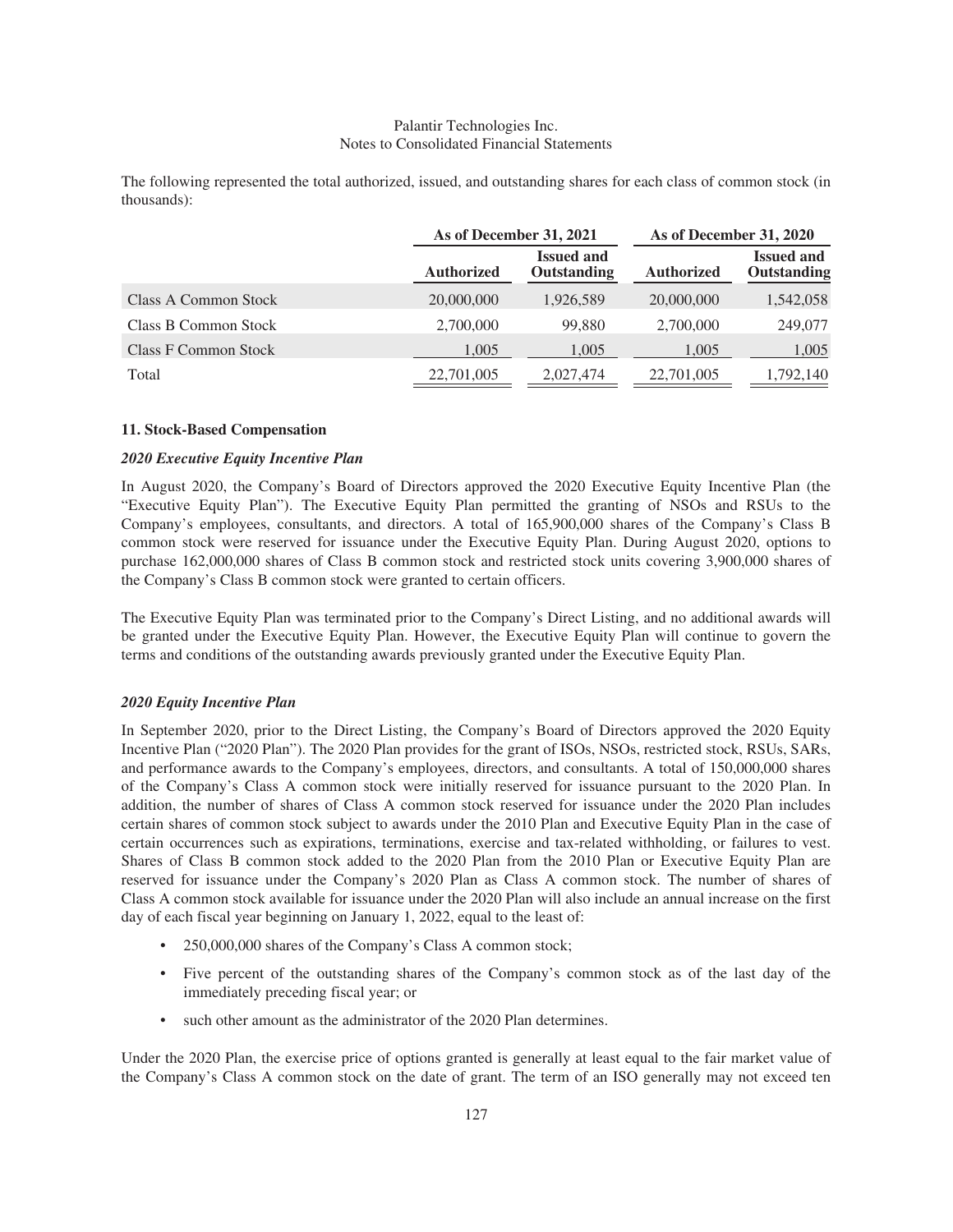The following represented the total authorized, issued, and outstanding shares for each class of common stock (in thousands):

|                      | As of December 31, 2021                |           | As of December 31, 2020 |           |                   |                                  |  |
|----------------------|----------------------------------------|-----------|-------------------------|-----------|-------------------|----------------------------------|--|
|                      | <b>Issued and</b><br><b>Authorized</b> |           | Outstanding             |           | <b>Authorized</b> | <b>Issued and</b><br>Outstanding |  |
| Class A Common Stock | 20,000,000                             | 1,926,589 | 20,000,000              | 1,542,058 |                   |                                  |  |
| Class B Common Stock | 2,700,000                              | 99.880    | 2,700,000               | 249,077   |                   |                                  |  |
| Class F Common Stock | 1.005                                  | 1.005     | 1.005                   | 1,005     |                   |                                  |  |
| Total                | 22,701,005                             | 2,027,474 | 22,701,005              | 1,792,140 |                   |                                  |  |

### **11. Stock-Based Compensation**

### *2020 Executive Equity Incentive Plan*

In August 2020, the Company's Board of Directors approved the 2020 Executive Equity Incentive Plan (the "Executive Equity Plan"). The Executive Equity Plan permitted the granting of NSOs and RSUs to the Company's employees, consultants, and directors. A total of 165,900,000 shares of the Company's Class B common stock were reserved for issuance under the Executive Equity Plan. During August 2020, options to purchase 162,000,000 shares of Class B common stock and restricted stock units covering 3,900,000 shares of the Company's Class B common stock were granted to certain officers.

The Executive Equity Plan was terminated prior to the Company's Direct Listing, and no additional awards will be granted under the Executive Equity Plan. However, the Executive Equity Plan will continue to govern the terms and conditions of the outstanding awards previously granted under the Executive Equity Plan.

#### *2020 Equity Incentive Plan*

In September 2020, prior to the Direct Listing, the Company's Board of Directors approved the 2020 Equity Incentive Plan ("2020 Plan"). The 2020 Plan provides for the grant of ISOs, NSOs, restricted stock, RSUs, SARs, and performance awards to the Company's employees, directors, and consultants. A total of 150,000,000 shares of the Company's Class A common stock were initially reserved for issuance pursuant to the 2020 Plan. In addition, the number of shares of Class A common stock reserved for issuance under the 2020 Plan includes certain shares of common stock subject to awards under the 2010 Plan and Executive Equity Plan in the case of certain occurrences such as expirations, terminations, exercise and tax-related withholding, or failures to vest. Shares of Class B common stock added to the 2020 Plan from the 2010 Plan or Executive Equity Plan are reserved for issuance under the Company's 2020 Plan as Class A common stock. The number of shares of Class A common stock available for issuance under the 2020 Plan will also include an annual increase on the first day of each fiscal year beginning on January 1, 2022, equal to the least of:

- 250,000,000 shares of the Company's Class A common stock;
- Five percent of the outstanding shares of the Company's common stock as of the last day of the immediately preceding fiscal year; or
- such other amount as the administrator of the 2020 Plan determines.

Under the 2020 Plan, the exercise price of options granted is generally at least equal to the fair market value of the Company's Class A common stock on the date of grant. The term of an ISO generally may not exceed ten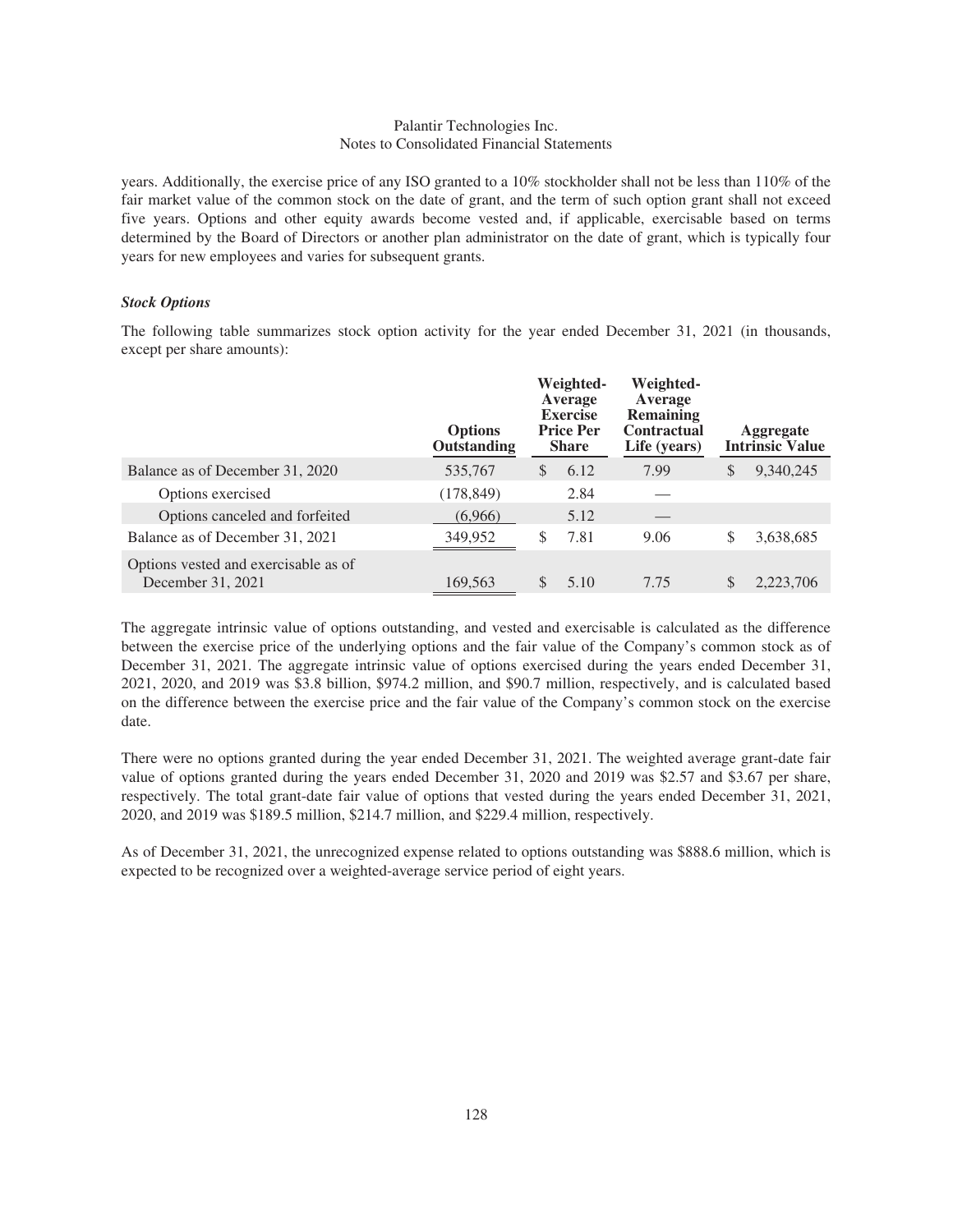years. Additionally, the exercise price of any ISO granted to a 10% stockholder shall not be less than 110% of the fair market value of the common stock on the date of grant, and the term of such option grant shall not exceed five years. Options and other equity awards become vested and, if applicable, exercisable based on terms determined by the Board of Directors or another plan administrator on the date of grant, which is typically four years for new employees and varies for subsequent grants.

### *Stock Options*

The following table summarizes stock option activity for the year ended December 31, 2021 (in thousands, except per share amounts):

|                                                           | <b>Options</b><br>Outstanding |    | Weighted-<br>Average<br><b>Exercise</b><br><b>Price Per</b><br><b>Share</b> | Weighted-<br>Average<br><b>Remaining</b><br><b>Contractual</b><br>Life (years) | Aggregate<br><b>Intrinsic Value</b> |
|-----------------------------------------------------------|-------------------------------|----|-----------------------------------------------------------------------------|--------------------------------------------------------------------------------|-------------------------------------|
| Balance as of December 31, 2020                           | 535,767                       | \$ | 6.12                                                                        | 7.99                                                                           | \$<br>9,340,245                     |
| Options exercised                                         | (178, 849)                    |    | 2.84                                                                        |                                                                                |                                     |
| Options canceled and forfeited                            | (6,966)                       |    | 5.12                                                                        |                                                                                |                                     |
| Balance as of December 31, 2021                           | 349,952                       | S  | 7.81                                                                        | 9.06                                                                           | \$<br>3,638,685                     |
| Options vested and exercisable as of<br>December 31, 2021 | 169,563                       | \$ | 5.10                                                                        | 7.75                                                                           | \$<br>2.223.706                     |

The aggregate intrinsic value of options outstanding, and vested and exercisable is calculated as the difference between the exercise price of the underlying options and the fair value of the Company's common stock as of December 31, 2021. The aggregate intrinsic value of options exercised during the years ended December 31, 2021, 2020, and 2019 was \$3.8 billion, \$974.2 million, and \$90.7 million, respectively, and is calculated based on the difference between the exercise price and the fair value of the Company's common stock on the exercise date.

There were no options granted during the year ended December 31, 2021. The weighted average grant-date fair value of options granted during the years ended December 31, 2020 and 2019 was \$2.57 and \$3.67 per share, respectively. The total grant-date fair value of options that vested during the years ended December 31, 2021, 2020, and 2019 was \$189.5 million, \$214.7 million, and \$229.4 million, respectively.

As of December 31, 2021, the unrecognized expense related to options outstanding was \$888.6 million, which is expected to be recognized over a weighted-average service period of eight years.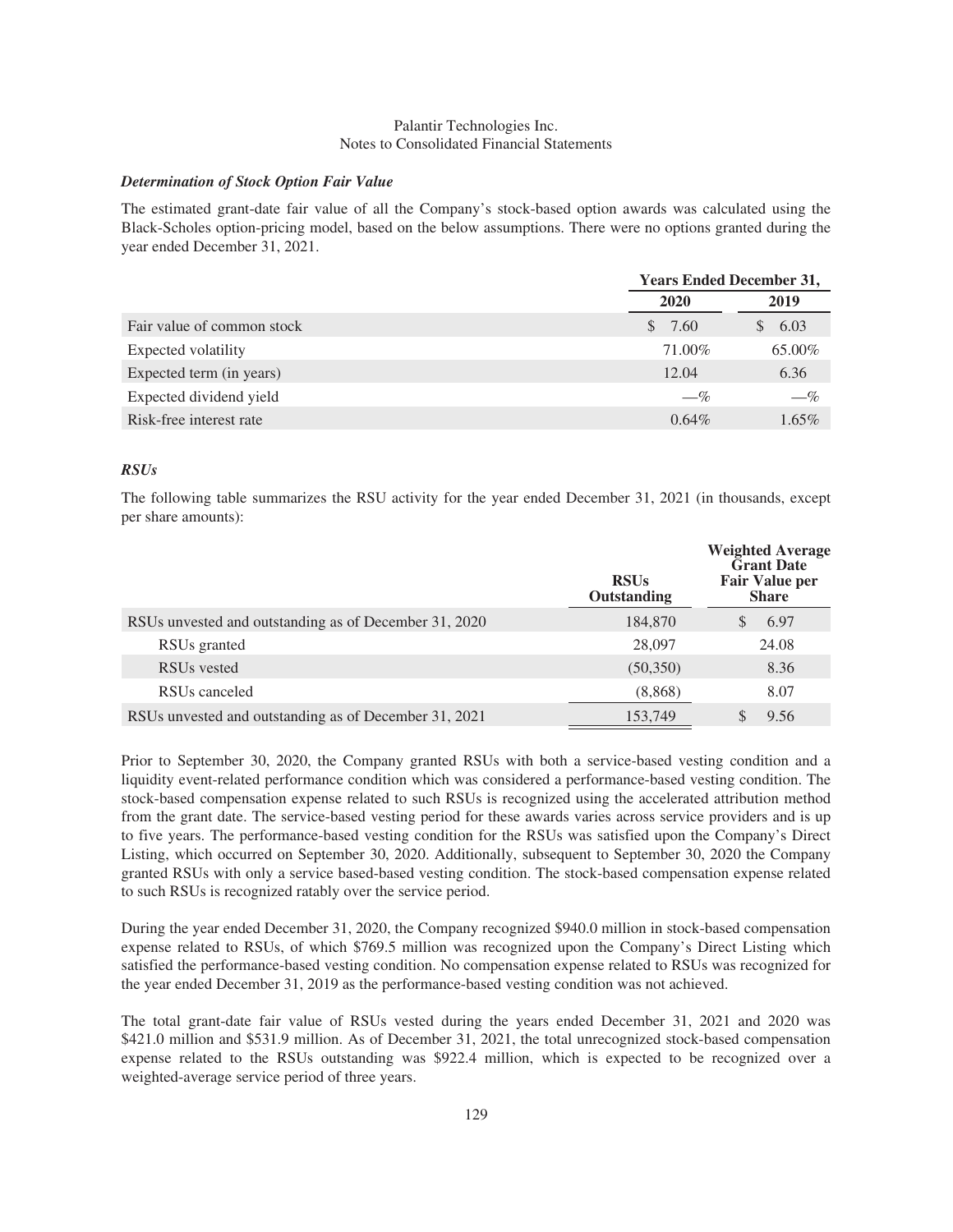### *Determination of Stock Option Fair Value*

The estimated grant-date fair value of all the Company's stock-based option awards was calculated using the Black-Scholes option-pricing model, based on the below assumptions. There were no options granted during the year ended December 31, 2021.

|                            | <b>Years Ended December 31,</b> |          |  |  |
|----------------------------|---------------------------------|----------|--|--|
|                            | 2020                            |          |  |  |
| Fair value of common stock | S.<br>7.60                      | 6.03     |  |  |
| Expected volatility        | 71.00%                          | 65.00%   |  |  |
| Expected term (in years)   | 12.04                           | 6.36     |  |  |
| Expected dividend yield    | $-\%$                           | $-\%$    |  |  |
| Risk-free interest rate    | $0.64\%$                        | $1.65\%$ |  |  |

## *RSUs*

The following table summarizes the RSU activity for the year ended December 31, 2021 (in thousands, except per share amounts):

|                                                       | <b>RSUs</b><br>Outstanding | <b>Weighted Average</b><br><b>Grant Date</b><br><b>Fair Value per</b><br><b>Share</b> |
|-------------------------------------------------------|----------------------------|---------------------------------------------------------------------------------------|
| RSUs unvested and outstanding as of December 31, 2020 | 184,870                    | 6.97                                                                                  |
| RSU <sub>s</sub> granted                              | 28,097                     | 24.08                                                                                 |
| RSU <sub>s</sub> vested                               | (50,350)                   | 8.36                                                                                  |
| RSU <sub>s</sub> canceled                             | (8, 868)                   | 8.07                                                                                  |
| RSUs unvested and outstanding as of December 31, 2021 | 153,749                    | 9.56                                                                                  |

Prior to September 30, 2020, the Company granted RSUs with both a service-based vesting condition and a liquidity event-related performance condition which was considered a performance-based vesting condition. The stock-based compensation expense related to such RSUs is recognized using the accelerated attribution method from the grant date. The service-based vesting period for these awards varies across service providers and is up to five years. The performance-based vesting condition for the RSUs was satisfied upon the Company's Direct Listing, which occurred on September 30, 2020. Additionally, subsequent to September 30, 2020 the Company granted RSUs with only a service based-based vesting condition. The stock-based compensation expense related to such RSUs is recognized ratably over the service period.

During the year ended December 31, 2020, the Company recognized \$940.0 million in stock-based compensation expense related to RSUs, of which \$769.5 million was recognized upon the Company's Direct Listing which satisfied the performance-based vesting condition. No compensation expense related to RSUs was recognized for the year ended December 31, 2019 as the performance-based vesting condition was not achieved.

The total grant-date fair value of RSUs vested during the years ended December 31, 2021 and 2020 was \$421.0 million and \$531.9 million. As of December 31, 2021, the total unrecognized stock-based compensation expense related to the RSUs outstanding was \$922.4 million, which is expected to be recognized over a weighted-average service period of three years.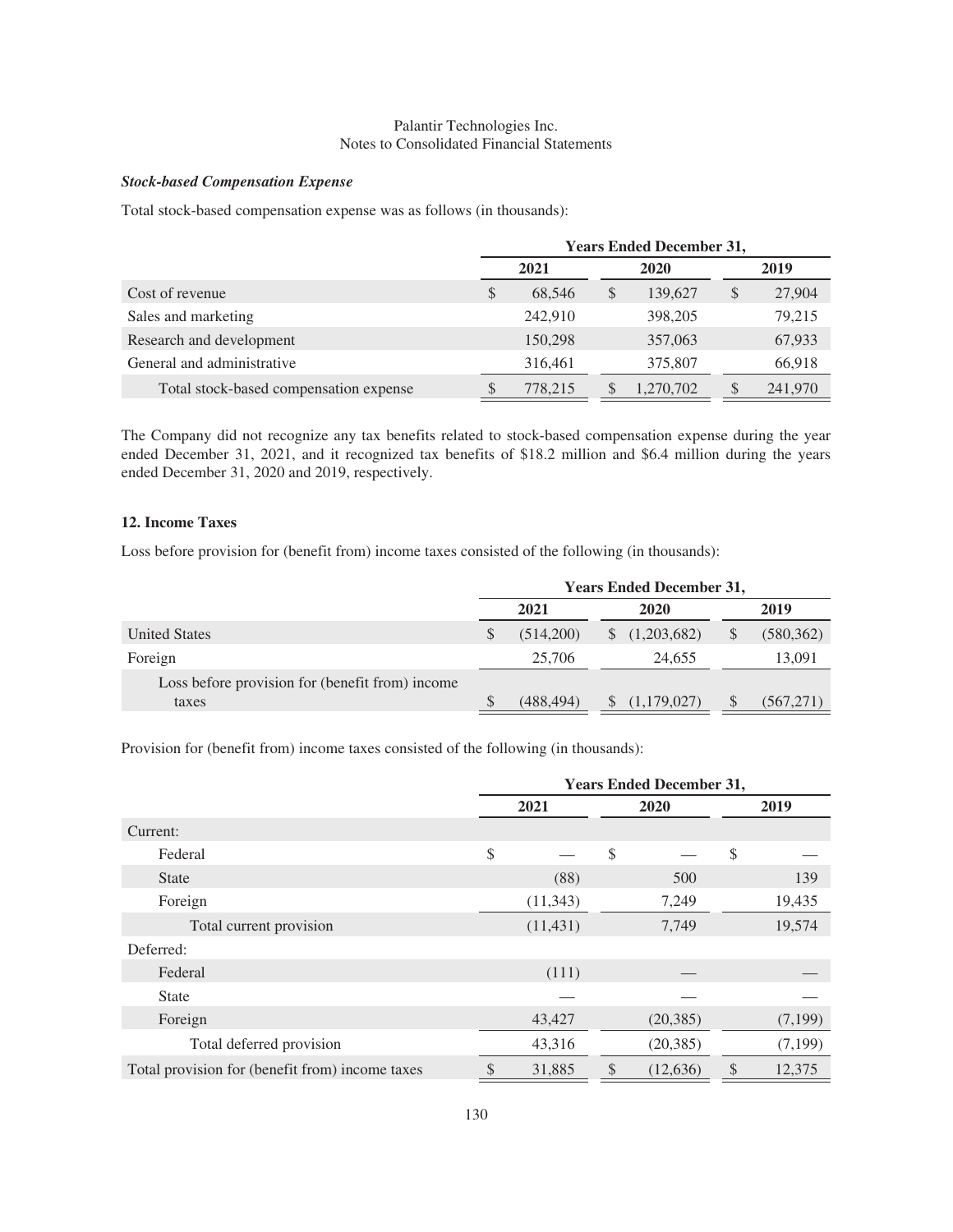# *Stock-based Compensation Expense*

Total stock-based compensation expense was as follows (in thousands):

|                                        | <b>Years Ended December 31,</b> |              |               |           |      |         |  |  |  |
|----------------------------------------|---------------------------------|--------------|---------------|-----------|------|---------|--|--|--|
|                                        |                                 | 2020<br>2021 |               |           | 2019 |         |  |  |  |
| Cost of revenue                        | <b>S</b>                        | 68.546       | $\mathcal{S}$ | 139,627   | S    | 27,904  |  |  |  |
| Sales and marketing                    |                                 | 242,910      |               | 398,205   |      | 79,215  |  |  |  |
| Research and development               |                                 | 150,298      |               | 357,063   |      | 67,933  |  |  |  |
| General and administrative             |                                 | 316,461      |               | 375,807   |      | 66,918  |  |  |  |
| Total stock-based compensation expense |                                 | 778.215      |               | 1,270,702 |      | 241,970 |  |  |  |

The Company did not recognize any tax benefits related to stock-based compensation expense during the year ended December 31, 2021, and it recognized tax benefits of \$18.2 million and \$6.4 million during the years ended December 31, 2020 and 2019, respectively.

## **12. Income Taxes**

Loss before provision for (benefit from) income taxes consisted of the following (in thousands):

|                                                 | <b>Years Ended December 31,</b> |            |  |             |  |   |            |  |
|-------------------------------------------------|---------------------------------|------------|--|-------------|--|---|------------|--|
|                                                 | 2021                            |            |  | 2020        |  |   | 2019       |  |
| <b>United States</b>                            | <sup>\$</sup>                   | (514,200)  |  | (1,203,682) |  | S | (580, 362) |  |
| Foreign                                         |                                 | 25,706     |  | 24.655      |  |   | 13,091     |  |
| Loss before provision for (benefit from) income |                                 |            |  |             |  |   |            |  |
| taxes                                           |                                 | (488, 494) |  | (1,179,027) |  | S | (567, 271) |  |

Provision for (benefit from) income taxes consisted of the following (in thousands):

|                                                 | <b>Years Ended December 31,</b> |           |                           |           |               |          |
|-------------------------------------------------|---------------------------------|-----------|---------------------------|-----------|---------------|----------|
|                                                 |                                 | 2021      | 2020                      |           |               | 2019     |
| Current:                                        |                                 |           |                           |           |               |          |
| Federal                                         | $\mathcal{S}$                   |           | $\boldsymbol{\mathsf{S}}$ |           | $\mathcal{S}$ |          |
| <b>State</b>                                    |                                 | (88)      |                           | 500       |               | 139      |
| Foreign                                         |                                 | (11, 343) |                           | 7,249     |               | 19,435   |
| Total current provision                         |                                 | (11, 431) |                           | 7,749     |               | 19,574   |
| Deferred:                                       |                                 |           |                           |           |               |          |
| Federal                                         |                                 | (111)     |                           |           |               |          |
| <b>State</b>                                    |                                 |           |                           |           |               |          |
| Foreign                                         |                                 | 43,427    |                           | (20, 385) |               | (7,199)  |
| Total deferred provision                        |                                 | 43,316    |                           | (20, 385) |               | (7, 199) |
| Total provision for (benefit from) income taxes | S                               | 31,885    | $\frac{1}{2}$             | (12, 636) | \$            | 12,375   |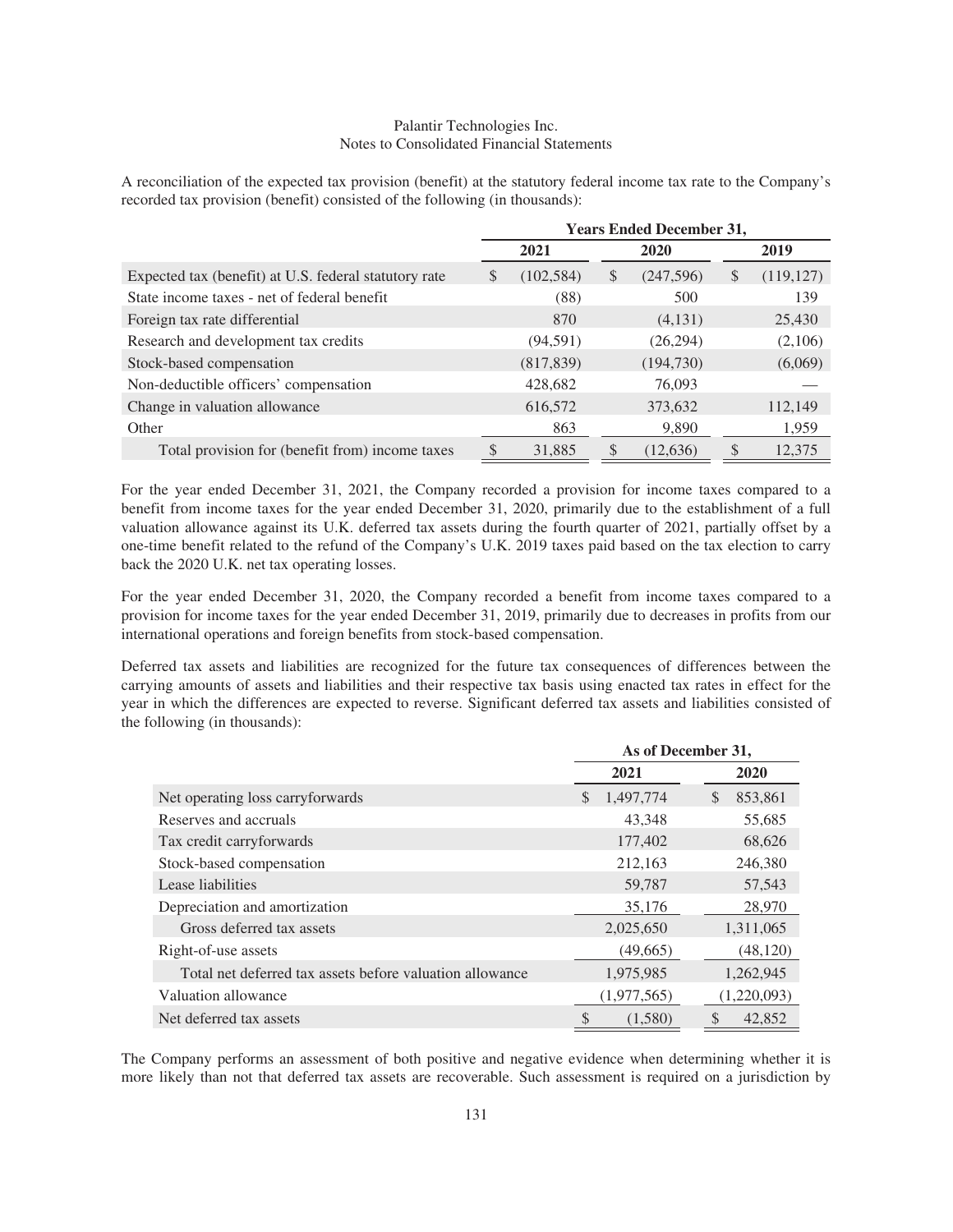A reconciliation of the expected tax provision (benefit) at the statutory federal income tax rate to the Company's recorded tax provision (benefit) consisted of the following (in thousands):

|                                                       | <b>Years Ended December 31,</b> |            |      |            |    |            |  |  |      |  |
|-------------------------------------------------------|---------------------------------|------------|------|------------|----|------------|--|--|------|--|
|                                                       | 2021                            |            | 2020 |            |    |            |  |  | 2019 |  |
| Expected tax (benefit) at U.S. federal statutory rate |                                 | (102, 584) | S    | (247, 596) | S  | (119, 127) |  |  |      |  |
| State income taxes - net of federal benefit           |                                 | (88)       |      | 500        |    | 139        |  |  |      |  |
| Foreign tax rate differential                         |                                 | 870        |      | (4,131)    |    | 25,430     |  |  |      |  |
| Research and development tax credits                  |                                 | (94, 591)  |      | (26, 294)  |    | (2,106)    |  |  |      |  |
| Stock-based compensation                              |                                 | (817, 839) |      | (194, 730) |    | (6,069)    |  |  |      |  |
| Non-deductible officers' compensation                 |                                 | 428,682    |      | 76,093     |    |            |  |  |      |  |
| Change in valuation allowance                         |                                 | 616,572    |      | 373,632    |    | 112,149    |  |  |      |  |
| Other                                                 |                                 | 863        |      | 9,890      |    | 1,959      |  |  |      |  |
| Total provision for (benefit from) income taxes       |                                 | 31,885     | \$   | (12, 636)  | \$ | 12,375     |  |  |      |  |

For the year ended December 31, 2021, the Company recorded a provision for income taxes compared to a benefit from income taxes for the year ended December 31, 2020, primarily due to the establishment of a full valuation allowance against its U.K. deferred tax assets during the fourth quarter of 2021, partially offset by a one-time benefit related to the refund of the Company's U.K. 2019 taxes paid based on the tax election to carry back the 2020 U.K. net tax operating losses.

For the year ended December 31, 2020, the Company recorded a benefit from income taxes compared to a provision for income taxes for the year ended December 31, 2019, primarily due to decreases in profits from our international operations and foreign benefits from stock-based compensation.

Deferred tax assets and liabilities are recognized for the future tax consequences of differences between the carrying amounts of assets and liabilities and their respective tax basis using enacted tax rates in effect for the year in which the differences are expected to reverse. Significant deferred tax assets and liabilities consisted of the following (in thousands):

|                                                          | As of December 31,       |              |
|----------------------------------------------------------|--------------------------|--------------|
|                                                          | 2021                     | 2020         |
| Net operating loss carryforwards                         | 1,497,774<br>S.          | 853,861<br>S |
| Reserves and accruals                                    | 43,348                   | 55,685       |
| Tax credit carryforwards                                 | 177,402                  | 68,626       |
| Stock-based compensation                                 | 212,163                  | 246,380      |
| Lease liabilities                                        | 59,787                   | 57,543       |
| Depreciation and amortization                            | 35,176                   | 28,970       |
| Gross deferred tax assets                                | 2,025,650                | 1,311,065    |
| Right-of-use assets                                      | (49,665)                 | (48, 120)    |
| Total net deferred tax assets before valuation allowance | 1,975,985                | 1,262,945    |
| Valuation allowance                                      | (1,977,565)              | (1,220,093)  |
| Net deferred tax assets                                  | <sup>\$</sup><br>(1,580) | 42,852<br>S  |

The Company performs an assessment of both positive and negative evidence when determining whether it is more likely than not that deferred tax assets are recoverable. Such assessment is required on a jurisdiction by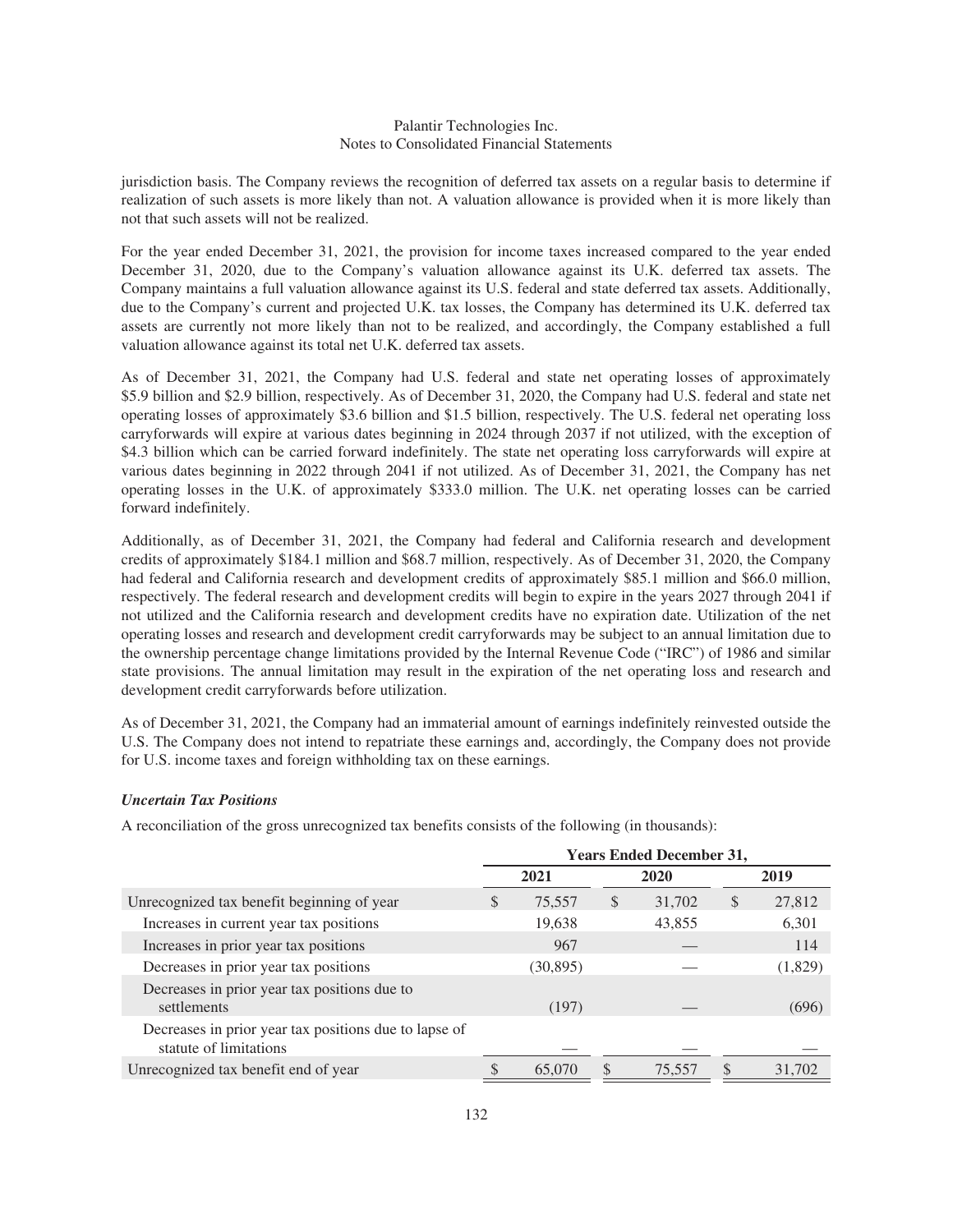jurisdiction basis. The Company reviews the recognition of deferred tax assets on a regular basis to determine if realization of such assets is more likely than not. A valuation allowance is provided when it is more likely than not that such assets will not be realized.

For the year ended December 31, 2021, the provision for income taxes increased compared to the year ended December 31, 2020, due to the Company's valuation allowance against its U.K. deferred tax assets. The Company maintains a full valuation allowance against its U.S. federal and state deferred tax assets. Additionally, due to the Company's current and projected U.K. tax losses, the Company has determined its U.K. deferred tax assets are currently not more likely than not to be realized, and accordingly, the Company established a full valuation allowance against its total net U.K. deferred tax assets.

As of December 31, 2021, the Company had U.S. federal and state net operating losses of approximately \$5.9 billion and \$2.9 billion, respectively. As of December 31, 2020, the Company had U.S. federal and state net operating losses of approximately \$3.6 billion and \$1.5 billion, respectively. The U.S. federal net operating loss carryforwards will expire at various dates beginning in 2024 through 2037 if not utilized, with the exception of \$4.3 billion which can be carried forward indefinitely. The state net operating loss carryforwards will expire at various dates beginning in 2022 through 2041 if not utilized. As of December 31, 2021, the Company has net operating losses in the U.K. of approximately \$333.0 million. The U.K. net operating losses can be carried forward indefinitely.

Additionally, as of December 31, 2021, the Company had federal and California research and development credits of approximately \$184.1 million and \$68.7 million, respectively. As of December 31, 2020, the Company had federal and California research and development credits of approximately \$85.1 million and \$66.0 million, respectively. The federal research and development credits will begin to expire in the years 2027 through 2041 if not utilized and the California research and development credits have no expiration date. Utilization of the net operating losses and research and development credit carryforwards may be subject to an annual limitation due to the ownership percentage change limitations provided by the Internal Revenue Code ("IRC") of 1986 and similar state provisions. The annual limitation may result in the expiration of the net operating loss and research and development credit carryforwards before utilization.

As of December 31, 2021, the Company had an immaterial amount of earnings indefinitely reinvested outside the U.S. The Company does not intend to repatriate these earnings and, accordingly, the Company does not provide for U.S. income taxes and foreign withholding tax on these earnings.

### *Uncertain Tax Positions*

A reconciliation of the gross unrecognized tax benefits consists of the following (in thousands):

|                                                                                 | <b>Years Ended December 31,</b> |           |             |        |   |         |  |
|---------------------------------------------------------------------------------|---------------------------------|-----------|-------------|--------|---|---------|--|
|                                                                                 |                                 | 2021      | <b>2020</b> |        |   | 2019    |  |
| Unrecognized tax benefit beginning of year                                      | S                               | 75,557    | S           | 31,702 | S | 27,812  |  |
| Increases in current year tax positions                                         |                                 | 19,638    |             | 43,855 |   | 6,301   |  |
| Increases in prior year tax positions                                           |                                 | 967       |             |        |   | 114     |  |
| Decreases in prior year tax positions                                           |                                 | (30, 895) |             |        |   | (1,829) |  |
| Decreases in prior year tax positions due to<br>settlements                     |                                 | (197)     |             |        |   | (696)   |  |
| Decreases in prior year tax positions due to lapse of<br>statute of limitations |                                 |           |             |        |   |         |  |
| Unrecognized tax benefit end of year                                            |                                 | 65,070    |             | 75,557 |   | 31,702  |  |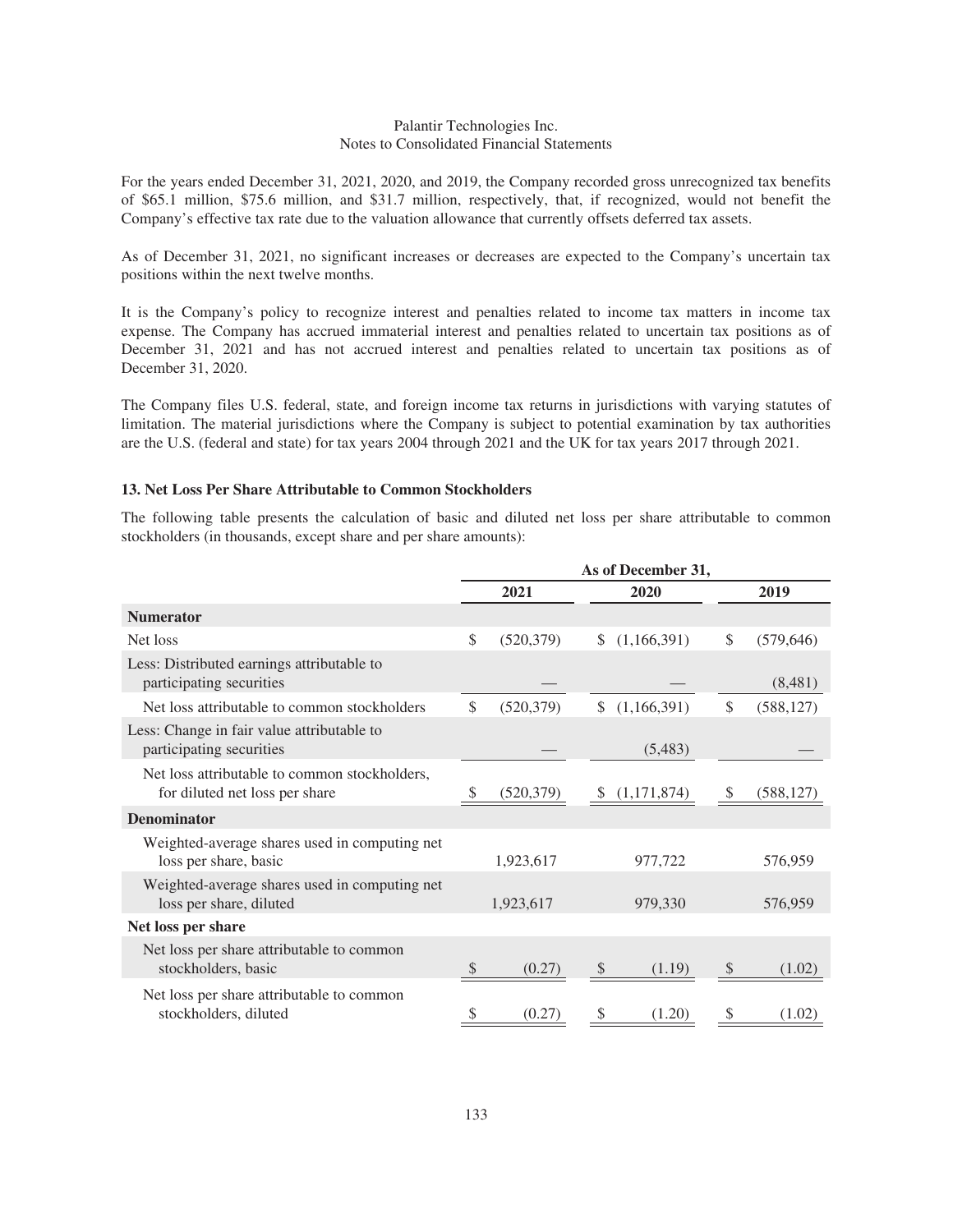For the years ended December 31, 2021, 2020, and 2019, the Company recorded gross unrecognized tax benefits of \$65.1 million, \$75.6 million, and \$31.7 million, respectively, that, if recognized, would not benefit the Company's effective tax rate due to the valuation allowance that currently offsets deferred tax assets.

As of December 31, 2021, no significant increases or decreases are expected to the Company's uncertain tax positions within the next twelve months.

It is the Company's policy to recognize interest and penalties related to income tax matters in income tax expense. The Company has accrued immaterial interest and penalties related to uncertain tax positions as of December 31, 2021 and has not accrued interest and penalties related to uncertain tax positions as of December 31, 2020.

The Company files U.S. federal, state, and foreign income tax returns in jurisdictions with varying statutes of limitation. The material jurisdictions where the Company is subject to potential examination by tax authorities are the U.S. (federal and state) for tax years 2004 through 2021 and the UK for tax years 2017 through 2021.

## **13. Net Loss Per Share Attributable to Common Stockholders**

The following table presents the calculation of basic and diluted net loss per share attributable to common stockholders (in thousands, except share and per share amounts):

|                                                                                 | As of December 31, |            |                |             |    |            |  |  |  |
|---------------------------------------------------------------------------------|--------------------|------------|----------------|-------------|----|------------|--|--|--|
|                                                                                 |                    | 2021       |                | 2020        |    | 2019       |  |  |  |
| <b>Numerator</b>                                                                |                    |            |                |             |    |            |  |  |  |
| Net loss                                                                        | \$                 | (520, 379) | $\mathbb{S}^-$ | (1,166,391) | \$ | (579, 646) |  |  |  |
| Less: Distributed earnings attributable to<br>participating securities          |                    |            |                |             |    | (8,481)    |  |  |  |
| Net loss attributable to common stockholders                                    | \$                 | (520, 379) | $\mathbb{S}$   | (1,166,391) | \$ | (588, 127) |  |  |  |
| Less: Change in fair value attributable to<br>participating securities          |                    |            |                | (5,483)     |    |            |  |  |  |
| Net loss attributable to common stockholders,<br>for diluted net loss per share |                    | (520, 379) | <sup>\$</sup>  | (1,171,874) | \$ | (588, 127) |  |  |  |
| <b>Denominator</b>                                                              |                    |            |                |             |    |            |  |  |  |
| Weighted-average shares used in computing net<br>loss per share, basic          |                    | 1,923,617  |                | 977,722     |    | 576,959    |  |  |  |
| Weighted-average shares used in computing net<br>loss per share, diluted        |                    | 1,923,617  |                | 979,330     |    | 576,959    |  |  |  |
| Net loss per share                                                              |                    |            |                |             |    |            |  |  |  |
| Net loss per share attributable to common<br>stockholders, basic                | \$                 | (0.27)     | \$             | (1.19)      | \$ | (1.02)     |  |  |  |
| Net loss per share attributable to common<br>stockholders, diluted              | \$                 | (0.27)     | \$             | (1.20)      | \$ | (1.02)     |  |  |  |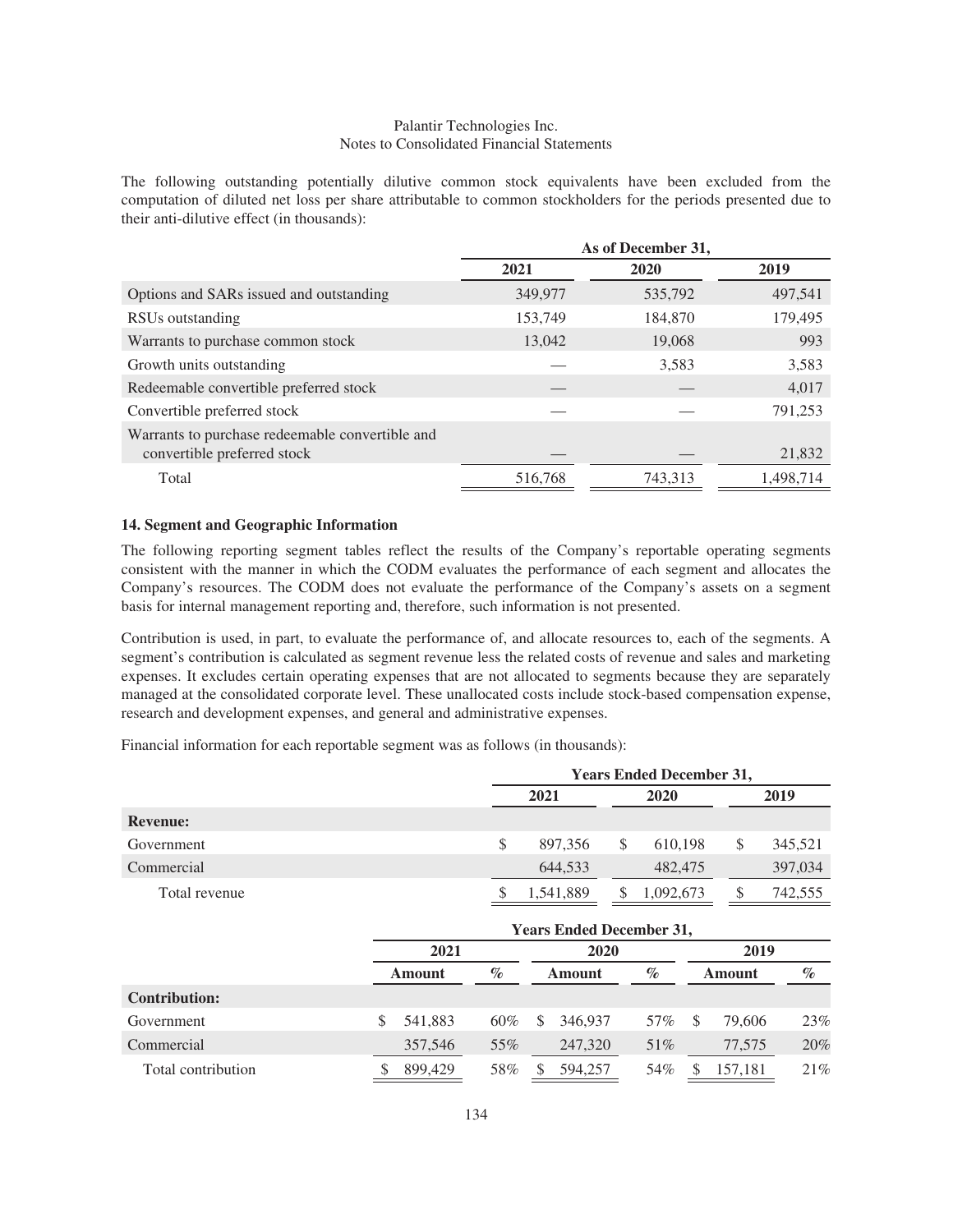The following outstanding potentially dilutive common stock equivalents have been excluded from the computation of diluted net loss per share attributable to common stockholders for the periods presented due to their anti-dilutive effect (in thousands):

|                                                                                | As of December 31, |         |           |  |  |  |  |  |  |
|--------------------------------------------------------------------------------|--------------------|---------|-----------|--|--|--|--|--|--|
|                                                                                | 2021               | 2020    | 2019      |  |  |  |  |  |  |
| Options and SARs issued and outstanding                                        | 349,977            | 535,792 | 497,541   |  |  |  |  |  |  |
| RSU <sub>s</sub> outstanding                                                   | 153,749            | 184,870 | 179,495   |  |  |  |  |  |  |
| Warrants to purchase common stock                                              | 13,042             | 19,068  | 993       |  |  |  |  |  |  |
| Growth units outstanding                                                       |                    | 3,583   | 3,583     |  |  |  |  |  |  |
| Redeemable convertible preferred stock                                         |                    |         | 4,017     |  |  |  |  |  |  |
| Convertible preferred stock                                                    |                    |         | 791,253   |  |  |  |  |  |  |
| Warrants to purchase redeemable convertible and<br>convertible preferred stock |                    |         | 21,832    |  |  |  |  |  |  |
| Total                                                                          | 516,768            | 743,313 | 1,498,714 |  |  |  |  |  |  |

### **14. Segment and Geographic Information**

The following reporting segment tables reflect the results of the Company's reportable operating segments consistent with the manner in which the CODM evaluates the performance of each segment and allocates the Company's resources. The CODM does not evaluate the performance of the Company's assets on a segment basis for internal management reporting and, therefore, such information is not presented.

Contribution is used, in part, to evaluate the performance of, and allocate resources to, each of the segments. A segment's contribution is calculated as segment revenue less the related costs of revenue and sales and marketing expenses. It excludes certain operating expenses that are not allocated to segments because they are separately managed at the consolidated corporate level. These unallocated costs include stock-based compensation expense, research and development expenses, and general and administrative expenses.

Financial information for each reportable segment was as follows (in thousands):

|                      | <b>Years Ended December 31,</b> |      |                                 |      |           |               |               |         |
|----------------------|---------------------------------|------|---------------------------------|------|-----------|---------------|---------------|---------|
|                      |                                 | 2021 |                                 |      | 2020      |               |               | 2019    |
| <b>Revenue:</b>      |                                 |      |                                 |      |           |               |               |         |
| Government           |                                 | \$   | 897,356                         | \$   | 610,198   |               | \$            | 345,521 |
| Commercial           |                                 |      | 644,533                         |      | 482,475   |               |               | 397,034 |
| Total revenue        |                                 |      | 1,541,889                       | S    | 1,092,673 |               | S             | 742,555 |
|                      |                                 |      | <b>Years Ended December 31,</b> |      |           |               |               |         |
|                      | 2021                            |      |                                 | 2020 |           |               | 2019          |         |
|                      | <b>Amount</b>                   | $\%$ | <b>Amount</b>                   |      | $\%$      |               | <b>Amount</b> | $\%$    |
| <b>Contribution:</b> |                                 |      |                                 |      |           |               |               |         |
| Government           | \$<br>541,883                   | 60%  | S<br>346,937                    |      | 57%       | <sup>\$</sup> | 79,606        | 23%     |
| Commercial           | 357,546                         | 55%  | 247,320                         |      | 51%       |               | 77,575        | 20%     |
| Total contribution   | \$<br>899,429                   | 58%  | \$<br>594,257                   |      | 54%       | \$            | 157.181       | 21%     |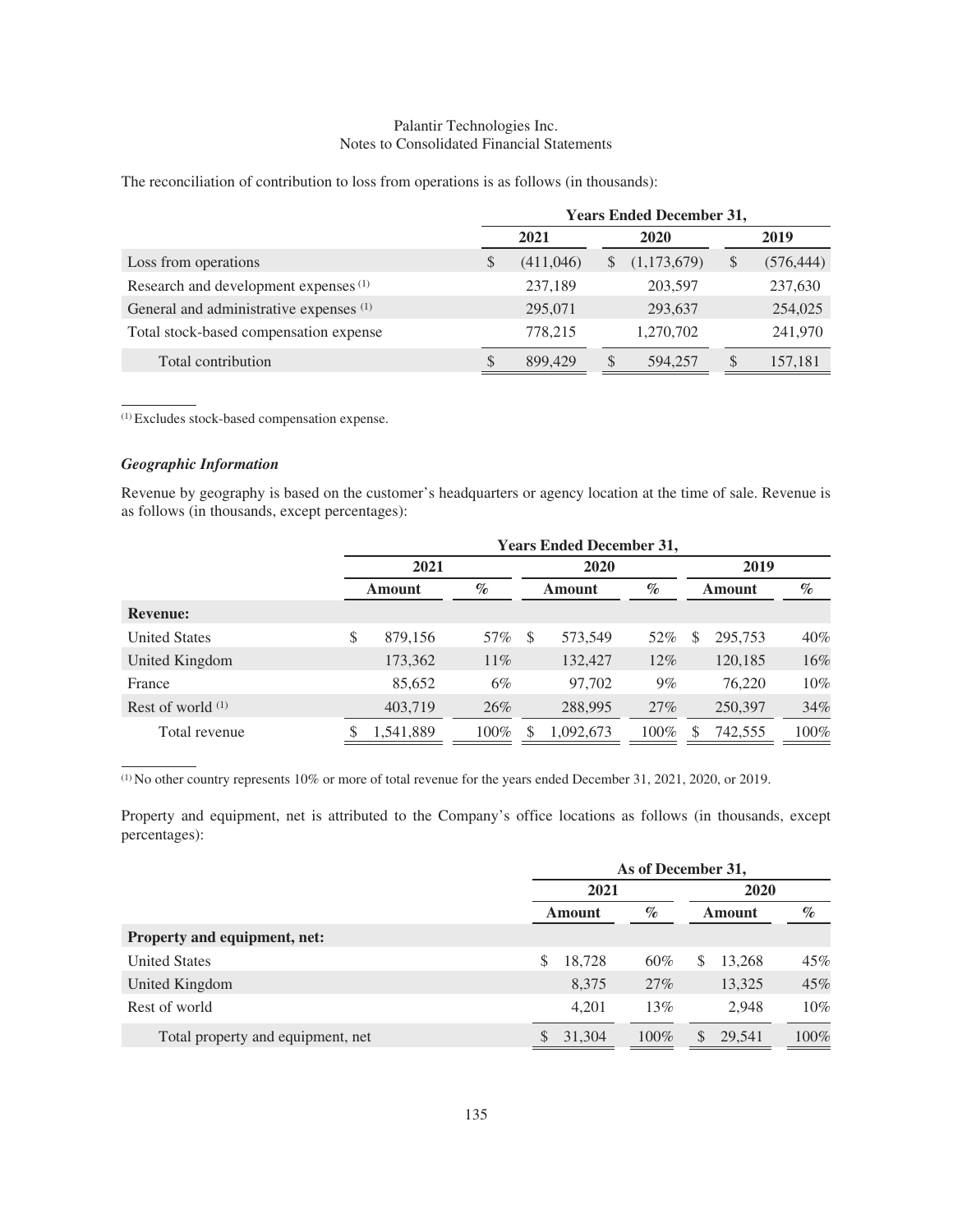The reconciliation of contribution to loss from operations is as follows (in thousands):

|                                                  | <b>Years Ended December 31,</b> |           |  |             |   |            |  |  |
|--------------------------------------------------|---------------------------------|-----------|--|-------------|---|------------|--|--|
|                                                  |                                 | 2021      |  | 2020        |   | 2019       |  |  |
| Loss from operations                             |                                 | (411,046) |  | (1,173,679) | S | (576, 444) |  |  |
| Research and development expenses <sup>(1)</sup> |                                 | 237,189   |  | 203,597     |   | 237,630    |  |  |
| General and administrative expenses (1)          |                                 | 295,071   |  | 293,637     |   | 254,025    |  |  |
| Total stock-based compensation expense           |                                 | 778,215   |  | 1,270,702   |   | 241,970    |  |  |
| Total contribution                               |                                 | 899,429   |  | 594,257     | S | 157,181    |  |  |

(1) Excludes stock-based compensation expense.

## *Geographic Information*

Revenue by geography is based on the customer's headquarters or agency location at the time of sale. Revenue is as follows (in thousands, except percentages):

|                      | <b>Years Ended December 31,</b> |      |      |               |        |      |               |      |
|----------------------|---------------------------------|------|------|---------------|--------|------|---------------|------|
|                      | 2021                            |      | 2020 |               |        | 2019 |               |      |
|                      | <b>Amount</b>                   | $\%$ |      | <b>Amount</b> | $\%$   |      | <b>Amount</b> | $\%$ |
| <b>Revenue:</b>      |                                 |      |      |               |        |      |               |      |
| <b>United States</b> | \$<br>879,156                   | 57%  | -S   | 573,549       | 52%    | S    | 295,753       | 40%  |
| United Kingdom       | 173,362                         | 11%  |      | 132,427       | $12\%$ |      | 120,185       | 16%  |
| France               | 85,652                          | 6%   |      | 97,702        | $9\%$  |      | 76,220        | 10%  |
| Rest of world $(1)$  | 403,719                         | 26%  |      | 288,995       | 27%    |      | 250,397       | 34%  |
| Total revenue        | 1,541,889                       | 100% |      | 1,092,673     | 100%   |      | 742,555       | 100% |

(1) No other country represents 10% or more of total revenue for the years ended December 31, 2021, 2020, or 2019.

Property and equipment, net is attributed to the Company's office locations as follows (in thousands, except percentages):

|                                   |             | As of December 31, |               |      |  |
|-----------------------------------|-------------|--------------------|---------------|------|--|
|                                   | 2021        |                    |               |      |  |
|                                   | Amount      | $\%$               | <b>Amount</b> | $\%$ |  |
| Property and equipment, net:      |             |                    |               |      |  |
| <b>United States</b>              | 18,728<br>S | 60%                | 13,268<br>S.  | 45%  |  |
| United Kingdom                    | 8,375       | $27\%$             | 13,325        | 45%  |  |
| Rest of world                     | 4.201       | 13%                | 2.948         | 10%  |  |
| Total property and equipment, net | 31,304      | $100\%$            | 29.541        | 100% |  |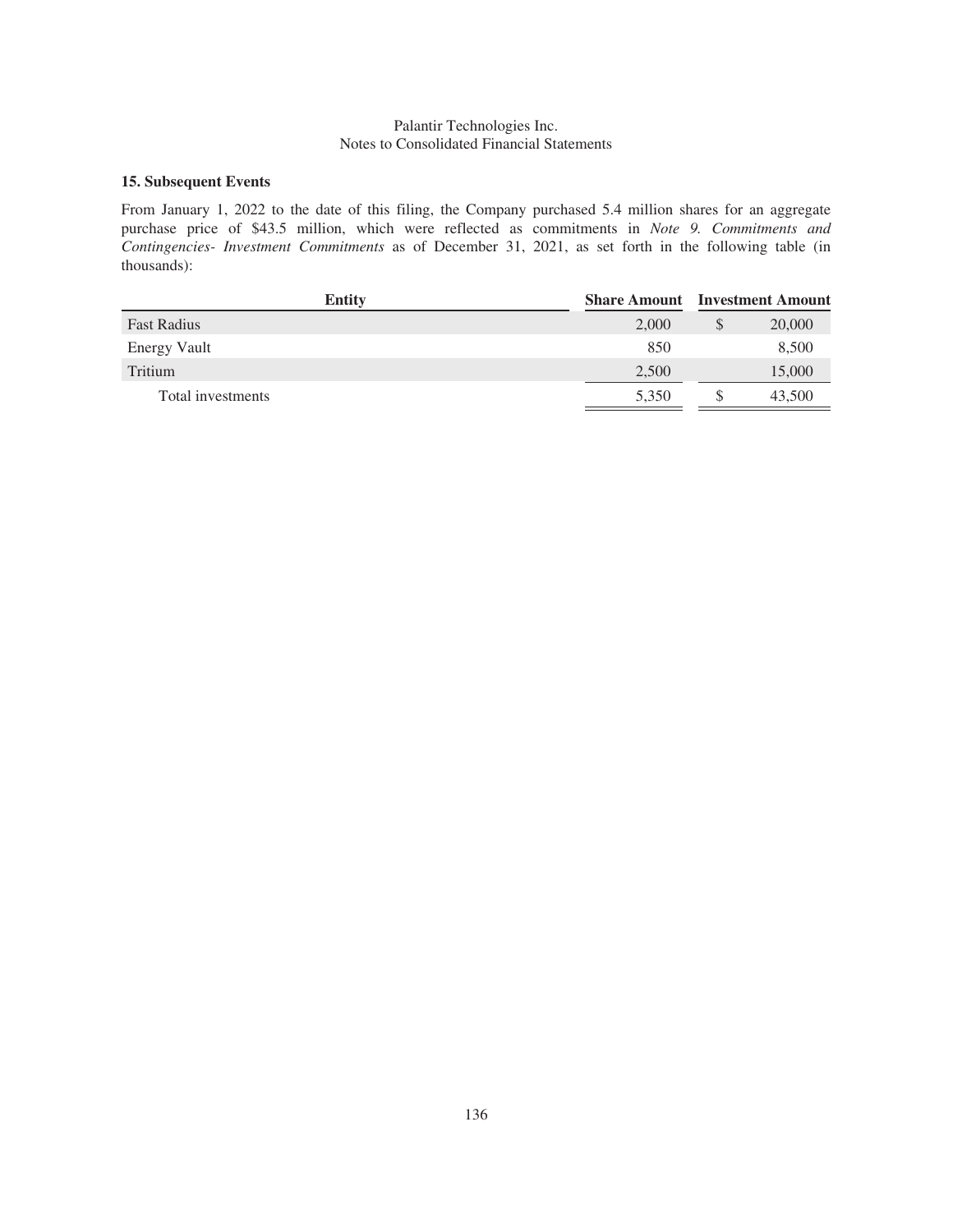## **15. Subsequent Events**

From January 1, 2022 to the date of this filing, the Company purchased 5.4 million shares for an aggregate purchase price of \$43.5 million, which were reflected as commitments in *Note 9. Commitments and Contingencies- Investment Commitments* as of December 31, 2021, as set forth in the following table (in thousands):

| <b>Entity</b>       |       | <b>Share Amount</b> Investment Amount |        |
|---------------------|-------|---------------------------------------|--------|
| <b>Fast Radius</b>  | 2,000 |                                       | 20,000 |
| <b>Energy Vault</b> | 850   |                                       | 8,500  |
| Tritium             | 2.500 |                                       | 15,000 |
| Total investments   | 5,350 |                                       | 43,500 |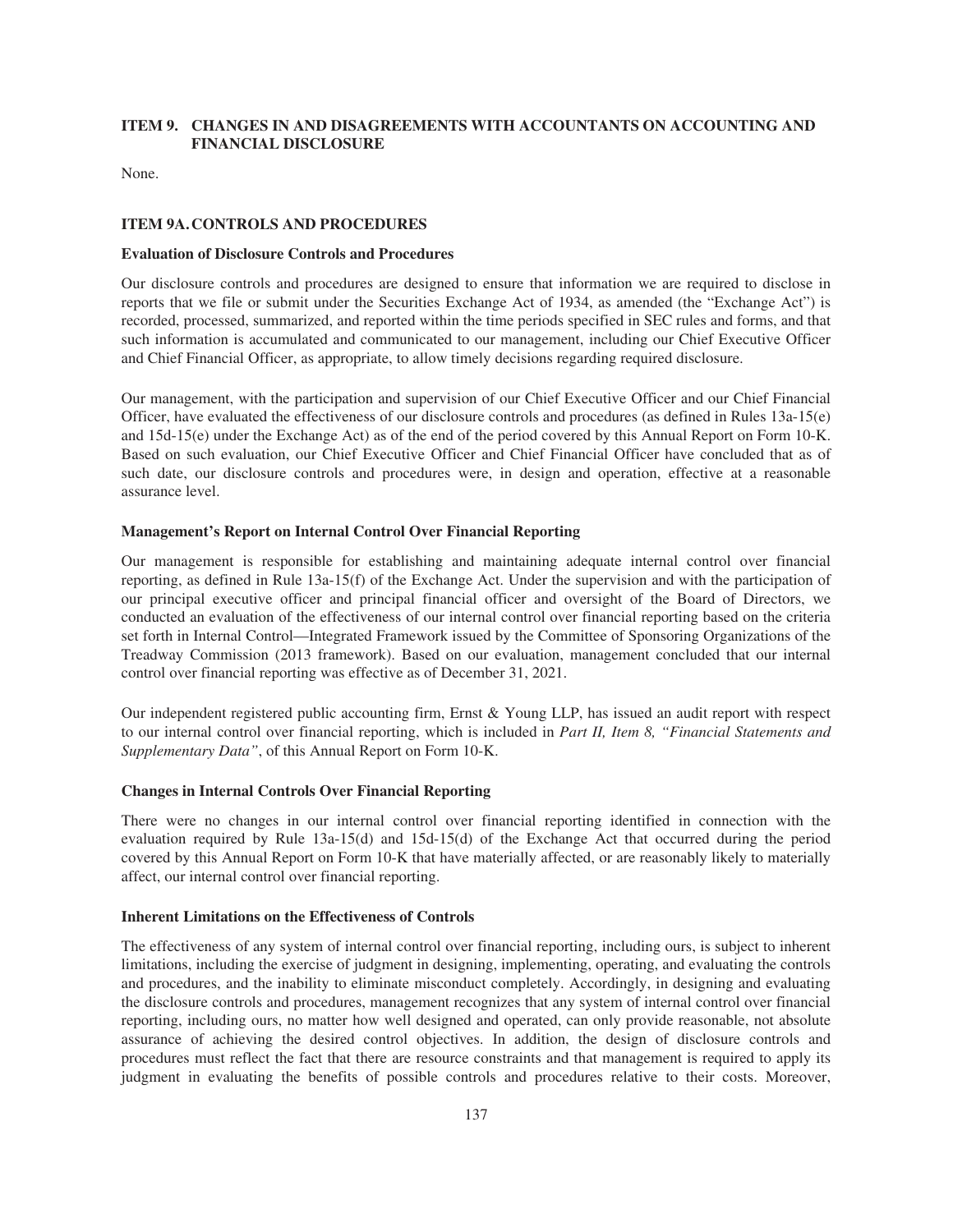## **ITEM 9. CHANGES IN AND DISAGREEMENTS WITH ACCOUNTANTS ON ACCOUNTING AND FINANCIAL DISCLOSURE**

None.

#### **ITEM 9A.CONTROLS AND PROCEDURES**

#### **Evaluation of Disclosure Controls and Procedures**

Our disclosure controls and procedures are designed to ensure that information we are required to disclose in reports that we file or submit under the Securities Exchange Act of 1934, as amended (the "Exchange Act") is recorded, processed, summarized, and reported within the time periods specified in SEC rules and forms, and that such information is accumulated and communicated to our management, including our Chief Executive Officer and Chief Financial Officer, as appropriate, to allow timely decisions regarding required disclosure.

Our management, with the participation and supervision of our Chief Executive Officer and our Chief Financial Officer, have evaluated the effectiveness of our disclosure controls and procedures (as defined in Rules 13a-15(e) and 15d-15(e) under the Exchange Act) as of the end of the period covered by this Annual Report on Form 10-K. Based on such evaluation, our Chief Executive Officer and Chief Financial Officer have concluded that as of such date, our disclosure controls and procedures were, in design and operation, effective at a reasonable assurance level.

#### **Management's Report on Internal Control Over Financial Reporting**

Our management is responsible for establishing and maintaining adequate internal control over financial reporting, as defined in Rule 13a-15(f) of the Exchange Act. Under the supervision and with the participation of our principal executive officer and principal financial officer and oversight of the Board of Directors, we conducted an evaluation of the effectiveness of our internal control over financial reporting based on the criteria set forth in Internal Control—Integrated Framework issued by the Committee of Sponsoring Organizations of the Treadway Commission (2013 framework). Based on our evaluation, management concluded that our internal control over financial reporting was effective as of December 31, 2021.

Our independent registered public accounting firm, Ernst & Young LLP, has issued an audit report with respect to our internal control over financial reporting, which is included in *Part II, Item 8, "Financial Statements and Supplementary Data"*, of this Annual Report on Form 10-K.

#### **Changes in Internal Controls Over Financial Reporting**

There were no changes in our internal control over financial reporting identified in connection with the evaluation required by Rule 13a-15(d) and 15d-15(d) of the Exchange Act that occurred during the period covered by this Annual Report on Form 10-K that have materially affected, or are reasonably likely to materially affect, our internal control over financial reporting.

#### **Inherent Limitations on the Effectiveness of Controls**

The effectiveness of any system of internal control over financial reporting, including ours, is subject to inherent limitations, including the exercise of judgment in designing, implementing, operating, and evaluating the controls and procedures, and the inability to eliminate misconduct completely. Accordingly, in designing and evaluating the disclosure controls and procedures, management recognizes that any system of internal control over financial reporting, including ours, no matter how well designed and operated, can only provide reasonable, not absolute assurance of achieving the desired control objectives. In addition, the design of disclosure controls and procedures must reflect the fact that there are resource constraints and that management is required to apply its judgment in evaluating the benefits of possible controls and procedures relative to their costs. Moreover,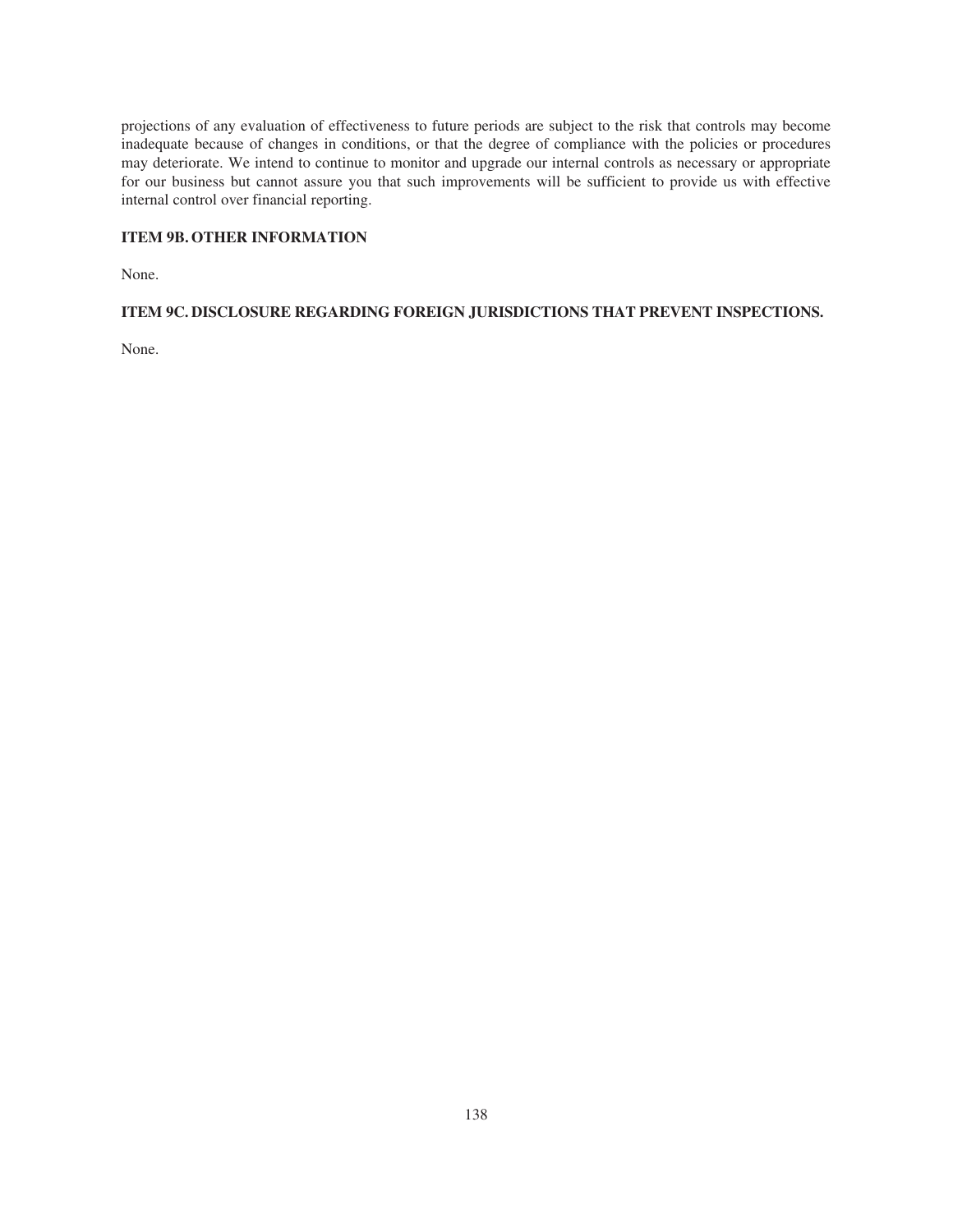projections of any evaluation of effectiveness to future periods are subject to the risk that controls may become inadequate because of changes in conditions, or that the degree of compliance with the policies or procedures may deteriorate. We intend to continue to monitor and upgrade our internal controls as necessary or appropriate for our business but cannot assure you that such improvements will be sufficient to provide us with effective internal control over financial reporting.

### **ITEM 9B. OTHER INFORMATION**

None.

### **ITEM 9C. DISCLOSURE REGARDING FOREIGN JURISDICTIONS THAT PREVENT INSPECTIONS.**

None.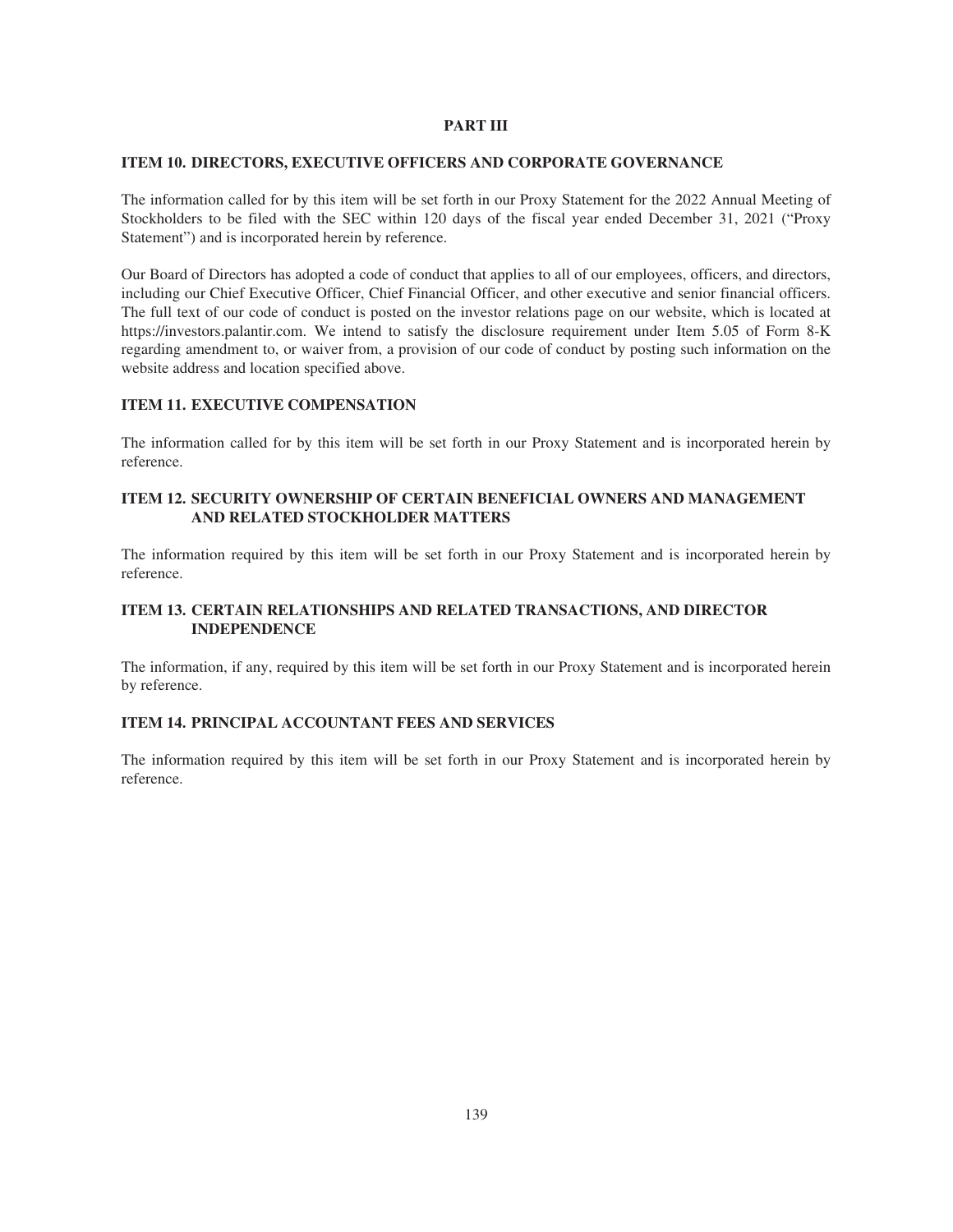### **PART III**

### **ITEM 10. DIRECTORS, EXECUTIVE OFFICERS AND CORPORATE GOVERNANCE**

The information called for by this item will be set forth in our Proxy Statement for the 2022 Annual Meeting of Stockholders to be filed with the SEC within 120 days of the fiscal year ended December 31, 2021 ("Proxy Statement") and is incorporated herein by reference.

Our Board of Directors has adopted a code of conduct that applies to all of our employees, officers, and directors, including our Chief Executive Officer, Chief Financial Officer, and other executive and senior financial officers. The full text of our code of conduct is posted on the investor relations page on our website, which is located at https://investors.palantir.com. We intend to satisfy the disclosure requirement under Item 5.05 of Form 8-K regarding amendment to, or waiver from, a provision of our code of conduct by posting such information on the website address and location specified above.

### **ITEM 11. EXECUTIVE COMPENSATION**

The information called for by this item will be set forth in our Proxy Statement and is incorporated herein by reference.

# **ITEM 12. SECURITY OWNERSHIP OF CERTAIN BENEFICIAL OWNERS AND MANAGEMENT AND RELATED STOCKHOLDER MATTERS**

The information required by this item will be set forth in our Proxy Statement and is incorporated herein by reference.

# **ITEM 13. CERTAIN RELATIONSHIPS AND RELATED TRANSACTIONS, AND DIRECTOR INDEPENDENCE**

The information, if any, required by this item will be set forth in our Proxy Statement and is incorporated herein by reference.

## **ITEM 14. PRINCIPAL ACCOUNTANT FEES AND SERVICES**

The information required by this item will be set forth in our Proxy Statement and is incorporated herein by reference.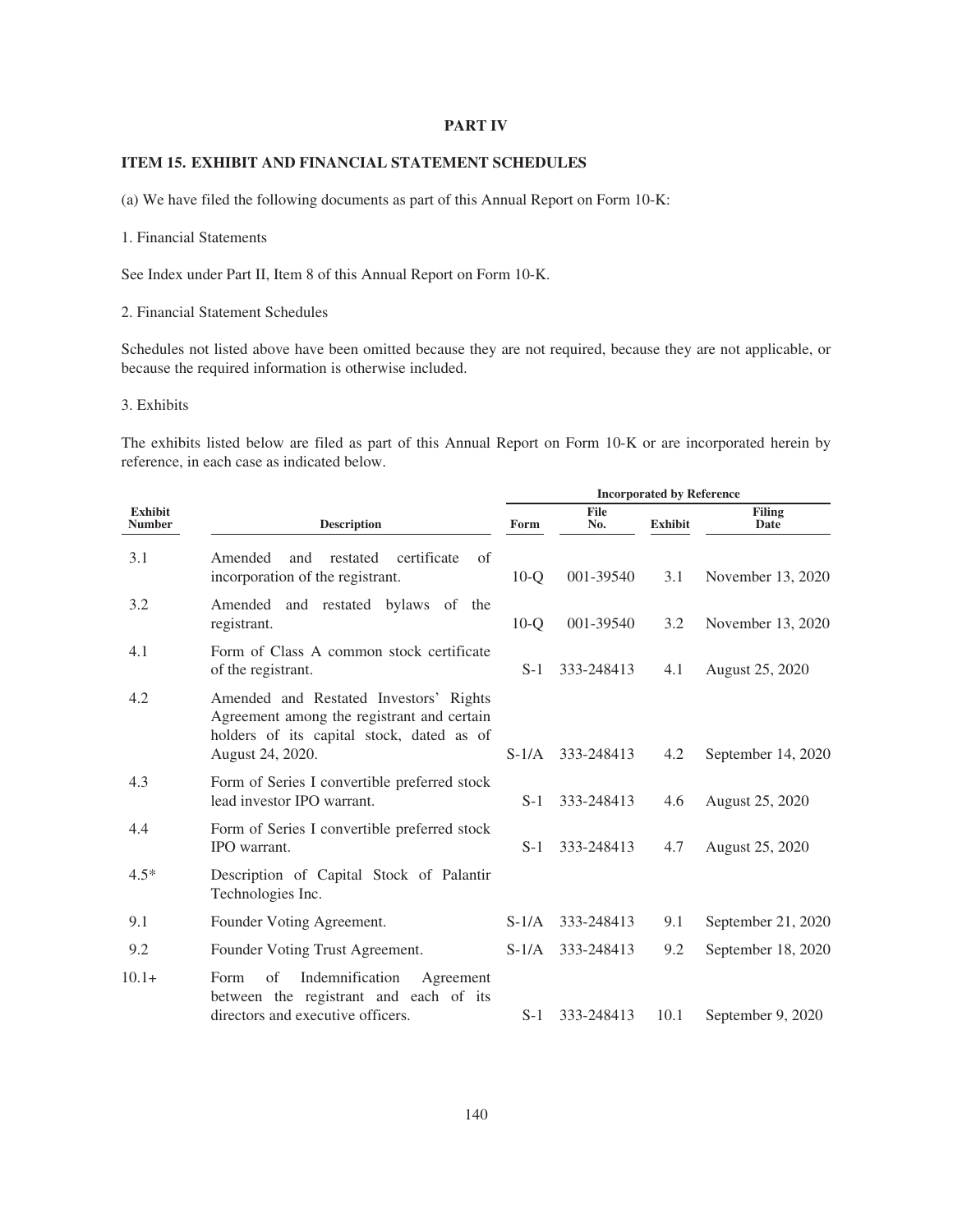## **PART IV**

# **ITEM 15. EXHIBIT AND FINANCIAL STATEMENT SCHEDULES**

(a) We have filed the following documents as part of this Annual Report on Form 10-K:

#### 1. Financial Statements

See Index under Part II, Item 8 of this Annual Report on Form 10-K.

### 2. Financial Statement Schedules

Schedules not listed above have been omitted because they are not required, because they are not applicable, or because the required information is otherwise included.

## 3. Exhibits

The exhibits listed below are filed as part of this Annual Report on Form 10-K or are incorporated herein by reference, in each case as indicated below.

|                                 |                                                                                                                                                       | <b>Incorporated by Reference</b> |                    |                |                       |  |
|---------------------------------|-------------------------------------------------------------------------------------------------------------------------------------------------------|----------------------------------|--------------------|----------------|-----------------------|--|
| <b>Exhibit</b><br><b>Number</b> | <b>Description</b>                                                                                                                                    | Form                             | <b>File</b><br>No. | <b>Exhibit</b> | <b>Filing</b><br>Date |  |
| 3.1                             | certificate<br>Amended<br>restated<br>and<br>of<br>incorporation of the registrant.                                                                   | $10-Q$                           | 001-39540          | 3.1            | November 13, 2020     |  |
| 3.2                             | Amended and restated bylaws of the<br>registrant.                                                                                                     | $10-o$                           | 001-39540          | 3.2            | November 13, 2020     |  |
| 4.1                             | Form of Class A common stock certificate<br>of the registrant.                                                                                        | $S-1$                            | 333-248413         | 4.1            | August 25, 2020       |  |
| 4.2                             | Amended and Restated Investors' Rights<br>Agreement among the registrant and certain<br>holders of its capital stock, dated as of<br>August 24, 2020. | $S-1/A$                          | 333-248413         | 4.2            | September 14, 2020    |  |
| 4.3                             | Form of Series I convertible preferred stock<br>lead investor IPO warrant.                                                                            | $S-1$                            | 333-248413         | 4.6            | August 25, 2020       |  |
| 4.4                             | Form of Series I convertible preferred stock<br><b>IPO</b> warrant.                                                                                   | $S-1$                            | 333-248413         | 4.7            | August 25, 2020       |  |
| $4.5*$                          | Description of Capital Stock of Palantir<br>Technologies Inc.                                                                                         |                                  |                    |                |                       |  |
| 9.1                             | Founder Voting Agreement.                                                                                                                             | $S-1/A$                          | 333-248413         | 9.1            | September 21, 2020    |  |
| 9.2                             | Founder Voting Trust Agreement.                                                                                                                       | $S-1/A$                          | 333-248413         | 9.2            | September 18, 2020    |  |
| $10.1+$                         | of<br>Indemnification<br>Agreement<br>Form<br>between the registrant and each of its<br>directors and executive officers.                             | $S-1$                            | 333-248413         | 10.1           | September 9, 2020     |  |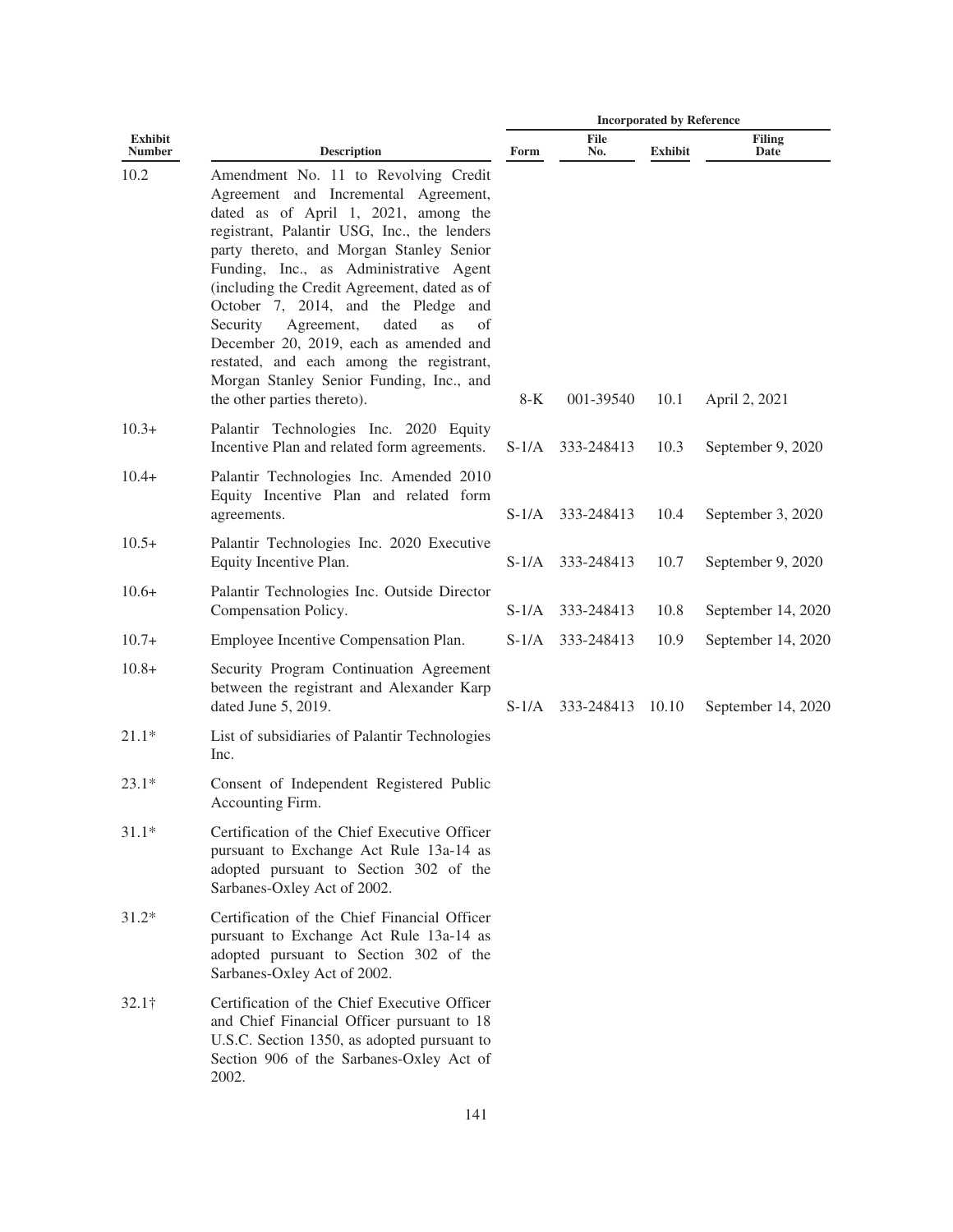|                                 |                                                                                                                                                                                                                                                                                                                                                                                                                                                                                                                                                                  | <b>Incorporated by Reference</b> |                    |                |                       |
|---------------------------------|------------------------------------------------------------------------------------------------------------------------------------------------------------------------------------------------------------------------------------------------------------------------------------------------------------------------------------------------------------------------------------------------------------------------------------------------------------------------------------------------------------------------------------------------------------------|----------------------------------|--------------------|----------------|-----------------------|
| <b>Exhibit</b><br><b>Number</b> | <b>Description</b>                                                                                                                                                                                                                                                                                                                                                                                                                                                                                                                                               | Form                             | <b>File</b><br>No. | <b>Exhibit</b> | <b>Filing</b><br>Date |
| 10.2                            | Amendment No. 11 to Revolving Credit<br>Agreement and Incremental Agreement,<br>dated as of April 1, 2021, among the<br>registrant, Palantir USG, Inc., the lenders<br>party thereto, and Morgan Stanley Senior<br>Funding, Inc., as Administrative Agent<br>(including the Credit Agreement, dated as of<br>October 7, 2014, and the Pledge and<br>Agreement,<br>dated<br>Security<br>as<br>of<br>December 20, 2019, each as amended and<br>restated, and each among the registrant,<br>Morgan Stanley Senior Funding, Inc., and<br>the other parties thereto). | $8-K$                            | 001-39540          | 10.1           | April 2, 2021         |
| $10.3+$                         | Palantir Technologies Inc. 2020 Equity<br>Incentive Plan and related form agreements.                                                                                                                                                                                                                                                                                                                                                                                                                                                                            | $S-1/A$                          | 333-248413         | 10.3           | September 9, 2020     |
| $10.4+$                         | Palantir Technologies Inc. Amended 2010<br>Equity Incentive Plan and related form<br>agreements.                                                                                                                                                                                                                                                                                                                                                                                                                                                                 | $S-1/A$                          | 333-248413         | 10.4           | September 3, 2020     |
| $10.5+$                         | Palantir Technologies Inc. 2020 Executive<br>Equity Incentive Plan.                                                                                                                                                                                                                                                                                                                                                                                                                                                                                              | $S-1/A$                          | 333-248413         | 10.7           | September 9, 2020     |
| $10.6+$                         | Palantir Technologies Inc. Outside Director<br>Compensation Policy.                                                                                                                                                                                                                                                                                                                                                                                                                                                                                              | $S-1/A$                          | 333-248413         | 10.8           | September 14, 2020    |
| $10.7+$                         | Employee Incentive Compensation Plan.                                                                                                                                                                                                                                                                                                                                                                                                                                                                                                                            | $S-1/A$                          | 333-248413         | 10.9           | September 14, 2020    |
| $10.8+$                         | Security Program Continuation Agreement<br>between the registrant and Alexander Karp<br>dated June 5, 2019.                                                                                                                                                                                                                                                                                                                                                                                                                                                      | $S-1/A$                          | 333-248413         | 10.10          | September 14, 2020    |
| $21.1*$                         | List of subsidiaries of Palantir Technologies<br>Inc.                                                                                                                                                                                                                                                                                                                                                                                                                                                                                                            |                                  |                    |                |                       |
| $23.1*$                         | Consent of Independent Registered Public<br>Accounting Firm.                                                                                                                                                                                                                                                                                                                                                                                                                                                                                                     |                                  |                    |                |                       |
| $31.1*$                         | Certification of the Chief Executive Officer<br>pursuant to Exchange Act Rule 13a-14 as<br>adopted pursuant to Section 302 of the<br>Sarbanes-Oxley Act of 2002.                                                                                                                                                                                                                                                                                                                                                                                                 |                                  |                    |                |                       |
| $31.2*$                         | Certification of the Chief Financial Officer<br>pursuant to Exchange Act Rule 13a-14 as<br>adopted pursuant to Section 302 of the<br>Sarbanes-Oxley Act of 2002.                                                                                                                                                                                                                                                                                                                                                                                                 |                                  |                    |                |                       |
| $32.1\dagger$                   | Certification of the Chief Executive Officer<br>and Chief Financial Officer pursuant to 18<br>U.S.C. Section 1350, as adopted pursuant to<br>Section 906 of the Sarbanes-Oxley Act of<br>2002.                                                                                                                                                                                                                                                                                                                                                                   |                                  |                    |                |                       |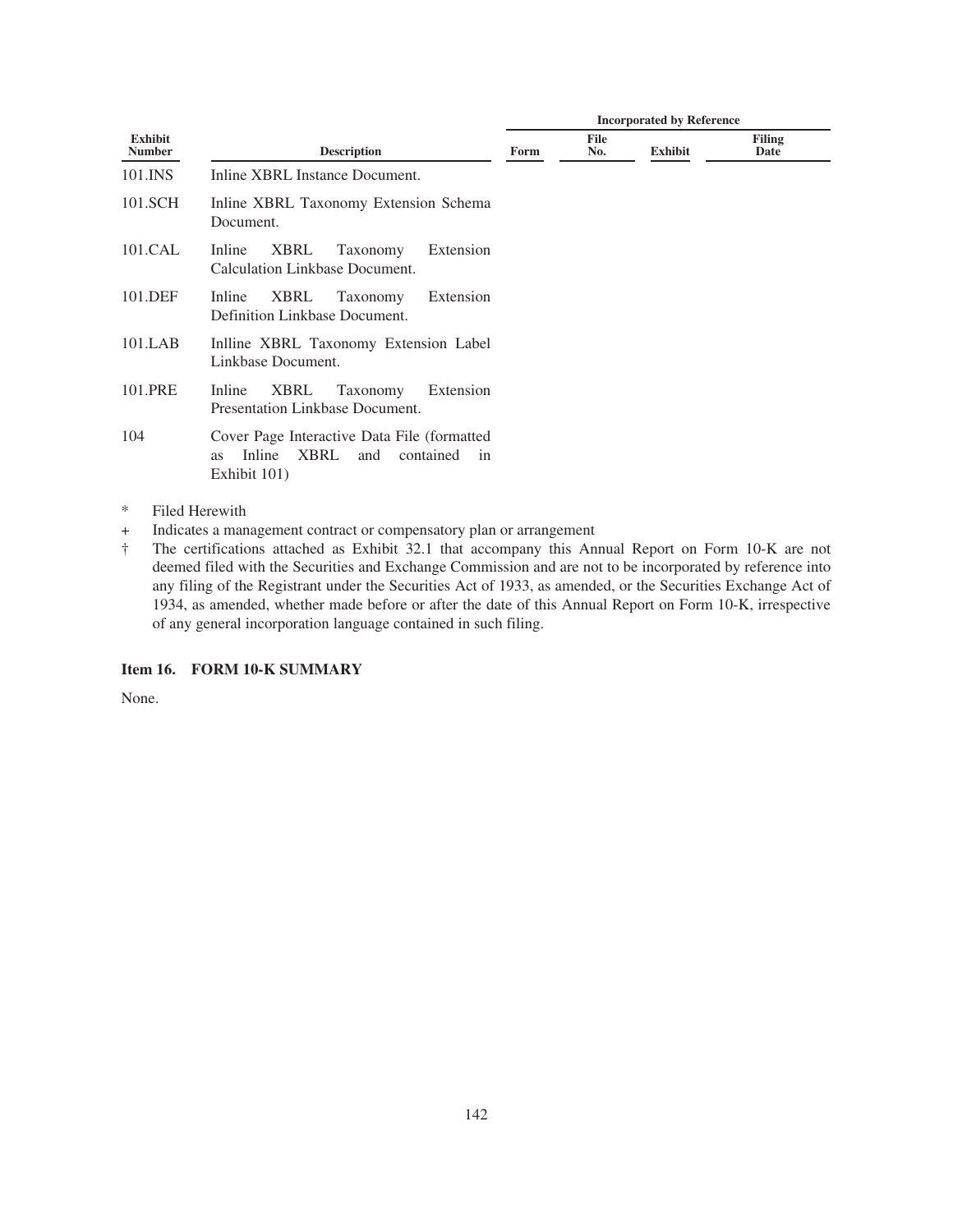|                                 |                                                                                                                             | <b>Incorporated by Reference</b> |                    |                |                       |  |
|---------------------------------|-----------------------------------------------------------------------------------------------------------------------------|----------------------------------|--------------------|----------------|-----------------------|--|
| <b>Exhibit</b><br><b>Number</b> | <b>Description</b>                                                                                                          | Form                             | <b>File</b><br>No. | <b>Exhibit</b> | <b>Filing</b><br>Date |  |
| 101.INS                         | Inline XBRL Instance Document.                                                                                              |                                  |                    |                |                       |  |
| 101.SCH                         | Inline XBRL Taxonomy Extension Schema<br>Document.                                                                          |                                  |                    |                |                       |  |
| 101.CAL                         | XBRL<br>Taxonomy<br>Extension<br>Inline<br>Calculation Linkbase Document.                                                   |                                  |                    |                |                       |  |
| 101.DEF                         | XBRL<br>Extension<br>Inline<br>Taxonomy<br>Definition Linkbase Document.                                                    |                                  |                    |                |                       |  |
| 101.LAB                         | Inlline XBRL Taxonomy Extension Label<br>Linkbase Document.                                                                 |                                  |                    |                |                       |  |
| 101.PRE                         | Inline<br><b>XBRL</b><br>Extension<br>Taxonomy<br>Presentation Linkbase Document.                                           |                                  |                    |                |                       |  |
| 104                             | Cover Page Interactive Data File (formatted<br><b>XBRL</b><br>Inline<br>contained<br>and<br>in<br><b>as</b><br>Exhibit 101) |                                  |                    |                |                       |  |

- \* Filed Herewith
- + Indicates a management contract or compensatory plan or arrangement
- † The certifications attached as Exhibit 32.1 that accompany this Annual Report on Form 10-K are not deemed filed with the Securities and Exchange Commission and are not to be incorporated by reference into any filing of the Registrant under the Securities Act of 1933, as amended, or the Securities Exchange Act of 1934, as amended, whether made before or after the date of this Annual Report on Form 10-K, irrespective of any general incorporation language contained in such filing.

# **Item 16. FORM 10-K SUMMARY**

None.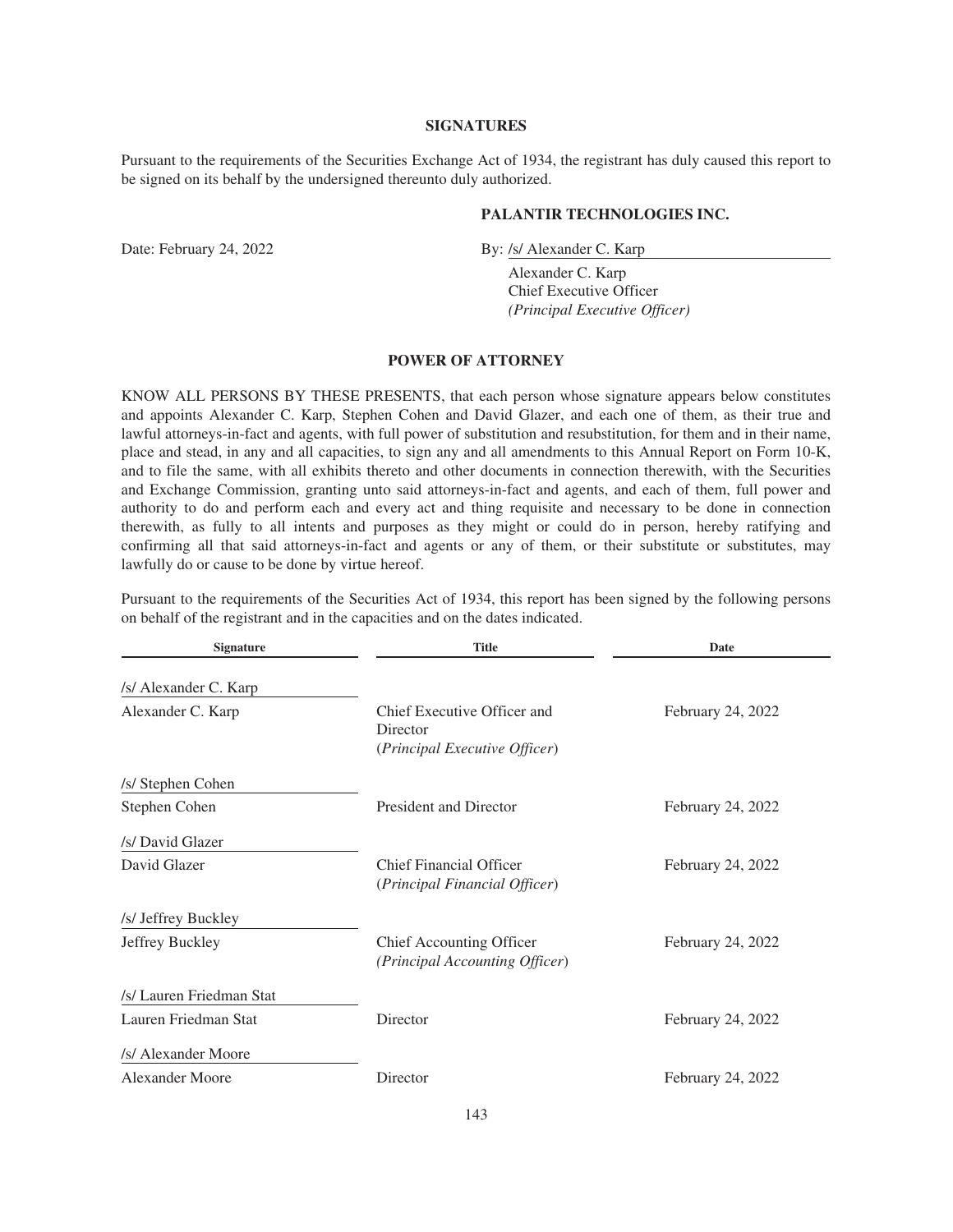#### **SIGNATURES**

Pursuant to the requirements of the Securities Exchange Act of 1934, the registrant has duly caused this report to be signed on its behalf by the undersigned thereunto duly authorized.

## **PALANTIR TECHNOLOGIES INC.**

Date: February 24, 2022 By: /s/ Alexander C. Karp

Alexander C. Karp Chief Executive Officer *(Principal Executive Officer)*

## **POWER OF ATTORNEY**

KNOW ALL PERSONS BY THESE PRESENTS, that each person whose signature appears below constitutes and appoints Alexander C. Karp, Stephen Cohen and David Glazer, and each one of them, as their true and lawful attorneys-in-fact and agents, with full power of substitution and resubstitution, for them and in their name, place and stead, in any and all capacities, to sign any and all amendments to this Annual Report on Form 10-K, and to file the same, with all exhibits thereto and other documents in connection therewith, with the Securities and Exchange Commission, granting unto said attorneys-in-fact and agents, and each of them, full power and authority to do and perform each and every act and thing requisite and necessary to be done in connection therewith, as fully to all intents and purposes as they might or could do in person, hereby ratifying and confirming all that said attorneys-in-fact and agents or any of them, or their substitute or substitutes, may lawfully do or cause to be done by virtue hereof.

| <b>Signature</b>                           | <b>Title</b>                                                             | Date              |  |  |
|--------------------------------------------|--------------------------------------------------------------------------|-------------------|--|--|
| /s/ Alexander C. Karp<br>Alexander C. Karp | Chief Executive Officer and<br>Director<br>(Principal Executive Officer) | February 24, 2022 |  |  |
| /s/ Stephen Cohen                          |                                                                          |                   |  |  |
| Stephen Cohen                              | <b>President and Director</b>                                            | February 24, 2022 |  |  |
| /s/ David Glazer                           |                                                                          |                   |  |  |
| David Glazer                               | <b>Chief Financial Officer</b><br>(Principal Financial Officer)          | February 24, 2022 |  |  |
| /s/ Jeffrey Buckley                        |                                                                          |                   |  |  |
| Jeffrey Buckley                            | Chief Accounting Officer<br>(Principal Accounting Officer)               | February 24, 2022 |  |  |
| /s/ Lauren Friedman Stat                   |                                                                          |                   |  |  |
| Lauren Friedman Stat                       | Director                                                                 | February 24, 2022 |  |  |
| /s/ Alexander Moore                        |                                                                          |                   |  |  |
| Alexander Moore                            | Director                                                                 | February 24, 2022 |  |  |

Pursuant to the requirements of the Securities Act of 1934, this report has been signed by the following persons on behalf of the registrant and in the capacities and on the dates indicated.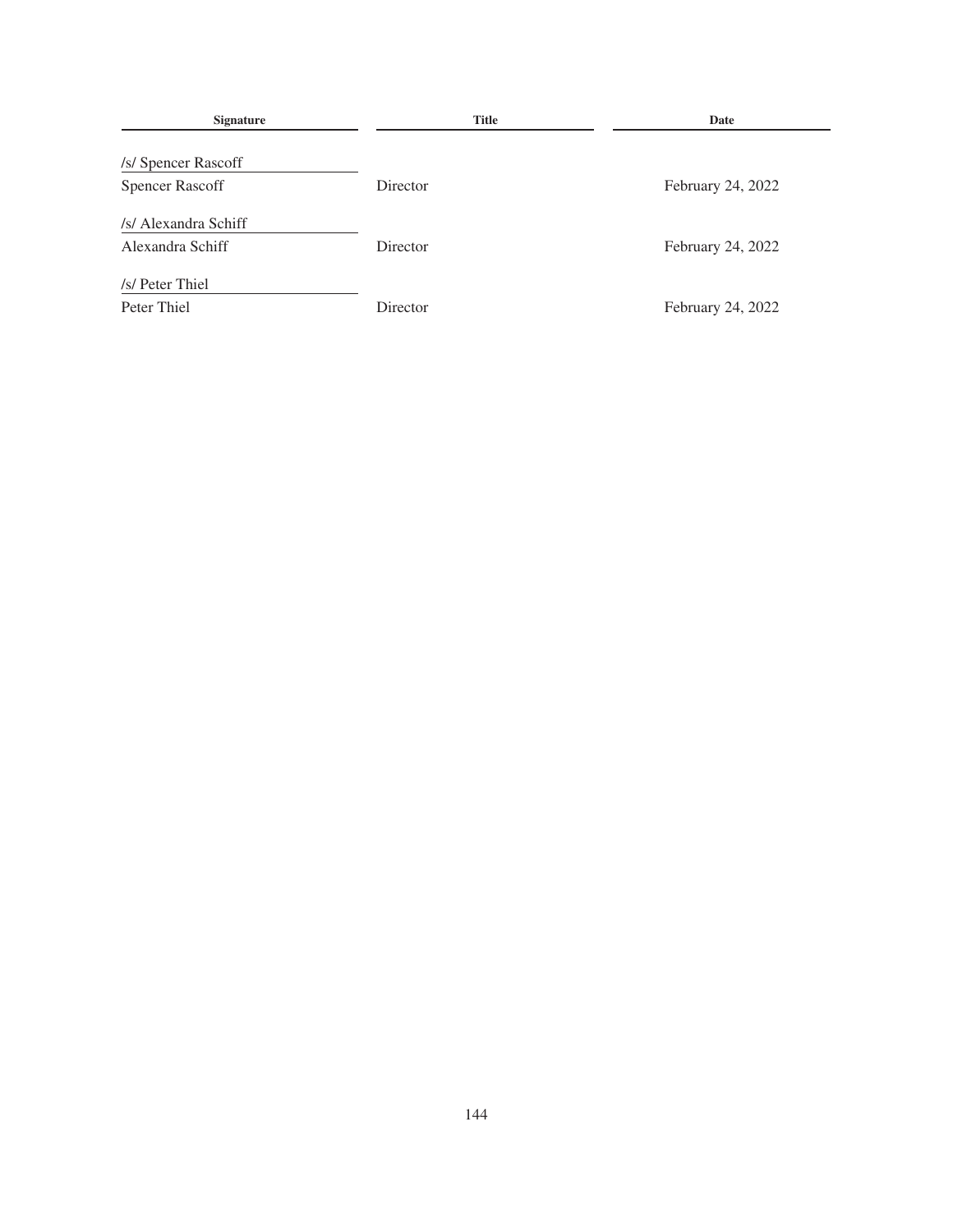| <b>Signature</b>       | <b>Title</b> | Date              |
|------------------------|--------------|-------------------|
| /s/ Spencer Rascoff    |              |                   |
| <b>Spencer Rascoff</b> | Director     | February 24, 2022 |
| /s/ Alexandra Schiff   |              |                   |
| Alexandra Schiff       | Director     | February 24, 2022 |
| /s/ Peter Thiel        |              |                   |
| Peter Thiel            | Director     | February 24, 2022 |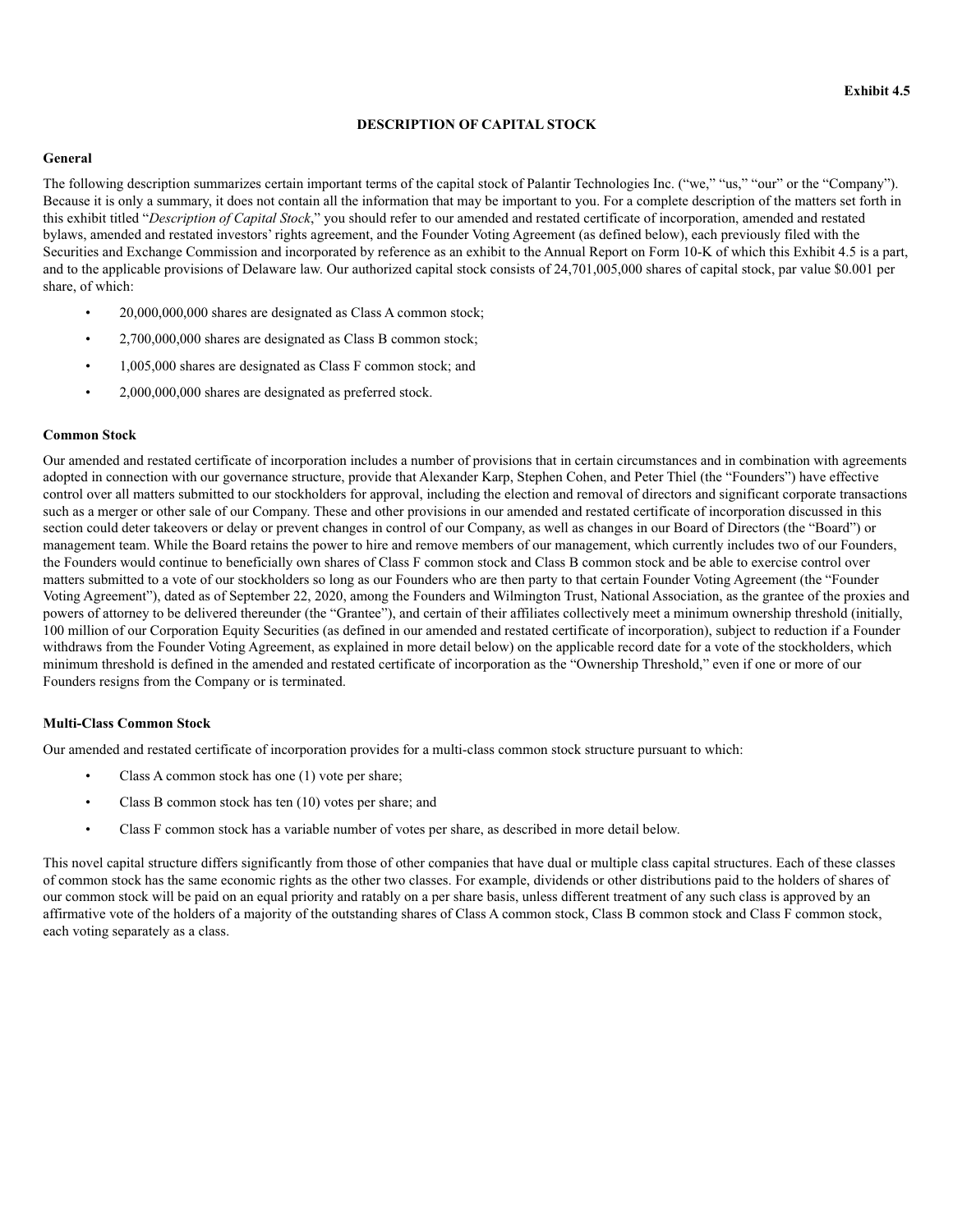# **DESCRIPTION OF CAPITAL STOCK**

#### **General**

The following description summarizes certain important terms of the capital stock of Palantir Technologies Inc. ("we," "us," "our" or the "Company"). Because it is only a summary, it does not contain all the information that may be important to you. For a complete description of the matters set forth in this exhibit titled "*Description of Capital Stock*," you should refer to our amended and restated certificate of incorporation, amended and restated bylaws, amended and restated investors' rights agreement, and the Founder Voting Agreement (as defined below), each previously filed with the Securities and Exchange Commission and incorporated by reference as an exhibit to the Annual Report on Form 10-K of which this Exhibit 4.5 is a part, and to the applicable provisions of Delaware law. Our authorized capital stock consists of 24,701,005,000 shares of capital stock, par value \$0.001 per share, of which:

- 20,000,000,000 shares are designated as Class A common stock;
- 2,700,000,000 shares are designated as Class B common stock;
- 1,005,000 shares are designated as Class F common stock; and
- 2,000,000,000 shares are designated as preferred stock.

## **Common Stock**

Our amended and restated certificate of incorporation includes a number of provisions that in certain circumstances and in combination with agreements adopted in connection with our governance structure, provide that Alexander Karp, Stephen Cohen, and Peter Thiel (the "Founders") have effective control over all matters submitted to our stockholders for approval, including the election and removal of directors and significant corporate transactions such as a merger or other sale of our Company. These and other provisions in our amended and restated certificate of incorporation discussed in this section could deter takeovers or delay or prevent changes in control of our Company, as well as changes in our Board of Directors (the "Board") or management team. While the Board retains the power to hire and remove members of our management, which currently includes two of our Founders, the Founders would continue to beneficially own shares of Class F common stock and Class B common stock and be able to exercise control over matters submitted to a vote of our stockholders so long as our Founders who are then party to that certain Founder Voting Agreement (the "Founder Voting Agreement"), dated as of September 22, 2020, among the Founders and Wilmington Trust, National Association, as the grantee of the proxies and powers of attorney to be delivered thereunder (the "Grantee"), and certain of their affiliates collectively meet a minimum ownership threshold (initially, 100 million of our Corporation Equity Securities (as defined in our amended and restated certificate of incorporation), subject to reduction if a Founder withdraws from the Founder Voting Agreement, as explained in more detail below) on the applicable record date for a vote of the stockholders, which minimum threshold is defined in the amended and restated certificate of incorporation as the "Ownership Threshold," even if one or more of our Founders resigns from the Company or is terminated.

# **Multi-Class Common Stock**

Our amended and restated certificate of incorporation provides for a multi-class common stock structure pursuant to which:

- Class A common stock has one (1) vote per share;
- Class B common stock has ten (10) votes per share; and
- Class F common stock has a variable number of votes per share, as described in more detail below.

This novel capital structure differs significantly from those of other companies that have dual or multiple class capital structures. Each of these classes of common stock has the same economic rights as the other two classes. For example, dividends or other distributions paid to the holders of shares of our common stock will be paid on an equal priority and ratably on a per share basis, unless different treatment of any such class is approved by an affirmative vote of the holders of a majority of the outstanding shares of Class A common stock, Class B common stock and Class F common stock, each voting separately as a class.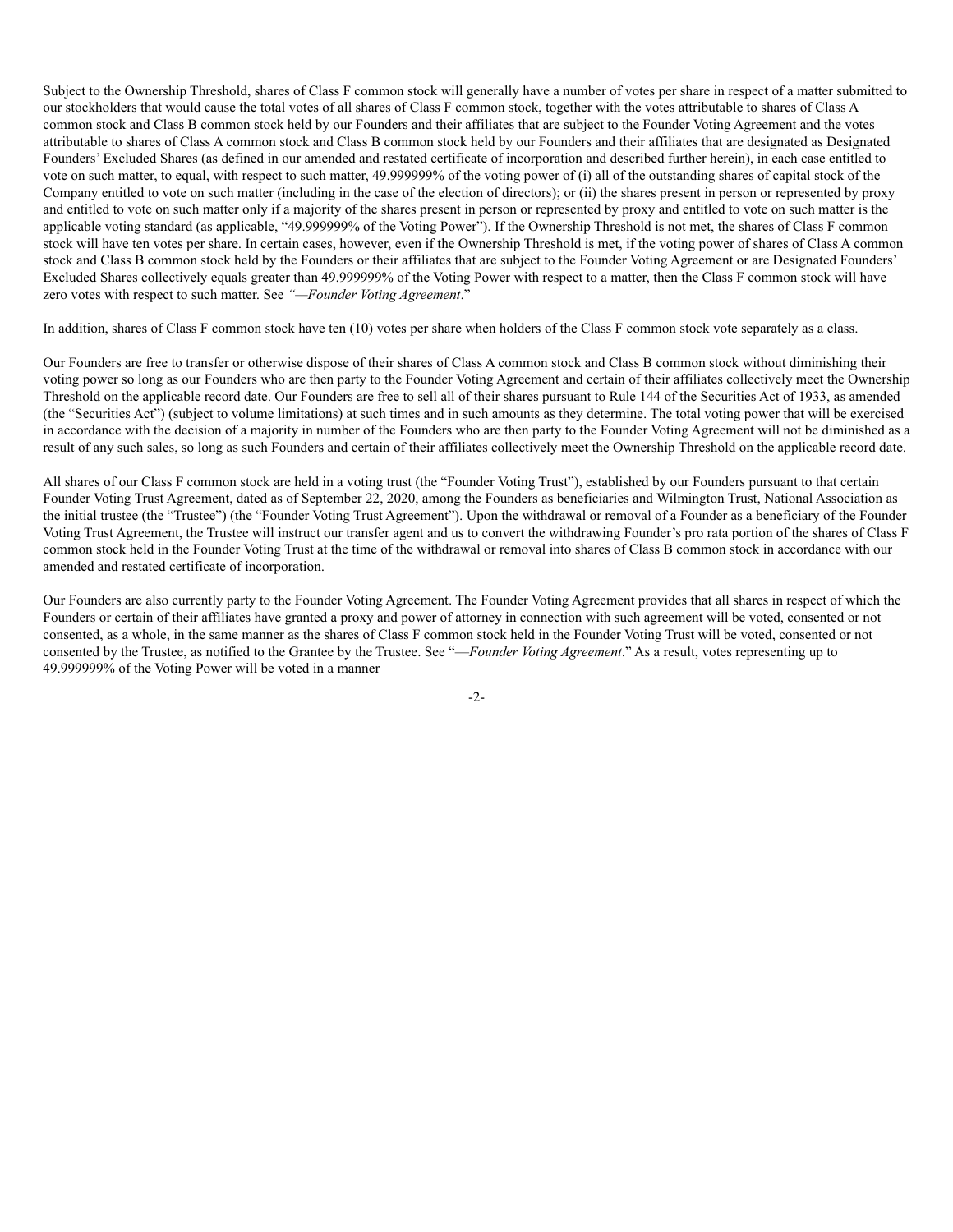Subject to the Ownership Threshold, shares of Class F common stock will generally have a number of votes per share in respect of a matter submitted to our stockholders that would cause the total votes of all shares of Class F common stock, together with the votes attributable to shares of Class A common stock and Class B common stock held by our Founders and their affiliates that are subject to the Founder Voting Agreement and the votes attributable to shares of Class A common stock and Class B common stock held by our Founders and their affiliates that are designated as Designated Founders' Excluded Shares (as defined in our amended and restated certificate of incorporation and described further herein), in each case entitled to vote on such matter, to equal, with respect to such matter, 49.999999% of the voting power of (i) all of the outstanding shares of capital stock of the Company entitled to vote on such matter (including in the case of the election of directors); or (ii) the shares present in person or represented by proxy and entitled to vote on such matter only if a majority of the shares present in person or represented by proxy and entitled to vote on such matter is the applicable voting standard (as applicable, "49.999999% of the Voting Power"). If the Ownership Threshold is not met, the shares of Class F common stock will have ten votes per share. In certain cases, however, even if the Ownership Threshold is met, if the voting power of shares of Class A common stock and Class B common stock held by the Founders or their affiliates that are subject to the Founder Voting Agreement or are Designated Founders' Excluded Shares collectively equals greater than 49.999999% of the Voting Power with respect to a matter, then the Class F common stock will have zero votes with respect to such matter. See *"—Founder Voting Agreement*."

In addition, shares of Class F common stock have ten (10) votes per share when holders of the Class F common stock vote separately as a class.

Our Founders are free to transfer or otherwise dispose of their shares of Class A common stock and Class B common stock without diminishing their voting power so long as our Founders who are then party to the Founder Voting Agreement and certain of their affiliates collectively meet the Ownership Threshold on the applicable record date. Our Founders are free to sell all of their shares pursuant to Rule 144 of the Securities Act of 1933, as amended (the "Securities Act") (subject to volume limitations) at such times and in such amounts as they determine. The total voting power that will be exercised in accordance with the decision of a majority in number of the Founders who are then party to the Founder Voting Agreement will not be diminished as a result of any such sales, so long as such Founders and certain of their affiliates collectively meet the Ownership Threshold on the applicable record date.

All shares of our Class F common stock are held in a voting trust (the "Founder Voting Trust"), established by our Founders pursuant to that certain Founder Voting Trust Agreement, dated as of September 22, 2020, among the Founders as beneficiaries and Wilmington Trust, National Association as the initial trustee (the "Trustee") (the "Founder Voting Trust Agreement"). Upon the withdrawal or removal of a Founder as a beneficiary of the Founder Voting Trust Agreement, the Trustee will instruct our transfer agent and us to convert the withdrawing Founder's pro rata portion of the shares of Class F common stock held in the Founder Voting Trust at the time of the withdrawal or removal into shares of Class B common stock in accordance with our amended and restated certificate of incorporation.

Our Founders are also currently party to the Founder Voting Agreement. The Founder Voting Agreement provides that all shares in respect of which the Founders or certain of their affiliates have granted a proxy and power of attorney in connection with such agreement will be voted, consented or not consented, as a whole, in the same manner as the shares of Class F common stock held in the Founder Voting Trust will be voted, consented or not consented by the Trustee, as notified to the Grantee by the Trustee. See "—*Founder Voting Agreement*." As a result, votes representing up to 49.999999% of the Voting Power will be voted in a manner

-2-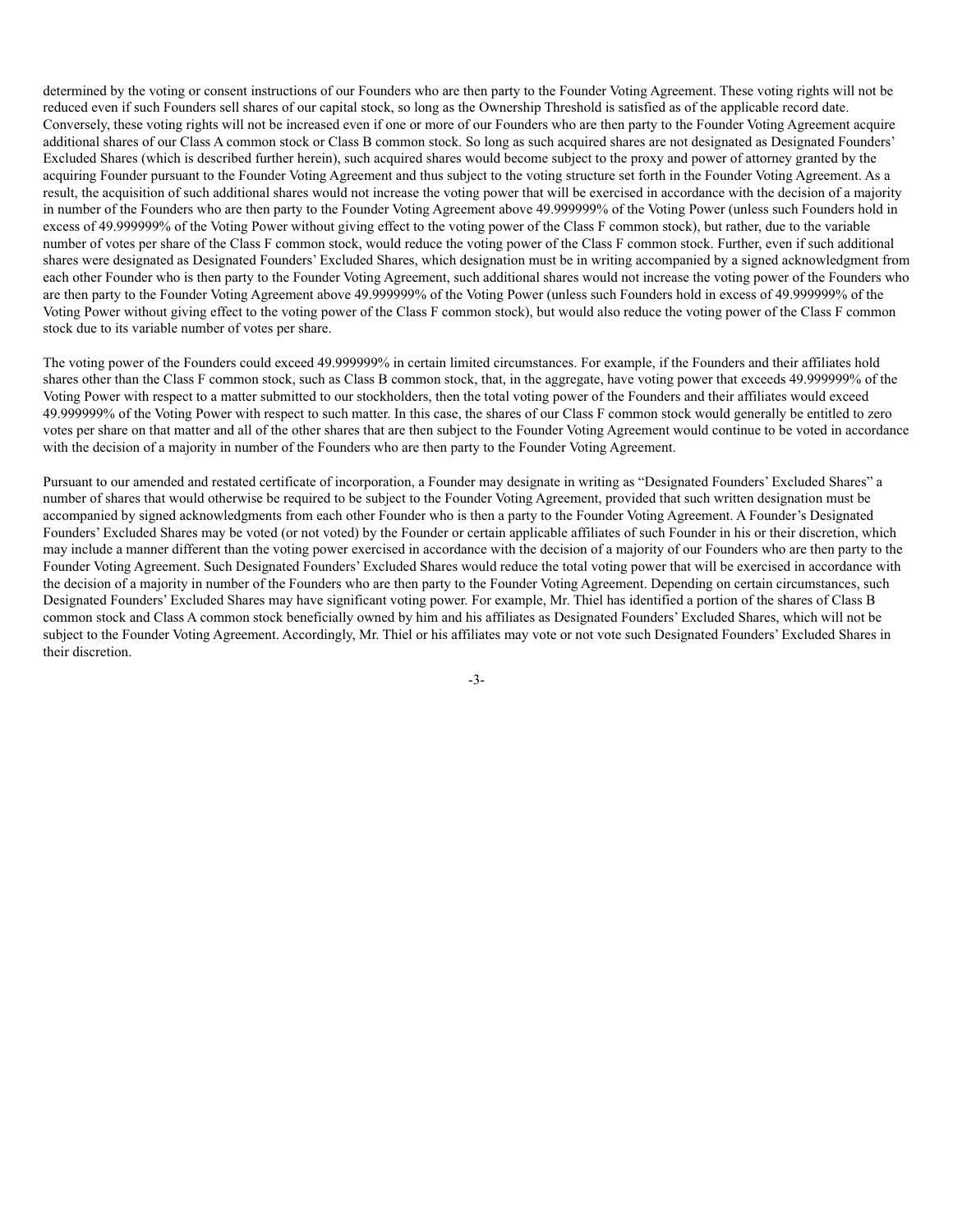determined by the voting or consent instructions of our Founders who are then party to the Founder Voting Agreement. These voting rights will not be reduced even if such Founders sell shares of our capital stock, so long as the Ownership Threshold is satisfied as of the applicable record date. Conversely, these voting rights will not be increased even if one or more of our Founders who are then party to the Founder Voting Agreement acquire additional shares of our Class A common stock or Class B common stock. So long as such acquired shares are not designated as Designated Founders' Excluded Shares (which is described further herein), such acquired shares would become subject to the proxy and power of attorney granted by the acquiring Founder pursuant to the Founder Voting Agreement and thus subject to the voting structure set forth in the Founder Voting Agreement. As a result, the acquisition of such additional shares would not increase the voting power that will be exercised in accordance with the decision of a majority in number of the Founders who are then party to the Founder Voting Agreement above 49.999999% of the Voting Power (unless such Founders hold in excess of 49.999999% of the Voting Power without giving effect to the voting power of the Class F common stock), but rather, due to the variable number of votes per share of the Class F common stock, would reduce the voting power of the Class F common stock. Further, even if such additional shares were designated as Designated Founders' Excluded Shares, which designation must be in writing accompanied by a signed acknowledgment from each other Founder who is then party to the Founder Voting Agreement, such additional shares would not increase the voting power of the Founders who are then party to the Founder Voting Agreement above 49.999999% of the Voting Power (unless such Founders hold in excess of 49.999999% of the Voting Power without giving effect to the voting power of the Class F common stock), but would also reduce the voting power of the Class F common stock due to its variable number of votes per share.

The voting power of the Founders could exceed 49.999999% in certain limited circumstances. For example, if the Founders and their affiliates hold shares other than the Class F common stock, such as Class B common stock, that, in the aggregate, have voting power that exceeds 49.999999% of the Voting Power with respect to a matter submitted to our stockholders, then the total voting power of the Founders and their affiliates would exceed 49.999999% of the Voting Power with respect to such matter. In this case, the shares of our Class F common stock would generally be entitled to zero votes per share on that matter and all of the other shares that are then subject to the Founder Voting Agreement would continue to be voted in accordance with the decision of a majority in number of the Founders who are then party to the Founder Voting Agreement.

Pursuant to our amended and restated certificate of incorporation, a Founder may designate in writing as "Designated Founders' Excluded Shares" a number of shares that would otherwise be required to be subject to the Founder Voting Agreement, provided that such written designation must be accompanied by signed acknowledgments from each other Founder who is then a party to the Founder Voting Agreement. A Founder's Designated Founders' Excluded Shares may be voted (or not voted) by the Founder or certain applicable affiliates of such Founder in his or their discretion, which may include a manner different than the voting power exercised in accordance with the decision of a majority of our Founders who are then party to the Founder Voting Agreement. Such Designated Founders' Excluded Shares would reduce the total voting power that will be exercised in accordance with the decision of a majority in number of the Founders who are then party to the Founder Voting Agreement. Depending on certain circumstances, such Designated Founders' Excluded Shares may have significant voting power. For example, Mr. Thiel has identified a portion of the shares of Class B common stock and Class A common stock beneficially owned by him and his affiliates as Designated Founders' Excluded Shares, which will not be subject to the Founder Voting Agreement. Accordingly, Mr. Thiel or his affiliates may vote or not vote such Designated Founders' Excluded Shares in their discretion.

-3-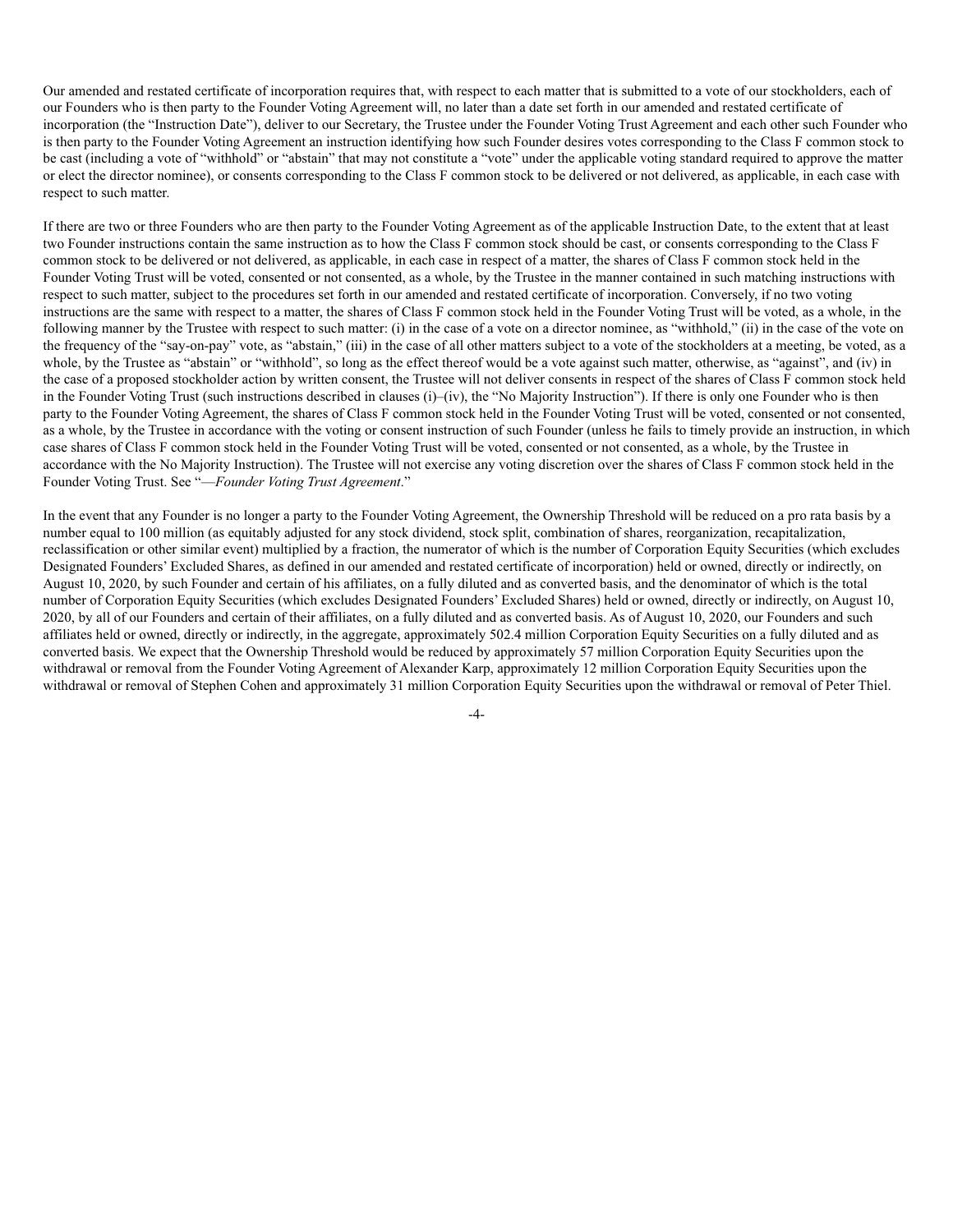Our amended and restated certificate of incorporation requires that, with respect to each matter that is submitted to a vote of our stockholders, each of our Founders who is then party to the Founder Voting Agreement will, no later than a date set forth in our amended and restated certificate of incorporation (the "Instruction Date"), deliver to our Secretary, the Trustee under the Founder Voting Trust Agreement and each other such Founder who is then party to the Founder Voting Agreement an instruction identifying how such Founder desires votes corresponding to the Class F common stock to be cast (including a vote of "withhold" or "abstain" that may not constitute a "vote" under the applicable voting standard required to approve the matter or elect the director nominee), or consents corresponding to the Class F common stock to be delivered or not delivered, as applicable, in each case with respect to such matter.

If there are two or three Founders who are then party to the Founder Voting Agreement as of the applicable Instruction Date, to the extent that at least two Founder instructions contain the same instruction as to how the Class F common stock should be cast, or consents corresponding to the Class F common stock to be delivered or not delivered, as applicable, in each case in respect of a matter, the shares of Class F common stock held in the Founder Voting Trust will be voted, consented or not consented, as a whole, by the Trustee in the manner contained in such matching instructions with respect to such matter, subject to the procedures set forth in our amended and restated certificate of incorporation. Conversely, if no two voting instructions are the same with respect to a matter, the shares of Class F common stock held in the Founder Voting Trust will be voted, as a whole, in the following manner by the Trustee with respect to such matter: (i) in the case of a vote on a director nominee, as "withhold," (ii) in the case of the vote on the frequency of the "say-on-pay" vote, as "abstain," (iii) in the case of all other matters subject to a vote of the stockholders at a meeting, be voted, as a whole, by the Trustee as "abstain" or "withhold", so long as the effect thereof would be a vote against such matter, otherwise, as "against", and (iv) in the case of a proposed stockholder action by written consent, the Trustee will not deliver consents in respect of the shares of Class F common stock held in the Founder Voting Trust (such instructions described in clauses (i)–(iv), the "No Majority Instruction"). If there is only one Founder who is then party to the Founder Voting Agreement, the shares of Class F common stock held in the Founder Voting Trust will be voted, consented or not consented, as a whole, by the Trustee in accordance with the voting or consent instruction of such Founder (unless he fails to timely provide an instruction, in which case shares of Class F common stock held in the Founder Voting Trust will be voted, consented or not consented, as a whole, by the Trustee in accordance with the No Majority Instruction). The Trustee will not exercise any voting discretion over the shares of Class F common stock held in the Founder Voting Trust. See "—*Founder Voting Trust Agreement*."

In the event that any Founder is no longer a party to the Founder Voting Agreement, the Ownership Threshold will be reduced on a pro rata basis by a number equal to 100 million (as equitably adjusted for any stock dividend, stock split, combination of shares, reorganization, recapitalization, reclassification or other similar event) multiplied by a fraction, the numerator of which is the number of Corporation Equity Securities (which excludes Designated Founders' Excluded Shares, as defined in our amended and restated certificate of incorporation) held or owned, directly or indirectly, on August 10, 2020, by such Founder and certain of his affiliates, on a fully diluted and as converted basis, and the denominator of which is the total number of Corporation Equity Securities (which excludes Designated Founders' Excluded Shares) held or owned, directly or indirectly, on August 10, 2020, by all of our Founders and certain of their affiliates, on a fully diluted and as converted basis. As of August 10, 2020, our Founders and such affiliates held or owned, directly or indirectly, in the aggregate, approximately 502.4 million Corporation Equity Securities on a fully diluted and as converted basis. We expect that the Ownership Threshold would be reduced by approximately 57 million Corporation Equity Securities upon the withdrawal or removal from the Founder Voting Agreement of Alexander Karp, approximately 12 million Corporation Equity Securities upon the withdrawal or removal of Stephen Cohen and approximately 31 million Corporation Equity Securities upon the withdrawal or removal of Peter Thiel.

-4-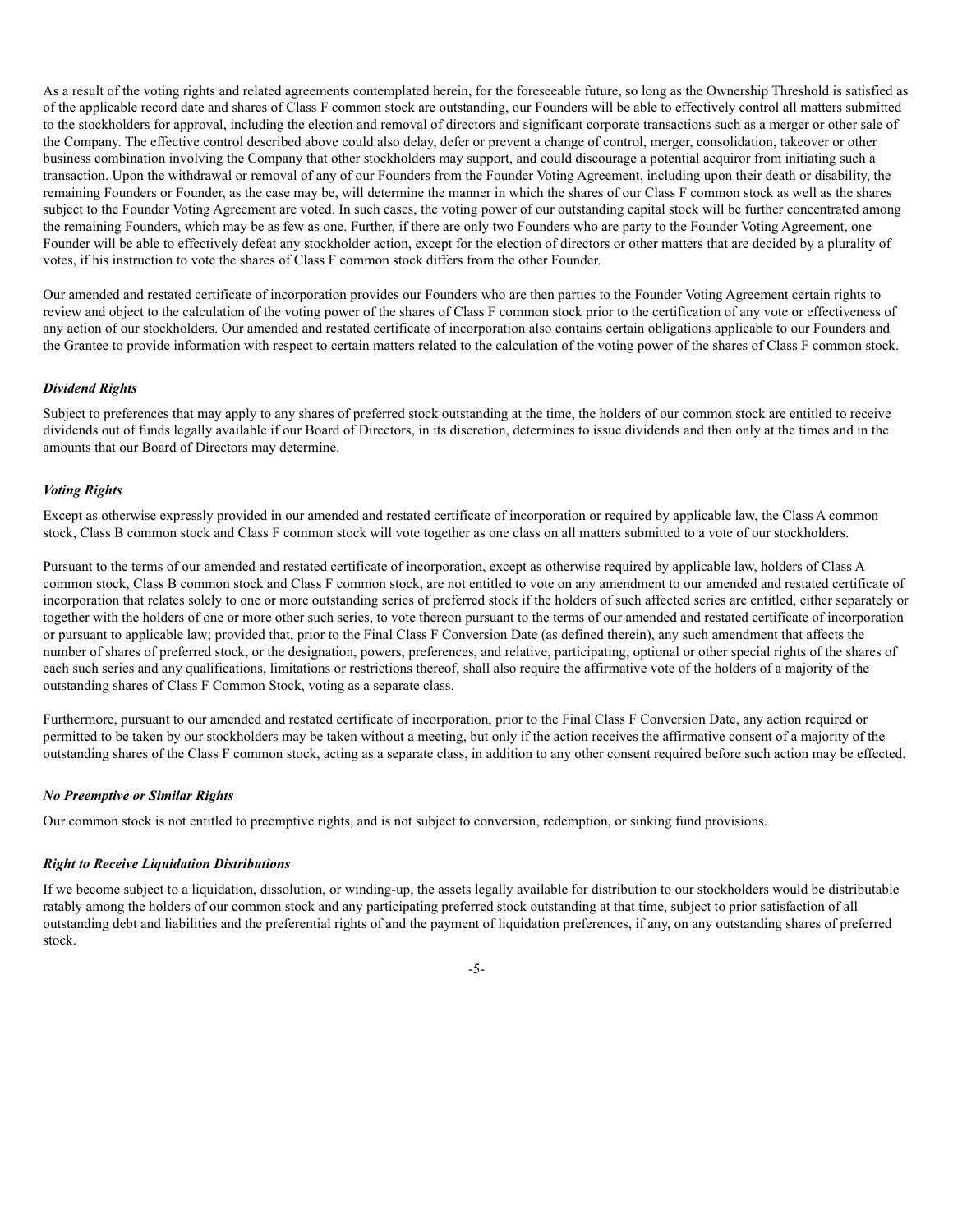As a result of the voting rights and related agreements contemplated herein, for the foreseeable future, so long as the Ownership Threshold is satisfied as of the applicable record date and shares of Class F common stock are outstanding, our Founders will be able to effectively control all matters submitted to the stockholders for approval, including the election and removal of directors and significant corporate transactions such as a merger or other sale of the Company. The effective control described above could also delay, defer or prevent a change of control, merger, consolidation, takeover or other business combination involving the Company that other stockholders may support, and could discourage a potential acquiror from initiating such a transaction. Upon the withdrawal or removal of any of our Founders from the Founder Voting Agreement, including upon their death or disability, the remaining Founders or Founder, as the case may be, will determine the manner in which the shares of our Class F common stock as well as the shares subject to the Founder Voting Agreement are voted. In such cases, the voting power of our outstanding capital stock will be further concentrated among the remaining Founders, which may be as few as one. Further, if there are only two Founders who are party to the Founder Voting Agreement, one Founder will be able to effectively defeat any stockholder action, except for the election of directors or other matters that are decided by a plurality of votes, if his instruction to vote the shares of Class F common stock differs from the other Founder.

Our amended and restated certificate of incorporation provides our Founders who are then parties to the Founder Voting Agreement certain rights to review and object to the calculation of the voting power of the shares of Class F common stock prior to the certification of any vote or effectiveness of any action of our stockholders. Our amended and restated certificate of incorporation also contains certain obligations applicable to our Founders and the Grantee to provide information with respect to certain matters related to the calculation of the voting power of the shares of Class F common stock.

#### *Dividend Rights*

Subject to preferences that may apply to any shares of preferred stock outstanding at the time, the holders of our common stock are entitled to receive dividends out of funds legally available if our Board of Directors, in its discretion, determines to issue dividends and then only at the times and in the amounts that our Board of Directors may determine.

## *Voting Rights*

Except as otherwise expressly provided in our amended and restated certificate of incorporation or required by applicable law, the Class A common stock, Class B common stock and Class F common stock will vote together as one class on all matters submitted to a vote of our stockholders.

Pursuant to the terms of our amended and restated certificate of incorporation, except as otherwise required by applicable law, holders of Class A common stock, Class B common stock and Class F common stock, are not entitled to vote on any amendment to our amended and restated certificate of incorporation that relates solely to one or more outstanding series of preferred stock if the holders of such affected series are entitled, either separately or together with the holders of one or more other such series, to vote thereon pursuant to the terms of our amended and restated certificate of incorporation or pursuant to applicable law; provided that, prior to the Final Class F Conversion Date (as defined therein), any such amendment that affects the number of shares of preferred stock, or the designation, powers, preferences, and relative, participating, optional or other special rights of the shares of each such series and any qualifications, limitations or restrictions thereof, shall also require the affirmative vote of the holders of a majority of the outstanding shares of Class F Common Stock, voting as a separate class.

Furthermore, pursuant to our amended and restated certificate of incorporation, prior to the Final Class F Conversion Date, any action required or permitted to be taken by our stockholders may be taken without a meeting, but only if the action receives the affirmative consent of a majority of the outstanding shares of the Class F common stock, acting as a separate class, in addition to any other consent required before such action may be effected.

#### *No Preemptive or Similar Rights*

Our common stock is not entitled to preemptive rights, and is not subject to conversion, redemption, or sinking fund provisions.

# *Right to Receive Liquidation Distributions*

If we become subject to a liquidation, dissolution, or winding-up, the assets legally available for distribution to our stockholders would be distributable ratably among the holders of our common stock and any participating preferred stock outstanding at that time, subject to prior satisfaction of all outstanding debt and liabilities and the preferential rights of and the payment of liquidation preferences, if any, on any outstanding shares of preferred stock.

-5-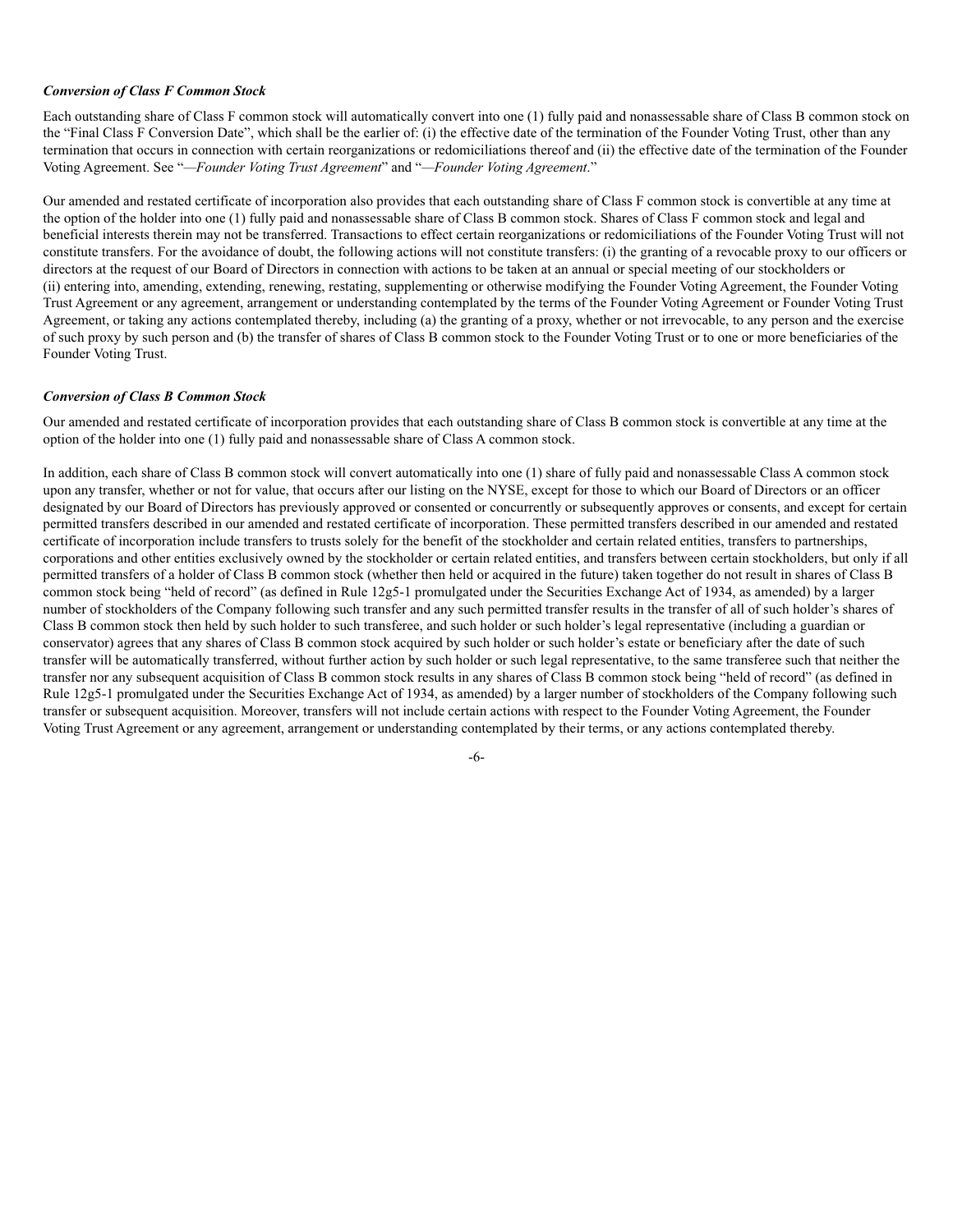#### *Conversion of Class F Common Stock*

Each outstanding share of Class F common stock will automatically convert into one (1) fully paid and nonassessable share of Class B common stock on the "Final Class F Conversion Date", which shall be the earlier of: (i) the effective date of the termination of the Founder Voting Trust, other than any termination that occurs in connection with certain reorganizations or redomiciliations thereof and (ii) the effective date of the termination of the Founder Voting Agreement. See "*—Founder Voting Trust Agreement*" and "*—Founder Voting Agreement*."

Our amended and restated certificate of incorporation also provides that each outstanding share of Class F common stock is convertible at any time at the option of the holder into one (1) fully paid and nonassessable share of Class B common stock. Shares of Class F common stock and legal and beneficial interests therein may not be transferred. Transactions to effect certain reorganizations or redomiciliations of the Founder Voting Trust will not constitute transfers. For the avoidance of doubt, the following actions will not constitute transfers: (i) the granting of a revocable proxy to our officers or directors at the request of our Board of Directors in connection with actions to be taken at an annual or special meeting of our stockholders or (ii) entering into, amending, extending, renewing, restating, supplementing or otherwise modifying the Founder Voting Agreement, the Founder Voting Trust Agreement or any agreement, arrangement or understanding contemplated by the terms of the Founder Voting Agreement or Founder Voting Trust Agreement, or taking any actions contemplated thereby, including (a) the granting of a proxy, whether or not irrevocable, to any person and the exercise of such proxy by such person and (b) the transfer of shares of Class B common stock to the Founder Voting Trust or to one or more beneficiaries of the Founder Voting Trust.

#### *Conversion of Class B Common Stock*

Our amended and restated certificate of incorporation provides that each outstanding share of Class B common stock is convertible at any time at the option of the holder into one (1) fully paid and nonassessable share of Class A common stock.

In addition, each share of Class B common stock will convert automatically into one (1) share of fully paid and nonassessable Class A common stock upon any transfer, whether or not for value, that occurs after our listing on the NYSE, except for those to which our Board of Directors or an officer designated by our Board of Directors has previously approved or consented or concurrently or subsequently approves or consents, and except for certain permitted transfers described in our amended and restated certificate of incorporation. These permitted transfers described in our amended and restated certificate of incorporation include transfers to trusts solely for the benefit of the stockholder and certain related entities, transfers to partnerships, corporations and other entities exclusively owned by the stockholder or certain related entities, and transfers between certain stockholders, but only if all permitted transfers of a holder of Class B common stock (whether then held or acquired in the future) taken together do not result in shares of Class B common stock being "held of record" (as defined in Rule 12g5-1 promulgated under the Securities Exchange Act of 1934, as amended) by a larger number of stockholders of the Company following such transfer and any such permitted transfer results in the transfer of all of such holder's shares of Class B common stock then held by such holder to such transferee, and such holder or such holder's legal representative (including a guardian or conservator) agrees that any shares of Class B common stock acquired by such holder or such holder's estate or beneficiary after the date of such transfer will be automatically transferred, without further action by such holder or such legal representative, to the same transferee such that neither the transfer nor any subsequent acquisition of Class B common stock results in any shares of Class B common stock being "held of record" (as defined in Rule 12g5-1 promulgated under the Securities Exchange Act of 1934, as amended) by a larger number of stockholders of the Company following such transfer or subsequent acquisition. Moreover, transfers will not include certain actions with respect to the Founder Voting Agreement, the Founder Voting Trust Agreement or any agreement, arrangement or understanding contemplated by their terms, or any actions contemplated thereby.

-6-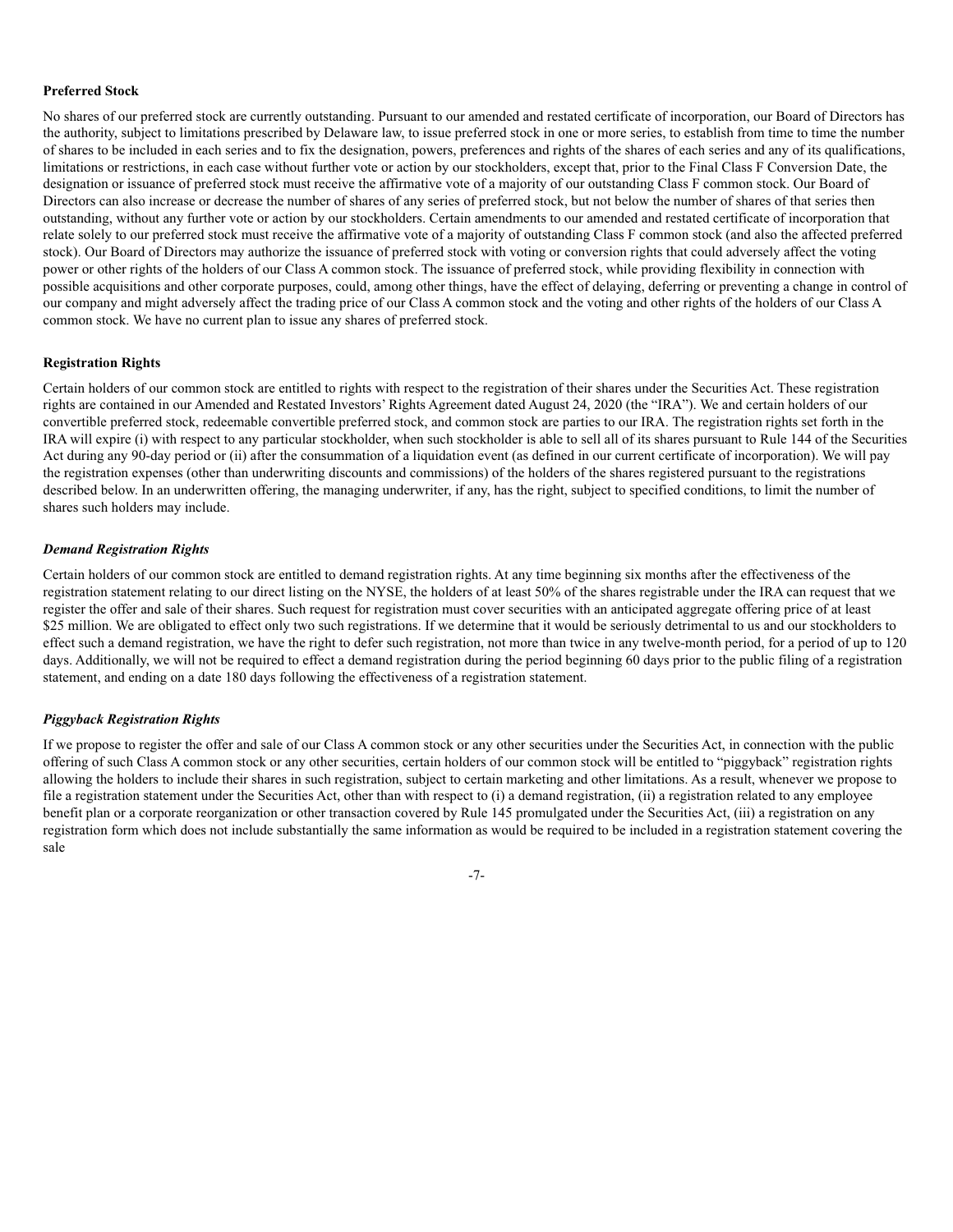#### **Preferred Stock**

No shares of our preferred stock are currently outstanding. Pursuant to our amended and restated certificate of incorporation, our Board of Directors has the authority, subject to limitations prescribed by Delaware law, to issue preferred stock in one or more series, to establish from time to time the number of shares to be included in each series and to fix the designation, powers, preferences and rights of the shares of each series and any of its qualifications, limitations or restrictions, in each case without further vote or action by our stockholders, except that, prior to the Final Class F Conversion Date, the designation or issuance of preferred stock must receive the affirmative vote of a majority of our outstanding Class F common stock. Our Board of Directors can also increase or decrease the number of shares of any series of preferred stock, but not below the number of shares of that series then outstanding, without any further vote or action by our stockholders. Certain amendments to our amended and restated certificate of incorporation that relate solely to our preferred stock must receive the affirmative vote of a majority of outstanding Class F common stock (and also the affected preferred stock). Our Board of Directors may authorize the issuance of preferred stock with voting or conversion rights that could adversely affect the voting power or other rights of the holders of our Class A common stock. The issuance of preferred stock, while providing flexibility in connection with possible acquisitions and other corporate purposes, could, among other things, have the effect of delaying, deferring or preventing a change in control of our company and might adversely affect the trading price of our Class A common stock and the voting and other rights of the holders of our Class A common stock. We have no current plan to issue any shares of preferred stock.

#### **Registration Rights**

Certain holders of our common stock are entitled to rights with respect to the registration of their shares under the Securities Act. These registration rights are contained in our Amended and Restated Investors' Rights Agreement dated August 24, 2020 (the "IRA"). We and certain holders of our convertible preferred stock, redeemable convertible preferred stock, and common stock are parties to our IRA. The registration rights set forth in the IRA will expire (i) with respect to any particular stockholder, when such stockholder is able to sell all of its shares pursuant to Rule 144 of the Securities Act during any 90-day period or (ii) after the consummation of a liquidation event (as defined in our current certificate of incorporation). We will pay the registration expenses (other than underwriting discounts and commissions) of the holders of the shares registered pursuant to the registrations described below. In an underwritten offering, the managing underwriter, if any, has the right, subject to specified conditions, to limit the number of shares such holders may include.

## *Demand Registration Rights*

Certain holders of our common stock are entitled to demand registration rights. At any time beginning six months after the effectiveness of the registration statement relating to our direct listing on the NYSE, the holders of at least 50% of the shares registrable under the IRA can request that we register the offer and sale of their shares. Such request for registration must cover securities with an anticipated aggregate offering price of at least \$25 million. We are obligated to effect only two such registrations. If we determine that it would be seriously detrimental to us and our stockholders to effect such a demand registration, we have the right to defer such registration, not more than twice in any twelve-month period, for a period of up to 120 days. Additionally, we will not be required to effect a demand registration during the period beginning 60 days prior to the public filing of a registration statement, and ending on a date 180 days following the effectiveness of a registration statement.

# *Piggyback Registration Rights*

If we propose to register the offer and sale of our Class A common stock or any other securities under the Securities Act, in connection with the public offering of such Class A common stock or any other securities, certain holders of our common stock will be entitled to "piggyback" registration rights allowing the holders to include their shares in such registration, subject to certain marketing and other limitations. As a result, whenever we propose to file a registration statement under the Securities Act, other than with respect to (i) a demand registration, (ii) a registration related to any employee benefit plan or a corporate reorganization or other transaction covered by Rule 145 promulgated under the Securities Act, (iii) a registration on any registration form which does not include substantially the same information as would be required to be included in a registration statement covering the sale

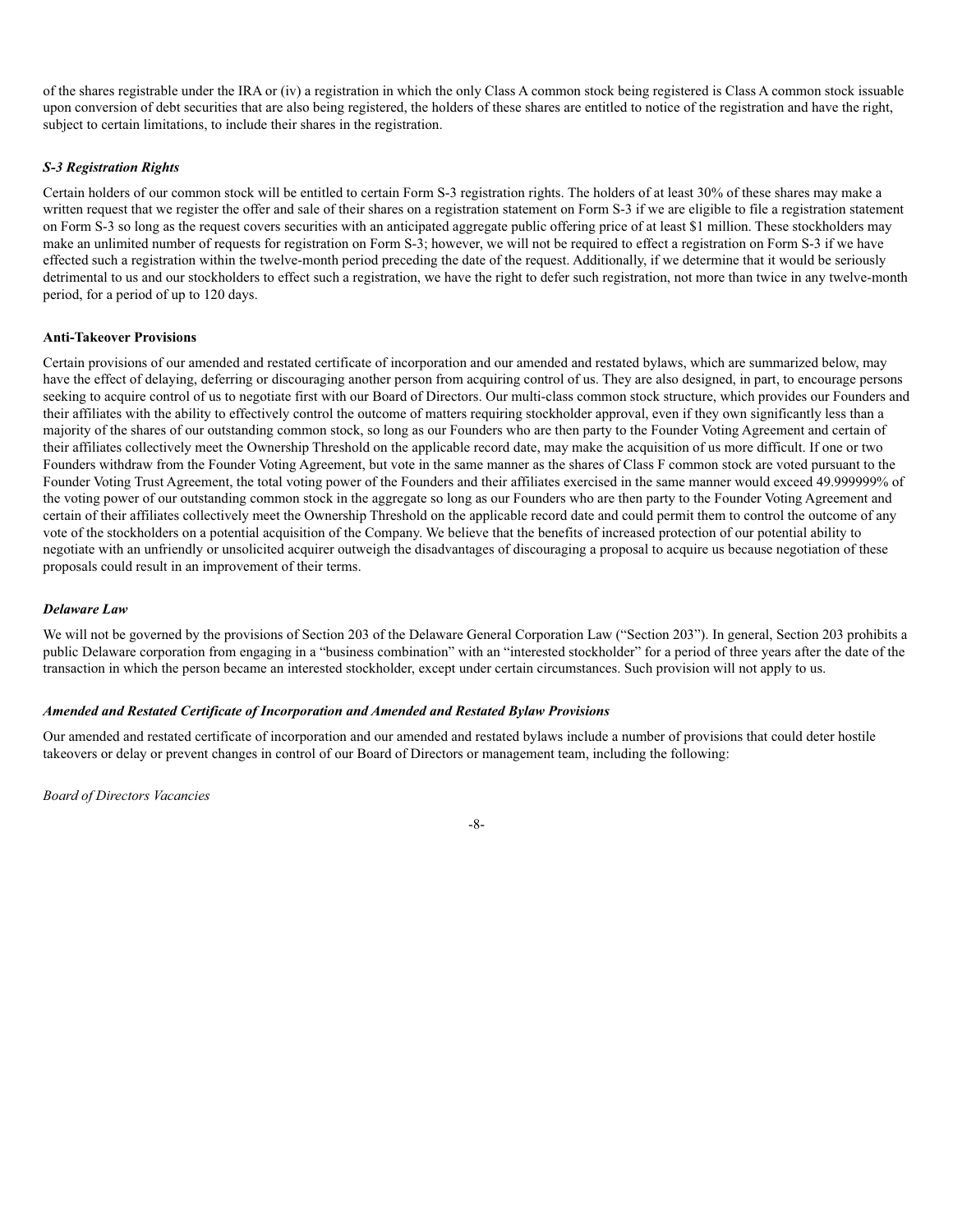of the shares registrable under the IRA or (iv) a registration in which the only Class A common stock being registered is Class A common stock issuable upon conversion of debt securities that are also being registered, the holders of these shares are entitled to notice of the registration and have the right, subject to certain limitations, to include their shares in the registration.

# *S-3 Registration Rights*

Certain holders of our common stock will be entitled to certain Form S-3 registration rights. The holders of at least 30% of these shares may make a written request that we register the offer and sale of their shares on a registration statement on Form S-3 if we are eligible to file a registration statement on Form S-3 so long as the request covers securities with an anticipated aggregate public offering price of at least \$1 million. These stockholders may make an unlimited number of requests for registration on Form S-3; however, we will not be required to effect a registration on Form S-3 if we have effected such a registration within the twelve-month period preceding the date of the request. Additionally, if we determine that it would be seriously detrimental to us and our stockholders to effect such a registration, we have the right to defer such registration, not more than twice in any twelve-month period, for a period of up to 120 days.

#### **Anti-Takeover Provisions**

Certain provisions of our amended and restated certificate of incorporation and our amended and restated bylaws, which are summarized below, may have the effect of delaying, deferring or discouraging another person from acquiring control of us. They are also designed, in part, to encourage persons seeking to acquire control of us to negotiate first with our Board of Directors. Our multi-class common stock structure, which provides our Founders and their affiliates with the ability to effectively control the outcome of matters requiring stockholder approval, even if they own significantly less than a majority of the shares of our outstanding common stock, so long as our Founders who are then party to the Founder Voting Agreement and certain of their affiliates collectively meet the Ownership Threshold on the applicable record date, may make the acquisition of us more difficult. If one or two Founders withdraw from the Founder Voting Agreement, but vote in the same manner as the shares of Class F common stock are voted pursuant to the Founder Voting Trust Agreement, the total voting power of the Founders and their affiliates exercised in the same manner would exceed 49.999999% of the voting power of our outstanding common stock in the aggregate so long as our Founders who are then party to the Founder Voting Agreement and certain of their affiliates collectively meet the Ownership Threshold on the applicable record date and could permit them to control the outcome of any vote of the stockholders on a potential acquisition of the Company. We believe that the benefits of increased protection of our potential ability to negotiate with an unfriendly or unsolicited acquirer outweigh the disadvantages of discouraging a proposal to acquire us because negotiation of these proposals could result in an improvement of their terms.

## *Delaware Law*

We will not be governed by the provisions of Section 203 of the Delaware General Corporation Law ("Section 203"). In general, Section 203 prohibits a public Delaware corporation from engaging in a "business combination" with an "interested stockholder" for a period of three years after the date of the transaction in which the person became an interested stockholder, except under certain circumstances. Such provision will not apply to us.

#### *Amended and Restated Certificate of Incorporation and Amended and Restated Bylaw Provisions*

Our amended and restated certificate of incorporation and our amended and restated bylaws include a number of provisions that could deter hostile takeovers or delay or prevent changes in control of our Board of Directors or management team, including the following:

*Board of Directors Vacancies*

-8-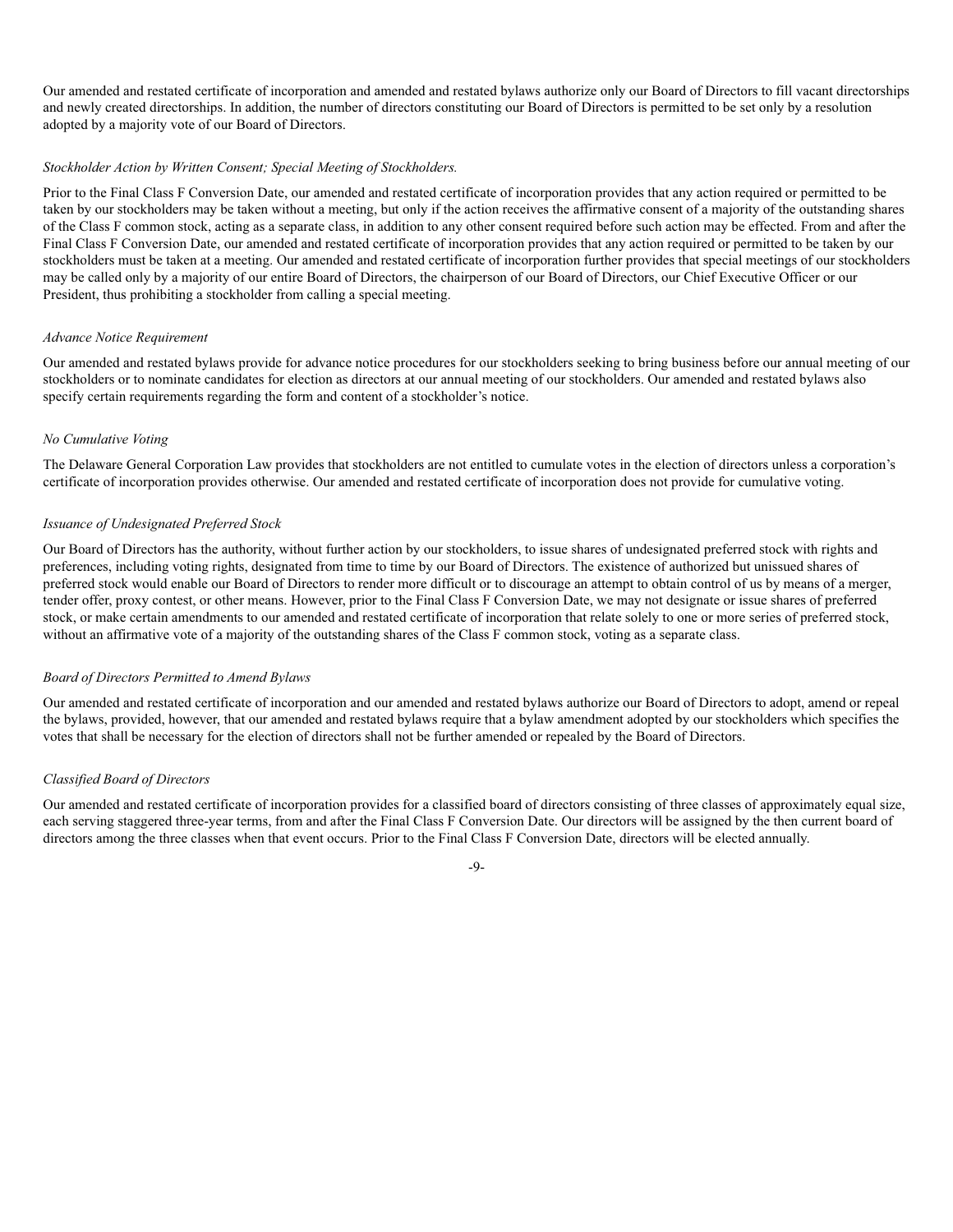Our amended and restated certificate of incorporation and amended and restated bylaws authorize only our Board of Directors to fill vacant directorships and newly created directorships. In addition, the number of directors constituting our Board of Directors is permitted to be set only by a resolution adopted by a majority vote of our Board of Directors.

## *Stockholder Action by Written Consent; Special Meeting of Stockholders.*

Prior to the Final Class F Conversion Date, our amended and restated certificate of incorporation provides that any action required or permitted to be taken by our stockholders may be taken without a meeting, but only if the action receives the affirmative consent of a majority of the outstanding shares of the Class F common stock, acting as a separate class, in addition to any other consent required before such action may be effected. From and after the Final Class F Conversion Date, our amended and restated certificate of incorporation provides that any action required or permitted to be taken by our stockholders must be taken at a meeting. Our amended and restated certificate of incorporation further provides that special meetings of our stockholders may be called only by a majority of our entire Board of Directors, the chairperson of our Board of Directors, our Chief Executive Officer or our President, thus prohibiting a stockholder from calling a special meeting.

#### *Advance Notice Requirement*

Our amended and restated bylaws provide for advance notice procedures for our stockholders seeking to bring business before our annual meeting of our stockholders or to nominate candidates for election as directors at our annual meeting of our stockholders. Our amended and restated bylaws also specify certain requirements regarding the form and content of a stockholder's notice.

## *No Cumulative Voting*

The Delaware General Corporation Law provides that stockholders are not entitled to cumulate votes in the election of directors unless a corporation's certificate of incorporation provides otherwise. Our amended and restated certificate of incorporation does not provide for cumulative voting.

## *Issuance of Undesignated Preferred Stock*

Our Board of Directors has the authority, without further action by our stockholders, to issue shares of undesignated preferred stock with rights and preferences, including voting rights, designated from time to time by our Board of Directors. The existence of authorized but unissued shares of preferred stock would enable our Board of Directors to render more difficult or to discourage an attempt to obtain control of us by means of a merger, tender offer, proxy contest, or other means. However, prior to the Final Class F Conversion Date, we may not designate or issue shares of preferred stock, or make certain amendments to our amended and restated certificate of incorporation that relate solely to one or more series of preferred stock, without an affirmative vote of a majority of the outstanding shares of the Class F common stock, voting as a separate class.

#### *Board of Directors Permitted to Amend Bylaws*

Our amended and restated certificate of incorporation and our amended and restated bylaws authorize our Board of Directors to adopt, amend or repeal the bylaws, provided, however, that our amended and restated bylaws require that a bylaw amendment adopted by our stockholders which specifies the votes that shall be necessary for the election of directors shall not be further amended or repealed by the Board of Directors.

# *Classified Board of Directors*

Our amended and restated certificate of incorporation provides for a classified board of directors consisting of three classes of approximately equal size, each serving staggered three-year terms, from and after the Final Class F Conversion Date. Our directors will be assigned by the then current board of directors among the three classes when that event occurs. Prior to the Final Class F Conversion Date, directors will be elected annually.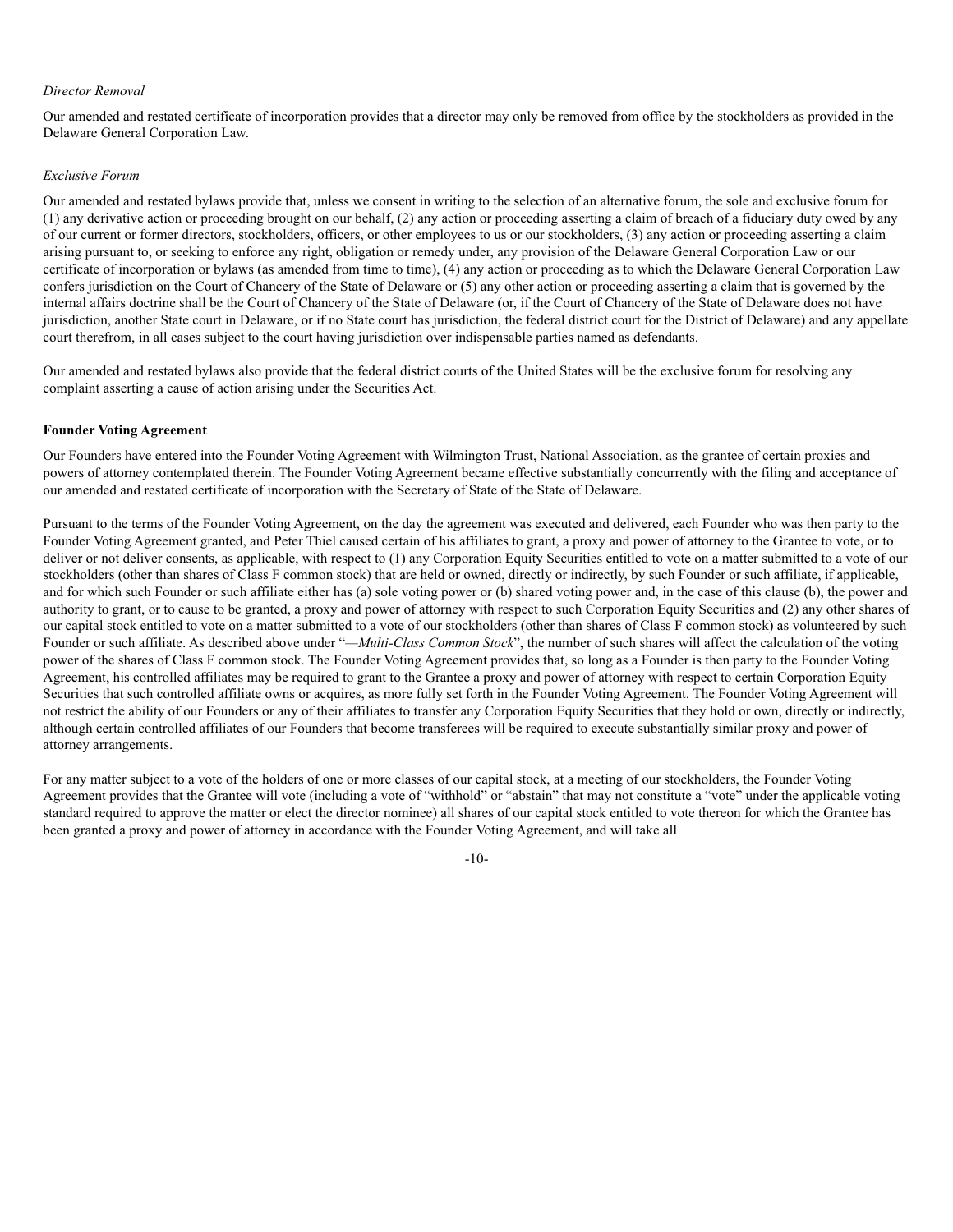## *Director Removal*

Our amended and restated certificate of incorporation provides that a director may only be removed from office by the stockholders as provided in the Delaware General Corporation Law.

## *Exclusive Forum*

Our amended and restated bylaws provide that, unless we consent in writing to the selection of an alternative forum, the sole and exclusive forum for (1) any derivative action or proceeding brought on our behalf, (2) any action or proceeding asserting a claim of breach of a fiduciary duty owed by any of our current or former directors, stockholders, officers, or other employees to us or our stockholders, (3) any action or proceeding asserting a claim arising pursuant to, or seeking to enforce any right, obligation or remedy under, any provision of the Delaware General Corporation Law or our certificate of incorporation or bylaws (as amended from time to time), (4) any action or proceeding as to which the Delaware General Corporation Law confers jurisdiction on the Court of Chancery of the State of Delaware or (5) any other action or proceeding asserting a claim that is governed by the internal affairs doctrine shall be the Court of Chancery of the State of Delaware (or, if the Court of Chancery of the State of Delaware does not have jurisdiction, another State court in Delaware, or if no State court has jurisdiction, the federal district court for the District of Delaware) and any appellate court therefrom, in all cases subject to the court having jurisdiction over indispensable parties named as defendants.

Our amended and restated bylaws also provide that the federal district courts of the United States will be the exclusive forum for resolving any complaint asserting a cause of action arising under the Securities Act.

#### **Founder Voting Agreement**

Our Founders have entered into the Founder Voting Agreement with Wilmington Trust, National Association, as the grantee of certain proxies and powers of attorney contemplated therein. The Founder Voting Agreement became effective substantially concurrently with the filing and acceptance of our amended and restated certificate of incorporation with the Secretary of State of the State of Delaware.

Pursuant to the terms of the Founder Voting Agreement, on the day the agreement was executed and delivered, each Founder who was then party to the Founder Voting Agreement granted, and Peter Thiel caused certain of his affiliates to grant, a proxy and power of attorney to the Grantee to vote, or to deliver or not deliver consents, as applicable, with respect to (1) any Corporation Equity Securities entitled to vote on a matter submitted to a vote of our stockholders (other than shares of Class F common stock) that are held or owned, directly or indirectly, by such Founder or such affiliate, if applicable, and for which such Founder or such affiliate either has (a) sole voting power or (b) shared voting power and, in the case of this clause (b), the power and authority to grant, or to cause to be granted, a proxy and power of attorney with respect to such Corporation Equity Securities and (2) any other shares of our capital stock entitled to vote on a matter submitted to a vote of our stockholders (other than shares of Class F common stock) as volunteered by such Founder or such affiliate. As described above under "*—Multi-Class Common Stock*", the number of such shares will affect the calculation of the voting power of the shares of Class F common stock. The Founder Voting Agreement provides that, so long as a Founder is then party to the Founder Voting Agreement, his controlled affiliates may be required to grant to the Grantee a proxy and power of attorney with respect to certain Corporation Equity Securities that such controlled affiliate owns or acquires, as more fully set forth in the Founder Voting Agreement. The Founder Voting Agreement will not restrict the ability of our Founders or any of their affiliates to transfer any Corporation Equity Securities that they hold or own, directly or indirectly, although certain controlled affiliates of our Founders that become transferees will be required to execute substantially similar proxy and power of attorney arrangements.

For any matter subject to a vote of the holders of one or more classes of our capital stock, at a meeting of our stockholders, the Founder Voting Agreement provides that the Grantee will vote (including a vote of "withhold" or "abstain" that may not constitute a "vote" under the applicable voting standard required to approve the matter or elect the director nominee) all shares of our capital stock entitled to vote thereon for which the Grantee has been granted a proxy and power of attorney in accordance with the Founder Voting Agreement, and will take all

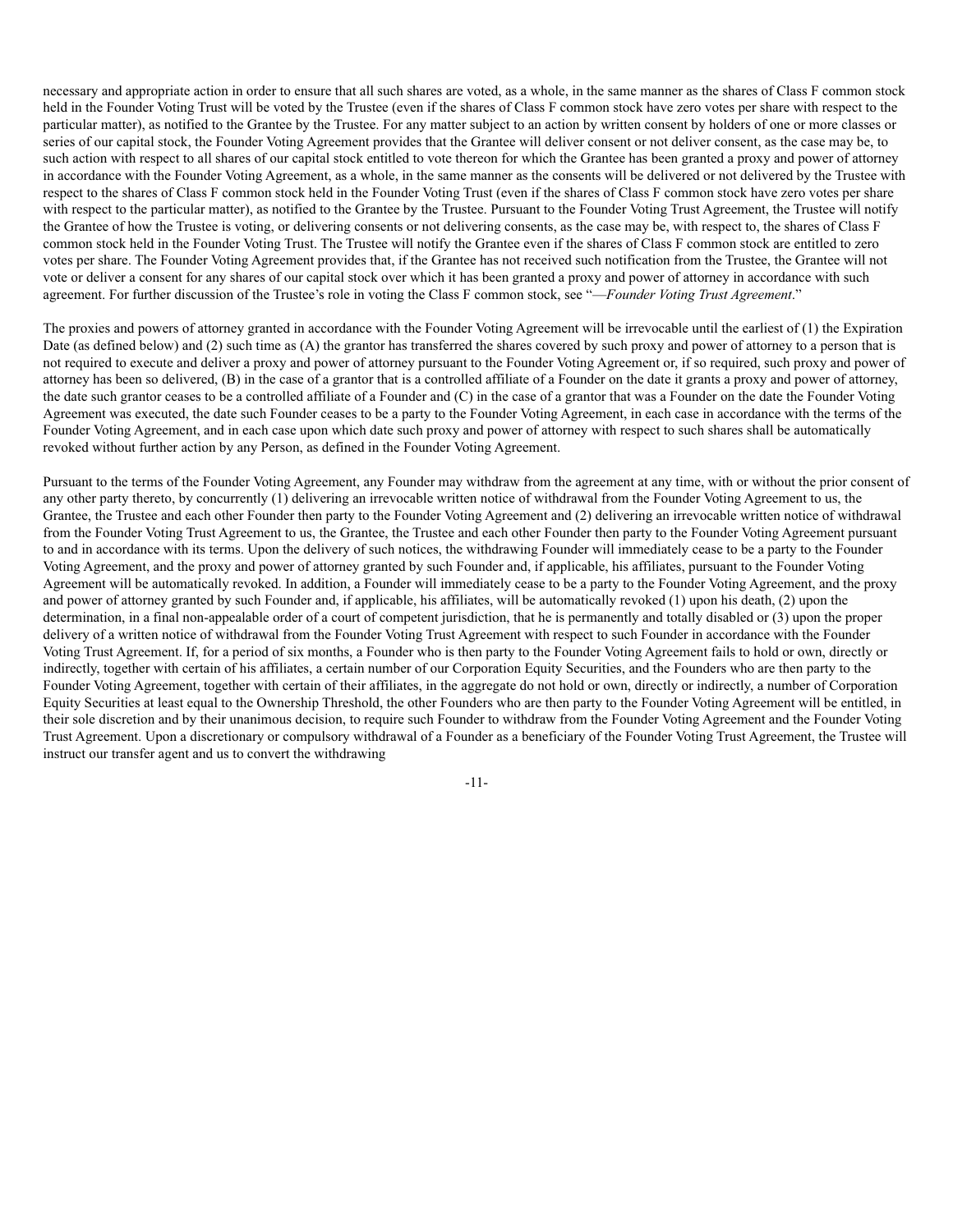necessary and appropriate action in order to ensure that all such shares are voted, as a whole, in the same manner as the shares of Class F common stock held in the Founder Voting Trust will be voted by the Trustee (even if the shares of Class F common stock have zero votes per share with respect to the particular matter), as notified to the Grantee by the Trustee. For any matter subject to an action by written consent by holders of one or more classes or series of our capital stock, the Founder Voting Agreement provides that the Grantee will deliver consent or not deliver consent, as the case may be, to such action with respect to all shares of our capital stock entitled to vote thereon for which the Grantee has been granted a proxy and power of attorney in accordance with the Founder Voting Agreement, as a whole, in the same manner as the consents will be delivered or not delivered by the Trustee with respect to the shares of Class F common stock held in the Founder Voting Trust (even if the shares of Class F common stock have zero votes per share with respect to the particular matter), as notified to the Grantee by the Trustee. Pursuant to the Founder Voting Trust Agreement, the Trustee will notify the Grantee of how the Trustee is voting, or delivering consents or not delivering consents, as the case may be, with respect to, the shares of Class F common stock held in the Founder Voting Trust. The Trustee will notify the Grantee even if the shares of Class F common stock are entitled to zero votes per share. The Founder Voting Agreement provides that, if the Grantee has not received such notification from the Trustee, the Grantee will not vote or deliver a consent for any shares of our capital stock over which it has been granted a proxy and power of attorney in accordance with such agreement. For further discussion of the Trustee's role in voting the Class F common stock, see "—*Founder Voting Trust Agreement*."

The proxies and powers of attorney granted in accordance with the Founder Voting Agreement will be irrevocable until the earliest of (1) the Expiration Date (as defined below) and (2) such time as (A) the grantor has transferred the shares covered by such proxy and power of attorney to a person that is not required to execute and deliver a proxy and power of attorney pursuant to the Founder Voting Agreement or, if so required, such proxy and power of attorney has been so delivered, (B) in the case of a grantor that is a controlled affiliate of a Founder on the date it grants a proxy and power of attorney, the date such grantor ceases to be a controlled affiliate of a Founder and (C) in the case of a grantor that was a Founder on the date the Founder Voting Agreement was executed, the date such Founder ceases to be a party to the Founder Voting Agreement, in each case in accordance with the terms of the Founder Voting Agreement, and in each case upon which date such proxy and power of attorney with respect to such shares shall be automatically revoked without further action by any Person, as defined in the Founder Voting Agreement.

Pursuant to the terms of the Founder Voting Agreement, any Founder may withdraw from the agreement at any time, with or without the prior consent of any other party thereto, by concurrently (1) delivering an irrevocable written notice of withdrawal from the Founder Voting Agreement to us, the Grantee, the Trustee and each other Founder then party to the Founder Voting Agreement and (2) delivering an irrevocable written notice of withdrawal from the Founder Voting Trust Agreement to us, the Grantee, the Trustee and each other Founder then party to the Founder Voting Agreement pursuant to and in accordance with its terms. Upon the delivery of such notices, the withdrawing Founder will immediately cease to be a party to the Founder Voting Agreement, and the proxy and power of attorney granted by such Founder and, if applicable, his affiliates, pursuant to the Founder Voting Agreement will be automatically revoked. In addition, a Founder will immediately cease to be a party to the Founder Voting Agreement, and the proxy and power of attorney granted by such Founder and, if applicable, his affiliates, will be automatically revoked (1) upon his death, (2) upon the determination, in a final non-appealable order of a court of competent jurisdiction, that he is permanently and totally disabled or (3) upon the proper delivery of a written notice of withdrawal from the Founder Voting Trust Agreement with respect to such Founder in accordance with the Founder Voting Trust Agreement. If, for a period of six months, a Founder who is then party to the Founder Voting Agreement fails to hold or own, directly or indirectly, together with certain of his affiliates, a certain number of our Corporation Equity Securities, and the Founders who are then party to the Founder Voting Agreement, together with certain of their affiliates, in the aggregate do not hold or own, directly or indirectly, a number of Corporation Equity Securities at least equal to the Ownership Threshold, the other Founders who are then party to the Founder Voting Agreement will be entitled, in their sole discretion and by their unanimous decision, to require such Founder to withdraw from the Founder Voting Agreement and the Founder Voting Trust Agreement. Upon a discretionary or compulsory withdrawal of a Founder as a beneficiary of the Founder Voting Trust Agreement, the Trustee will instruct our transfer agent and us to convert the withdrawing

-11-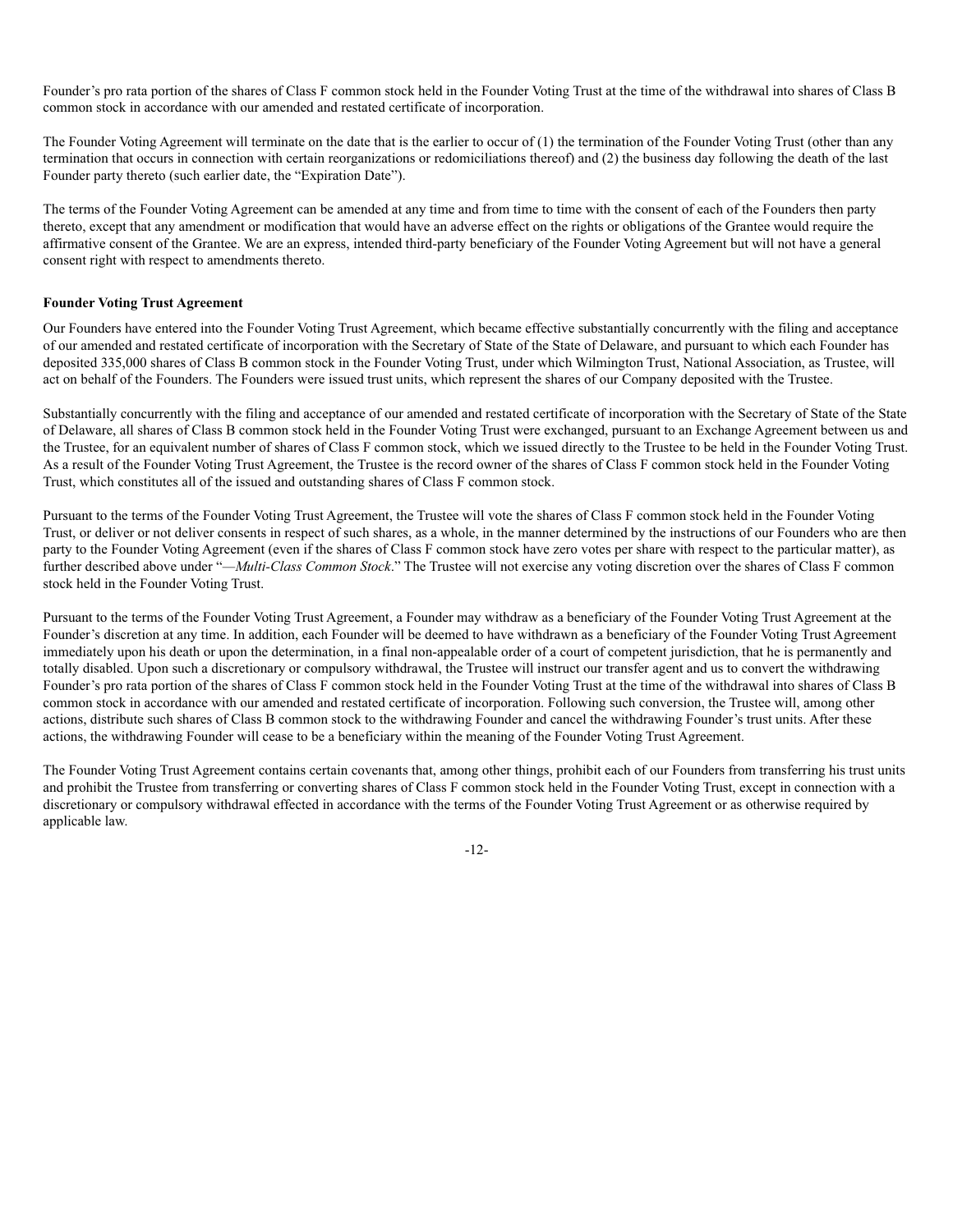Founder's pro rata portion of the shares of Class F common stock held in the Founder Voting Trust at the time of the withdrawal into shares of Class B common stock in accordance with our amended and restated certificate of incorporation.

The Founder Voting Agreement will terminate on the date that is the earlier to occur of (1) the termination of the Founder Voting Trust (other than any termination that occurs in connection with certain reorganizations or redomiciliations thereof) and (2) the business day following the death of the last Founder party thereto (such earlier date, the "Expiration Date").

The terms of the Founder Voting Agreement can be amended at any time and from time to time with the consent of each of the Founders then party thereto, except that any amendment or modification that would have an adverse effect on the rights or obligations of the Grantee would require the affirmative consent of the Grantee. We are an express, intended third-party beneficiary of the Founder Voting Agreement but will not have a general consent right with respect to amendments thereto.

#### **Founder Voting Trust Agreement**

Our Founders have entered into the Founder Voting Trust Agreement, which became effective substantially concurrently with the filing and acceptance of our amended and restated certificate of incorporation with the Secretary of State of the State of Delaware, and pursuant to which each Founder has deposited 335,000 shares of Class B common stock in the Founder Voting Trust, under which Wilmington Trust, National Association, as Trustee, will act on behalf of the Founders. The Founders were issued trust units, which represent the shares of our Company deposited with the Trustee.

Substantially concurrently with the filing and acceptance of our amended and restated certificate of incorporation with the Secretary of State of the State of Delaware, all shares of Class B common stock held in the Founder Voting Trust were exchanged, pursuant to an Exchange Agreement between us and the Trustee, for an equivalent number of shares of Class F common stock, which we issued directly to the Trustee to be held in the Founder Voting Trust. As a result of the Founder Voting Trust Agreement, the Trustee is the record owner of the shares of Class F common stock held in the Founder Voting Trust, which constitutes all of the issued and outstanding shares of Class F common stock.

Pursuant to the terms of the Founder Voting Trust Agreement, the Trustee will vote the shares of Class F common stock held in the Founder Voting Trust, or deliver or not deliver consents in respect of such shares, as a whole, in the manner determined by the instructions of our Founders who are then party to the Founder Voting Agreement (even if the shares of Class F common stock have zero votes per share with respect to the particular matter), as further described above under "*—Multi-Class Common Stock*." The Trustee will not exercise any voting discretion over the shares of Class F common stock held in the Founder Voting Trust.

Pursuant to the terms of the Founder Voting Trust Agreement, a Founder may withdraw as a beneficiary of the Founder Voting Trust Agreement at the Founder's discretion at any time. In addition, each Founder will be deemed to have withdrawn as a beneficiary of the Founder Voting Trust Agreement immediately upon his death or upon the determination, in a final non-appealable order of a court of competent jurisdiction, that he is permanently and totally disabled. Upon such a discretionary or compulsory withdrawal, the Trustee will instruct our transfer agent and us to convert the withdrawing Founder's pro rata portion of the shares of Class F common stock held in the Founder Voting Trust at the time of the withdrawal into shares of Class B common stock in accordance with our amended and restated certificate of incorporation. Following such conversion, the Trustee will, among other actions, distribute such shares of Class B common stock to the withdrawing Founder and cancel the withdrawing Founder's trust units. After these actions, the withdrawing Founder will cease to be a beneficiary within the meaning of the Founder Voting Trust Agreement.

The Founder Voting Trust Agreement contains certain covenants that, among other things, prohibit each of our Founders from transferring his trust units and prohibit the Trustee from transferring or converting shares of Class F common stock held in the Founder Voting Trust, except in connection with a discretionary or compulsory withdrawal effected in accordance with the terms of the Founder Voting Trust Agreement or as otherwise required by applicable law.

-12-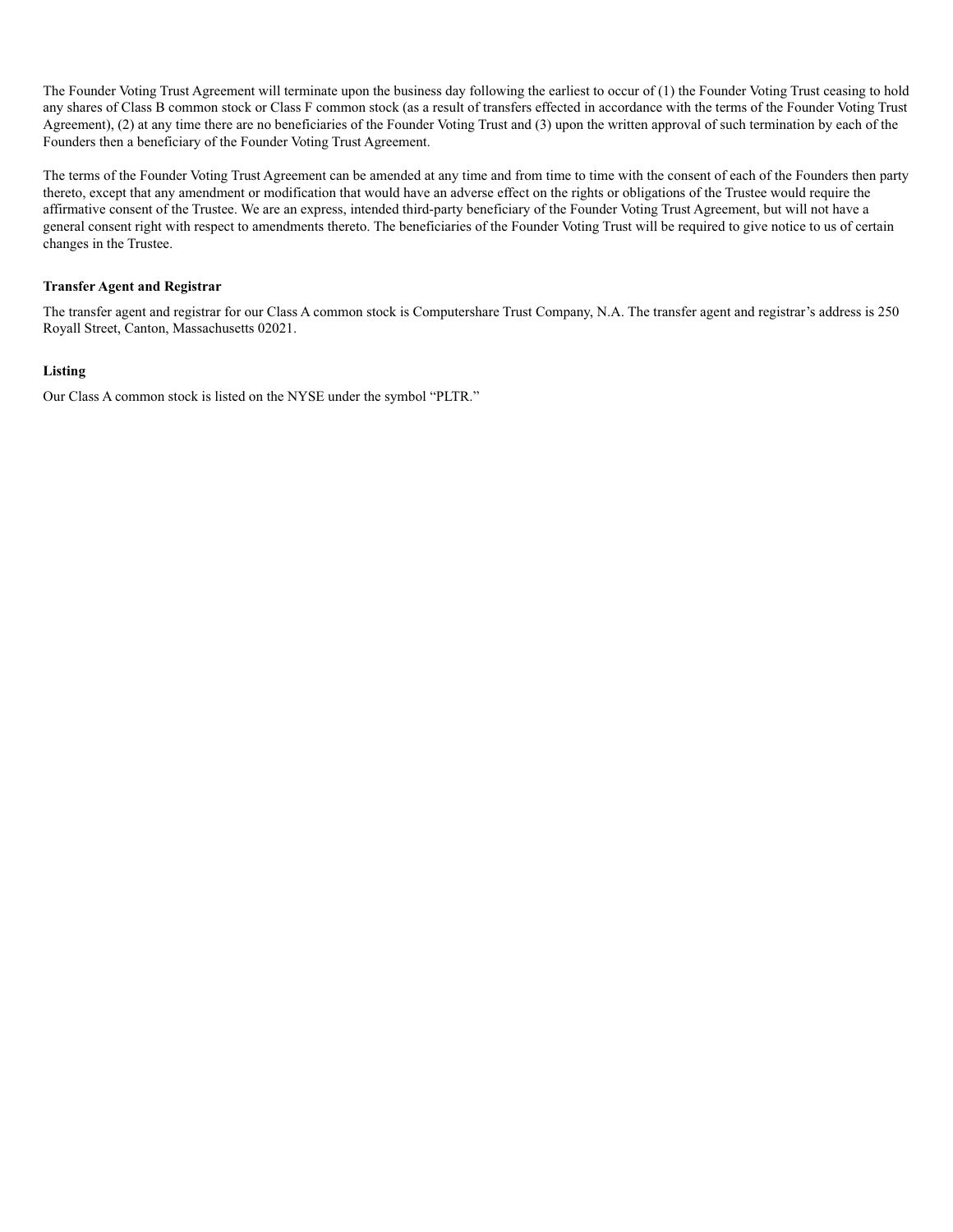The Founder Voting Trust Agreement will terminate upon the business day following the earliest to occur of (1) the Founder Voting Trust ceasing to hold any shares of Class B common stock or Class F common stock (as a result of transfers effected in accordance with the terms of the Founder Voting Trust Agreement), (2) at any time there are no beneficiaries of the Founder Voting Trust and (3) upon the written approval of such termination by each of the Founders then a beneficiary of the Founder Voting Trust Agreement.

The terms of the Founder Voting Trust Agreement can be amended at any time and from time to time with the consent of each of the Founders then party thereto, except that any amendment or modification that would have an adverse effect on the rights or obligations of the Trustee would require the affirmative consent of the Trustee. We are an express, intended third-party beneficiary of the Founder Voting Trust Agreement, but will not have a general consent right with respect to amendments thereto. The beneficiaries of the Founder Voting Trust will be required to give notice to us of certain changes in the Trustee.

## **Transfer Agent and Registrar**

The transfer agent and registrar for our Class A common stock is Computershare Trust Company, N.A. The transfer agent and registrar's address is 250 Royall Street, Canton, Massachusetts 02021.

## **Listing**

Our Class A common stock is listed on the NYSE under the symbol "PLTR."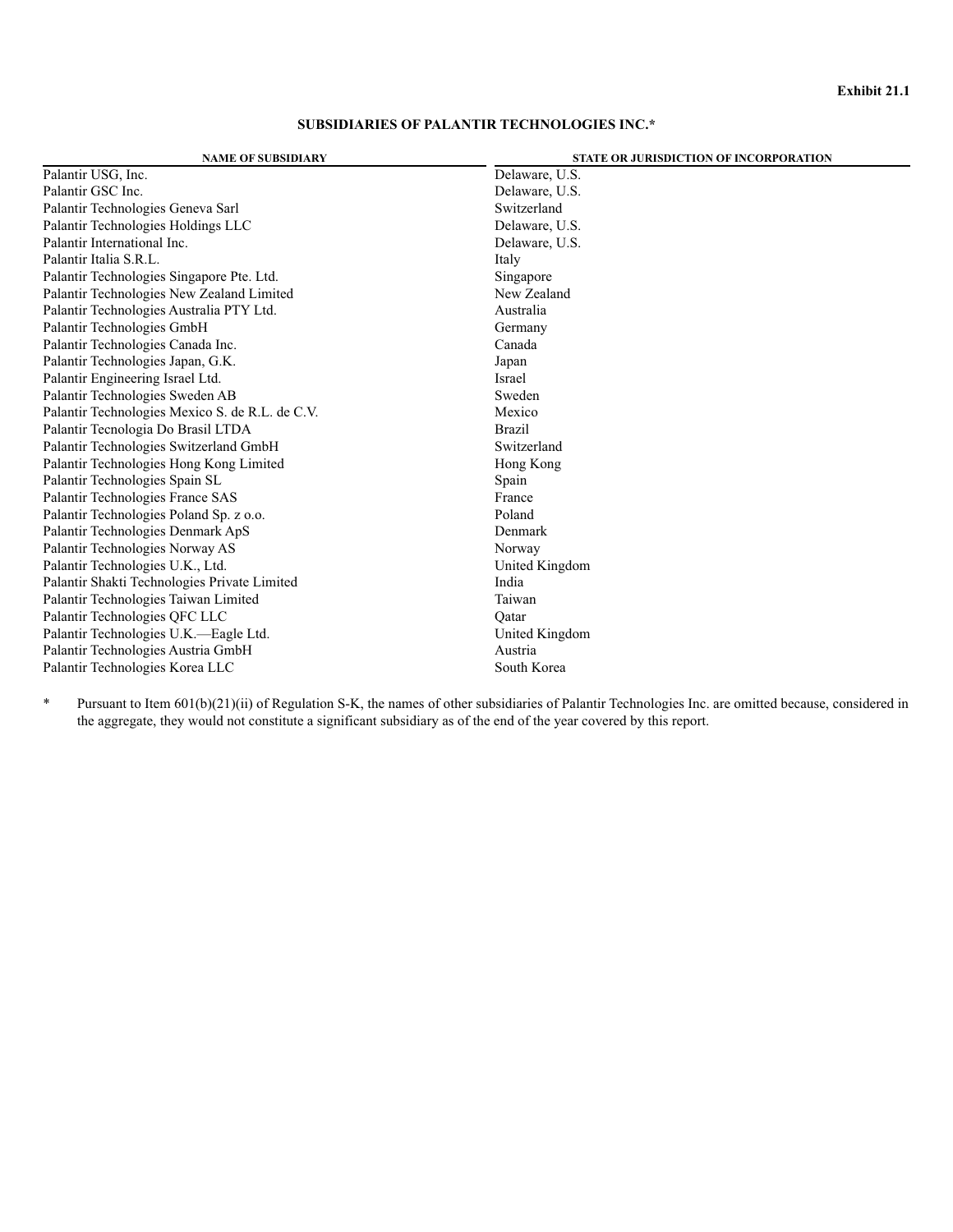# **SUBSIDIARIES OF PALANTIR TECHNOLOGIES INC.\***

| <b>NAME OF SUBSIDIARY</b>                       | STATE OR JURISDICTION OF INCORPORATION |
|-------------------------------------------------|----------------------------------------|
| Palantir USG, Inc.                              | Delaware, U.S.                         |
| Palantir GSC Inc.                               | Delaware, U.S.                         |
| Palantir Technologies Geneva Sarl               | Switzerland                            |
| Palantir Technologies Holdings LLC              | Delaware, U.S.                         |
| Palantir International Inc.                     | Delaware, U.S.                         |
| Palantir Italia S.R.L.                          | Italy                                  |
| Palantir Technologies Singapore Pte. Ltd.       | Singapore                              |
| Palantir Technologies New Zealand Limited       | New Zealand                            |
| Palantir Technologies Australia PTY Ltd.        | Australia                              |
| Palantir Technologies GmbH                      | Germany                                |
| Palantir Technologies Canada Inc.               | Canada                                 |
| Palantir Technologies Japan, G.K.               | Japan                                  |
| Palantir Engineering Israel Ltd.                | <b>Israel</b>                          |
| Palantir Technologies Sweden AB                 | Sweden                                 |
| Palantir Technologies Mexico S. de R.L. de C.V. | Mexico                                 |
| Palantir Tecnologia Do Brasil LTDA              | <b>Brazil</b>                          |
| Palantir Technologies Switzerland GmbH          | Switzerland                            |
| Palantir Technologies Hong Kong Limited         | Hong Kong                              |
| Palantir Technologies Spain SL                  | Spain                                  |
| Palantir Technologies France SAS                | France                                 |
| Palantir Technologies Poland Sp. z o.o.         | Poland                                 |
| Palantir Technologies Denmark ApS               | Denmark                                |
| Palantir Technologies Norway AS                 | Norway                                 |
| Palantir Technologies U.K., Ltd.                | United Kingdom                         |
| Palantir Shakti Technologies Private Limited    | India                                  |
| Palantir Technologies Taiwan Limited            | Taiwan                                 |
| Palantir Technologies QFC LLC                   | Oatar                                  |
| Palantir Technologies U.K.—Eagle Ltd.           | United Kingdom                         |
| Palantir Technologies Austria GmbH              | Austria                                |
| Palantir Technologies Korea LLC                 | South Korea                            |

\* Pursuant to Item 601(b)(21)(ii) of Regulation S-K, the names of other subsidiaries of Palantir Technologies Inc. are omitted because, considered in the aggregate, they would not constitute a significant subsidiary as of the end of the year covered by this report.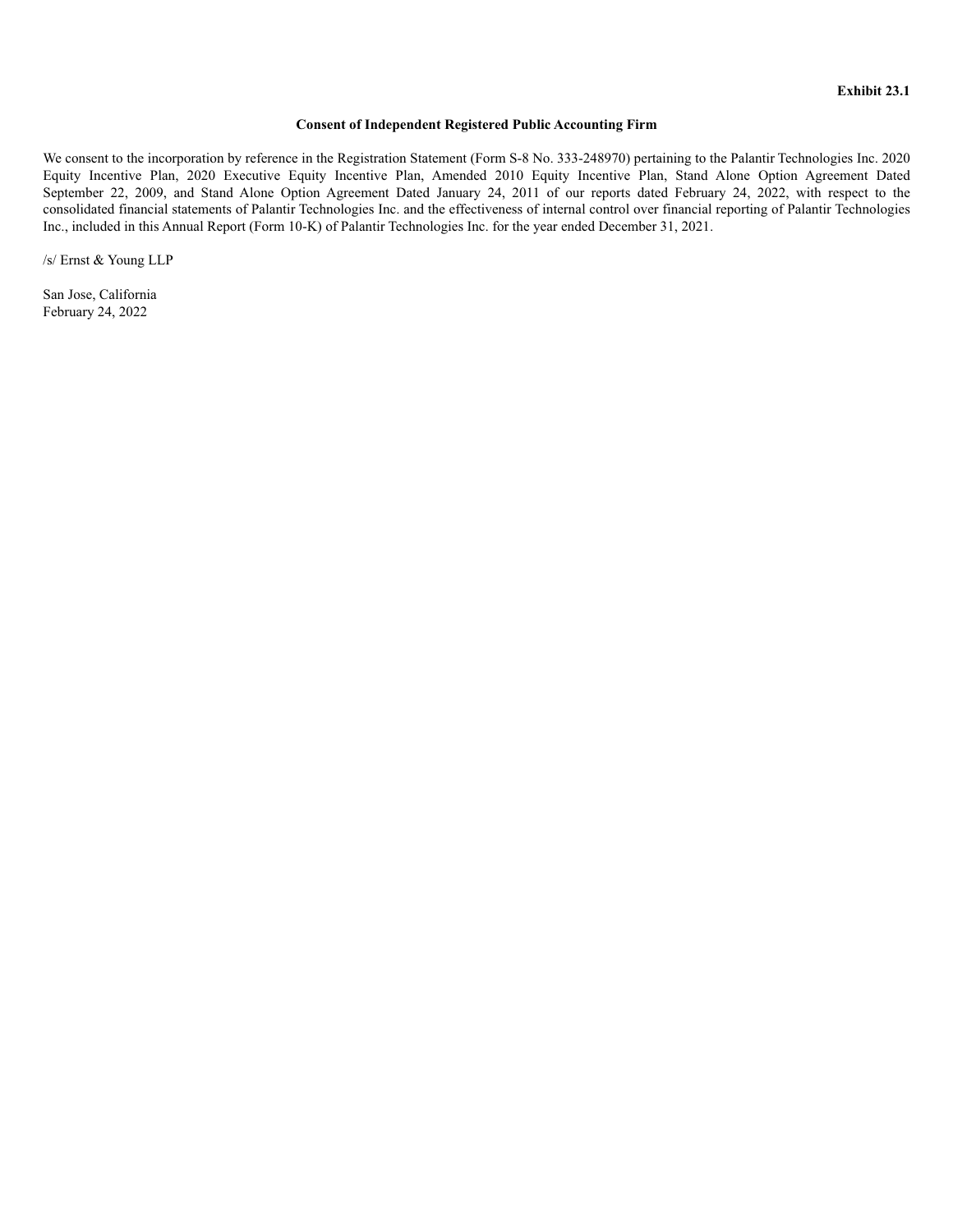# **Consent of Independent Registered Public Accounting Firm**

We consent to the incorporation by reference in the Registration Statement (Form S-8 No. 333-248970) pertaining to the Palantir Technologies Inc. 2020 Equity Incentive Plan, 2020 Executive Equity Incentive Plan, Amended 2010 Equity Incentive Plan, Stand Alone Option Agreement Dated September 22, 2009, and Stand Alone Option Agreement Dated January 24, 2011 of our reports dated February 24, 2022, with respect to the consolidated financial statements of Palantir Technologies Inc. and the effectiveness of internal control over financial reporting of Palantir Technologies Inc., included in this Annual Report (Form 10-K) of Palantir Technologies Inc. for the year ended December 31, 2021.

/s/ Ernst & Young LLP

San Jose, California February 24, 2022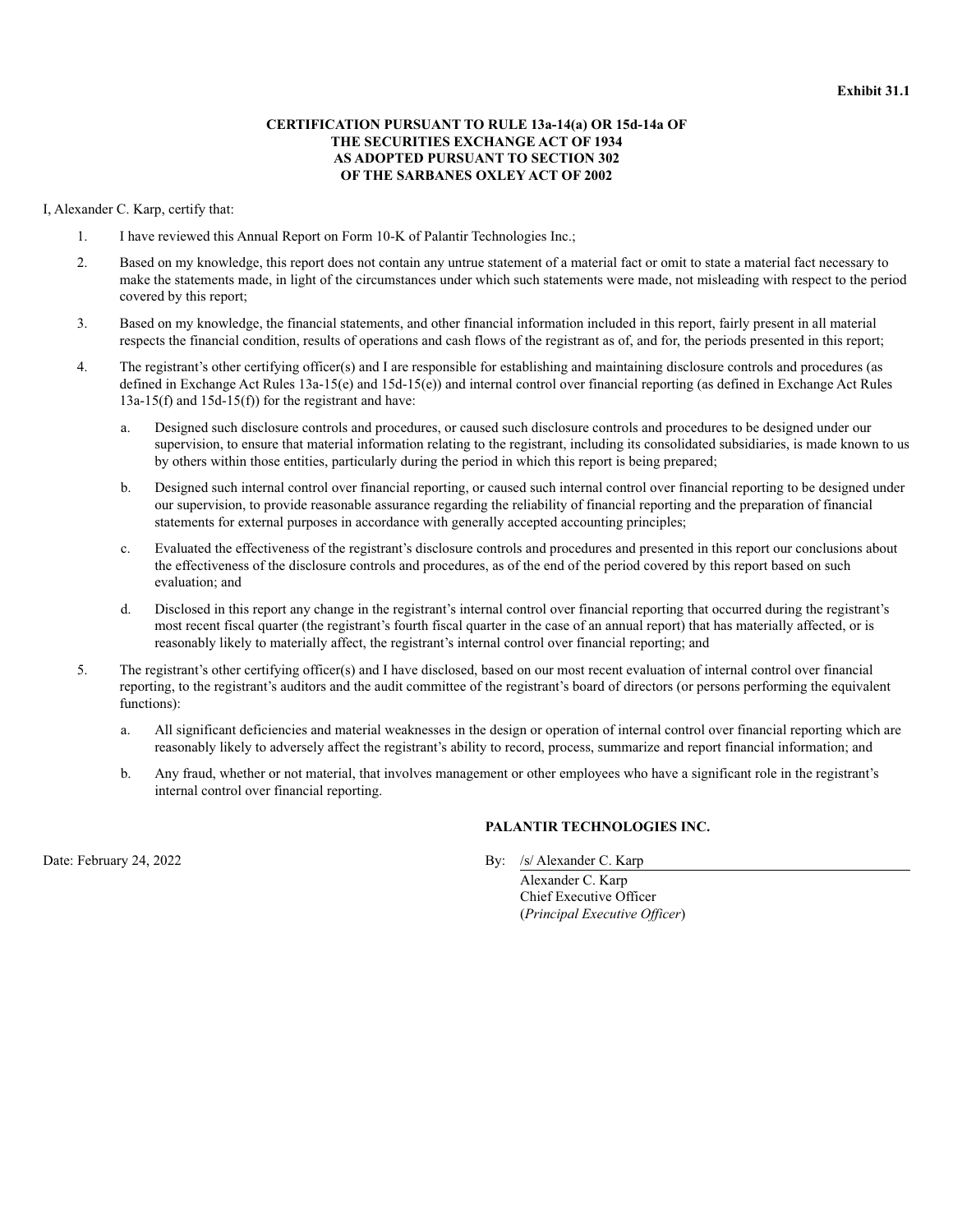# **CERTIFICATION PURSUANT TO RULE 13a-14(a) OR 15d-14a OF THE SECURITIES EXCHANGE ACT OF 1934 AS ADOPTED PURSUANT TO SECTION 302 OF THE SARBANES OXLEY ACT OF 2002**

I, Alexander C. Karp, certify that:

- 1. I have reviewed this Annual Report on Form 10-K of Palantir Technologies Inc.;
- 2. Based on my knowledge, this report does not contain any untrue statement of a material fact or omit to state a material fact necessary to make the statements made, in light of the circumstances under which such statements were made, not misleading with respect to the period covered by this report;
- 3. Based on my knowledge, the financial statements, and other financial information included in this report, fairly present in all material respects the financial condition, results of operations and cash flows of the registrant as of, and for, the periods presented in this report;
- 4. The registrant's other certifying officer(s) and I are responsible for establishing and maintaining disclosure controls and procedures (as defined in Exchange Act Rules 13a-15(e) and 15d-15(e)) and internal control over financial reporting (as defined in Exchange Act Rules 13a-15(f) and 15d-15(f)) for the registrant and have:
	- a. Designed such disclosure controls and procedures, or caused such disclosure controls and procedures to be designed under our supervision, to ensure that material information relating to the registrant, including its consolidated subsidiaries, is made known to us by others within those entities, particularly during the period in which this report is being prepared;
	- b. Designed such internal control over financial reporting, or caused such internal control over financial reporting to be designed under our supervision, to provide reasonable assurance regarding the reliability of financial reporting and the preparation of financial statements for external purposes in accordance with generally accepted accounting principles;
	- c. Evaluated the effectiveness of the registrant's disclosure controls and procedures and presented in this report our conclusions about the effectiveness of the disclosure controls and procedures, as of the end of the period covered by this report based on such evaluation; and
	- d. Disclosed in this report any change in the registrant's internal control over financial reporting that occurred during the registrant's most recent fiscal quarter (the registrant's fourth fiscal quarter in the case of an annual report) that has materially affected, or is reasonably likely to materially affect, the registrant's internal control over financial reporting; and
- 5. The registrant's other certifying officer(s) and I have disclosed, based on our most recent evaluation of internal control over financial reporting, to the registrant's auditors and the audit committee of the registrant's board of directors (or persons performing the equivalent functions):
	- a. All significant deficiencies and material weaknesses in the design or operation of internal control over financial reporting which are reasonably likely to adversely affect the registrant's ability to record, process, summarize and report financial information; and
	- b. Any fraud, whether or not material, that involves management or other employees who have a significant role in the registrant's internal control over financial reporting.

# **PALANTIR TECHNOLOGIES INC.**

Date: February 24, 2022 By: /s/ Alexander C. Karp

 Alexander C. Karp Chief Executive Officer (*Principal Executive Officer*)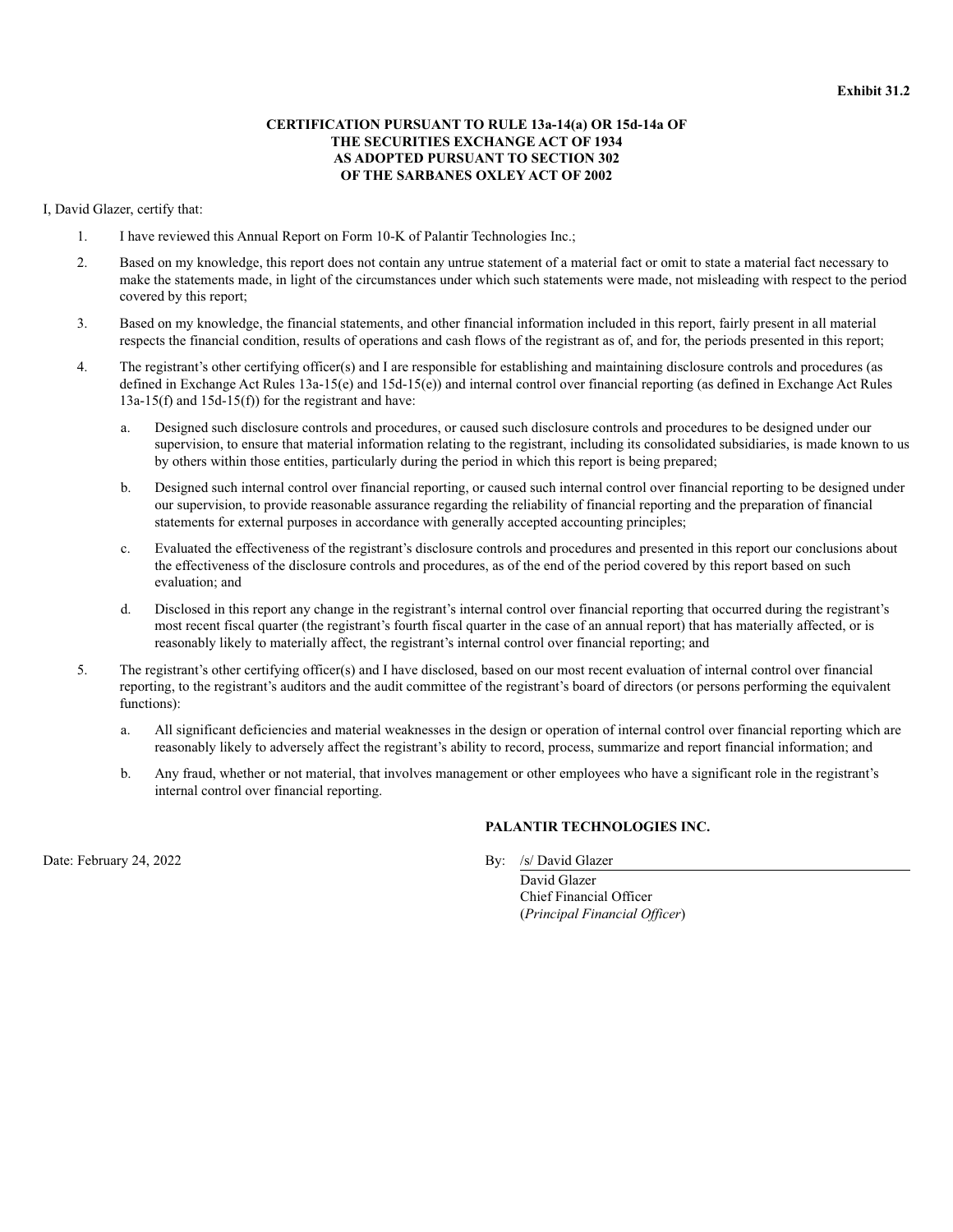# **CERTIFICATION PURSUANT TO RULE 13a-14(a) OR 15d-14a OF THE SECURITIES EXCHANGE ACT OF 1934 AS ADOPTED PURSUANT TO SECTION 302 OF THE SARBANES OXLEY ACT OF 2002**

I, David Glazer, certify that:

- 1. I have reviewed this Annual Report on Form 10-K of Palantir Technologies Inc.;
- 2. Based on my knowledge, this report does not contain any untrue statement of a material fact or omit to state a material fact necessary to make the statements made, in light of the circumstances under which such statements were made, not misleading with respect to the period covered by this report;
- 3. Based on my knowledge, the financial statements, and other financial information included in this report, fairly present in all material respects the financial condition, results of operations and cash flows of the registrant as of, and for, the periods presented in this report;
- 4. The registrant's other certifying officer(s) and I are responsible for establishing and maintaining disclosure controls and procedures (as defined in Exchange Act Rules 13a-15(e) and 15d-15(e)) and internal control over financial reporting (as defined in Exchange Act Rules 13a-15(f) and 15d-15(f)) for the registrant and have:
	- a. Designed such disclosure controls and procedures, or caused such disclosure controls and procedures to be designed under our supervision, to ensure that material information relating to the registrant, including its consolidated subsidiaries, is made known to us by others within those entities, particularly during the period in which this report is being prepared;
	- b. Designed such internal control over financial reporting, or caused such internal control over financial reporting to be designed under our supervision, to provide reasonable assurance regarding the reliability of financial reporting and the preparation of financial statements for external purposes in accordance with generally accepted accounting principles;
	- c. Evaluated the effectiveness of the registrant's disclosure controls and procedures and presented in this report our conclusions about the effectiveness of the disclosure controls and procedures, as of the end of the period covered by this report based on such evaluation; and
	- d. Disclosed in this report any change in the registrant's internal control over financial reporting that occurred during the registrant's most recent fiscal quarter (the registrant's fourth fiscal quarter in the case of an annual report) that has materially affected, or is reasonably likely to materially affect, the registrant's internal control over financial reporting; and
- 5. The registrant's other certifying officer(s) and I have disclosed, based on our most recent evaluation of internal control over financial reporting, to the registrant's auditors and the audit committee of the registrant's board of directors (or persons performing the equivalent functions):
	- a. All significant deficiencies and material weaknesses in the design or operation of internal control over financial reporting which are reasonably likely to adversely affect the registrant's ability to record, process, summarize and report financial information; and
	- b. Any fraud, whether or not material, that involves management or other employees who have a significant role in the registrant's internal control over financial reporting.

# **PALANTIR TECHNOLOGIES INC.**

Date: February 24, 2022 By: /s/ David Glazer

 David Glazer Chief Financial Officer (*Principal Financial Officer*)